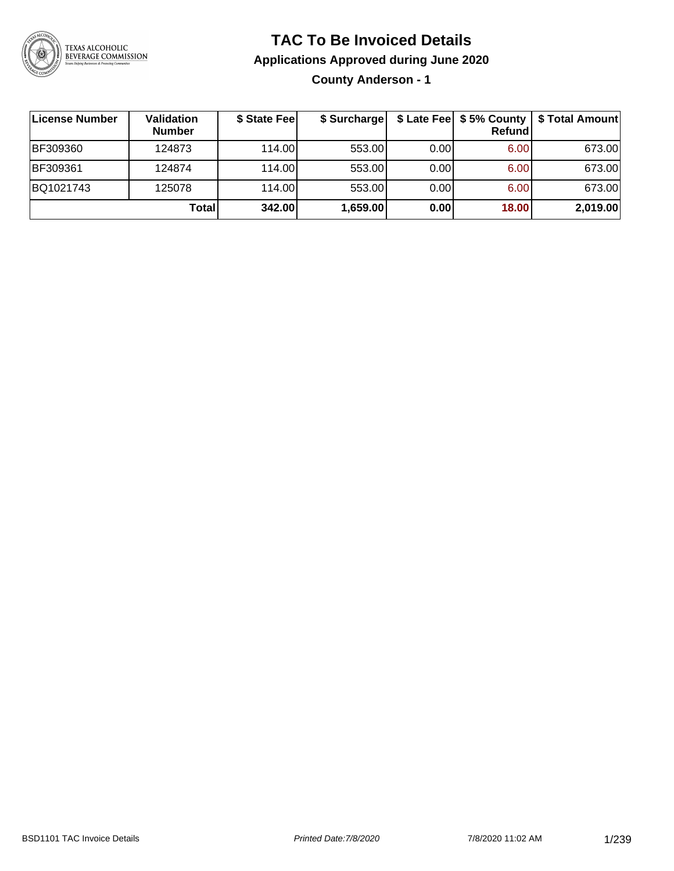

### **TAC To Be Invoiced Details**

**Applications Approved during June 2020**

**County Anderson - 1**

| License Number | Validation<br><b>Number</b> | \$ State Fee | \$ Surcharge |      | <b>Refund</b> | \$ Late Fee   \$5% County   \$ Total Amount |
|----------------|-----------------------------|--------------|--------------|------|---------------|---------------------------------------------|
| BF309360       | 124873                      | 114.00L      | 553.00       | 0.00 | 6.00          | 673.00                                      |
| BF309361       | 124874                      | 114.00L      | 553.00       | 0.00 | 6.00          | 673.00                                      |
| BQ1021743      | 125078                      | 114.00       | 553.00       | 0.00 | 6.00          | 673.00                                      |
|                | Totall                      | 342.00       | 1,659.00     | 0.00 | 18.00         | 2,019.00                                    |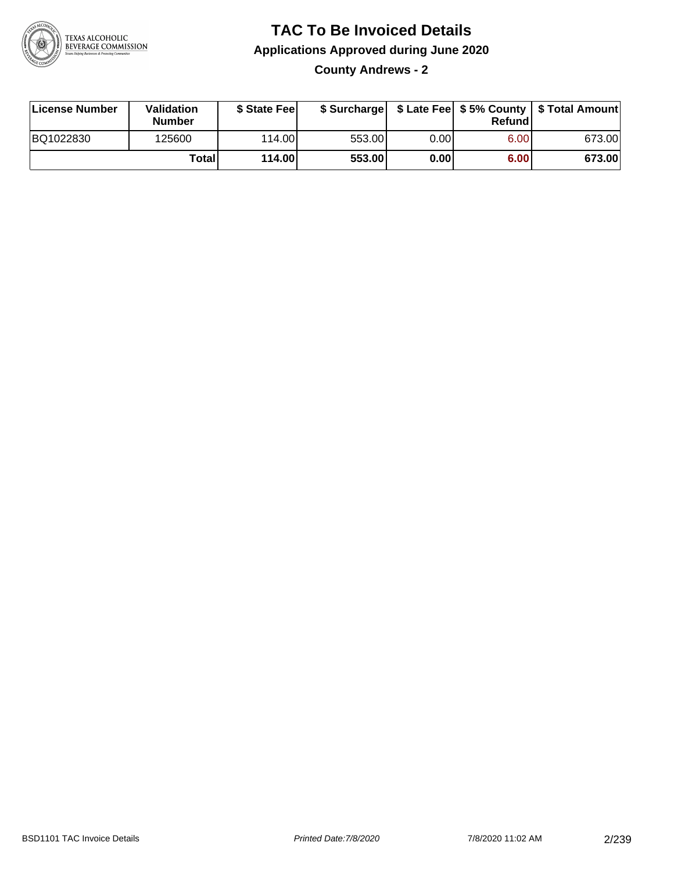

**County Andrews - 2**

| License Number | Validation<br><b>Number</b> | \$ State Fee |        |      | Refundl | \$ Surcharge   \$ Late Fee   \$5% County   \$ Total Amount |
|----------------|-----------------------------|--------------|--------|------|---------|------------------------------------------------------------|
| BQ1022830      | 125600                      | 114.00       | 553.00 | 0.00 | 6.00    | 673.00                                                     |
|                | <b>Total</b>                | 114.00       | 553.00 | 0.00 | 6.00    | 673.00                                                     |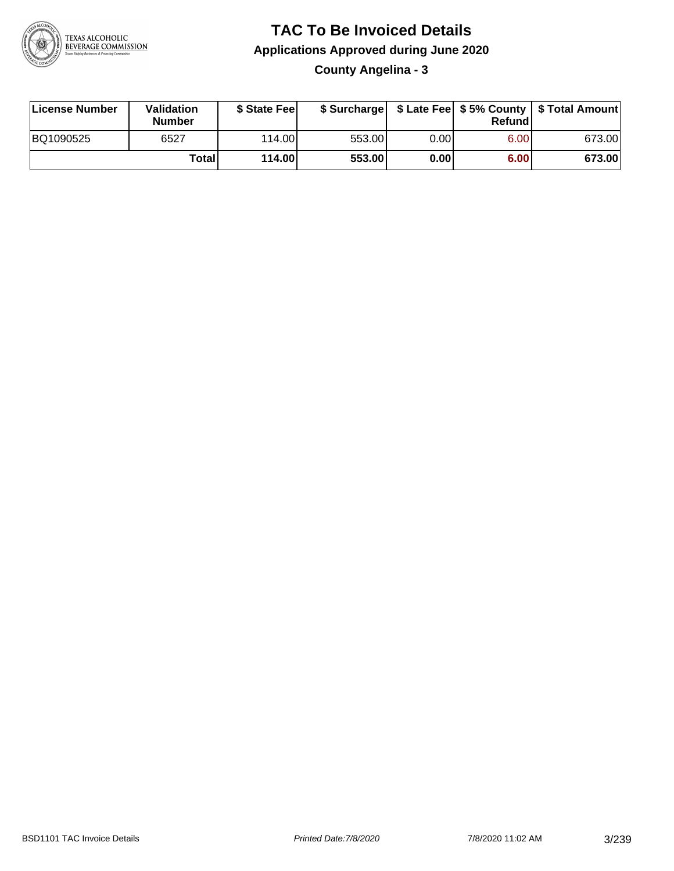

**County Angelina - 3**

| License Number | Validation<br><b>Number</b> | \$ State Feel |        |      | Refundl | \$ Surcharge   \$ Late Fee   \$5% County   \$ Total Amount |
|----------------|-----------------------------|---------------|--------|------|---------|------------------------------------------------------------|
| BQ1090525      | 6527                        | 114.00        | 553.00 | 0.00 | 6.00    | 673.00                                                     |
|                | Totall                      | 114.00        | 553.00 | 0.00 | 6.00    | 673.00                                                     |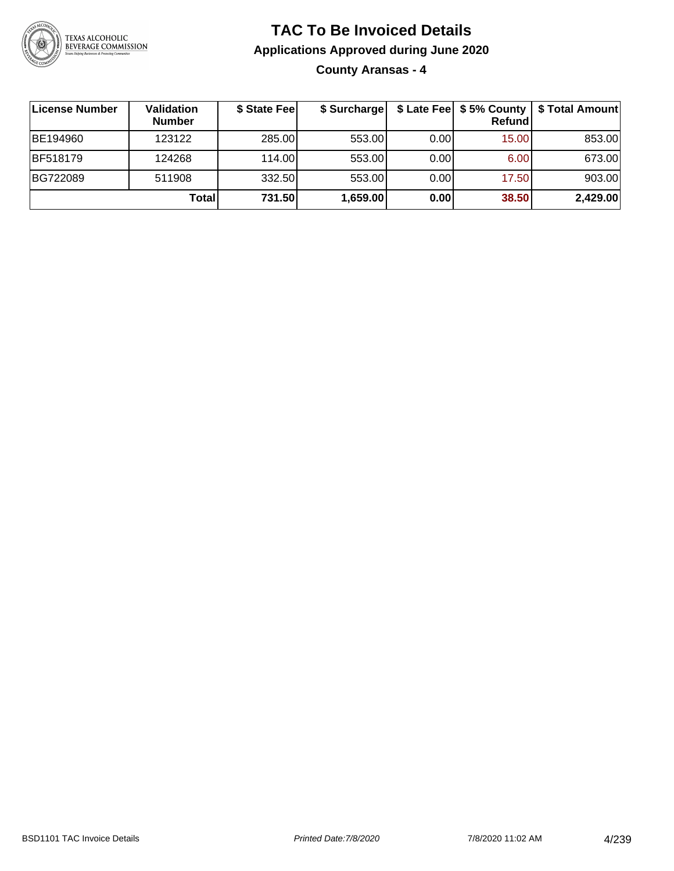

**County Aransas - 4**

| <b>License Number</b> | Validation<br><b>Number</b> | \$ State Fee | \$ Surcharge |      | Refundl | \$ Late Fee   \$5% County   \$ Total Amount |
|-----------------------|-----------------------------|--------------|--------------|------|---------|---------------------------------------------|
| BE194960              | 123122                      | 285.00       | 553.00       | 0.00 | 15.00   | 853.00                                      |
| <b>BF518179</b>       | 124268                      | 114.00L      | 553.00       | 0.00 | 6.00    | 673.00                                      |
| BG722089              | 511908                      | 332.50       | 553.00       | 0.00 | 17.50   | 903.00                                      |
|                       | <b>Total</b>                | 731.50       | 1,659.00     | 0.00 | 38.50   | 2,429.00                                    |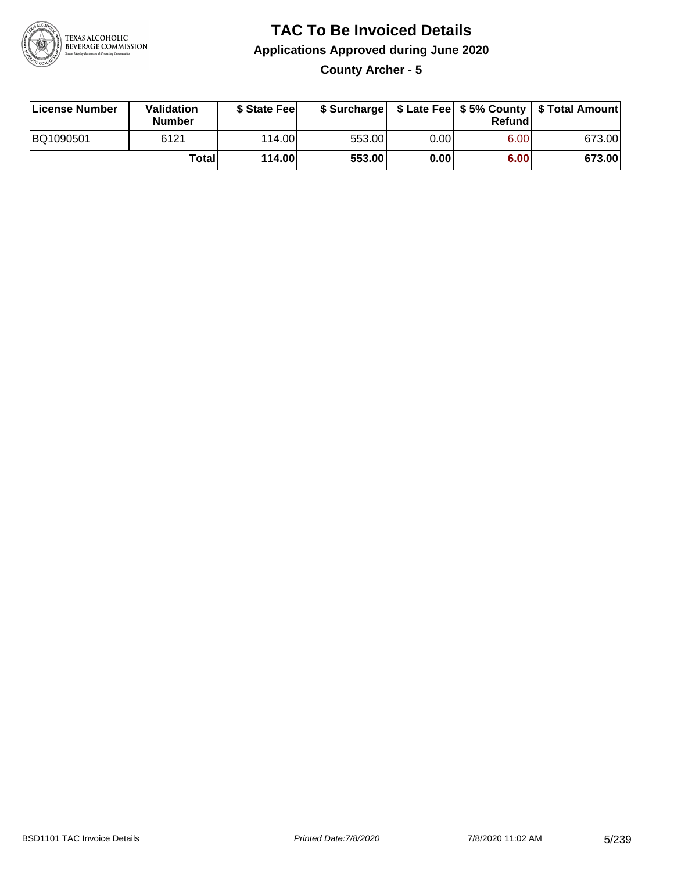

**County Archer - 5**

| License Number | Validation<br><b>Number</b> | \$ State Fee    | \$ Surcharge |      | Refundl |        |
|----------------|-----------------------------|-----------------|--------------|------|---------|--------|
| BQ1090501      | 6121                        | 114.00 <b>1</b> | 553.00       | 0.00 | 6.00    | 673.00 |
|                | <b>Total</b>                | 114.00          | 553.00       | 0.00 | 6.00    | 673.00 |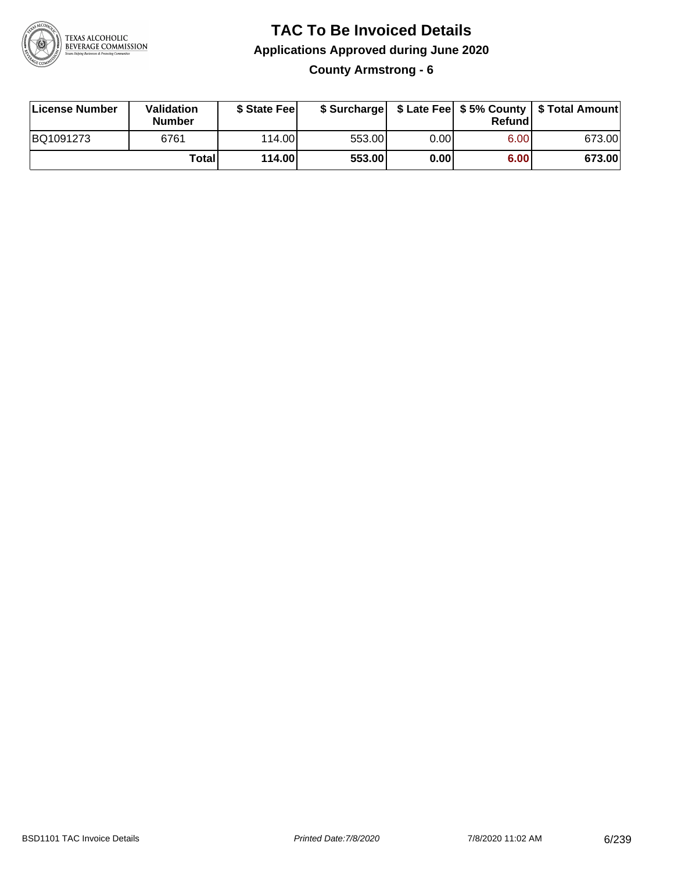

**County Armstrong - 6**

| License Number | Validation<br><b>Number</b> | \$ State Fee    | \$ Surcharge |      | Refundl |        |
|----------------|-----------------------------|-----------------|--------------|------|---------|--------|
| BQ1091273      | 6761                        | 114.00 <b>1</b> | 553.00       | 0.00 | 6.00    | 673.00 |
|                | Totall                      | 114.00          | 553.00       | 0.00 | 6.00    | 673.00 |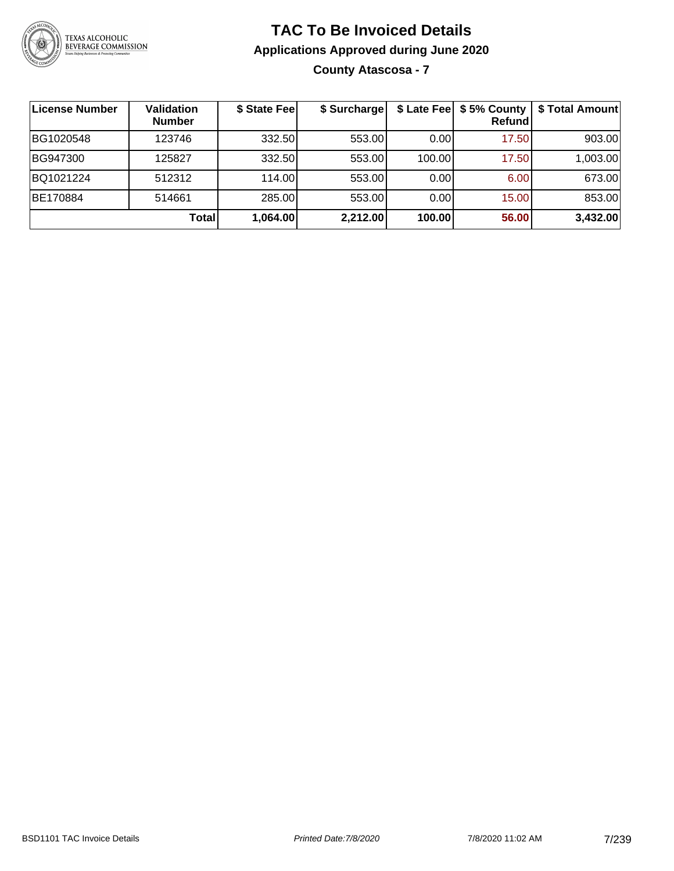

### **TAC To Be Invoiced Details Applications Approved during June 2020 County Atascosa - 7**

| License Number | <b>Validation</b><br><b>Number</b> | \$ State Fee | \$ Surcharge | \$ Late Fee | \$5% County<br><b>Refund</b> | \$ Total Amount |
|----------------|------------------------------------|--------------|--------------|-------------|------------------------------|-----------------|
| BG1020548      | 123746                             | 332.50       | 553.00       | 0.00        | 17.50                        | 903.00          |
| BG947300       | 125827                             | 332.50       | 553.00       | 100.00      | 17.50                        | 1,003.00        |
| BQ1021224      | 512312                             | 114.00       | 553.00       | 0.00        | 6.00 <sub>1</sub>            | 673.00          |
| BE170884       | 514661                             | 285.00       | 553.00       | 0.00        | 15.00                        | 853.00          |
|                | <b>Total</b>                       | 1,064.00     | 2,212.00     | 100.00      | 56.00                        | 3,432.00        |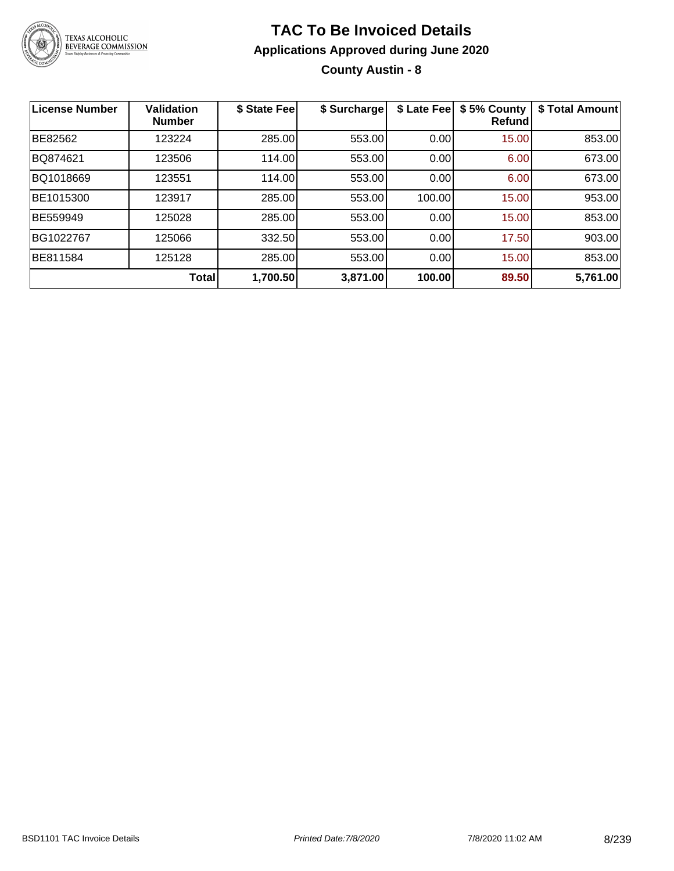

**County Austin - 8**

| License Number | <b>Validation</b><br><b>Number</b> | \$ State Fee | \$ Surcharge | \$ Late Fee | \$5% County<br>Refund | \$ Total Amount |
|----------------|------------------------------------|--------------|--------------|-------------|-----------------------|-----------------|
| BE82562        | 123224                             | 285.00       | 553.00       | 0.00        | 15.00                 | 853.00          |
| BQ874621       | 123506                             | 114.00       | 553.00       | 0.00        | 6.00                  | 673.00          |
| BQ1018669      | 123551                             | 114.00       | 553.00       | 0.00        | 6.00                  | 673.00          |
| BE1015300      | 123917                             | 285.00       | 553.00       | 100.00      | 15.00                 | 953.00          |
| BE559949       | 125028                             | 285.00       | 553.00       | 0.00        | 15.00                 | 853.00          |
| BG1022767      | 125066                             | 332.50       | 553.00       | 0.00        | 17.50                 | 903.00          |
| BE811584       | 125128                             | 285.00       | 553.00       | 0.00        | 15.00                 | 853.00          |
|                | Total                              | 1,700.50     | 3,871.00     | 100.00      | 89.50                 | 5,761.00        |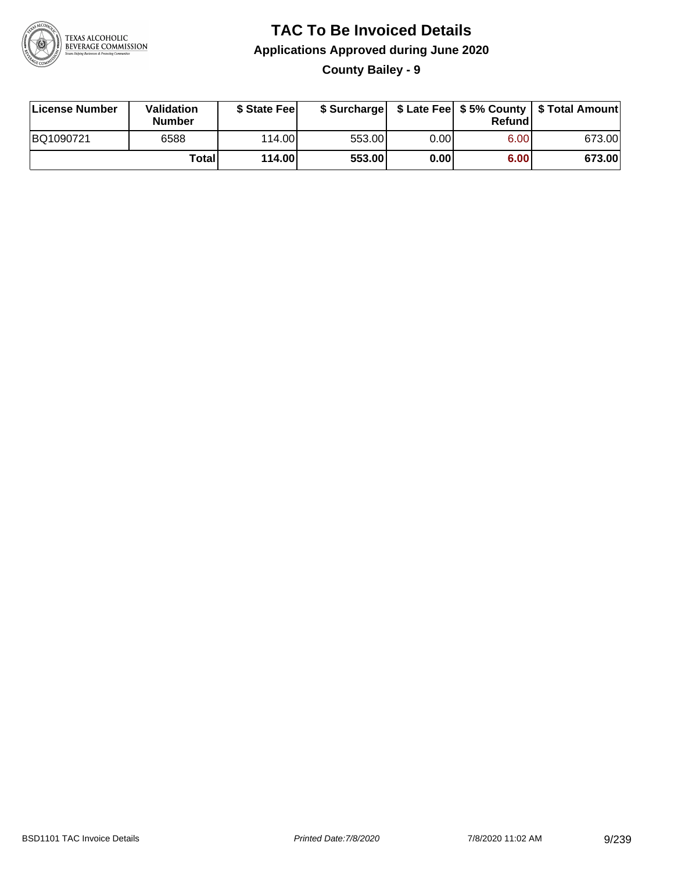

**County Bailey - 9**

| License Number | Validation<br><b>Number</b> | \$ State Fee |        |      | Refundl | \$ Surcharge   \$ Late Fee   \$5% County   \$ Total Amount |
|----------------|-----------------------------|--------------|--------|------|---------|------------------------------------------------------------|
| BQ1090721      | 6588                        | 114.00       | 553.00 | 0.00 | 6.00    | 673.00                                                     |
|                | Totall                      | 114.00       | 553.00 | 0.00 | 6.00    | 673.00                                                     |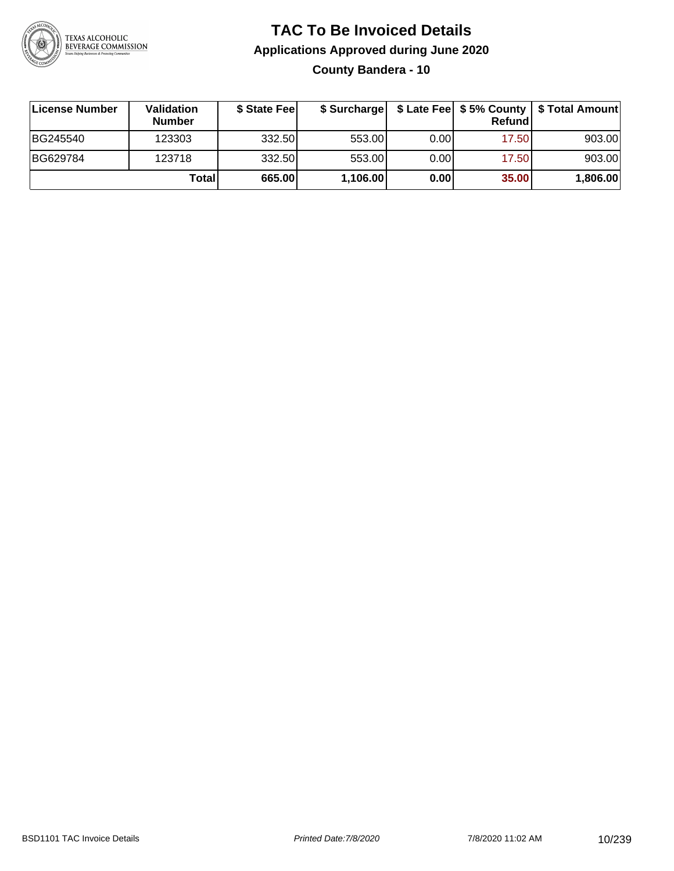

### **TAC To Be Invoiced Details Applications Approved during June 2020 County Bandera - 10**

| License Number | <b>Validation</b><br><b>Number</b> | \$ State Fee |          |       | Refundl | \$ Surcharge   \$ Late Fee   \$5% County   \$ Total Amount |
|----------------|------------------------------------|--------------|----------|-------|---------|------------------------------------------------------------|
| BG245540       | 123303                             | 332.50       | 553.00   | 0.001 | 17.50   | 903.00                                                     |
| BG629784       | 123718                             | 332.50       | 553.00   | 0.00  | 17.50   | 903.00                                                     |
|                | Total                              | 665.00       | 1,106.00 | 0.00  | 35.00   | 1,806.00                                                   |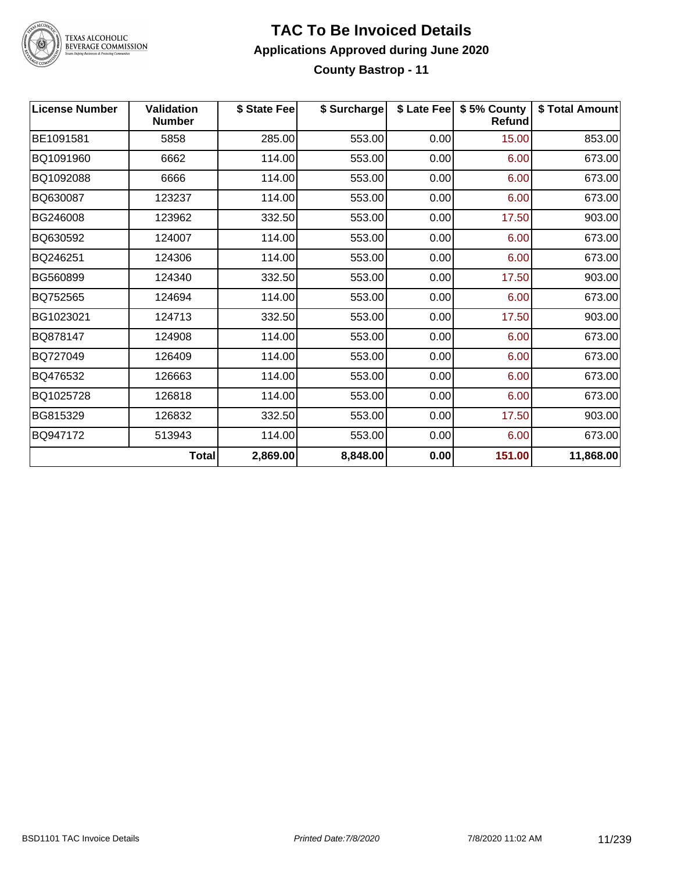

#### **TAC To Be Invoiced Details Applications Approved during June 2020 County Bastrop - 11**

| <b>License Number</b> | <b>Validation</b><br><b>Number</b> | \$ State Fee | \$ Surcharge |      | \$ Late Fee   \$5% County<br><b>Refund</b> | \$ Total Amount |
|-----------------------|------------------------------------|--------------|--------------|------|--------------------------------------------|-----------------|
| BE1091581             | 5858                               | 285.00       | 553.00       | 0.00 | 15.00                                      | 853.00          |
| BQ1091960             | 6662                               | 114.00       | 553.00       | 0.00 | 6.00                                       | 673.00          |
| BQ1092088             | 6666                               | 114.00       | 553.00       | 0.00 | 6.00                                       | 673.00          |
| BQ630087              | 123237                             | 114.00       | 553.00       | 0.00 | 6.00                                       | 673.00          |
| BG246008              | 123962                             | 332.50       | 553.00       | 0.00 | 17.50                                      | 903.00          |
| BQ630592              | 124007                             | 114.00       | 553.00       | 0.00 | 6.00                                       | 673.00          |
| BQ246251              | 124306                             | 114.00       | 553.00       | 0.00 | 6.00                                       | 673.00          |
| BG560899              | 124340                             | 332.50       | 553.00       | 0.00 | 17.50                                      | 903.00          |
| BQ752565              | 124694                             | 114.00       | 553.00       | 0.00 | 6.00                                       | 673.00          |
| BG1023021             | 124713                             | 332.50       | 553.00       | 0.00 | 17.50                                      | 903.00          |
| BQ878147              | 124908                             | 114.00       | 553.00       | 0.00 | 6.00                                       | 673.00          |
| BQ727049              | 126409                             | 114.00       | 553.00       | 0.00 | 6.00                                       | 673.00          |
| BQ476532              | 126663                             | 114.00       | 553.00       | 0.00 | 6.00                                       | 673.00          |
| BQ1025728             | 126818                             | 114.00       | 553.00       | 0.00 | 6.00                                       | 673.00          |
| BG815329              | 126832                             | 332.50       | 553.00       | 0.00 | 17.50                                      | 903.00          |
| BQ947172              | 513943                             | 114.00       | 553.00       | 0.00 | 6.00                                       | 673.00          |
|                       | <b>Total</b>                       | 2,869.00     | 8,848.00     | 0.00 | 151.00                                     | 11,868.00       |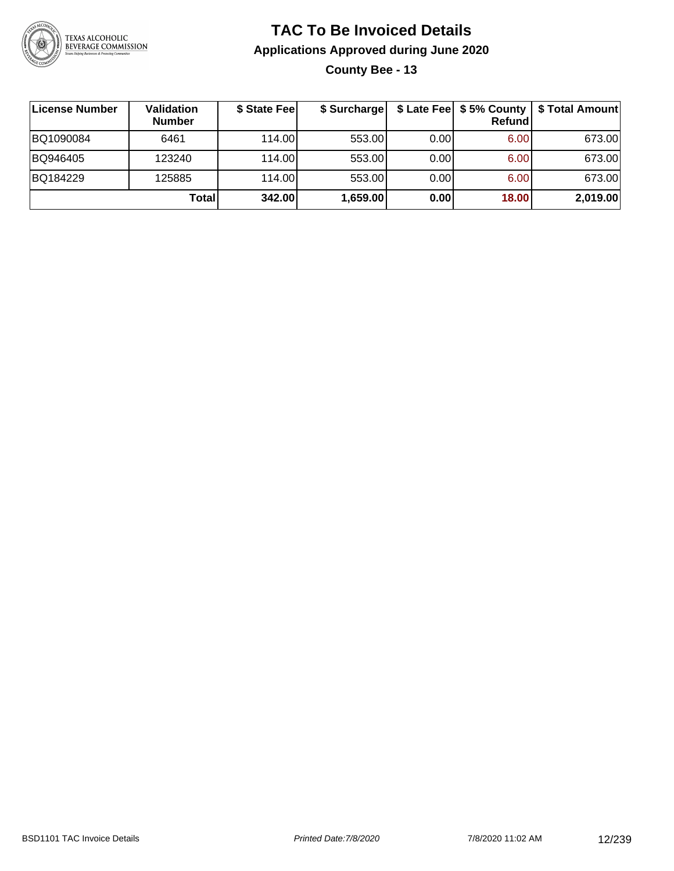

**County Bee - 13**

| ∣License Number | Validation<br><b>Number</b> | \$ State Fee | \$ Surcharge |       | Refundl | \$ Late Fee   \$5% County   \$ Total Amount |
|-----------------|-----------------------------|--------------|--------------|-------|---------|---------------------------------------------|
| BQ1090084       | 6461                        | 114.00       | 553.00       | 0.001 | 6.00    | 673.00                                      |
| BQ946405        | 123240                      | 114.00       | 553.00       | 0.001 | 6.00    | 673.00                                      |
| BQ184229        | 125885                      | 114.00       | 553.00       | 0.001 | 6.00    | 673.00                                      |
|                 | Total                       | 342.00       | 1,659.00     | 0.00  | 18.00   | 2,019.00                                    |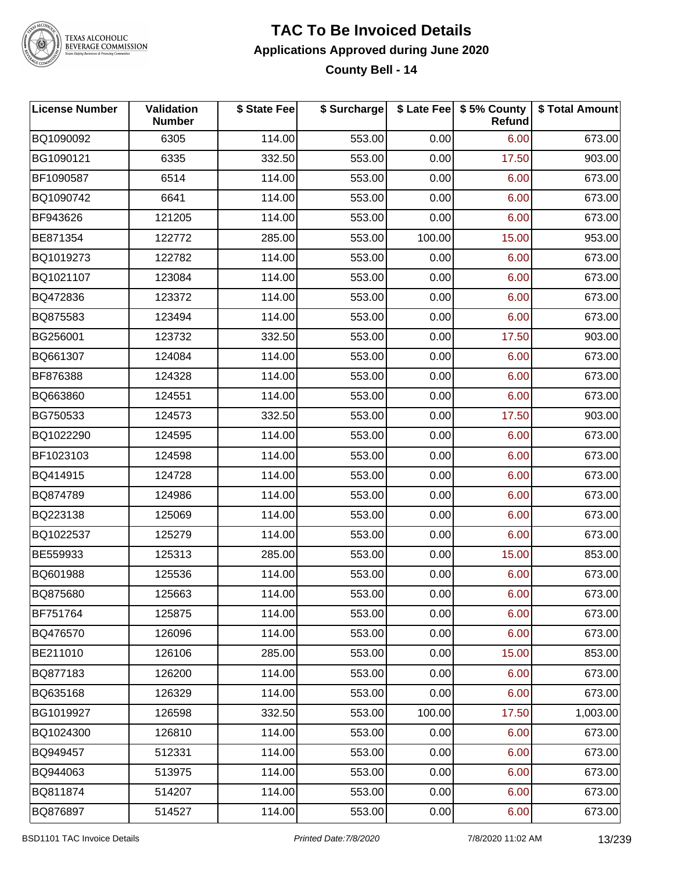

#### **TAC To Be Invoiced Details Applications Approved during June 2020 County Bell - 14**

| <b>License Number</b> | <b>Validation</b><br><b>Number</b> | \$ State Fee | \$ Surcharge |        | \$ Late Fee   \$5% County<br><b>Refund</b> | \$ Total Amount |
|-----------------------|------------------------------------|--------------|--------------|--------|--------------------------------------------|-----------------|
| BQ1090092             | 6305                               | 114.00       | 553.00       | 0.00   | 6.00                                       | 673.00          |
| BG1090121             | 6335                               | 332.50       | 553.00       | 0.00   | 17.50                                      | 903.00          |
| BF1090587             | 6514                               | 114.00       | 553.00       | 0.00   | 6.00                                       | 673.00          |
| BQ1090742             | 6641                               | 114.00       | 553.00       | 0.00   | 6.00                                       | 673.00          |
| BF943626              | 121205                             | 114.00       | 553.00       | 0.00   | 6.00                                       | 673.00          |
| BE871354              | 122772                             | 285.00       | 553.00       | 100.00 | 15.00                                      | 953.00          |
| BQ1019273             | 122782                             | 114.00       | 553.00       | 0.00   | 6.00                                       | 673.00          |
| BQ1021107             | 123084                             | 114.00       | 553.00       | 0.00   | 6.00                                       | 673.00          |
| BQ472836              | 123372                             | 114.00       | 553.00       | 0.00   | 6.00                                       | 673.00          |
| BQ875583              | 123494                             | 114.00       | 553.00       | 0.00   | 6.00                                       | 673.00          |
| BG256001              | 123732                             | 332.50       | 553.00       | 0.00   | 17.50                                      | 903.00          |
| BQ661307              | 124084                             | 114.00       | 553.00       | 0.00   | 6.00                                       | 673.00          |
| BF876388              | 124328                             | 114.00       | 553.00       | 0.00   | 6.00                                       | 673.00          |
| BQ663860              | 124551                             | 114.00       | 553.00       | 0.00   | 6.00                                       | 673.00          |
| BG750533              | 124573                             | 332.50       | 553.00       | 0.00   | 17.50                                      | 903.00          |
| BQ1022290             | 124595                             | 114.00       | 553.00       | 0.00   | 6.00                                       | 673.00          |
| BF1023103             | 124598                             | 114.00       | 553.00       | 0.00   | 6.00                                       | 673.00          |
| BQ414915              | 124728                             | 114.00       | 553.00       | 0.00   | 6.00                                       | 673.00          |
| BQ874789              | 124986                             | 114.00       | 553.00       | 0.00   | 6.00                                       | 673.00          |
| BQ223138              | 125069                             | 114.00       | 553.00       | 0.00   | 6.00                                       | 673.00          |
| BQ1022537             | 125279                             | 114.00       | 553.00       | 0.00   | 6.00                                       | 673.00          |
| BE559933              | 125313                             | 285.00       | 553.00       | 0.00   | 15.00                                      | 853.00          |
| BQ601988              | 125536                             | 114.00       | 553.00       | 0.00   | 6.00                                       | 673.00          |
| BQ875680              | 125663                             | 114.00       | 553.00       | 0.00   | 6.00                                       | 673.00          |
| BF751764              | 125875                             | 114.00       | 553.00       | 0.00   | 6.00                                       | 673.00          |
| BQ476570              | 126096                             | 114.00       | 553.00       | 0.00   | 6.00                                       | 673.00          |
| BE211010              | 126106                             | 285.00       | 553.00       | 0.00   | 15.00                                      | 853.00          |
| BQ877183              | 126200                             | 114.00       | 553.00       | 0.00   | 6.00                                       | 673.00          |
| BQ635168              | 126329                             | 114.00       | 553.00       | 0.00   | 6.00                                       | 673.00          |
| BG1019927             | 126598                             | 332.50       | 553.00       | 100.00 | 17.50                                      | 1,003.00        |
| BQ1024300             | 126810                             | 114.00       | 553.00       | 0.00   | 6.00                                       | 673.00          |
| BQ949457              | 512331                             | 114.00       | 553.00       | 0.00   | 6.00                                       | 673.00          |
| BQ944063              | 513975                             | 114.00       | 553.00       | 0.00   | 6.00                                       | 673.00          |
| BQ811874              | 514207                             | 114.00       | 553.00       | 0.00   | 6.00                                       | 673.00          |
| BQ876897              | 514527                             | 114.00       | 553.00       | 0.00   | 6.00                                       | 673.00          |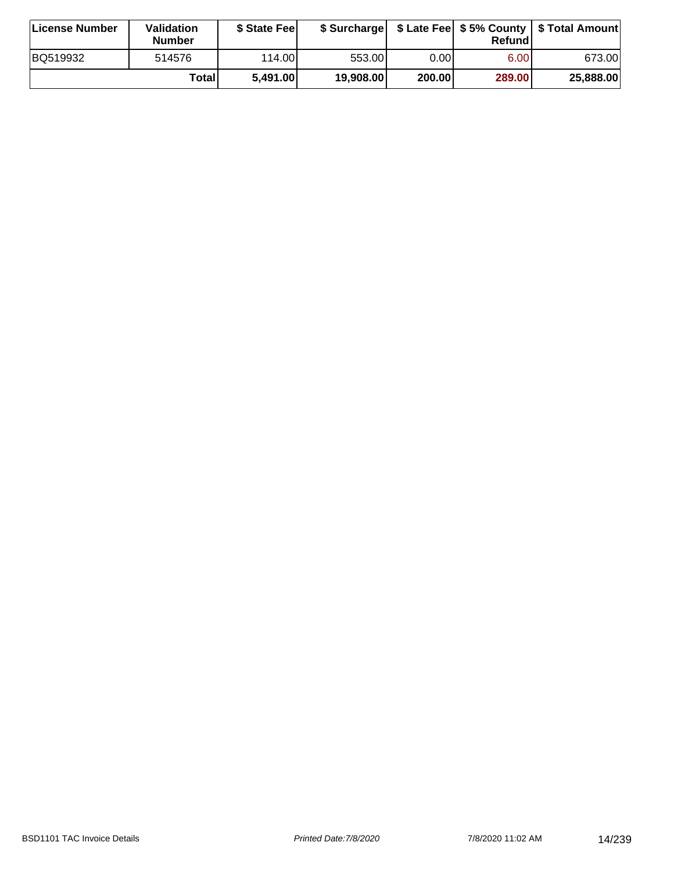| ∣License Number | Validation<br><b>Number</b> | \$ State Fee |           |        | Refundl           | \$ Surcharge   \$ Late Fee   \$5% County   \$ Total Amount |
|-----------------|-----------------------------|--------------|-----------|--------|-------------------|------------------------------------------------------------|
| BQ519932        | 514576                      | 114.00       | 553.00    | 0.00I  | 6.00 <sub>1</sub> | 673.00                                                     |
|                 | Totall                      | 5,491.00     | 19,908.00 | 200.00 | 289.00            | 25,888.00                                                  |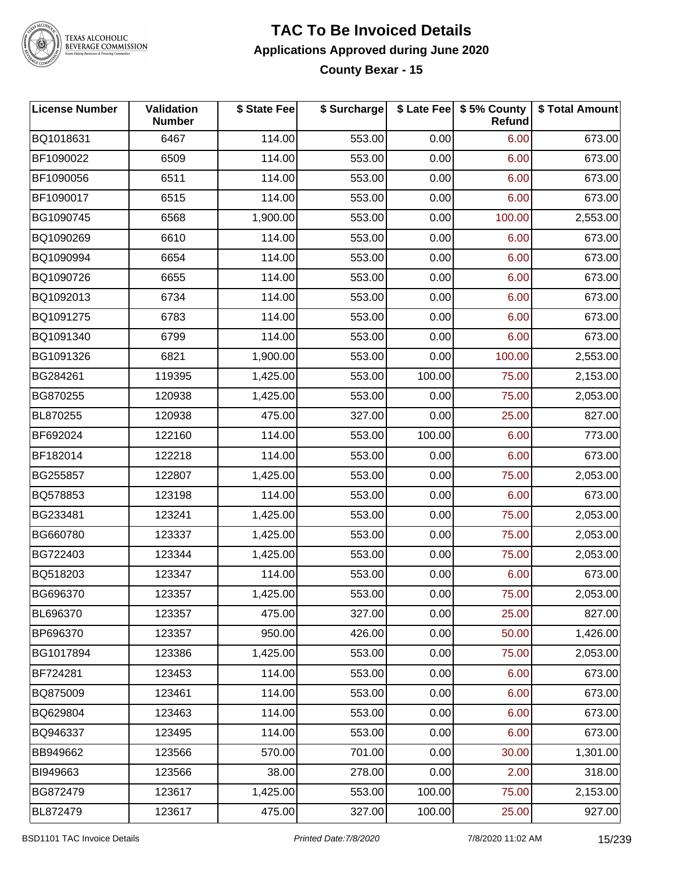

#### **TAC To Be Invoiced Details Applications Approved during June 2020 County Bexar - 15**

| <b>License Number</b> | Validation<br><b>Number</b> | \$ State Fee | \$ Surcharge |        | \$ Late Fee   \$5% County  <br><b>Refund</b> | \$ Total Amount |
|-----------------------|-----------------------------|--------------|--------------|--------|----------------------------------------------|-----------------|
| BQ1018631             | 6467                        | 114.00       | 553.00       | 0.00   | 6.00                                         | 673.00          |
| BF1090022             | 6509                        | 114.00       | 553.00       | 0.00   | 6.00                                         | 673.00          |
| BF1090056             | 6511                        | 114.00       | 553.00       | 0.00   | 6.00                                         | 673.00          |
| BF1090017             | 6515                        | 114.00       | 553.00       | 0.00   | 6.00                                         | 673.00          |
| BG1090745             | 6568                        | 1,900.00     | 553.00       | 0.00   | 100.00                                       | 2,553.00        |
| BQ1090269             | 6610                        | 114.00       | 553.00       | 0.00   | 6.00                                         | 673.00          |
| BQ1090994             | 6654                        | 114.00       | 553.00       | 0.00   | 6.00                                         | 673.00          |
| BQ1090726             | 6655                        | 114.00       | 553.00       | 0.00   | 6.00                                         | 673.00          |
| BQ1092013             | 6734                        | 114.00       | 553.00       | 0.00   | 6.00                                         | 673.00          |
| BQ1091275             | 6783                        | 114.00       | 553.00       | 0.00   | 6.00                                         | 673.00          |
| BQ1091340             | 6799                        | 114.00       | 553.00       | 0.00   | 6.00                                         | 673.00          |
| BG1091326             | 6821                        | 1,900.00     | 553.00       | 0.00   | 100.00                                       | 2,553.00        |
| BG284261              | 119395                      | 1,425.00     | 553.00       | 100.00 | 75.00                                        | 2,153.00        |
| BG870255              | 120938                      | 1,425.00     | 553.00       | 0.00   | 75.00                                        | 2,053.00        |
| BL870255              | 120938                      | 475.00       | 327.00       | 0.00   | 25.00                                        | 827.00          |
| BF692024              | 122160                      | 114.00       | 553.00       | 100.00 | 6.00                                         | 773.00          |
| BF182014              | 122218                      | 114.00       | 553.00       | 0.00   | 6.00                                         | 673.00          |
| BG255857              | 122807                      | 1,425.00     | 553.00       | 0.00   | 75.00                                        | 2,053.00        |
| BQ578853              | 123198                      | 114.00       | 553.00       | 0.00   | 6.00                                         | 673.00          |
| BG233481              | 123241                      | 1,425.00     | 553.00       | 0.00   | 75.00                                        | 2,053.00        |
| BG660780              | 123337                      | 1,425.00     | 553.00       | 0.00   | 75.00                                        | 2,053.00        |
| BG722403              | 123344                      | 1,425.00     | 553.00       | 0.00   | 75.00                                        | 2,053.00        |
| BQ518203              | 123347                      | 114.00       | 553.00       | 0.00   | 6.00                                         | 673.00          |
| BG696370              | 123357                      | 1,425.00     | 553.00       | 0.00   | 75.00                                        | 2,053.00        |
| BL696370              | 123357                      | 475.00       | 327.00       | 0.00   | 25.00                                        | 827.00          |
| BP696370              | 123357                      | 950.00       | 426.00       | 0.00   | 50.00                                        | 1,426.00        |
| BG1017894             | 123386                      | 1,425.00     | 553.00       | 0.00   | 75.00                                        | 2,053.00        |
| BF724281              | 123453                      | 114.00       | 553.00       | 0.00   | 6.00                                         | 673.00          |
| BQ875009              | 123461                      | 114.00       | 553.00       | 0.00   | 6.00                                         | 673.00          |
| BQ629804              | 123463                      | 114.00       | 553.00       | 0.00   | 6.00                                         | 673.00          |
| BQ946337              | 123495                      | 114.00       | 553.00       | 0.00   | 6.00                                         | 673.00          |
| BB949662              | 123566                      | 570.00       | 701.00       | 0.00   | 30.00                                        | 1,301.00        |
| BI949663              | 123566                      | 38.00        | 278.00       | 0.00   | 2.00                                         | 318.00          |
| BG872479              | 123617                      | 1,425.00     | 553.00       | 100.00 | 75.00                                        | 2,153.00        |
| BL872479              | 123617                      | 475.00       | 327.00       | 100.00 | 25.00                                        | 927.00          |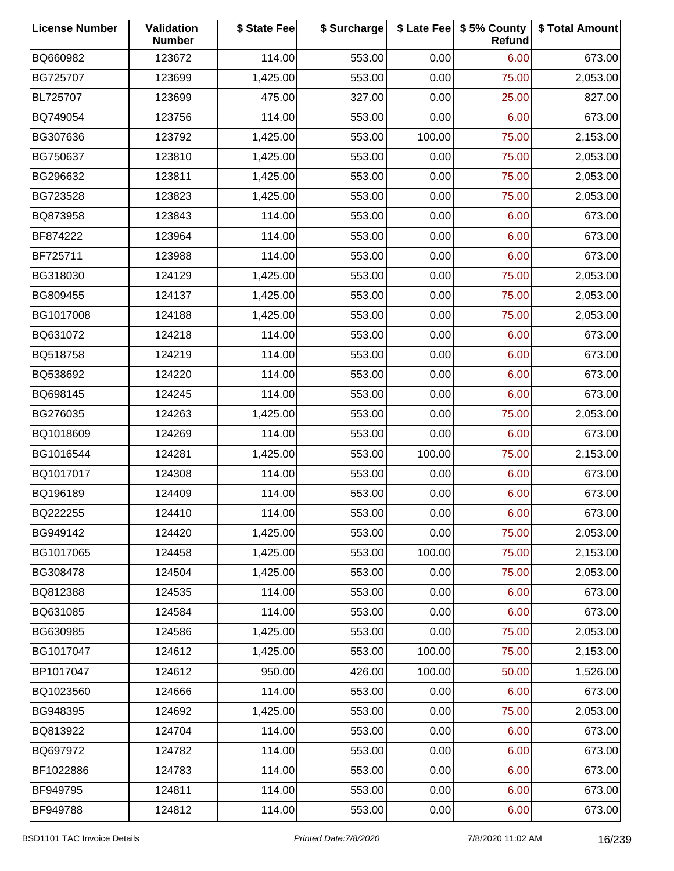| <b>License Number</b> | Validation<br><b>Number</b> | \$ State Fee | \$ Surcharge |        | \$ Late Fee   \$5% County<br>Refund | \$ Total Amount |
|-----------------------|-----------------------------|--------------|--------------|--------|-------------------------------------|-----------------|
| BQ660982              | 123672                      | 114.00       | 553.00       | 0.00   | 6.00                                | 673.00          |
| BG725707              | 123699                      | 1,425.00     | 553.00       | 0.00   | 75.00                               | 2,053.00        |
| BL725707              | 123699                      | 475.00       | 327.00       | 0.00   | 25.00                               | 827.00          |
| BQ749054              | 123756                      | 114.00       | 553.00       | 0.00   | 6.00                                | 673.00          |
| BG307636              | 123792                      | 1,425.00     | 553.00       | 100.00 | 75.00                               | 2,153.00        |
| BG750637              | 123810                      | 1,425.00     | 553.00       | 0.00   | 75.00                               | 2,053.00        |
| BG296632              | 123811                      | 1,425.00     | 553.00       | 0.00   | 75.00                               | 2,053.00        |
| BG723528              | 123823                      | 1,425.00     | 553.00       | 0.00   | 75.00                               | 2,053.00        |
| BQ873958              | 123843                      | 114.00       | 553.00       | 0.00   | 6.00                                | 673.00          |
| BF874222              | 123964                      | 114.00       | 553.00       | 0.00   | 6.00                                | 673.00          |
| BF725711              | 123988                      | 114.00       | 553.00       | 0.00   | 6.00                                | 673.00          |
| BG318030              | 124129                      | 1,425.00     | 553.00       | 0.00   | 75.00                               | 2,053.00        |
| BG809455              | 124137                      | 1,425.00     | 553.00       | 0.00   | 75.00                               | 2,053.00        |
| BG1017008             | 124188                      | 1,425.00     | 553.00       | 0.00   | 75.00                               | 2,053.00        |
| BQ631072              | 124218                      | 114.00       | 553.00       | 0.00   | 6.00                                | 673.00          |
| BQ518758              | 124219                      | 114.00       | 553.00       | 0.00   | 6.00                                | 673.00          |
| BQ538692              | 124220                      | 114.00       | 553.00       | 0.00   | 6.00                                | 673.00          |
| BQ698145              | 124245                      | 114.00       | 553.00       | 0.00   | 6.00                                | 673.00          |
| BG276035              | 124263                      | 1,425.00     | 553.00       | 0.00   | 75.00                               | 2,053.00        |
| BQ1018609             | 124269                      | 114.00       | 553.00       | 0.00   | 6.00                                | 673.00          |
| BG1016544             | 124281                      | 1,425.00     | 553.00       | 100.00 | 75.00                               | 2,153.00        |
| BQ1017017             | 124308                      | 114.00       | 553.00       | 0.00   | 6.00                                | 673.00          |
| BQ196189              | 124409                      | 114.00       | 553.00       | 0.00   | 6.00                                | 673.00          |
| BQ222255              | 124410                      | 114.00       | 553.00       | 0.00   | 6.00                                | 673.00          |
| BG949142              | 124420                      | 1,425.00     | 553.00       | 0.00   | 75.00                               | 2,053.00        |
| BG1017065             | 124458                      | 1,425.00     | 553.00       | 100.00 | 75.00                               | 2,153.00        |
| BG308478              | 124504                      | 1,425.00     | 553.00       | 0.00   | 75.00                               | 2,053.00        |
| BQ812388              | 124535                      | 114.00       | 553.00       | 0.00   | 6.00                                | 673.00          |
| BQ631085              | 124584                      | 114.00       | 553.00       | 0.00   | 6.00                                | 673.00          |
| BG630985              | 124586                      | 1,425.00     | 553.00       | 0.00   | 75.00                               | 2,053.00        |
| BG1017047             | 124612                      | 1,425.00     | 553.00       | 100.00 | 75.00                               | 2,153.00        |
| BP1017047             | 124612                      | 950.00       | 426.00       | 100.00 | 50.00                               | 1,526.00        |
| BQ1023560             | 124666                      | 114.00       | 553.00       | 0.00   | 6.00                                | 673.00          |
| BG948395              | 124692                      | 1,425.00     | 553.00       | 0.00   | 75.00                               | 2,053.00        |
| BQ813922              | 124704                      | 114.00       | 553.00       | 0.00   | 6.00                                | 673.00          |
| BQ697972              | 124782                      | 114.00       | 553.00       | 0.00   | 6.00                                | 673.00          |
| BF1022886             | 124783                      | 114.00       | 553.00       | 0.00   | 6.00                                | 673.00          |
| BF949795              | 124811                      | 114.00       | 553.00       | 0.00   | 6.00                                | 673.00          |
| BF949788              | 124812                      | 114.00       | 553.00       | 0.00   | 6.00                                | 673.00          |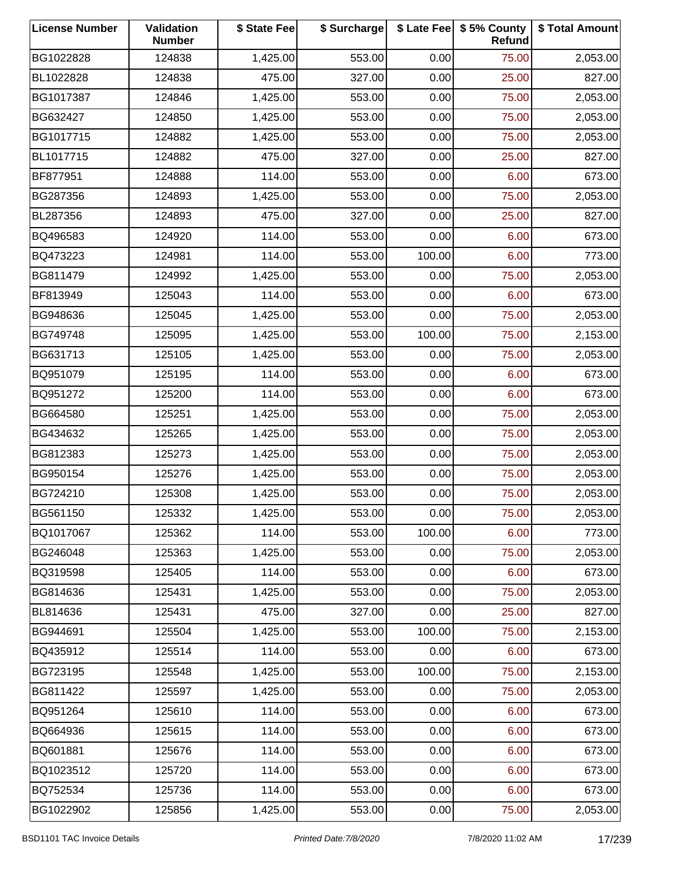| <b>License Number</b> | Validation<br><b>Number</b> | \$ State Fee | \$ Surcharge |        | \$ Late Fee   \$5% County<br>Refund | \$ Total Amount |
|-----------------------|-----------------------------|--------------|--------------|--------|-------------------------------------|-----------------|
| BG1022828             | 124838                      | 1,425.00     | 553.00       | 0.00   | 75.00                               | 2,053.00        |
| BL1022828             | 124838                      | 475.00       | 327.00       | 0.00   | 25.00                               | 827.00          |
| BG1017387             | 124846                      | 1,425.00     | 553.00       | 0.00   | 75.00                               | 2,053.00        |
| BG632427              | 124850                      | 1,425.00     | 553.00       | 0.00   | 75.00                               | 2,053.00        |
| BG1017715             | 124882                      | 1,425.00     | 553.00       | 0.00   | 75.00                               | 2,053.00        |
| BL1017715             | 124882                      | 475.00       | 327.00       | 0.00   | 25.00                               | 827.00          |
| BF877951              | 124888                      | 114.00       | 553.00       | 0.00   | 6.00                                | 673.00          |
| BG287356              | 124893                      | 1,425.00     | 553.00       | 0.00   | 75.00                               | 2,053.00        |
| BL287356              | 124893                      | 475.00       | 327.00       | 0.00   | 25.00                               | 827.00          |
| BQ496583              | 124920                      | 114.00       | 553.00       | 0.00   | 6.00                                | 673.00          |
| BQ473223              | 124981                      | 114.00       | 553.00       | 100.00 | 6.00                                | 773.00          |
| BG811479              | 124992                      | 1,425.00     | 553.00       | 0.00   | 75.00                               | 2,053.00        |
| BF813949              | 125043                      | 114.00       | 553.00       | 0.00   | 6.00                                | 673.00          |
| BG948636              | 125045                      | 1,425.00     | 553.00       | 0.00   | 75.00                               | 2,053.00        |
| BG749748              | 125095                      | 1,425.00     | 553.00       | 100.00 | 75.00                               | 2,153.00        |
| BG631713              | 125105                      | 1,425.00     | 553.00       | 0.00   | 75.00                               | 2,053.00        |
| BQ951079              | 125195                      | 114.00       | 553.00       | 0.00   | 6.00                                | 673.00          |
| BQ951272              | 125200                      | 114.00       | 553.00       | 0.00   | 6.00                                | 673.00          |
| BG664580              | 125251                      | 1,425.00     | 553.00       | 0.00   | 75.00                               | 2,053.00        |
| BG434632              | 125265                      | 1,425.00     | 553.00       | 0.00   | 75.00                               | 2,053.00        |
| BG812383              | 125273                      | 1,425.00     | 553.00       | 0.00   | 75.00                               | 2,053.00        |
| BG950154              | 125276                      | 1,425.00     | 553.00       | 0.00   | 75.00                               | 2,053.00        |
| BG724210              | 125308                      | 1,425.00     | 553.00       | 0.00   | 75.00                               | 2,053.00        |
| BG561150              | 125332                      | 1,425.00     | 553.00       | 0.00   | 75.00                               | 2,053.00        |
| BQ1017067             | 125362                      | 114.00       | 553.00       | 100.00 | 6.00                                | 773.00          |
| BG246048              | 125363                      | 1,425.00     | 553.00       | 0.00   | 75.00                               | 2,053.00        |
| BQ319598              | 125405                      | 114.00       | 553.00       | 0.00   | 6.00                                | 673.00          |
| BG814636              | 125431                      | 1,425.00     | 553.00       | 0.00   | 75.00                               | 2,053.00        |
| BL814636              | 125431                      | 475.00       | 327.00       | 0.00   | 25.00                               | 827.00          |
| BG944691              | 125504                      | 1,425.00     | 553.00       | 100.00 | 75.00                               | 2,153.00        |
| BQ435912              | 125514                      | 114.00       | 553.00       | 0.00   | 6.00                                | 673.00          |
| BG723195              | 125548                      | 1,425.00     | 553.00       | 100.00 | 75.00                               | 2,153.00        |
| BG811422              | 125597                      | 1,425.00     | 553.00       | 0.00   | 75.00                               | 2,053.00        |
| BQ951264              | 125610                      | 114.00       | 553.00       | 0.00   | 6.00                                | 673.00          |
| BQ664936              | 125615                      | 114.00       | 553.00       | 0.00   | 6.00                                | 673.00          |
| BQ601881              | 125676                      | 114.00       | 553.00       | 0.00   | 6.00                                | 673.00          |
| BQ1023512             | 125720                      | 114.00       | 553.00       | 0.00   | 6.00                                | 673.00          |
| BQ752534              | 125736                      | 114.00       | 553.00       | 0.00   | 6.00                                | 673.00          |
| BG1022902             | 125856                      | 1,425.00     | 553.00       | 0.00   | 75.00                               | 2,053.00        |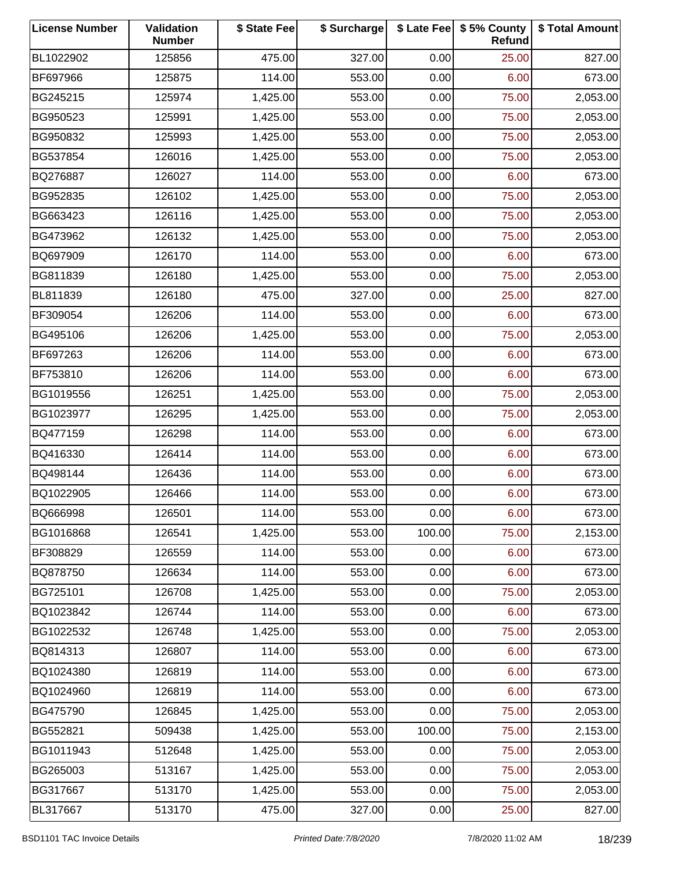| <b>License Number</b> | Validation<br><b>Number</b> | \$ State Fee | \$ Surcharge |        | \$ Late Fee   \$5% County<br>Refund | \$ Total Amount |
|-----------------------|-----------------------------|--------------|--------------|--------|-------------------------------------|-----------------|
| BL1022902             | 125856                      | 475.00       | 327.00       | 0.00   | 25.00                               | 827.00          |
| BF697966              | 125875                      | 114.00       | 553.00       | 0.00   | 6.00                                | 673.00          |
| BG245215              | 125974                      | 1,425.00     | 553.00       | 0.00   | 75.00                               | 2,053.00        |
| BG950523              | 125991                      | 1,425.00     | 553.00       | 0.00   | 75.00                               | 2,053.00        |
| BG950832              | 125993                      | 1,425.00     | 553.00       | 0.00   | 75.00                               | 2,053.00        |
| BG537854              | 126016                      | 1,425.00     | 553.00       | 0.00   | 75.00                               | 2,053.00        |
| BQ276887              | 126027                      | 114.00       | 553.00       | 0.00   | 6.00                                | 673.00          |
| BG952835              | 126102                      | 1,425.00     | 553.00       | 0.00   | 75.00                               | 2,053.00        |
| BG663423              | 126116                      | 1,425.00     | 553.00       | 0.00   | 75.00                               | 2,053.00        |
| BG473962              | 126132                      | 1,425.00     | 553.00       | 0.00   | 75.00                               | 2,053.00        |
| BQ697909              | 126170                      | 114.00       | 553.00       | 0.00   | 6.00                                | 673.00          |
| BG811839              | 126180                      | 1,425.00     | 553.00       | 0.00   | 75.00                               | 2,053.00        |
| BL811839              | 126180                      | 475.00       | 327.00       | 0.00   | 25.00                               | 827.00          |
| BF309054              | 126206                      | 114.00       | 553.00       | 0.00   | 6.00                                | 673.00          |
| BG495106              | 126206                      | 1,425.00     | 553.00       | 0.00   | 75.00                               | 2,053.00        |
| BF697263              | 126206                      | 114.00       | 553.00       | 0.00   | 6.00                                | 673.00          |
| BF753810              | 126206                      | 114.00       | 553.00       | 0.00   | 6.00                                | 673.00          |
| BG1019556             | 126251                      | 1,425.00     | 553.00       | 0.00   | 75.00                               | 2,053.00        |
| BG1023977             | 126295                      | 1,425.00     | 553.00       | 0.00   | 75.00                               | 2,053.00        |
| BQ477159              | 126298                      | 114.00       | 553.00       | 0.00   | 6.00                                | 673.00          |
| BQ416330              | 126414                      | 114.00       | 553.00       | 0.00   | 6.00                                | 673.00          |
| BQ498144              | 126436                      | 114.00       | 553.00       | 0.00   | 6.00                                | 673.00          |
| BQ1022905             | 126466                      | 114.00       | 553.00       | 0.00   | 6.00                                | 673.00          |
| BQ666998              | 126501                      | 114.00       | 553.00       | 0.00   | 6.00                                | 673.00          |
| BG1016868             | 126541                      | 1,425.00     | 553.00       | 100.00 | 75.00                               | 2,153.00        |
| BF308829              | 126559                      | 114.00       | 553.00       | 0.00   | 6.00                                | 673.00          |
| BQ878750              | 126634                      | 114.00       | 553.00       | 0.00   | 6.00                                | 673.00          |
| BG725101              | 126708                      | 1,425.00     | 553.00       | 0.00   | 75.00                               | 2,053.00        |
| BQ1023842             | 126744                      | 114.00       | 553.00       | 0.00   | 6.00                                | 673.00          |
| BG1022532             | 126748                      | 1,425.00     | 553.00       | 0.00   | 75.00                               | 2,053.00        |
| BQ814313              | 126807                      | 114.00       | 553.00       | 0.00   | 6.00                                | 673.00          |
| BQ1024380             | 126819                      | 114.00       | 553.00       | 0.00   | 6.00                                | 673.00          |
| BQ1024960             | 126819                      | 114.00       | 553.00       | 0.00   | 6.00                                | 673.00          |
| BG475790              | 126845                      | 1,425.00     | 553.00       | 0.00   | 75.00                               | 2,053.00        |
| BG552821              | 509438                      | 1,425.00     | 553.00       | 100.00 | 75.00                               | 2,153.00        |
| BG1011943             | 512648                      | 1,425.00     | 553.00       | 0.00   | 75.00                               | 2,053.00        |
| BG265003              | 513167                      | 1,425.00     | 553.00       | 0.00   | 75.00                               | 2,053.00        |
| BG317667              | 513170                      | 1,425.00     | 553.00       | 0.00   | 75.00                               | 2,053.00        |
| BL317667              | 513170                      | 475.00       | 327.00       | 0.00   | 25.00                               | 827.00          |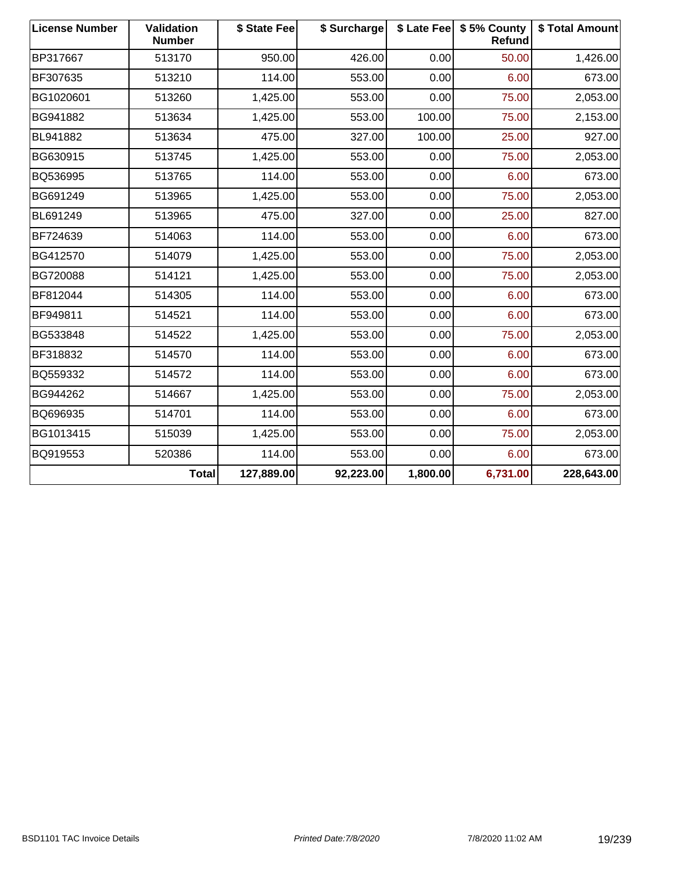| <b>License Number</b> | Validation<br><b>Number</b> | \$ State Fee | \$ Surcharge |          | \$ Late Fee   \$5% County<br>Refund | \$ Total Amount |
|-----------------------|-----------------------------|--------------|--------------|----------|-------------------------------------|-----------------|
| BP317667              | 513170                      | 950.00       | 426.00       | 0.00     | 50.00                               | 1,426.00        |
| BF307635              | 513210                      | 114.00       | 553.00       | 0.00     | 6.00                                | 673.00          |
| BG1020601             | 513260                      | 1,425.00     | 553.00       | 0.00     | 75.00                               | 2,053.00        |
| BG941882              | 513634                      | 1,425.00     | 553.00       | 100.00   | 75.00                               | 2,153.00        |
| BL941882              | 513634                      | 475.00       | 327.00       | 100.00   | 25.00                               | 927.00          |
| BG630915              | 513745                      | 1,425.00     | 553.00       | 0.00     | 75.00                               | 2,053.00        |
| BQ536995              | 513765                      | 114.00       | 553.00       | 0.00     | 6.00                                | 673.00          |
| BG691249              | 513965                      | 1,425.00     | 553.00       | 0.00     | 75.00                               | 2,053.00        |
| BL691249              | 513965                      | 475.00       | 327.00       | 0.00     | 25.00                               | 827.00          |
| BF724639              | 514063                      | 114.00       | 553.00       | 0.00     | 6.00                                | 673.00          |
| BG412570              | 514079                      | 1,425.00     | 553.00       | 0.00     | 75.00                               | 2,053.00        |
| BG720088              | 514121                      | 1,425.00     | 553.00       | 0.00     | 75.00                               | 2,053.00        |
| BF812044              | 514305                      | 114.00       | 553.00       | 0.00     | 6.00                                | 673.00          |
| BF949811              | 514521                      | 114.00       | 553.00       | 0.00     | 6.00                                | 673.00          |
| BG533848              | 514522                      | 1,425.00     | 553.00       | 0.00     | 75.00                               | 2,053.00        |
| BF318832              | 514570                      | 114.00       | 553.00       | 0.00     | 6.00                                | 673.00          |
| BQ559332              | 514572                      | 114.00       | 553.00       | 0.00     | 6.00                                | 673.00          |
| BG944262              | 514667                      | 1,425.00     | 553.00       | 0.00     | 75.00                               | 2,053.00        |
| BQ696935              | 514701                      | 114.00       | 553.00       | 0.00     | 6.00                                | 673.00          |
| BG1013415             | 515039                      | 1,425.00     | 553.00       | 0.00     | 75.00                               | 2,053.00        |
| BQ919553              | 520386                      | 114.00       | 553.00       | 0.00     | 6.00                                | 673.00          |
|                       | <b>Total</b>                | 127,889.00   | 92,223.00    | 1,800.00 | 6,731.00                            | 228,643.00      |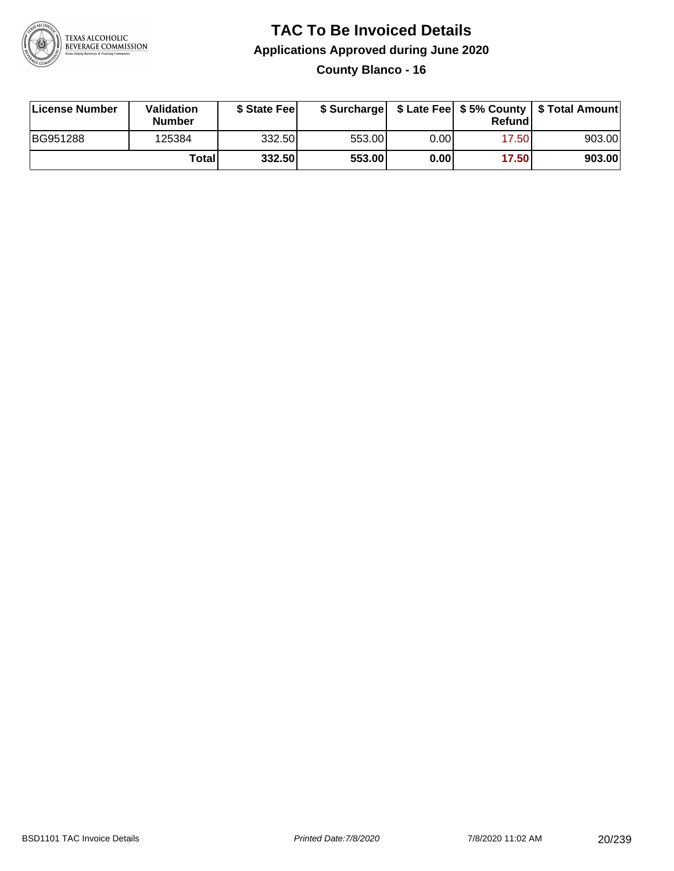

**County Blanco - 16**

| License Number | Validation<br><b>Number</b> | \$ State Feel |        |      | Refundl | \$ Surcharge   \$ Late Fee   \$5% County   \$ Total Amount |
|----------------|-----------------------------|---------------|--------|------|---------|------------------------------------------------------------|
| BG951288       | 125384                      | 332.50        | 553.00 | 0.00 | 17.50   | 903.00                                                     |
|                | Totall                      | 332.50        | 553.00 | 0.00 | 17.50   | 903.00                                                     |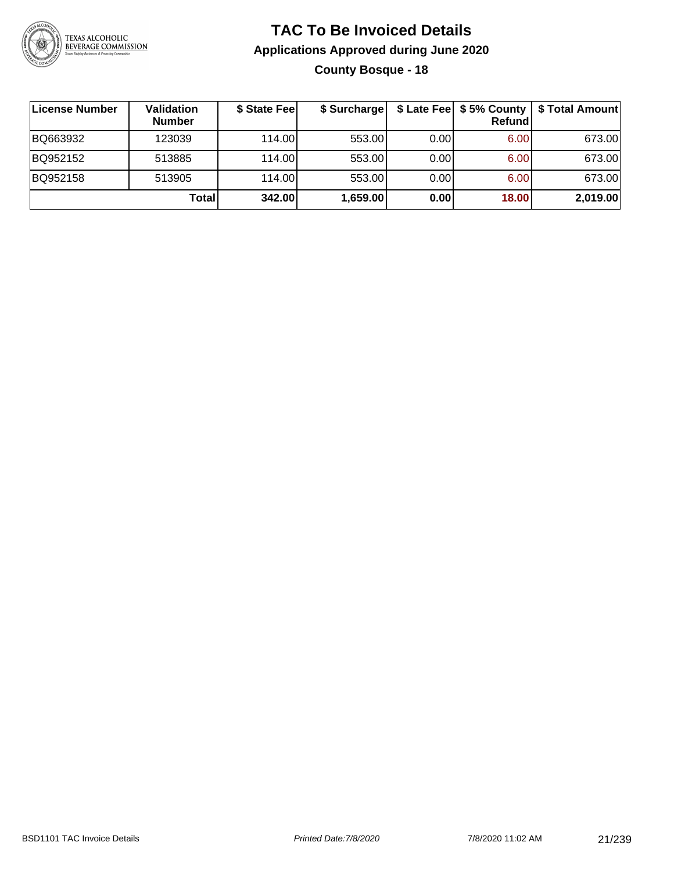

### **TAC To Be Invoiced Details Applications Approved during June 2020 County Bosque - 18**

| License Number | Validation<br><b>Number</b> | \$ State Fee | \$ Surcharge |      | Refundl | \$ Late Fee   \$5% County   \$ Total Amount |
|----------------|-----------------------------|--------------|--------------|------|---------|---------------------------------------------|
| BQ663932       | 123039                      | 114.00L      | 553.00       | 0.00 | 6.00    | 673.00                                      |
| BQ952152       | 513885                      | 114.00L      | 553.00       | 0.00 | 6.00    | 673.00                                      |
| BQ952158       | 513905                      | 114.00       | 553.00       | 0.00 | 6.00    | 673.00                                      |
|                | Total                       | 342.00       | 1,659.00     | 0.00 | 18.00   | 2,019.00                                    |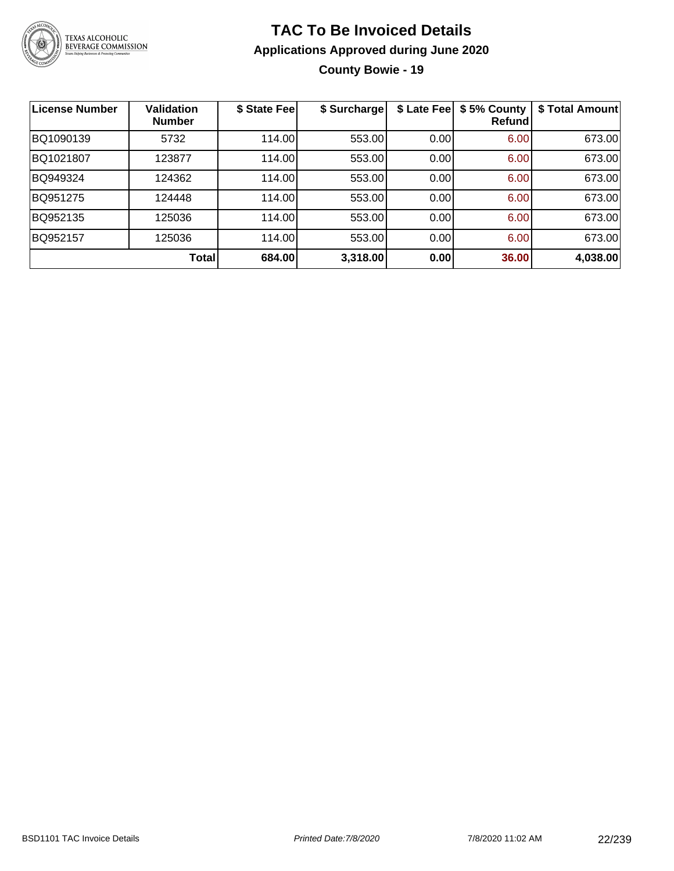

**County Bowie - 19**

| <b>License Number</b> | <b>Validation</b><br><b>Number</b> | \$ State Fee | \$ Surcharge | \$ Late Fee | \$5% County<br><b>Refund</b> | \$ Total Amount |
|-----------------------|------------------------------------|--------------|--------------|-------------|------------------------------|-----------------|
| BQ1090139             | 5732                               | 114.00       | 553.00       | 0.00        | 6.00                         | 673.00          |
| BQ1021807             | 123877                             | 114.00       | 553.00       | 0.00        | 6.00                         | 673.00          |
| BQ949324              | 124362                             | 114.00       | 553.00       | 0.00        | 6.00                         | 673.00          |
| BQ951275              | 124448                             | 114.00       | 553.00       | 0.00        | 6.00                         | 673.00          |
| BQ952135              | 125036                             | 114.00       | 553.00       | 0.00        | 6.00                         | 673.00          |
| BQ952157              | 125036                             | 114.00       | 553.00       | 0.00        | 6.00                         | 673.00          |
|                       | Total                              | 684.00       | 3,318.00     | 0.00        | 36.00                        | 4,038.00        |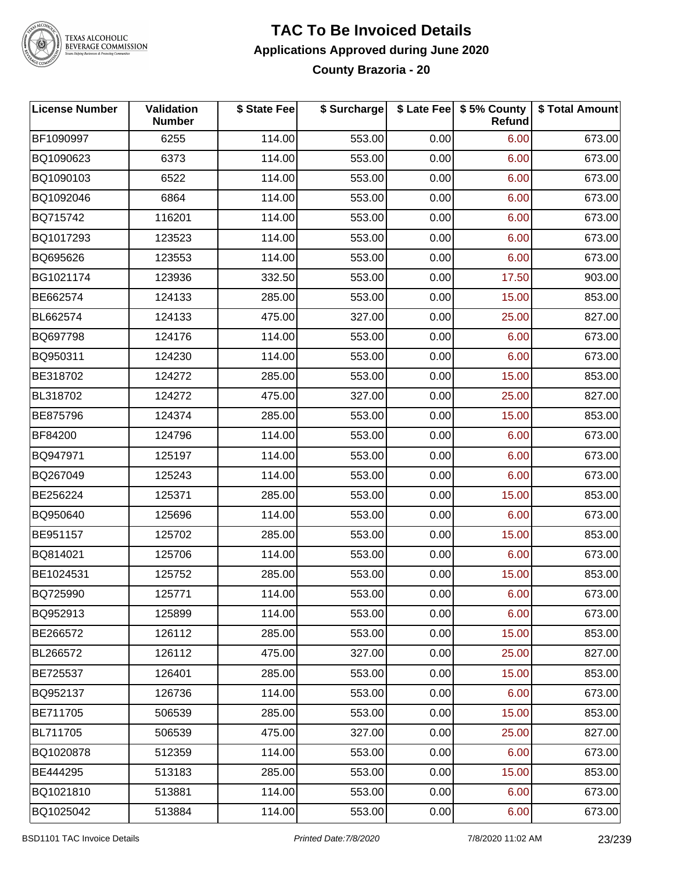

#### **TAC To Be Invoiced Details Applications Approved during June 2020 County Brazoria - 20**

| <b>License Number</b> | Validation<br><b>Number</b> | \$ State Fee | \$ Surcharge |      | \$ Late Fee   \$5% County<br><b>Refund</b> | \$ Total Amount |
|-----------------------|-----------------------------|--------------|--------------|------|--------------------------------------------|-----------------|
| BF1090997             | 6255                        | 114.00       | 553.00       | 0.00 | 6.00                                       | 673.00          |
| BQ1090623             | 6373                        | 114.00       | 553.00       | 0.00 | 6.00                                       | 673.00          |
| BQ1090103             | 6522                        | 114.00       | 553.00       | 0.00 | 6.00                                       | 673.00          |
| BQ1092046             | 6864                        | 114.00       | 553.00       | 0.00 | 6.00                                       | 673.00          |
| BQ715742              | 116201                      | 114.00       | 553.00       | 0.00 | 6.00                                       | 673.00          |
| BQ1017293             | 123523                      | 114.00       | 553.00       | 0.00 | 6.00                                       | 673.00          |
| BQ695626              | 123553                      | 114.00       | 553.00       | 0.00 | 6.00                                       | 673.00          |
| BG1021174             | 123936                      | 332.50       | 553.00       | 0.00 | 17.50                                      | 903.00          |
| BE662574              | 124133                      | 285.00       | 553.00       | 0.00 | 15.00                                      | 853.00          |
| BL662574              | 124133                      | 475.00       | 327.00       | 0.00 | 25.00                                      | 827.00          |
| BQ697798              | 124176                      | 114.00       | 553.00       | 0.00 | 6.00                                       | 673.00          |
| BQ950311              | 124230                      | 114.00       | 553.00       | 0.00 | 6.00                                       | 673.00          |
| BE318702              | 124272                      | 285.00       | 553.00       | 0.00 | 15.00                                      | 853.00          |
| BL318702              | 124272                      | 475.00       | 327.00       | 0.00 | 25.00                                      | 827.00          |
| BE875796              | 124374                      | 285.00       | 553.00       | 0.00 | 15.00                                      | 853.00          |
| BF84200               | 124796                      | 114.00       | 553.00       | 0.00 | 6.00                                       | 673.00          |
| BQ947971              | 125197                      | 114.00       | 553.00       | 0.00 | 6.00                                       | 673.00          |
| BQ267049              | 125243                      | 114.00       | 553.00       | 0.00 | 6.00                                       | 673.00          |
| BE256224              | 125371                      | 285.00       | 553.00       | 0.00 | 15.00                                      | 853.00          |
| BQ950640              | 125696                      | 114.00       | 553.00       | 0.00 | 6.00                                       | 673.00          |
| BE951157              | 125702                      | 285.00       | 553.00       | 0.00 | 15.00                                      | 853.00          |
| BQ814021              | 125706                      | 114.00       | 553.00       | 0.00 | 6.00                                       | 673.00          |
| BE1024531             | 125752                      | 285.00       | 553.00       | 0.00 | 15.00                                      | 853.00          |
| BQ725990              | 125771                      | 114.00       | 553.00       | 0.00 | 6.00                                       | 673.00          |
| BQ952913              | 125899                      | 114.00       | 553.00       | 0.00 | 6.00                                       | 673.00          |
| BE266572              | 126112                      | 285.00       | 553.00       | 0.00 | 15.00                                      | 853.00          |
| BL266572              | 126112                      | 475.00       | 327.00       | 0.00 | 25.00                                      | 827.00          |
| BE725537              | 126401                      | 285.00       | 553.00       | 0.00 | 15.00                                      | 853.00          |
| BQ952137              | 126736                      | 114.00       | 553.00       | 0.00 | 6.00                                       | 673.00          |
| BE711705              | 506539                      | 285.00       | 553.00       | 0.00 | 15.00                                      | 853.00          |
| BL711705              | 506539                      | 475.00       | 327.00       | 0.00 | 25.00                                      | 827.00          |
| BQ1020878             | 512359                      | 114.00       | 553.00       | 0.00 | 6.00                                       | 673.00          |
| BE444295              | 513183                      | 285.00       | 553.00       | 0.00 | 15.00                                      | 853.00          |
| BQ1021810             | 513881                      | 114.00       | 553.00       | 0.00 | 6.00                                       | 673.00          |
| BQ1025042             | 513884                      | 114.00       | 553.00       | 0.00 | 6.00                                       | 673.00          |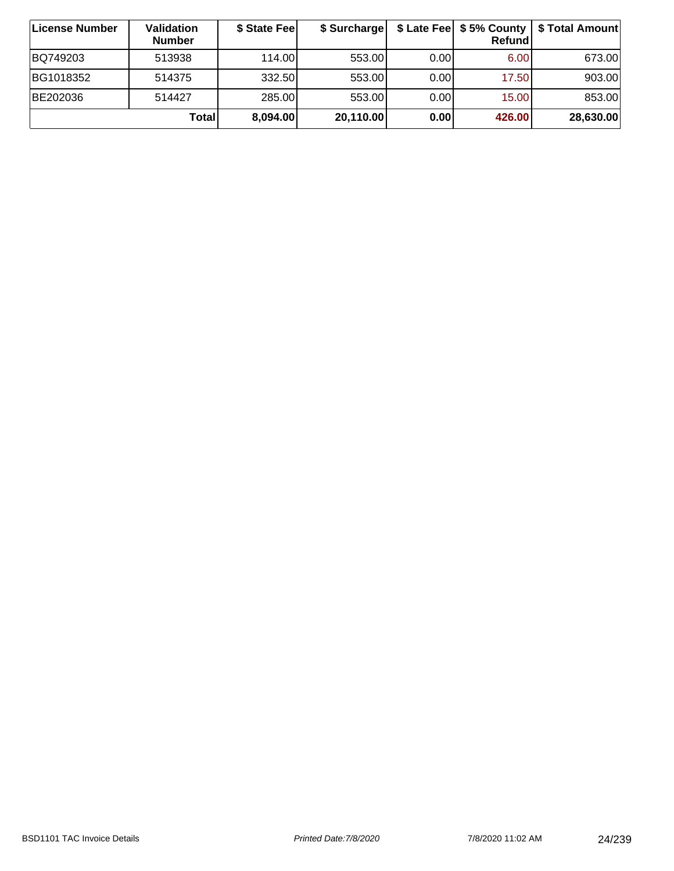| ∣License Number | <b>Validation</b><br><b>Number</b> | \$ State Fee | \$ Surcharge |      | Refundl | \$ Late Fee   \$5% County   \$ Total Amount |
|-----------------|------------------------------------|--------------|--------------|------|---------|---------------------------------------------|
| BQ749203        | 513938                             | 114.00       | 553.00       | 0.00 | 6.00    | 673.00                                      |
| BG1018352       | 514375                             | 332.50       | 553.00       | 0.00 | 17.50   | 903.00                                      |
| BE202036        | 514427                             | 285.00       | 553.00       | 0.00 | 15.00   | 853.00                                      |
|                 | Totall                             | 8.094.00     | 20,110.00    | 0.00 | 426.00  | 28,630.00                                   |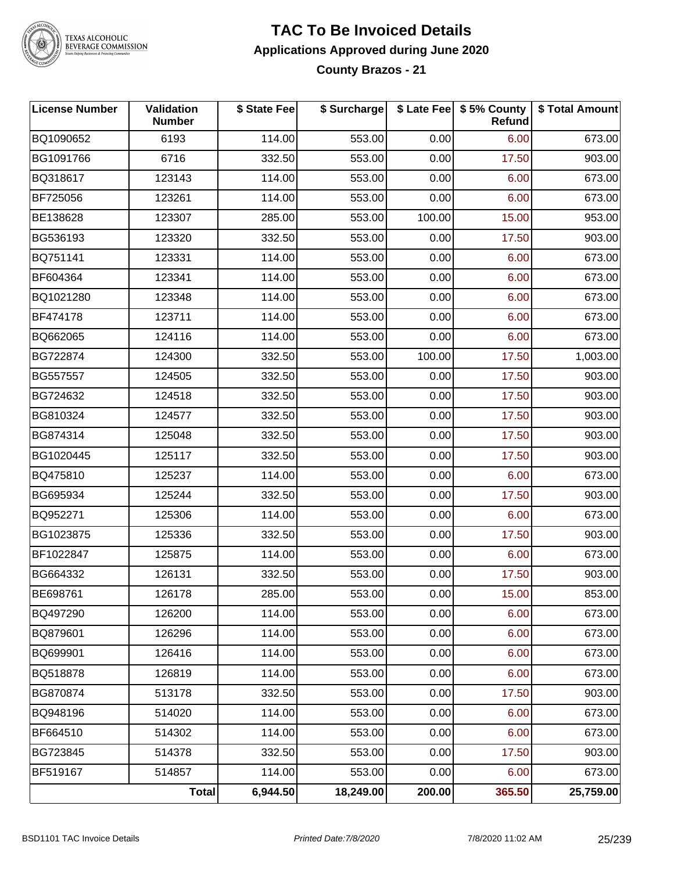

#### **TAC To Be Invoiced Details Applications Approved during June 2020 County Brazos - 21**

| <b>License Number</b> | Validation<br><b>Number</b> | \$ State Fee | \$ Surcharge |        | \$ Late Fee   \$5% County  <br>Refund | \$ Total Amount |
|-----------------------|-----------------------------|--------------|--------------|--------|---------------------------------------|-----------------|
| BQ1090652             | 6193                        | 114.00       | 553.00       | 0.00   | 6.00                                  | 673.00          |
| BG1091766             | 6716                        | 332.50       | 553.00       | 0.00   | 17.50                                 | 903.00          |
| BQ318617              | 123143                      | 114.00       | 553.00       | 0.00   | 6.00                                  | 673.00          |
| BF725056              | 123261                      | 114.00       | 553.00       | 0.00   | 6.00                                  | 673.00          |
| BE138628              | 123307                      | 285.00       | 553.00       | 100.00 | 15.00                                 | 953.00          |
| BG536193              | 123320                      | 332.50       | 553.00       | 0.00   | 17.50                                 | 903.00          |
| BQ751141              | 123331                      | 114.00       | 553.00       | 0.00   | 6.00                                  | 673.00          |
| BF604364              | 123341                      | 114.00       | 553.00       | 0.00   | 6.00                                  | 673.00          |
| BQ1021280             | 123348                      | 114.00       | 553.00       | 0.00   | 6.00                                  | 673.00          |
| BF474178              | 123711                      | 114.00       | 553.00       | 0.00   | 6.00                                  | 673.00          |
| BQ662065              | 124116                      | 114.00       | 553.00       | 0.00   | 6.00                                  | 673.00          |
| BG722874              | 124300                      | 332.50       | 553.00       | 100.00 | 17.50                                 | 1,003.00        |
| BG557557              | 124505                      | 332.50       | 553.00       | 0.00   | 17.50                                 | 903.00          |
| BG724632              | 124518                      | 332.50       | 553.00       | 0.00   | 17.50                                 | 903.00          |
| BG810324              | 124577                      | 332.50       | 553.00       | 0.00   | 17.50                                 | 903.00          |
| BG874314              | 125048                      | 332.50       | 553.00       | 0.00   | 17.50                                 | 903.00          |
| BG1020445             | 125117                      | 332.50       | 553.00       | 0.00   | 17.50                                 | 903.00          |
| BQ475810              | 125237                      | 114.00       | 553.00       | 0.00   | 6.00                                  | 673.00          |
| BG695934              | 125244                      | 332.50       | 553.00       | 0.00   | 17.50                                 | 903.00          |
| BQ952271              | 125306                      | 114.00       | 553.00       | 0.00   | 6.00                                  | 673.00          |
| BG1023875             | 125336                      | 332.50       | 553.00       | 0.00   | 17.50                                 | 903.00          |
| BF1022847             | 125875                      | 114.00       | 553.00       | 0.00   | 6.00                                  | 673.00          |
| BG664332              | 126131                      | 332.50       | 553.00       | 0.00   | 17.50                                 | 903.00          |
| BE698761              | 126178                      | 285.00       | 553.00       | 0.00   | 15.00                                 | 853.00          |
| BQ497290              | 126200                      | 114.00       | 553.00       | 0.00   | 6.00                                  | 673.00          |
| BQ879601              | 126296                      | 114.00       | 553.00       | 0.00   | 6.00                                  | 673.00          |
| BQ699901              | 126416                      | 114.00       | 553.00       | 0.00   | 6.00                                  | 673.00          |
| BQ518878              | 126819                      | 114.00       | 553.00       | 0.00   | 6.00                                  | 673.00          |
| BG870874              | 513178                      | 332.50       | 553.00       | 0.00   | 17.50                                 | 903.00          |
| BQ948196              | 514020                      | 114.00       | 553.00       | 0.00   | 6.00                                  | 673.00          |
| BF664510              | 514302                      | 114.00       | 553.00       | 0.00   | 6.00                                  | 673.00          |
| BG723845              | 514378                      | 332.50       | 553.00       | 0.00   | 17.50                                 | 903.00          |
| BF519167              | 514857                      | 114.00       | 553.00       | 0.00   | 6.00                                  | 673.00          |
|                       | <b>Total</b>                | 6,944.50     | 18,249.00    | 200.00 | 365.50                                | 25,759.00       |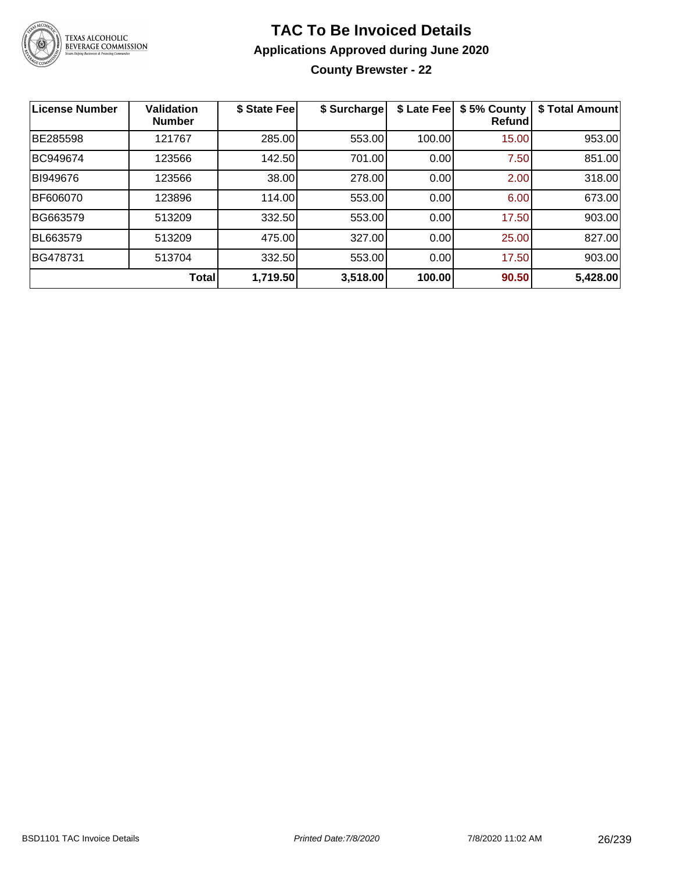

**County Brewster - 22**

| <b>License Number</b> | Validation<br><b>Number</b> | \$ State Fee | \$ Surcharge | \$ Late Fee | \$5% County<br>Refundl | \$ Total Amount |
|-----------------------|-----------------------------|--------------|--------------|-------------|------------------------|-----------------|
| BE285598              | 121767                      | 285.00       | 553.00       | 100.00      | 15.00                  | 953.00          |
| BC949674              | 123566                      | 142.50       | 701.00       | 0.00        | 7.50                   | 851.00          |
| BI949676              | 123566                      | 38.00        | 278.00       | 0.00        | 2.00                   | 318.00          |
| BF606070              | 123896                      | 114.00       | 553.00       | 0.00        | 6.00                   | 673.00          |
| BG663579              | 513209                      | 332.50       | 553.00       | 0.00        | 17.50                  | 903.00          |
| BL663579              | 513209                      | 475.00       | 327.00       | 0.00        | 25.00                  | 827.00          |
| BG478731              | 513704                      | 332.50       | 553.00       | 0.00        | 17.50                  | 903.00          |
|                       | Total                       | 1,719.50     | 3,518.00     | 100.00      | 90.50                  | 5,428.00        |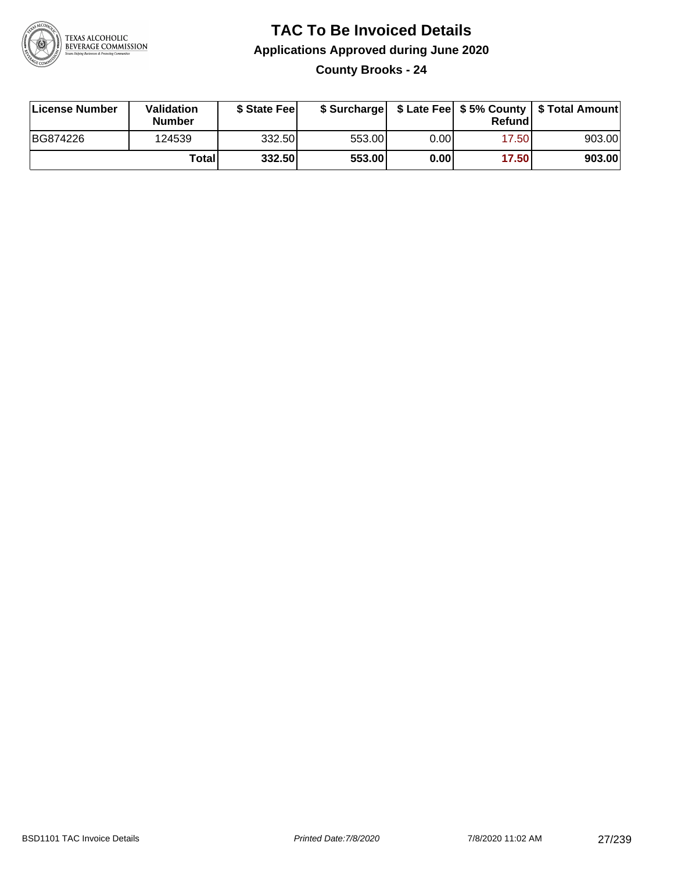

**County Brooks - 24**

| License Number | Validation<br><b>Number</b> | \$ State Feel |        |       | Refundl | \$ Surcharge   \$ Late Fee   \$5% County   \$ Total Amount |
|----------------|-----------------------------|---------------|--------|-------|---------|------------------------------------------------------------|
| BG874226       | 124539                      | 332.50        | 553.00 | 0.00  | 17.50   | 903.00                                                     |
|                | Totall                      | 332.50        | 553.00 | 0.001 | 17.50   | 903.00                                                     |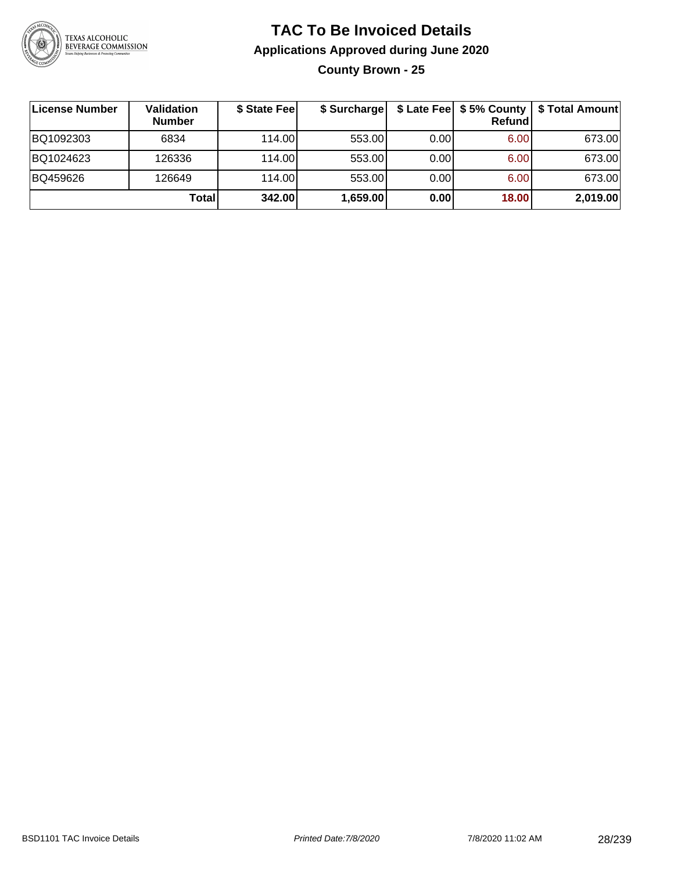

**County Brown - 25**

| License Number | Validation<br><b>Number</b> | \$ State Fee | \$ Surcharge |       | Refundl | \$ Late Fee   \$5% County   \$ Total Amount |
|----------------|-----------------------------|--------------|--------------|-------|---------|---------------------------------------------|
| BQ1092303      | 6834                        | 114.00       | 553.00       | 0.001 | 6.00    | 673.00                                      |
| BQ1024623      | 126336                      | 114.00       | 553.00       | 0.001 | 6.00    | 673.00                                      |
| BQ459626       | 126649                      | 114.00       | 553.00       | 0.00  | 6.00    | 673.00                                      |
|                | <b>Total</b>                | 342.00       | 1,659.00     | 0.00  | 18.00   | 2,019.00                                    |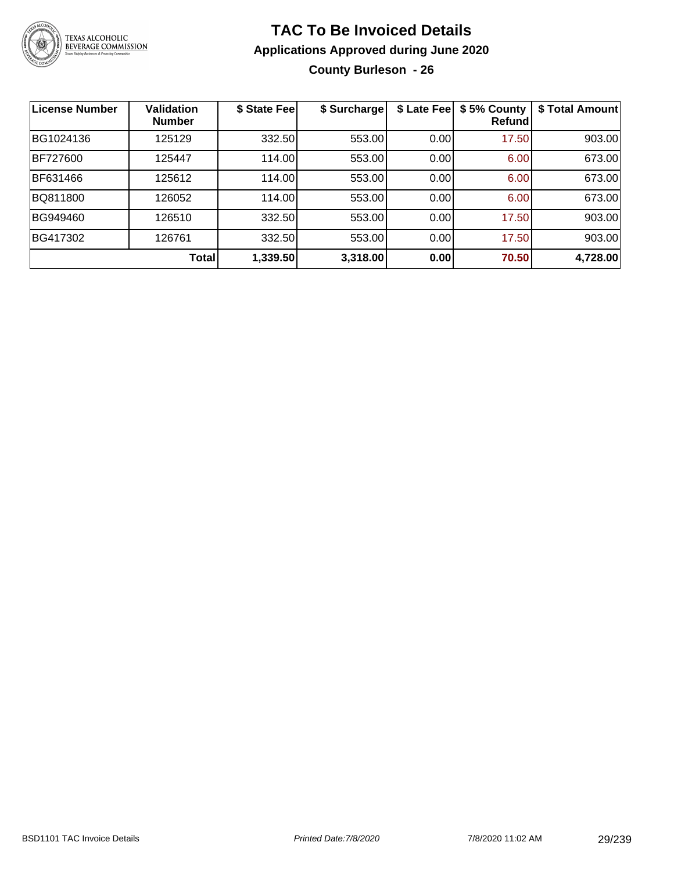

### **TAC To Be Invoiced Details Applications Approved during June 2020 County Burleson - 26**

| <b>License Number</b> | <b>Validation</b><br><b>Number</b> | \$ State Fee | \$ Surcharge | \$ Late Fee | \$5% County<br>Refundl | \$ Total Amount |
|-----------------------|------------------------------------|--------------|--------------|-------------|------------------------|-----------------|
| BG1024136             | 125129                             | 332.50       | 553.00       | 0.00        | 17.50                  | 903.00          |
| <b>BF727600</b>       | 125447                             | 114.00       | 553.00       | 0.00        | 6.00                   | 673.00          |
| BF631466              | 125612                             | 114.00       | 553.00       | 0.00        | 6.00                   | 673.00          |
| BQ811800              | 126052                             | 114.00       | 553.00       | 0.00        | 6.00                   | 673.00          |
| BG949460              | 126510                             | 332.50       | 553.00       | 0.00        | 17.50                  | 903.00          |
| BG417302              | 126761                             | 332.50       | 553.00       | 0.00        | 17.50                  | 903.00          |
|                       | Total                              | 1,339.50     | 3,318.00     | 0.00        | 70.50                  | 4,728.00        |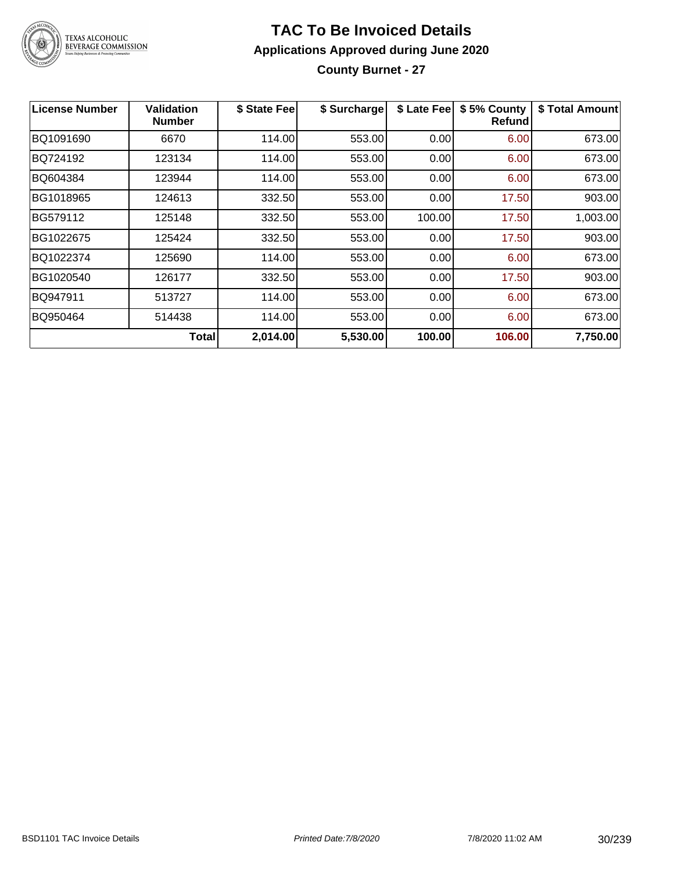

### **TAC To Be Invoiced Details Applications Approved during June 2020 County Burnet - 27**

| <b>License Number</b> | Validation<br><b>Number</b> | \$ State Fee | \$ Surcharge | \$ Late Fee | \$5% County<br>Refund | \$ Total Amount |
|-----------------------|-----------------------------|--------------|--------------|-------------|-----------------------|-----------------|
| BQ1091690             | 6670                        | 114.00       | 553.00       | 0.00        | 6.00                  | 673.00          |
| BQ724192              | 123134                      | 114.00       | 553.00       | 0.00        | 6.00                  | 673.00          |
| BQ604384              | 123944                      | 114.00       | 553.00       | 0.00        | 6.00                  | 673.00          |
| BG1018965             | 124613                      | 332.50       | 553.00       | 0.00        | 17.50                 | 903.00          |
| BG579112              | 125148                      | 332.50       | 553.00       | 100.00      | 17.50                 | 1,003.00        |
| BG1022675             | 125424                      | 332.50       | 553.00       | 0.00        | 17.50                 | 903.00          |
| BQ1022374             | 125690                      | 114.00       | 553.00       | 0.00        | 6.00                  | 673.00          |
| BG1020540             | 126177                      | 332.50       | 553.00       | 0.00        | 17.50                 | 903.00          |
| BQ947911              | 513727                      | 114.00       | 553.00       | 0.00        | 6.00                  | 673.00          |
| BQ950464              | 514438                      | 114.00       | 553.00       | 0.00        | 6.00                  | 673.00          |
|                       | <b>Total</b>                | 2,014.00     | 5,530.00     | 100.00      | 106.00                | 7,750.00        |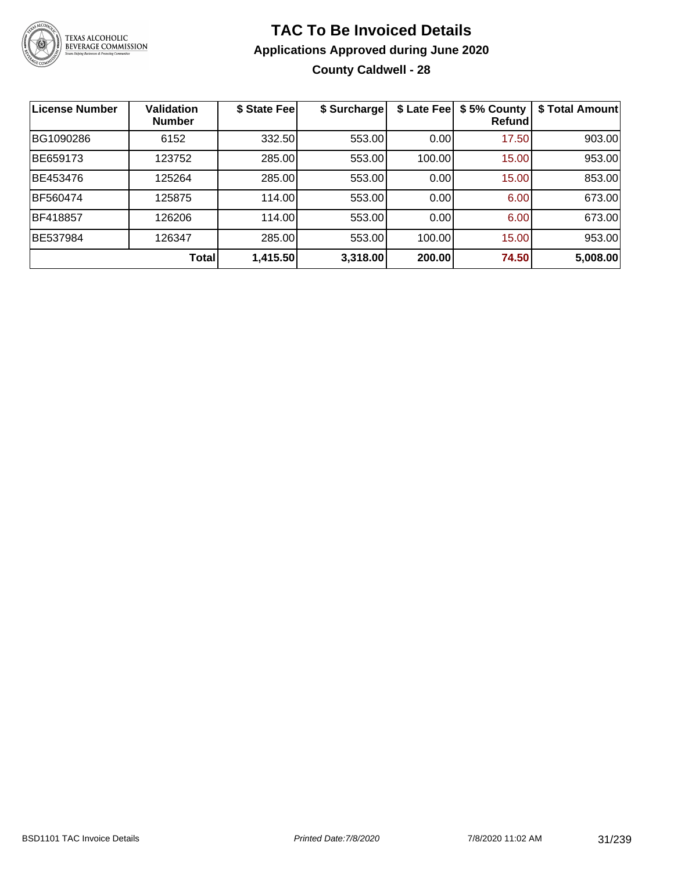

### **TAC To Be Invoiced Details Applications Approved during June 2020 County Caldwell - 28**

| <b>License Number</b> | <b>Validation</b><br><b>Number</b> | \$ State Fee | \$ Surcharge | \$ Late Fee | \$5% County<br>Refund | \$ Total Amount |
|-----------------------|------------------------------------|--------------|--------------|-------------|-----------------------|-----------------|
| BG1090286             | 6152                               | 332.50       | 553.00       | 0.00        | 17.50                 | 903.00          |
| BE659173              | 123752                             | 285.00       | 553.00       | 100.00      | 15.00                 | 953.00          |
| BE453476              | 125264                             | 285.00       | 553.00       | 0.00        | 15.00                 | 853.00          |
| <b>BF560474</b>       | 125875                             | 114.00       | 553.00       | 0.00        | 6.00                  | 673.00          |
| BF418857              | 126206                             | 114.00       | 553.00       | 0.00        | 6.00                  | 673.00          |
| BE537984              | 126347                             | 285.00       | 553.00       | 100.00      | 15.00                 | 953.00          |
|                       | Total                              | 1,415.50     | 3,318.00     | 200.00      | 74.50                 | 5,008.00        |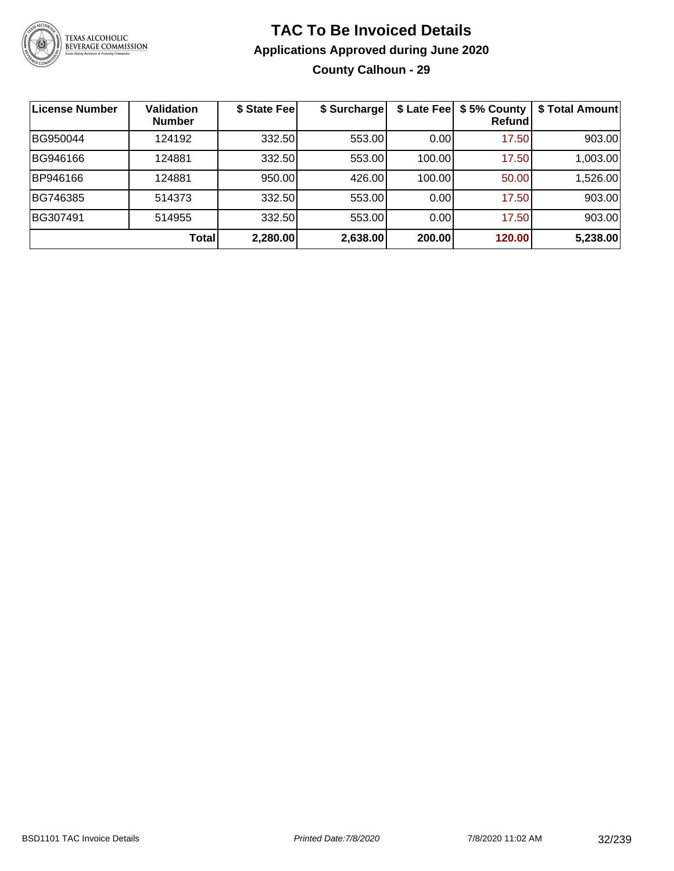

### **TAC To Be Invoiced Details Applications Approved during June 2020 County Calhoun - 29**

| ∣License Number | <b>Validation</b><br><b>Number</b> | \$ State Fee | \$ Surcharge |        | \$ Late Fee   \$5% County<br>Refundl | \$ Total Amount |
|-----------------|------------------------------------|--------------|--------------|--------|--------------------------------------|-----------------|
| BG950044        | 124192                             | 332.50       | 553.00       | 0.00   | 17.50                                | 903.00          |
| BG946166        | 124881                             | 332.50       | 553.00       | 100.00 | 17.50                                | 1,003.00        |
| BP946166        | 124881                             | 950.00       | 426.00       | 100.00 | 50.00                                | 1,526.00        |
| BG746385        | 514373                             | 332.50       | 553.00       | 0.00   | 17.50                                | 903.00          |
| BG307491        | 514955                             | 332.50       | 553.00       | 0.00   | 17.50                                | 903.00          |
|                 | <b>Total</b>                       | 2,280.00     | 2,638.00     | 200.00 | 120.00                               | 5,238.00        |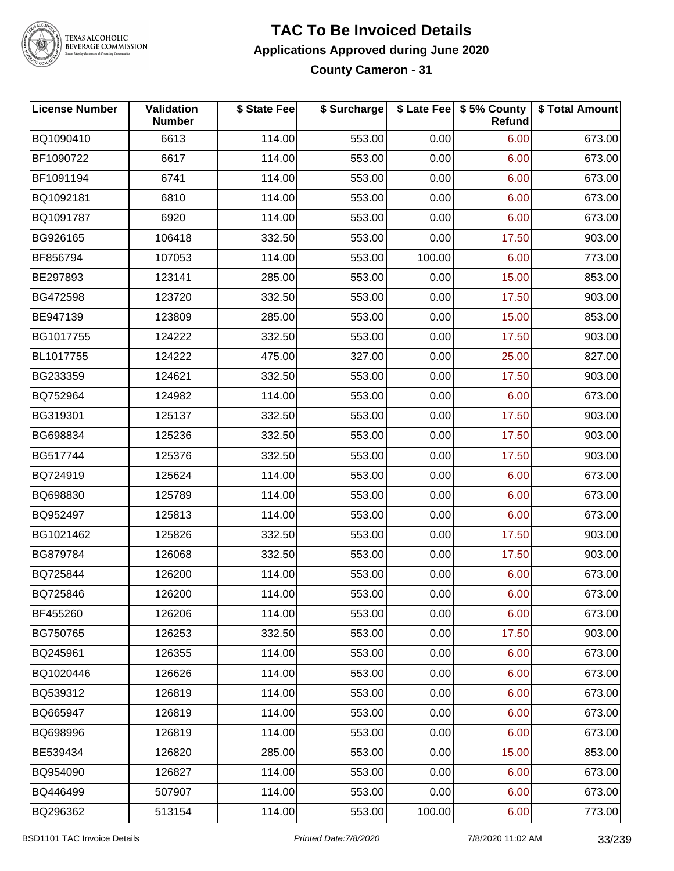

#### **TAC To Be Invoiced Details Applications Approved during June 2020 County Cameron - 31**

| <b>License Number</b> | <b>Validation</b><br><b>Number</b> | \$ State Fee | \$ Surcharge |        | \$ Late Fee   \$5% County<br>Refund | \$ Total Amount |
|-----------------------|------------------------------------|--------------|--------------|--------|-------------------------------------|-----------------|
| BQ1090410             | 6613                               | 114.00       | 553.00       | 0.00   | 6.00                                | 673.00          |
| BF1090722             | 6617                               | 114.00       | 553.00       | 0.00   | 6.00                                | 673.00          |
| BF1091194             | 6741                               | 114.00       | 553.00       | 0.00   | 6.00                                | 673.00          |
| BQ1092181             | 6810                               | 114.00       | 553.00       | 0.00   | 6.00                                | 673.00          |
| BQ1091787             | 6920                               | 114.00       | 553.00       | 0.00   | 6.00                                | 673.00          |
| BG926165              | 106418                             | 332.50       | 553.00       | 0.00   | 17.50                               | 903.00          |
| BF856794              | 107053                             | 114.00       | 553.00       | 100.00 | 6.00                                | 773.00          |
| BE297893              | 123141                             | 285.00       | 553.00       | 0.00   | 15.00                               | 853.00          |
| BG472598              | 123720                             | 332.50       | 553.00       | 0.00   | 17.50                               | 903.00          |
| BE947139              | 123809                             | 285.00       | 553.00       | 0.00   | 15.00                               | 853.00          |
| BG1017755             | 124222                             | 332.50       | 553.00       | 0.00   | 17.50                               | 903.00          |
| BL1017755             | 124222                             | 475.00       | 327.00       | 0.00   | 25.00                               | 827.00          |
| BG233359              | 124621                             | 332.50       | 553.00       | 0.00   | 17.50                               | 903.00          |
| BQ752964              | 124982                             | 114.00       | 553.00       | 0.00   | 6.00                                | 673.00          |
| BG319301              | 125137                             | 332.50       | 553.00       | 0.00   | 17.50                               | 903.00          |
| BG698834              | 125236                             | 332.50       | 553.00       | 0.00   | 17.50                               | 903.00          |
| BG517744              | 125376                             | 332.50       | 553.00       | 0.00   | 17.50                               | 903.00          |
| BQ724919              | 125624                             | 114.00       | 553.00       | 0.00   | 6.00                                | 673.00          |
| BQ698830              | 125789                             | 114.00       | 553.00       | 0.00   | 6.00                                | 673.00          |
| BQ952497              | 125813                             | 114.00       | 553.00       | 0.00   | 6.00                                | 673.00          |
| BG1021462             | 125826                             | 332.50       | 553.00       | 0.00   | 17.50                               | 903.00          |
| BG879784              | 126068                             | 332.50       | 553.00       | 0.00   | 17.50                               | 903.00          |
| BQ725844              | 126200                             | 114.00       | 553.00       | 0.00   | 6.00                                | 673.00          |
| BQ725846              | 126200                             | 114.00       | 553.00       | 0.00   | 6.00                                | 673.00          |
| BF455260              | 126206                             | 114.00       | 553.00       | 0.00   | 6.00                                | 673.00          |
| BG750765              | 126253                             | 332.50       | 553.00       | 0.00   | 17.50                               | 903.00          |
| BQ245961              | 126355                             | 114.00       | 553.00       | 0.00   | 6.00                                | 673.00          |
| BQ1020446             | 126626                             | 114.00       | 553.00       | 0.00   | 6.00                                | 673.00          |
| BQ539312              | 126819                             | 114.00       | 553.00       | 0.00   | 6.00                                | 673.00          |
| BQ665947              | 126819                             | 114.00       | 553.00       | 0.00   | 6.00                                | 673.00          |
| BQ698996              | 126819                             | 114.00       | 553.00       | 0.00   | 6.00                                | 673.00          |
| BE539434              | 126820                             | 285.00       | 553.00       | 0.00   | 15.00                               | 853.00          |
| BQ954090              | 126827                             | 114.00       | 553.00       | 0.00   | 6.00                                | 673.00          |
| BQ446499              | 507907                             | 114.00       | 553.00       | 0.00   | 6.00                                | 673.00          |
| BQ296362              | 513154                             | 114.00       | 553.00       | 100.00 | 6.00                                | 773.00          |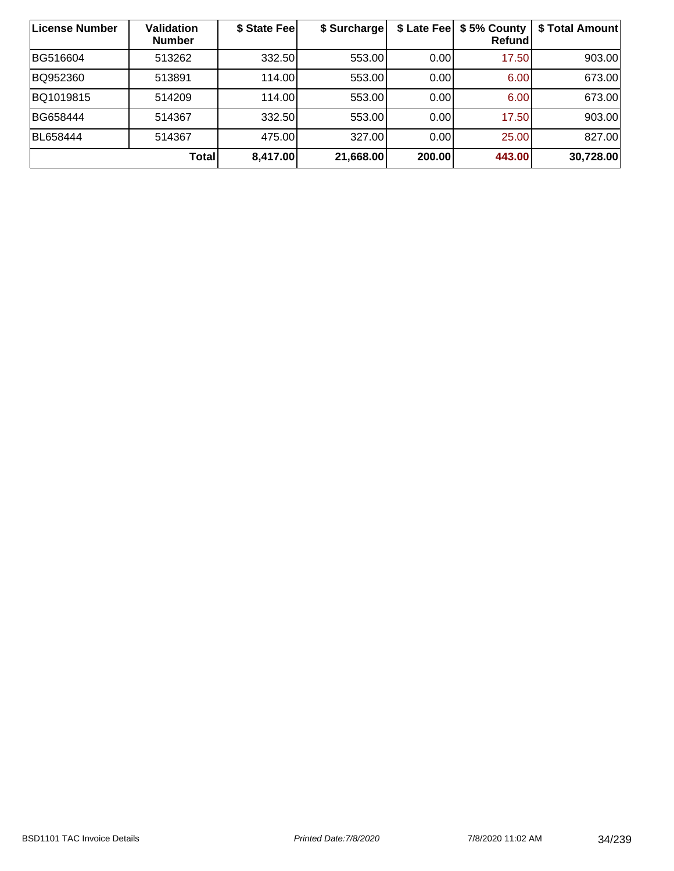| License Number | Validation<br><b>Number</b> | \$ State Feel | \$ Surcharge | \$ Late Fee | \$5% County<br>Refund | \$ Total Amount |
|----------------|-----------------------------|---------------|--------------|-------------|-----------------------|-----------------|
| BG516604       | 513262                      | 332.50        | 553.00       | 0.00        | 17.50                 | 903.00          |
| BQ952360       | 513891                      | 114.00        | 553.00       | 0.00        | 6.00                  | 673.00          |
| BQ1019815      | 514209                      | 114.00        | 553.00       | 0.00        | 6.00                  | 673.00          |
| BG658444       | 514367                      | 332.50        | 553.00       | 0.00        | 17.50                 | 903.00          |
| BL658444       | 514367                      | 475.00        | 327.00       | 0.00        | 25.00                 | 827.00          |
|                | <b>Total</b>                | 8,417.00      | 21,668.00    | 200.00      | 443.00                | 30,728.00       |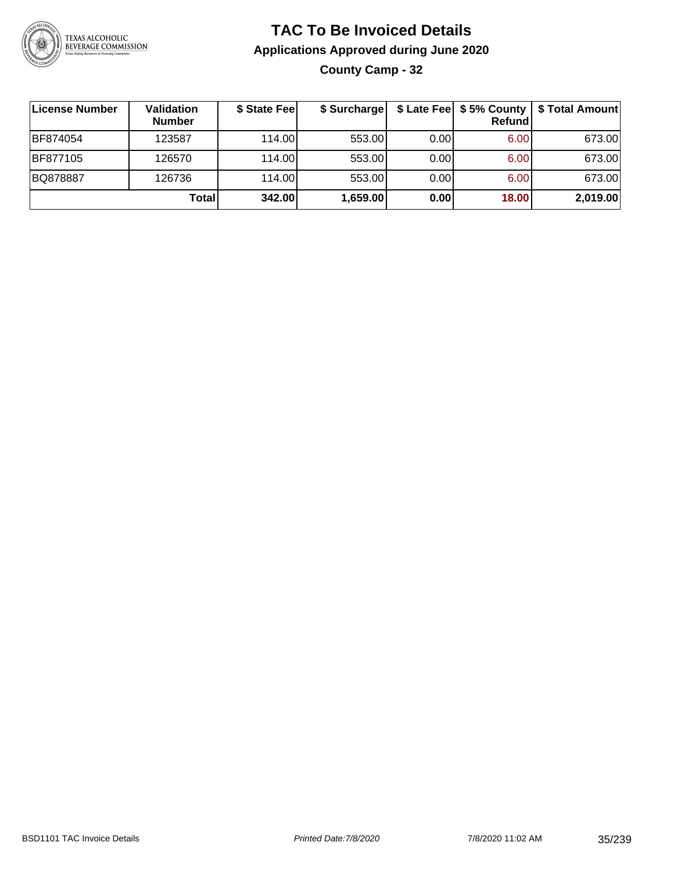

### **TAC To Be Invoiced Details Applications Approved during June 2020 County Camp - 32**

| ∣License Number | Validation<br><b>Number</b> | \$ State Fee | \$ Surcharge |       | \$ Late Fee   \$5% County  <br><b>Refund</b> | \$ Total Amount |
|-----------------|-----------------------------|--------------|--------------|-------|----------------------------------------------|-----------------|
| BF874054        | 123587                      | 114.00L      | 553.00       | 0.001 | 6.00                                         | 673.00          |
| BF877105        | 126570                      | 114.00L      | 553.00       | 0.00  | 6.00                                         | 673.00          |
| BQ878887        | 126736                      | 114.00       | 553.00       | 0.00  | 6.00                                         | 673.00          |
|                 | Total                       | 342.00       | 1,659.00     | 0.00  | 18.00                                        | 2,019.00        |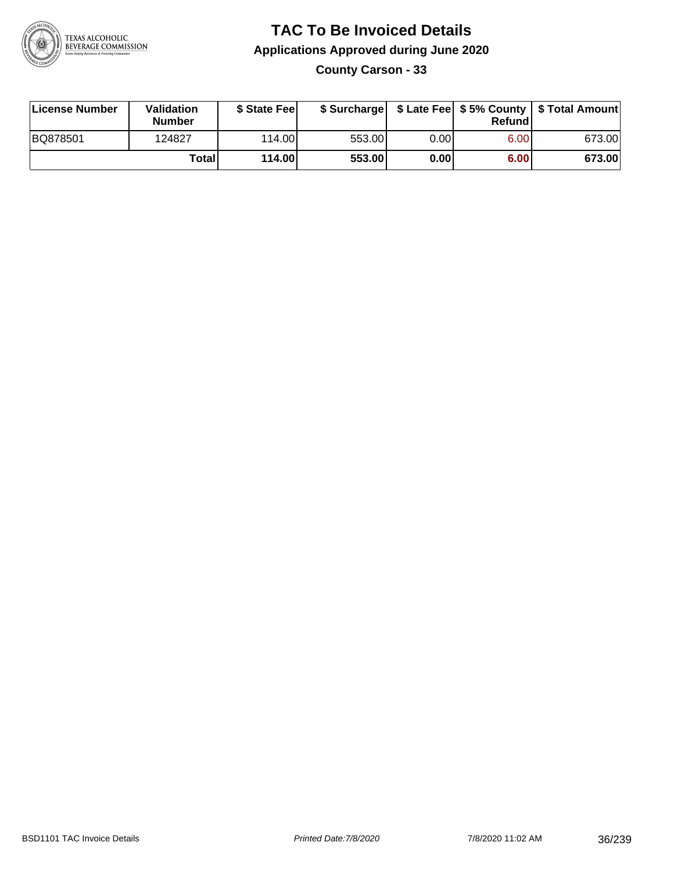

**County Carson - 33**

| License Number | Validation<br><b>Number</b> | \$ State Feel |        |       | Refundl | \$ Surcharge   \$ Late Fee   \$5% County   \$ Total Amount |
|----------------|-----------------------------|---------------|--------|-------|---------|------------------------------------------------------------|
| BQ878501       | 124827                      | 114.00        | 553.00 | 0.00I | 6.00    | 673.00                                                     |
|                | Totall                      | 114.00        | 553.00 | 0.00  | 6.00    | 673.00                                                     |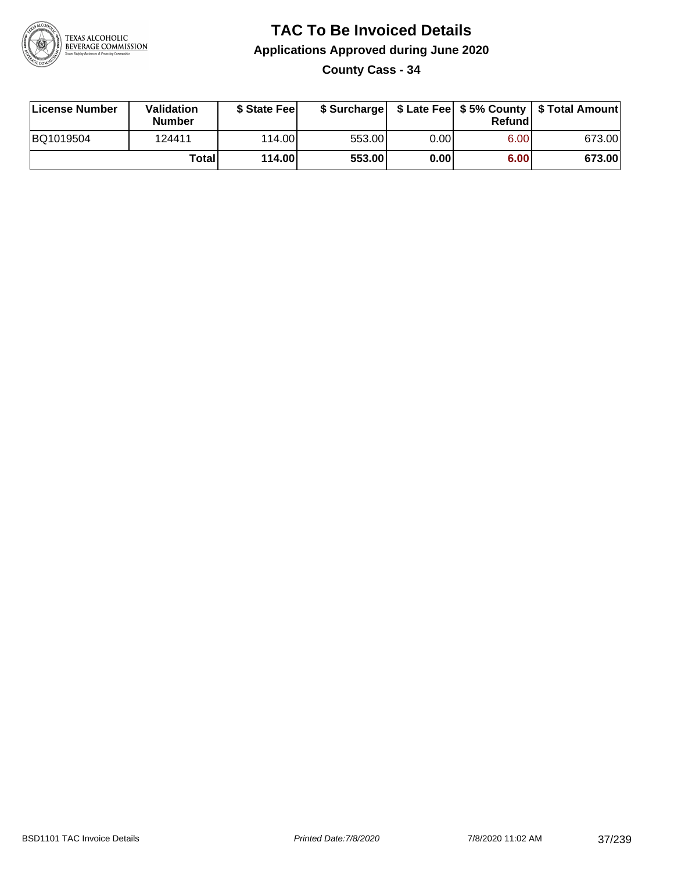

**County Cass - 34**

| License Number | Validation<br><b>Number</b> | \$ State Feel |        |      | Refundl | \$ Surcharge   \$ Late Fee   \$5% County   \$ Total Amount |
|----------------|-----------------------------|---------------|--------|------|---------|------------------------------------------------------------|
| BQ1019504      | 124411                      | 114.00        | 553.00 | 0.00 | 6.00    | 673.00                                                     |
|                | Totall                      | 114.00        | 553.00 | 0.00 | 6.00    | 673.00                                                     |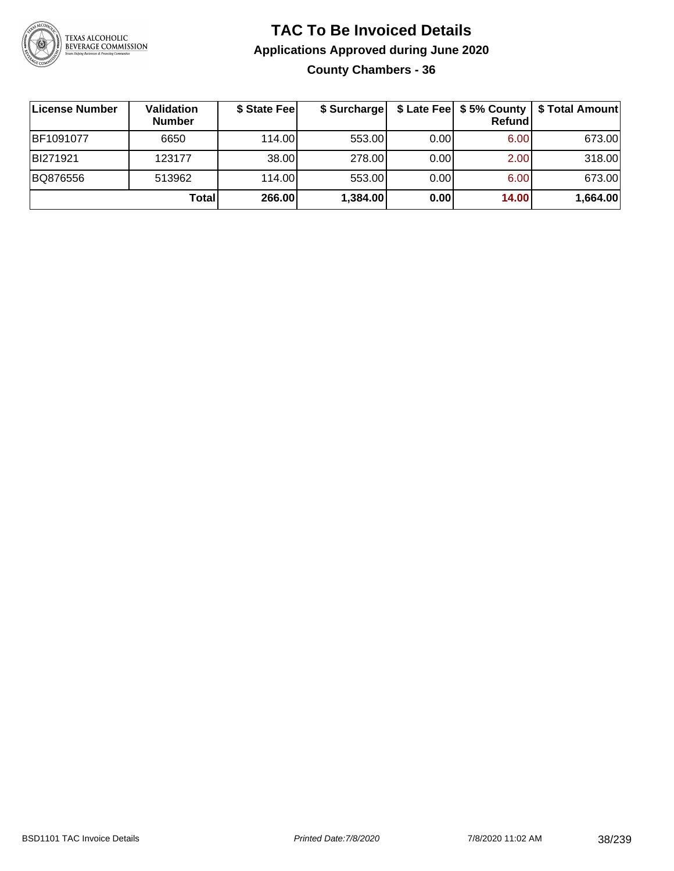

### **TAC To Be Invoiced Details Applications Approved during June 2020 County Chambers - 36**

| License Number | <b>Validation</b><br><b>Number</b> | \$ State Fee | \$ Surcharge |      | \$ Late Fee   \$5% County  <br><b>Refund</b> | \$ Total Amount |
|----------------|------------------------------------|--------------|--------------|------|----------------------------------------------|-----------------|
| BF1091077      | 6650                               | 114.00       | 553.00       | 0.00 | 6.00                                         | 673.00          |
| BI271921       | 123177                             | 38.00        | 278.00       | 0.00 | 2.00                                         | 318.00          |
| BQ876556       | 513962                             | 114.00       | 553.00       | 0.00 | 6.00                                         | 673.00          |
|                | Total                              | 266.00       | 1,384.00     | 0.00 | 14.00                                        | 1,664.00        |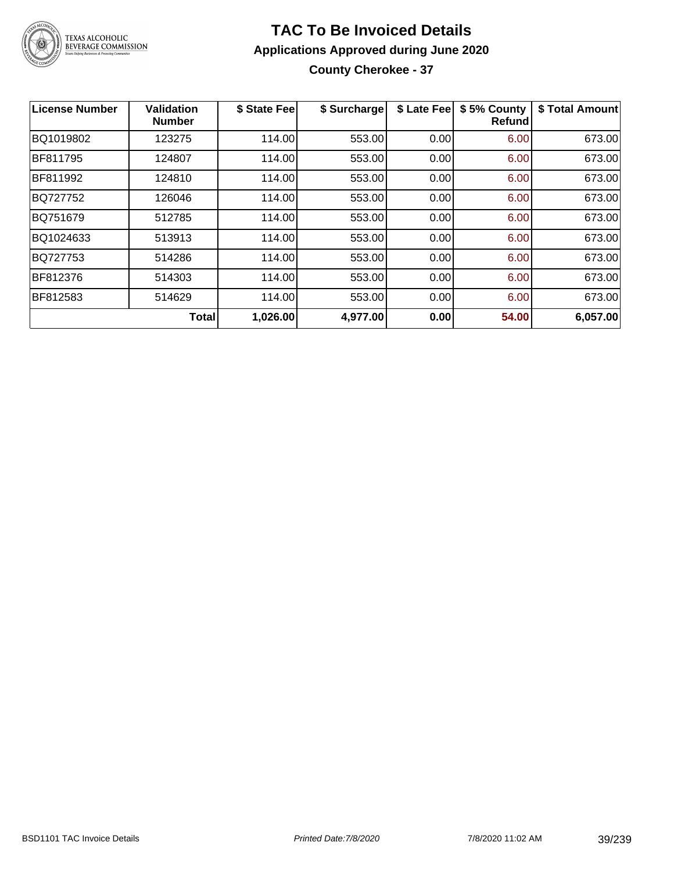

## **TAC To Be Invoiced Details Applications Approved during June 2020 County Cherokee - 37**

| License Number | <b>Validation</b><br><b>Number</b> | \$ State Fee | \$ Surcharge | \$ Late Fee | \$5% County<br><b>Refund</b> | \$ Total Amount |
|----------------|------------------------------------|--------------|--------------|-------------|------------------------------|-----------------|
| BQ1019802      | 123275                             | 114.00       | 553.00       | 0.00        | 6.00                         | 673.00          |
| BF811795       | 124807                             | 114.00       | 553.00       | 0.00        | 6.00                         | 673.00          |
| BF811992       | 124810                             | 114.00       | 553.00       | 0.00        | 6.00                         | 673.00          |
| BQ727752       | 126046                             | 114.00       | 553.00       | 0.00        | 6.00                         | 673.00          |
| BQ751679       | 512785                             | 114.00       | 553.00       | 0.00        | 6.00                         | 673.00          |
| BQ1024633      | 513913                             | 114.00       | 553.00       | 0.00        | 6.00                         | 673.00          |
| BQ727753       | 514286                             | 114.00       | 553.00       | 0.00        | 6.00                         | 673.00          |
| BF812376       | 514303                             | 114.00       | 553.00       | 0.00        | 6.00                         | 673.00          |
| BF812583       | 514629                             | 114.00       | 553.00       | 0.00        | 6.00                         | 673.00          |
|                | <b>Total</b>                       | 1,026.00     | 4,977.00     | 0.00        | 54.00                        | 6,057.00        |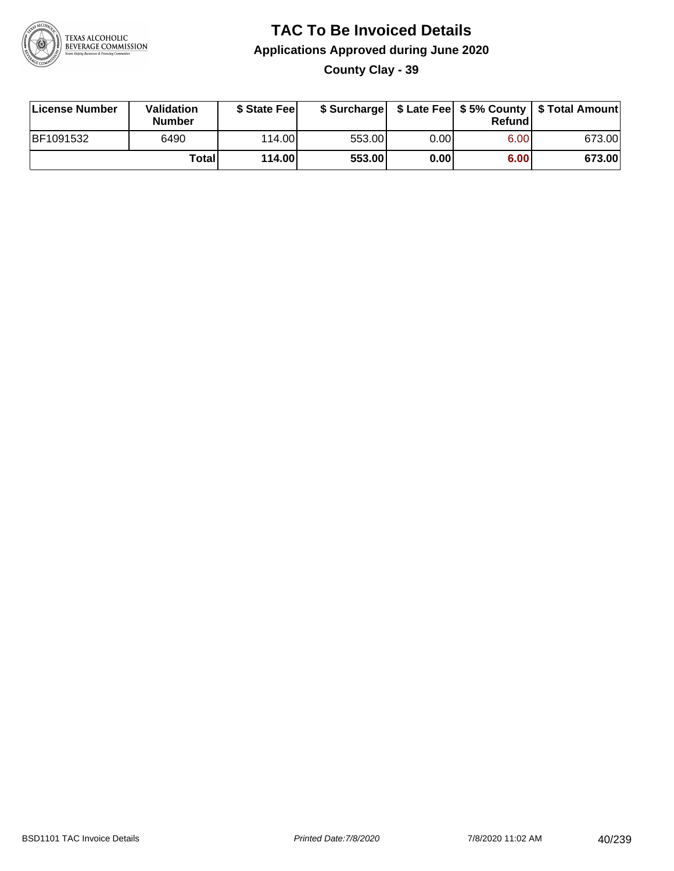

**County Clay - 39**

| License Number | Validation<br><b>Number</b> | \$ State Feel |        |      | Refundl | \$ Surcharge   \$ Late Fee   \$5% County   \$ Total Amount |
|----------------|-----------------------------|---------------|--------|------|---------|------------------------------------------------------------|
| BF1091532      | 6490                        | 114.00        | 553.00 | 0.00 | 6.00    | 673.00                                                     |
|                | Totall                      | 114.00        | 553.00 | 0.00 | 6.00    | 673.00                                                     |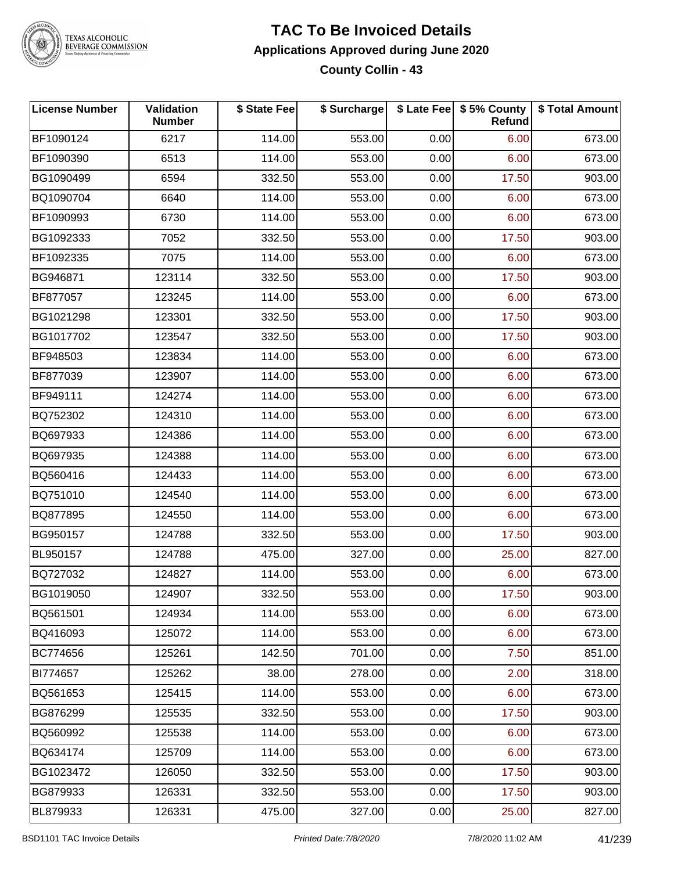

### **TAC To Be Invoiced Details Applications Approved during June 2020 County Collin - 43**

| <b>License Number</b> | Validation<br><b>Number</b> | \$ State Fee | \$ Surcharge |      | \$ Late Fee   \$5% County<br>Refund | \$ Total Amount |
|-----------------------|-----------------------------|--------------|--------------|------|-------------------------------------|-----------------|
| BF1090124             | 6217                        | 114.00       | 553.00       | 0.00 | 6.00                                | 673.00          |
| BF1090390             | 6513                        | 114.00       | 553.00       | 0.00 | 6.00                                | 673.00          |
| BG1090499             | 6594                        | 332.50       | 553.00       | 0.00 | 17.50                               | 903.00          |
| BQ1090704             | 6640                        | 114.00       | 553.00       | 0.00 | 6.00                                | 673.00          |
| BF1090993             | 6730                        | 114.00       | 553.00       | 0.00 | 6.00                                | 673.00          |
| BG1092333             | 7052                        | 332.50       | 553.00       | 0.00 | 17.50                               | 903.00          |
| BF1092335             | 7075                        | 114.00       | 553.00       | 0.00 | 6.00                                | 673.00          |
| BG946871              | 123114                      | 332.50       | 553.00       | 0.00 | 17.50                               | 903.00          |
| BF877057              | 123245                      | 114.00       | 553.00       | 0.00 | 6.00                                | 673.00          |
| BG1021298             | 123301                      | 332.50       | 553.00       | 0.00 | 17.50                               | 903.00          |
| BG1017702             | 123547                      | 332.50       | 553.00       | 0.00 | 17.50                               | 903.00          |
| BF948503              | 123834                      | 114.00       | 553.00       | 0.00 | 6.00                                | 673.00          |
| BF877039              | 123907                      | 114.00       | 553.00       | 0.00 | 6.00                                | 673.00          |
| BF949111              | 124274                      | 114.00       | 553.00       | 0.00 | 6.00                                | 673.00          |
| BQ752302              | 124310                      | 114.00       | 553.00       | 0.00 | 6.00                                | 673.00          |
| BQ697933              | 124386                      | 114.00       | 553.00       | 0.00 | 6.00                                | 673.00          |
| BQ697935              | 124388                      | 114.00       | 553.00       | 0.00 | 6.00                                | 673.00          |
| BQ560416              | 124433                      | 114.00       | 553.00       | 0.00 | 6.00                                | 673.00          |
| BQ751010              | 124540                      | 114.00       | 553.00       | 0.00 | 6.00                                | 673.00          |
| BQ877895              | 124550                      | 114.00       | 553.00       | 0.00 | 6.00                                | 673.00          |
| BG950157              | 124788                      | 332.50       | 553.00       | 0.00 | 17.50                               | 903.00          |
| BL950157              | 124788                      | 475.00       | 327.00       | 0.00 | 25.00                               | 827.00          |
| BQ727032              | 124827                      | 114.00       | 553.00       | 0.00 | 6.00                                | 673.00          |
| BG1019050             | 124907                      | 332.50       | 553.00       | 0.00 | 17.50                               | 903.00          |
| BQ561501              | 124934                      | 114.00       | 553.00       | 0.00 | 6.00                                | 673.00          |
| BQ416093              | 125072                      | 114.00       | 553.00       | 0.00 | 6.00                                | 673.00          |
| BC774656              | 125261                      | 142.50       | 701.00       | 0.00 | 7.50                                | 851.00          |
| BI774657              | 125262                      | 38.00        | 278.00       | 0.00 | 2.00                                | 318.00          |
| BQ561653              | 125415                      | 114.00       | 553.00       | 0.00 | 6.00                                | 673.00          |
| BG876299              | 125535                      | 332.50       | 553.00       | 0.00 | 17.50                               | 903.00          |
| BQ560992              | 125538                      | 114.00       | 553.00       | 0.00 | 6.00                                | 673.00          |
| BQ634174              | 125709                      | 114.00       | 553.00       | 0.00 | 6.00                                | 673.00          |
| BG1023472             | 126050                      | 332.50       | 553.00       | 0.00 | 17.50                               | 903.00          |
| BG879933              | 126331                      | 332.50       | 553.00       | 0.00 | 17.50                               | 903.00          |
| BL879933              | 126331                      | 475.00       | 327.00       | 0.00 | 25.00                               | 827.00          |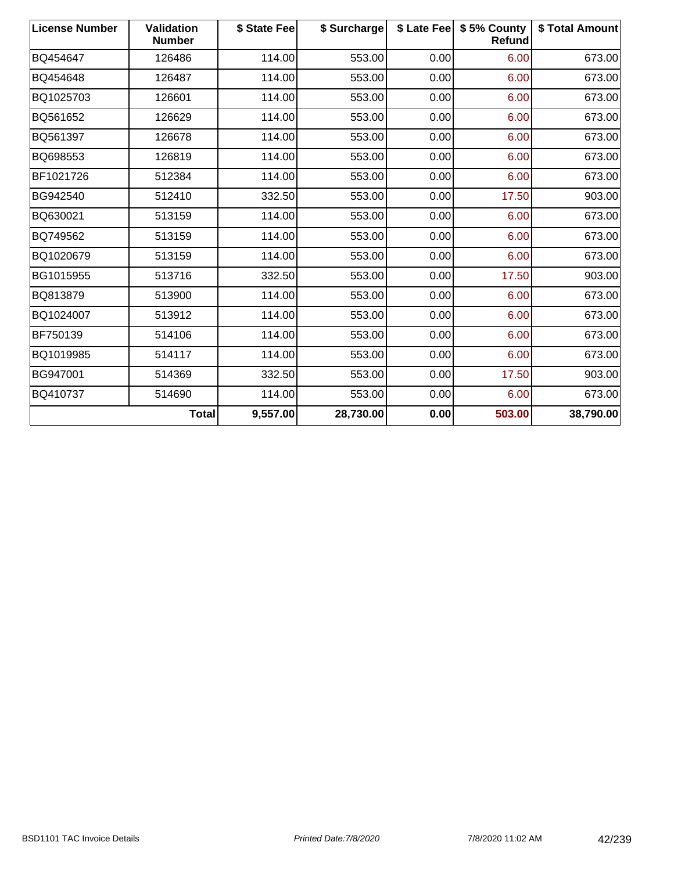| <b>License Number</b> | <b>Validation</b><br><b>Number</b> | \$ State Fee | \$ Surcharge |      | \$ Late Fee   \$5% County<br><b>Refund</b> | \$ Total Amount |
|-----------------------|------------------------------------|--------------|--------------|------|--------------------------------------------|-----------------|
| BQ454647              | 126486                             | 114.00       | 553.00       | 0.00 | 6.00                                       | 673.00          |
| BQ454648              | 126487                             | 114.00       | 553.00       | 0.00 | 6.00                                       | 673.00          |
| BQ1025703             | 126601                             | 114.00       | 553.00       | 0.00 | 6.00                                       | 673.00          |
| BQ561652              | 126629                             | 114.00       | 553.00       | 0.00 | 6.00                                       | 673.00          |
| BQ561397              | 126678                             | 114.00       | 553.00       | 0.00 | 6.00                                       | 673.00          |
| BQ698553              | 126819                             | 114.00       | 553.00       | 0.00 | 6.00                                       | 673.00          |
| BF1021726             | 512384                             | 114.00       | 553.00       | 0.00 | 6.00                                       | 673.00          |
| BG942540              | 512410                             | 332.50       | 553.00       | 0.00 | 17.50                                      | 903.00          |
| BQ630021              | 513159                             | 114.00       | 553.00       | 0.00 | 6.00                                       | 673.00          |
| BQ749562              | 513159                             | 114.00       | 553.00       | 0.00 | 6.00                                       | 673.00          |
| BQ1020679             | 513159                             | 114.00       | 553.00       | 0.00 | 6.00                                       | 673.00          |
| BG1015955             | 513716                             | 332.50       | 553.00       | 0.00 | 17.50                                      | 903.00          |
| BQ813879              | 513900                             | 114.00       | 553.00       | 0.00 | 6.00                                       | 673.00          |
| BQ1024007             | 513912                             | 114.00       | 553.00       | 0.00 | 6.00                                       | 673.00          |
| BF750139              | 514106                             | 114.00       | 553.00       | 0.00 | 6.00                                       | 673.00          |
| BQ1019985             | 514117                             | 114.00       | 553.00       | 0.00 | 6.00                                       | 673.00          |
| BG947001              | 514369                             | 332.50       | 553.00       | 0.00 | 17.50                                      | 903.00          |
| BQ410737              | 514690                             | 114.00       | 553.00       | 0.00 | 6.00                                       | 673.00          |
|                       | <b>Total</b>                       | 9,557.00     | 28,730.00    | 0.00 | 503.00                                     | 38,790.00       |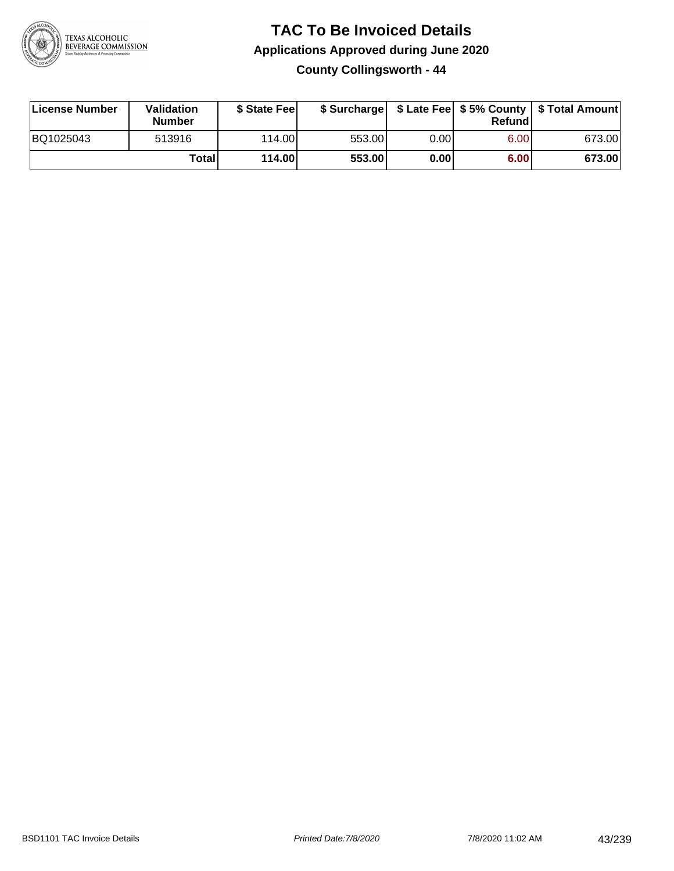

**County Collingsworth - 44**

| License Number | Validation<br><b>Number</b> | \$ State Feel |        |      | Refundl | \$ Surcharge   \$ Late Fee   \$5% County   \$ Total Amount |
|----------------|-----------------------------|---------------|--------|------|---------|------------------------------------------------------------|
| BQ1025043      | 513916                      | 114.00        | 553.00 | 0.00 | 6.00    | 673.00                                                     |
|                | Totall                      | 114.00        | 553.00 | 0.00 | 6.00    | 673.00                                                     |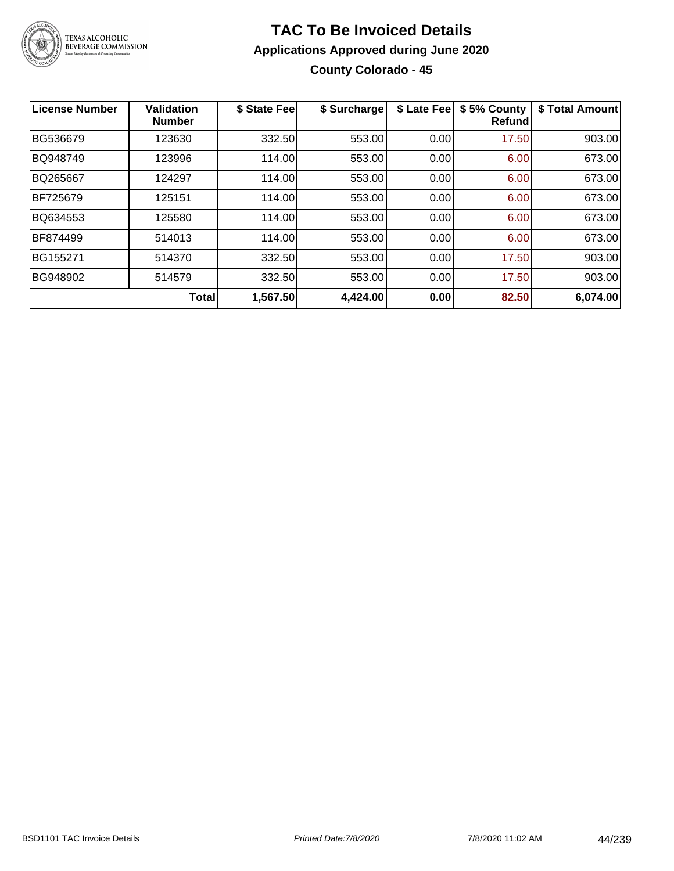

### **TAC To Be Invoiced Details Applications Approved during June 2020 County Colorado - 45**

| <b>License Number</b> | <b>Validation</b><br><b>Number</b> | \$ State Fee | \$ Surcharge | \$ Late Fee | \$5% County<br>Refundl | \$ Total Amount |
|-----------------------|------------------------------------|--------------|--------------|-------------|------------------------|-----------------|
| BG536679              | 123630                             | 332.50       | 553.00       | 0.00        | 17.50                  | 903.00          |
| BQ948749              | 123996                             | 114.00       | 553.00       | 0.00        | 6.00                   | 673.00          |
| BQ265667              | 124297                             | 114.00       | 553.00       | 0.00        | 6.00                   | 673.00          |
| BF725679              | 125151                             | 114.00       | 553.00       | 0.00        | 6.00                   | 673.00          |
| BQ634553              | 125580                             | 114.00       | 553.00       | 0.00        | 6.00                   | 673.00          |
| BF874499              | 514013                             | 114.00       | 553.00       | 0.00        | 6.00                   | 673.00          |
| BG155271              | 514370                             | 332.50       | 553.00       | 0.00        | 17.50                  | 903.00          |
| BG948902              | 514579                             | 332.50       | 553.00       | 0.00        | 17.50                  | 903.00          |
|                       | Total                              | 1,567.50     | 4,424.00     | 0.00        | 82.50                  | 6,074.00        |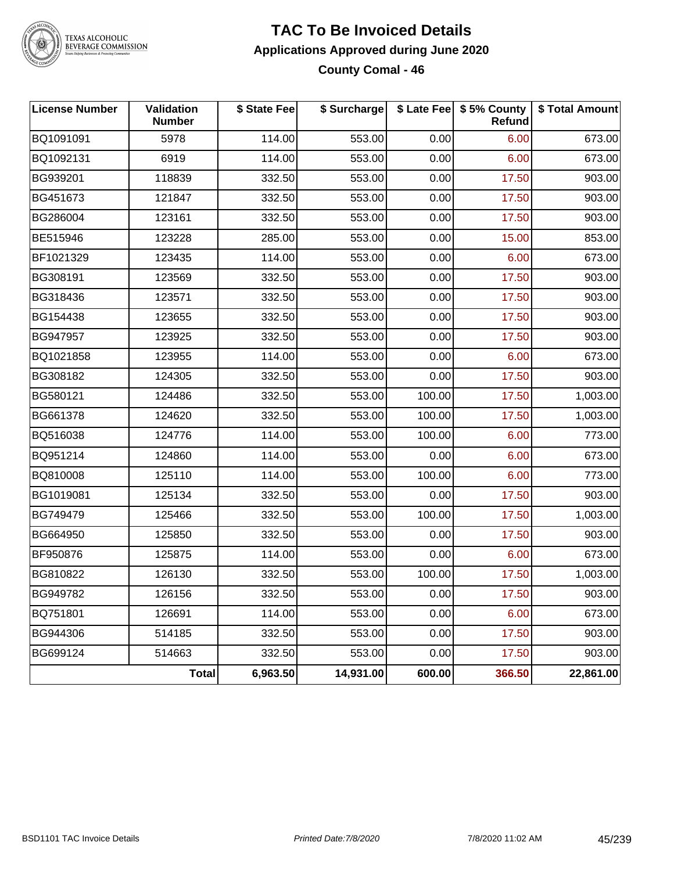

### **TAC To Be Invoiced Details Applications Approved during June 2020 County Comal - 46**

| <b>License Number</b> | Validation<br><b>Number</b> | \$ State Fee | \$ Surcharge |        | \$ Late Fee   \$5% County<br>Refund | \$ Total Amount |
|-----------------------|-----------------------------|--------------|--------------|--------|-------------------------------------|-----------------|
| BQ1091091             | 5978                        | 114.00       | 553.00       | 0.00   | 6.00                                | 673.00          |
| BQ1092131             | 6919                        | 114.00       | 553.00       | 0.00   | 6.00                                | 673.00          |
| BG939201              | 118839                      | 332.50       | 553.00       | 0.00   | 17.50                               | 903.00          |
| BG451673              | 121847                      | 332.50       | 553.00       | 0.00   | 17.50                               | 903.00          |
| BG286004              | 123161                      | 332.50       | 553.00       | 0.00   | 17.50                               | 903.00          |
| BE515946              | 123228                      | 285.00       | 553.00       | 0.00   | 15.00                               | 853.00          |
| BF1021329             | 123435                      | 114.00       | 553.00       | 0.00   | 6.00                                | 673.00          |
| BG308191              | 123569                      | 332.50       | 553.00       | 0.00   | 17.50                               | 903.00          |
| BG318436              | 123571                      | 332.50       | 553.00       | 0.00   | 17.50                               | 903.00          |
| BG154438              | 123655                      | 332.50       | 553.00       | 0.00   | 17.50                               | 903.00          |
| BG947957              | 123925                      | 332.50       | 553.00       | 0.00   | 17.50                               | 903.00          |
| BQ1021858             | 123955                      | 114.00       | 553.00       | 0.00   | 6.00                                | 673.00          |
| BG308182              | 124305                      | 332.50       | 553.00       | 0.00   | 17.50                               | 903.00          |
| BG580121              | 124486                      | 332.50       | 553.00       | 100.00 | 17.50                               | 1,003.00        |
| BG661378              | 124620                      | 332.50       | 553.00       | 100.00 | 17.50                               | 1,003.00        |
| BQ516038              | 124776                      | 114.00       | 553.00       | 100.00 | 6.00                                | 773.00          |
| BQ951214              | 124860                      | 114.00       | 553.00       | 0.00   | 6.00                                | 673.00          |
| BQ810008              | 125110                      | 114.00       | 553.00       | 100.00 | 6.00                                | 773.00          |
| BG1019081             | 125134                      | 332.50       | 553.00       | 0.00   | 17.50                               | 903.00          |
| BG749479              | 125466                      | 332.50       | 553.00       | 100.00 | 17.50                               | 1,003.00        |
| BG664950              | 125850                      | 332.50       | 553.00       | 0.00   | 17.50                               | 903.00          |
| BF950876              | 125875                      | 114.00       | 553.00       | 0.00   | 6.00                                | 673.00          |
| BG810822              | 126130                      | 332.50       | 553.00       | 100.00 | 17.50                               | 1,003.00        |
| BG949782              | 126156                      | 332.50       | 553.00       | 0.00   | 17.50                               | 903.00          |
| BQ751801              | 126691                      | 114.00       | 553.00       | 0.00   | 6.00                                | 673.00          |
| BG944306              | 514185                      | 332.50       | 553.00       | 0.00   | 17.50                               | 903.00          |
| BG699124              | 514663                      | 332.50       | 553.00       | 0.00   | 17.50                               | 903.00          |
|                       | Total                       | 6,963.50     | 14,931.00    | 600.00 | 366.50                              | 22,861.00       |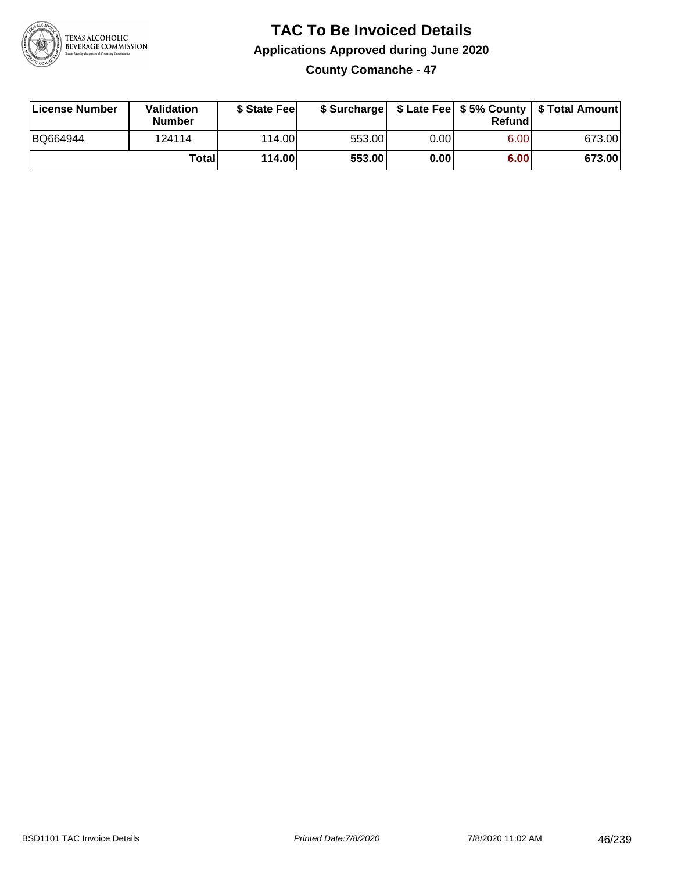

**County Comanche - 47**

| License Number | <b>Validation</b><br><b>Number</b> | \$ State Feel | \$ Surcharge |      | Refundl | \$ Late Fee   \$5% County   \$ Total Amount |
|----------------|------------------------------------|---------------|--------------|------|---------|---------------------------------------------|
| BQ664944       | 124114                             | 114.00        | 553.00       | 0.00 | 6.00    | 673.00                                      |
|                | Totall                             | 114.00        | 553.00       | 0.00 | 6.00    | 673.00                                      |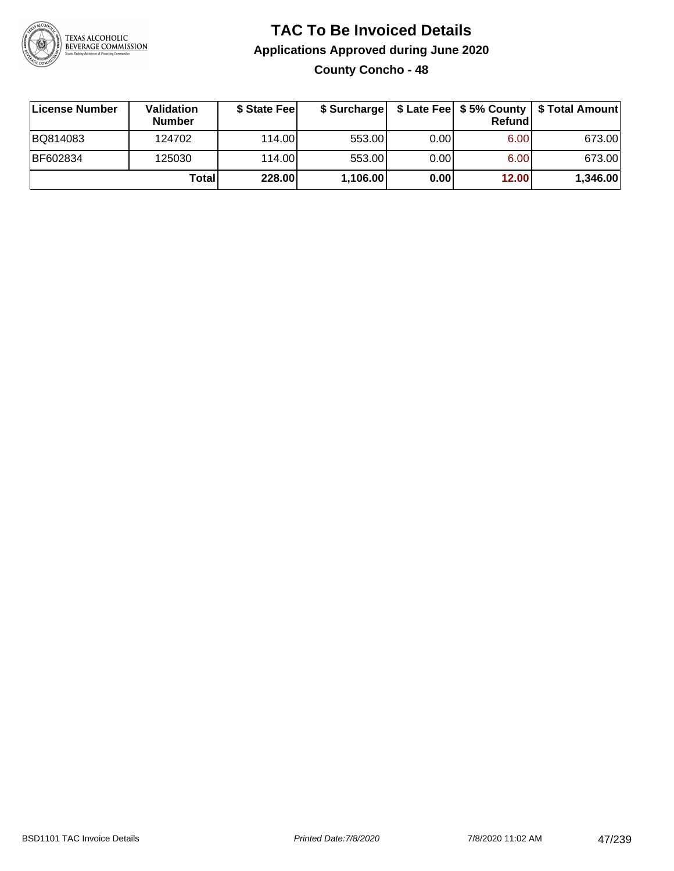

## **TAC To Be Invoiced Details Applications Approved during June 2020 County Concho - 48**

| License Number | <b>Validation</b><br><b>Number</b> | \$ State Feel |          |       | <b>Refund</b> | \$ Surcharge   \$ Late Fee   \$5% County   \$ Total Amount |
|----------------|------------------------------------|---------------|----------|-------|---------------|------------------------------------------------------------|
| BQ814083       | 124702                             | 114.00L       | 553.00   | 0.001 | 6.00          | 673.00                                                     |
| BF602834       | 125030                             | 114.00L       | 553.00   | 0.00  | 6.00          | 673.00                                                     |
|                | Total                              | 228.00        | 1,106.00 | 0.00  | 12.00         | 1,346.00                                                   |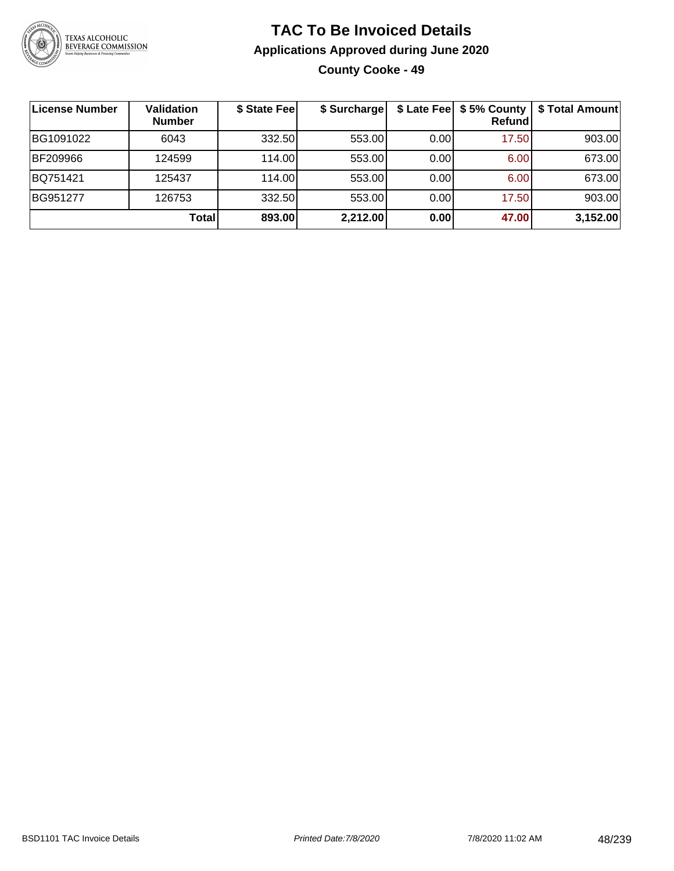

### **TAC To Be Invoiced Details Applications Approved during June 2020 County Cooke - 49**

| License Number | <b>Validation</b><br><b>Number</b> | \$ State Fee | \$ Surcharge | \$ Late Fee | \$5% County<br><b>Refund</b> | \$ Total Amount |
|----------------|------------------------------------|--------------|--------------|-------------|------------------------------|-----------------|
| BG1091022      | 6043                               | 332.50       | 553.00       | 0.00        | 17.50                        | 903.00          |
| BF209966       | 124599                             | 114.00       | 553.00       | 0.00        | 6.00 <sub>1</sub>            | 673.00          |
| BQ751421       | 125437                             | 114.00       | 553.00       | 0.00        | 6.00 <sub>1</sub>            | 673.00          |
| BG951277       | 126753                             | 332.50       | 553.00       | 0.00        | 17.50                        | 903.00          |
|                | <b>Total</b>                       | 893.00       | 2,212.00     | 0.00        | 47.00                        | 3,152.00        |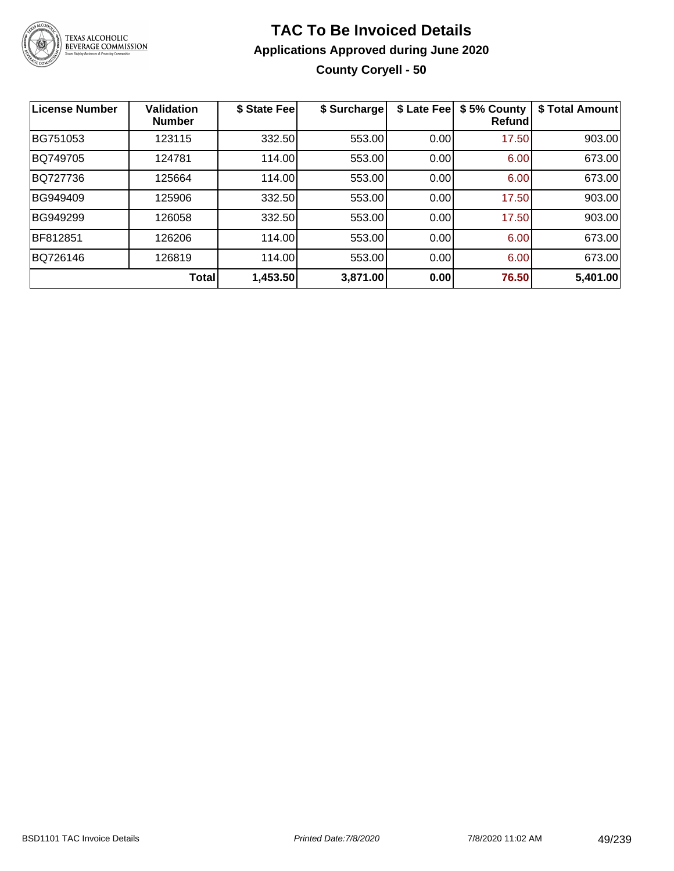

## **TAC To Be Invoiced Details Applications Approved during June 2020 County Coryell - 50**

| <b>License Number</b> | <b>Validation</b><br><b>Number</b> | \$ State Fee | \$ Surcharge | \$ Late Fee | \$5% County<br>Refundl | \$ Total Amount |
|-----------------------|------------------------------------|--------------|--------------|-------------|------------------------|-----------------|
| BG751053              | 123115                             | 332.50       | 553.00       | 0.00        | 17.50                  | 903.00          |
| BQ749705              | 124781                             | 114.00       | 553.00       | 0.00        | 6.00                   | 673.00          |
| BQ727736              | 125664                             | 114.00       | 553.00       | 0.00        | 6.00                   | 673.00          |
| BG949409              | 125906                             | 332.50       | 553.00       | 0.00        | 17.50                  | 903.00          |
| BG949299              | 126058                             | 332.50       | 553.00       | 0.00        | 17.50                  | 903.00          |
| BF812851              | 126206                             | 114.00       | 553.00       | 0.00        | 6.00                   | 673.00          |
| BQ726146              | 126819                             | 114.00       | 553.00       | 0.00        | 6.00                   | 673.00          |
|                       | Total                              | 1,453.50     | 3,871.00     | 0.00        | 76.50                  | 5,401.00        |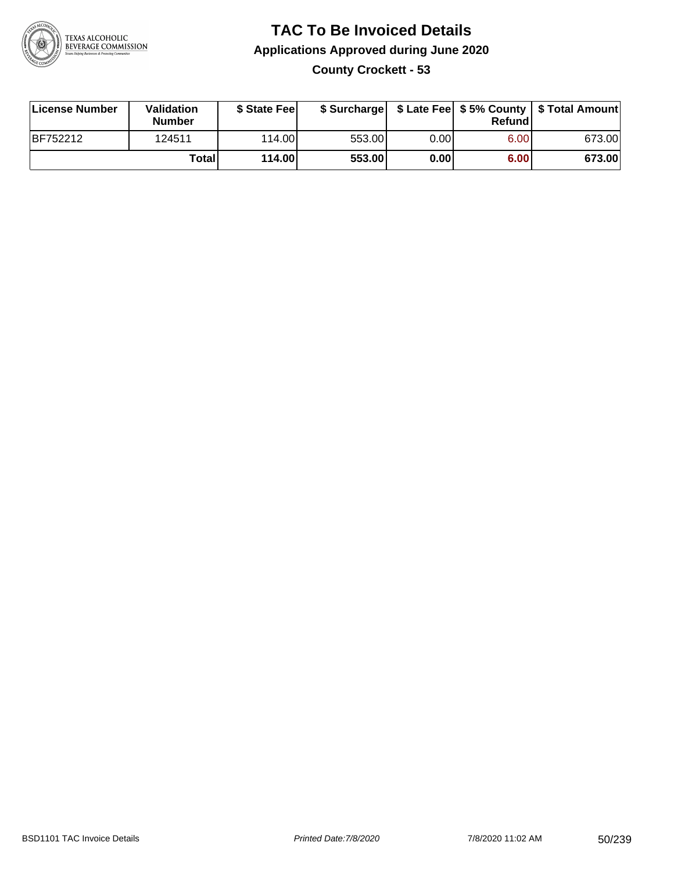

### **TAC To Be Invoiced Details Applications Approved during June 2020 County Crockett - 53**

| License Number  | Validation<br><b>Number</b> | \$ State Fee |        |      | Refund | \$ Surcharge   \$ Late Fee   \$5% County   \$ Total Amount |
|-----------------|-----------------------------|--------------|--------|------|--------|------------------------------------------------------------|
| <b>BF752212</b> | 124511                      | 114.00L      | 553.00 | 0.00 | 6.00   | 673.00                                                     |
|                 | Totall                      | 114.00       | 553.00 | 0.00 | 6.00   | 673.00                                                     |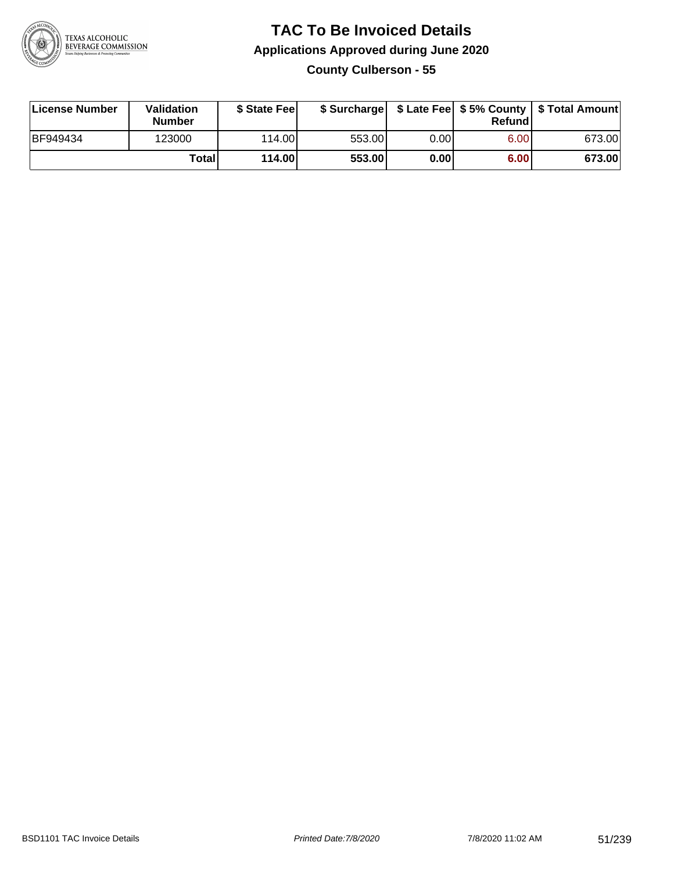

### **TAC To Be Invoiced Details Applications Approved during June 2020 County Culberson - 55**

| License Number | Validation<br><b>Number</b> | \$ State Fee | \$ Surcharge |      | Refundl | \$ Late Fee   \$5% County   \$ Total Amount |
|----------------|-----------------------------|--------------|--------------|------|---------|---------------------------------------------|
| BF949434       | 123000                      | 114.00       | 553.00       | 0.00 | 6.00    | 673.00                                      |
|                | Totall                      | 114.00       | 553.00       | 0.00 | 6.00    | 673.00                                      |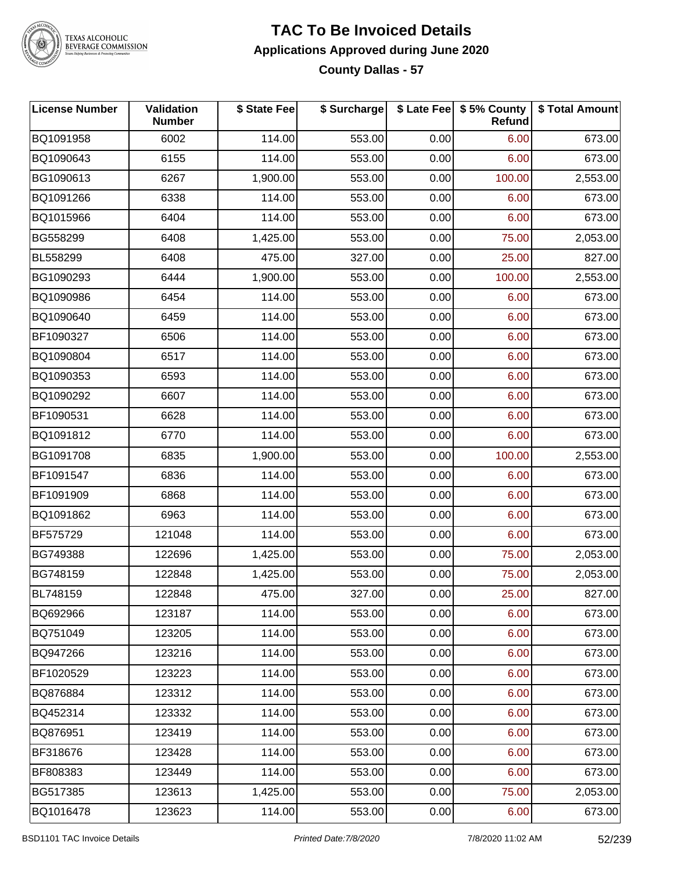

### **TAC To Be Invoiced Details Applications Approved during June 2020 County Dallas - 57**

| <b>License Number</b> | Validation<br><b>Number</b> | \$ State Fee | \$ Surcharge |      | \$ Late Fee   \$5% County<br>Refund | \$ Total Amount |
|-----------------------|-----------------------------|--------------|--------------|------|-------------------------------------|-----------------|
| BQ1091958             | 6002                        | 114.00       | 553.00       | 0.00 | 6.00                                | 673.00          |
| BQ1090643             | 6155                        | 114.00       | 553.00       | 0.00 | 6.00                                | 673.00          |
| BG1090613             | 6267                        | 1,900.00     | 553.00       | 0.00 | 100.00                              | 2,553.00        |
| BQ1091266             | 6338                        | 114.00       | 553.00       | 0.00 | 6.00                                | 673.00          |
| BQ1015966             | 6404                        | 114.00       | 553.00       | 0.00 | 6.00                                | 673.00          |
| BG558299              | 6408                        | 1,425.00     | 553.00       | 0.00 | 75.00                               | 2,053.00        |
| BL558299              | 6408                        | 475.00       | 327.00       | 0.00 | 25.00                               | 827.00          |
| BG1090293             | 6444                        | 1,900.00     | 553.00       | 0.00 | 100.00                              | 2,553.00        |
| BQ1090986             | 6454                        | 114.00       | 553.00       | 0.00 | 6.00                                | 673.00          |
| BQ1090640             | 6459                        | 114.00       | 553.00       | 0.00 | 6.00                                | 673.00          |
| BF1090327             | 6506                        | 114.00       | 553.00       | 0.00 | 6.00                                | 673.00          |
| BQ1090804             | 6517                        | 114.00       | 553.00       | 0.00 | 6.00                                | 673.00          |
| BQ1090353             | 6593                        | 114.00       | 553.00       | 0.00 | 6.00                                | 673.00          |
| BQ1090292             | 6607                        | 114.00       | 553.00       | 0.00 | 6.00                                | 673.00          |
| BF1090531             | 6628                        | 114.00       | 553.00       | 0.00 | 6.00                                | 673.00          |
| BQ1091812             | 6770                        | 114.00       | 553.00       | 0.00 | 6.00                                | 673.00          |
| BG1091708             | 6835                        | 1,900.00     | 553.00       | 0.00 | 100.00                              | 2,553.00        |
| BF1091547             | 6836                        | 114.00       | 553.00       | 0.00 | 6.00                                | 673.00          |
| BF1091909             | 6868                        | 114.00       | 553.00       | 0.00 | 6.00                                | 673.00          |
| BQ1091862             | 6963                        | 114.00       | 553.00       | 0.00 | 6.00                                | 673.00          |
| BF575729              | 121048                      | 114.00       | 553.00       | 0.00 | 6.00                                | 673.00          |
| BG749388              | 122696                      | 1,425.00     | 553.00       | 0.00 | 75.00                               | 2,053.00        |
| BG748159              | 122848                      | 1,425.00     | 553.00       | 0.00 | 75.00                               | 2,053.00        |
| BL748159              | 122848                      | 475.00       | 327.00       | 0.00 | 25.00                               | 827.00          |
| BQ692966              | 123187                      | 114.00       | 553.00       | 0.00 | 6.00                                | 673.00          |
| BQ751049              | 123205                      | 114.00       | 553.00       | 0.00 | 6.00                                | 673.00          |
| BQ947266              | 123216                      | 114.00       | 553.00       | 0.00 | 6.00                                | 673.00          |
| BF1020529             | 123223                      | 114.00       | 553.00       | 0.00 | 6.00                                | 673.00          |
| BQ876884              | 123312                      | 114.00       | 553.00       | 0.00 | 6.00                                | 673.00          |
| BQ452314              | 123332                      | 114.00       | 553.00       | 0.00 | 6.00                                | 673.00          |
| BQ876951              | 123419                      | 114.00       | 553.00       | 0.00 | 6.00                                | 673.00          |
| BF318676              | 123428                      | 114.00       | 553.00       | 0.00 | 6.00                                | 673.00          |
| BF808383              | 123449                      | 114.00       | 553.00       | 0.00 | 6.00                                | 673.00          |
| BG517385              | 123613                      | 1,425.00     | 553.00       | 0.00 | 75.00                               | 2,053.00        |
| BQ1016478             | 123623                      | 114.00       | 553.00       | 0.00 | 6.00                                | 673.00          |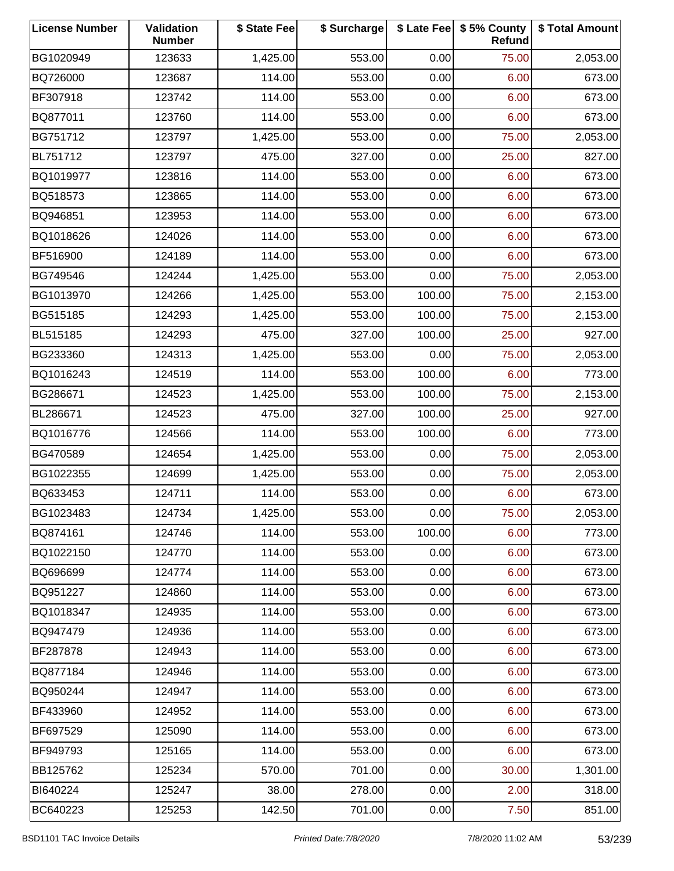| <b>License Number</b> | Validation<br><b>Number</b> | \$ State Fee | \$ Surcharge |        | \$ Late Fee   \$5% County<br>Refund | \$ Total Amount |
|-----------------------|-----------------------------|--------------|--------------|--------|-------------------------------------|-----------------|
| BG1020949             | 123633                      | 1,425.00     | 553.00       | 0.00   | 75.00                               | 2,053.00        |
| BQ726000              | 123687                      | 114.00       | 553.00       | 0.00   | 6.00                                | 673.00          |
| BF307918              | 123742                      | 114.00       | 553.00       | 0.00   | 6.00                                | 673.00          |
| BQ877011              | 123760                      | 114.00       | 553.00       | 0.00   | 6.00                                | 673.00          |
| BG751712              | 123797                      | 1,425.00     | 553.00       | 0.00   | 75.00                               | 2,053.00        |
| BL751712              | 123797                      | 475.00       | 327.00       | 0.00   | 25.00                               | 827.00          |
| BQ1019977             | 123816                      | 114.00       | 553.00       | 0.00   | 6.00                                | 673.00          |
| BQ518573              | 123865                      | 114.00       | 553.00       | 0.00   | 6.00                                | 673.00          |
| BQ946851              | 123953                      | 114.00       | 553.00       | 0.00   | 6.00                                | 673.00          |
| BQ1018626             | 124026                      | 114.00       | 553.00       | 0.00   | 6.00                                | 673.00          |
| BF516900              | 124189                      | 114.00       | 553.00       | 0.00   | 6.00                                | 673.00          |
| BG749546              | 124244                      | 1,425.00     | 553.00       | 0.00   | 75.00                               | 2,053.00        |
| BG1013970             | 124266                      | 1,425.00     | 553.00       | 100.00 | 75.00                               | 2,153.00        |
| BG515185              | 124293                      | 1,425.00     | 553.00       | 100.00 | 75.00                               | 2,153.00        |
| BL515185              | 124293                      | 475.00       | 327.00       | 100.00 | 25.00                               | 927.00          |
| BG233360              | 124313                      | 1,425.00     | 553.00       | 0.00   | 75.00                               | 2,053.00        |
| BQ1016243             | 124519                      | 114.00       | 553.00       | 100.00 | 6.00                                | 773.00          |
| BG286671              | 124523                      | 1,425.00     | 553.00       | 100.00 | 75.00                               | 2,153.00        |
| BL286671              | 124523                      | 475.00       | 327.00       | 100.00 | 25.00                               | 927.00          |
| BQ1016776             | 124566                      | 114.00       | 553.00       | 100.00 | 6.00                                | 773.00          |
| BG470589              | 124654                      | 1,425.00     | 553.00       | 0.00   | 75.00                               | 2,053.00        |
| BG1022355             | 124699                      | 1,425.00     | 553.00       | 0.00   | 75.00                               | 2,053.00        |
| BQ633453              | 124711                      | 114.00       | 553.00       | 0.00   | 6.00                                | 673.00          |
| BG1023483             | 124734                      | 1,425.00     | 553.00       | 0.00   | 75.00                               | 2,053.00        |
| BQ874161              | 124746                      | 114.00       | 553.00       | 100.00 | 6.00                                | 773.00          |
| BQ1022150             | 124770                      | 114.00       | 553.00       | 0.00   | 6.00                                | 673.00          |
| BQ696699              | 124774                      | 114.00       | 553.00       | 0.00   | 6.00                                | 673.00          |
| BQ951227              | 124860                      | 114.00       | 553.00       | 0.00   | 6.00                                | 673.00          |
| BQ1018347             | 124935                      | 114.00       | 553.00       | 0.00   | 6.00                                | 673.00          |
| BQ947479              | 124936                      | 114.00       | 553.00       | 0.00   | 6.00                                | 673.00          |
| BF287878              | 124943                      | 114.00       | 553.00       | 0.00   | 6.00                                | 673.00          |
| BQ877184              | 124946                      | 114.00       | 553.00       | 0.00   | 6.00                                | 673.00          |
| BQ950244              | 124947                      | 114.00       | 553.00       | 0.00   | 6.00                                | 673.00          |
| BF433960              | 124952                      | 114.00       | 553.00       | 0.00   | 6.00                                | 673.00          |
| BF697529              | 125090                      | 114.00       | 553.00       | 0.00   | 6.00                                | 673.00          |
| BF949793              | 125165                      | 114.00       | 553.00       | 0.00   | 6.00                                | 673.00          |
| BB125762              | 125234                      | 570.00       | 701.00       | 0.00   | 30.00                               | 1,301.00        |
| BI640224              | 125247                      | 38.00        | 278.00       | 0.00   | 2.00                                | 318.00          |
| BC640223              | 125253                      | 142.50       | 701.00       | 0.00   | 7.50                                | 851.00          |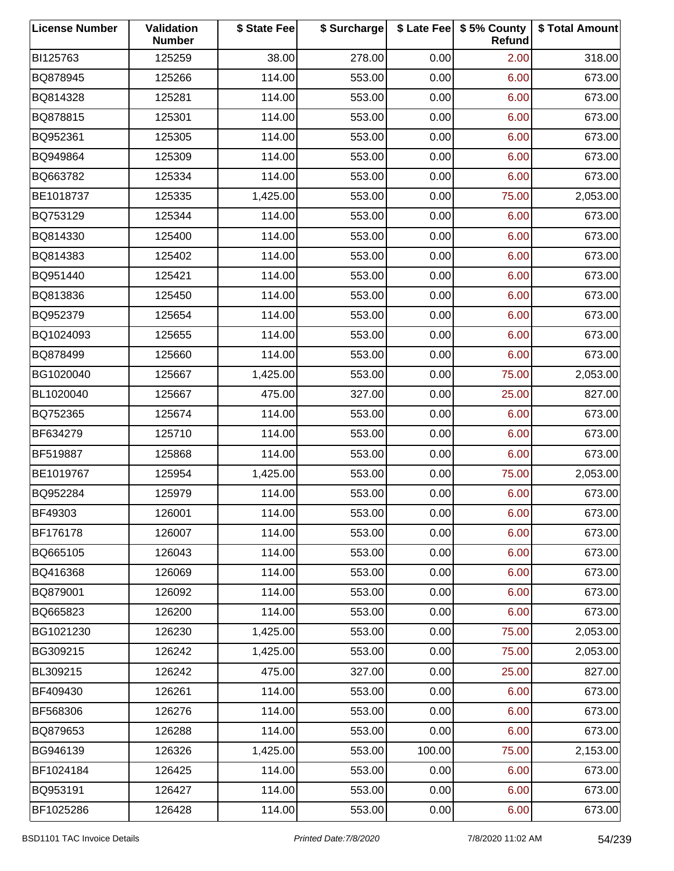| <b>License Number</b> | Validation<br><b>Number</b> | \$ State Fee | \$ Surcharge |        | \$ Late Fee   \$5% County<br>Refund | \$ Total Amount |
|-----------------------|-----------------------------|--------------|--------------|--------|-------------------------------------|-----------------|
| BI125763              | 125259                      | 38.00        | 278.00       | 0.00   | 2.00                                | 318.00          |
| BQ878945              | 125266                      | 114.00       | 553.00       | 0.00   | 6.00                                | 673.00          |
| BQ814328              | 125281                      | 114.00       | 553.00       | 0.00   | 6.00                                | 673.00          |
| BQ878815              | 125301                      | 114.00       | 553.00       | 0.00   | 6.00                                | 673.00          |
| BQ952361              | 125305                      | 114.00       | 553.00       | 0.00   | 6.00                                | 673.00          |
| BQ949864              | 125309                      | 114.00       | 553.00       | 0.00   | 6.00                                | 673.00          |
| BQ663782              | 125334                      | 114.00       | 553.00       | 0.00   | 6.00                                | 673.00          |
| BE1018737             | 125335                      | 1,425.00     | 553.00       | 0.00   | 75.00                               | 2,053.00        |
| BQ753129              | 125344                      | 114.00       | 553.00       | 0.00   | 6.00                                | 673.00          |
| BQ814330              | 125400                      | 114.00       | 553.00       | 0.00   | 6.00                                | 673.00          |
| BQ814383              | 125402                      | 114.00       | 553.00       | 0.00   | 6.00                                | 673.00          |
| BQ951440              | 125421                      | 114.00       | 553.00       | 0.00   | 6.00                                | 673.00          |
| BQ813836              | 125450                      | 114.00       | 553.00       | 0.00   | 6.00                                | 673.00          |
| BQ952379              | 125654                      | 114.00       | 553.00       | 0.00   | 6.00                                | 673.00          |
| BQ1024093             | 125655                      | 114.00       | 553.00       | 0.00   | 6.00                                | 673.00          |
| BQ878499              | 125660                      | 114.00       | 553.00       | 0.00   | 6.00                                | 673.00          |
| BG1020040             | 125667                      | 1,425.00     | 553.00       | 0.00   | 75.00                               | 2,053.00        |
| BL1020040             | 125667                      | 475.00       | 327.00       | 0.00   | 25.00                               | 827.00          |
| BQ752365              | 125674                      | 114.00       | 553.00       | 0.00   | 6.00                                | 673.00          |
| BF634279              | 125710                      | 114.00       | 553.00       | 0.00   | 6.00                                | 673.00          |
| BF519887              | 125868                      | 114.00       | 553.00       | 0.00   | 6.00                                | 673.00          |
| BE1019767             | 125954                      | 1,425.00     | 553.00       | 0.00   | 75.00                               | 2,053.00        |
| BQ952284              | 125979                      | 114.00       | 553.00       | 0.00   | 6.00                                | 673.00          |
| BF49303               | 126001                      | 114.00       | 553.00       | 0.00   | 6.00                                | 673.00          |
| BF176178              | 126007                      | 114.00       | 553.00       | 0.00   | 6.00                                | 673.00          |
| BQ665105              | 126043                      | 114.00       | 553.00       | 0.00   | 6.00                                | 673.00          |
| BQ416368              | 126069                      | 114.00       | 553.00       | 0.00   | 6.00                                | 673.00          |
| BQ879001              | 126092                      | 114.00       | 553.00       | 0.00   | 6.00                                | 673.00          |
| BQ665823              | 126200                      | 114.00       | 553.00       | 0.00   | 6.00                                | 673.00          |
| BG1021230             | 126230                      | 1,425.00     | 553.00       | 0.00   | 75.00                               | 2,053.00        |
| BG309215              | 126242                      | 1,425.00     | 553.00       | 0.00   | 75.00                               | 2,053.00        |
| BL309215              | 126242                      | 475.00       | 327.00       | 0.00   | 25.00                               | 827.00          |
| BF409430              | 126261                      | 114.00       | 553.00       | 0.00   | 6.00                                | 673.00          |
| BF568306              | 126276                      | 114.00       | 553.00       | 0.00   | 6.00                                | 673.00          |
| BQ879653              | 126288                      | 114.00       | 553.00       | 0.00   | 6.00                                | 673.00          |
| BG946139              | 126326                      | 1,425.00     | 553.00       | 100.00 | 75.00                               | 2,153.00        |
| BF1024184             | 126425                      | 114.00       | 553.00       | 0.00   | 6.00                                | 673.00          |
| BQ953191              | 126427                      | 114.00       | 553.00       | 0.00   | 6.00                                | 673.00          |
| BF1025286             | 126428                      | 114.00       | 553.00       | 0.00   | 6.00                                | 673.00          |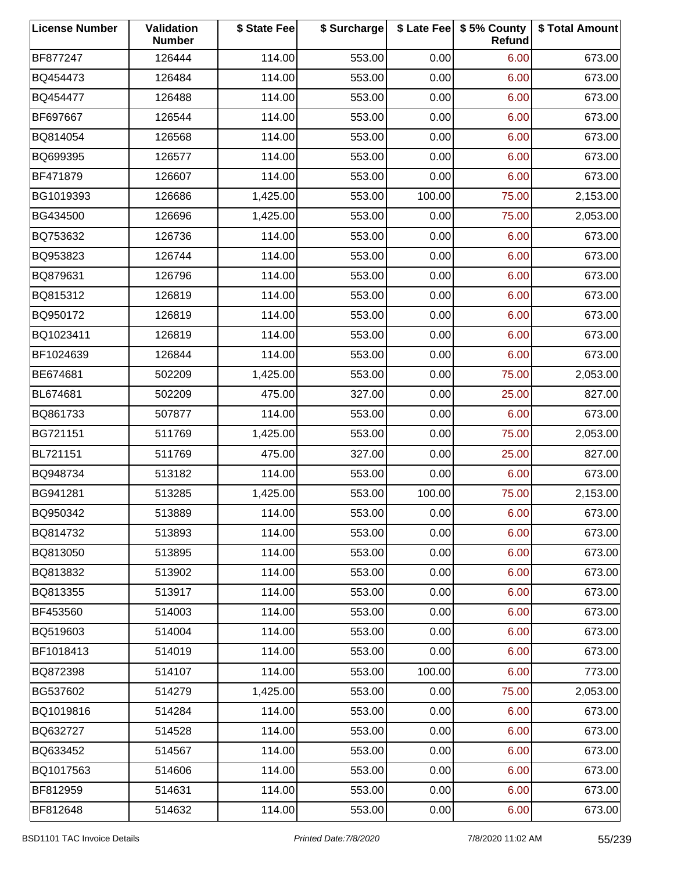| <b>License Number</b> | Validation<br><b>Number</b> | \$ State Fee | \$ Surcharge |        | \$ Late Fee   \$5% County<br>Refund | \$ Total Amount |
|-----------------------|-----------------------------|--------------|--------------|--------|-------------------------------------|-----------------|
| BF877247              | 126444                      | 114.00       | 553.00       | 0.00   | 6.00                                | 673.00          |
| BQ454473              | 126484                      | 114.00       | 553.00       | 0.00   | 6.00                                | 673.00          |
| BQ454477              | 126488                      | 114.00       | 553.00       | 0.00   | 6.00                                | 673.00          |
| BF697667              | 126544                      | 114.00       | 553.00       | 0.00   | 6.00                                | 673.00          |
| BQ814054              | 126568                      | 114.00       | 553.00       | 0.00   | 6.00                                | 673.00          |
| BQ699395              | 126577                      | 114.00       | 553.00       | 0.00   | 6.00                                | 673.00          |
| BF471879              | 126607                      | 114.00       | 553.00       | 0.00   | 6.00                                | 673.00          |
| BG1019393             | 126686                      | 1,425.00     | 553.00       | 100.00 | 75.00                               | 2,153.00        |
| BG434500              | 126696                      | 1,425.00     | 553.00       | 0.00   | 75.00                               | 2,053.00        |
| BQ753632              | 126736                      | 114.00       | 553.00       | 0.00   | 6.00                                | 673.00          |
| BQ953823              | 126744                      | 114.00       | 553.00       | 0.00   | 6.00                                | 673.00          |
| BQ879631              | 126796                      | 114.00       | 553.00       | 0.00   | 6.00                                | 673.00          |
| BQ815312              | 126819                      | 114.00       | 553.00       | 0.00   | 6.00                                | 673.00          |
| BQ950172              | 126819                      | 114.00       | 553.00       | 0.00   | 6.00                                | 673.00          |
| BQ1023411             | 126819                      | 114.00       | 553.00       | 0.00   | 6.00                                | 673.00          |
| BF1024639             | 126844                      | 114.00       | 553.00       | 0.00   | 6.00                                | 673.00          |
| BE674681              | 502209                      | 1,425.00     | 553.00       | 0.00   | 75.00                               | 2,053.00        |
| BL674681              | 502209                      | 475.00       | 327.00       | 0.00   | 25.00                               | 827.00          |
| BQ861733              | 507877                      | 114.00       | 553.00       | 0.00   | 6.00                                | 673.00          |
| BG721151              | 511769                      | 1,425.00     | 553.00       | 0.00   | 75.00                               | 2,053.00        |
| BL721151              | 511769                      | 475.00       | 327.00       | 0.00   | 25.00                               | 827.00          |
| BQ948734              | 513182                      | 114.00       | 553.00       | 0.00   | 6.00                                | 673.00          |
| BG941281              | 513285                      | 1,425.00     | 553.00       | 100.00 | 75.00                               | 2,153.00        |
| BQ950342              | 513889                      | 114.00       | 553.00       | 0.00   | 6.00                                | 673.00          |
| BQ814732              | 513893                      | 114.00       | 553.00       | 0.00   | 6.00                                | 673.00          |
| BQ813050              | 513895                      | 114.00       | 553.00       | 0.00   | 6.00                                | 673.00          |
| BQ813832              | 513902                      | 114.00       | 553.00       | 0.00   | 6.00                                | 673.00          |
| BQ813355              | 513917                      | 114.00       | 553.00       | 0.00   | 6.00                                | 673.00          |
| BF453560              | 514003                      | 114.00       | 553.00       | 0.00   | 6.00                                | 673.00          |
| BQ519603              | 514004                      | 114.00       | 553.00       | 0.00   | 6.00                                | 673.00          |
| BF1018413             | 514019                      | 114.00       | 553.00       | 0.00   | 6.00                                | 673.00          |
| BQ872398              | 514107                      | 114.00       | 553.00       | 100.00 | 6.00                                | 773.00          |
| BG537602              | 514279                      | 1,425.00     | 553.00       | 0.00   | 75.00                               | 2,053.00        |
| BQ1019816             | 514284                      | 114.00       | 553.00       | 0.00   | 6.00                                | 673.00          |
| BQ632727              | 514528                      | 114.00       | 553.00       | 0.00   | 6.00                                | 673.00          |
| BQ633452              | 514567                      | 114.00       | 553.00       | 0.00   | 6.00                                | 673.00          |
| BQ1017563             | 514606                      | 114.00       | 553.00       | 0.00   | 6.00                                | 673.00          |
| BF812959              | 514631                      | 114.00       | 553.00       | 0.00   | 6.00                                | 673.00          |
| BF812648              | 514632                      | 114.00       | 553.00       | 0.00   | 6.00                                | 673.00          |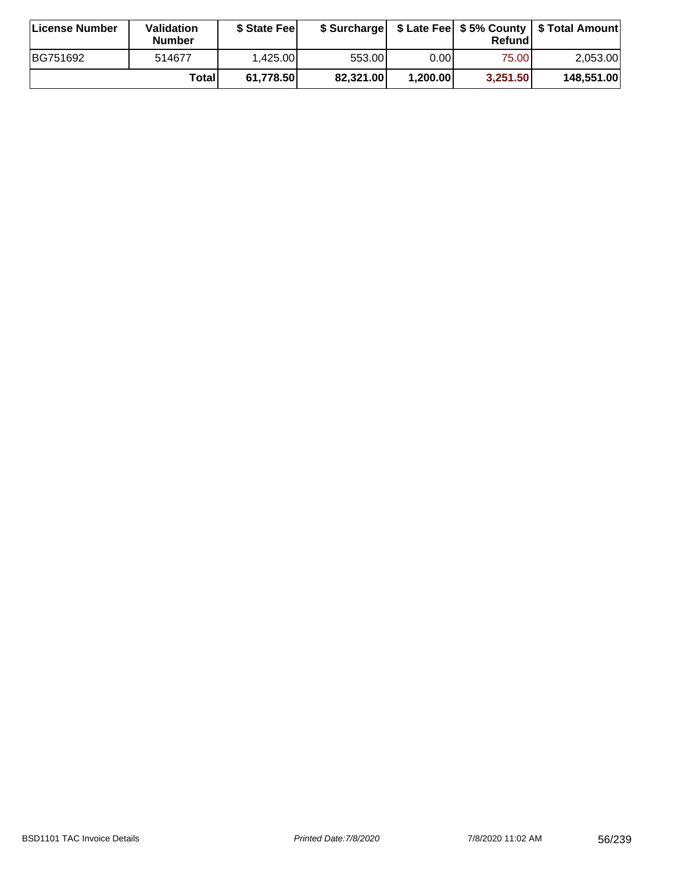| ∣License Number | Validation<br><b>Number</b> | \$ State Fee | \$ Surcharge |          | Refundl  | \$ Late Fee   \$5% County   \$ Total Amount |
|-----------------|-----------------------------|--------------|--------------|----------|----------|---------------------------------------------|
| BG751692        | 514677                      | 1.425.00     | 553.001      | 0.001    | 75.00    | 2,053.00                                    |
|                 | Totall                      | 61,778.50    | 82,321.00    | 1,200.00 | 3,251.50 | 148,551.00                                  |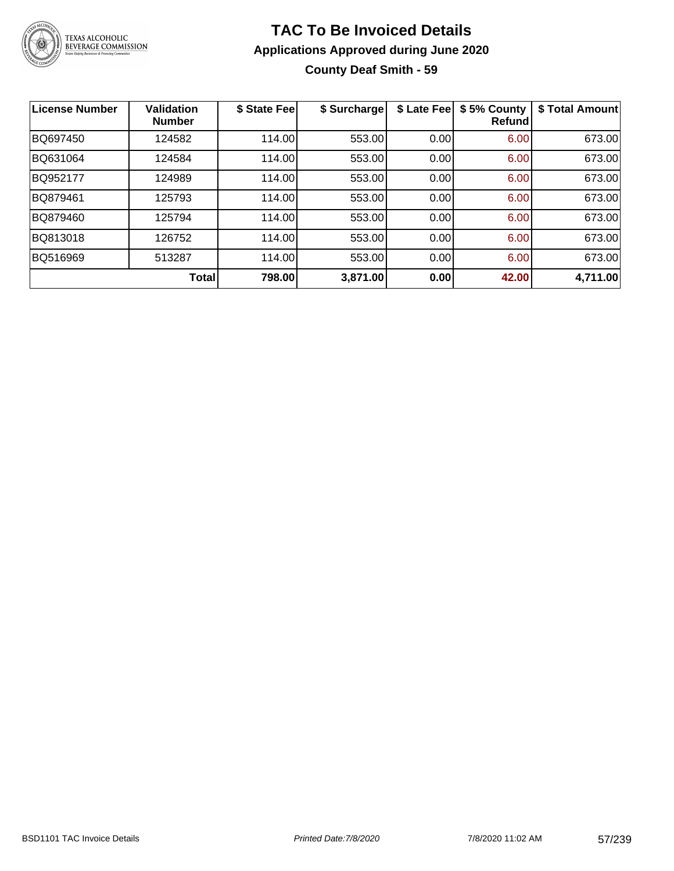

## **TAC To Be Invoiced Details Applications Approved during June 2020 County Deaf Smith - 59**

| <b>License Number</b> | <b>Validation</b><br><b>Number</b> | \$ State Fee | \$ Surcharge | \$ Late Fee | \$5% County<br><b>Refund</b> | \$ Total Amount |
|-----------------------|------------------------------------|--------------|--------------|-------------|------------------------------|-----------------|
| BQ697450              | 124582                             | 114.00       | 553.00       | 0.00        | 6.00                         | 673.00          |
| BQ631064              | 124584                             | 114.00       | 553.00       | 0.00        | 6.00                         | 673.00          |
| BQ952177              | 124989                             | 114.00       | 553.00       | 0.00        | 6.00                         | 673.00          |
| BQ879461              | 125793                             | 114.00       | 553.00       | 0.00        | 6.00                         | 673.00          |
| BQ879460              | 125794                             | 114.00       | 553.00       | 0.00        | 6.00                         | 673.00          |
| BQ813018              | 126752                             | 114.00       | 553.00       | 0.00        | 6.00                         | 673.00          |
| BQ516969              | 513287                             | 114.00       | 553.00       | 0.00        | 6.00                         | 673.00          |
|                       | <b>Total</b>                       | 798.00       | 3,871.00     | 0.00        | 42.00                        | 4,711.00        |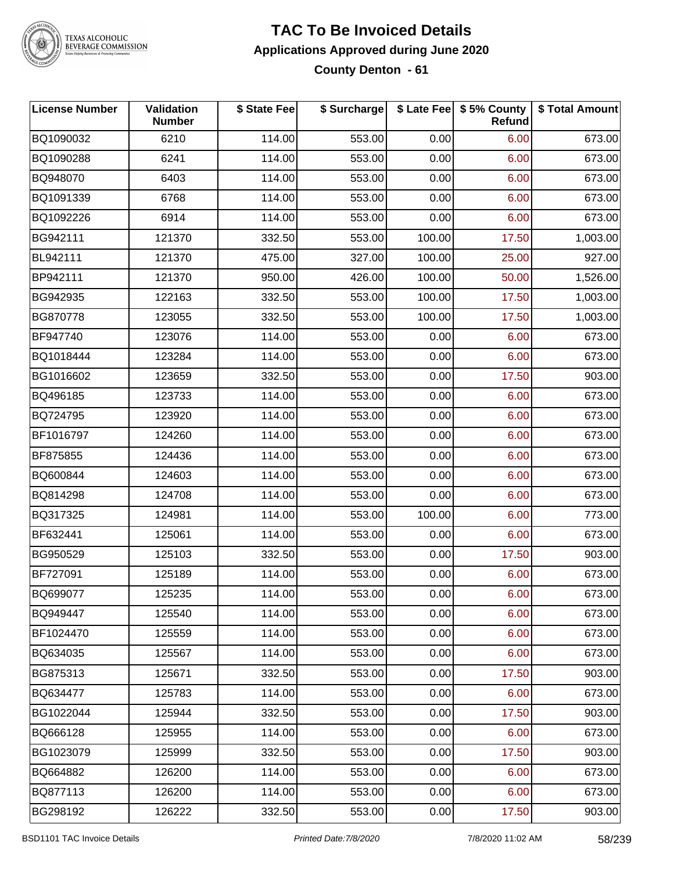

### **TAC To Be Invoiced Details Applications Approved during June 2020 County Denton - 61**

| <b>License Number</b> | Validation<br><b>Number</b> | \$ State Fee | \$ Surcharge |        | \$ Late Fee \$5% County<br>Refund | \$ Total Amount |
|-----------------------|-----------------------------|--------------|--------------|--------|-----------------------------------|-----------------|
| BQ1090032             | 6210                        | 114.00       | 553.00       | 0.00   | 6.00                              | 673.00          |
| BQ1090288             | 6241                        | 114.00       | 553.00       | 0.00   | 6.00                              | 673.00          |
| BQ948070              | 6403                        | 114.00       | 553.00       | 0.00   | 6.00                              | 673.00          |
| BQ1091339             | 6768                        | 114.00       | 553.00       | 0.00   | 6.00                              | 673.00          |
| BQ1092226             | 6914                        | 114.00       | 553.00       | 0.00   | 6.00                              | 673.00          |
| BG942111              | 121370                      | 332.50       | 553.00       | 100.00 | 17.50                             | 1,003.00        |
| BL942111              | 121370                      | 475.00       | 327.00       | 100.00 | 25.00                             | 927.00          |
| BP942111              | 121370                      | 950.00       | 426.00       | 100.00 | 50.00                             | 1,526.00        |
| BG942935              | 122163                      | 332.50       | 553.00       | 100.00 | 17.50                             | 1,003.00        |
| BG870778              | 123055                      | 332.50       | 553.00       | 100.00 | 17.50                             | 1,003.00        |
| BF947740              | 123076                      | 114.00       | 553.00       | 0.00   | 6.00                              | 673.00          |
| BQ1018444             | 123284                      | 114.00       | 553.00       | 0.00   | 6.00                              | 673.00          |
| BG1016602             | 123659                      | 332.50       | 553.00       | 0.00   | 17.50                             | 903.00          |
| BQ496185              | 123733                      | 114.00       | 553.00       | 0.00   | 6.00                              | 673.00          |
| BQ724795              | 123920                      | 114.00       | 553.00       | 0.00   | 6.00                              | 673.00          |
| BF1016797             | 124260                      | 114.00       | 553.00       | 0.00   | 6.00                              | 673.00          |
| BF875855              | 124436                      | 114.00       | 553.00       | 0.00   | 6.00                              | 673.00          |
| BQ600844              | 124603                      | 114.00       | 553.00       | 0.00   | 6.00                              | 673.00          |
| BQ814298              | 124708                      | 114.00       | 553.00       | 0.00   | 6.00                              | 673.00          |
| BQ317325              | 124981                      | 114.00       | 553.00       | 100.00 | 6.00                              | 773.00          |
| BF632441              | 125061                      | 114.00       | 553.00       | 0.00   | 6.00                              | 673.00          |
| BG950529              | 125103                      | 332.50       | 553.00       | 0.00   | 17.50                             | 903.00          |
| BF727091              | 125189                      | 114.00       | 553.00       | 0.00   | 6.00                              | 673.00          |
| BQ699077              | 125235                      | 114.00       | 553.00       | 0.00   | 6.00                              | 673.00          |
| BQ949447              | 125540                      | 114.00       | 553.00       | 0.00   | 6.00                              | 673.00          |
| BF1024470             | 125559                      | 114.00       | 553.00       | 0.00   | 6.00                              | 673.00          |
| BQ634035              | 125567                      | 114.00       | 553.00       | 0.00   | 6.00                              | 673.00          |
| BG875313              | 125671                      | 332.50       | 553.00       | 0.00   | 17.50                             | 903.00          |
| BQ634477              | 125783                      | 114.00       | 553.00       | 0.00   | 6.00                              | 673.00          |
| BG1022044             | 125944                      | 332.50       | 553.00       | 0.00   | 17.50                             | 903.00          |
| BQ666128              | 125955                      | 114.00       | 553.00       | 0.00   | 6.00                              | 673.00          |
| BG1023079             | 125999                      | 332.50       | 553.00       | 0.00   | 17.50                             | 903.00          |
| BQ664882              | 126200                      | 114.00       | 553.00       | 0.00   | 6.00                              | 673.00          |
| BQ877113              | 126200                      | 114.00       | 553.00       | 0.00   | 6.00                              | 673.00          |
| BG298192              | 126222                      | 332.50       | 553.00       | 0.00   | 17.50                             | 903.00          |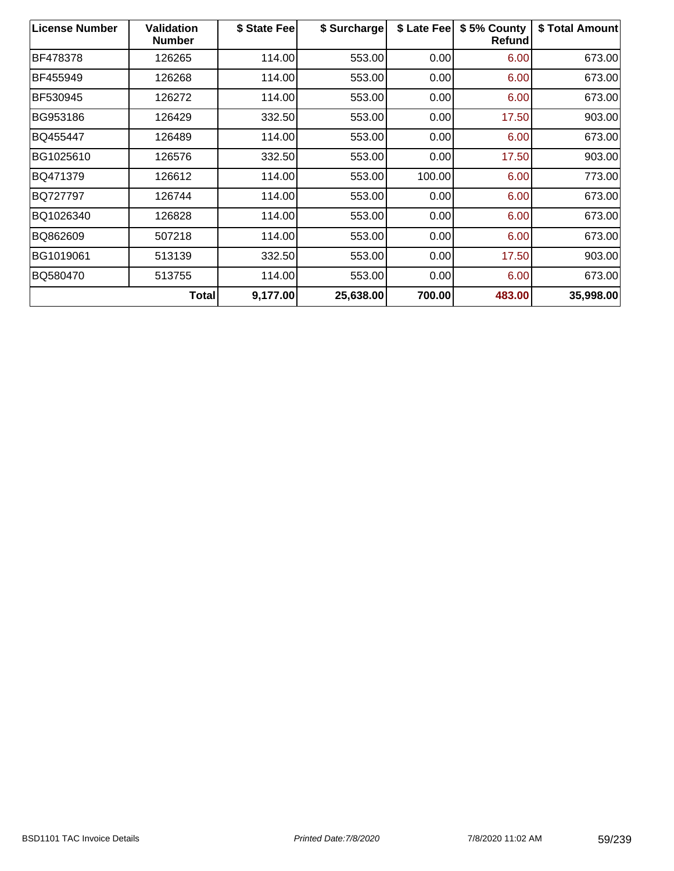| <b>License Number</b> | <b>Validation</b><br><b>Number</b> | \$ State Fee | \$ Surcharge | \$ Late Fee | \$5% County<br>Refund | \$ Total Amount |
|-----------------------|------------------------------------|--------------|--------------|-------------|-----------------------|-----------------|
| BF478378              | 126265                             | 114.00       | 553.00       | 0.00        | 6.00                  | 673.00          |
| BF455949              | 126268                             | 114.00       | 553.00       | 0.00        | 6.00                  | 673.00          |
| BF530945              | 126272                             | 114.00       | 553.00       | 0.00        | 6.00                  | 673.00          |
| BG953186              | 126429                             | 332.50       | 553.00       | 0.00        | 17.50                 | 903.00          |
| BQ455447              | 126489                             | 114.00       | 553.00       | 0.00        | 6.00                  | 673.00          |
| BG1025610             | 126576                             | 332.50       | 553.00       | 0.00        | 17.50                 | 903.00          |
| BQ471379              | 126612                             | 114.00       | 553.00       | 100.00      | 6.00                  | 773.00          |
| BQ727797              | 126744                             | 114.00       | 553.00       | 0.00        | 6.00                  | 673.00          |
| BQ1026340             | 126828                             | 114.00       | 553.00       | 0.00        | 6.00                  | 673.00          |
| BQ862609              | 507218                             | 114.00       | 553.00       | 0.00        | 6.00                  | 673.00          |
| BG1019061             | 513139                             | 332.50       | 553.00       | 0.00        | 17.50                 | 903.00          |
| BQ580470              | 513755                             | 114.00       | 553.00       | 0.00        | 6.00                  | 673.00          |
|                       | <b>Total</b>                       | 9,177.00     | 25,638.00    | 700.00      | 483.00                | 35,998.00       |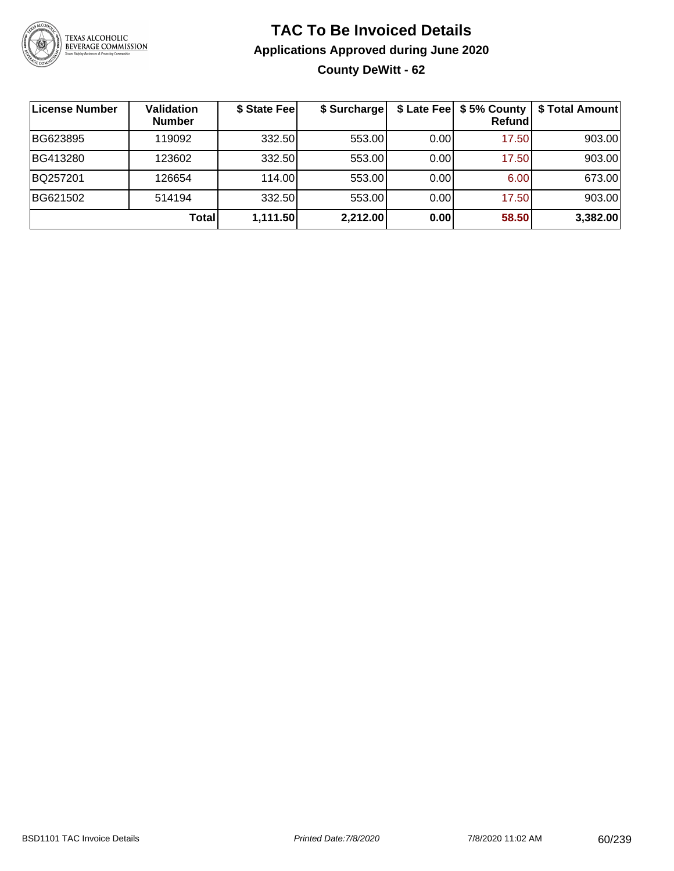

## **TAC To Be Invoiced Details Applications Approved during June 2020 County DeWitt - 62**

| License Number | <b>Validation</b><br><b>Number</b> | \$ State Fee | \$ Surcharge |      | Refundl | \$ Late Fee   \$5% County   \$ Total Amount |
|----------------|------------------------------------|--------------|--------------|------|---------|---------------------------------------------|
| BG623895       | 119092                             | 332.50       | 553.00       | 0.00 | 17.50   | 903.00                                      |
| BG413280       | 123602                             | 332.50       | 553.00       | 0.00 | 17.50   | 903.00                                      |
| BQ257201       | 126654                             | 114.00       | 553.00       | 0.00 | 6.00    | 673.00                                      |
| BG621502       | 514194                             | 332.50       | 553.00       | 0.00 | 17.50   | 903.00                                      |
|                | Total                              | 1,111.50     | 2,212.00     | 0.00 | 58.50   | 3,382.00                                    |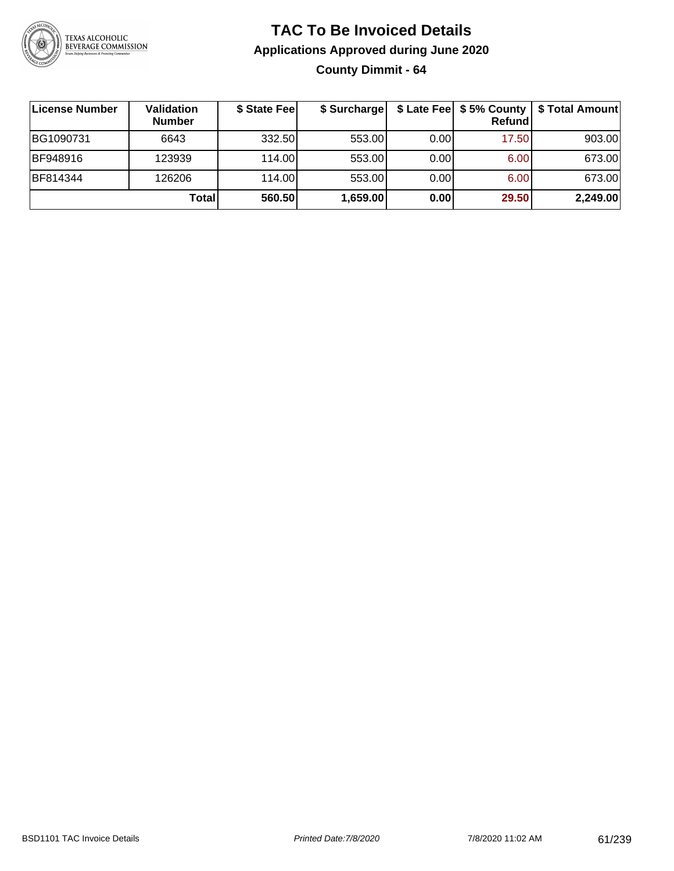

## **TAC To Be Invoiced Details Applications Approved during June 2020 County Dimmit - 64**

| License Number | <b>Validation</b><br><b>Number</b> | \$ State Fee | \$ Surcharge |       | $$$ Late Fee $$$ \$ 5% County  <br><b>Refund</b> | \$ Total Amount |
|----------------|------------------------------------|--------------|--------------|-------|--------------------------------------------------|-----------------|
| BG1090731      | 6643                               | 332.50       | 553.00       | 0.001 | 17.50                                            | 903.00          |
| BF948916       | 123939                             | 114.00L      | 553.00       | 0.00  | 6.00                                             | 673.00          |
| BF814344       | 126206                             | 114.00       | 553.00       | 0.00  | 6.00                                             | 673.00          |
|                | Total                              | 560.50       | 1,659.00     | 0.00  | 29.50                                            | 2,249.00        |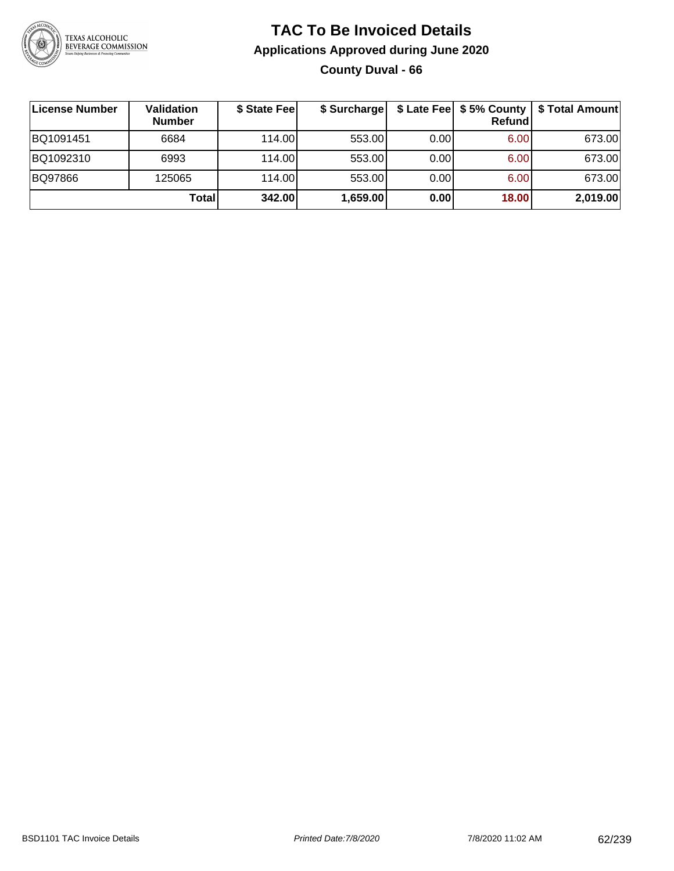

## **TAC To Be Invoiced Details Applications Approved during June 2020 County Duval - 66**

| ∣License Number | <b>Validation</b><br><b>Number</b> | \$ State Feel | \$ Surcharge |      | $$$ Late Fee $$$ 5% County $ $<br>Refund | \$ Total Amount |
|-----------------|------------------------------------|---------------|--------------|------|------------------------------------------|-----------------|
| BQ1091451       | 6684                               | 114.00        | 553.00       | 0.00 | 6.00                                     | 673.00          |
| BQ1092310       | 6993                               | 114.00        | 553.00       | 0.00 | 6.00                                     | 673.00          |
| BQ97866         | 125065                             | 114.00        | 553.00       | 0.00 | 6.00                                     | 673.00          |
|                 | <b>Total</b>                       | 342.00        | 1,659.00     | 0.00 | 18.00                                    | 2,019.00        |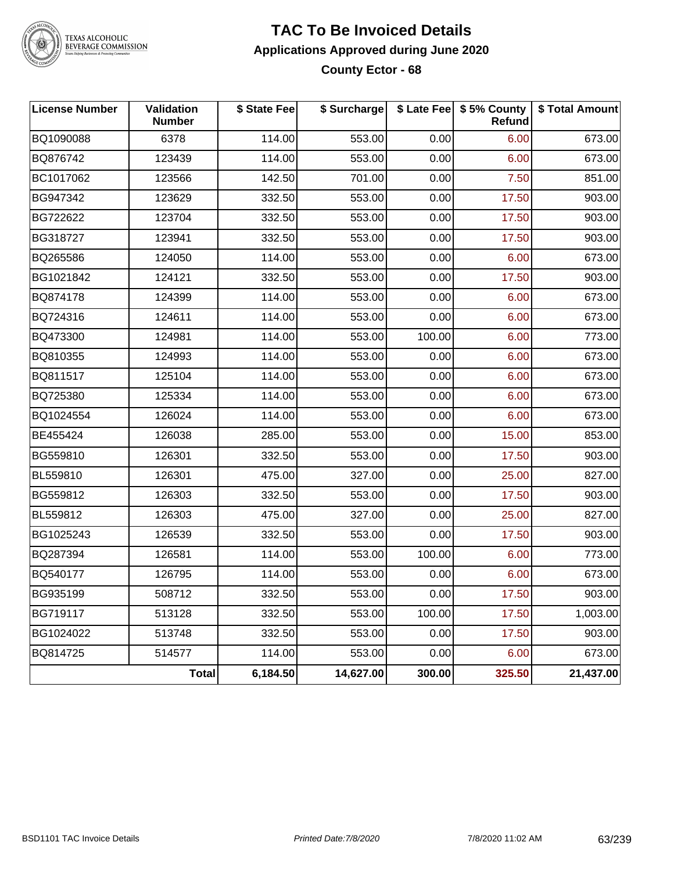

### **TAC To Be Invoiced Details Applications Approved during June 2020 County Ector - 68**

| <b>License Number</b> | Validation<br><b>Number</b> | \$ State Fee | \$ Surcharge |        | \$ Late Fee   \$5% County<br>Refund | \$ Total Amount |
|-----------------------|-----------------------------|--------------|--------------|--------|-------------------------------------|-----------------|
| BQ1090088             | 6378                        | 114.00       | 553.00       | 0.00   | 6.00                                | 673.00          |
| BQ876742              | 123439                      | 114.00       | 553.00       | 0.00   | 6.00                                | 673.00          |
| BC1017062             | 123566                      | 142.50       | 701.00       | 0.00   | 7.50                                | 851.00          |
| BG947342              | 123629                      | 332.50       | 553.00       | 0.00   | 17.50                               | 903.00          |
| BG722622              | 123704                      | 332.50       | 553.00       | 0.00   | 17.50                               | 903.00          |
| BG318727              | 123941                      | 332.50       | 553.00       | 0.00   | 17.50                               | 903.00          |
| BQ265586              | 124050                      | 114.00       | 553.00       | 0.00   | 6.00                                | 673.00          |
| BG1021842             | 124121                      | 332.50       | 553.00       | 0.00   | 17.50                               | 903.00          |
| BQ874178              | 124399                      | 114.00       | 553.00       | 0.00   | 6.00                                | 673.00          |
| BQ724316              | 124611                      | 114.00       | 553.00       | 0.00   | 6.00                                | 673.00          |
| BQ473300              | 124981                      | 114.00       | 553.00       | 100.00 | 6.00                                | 773.00          |
| BQ810355              | 124993                      | 114.00       | 553.00       | 0.00   | 6.00                                | 673.00          |
| BQ811517              | 125104                      | 114.00       | 553.00       | 0.00   | 6.00                                | 673.00          |
| BQ725380              | 125334                      | 114.00       | 553.00       | 0.00   | 6.00                                | 673.00          |
| BQ1024554             | 126024                      | 114.00       | 553.00       | 0.00   | 6.00                                | 673.00          |
| BE455424              | 126038                      | 285.00       | 553.00       | 0.00   | 15.00                               | 853.00          |
| BG559810              | 126301                      | 332.50       | 553.00       | 0.00   | 17.50                               | 903.00          |
| BL559810              | 126301                      | 475.00       | 327.00       | 0.00   | 25.00                               | 827.00          |
| BG559812              | 126303                      | 332.50       | 553.00       | 0.00   | 17.50                               | 903.00          |
| BL559812              | 126303                      | 475.00       | 327.00       | 0.00   | 25.00                               | 827.00          |
| BG1025243             | 126539                      | 332.50       | 553.00       | 0.00   | 17.50                               | 903.00          |
| BQ287394              | 126581                      | 114.00       | 553.00       | 100.00 | 6.00                                | 773.00          |
| BQ540177              | 126795                      | 114.00       | 553.00       | 0.00   | 6.00                                | 673.00          |
| BG935199              | 508712                      | 332.50       | 553.00       | 0.00   | 17.50                               | 903.00          |
| <b>BG719117</b>       | 513128                      | 332.50       | 553.00       | 100.00 | 17.50                               | 1,003.00        |
| BG1024022             | 513748                      | 332.50       | 553.00       | 0.00   | 17.50                               | 903.00          |
| BQ814725              | 514577                      | 114.00       | 553.00       | 0.00   | 6.00                                | 673.00          |
|                       | Total                       | 6,184.50     | 14,627.00    | 300.00 | 325.50                              | 21,437.00       |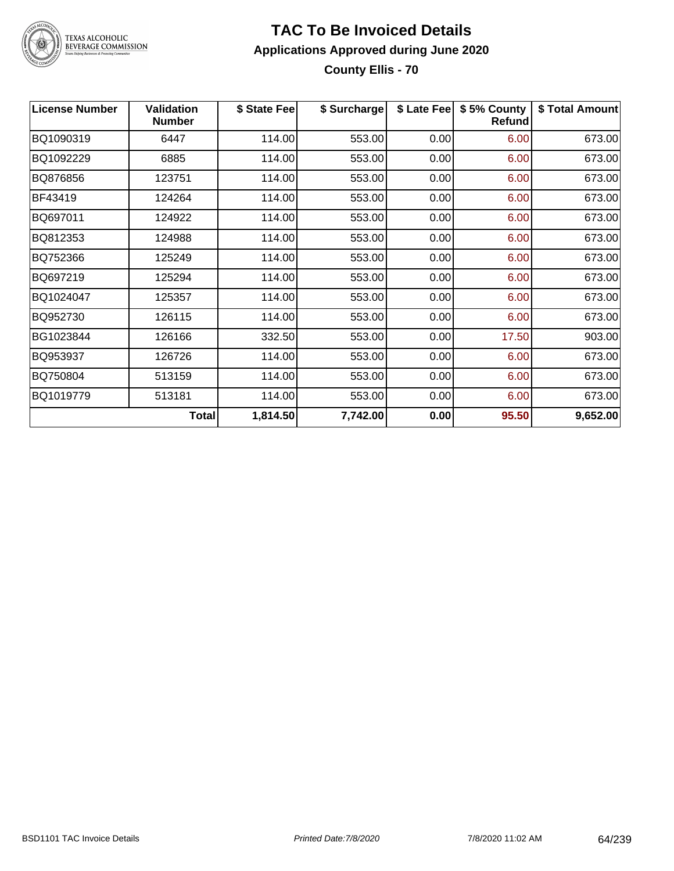

### **TAC To Be Invoiced Details Applications Approved during June 2020 County Ellis - 70**

| <b>License Number</b> | <b>Validation</b><br><b>Number</b> | \$ State Fee | \$ Surcharge |      | \$ Late Fee   \$5% County<br><b>Refund</b> | \$ Total Amount |
|-----------------------|------------------------------------|--------------|--------------|------|--------------------------------------------|-----------------|
| BQ1090319             | 6447                               | 114.00       | 553.00       | 0.00 | 6.00                                       | 673.00          |
| BQ1092229             | 6885                               | 114.00       | 553.00       | 0.00 | 6.00                                       | 673.00          |
| BQ876856              | 123751                             | 114.00       | 553.00       | 0.00 | 6.00                                       | 673.00          |
| BF43419               | 124264                             | 114.00       | 553.00       | 0.00 | 6.00                                       | 673.00          |
| BQ697011              | 124922                             | 114.00       | 553.00       | 0.00 | 6.00                                       | 673.00          |
| BQ812353              | 124988                             | 114.00       | 553.00       | 0.00 | 6.00                                       | 673.00          |
| BQ752366              | 125249                             | 114.00       | 553.00       | 0.00 | 6.00                                       | 673.00          |
| BQ697219              | 125294                             | 114.00       | 553.00       | 0.00 | 6.00                                       | 673.00          |
| BQ1024047             | 125357                             | 114.00       | 553.00       | 0.00 | 6.00                                       | 673.00          |
| BQ952730              | 126115                             | 114.00       | 553.00       | 0.00 | 6.00                                       | 673.00          |
| BG1023844             | 126166                             | 332.50       | 553.00       | 0.00 | 17.50                                      | 903.00          |
| BQ953937              | 126726                             | 114.00       | 553.00       | 0.00 | 6.00                                       | 673.00          |
| BQ750804              | 513159                             | 114.00       | 553.00       | 0.00 | 6.00                                       | 673.00          |
| BQ1019779             | 513181                             | 114.00       | 553.00       | 0.00 | 6.00                                       | 673.00          |
|                       | Total                              | 1,814.50     | 7,742.00     | 0.00 | 95.50                                      | 9,652.00        |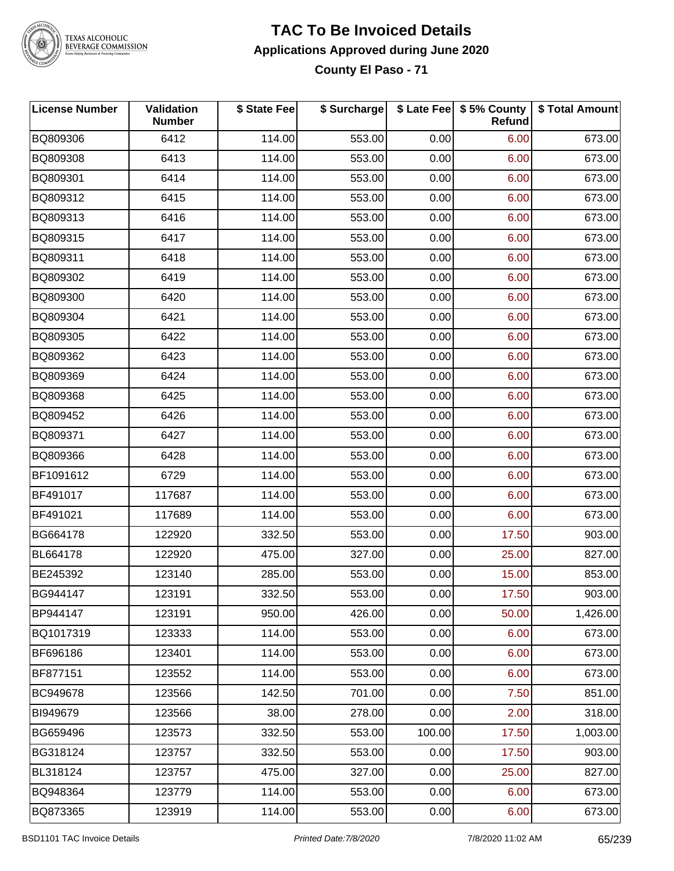

### **TAC To Be Invoiced Details Applications Approved during June 2020 County El Paso - 71**

| <b>License Number</b> | Validation<br><b>Number</b> | \$ State Fee | \$ Surcharge |        | \$ Late Fee   \$5% County  <br>Refund | \$ Total Amount |
|-----------------------|-----------------------------|--------------|--------------|--------|---------------------------------------|-----------------|
| BQ809306              | 6412                        | 114.00       | 553.00       | 0.00   | 6.00                                  | 673.00          |
| BQ809308              | 6413                        | 114.00       | 553.00       | 0.00   | 6.00                                  | 673.00          |
| BQ809301              | 6414                        | 114.00       | 553.00       | 0.00   | 6.00                                  | 673.00          |
| BQ809312              | 6415                        | 114.00       | 553.00       | 0.00   | 6.00                                  | 673.00          |
| BQ809313              | 6416                        | 114.00       | 553.00       | 0.00   | 6.00                                  | 673.00          |
| BQ809315              | 6417                        | 114.00       | 553.00       | 0.00   | 6.00                                  | 673.00          |
| BQ809311              | 6418                        | 114.00       | 553.00       | 0.00   | 6.00                                  | 673.00          |
| BQ809302              | 6419                        | 114.00       | 553.00       | 0.00   | 6.00                                  | 673.00          |
| BQ809300              | 6420                        | 114.00       | 553.00       | 0.00   | 6.00                                  | 673.00          |
| BQ809304              | 6421                        | 114.00       | 553.00       | 0.00   | 6.00                                  | 673.00          |
| BQ809305              | 6422                        | 114.00       | 553.00       | 0.00   | 6.00                                  | 673.00          |
| BQ809362              | 6423                        | 114.00       | 553.00       | 0.00   | 6.00                                  | 673.00          |
| BQ809369              | 6424                        | 114.00       | 553.00       | 0.00   | 6.00                                  | 673.00          |
| BQ809368              | 6425                        | 114.00       | 553.00       | 0.00   | 6.00                                  | 673.00          |
| BQ809452              | 6426                        | 114.00       | 553.00       | 0.00   | 6.00                                  | 673.00          |
| BQ809371              | 6427                        | 114.00       | 553.00       | 0.00   | 6.00                                  | 673.00          |
| BQ809366              | 6428                        | 114.00       | 553.00       | 0.00   | 6.00                                  | 673.00          |
| BF1091612             | 6729                        | 114.00       | 553.00       | 0.00   | 6.00                                  | 673.00          |
| BF491017              | 117687                      | 114.00       | 553.00       | 0.00   | 6.00                                  | 673.00          |
| BF491021              | 117689                      | 114.00       | 553.00       | 0.00   | 6.00                                  | 673.00          |
| BG664178              | 122920                      | 332.50       | 553.00       | 0.00   | 17.50                                 | 903.00          |
| <b>BL664178</b>       | 122920                      | 475.00       | 327.00       | 0.00   | 25.00                                 | 827.00          |
| BE245392              | 123140                      | 285.00       | 553.00       | 0.00   | 15.00                                 | 853.00          |
| BG944147              | 123191                      | 332.50       | 553.00       | 0.00   | 17.50                                 | 903.00          |
| BP944147              | 123191                      | 950.00       | 426.00       | 0.00   | 50.00                                 | 1,426.00        |
| BQ1017319             | 123333                      | 114.00       | 553.00       | 0.00   | 6.00                                  | 673.00          |
| BF696186              | 123401                      | 114.00       | 553.00       | 0.00   | 6.00                                  | 673.00          |
| BF877151              | 123552                      | 114.00       | 553.00       | 0.00   | 6.00                                  | 673.00          |
| BC949678              | 123566                      | 142.50       | 701.00       | 0.00   | 7.50                                  | 851.00          |
| BI949679              | 123566                      | 38.00        | 278.00       | 0.00   | 2.00                                  | 318.00          |
| BG659496              | 123573                      | 332.50       | 553.00       | 100.00 | 17.50                                 | 1,003.00        |
| BG318124              | 123757                      | 332.50       | 553.00       | 0.00   | 17.50                                 | 903.00          |
| BL318124              | 123757                      | 475.00       | 327.00       | 0.00   | 25.00                                 | 827.00          |
| BQ948364              | 123779                      | 114.00       | 553.00       | 0.00   | 6.00                                  | 673.00          |
| BQ873365              | 123919                      | 114.00       | 553.00       | 0.00   | 6.00                                  | 673.00          |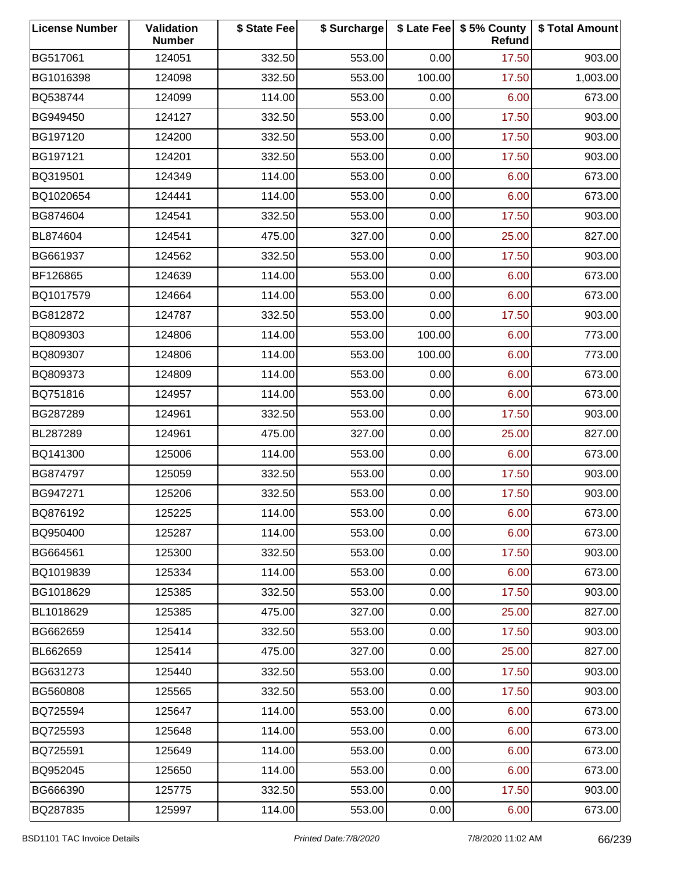| <b>License Number</b> | Validation<br><b>Number</b> | \$ State Fee | \$ Surcharge |        | \$ Late Fee   \$5% County<br>Refund | \$ Total Amount |
|-----------------------|-----------------------------|--------------|--------------|--------|-------------------------------------|-----------------|
| BG517061              | 124051                      | 332.50       | 553.00       | 0.00   | 17.50                               | 903.00          |
| BG1016398             | 124098                      | 332.50       | 553.00       | 100.00 | 17.50                               | 1,003.00        |
| BQ538744              | 124099                      | 114.00       | 553.00       | 0.00   | 6.00                                | 673.00          |
| BG949450              | 124127                      | 332.50       | 553.00       | 0.00   | 17.50                               | 903.00          |
| BG197120              | 124200                      | 332.50       | 553.00       | 0.00   | 17.50                               | 903.00          |
| BG197121              | 124201                      | 332.50       | 553.00       | 0.00   | 17.50                               | 903.00          |
| BQ319501              | 124349                      | 114.00       | 553.00       | 0.00   | 6.00                                | 673.00          |
| BQ1020654             | 124441                      | 114.00       | 553.00       | 0.00   | 6.00                                | 673.00          |
| BG874604              | 124541                      | 332.50       | 553.00       | 0.00   | 17.50                               | 903.00          |
| BL874604              | 124541                      | 475.00       | 327.00       | 0.00   | 25.00                               | 827.00          |
| BG661937              | 124562                      | 332.50       | 553.00       | 0.00   | 17.50                               | 903.00          |
| BF126865              | 124639                      | 114.00       | 553.00       | 0.00   | 6.00                                | 673.00          |
| BQ1017579             | 124664                      | 114.00       | 553.00       | 0.00   | 6.00                                | 673.00          |
| BG812872              | 124787                      | 332.50       | 553.00       | 0.00   | 17.50                               | 903.00          |
| BQ809303              | 124806                      | 114.00       | 553.00       | 100.00 | 6.00                                | 773.00          |
| BQ809307              | 124806                      | 114.00       | 553.00       | 100.00 | 6.00                                | 773.00          |
| BQ809373              | 124809                      | 114.00       | 553.00       | 0.00   | 6.00                                | 673.00          |
| BQ751816              | 124957                      | 114.00       | 553.00       | 0.00   | 6.00                                | 673.00          |
| BG287289              | 124961                      | 332.50       | 553.00       | 0.00   | 17.50                               | 903.00          |
| BL287289              | 124961                      | 475.00       | 327.00       | 0.00   | 25.00                               | 827.00          |
| BQ141300              | 125006                      | 114.00       | 553.00       | 0.00   | 6.00                                | 673.00          |
| BG874797              | 125059                      | 332.50       | 553.00       | 0.00   | 17.50                               | 903.00          |
| BG947271              | 125206                      | 332.50       | 553.00       | 0.00   | 17.50                               | 903.00          |
| BQ876192              | 125225                      | 114.00       | 553.00       | 0.00   | 6.00                                | 673.00          |
| BQ950400              | 125287                      | 114.00       | 553.00       | 0.00   | 6.00                                | 673.00          |
| BG664561              | 125300                      | 332.50       | 553.00       | 0.00   | 17.50                               | 903.00          |
| BQ1019839             | 125334                      | 114.00       | 553.00       | 0.00   | 6.00                                | 673.00          |
| BG1018629             | 125385                      | 332.50       | 553.00       | 0.00   | 17.50                               | 903.00          |
| BL1018629             | 125385                      | 475.00       | 327.00       | 0.00   | 25.00                               | 827.00          |
| BG662659              | 125414                      | 332.50       | 553.00       | 0.00   | 17.50                               | 903.00          |
| BL662659              | 125414                      | 475.00       | 327.00       | 0.00   | 25.00                               | 827.00          |
| BG631273              | 125440                      | 332.50       | 553.00       | 0.00   | 17.50                               | 903.00          |
| BG560808              | 125565                      | 332.50       | 553.00       | 0.00   | 17.50                               | 903.00          |
| BQ725594              | 125647                      | 114.00       | 553.00       | 0.00   | 6.00                                | 673.00          |
| BQ725593              | 125648                      | 114.00       | 553.00       | 0.00   | 6.00                                | 673.00          |
| BQ725591              | 125649                      | 114.00       | 553.00       | 0.00   | 6.00                                | 673.00          |
| BQ952045              | 125650                      | 114.00       | 553.00       | 0.00   | 6.00                                | 673.00          |
| BG666390              | 125775                      | 332.50       | 553.00       | 0.00   | 17.50                               | 903.00          |
| BQ287835              | 125997                      | 114.00       | 553.00       | 0.00   | 6.00                                | 673.00          |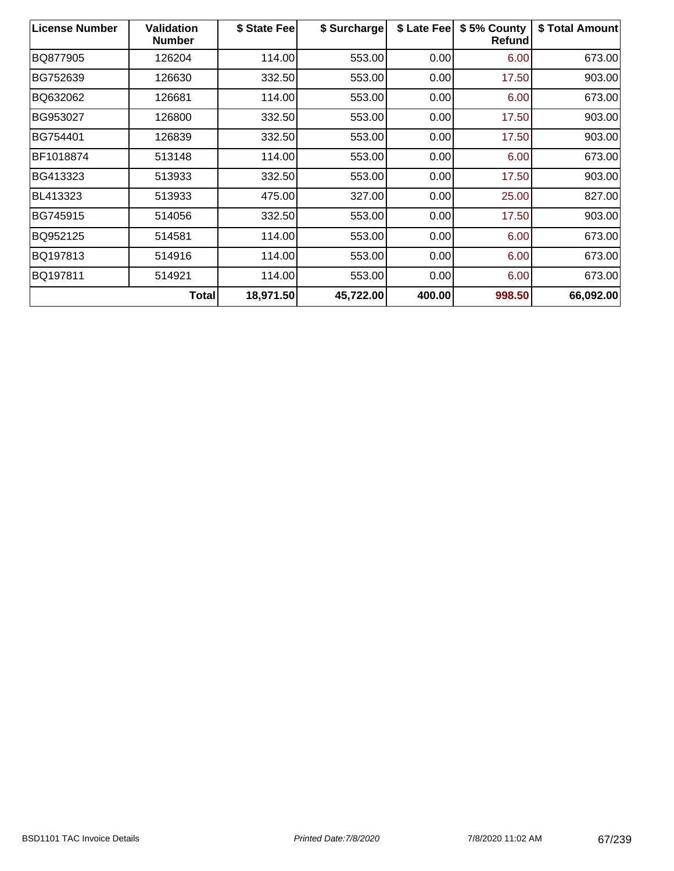| <b>License Number</b> | <b>Validation</b><br><b>Number</b> | \$ State Feel | \$ Surcharge | \$ Late Fee | \$5% County<br>Refund | \$ Total Amount |
|-----------------------|------------------------------------|---------------|--------------|-------------|-----------------------|-----------------|
| BQ877905              | 126204                             | 114.00        | 553.00       | 0.00        | 6.00                  | 673.00          |
| BG752639              | 126630                             | 332.50        | 553.00       | 0.00        | 17.50                 | 903.00          |
| BQ632062              | 126681                             | 114.00        | 553.00       | 0.00        | 6.00                  | 673.00          |
| BG953027              | 126800                             | 332.50        | 553.00       | 0.00        | 17.50                 | 903.00          |
| BG754401              | 126839                             | 332.50        | 553.00       | 0.00        | 17.50                 | 903.00          |
| BF1018874             | 513148                             | 114.00        | 553.00       | 0.00        | 6.00                  | 673.00          |
| BG413323              | 513933                             | 332.50        | 553.00       | 0.00        | 17.50                 | 903.00          |
| BL413323              | 513933                             | 475.00        | 327.00       | 0.00        | 25.00                 | 827.00          |
| BG745915              | 514056                             | 332.50        | 553.00       | 0.00        | 17.50                 | 903.00          |
| BQ952125              | 514581                             | 114.00        | 553.00       | 0.00        | 6.00                  | 673.00          |
| BQ197813              | 514916                             | 114.00        | 553.00       | 0.00        | 6.00                  | 673.00          |
| BQ197811              | 514921                             | 114.00        | 553.00       | 0.00        | 6.00                  | 673.00          |
|                       | <b>Total</b>                       | 18,971.50     | 45,722.00    | 400.00      | 998.50                | 66,092.00       |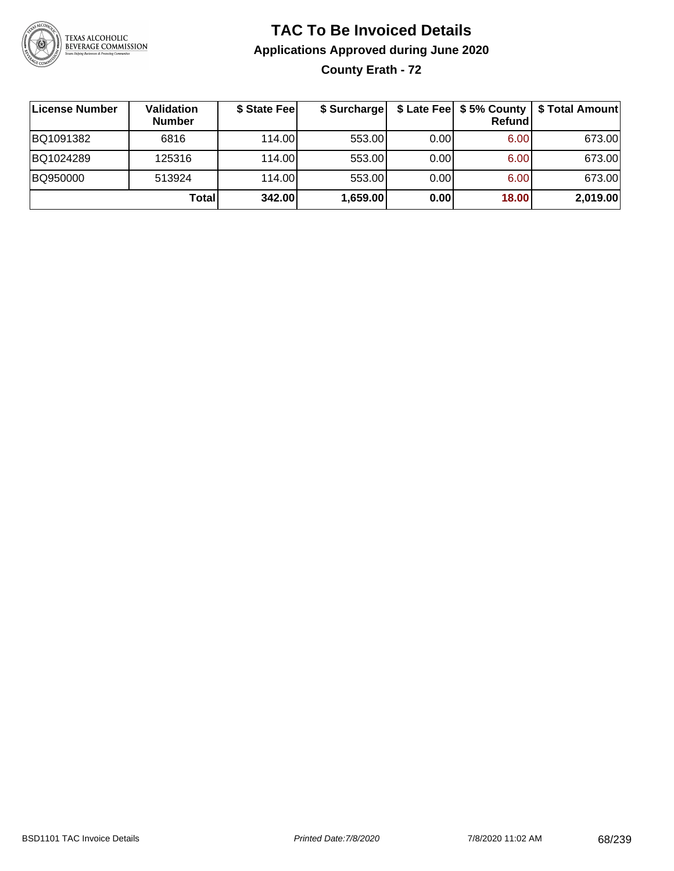

### **TAC To Be Invoiced Details Applications Approved during June 2020 County Erath - 72**

**License Number Validation Number \$ State Fee \$ Surcharge \$ Late Fee \$ 5% County Refund \$ Total Amount** BQ1091382 | 6816 | 114.00| 553.00| 0.00| 6.00| 673.00 BQ1024289 125316 114.00 553.00 0.00 6.00 673.00 BQ950000 | 513924 | 114.00| 553.00| 0.00| 6.00| 673.00 **Total 342.00 1,659.00 0.00 18.00 2,019.00**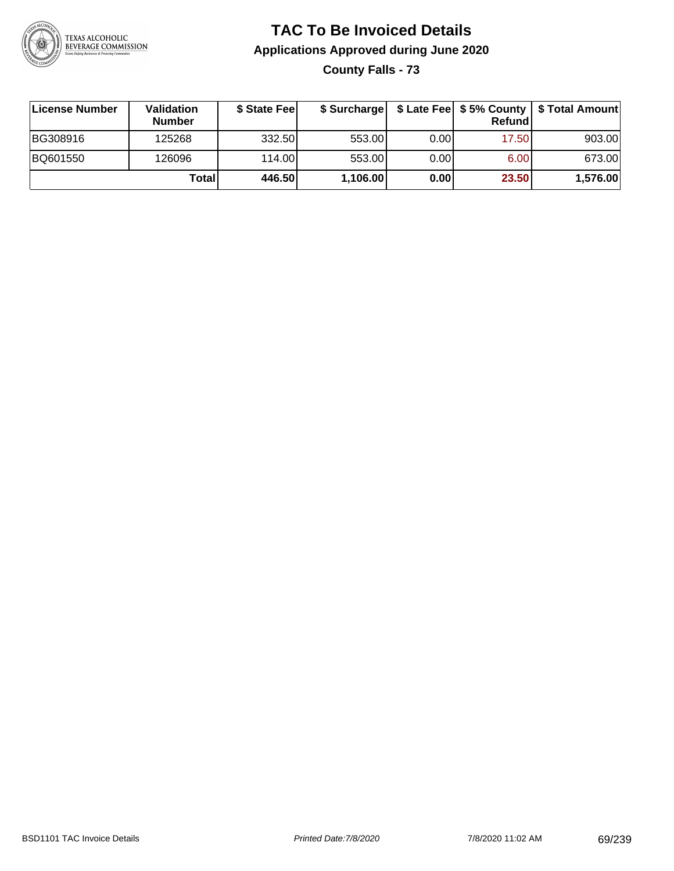

**County Falls - 73**

| ∣License Number | <b>Validation</b><br><b>Number</b> | \$ State Fee |          |       | Refund | \$ Surcharge   \$ Late Fee   \$5% County   \$ Total Amount |
|-----------------|------------------------------------|--------------|----------|-------|--------|------------------------------------------------------------|
| BG308916        | 125268                             | 332.50       | 553.00   | 0.001 | 17.50  | 903.00                                                     |
| BQ601550        | 126096                             | 114.00       | 553.00   | 0.00  | 6.00   | 673.00                                                     |
|                 | Totall                             | 446.50       | 1,106.00 | 0.00  | 23.50  | 1,576.00                                                   |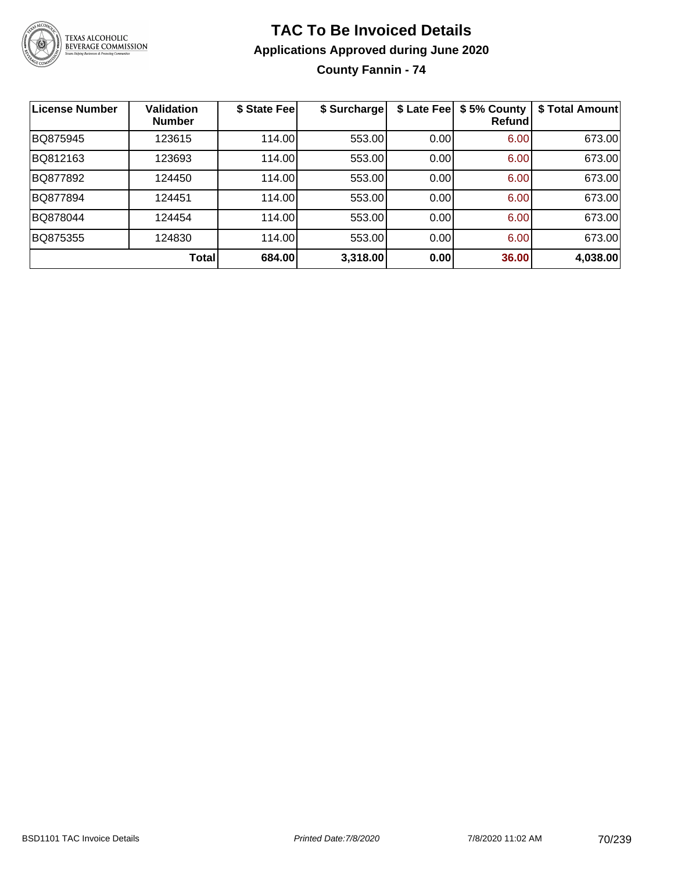

**County Fannin - 74**

| License Number | <b>Validation</b><br><b>Number</b> | \$ State Fee | \$ Surcharge | \$ Late Fee | \$5% County<br>Refundl | \$ Total Amount |
|----------------|------------------------------------|--------------|--------------|-------------|------------------------|-----------------|
| BQ875945       | 123615                             | 114.00       | 553.00       | 0.00        | 6.00                   | 673.00          |
| BQ812163       | 123693                             | 114.00       | 553.00       | 0.00        | 6.00                   | 673.00          |
| BQ877892       | 124450                             | 114.00       | 553.00       | 0.00        | 6.00                   | 673.00          |
| BQ877894       | 124451                             | 114.00       | 553.00       | 0.00        | 6.00                   | 673.00          |
| BQ878044       | 124454                             | 114.00       | 553.00       | 0.00        | 6.00                   | 673.00          |
| BQ875355       | 124830                             | 114.00       | 553.00       | 0.00        | 6.00                   | 673.00          |
|                | Total                              | 684.00       | 3,318.00     | 0.00        | 36.00                  | 4,038.00        |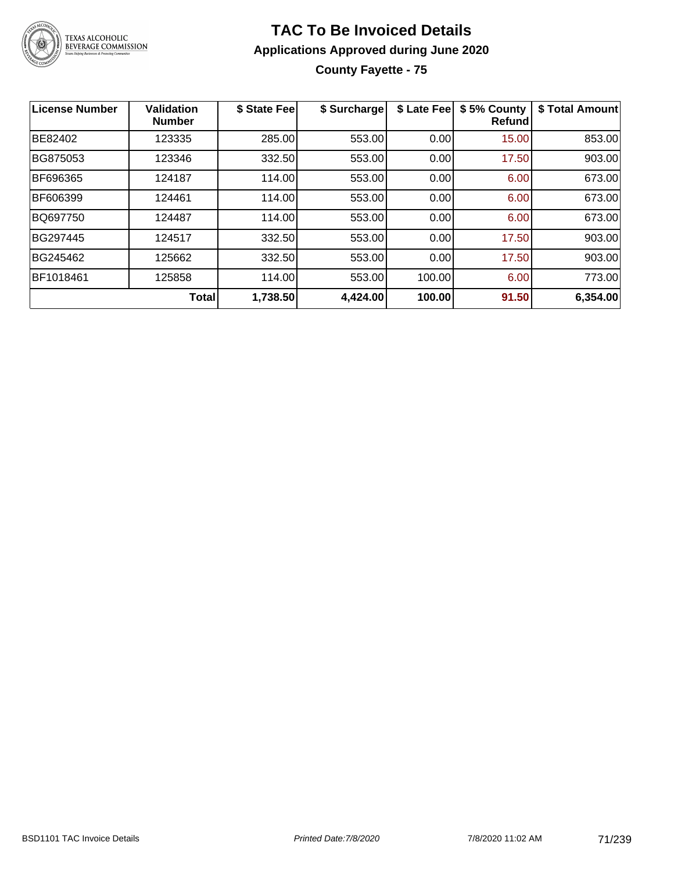

### **TAC To Be Invoiced Details Applications Approved during June 2020 County Fayette - 75**

| License Number | <b>Validation</b><br><b>Number</b> | \$ State Fee | \$ Surcharge | \$ Late Fee | \$5% County<br><b>Refund</b> | \$ Total Amount |
|----------------|------------------------------------|--------------|--------------|-------------|------------------------------|-----------------|
| BE82402        | 123335                             | 285.00       | 553.00       | 0.00        | 15.00                        | 853.00          |
| BG875053       | 123346                             | 332.50       | 553.00       | 0.00        | 17.50                        | 903.00          |
| BF696365       | 124187                             | 114.00       | 553.00       | 0.00        | 6.00                         | 673.00          |
| BF606399       | 124461                             | 114.00       | 553.00       | 0.00        | 6.00                         | 673.00          |
| BQ697750       | 124487                             | 114.00       | 553.00       | 0.00        | 6.00                         | 673.00          |
| BG297445       | 124517                             | 332.50       | 553.00       | 0.00        | 17.50                        | 903.00          |
| BG245462       | 125662                             | 332.50       | 553.00       | 0.00        | 17.50                        | 903.00          |
| BF1018461      | 125858                             | 114.00       | 553.00       | 100.00      | 6.00                         | 773.00          |
|                | <b>Total</b>                       | 1,738.50     | 4,424.00     | 100.00      | 91.50                        | 6,354.00        |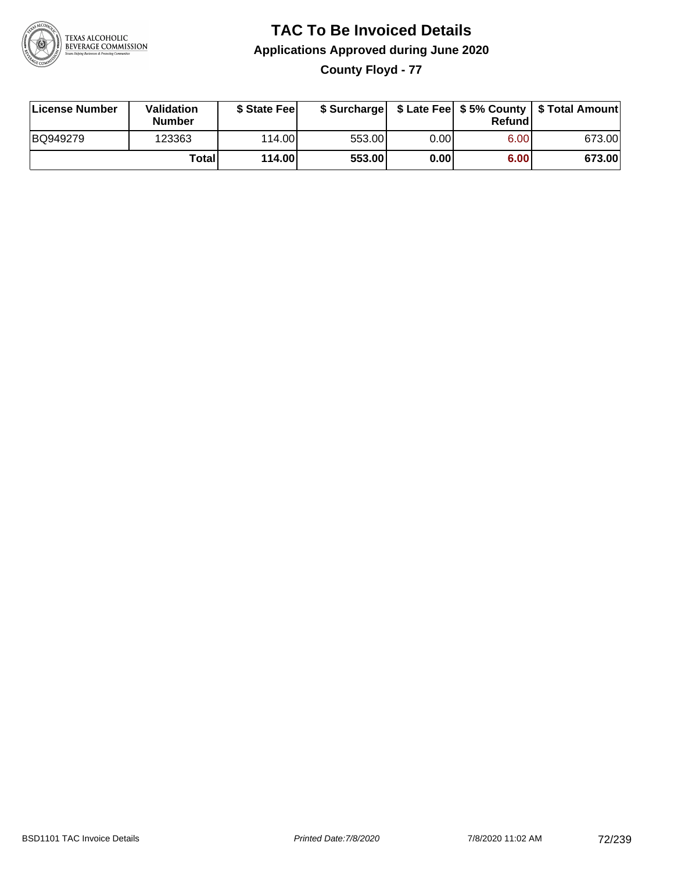

**County Floyd - 77**

| License Number | Validation<br><b>Number</b> | \$ State Fee    | \$ Surcharge |             | Refundl |        |
|----------------|-----------------------------|-----------------|--------------|-------------|---------|--------|
| BQ949279       | 123363                      | 114.00 <b>1</b> | 553.00       | $0.00\vert$ | 6.00    | 673.00 |
|                | Totall                      | 114.00          | 553.00       | 0.00        | 6.00    | 673.00 |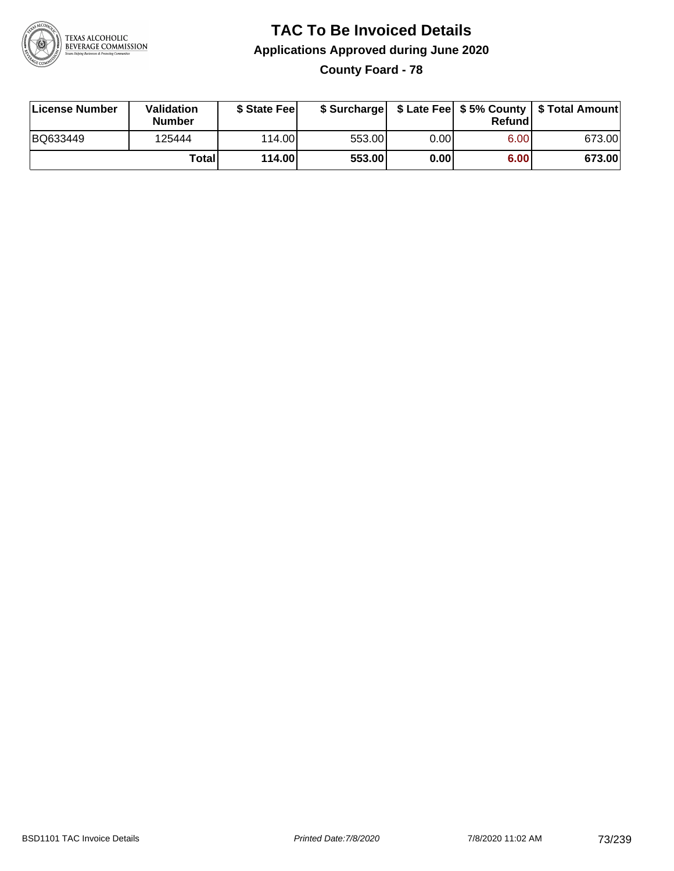

**County Foard - 78**

| License Number | Validation<br><b>Number</b> | \$ State Feel |        |      | Refundl | \$ Surcharge   \$ Late Fee   \$5% County   \$ Total Amount |
|----------------|-----------------------------|---------------|--------|------|---------|------------------------------------------------------------|
| BQ633449       | 125444                      | 114.00        | 553.00 | 0.00 | 6.00    | 673.00                                                     |
|                | Totall                      | 114.00        | 553.00 | 0.00 | 6.00    | 673.00                                                     |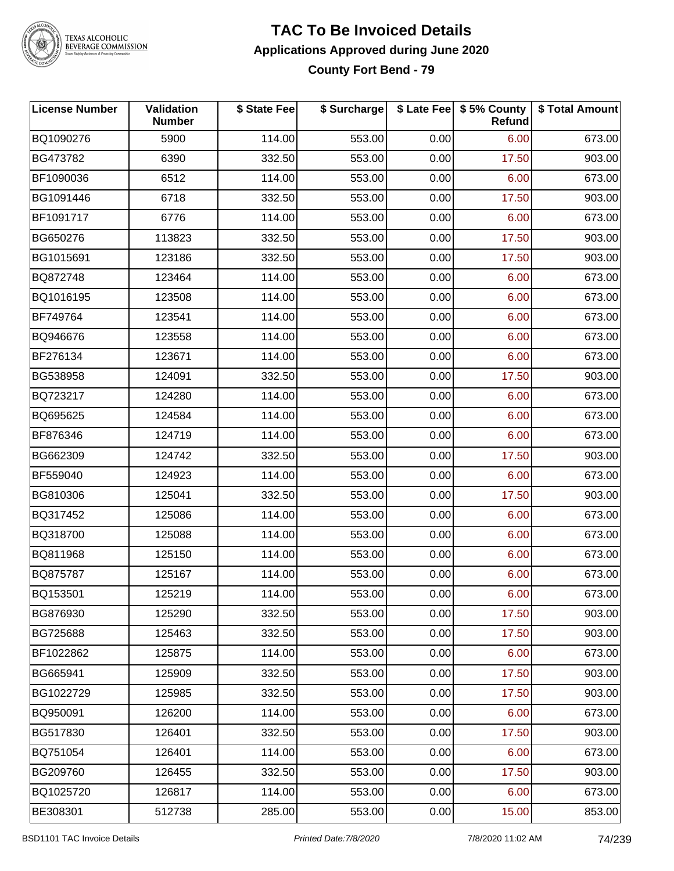

#### **TAC To Be Invoiced Details Applications Approved during June 2020 County Fort Bend - 79**

| <b>License Number</b> | Validation<br><b>Number</b> | \$ State Fee | \$ Surcharge |      | \$ Late Fee   \$5% County<br>Refund | \$ Total Amount |
|-----------------------|-----------------------------|--------------|--------------|------|-------------------------------------|-----------------|
| BQ1090276             | 5900                        | 114.00       | 553.00       | 0.00 | 6.00                                | 673.00          |
| BG473782              | 6390                        | 332.50       | 553.00       | 0.00 | 17.50                               | 903.00          |
| BF1090036             | 6512                        | 114.00       | 553.00       | 0.00 | 6.00                                | 673.00          |
| BG1091446             | 6718                        | 332.50       | 553.00       | 0.00 | 17.50                               | 903.00          |
| BF1091717             | 6776                        | 114.00       | 553.00       | 0.00 | 6.00                                | 673.00          |
| BG650276              | 113823                      | 332.50       | 553.00       | 0.00 | 17.50                               | 903.00          |
| BG1015691             | 123186                      | 332.50       | 553.00       | 0.00 | 17.50                               | 903.00          |
| BQ872748              | 123464                      | 114.00       | 553.00       | 0.00 | 6.00                                | 673.00          |
| BQ1016195             | 123508                      | 114.00       | 553.00       | 0.00 | 6.00                                | 673.00          |
| BF749764              | 123541                      | 114.00       | 553.00       | 0.00 | 6.00                                | 673.00          |
| BQ946676              | 123558                      | 114.00       | 553.00       | 0.00 | 6.00                                | 673.00          |
| BF276134              | 123671                      | 114.00       | 553.00       | 0.00 | 6.00                                | 673.00          |
| BG538958              | 124091                      | 332.50       | 553.00       | 0.00 | 17.50                               | 903.00          |
| BQ723217              | 124280                      | 114.00       | 553.00       | 0.00 | 6.00                                | 673.00          |
| BQ695625              | 124584                      | 114.00       | 553.00       | 0.00 | 6.00                                | 673.00          |
| BF876346              | 124719                      | 114.00       | 553.00       | 0.00 | 6.00                                | 673.00          |
| BG662309              | 124742                      | 332.50       | 553.00       | 0.00 | 17.50                               | 903.00          |
| BF559040              | 124923                      | 114.00       | 553.00       | 0.00 | 6.00                                | 673.00          |
| BG810306              | 125041                      | 332.50       | 553.00       | 0.00 | 17.50                               | 903.00          |
| BQ317452              | 125086                      | 114.00       | 553.00       | 0.00 | 6.00                                | 673.00          |
| BQ318700              | 125088                      | 114.00       | 553.00       | 0.00 | 6.00                                | 673.00          |
| BQ811968              | 125150                      | 114.00       | 553.00       | 0.00 | 6.00                                | 673.00          |
| BQ875787              | 125167                      | 114.00       | 553.00       | 0.00 | 6.00                                | 673.00          |
| BQ153501              | 125219                      | 114.00       | 553.00       | 0.00 | 6.00                                | 673.00          |
| BG876930              | 125290                      | 332.50       | 553.00       | 0.00 | 17.50                               | 903.00          |
| BG725688              | 125463                      | 332.50       | 553.00       | 0.00 | 17.50                               | 903.00          |
| BF1022862             | 125875                      | 114.00       | 553.00       | 0.00 | 6.00                                | 673.00          |
| BG665941              | 125909                      | 332.50       | 553.00       | 0.00 | 17.50                               | 903.00          |
| BG1022729             | 125985                      | 332.50       | 553.00       | 0.00 | 17.50                               | 903.00          |
| BQ950091              | 126200                      | 114.00       | 553.00       | 0.00 | 6.00                                | 673.00          |
| BG517830              | 126401                      | 332.50       | 553.00       | 0.00 | 17.50                               | 903.00          |
| BQ751054              | 126401                      | 114.00       | 553.00       | 0.00 | 6.00                                | 673.00          |
| BG209760              | 126455                      | 332.50       | 553.00       | 0.00 | 17.50                               | 903.00          |
| BQ1025720             | 126817                      | 114.00       | 553.00       | 0.00 | 6.00                                | 673.00          |
| BE308301              | 512738                      | 285.00       | 553.00       | 0.00 | 15.00                               | 853.00          |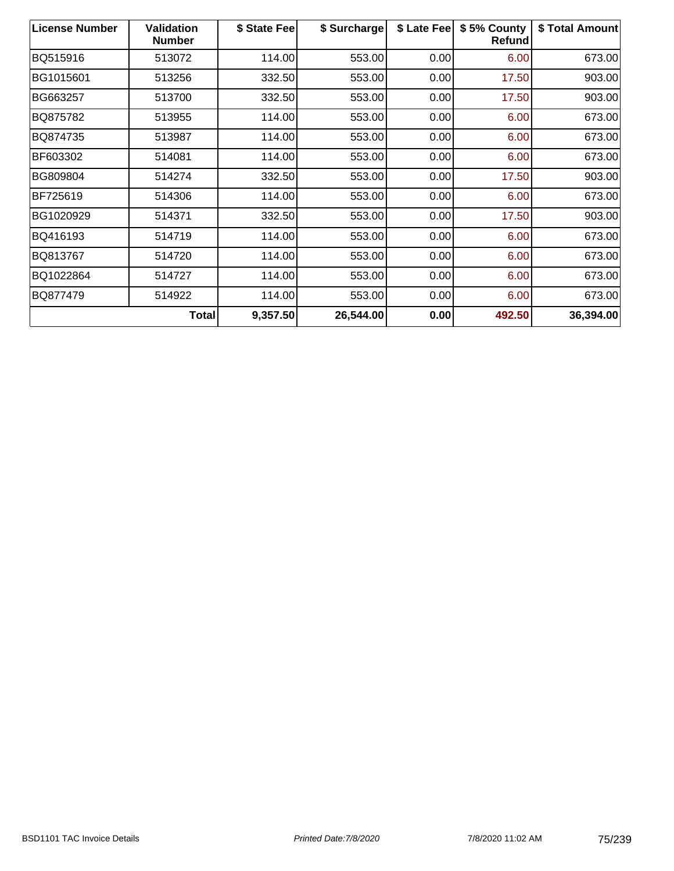| <b>License Number</b> | <b>Validation</b><br><b>Number</b> | \$ State Fee | \$ Surcharge | \$ Late Fee | \$5% County<br>Refund | \$ Total Amount |
|-----------------------|------------------------------------|--------------|--------------|-------------|-----------------------|-----------------|
| BQ515916              | 513072                             | 114.00       | 553.00       | 0.00        | 6.00                  | 673.00          |
| BG1015601             | 513256                             | 332.50       | 553.00       | 0.00        | 17.50                 | 903.00          |
| BG663257              | 513700                             | 332.50       | 553.00       | 0.00        | 17.50                 | 903.00          |
| BQ875782              | 513955                             | 114.00       | 553.00       | 0.00        | 6.00                  | 673.00          |
| BQ874735              | 513987                             | 114.00       | 553.00       | 0.00        | 6.00                  | 673.00          |
| BF603302              | 514081                             | 114.00       | 553.00       | 0.00        | 6.00                  | 673.00          |
| BG809804              | 514274                             | 332.50       | 553.00       | 0.00        | 17.50                 | 903.00          |
| BF725619              | 514306                             | 114.00       | 553.00       | 0.00        | 6.00                  | 673.00          |
| BG1020929             | 514371                             | 332.50       | 553.00       | 0.00        | 17.50                 | 903.00          |
| BQ416193              | 514719                             | 114.00       | 553.00       | 0.00        | 6.00                  | 673.00          |
| BQ813767              | 514720                             | 114.00       | 553.00       | 0.00        | 6.00                  | 673.00          |
| BQ1022864             | 514727                             | 114.00       | 553.00       | 0.00        | 6.00                  | 673.00          |
| BQ877479              | 514922                             | 114.00       | 553.00       | 0.00        | 6.00                  | 673.00          |
|                       | <b>Total</b>                       | 9,357.50     | 26,544.00    | 0.00        | 492.50                | 36,394.00       |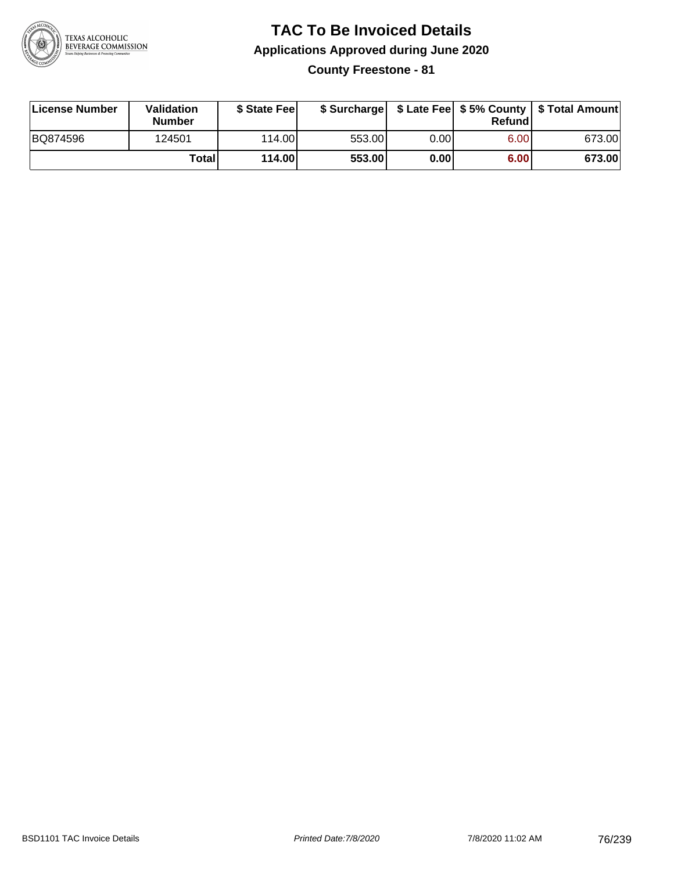

**County Freestone - 81**

| License Number | Validation<br><b>Number</b> | \$ State Fee |        |      | Refundl | \$ Surcharge   \$ Late Fee   \$5% County   \$ Total Amount |
|----------------|-----------------------------|--------------|--------|------|---------|------------------------------------------------------------|
| BQ874596       | 124501                      | 114.00       | 553.00 | 0.00 | 6.00    | 673.00                                                     |
|                | Totall                      | 114.00       | 553.00 | 0.00 | 6.00    | 673.00                                                     |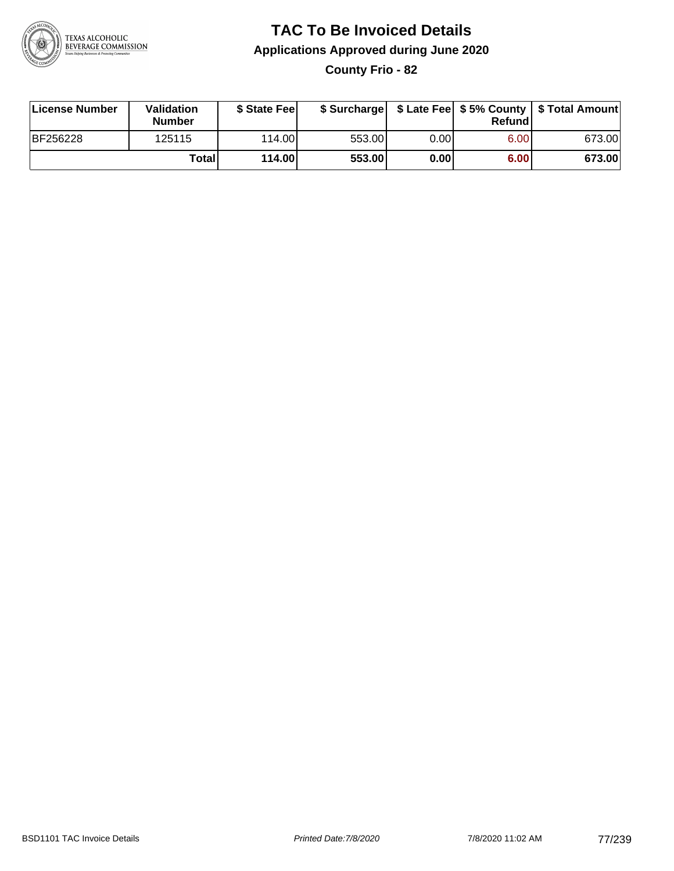

**County Frio - 82**

| License Number | Validation<br><b>Number</b> | \$ State Feel |        |      | Refundl | \$ Surcharge   \$ Late Fee   \$5% County   \$ Total Amount |
|----------------|-----------------------------|---------------|--------|------|---------|------------------------------------------------------------|
| BF256228       | 125115                      | 114.00        | 553.00 | 0.00 | 6.00    | 673.00                                                     |
|                | <b>Total</b>                | 114.00        | 553.00 | 0.00 | 6.00    | 673.00                                                     |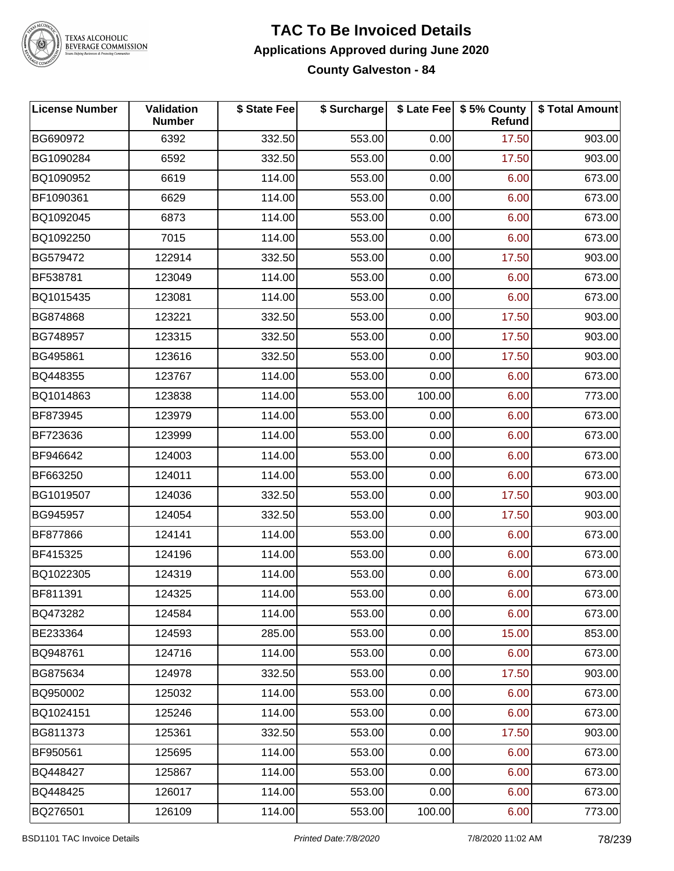

#### **TAC To Be Invoiced Details Applications Approved during June 2020 County Galveston - 84**

| <b>License Number</b> | Validation<br><b>Number</b> | \$ State Fee | \$ Surcharge |        | \$ Late Fee   \$5% County<br>Refund | \$ Total Amount |
|-----------------------|-----------------------------|--------------|--------------|--------|-------------------------------------|-----------------|
| BG690972              | 6392                        | 332.50       | 553.00       | 0.00   | 17.50                               | 903.00          |
| BG1090284             | 6592                        | 332.50       | 553.00       | 0.00   | 17.50                               | 903.00          |
| BQ1090952             | 6619                        | 114.00       | 553.00       | 0.00   | 6.00                                | 673.00          |
| BF1090361             | 6629                        | 114.00       | 553.00       | 0.00   | 6.00                                | 673.00          |
| BQ1092045             | 6873                        | 114.00       | 553.00       | 0.00   | 6.00                                | 673.00          |
| BQ1092250             | 7015                        | 114.00       | 553.00       | 0.00   | 6.00                                | 673.00          |
| BG579472              | 122914                      | 332.50       | 553.00       | 0.00   | 17.50                               | 903.00          |
| BF538781              | 123049                      | 114.00       | 553.00       | 0.00   | 6.00                                | 673.00          |
| BQ1015435             | 123081                      | 114.00       | 553.00       | 0.00   | 6.00                                | 673.00          |
| BG874868              | 123221                      | 332.50       | 553.00       | 0.00   | 17.50                               | 903.00          |
| BG748957              | 123315                      | 332.50       | 553.00       | 0.00   | 17.50                               | 903.00          |
| BG495861              | 123616                      | 332.50       | 553.00       | 0.00   | 17.50                               | 903.00          |
| BQ448355              | 123767                      | 114.00       | 553.00       | 0.00   | 6.00                                | 673.00          |
| BQ1014863             | 123838                      | 114.00       | 553.00       | 100.00 | 6.00                                | 773.00          |
| BF873945              | 123979                      | 114.00       | 553.00       | 0.00   | 6.00                                | 673.00          |
| BF723636              | 123999                      | 114.00       | 553.00       | 0.00   | 6.00                                | 673.00          |
| BF946642              | 124003                      | 114.00       | 553.00       | 0.00   | 6.00                                | 673.00          |
| BF663250              | 124011                      | 114.00       | 553.00       | 0.00   | 6.00                                | 673.00          |
| BG1019507             | 124036                      | 332.50       | 553.00       | 0.00   | 17.50                               | 903.00          |
| BG945957              | 124054                      | 332.50       | 553.00       | 0.00   | 17.50                               | 903.00          |
| BF877866              | 124141                      | 114.00       | 553.00       | 0.00   | 6.00                                | 673.00          |
| BF415325              | 124196                      | 114.00       | 553.00       | 0.00   | 6.00                                | 673.00          |
| BQ1022305             | 124319                      | 114.00       | 553.00       | 0.00   | 6.00                                | 673.00          |
| BF811391              | 124325                      | 114.00       | 553.00       | 0.00   | 6.00                                | 673.00          |
| BQ473282              | 124584                      | 114.00       | 553.00       | 0.00   | 6.00                                | 673.00          |
| BE233364              | 124593                      | 285.00       | 553.00       | 0.00   | 15.00                               | 853.00          |
| BQ948761              | 124716                      | 114.00       | 553.00       | 0.00   | 6.00                                | 673.00          |
| BG875634              | 124978                      | 332.50       | 553.00       | 0.00   | 17.50                               | 903.00          |
| BQ950002              | 125032                      | 114.00       | 553.00       | 0.00   | 6.00                                | 673.00          |
| BQ1024151             | 125246                      | 114.00       | 553.00       | 0.00   | 6.00                                | 673.00          |
| BG811373              | 125361                      | 332.50       | 553.00       | 0.00   | 17.50                               | 903.00          |
| BF950561              | 125695                      | 114.00       | 553.00       | 0.00   | 6.00                                | 673.00          |
| BQ448427              | 125867                      | 114.00       | 553.00       | 0.00   | 6.00                                | 673.00          |
| BQ448425              | 126017                      | 114.00       | 553.00       | 0.00   | 6.00                                | 673.00          |
| BQ276501              | 126109                      | 114.00       | 553.00       | 100.00 | 6.00                                | 773.00          |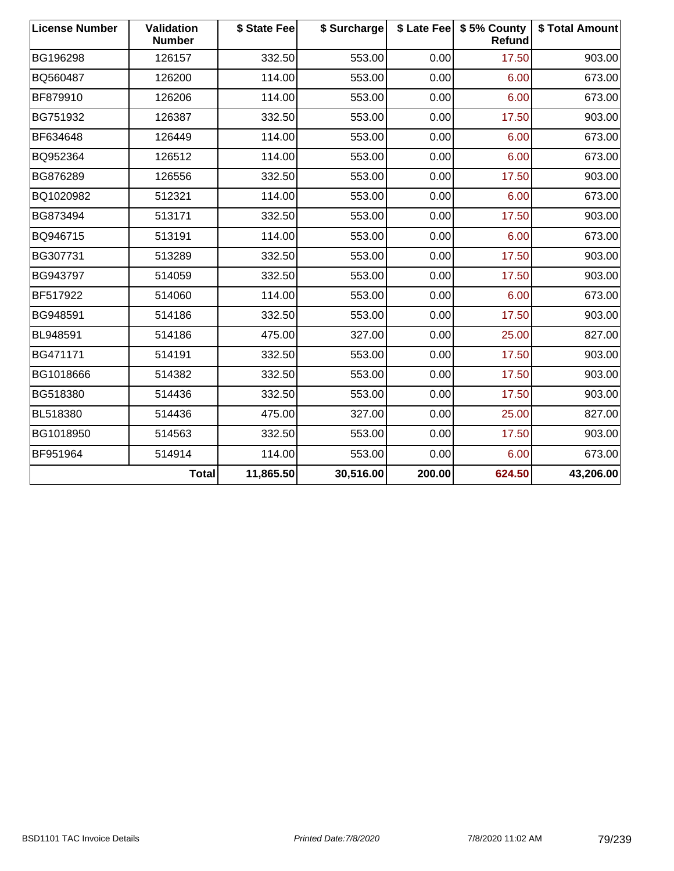| <b>License Number</b> | <b>Validation</b><br><b>Number</b> | \$ State Fee | \$ Surcharge |        | \$ Late Fee   \$5% County<br>Refund | \$ Total Amount |
|-----------------------|------------------------------------|--------------|--------------|--------|-------------------------------------|-----------------|
| BG196298              | 126157                             | 332.50       | 553.00       | 0.00   | 17.50                               | 903.00          |
| BQ560487              | 126200                             | 114.00       | 553.00       | 0.00   | 6.00                                | 673.00          |
| BF879910              | 126206                             | 114.00       | 553.00       | 0.00   | 6.00                                | 673.00          |
| BG751932              | 126387                             | 332.50       | 553.00       | 0.00   | 17.50                               | 903.00          |
| BF634648              | 126449                             | 114.00       | 553.00       | 0.00   | 6.00                                | 673.00          |
| BQ952364              | 126512                             | 114.00       | 553.00       | 0.00   | 6.00                                | 673.00          |
| BG876289              | 126556                             | 332.50       | 553.00       | 0.00   | 17.50                               | 903.00          |
| BQ1020982             | 512321                             | 114.00       | 553.00       | 0.00   | 6.00                                | 673.00          |
| BG873494              | 513171                             | 332.50       | 553.00       | 0.00   | 17.50                               | 903.00          |
| BQ946715              | 513191                             | 114.00       | 553.00       | 0.00   | 6.00                                | 673.00          |
| BG307731              | 513289                             | 332.50       | 553.00       | 0.00   | 17.50                               | 903.00          |
| BG943797              | 514059                             | 332.50       | 553.00       | 0.00   | 17.50                               | 903.00          |
| BF517922              | 514060                             | 114.00       | 553.00       | 0.00   | 6.00                                | 673.00          |
| BG948591              | 514186                             | 332.50       | 553.00       | 0.00   | 17.50                               | 903.00          |
| BL948591              | 514186                             | 475.00       | 327.00       | 0.00   | 25.00                               | 827.00          |
| BG471171              | 514191                             | 332.50       | 553.00       | 0.00   | 17.50                               | 903.00          |
| BG1018666             | 514382                             | 332.50       | 553.00       | 0.00   | 17.50                               | 903.00          |
| BG518380              | 514436                             | 332.50       | 553.00       | 0.00   | 17.50                               | 903.00          |
| BL518380              | 514436                             | 475.00       | 327.00       | 0.00   | 25.00                               | 827.00          |
| BG1018950             | 514563                             | 332.50       | 553.00       | 0.00   | 17.50                               | 903.00          |
| BF951964              | 514914                             | 114.00       | 553.00       | 0.00   | 6.00                                | 673.00          |
|                       | <b>Total</b>                       | 11,865.50    | 30,516.00    | 200.00 | 624.50                              | 43,206.00       |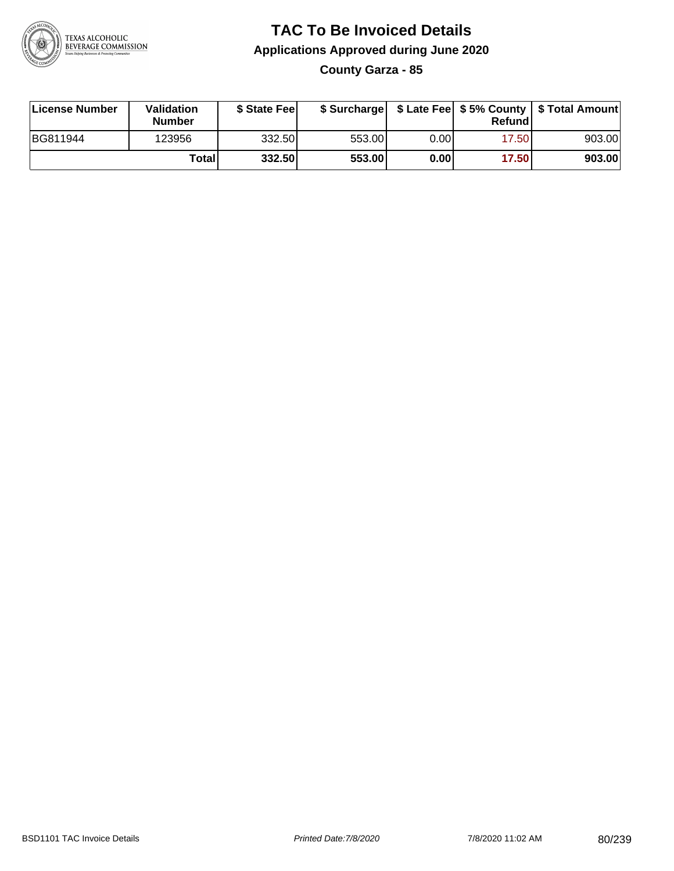

**County Garza - 85**

| License Number | Validation<br><b>Number</b> | \$ State Fee |        |      | Refundl | \$ Surcharge   \$ Late Fee   \$5% County   \$ Total Amount |
|----------------|-----------------------------|--------------|--------|------|---------|------------------------------------------------------------|
| BG811944       | 123956                      | 332.50       | 553.00 | 0.00 | 17.50   | 903.00                                                     |
|                | Totall                      | 332.50       | 553.00 | 0.00 | 17.50   | 903.00                                                     |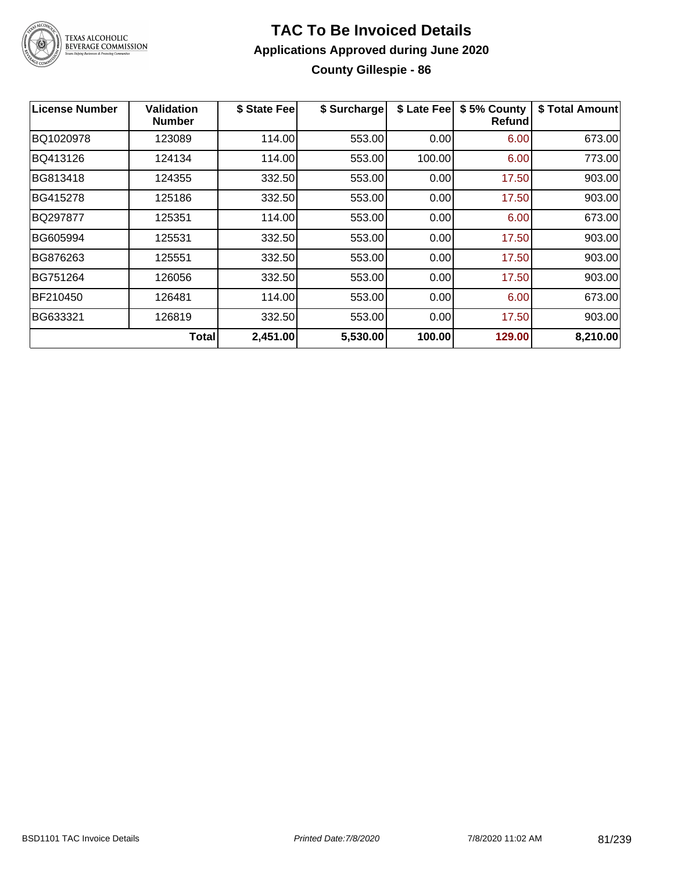

### **TAC To Be Invoiced Details Applications Approved during June 2020 County Gillespie - 86**

| <b>License Number</b> | <b>Validation</b><br><b>Number</b> | \$ State Fee | \$ Surcharge | \$ Late Fee | \$5% County<br>Refundl | \$ Total Amount |
|-----------------------|------------------------------------|--------------|--------------|-------------|------------------------|-----------------|
| BQ1020978             | 123089                             | 114.00       | 553.00       | 0.00        | 6.00                   | 673.00          |
| BQ413126              | 124134                             | 114.00       | 553.00       | 100.00      | 6.00                   | 773.00          |
| BG813418              | 124355                             | 332.50       | 553.00       | 0.00        | 17.50                  | 903.00          |
| BG415278              | 125186                             | 332.50       | 553.00       | 0.00        | 17.50                  | 903.00          |
| BQ297877              | 125351                             | 114.00       | 553.00       | 0.00        | 6.00                   | 673.00          |
| BG605994              | 125531                             | 332.50       | 553.00       | 0.00        | 17.50                  | 903.00          |
| BG876263              | 125551                             | 332.50       | 553.00       | 0.00        | 17.50                  | 903.00          |
| BG751264              | 126056                             | 332.50       | 553.00       | 0.00        | 17.50                  | 903.00          |
| BF210450              | 126481                             | 114.00       | 553.00       | 0.00        | 6.00                   | 673.00          |
| BG633321              | 126819                             | 332.50       | 553.00       | 0.00        | 17.50                  | 903.00          |
|                       | <b>Total</b>                       | 2,451.00     | 5,530.00     | 100.00      | 129.00                 | 8,210.00        |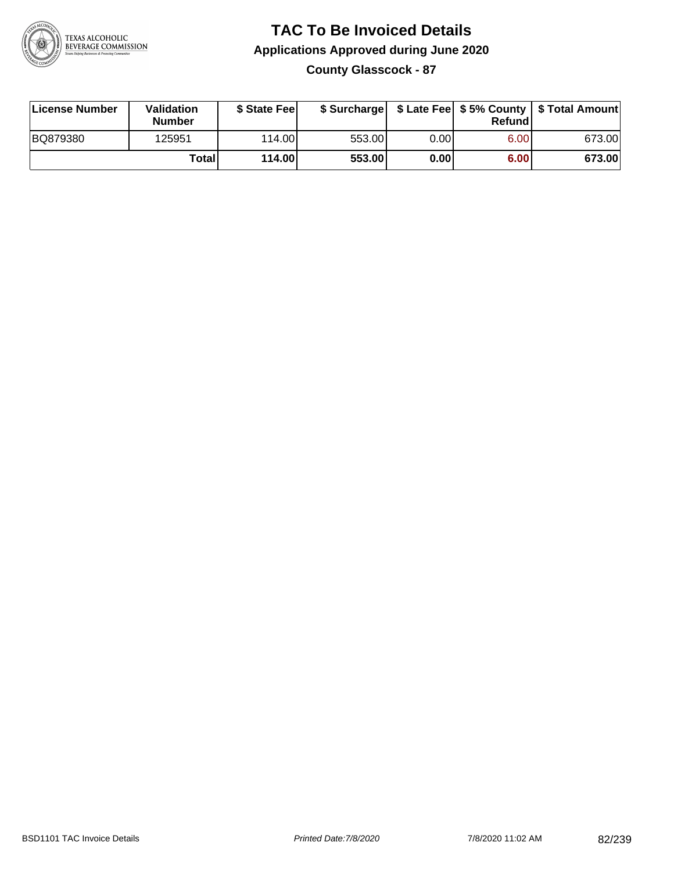

#### **TAC To Be Invoiced Details Applications Approved during June 2020 County Glasscock - 87**

| License Number | Validation<br><b>Number</b> | \$ State Feel |        |      | Refund | \$ Surcharge   \$ Late Fee   \$5% County   \$ Total Amount |
|----------------|-----------------------------|---------------|--------|------|--------|------------------------------------------------------------|
| BQ879380       | 125951                      | 114.00L       | 553.00 | 0.00 | 6.00   | 673.00                                                     |
|                | Totall                      | 114.00        | 553.00 | 0.00 | 6.00   | 673.00                                                     |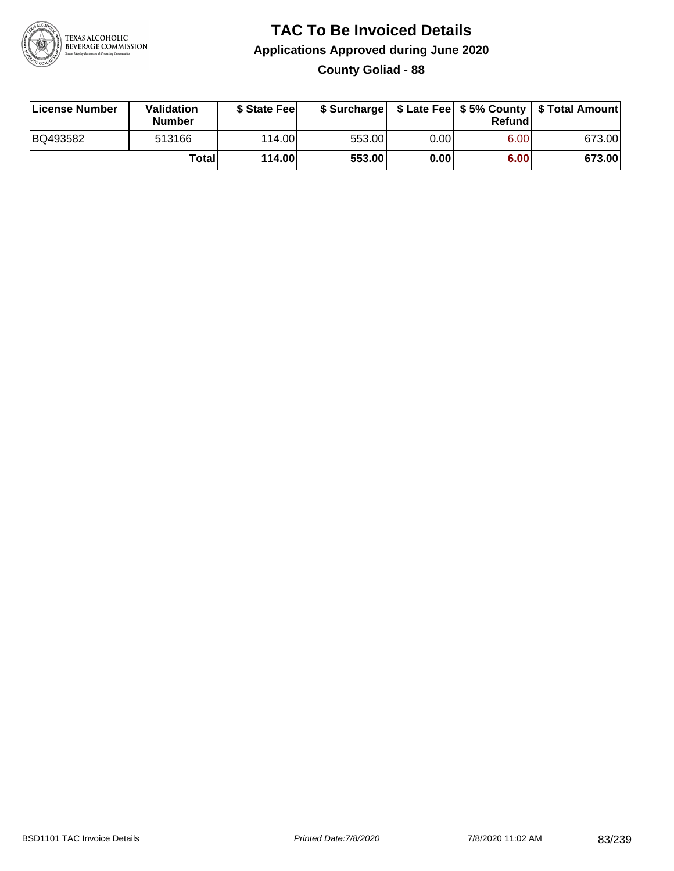

### **TAC To Be Invoiced Details Applications Approved during June 2020 County Goliad - 88**

| License Number | Validation<br>Number | \$ State Feel |        |      | Refundl | \$ Surcharge   \$ Late Fee   \$5% County   \$ Total Amount |
|----------------|----------------------|---------------|--------|------|---------|------------------------------------------------------------|
| BQ493582       | 513166               | 114.00L       | 553.00 | 0.00 | 6.00    | 673.00                                                     |
|                | <b>Total</b>         | 114.00        | 553.00 | 0.00 | 6.00    | 673.00                                                     |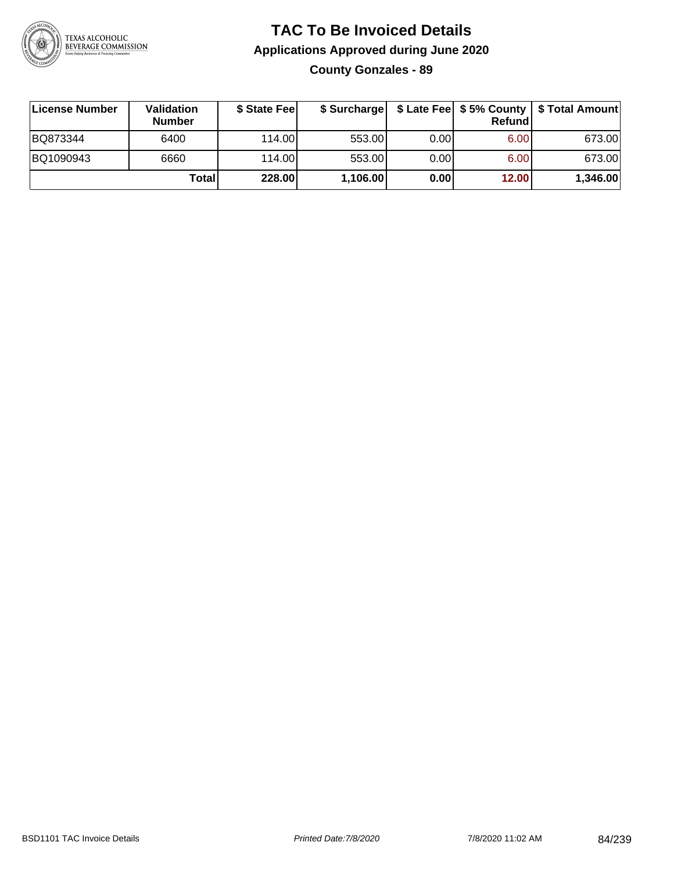

### **TAC To Be Invoiced Details Applications Approved during June 2020 County Gonzales - 89**

| License Number | <b>Validation</b><br><b>Number</b> | \$ State Feel | \$ Surcharge |      | Refund | \$ Late Fee   \$5% County   \$ Total Amount |
|----------------|------------------------------------|---------------|--------------|------|--------|---------------------------------------------|
| BQ873344       | 6400                               | 114.00L       | 553.00       | 0.00 | 6.00   | 673.00                                      |
| BQ1090943      | 6660                               | 114.00L       | 553.00       | 0.00 | 6.00   | 673.00                                      |
|                | Totall                             | 228.00        | 1,106.00     | 0.00 | 12.00  | 1,346.00                                    |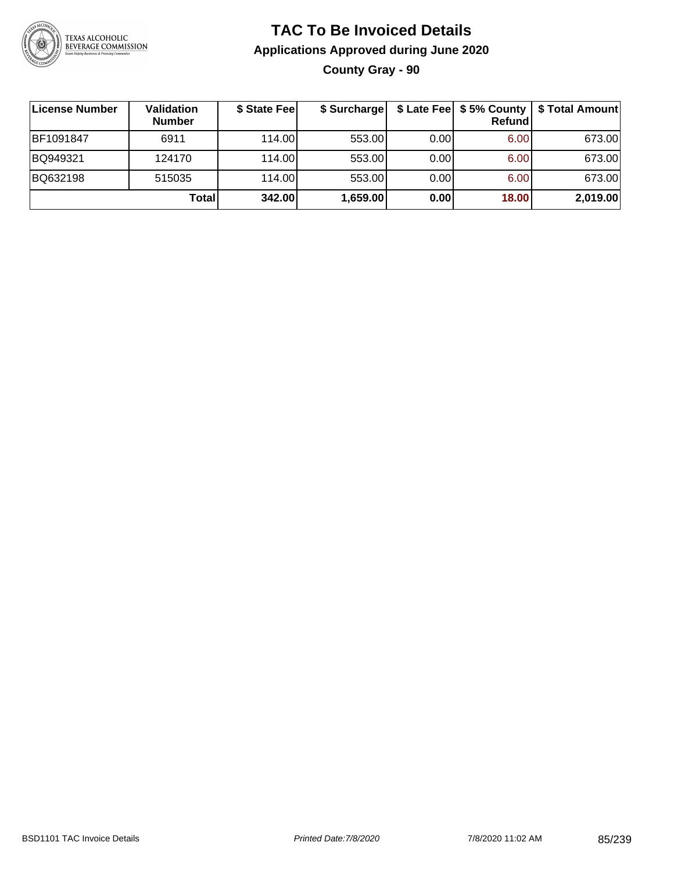

### **TAC To Be Invoiced Details Applications Approved during June 2020 County Gray - 90**

| License Number | <b>Validation</b><br><b>Number</b> | \$ State Fee | \$ Surcharge |      | \$ Late Fee   \$5% County  <br>Refund | \$ Total Amount |
|----------------|------------------------------------|--------------|--------------|------|---------------------------------------|-----------------|
| BF1091847      | 6911                               | 114.00       | 553.00       | 0.00 | 6.00                                  | 673.00          |
| BQ949321       | 124170                             | 114.00       | 553.00       | 0.00 | 6.00                                  | 673.00          |
| BQ632198       | 515035                             | 114.00       | 553.00       | 0.00 | 6.00                                  | 673.00          |
|                | Total                              | 342.00       | 1,659.00     | 0.00 | 18.00                                 | 2,019.00        |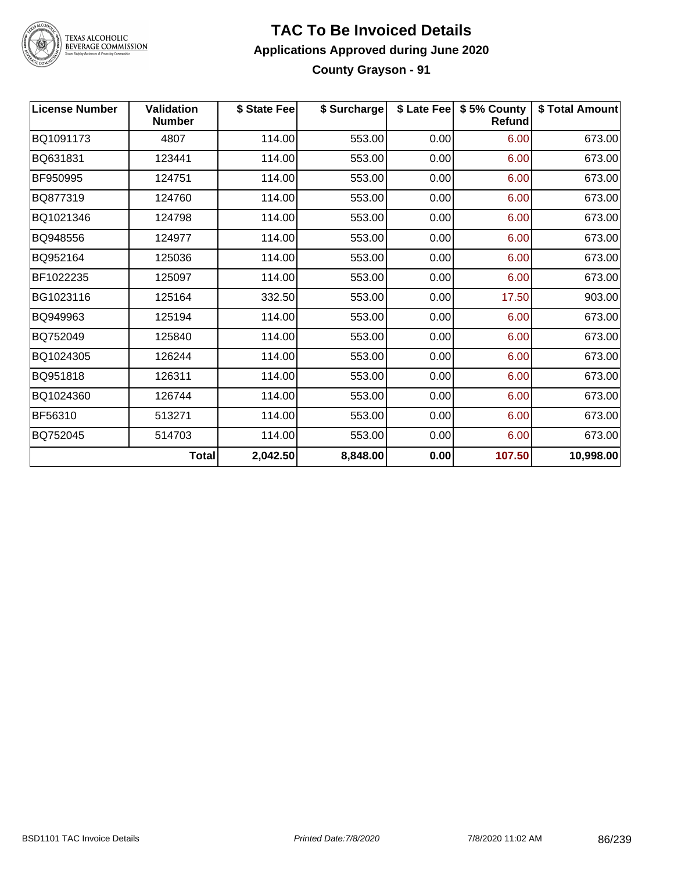

#### **TAC To Be Invoiced Details Applications Approved during June 2020 County Grayson - 91**

| <b>License Number</b> | <b>Validation</b><br><b>Number</b> | \$ State Fee | \$ Surcharge |      | \$ Late Fee   \$5% County  <br>Refund | \$ Total Amount |
|-----------------------|------------------------------------|--------------|--------------|------|---------------------------------------|-----------------|
| BQ1091173             | 4807                               | 114.00       | 553.00       | 0.00 | 6.00                                  | 673.00          |
| BQ631831              | 123441                             | 114.00       | 553.00       | 0.00 | 6.00                                  | 673.00          |
| BF950995              | 124751                             | 114.00       | 553.00       | 0.00 | 6.00                                  | 673.00          |
| BQ877319              | 124760                             | 114.00       | 553.00       | 0.00 | 6.00                                  | 673.00          |
| BQ1021346             | 124798                             | 114.00       | 553.00       | 0.00 | 6.00                                  | 673.00          |
| BQ948556              | 124977                             | 114.00       | 553.00       | 0.00 | 6.00                                  | 673.00          |
| BQ952164              | 125036                             | 114.00       | 553.00       | 0.00 | 6.00                                  | 673.00          |
| BF1022235             | 125097                             | 114.00       | 553.00       | 0.00 | 6.00                                  | 673.00          |
| BG1023116             | 125164                             | 332.50       | 553.00       | 0.00 | 17.50                                 | 903.00          |
| BQ949963              | 125194                             | 114.00       | 553.00       | 0.00 | 6.00                                  | 673.00          |
| BQ752049              | 125840                             | 114.00       | 553.00       | 0.00 | 6.00                                  | 673.00          |
| BQ1024305             | 126244                             | 114.00       | 553.00       | 0.00 | 6.00                                  | 673.00          |
| BQ951818              | 126311                             | 114.00       | 553.00       | 0.00 | 6.00                                  | 673.00          |
| BQ1024360             | 126744                             | 114.00       | 553.00       | 0.00 | 6.00                                  | 673.00          |
| BF56310               | 513271                             | 114.00       | 553.00       | 0.00 | 6.00                                  | 673.00          |
| BQ752045              | 514703                             | 114.00       | 553.00       | 0.00 | 6.00                                  | 673.00          |
|                       | <b>Total</b>                       | 2,042.50     | 8,848.00     | 0.00 | 107.50                                | 10,998.00       |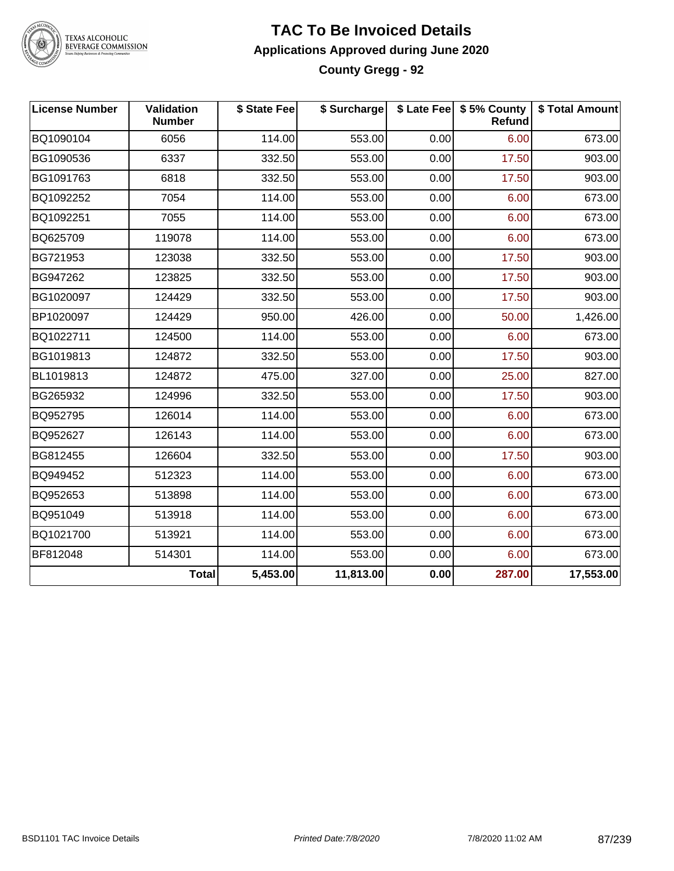

#### **TAC To Be Invoiced Details Applications Approved during June 2020 County Gregg - 92**

| <b>License Number</b> | <b>Validation</b><br><b>Number</b> | \$ State Fee | \$ Surcharge |      | \$ Late Fee   \$5% County<br>Refund | \$ Total Amount |
|-----------------------|------------------------------------|--------------|--------------|------|-------------------------------------|-----------------|
| BQ1090104             | 6056                               | 114.00       | 553.00       | 0.00 | 6.00                                | 673.00          |
| BG1090536             | 6337                               | 332.50       | 553.00       | 0.00 | 17.50                               | 903.00          |
| BG1091763             | 6818                               | 332.50       | 553.00       | 0.00 | 17.50                               | 903.00          |
| BQ1092252             | 7054                               | 114.00       | 553.00       | 0.00 | 6.00                                | 673.00          |
| BQ1092251             | 7055                               | 114.00       | 553.00       | 0.00 | 6.00                                | 673.00          |
| BQ625709              | 119078                             | 114.00       | 553.00       | 0.00 | 6.00                                | 673.00          |
| BG721953              | 123038                             | 332.50       | 553.00       | 0.00 | 17.50                               | 903.00          |
| BG947262              | 123825                             | 332.50       | 553.00       | 0.00 | 17.50                               | 903.00          |
| BG1020097             | 124429                             | 332.50       | 553.00       | 0.00 | 17.50                               | 903.00          |
| BP1020097             | 124429                             | 950.00       | 426.00       | 0.00 | 50.00                               | 1,426.00        |
| BQ1022711             | 124500                             | 114.00       | 553.00       | 0.00 | 6.00                                | 673.00          |
| BG1019813             | 124872                             | 332.50       | 553.00       | 0.00 | 17.50                               | 903.00          |
| BL1019813             | 124872                             | 475.00       | 327.00       | 0.00 | 25.00                               | 827.00          |
| BG265932              | 124996                             | 332.50       | 553.00       | 0.00 | 17.50                               | 903.00          |
| BQ952795              | 126014                             | 114.00       | 553.00       | 0.00 | 6.00                                | 673.00          |
| BQ952627              | 126143                             | 114.00       | 553.00       | 0.00 | 6.00                                | 673.00          |
| BG812455              | 126604                             | 332.50       | 553.00       | 0.00 | 17.50                               | 903.00          |
| BQ949452              | 512323                             | 114.00       | 553.00       | 0.00 | 6.00                                | 673.00          |
| BQ952653              | 513898                             | 114.00       | 553.00       | 0.00 | 6.00                                | 673.00          |
| BQ951049              | 513918                             | 114.00       | 553.00       | 0.00 | 6.00                                | 673.00          |
| BQ1021700             | 513921                             | 114.00       | 553.00       | 0.00 | 6.00                                | 673.00          |
| BF812048              | 514301                             | 114.00       | 553.00       | 0.00 | 6.00                                | 673.00          |
|                       | <b>Total</b>                       | 5,453.00     | 11,813.00    | 0.00 | 287.00                              | 17,553.00       |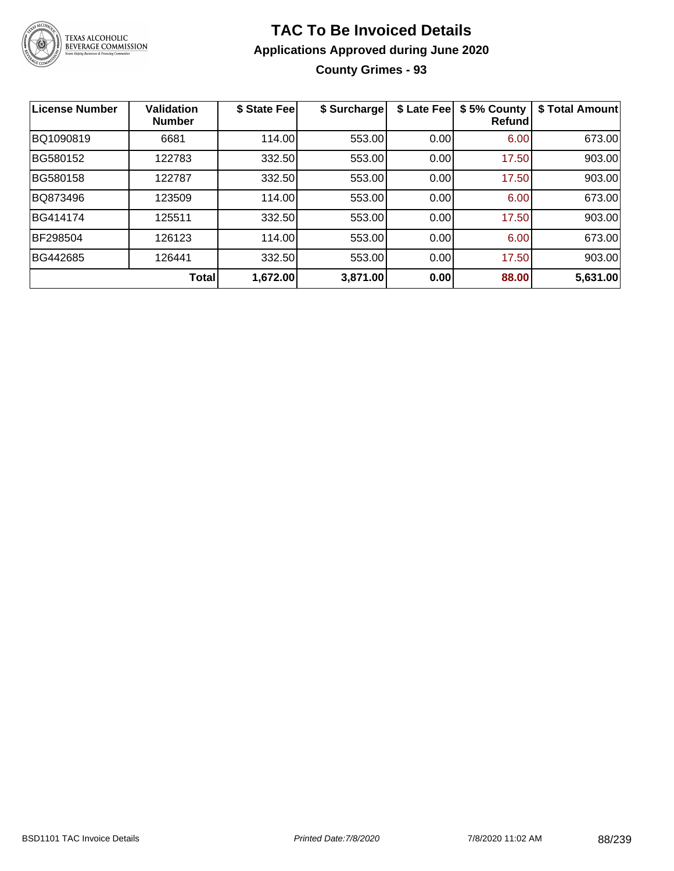

### **TAC To Be Invoiced Details Applications Approved during June 2020 County Grimes - 93**

| License Number | <b>Validation</b><br><b>Number</b> | \$ State Fee | \$ Surcharge | \$ Late Fee | \$5% County<br>Refundl | \$ Total Amount |
|----------------|------------------------------------|--------------|--------------|-------------|------------------------|-----------------|
| BQ1090819      | 6681                               | 114.00       | 553.00       | 0.00        | 6.00                   | 673.00          |
| BG580152       | 122783                             | 332.50       | 553.00       | 0.00        | 17.50                  | 903.00          |
| BG580158       | 122787                             | 332.50       | 553.00       | 0.00        | 17.50                  | 903.00          |
| BQ873496       | 123509                             | 114.00       | 553.00       | 0.00        | 6.00                   | 673.00          |
| BG414174       | 125511                             | 332.50       | 553.00       | 0.00        | 17.50                  | 903.00          |
| BF298504       | 126123                             | 114.00       | 553.00       | 0.00        | 6.00                   | 673.00          |
| BG442685       | 126441                             | 332.50       | 553.00       | 0.00        | 17.50                  | 903.00          |
|                | Total                              | 1,672.00     | 3,871.00     | 0.00        | 88.00                  | 5,631.00        |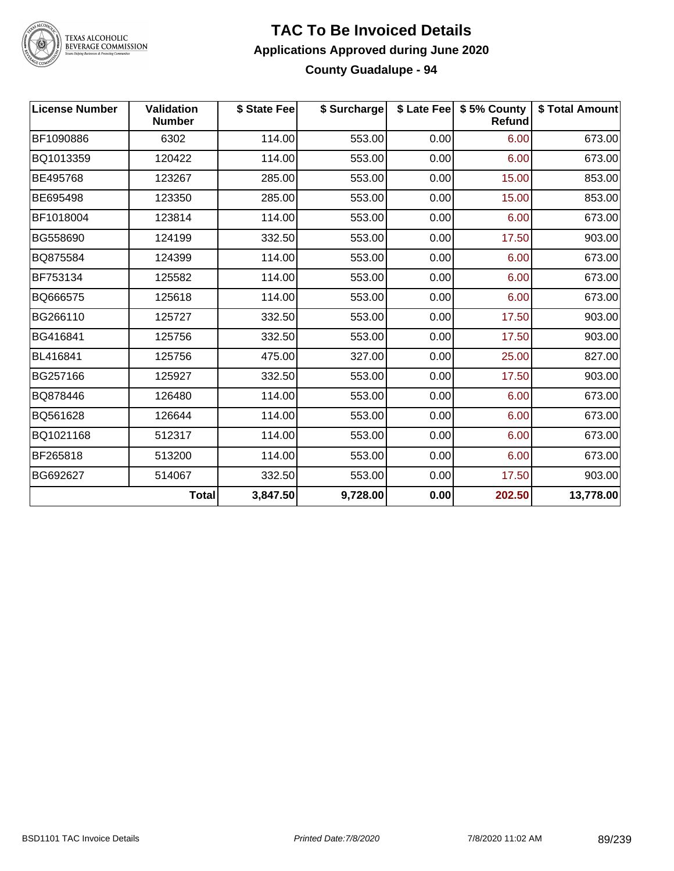

#### **TAC To Be Invoiced Details Applications Approved during June 2020 County Guadalupe - 94**

| <b>License Number</b> | <b>Validation</b><br><b>Number</b> | \$ State Fee | \$ Surcharge |      | \$ Late Fee   \$5% County<br>Refund | \$ Total Amount |
|-----------------------|------------------------------------|--------------|--------------|------|-------------------------------------|-----------------|
| BF1090886             | 6302                               | 114.00       | 553.00       | 0.00 | 6.00                                | 673.00          |
| BQ1013359             | 120422                             | 114.00       | 553.00       | 0.00 | 6.00                                | 673.00          |
| BE495768              | 123267                             | 285.00       | 553.00       | 0.00 | 15.00                               | 853.00          |
| BE695498              | 123350                             | 285.00       | 553.00       | 0.00 | 15.00                               | 853.00          |
| BF1018004             | 123814                             | 114.00       | 553.00       | 0.00 | 6.00                                | 673.00          |
| BG558690              | 124199                             | 332.50       | 553.00       | 0.00 | 17.50                               | 903.00          |
| BQ875584              | 124399                             | 114.00       | 553.00       | 0.00 | 6.00                                | 673.00          |
| BF753134              | 125582                             | 114.00       | 553.00       | 0.00 | 6.00                                | 673.00          |
| BQ666575              | 125618                             | 114.00       | 553.00       | 0.00 | 6.00                                | 673.00          |
| BG266110              | 125727                             | 332.50       | 553.00       | 0.00 | 17.50                               | 903.00          |
| BG416841              | 125756                             | 332.50       | 553.00       | 0.00 | 17.50                               | 903.00          |
| BL416841              | 125756                             | 475.00       | 327.00       | 0.00 | 25.00                               | 827.00          |
| BG257166              | 125927                             | 332.50       | 553.00       | 0.00 | 17.50                               | 903.00          |
| BQ878446              | 126480                             | 114.00       | 553.00       | 0.00 | 6.00                                | 673.00          |
| BQ561628              | 126644                             | 114.00       | 553.00       | 0.00 | 6.00                                | 673.00          |
| BQ1021168             | 512317                             | 114.00       | 553.00       | 0.00 | 6.00                                | 673.00          |
| BF265818              | 513200                             | 114.00       | 553.00       | 0.00 | 6.00                                | 673.00          |
| BG692627              | 514067                             | 332.50       | 553.00       | 0.00 | 17.50                               | 903.00          |
|                       | <b>Total</b>                       | 3,847.50     | 9,728.00     | 0.00 | 202.50                              | 13,778.00       |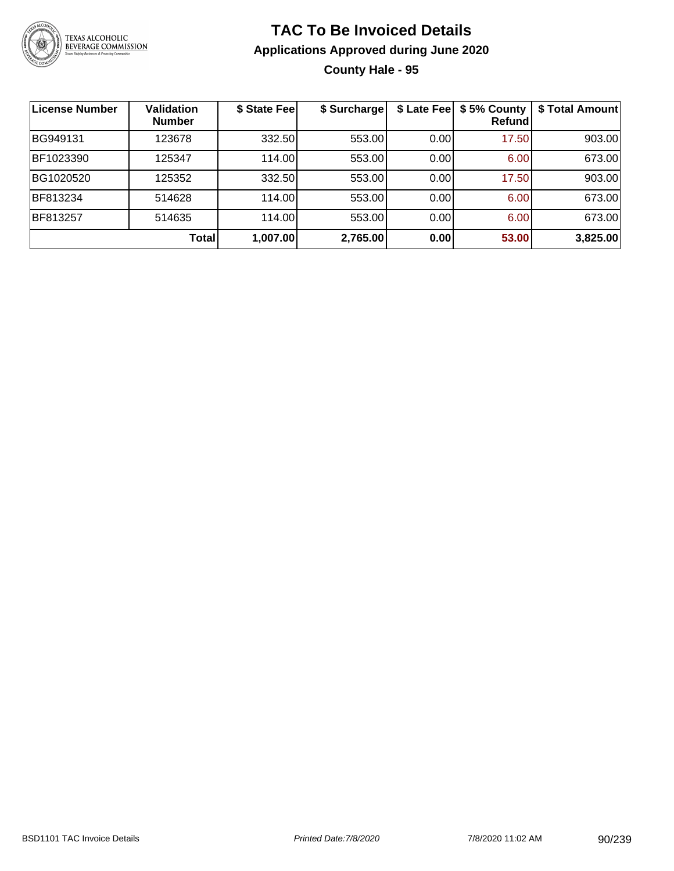

### **TAC To Be Invoiced Details Applications Approved during June 2020 County Hale - 95**

| ∣License Number | <b>Validation</b><br><b>Number</b> | \$ State Fee | \$ Surcharge | \$ Late Fee | \$5% County<br>Refund | \$ Total Amount |
|-----------------|------------------------------------|--------------|--------------|-------------|-----------------------|-----------------|
| BG949131        | 123678                             | 332.50       | 553.00       | 0.00        | 17.50                 | 903.00          |
| BF1023390       | 125347                             | 114.00       | 553.00       | 0.00        | 6.00                  | 673.00          |
| BG1020520       | 125352                             | 332.50       | 553.00       | 0.00        | 17.50                 | 903.00          |
| BF813234        | 514628                             | 114.00       | 553.00       | 0.00        | 6.00                  | 673.00          |
| BF813257        | 514635                             | 114.00       | 553.00       | 0.00        | 6.00                  | 673.00          |
|                 | <b>Total</b>                       | 1,007.00     | 2,765.00     | 0.00        | 53.00                 | 3,825.00        |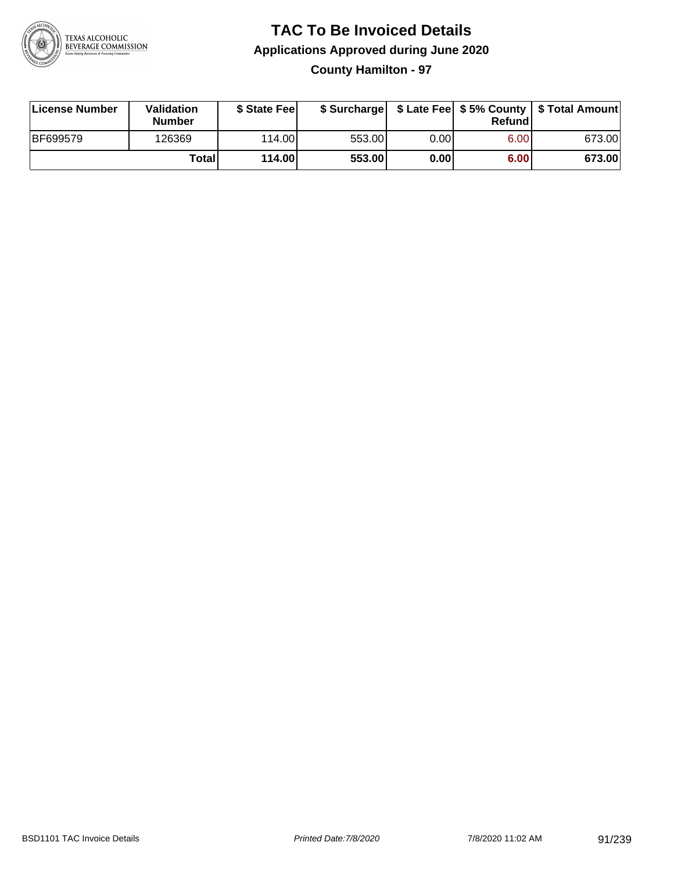

**County Hamilton - 97**

| License Number  | Validation<br><b>Number</b> | \$ State Feel |        |      | Refundl | \$ Surcharge   \$ Late Fee   \$5% County   \$ Total Amount |
|-----------------|-----------------------------|---------------|--------|------|---------|------------------------------------------------------------|
| <b>BF699579</b> | 126369                      | 114.00        | 553.00 | 0.00 | 6.00    | 673.00                                                     |
|                 | Totall                      | 114.00        | 553.00 | 0.00 | 6.00    | 673.00                                                     |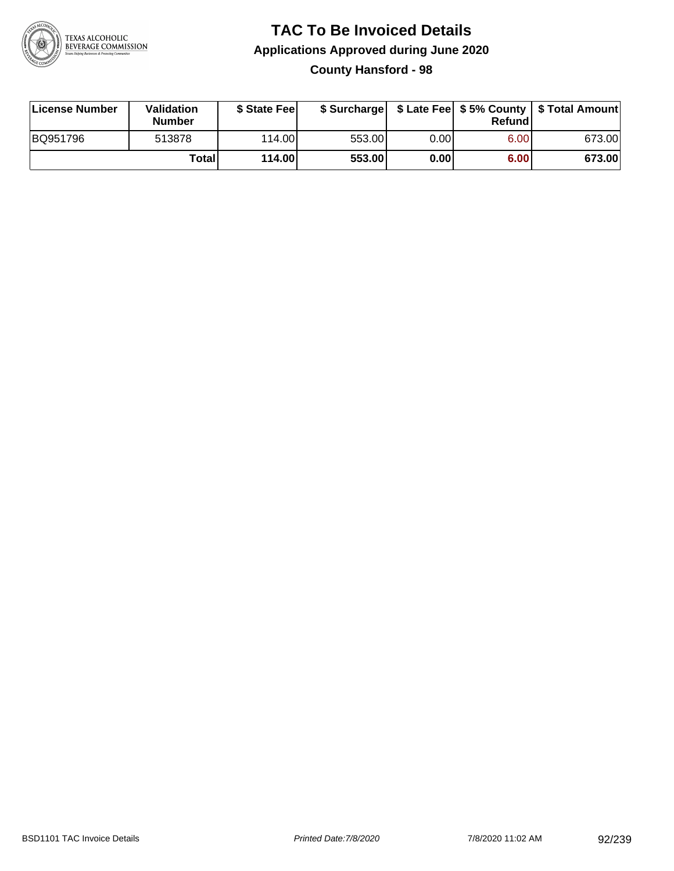

**County Hansford - 98**

| License Number | <b>Validation</b><br><b>Number</b> | \$ State Fee | \$ Surcharge |        | Refundl | \$ Late Fee   \$5% County   \$ Total Amount |
|----------------|------------------------------------|--------------|--------------|--------|---------|---------------------------------------------|
| BQ951796       | 513878                             | 114.00L      | 553.00       | 0.00 l | 6.00    | 673.00                                      |
|                | Totall                             | 114.00       | 553.00       | 0.00   | 6.00    | 673.00                                      |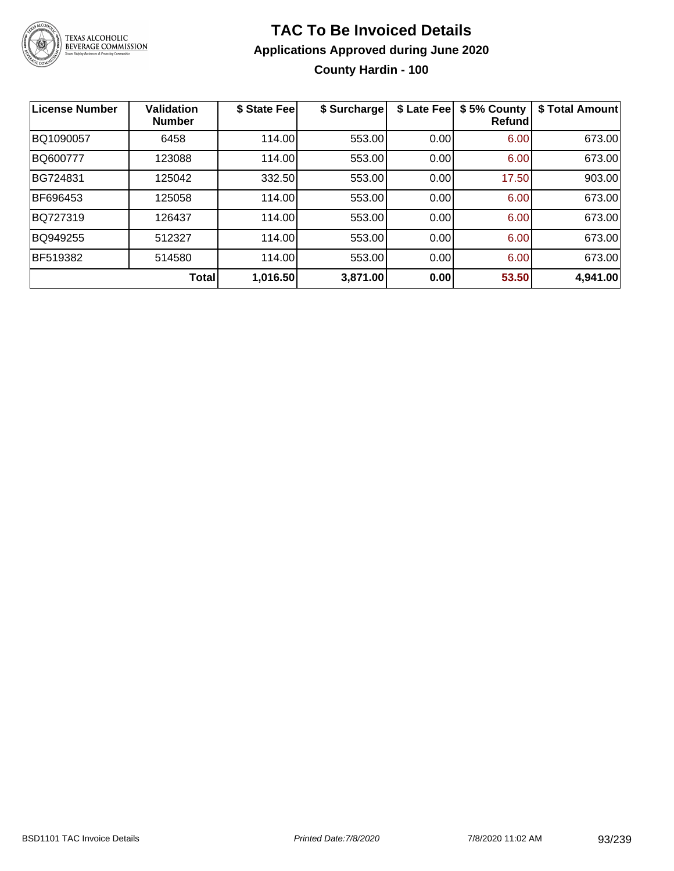

### **TAC To Be Invoiced Details Applications Approved during June 2020 County Hardin - 100**

| <b>License Number</b> | <b>Validation</b><br><b>Number</b> | \$ State Fee | \$ Surcharge | \$ Late Fee | \$5% County<br><b>Refund</b> | \$ Total Amount |
|-----------------------|------------------------------------|--------------|--------------|-------------|------------------------------|-----------------|
| BQ1090057             | 6458                               | 114.00       | 553.00       | 0.00        | 6.00                         | 673.00          |
| BQ600777              | 123088                             | 114.00       | 553.00       | 0.00        | 6.00                         | 673.00          |
| BG724831              | 125042                             | 332.50       | 553.00       | 0.00        | 17.50                        | 903.00          |
| BF696453              | 125058                             | 114.00       | 553.00       | 0.00        | 6.00                         | 673.00          |
| BQ727319              | 126437                             | 114.00       | 553.00       | 0.00        | 6.00                         | 673.00          |
| BQ949255              | 512327                             | 114.00       | 553.00       | 0.00        | 6.00                         | 673.00          |
| <b>BF519382</b>       | 514580                             | 114.00       | 553.00       | 0.00        | 6.00                         | 673.00          |
|                       | <b>Total</b>                       | 1,016.50     | 3,871.00     | 0.00        | 53.50                        | 4,941.00        |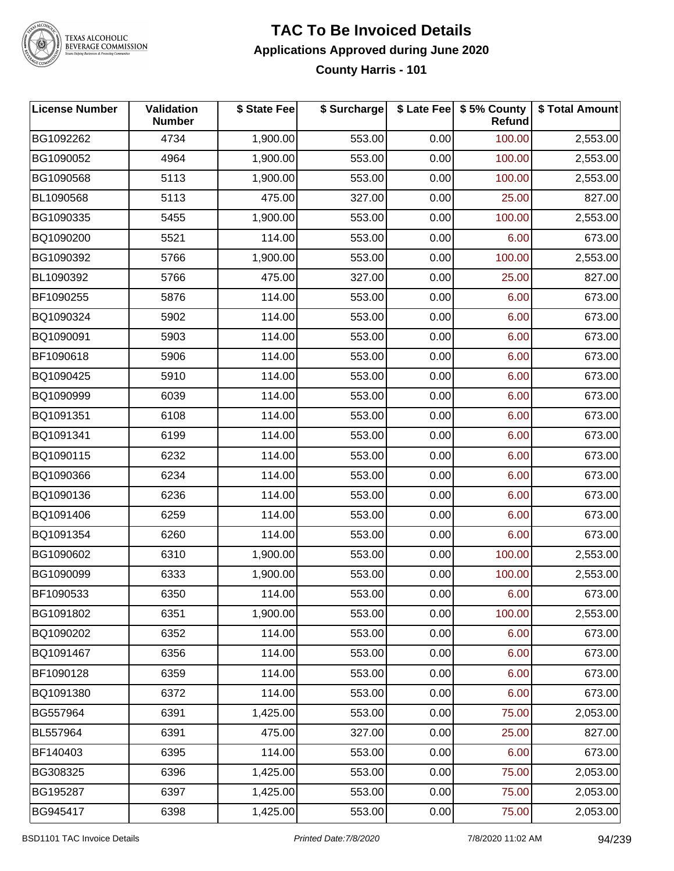

#### **TAC To Be Invoiced Details Applications Approved during June 2020 County Harris - 101**

| <b>License Number</b> | <b>Validation</b><br><b>Number</b> | \$ State Fee | \$ Surcharge |      | \$ Late Fee   \$5% County<br><b>Refund</b> | \$ Total Amount |
|-----------------------|------------------------------------|--------------|--------------|------|--------------------------------------------|-----------------|
| BG1092262             | 4734                               | 1,900.00     | 553.00       | 0.00 | 100.00                                     | 2,553.00        |
| BG1090052             | 4964                               | 1,900.00     | 553.00       | 0.00 | 100.00                                     | 2,553.00        |
| BG1090568             | 5113                               | 1,900.00     | 553.00       | 0.00 | 100.00                                     | 2,553.00        |
| BL1090568             | 5113                               | 475.00       | 327.00       | 0.00 | 25.00                                      | 827.00          |
| BG1090335             | 5455                               | 1,900.00     | 553.00       | 0.00 | 100.00                                     | 2,553.00        |
| BQ1090200             | 5521                               | 114.00       | 553.00       | 0.00 | 6.00                                       | 673.00          |
| BG1090392             | 5766                               | 1,900.00     | 553.00       | 0.00 | 100.00                                     | 2,553.00        |
| BL1090392             | 5766                               | 475.00       | 327.00       | 0.00 | 25.00                                      | 827.00          |
| BF1090255             | 5876                               | 114.00       | 553.00       | 0.00 | 6.00                                       | 673.00          |
| BQ1090324             | 5902                               | 114.00       | 553.00       | 0.00 | 6.00                                       | 673.00          |
| BQ1090091             | 5903                               | 114.00       | 553.00       | 0.00 | 6.00                                       | 673.00          |
| BF1090618             | 5906                               | 114.00       | 553.00       | 0.00 | 6.00                                       | 673.00          |
| BQ1090425             | 5910                               | 114.00       | 553.00       | 0.00 | 6.00                                       | 673.00          |
| BQ1090999             | 6039                               | 114.00       | 553.00       | 0.00 | 6.00                                       | 673.00          |
| BQ1091351             | 6108                               | 114.00       | 553.00       | 0.00 | 6.00                                       | 673.00          |
| BQ1091341             | 6199                               | 114.00       | 553.00       | 0.00 | 6.00                                       | 673.00          |
| BQ1090115             | 6232                               | 114.00       | 553.00       | 0.00 | 6.00                                       | 673.00          |
| BQ1090366             | 6234                               | 114.00       | 553.00       | 0.00 | 6.00                                       | 673.00          |
| BQ1090136             | 6236                               | 114.00       | 553.00       | 0.00 | 6.00                                       | 673.00          |
| BQ1091406             | 6259                               | 114.00       | 553.00       | 0.00 | 6.00                                       | 673.00          |
| BQ1091354             | 6260                               | 114.00       | 553.00       | 0.00 | 6.00                                       | 673.00          |
| BG1090602             | 6310                               | 1,900.00     | 553.00       | 0.00 | 100.00                                     | 2,553.00        |
| BG1090099             | 6333                               | 1,900.00     | 553.00       | 0.00 | 100.00                                     | 2,553.00        |
| BF1090533             | 6350                               | 114.00       | 553.00       | 0.00 | 6.00                                       | 673.00          |
| BG1091802             | 6351                               | 1,900.00     | 553.00       | 0.00 | 100.00                                     | 2,553.00        |
| BQ1090202             | 6352                               | 114.00       | 553.00       | 0.00 | 6.00                                       | 673.00          |
| BQ1091467             | 6356                               | 114.00       | 553.00       | 0.00 | 6.00                                       | 673.00          |
| BF1090128             | 6359                               | 114.00       | 553.00       | 0.00 | 6.00                                       | 673.00          |
| BQ1091380             | 6372                               | 114.00       | 553.00       | 0.00 | 6.00                                       | 673.00          |
| BG557964              | 6391                               | 1,425.00     | 553.00       | 0.00 | 75.00                                      | 2,053.00        |
| BL557964              | 6391                               | 475.00       | 327.00       | 0.00 | 25.00                                      | 827.00          |
| BF140403              | 6395                               | 114.00       | 553.00       | 0.00 | 6.00                                       | 673.00          |
| BG308325              | 6396                               | 1,425.00     | 553.00       | 0.00 | 75.00                                      | 2,053.00        |
| BG195287              | 6397                               | 1,425.00     | 553.00       | 0.00 | 75.00                                      | 2,053.00        |
| BG945417              | 6398                               | 1,425.00     | 553.00       | 0.00 | 75.00                                      | 2,053.00        |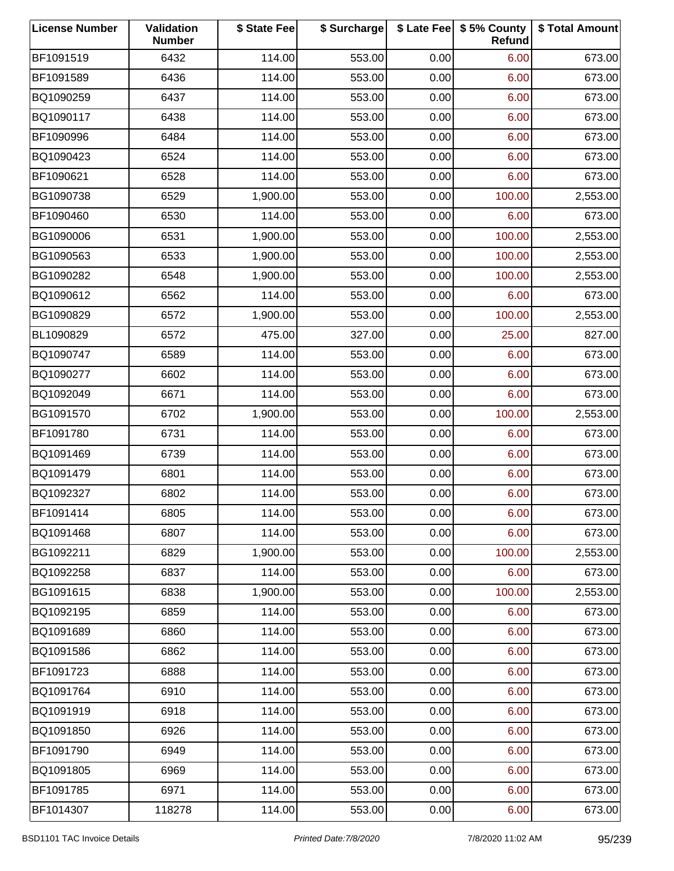| <b>License Number</b> | Validation<br><b>Number</b> | \$ State Fee | \$ Surcharge |      | \$ Late Fee   \$5% County<br>Refund | \$ Total Amount |
|-----------------------|-----------------------------|--------------|--------------|------|-------------------------------------|-----------------|
| BF1091519             | 6432                        | 114.00       | 553.00       | 0.00 | 6.00                                | 673.00          |
| BF1091589             | 6436                        | 114.00       | 553.00       | 0.00 | 6.00                                | 673.00          |
| BQ1090259             | 6437                        | 114.00       | 553.00       | 0.00 | 6.00                                | 673.00          |
| BQ1090117             | 6438                        | 114.00       | 553.00       | 0.00 | 6.00                                | 673.00          |
| BF1090996             | 6484                        | 114.00       | 553.00       | 0.00 | 6.00                                | 673.00          |
| BQ1090423             | 6524                        | 114.00       | 553.00       | 0.00 | 6.00                                | 673.00          |
| BF1090621             | 6528                        | 114.00       | 553.00       | 0.00 | 6.00                                | 673.00          |
| BG1090738             | 6529                        | 1,900.00     | 553.00       | 0.00 | 100.00                              | 2,553.00        |
| BF1090460             | 6530                        | 114.00       | 553.00       | 0.00 | 6.00                                | 673.00          |
| BG1090006             | 6531                        | 1,900.00     | 553.00       | 0.00 | 100.00                              | 2,553.00        |
| BG1090563             | 6533                        | 1,900.00     | 553.00       | 0.00 | 100.00                              | 2,553.00        |
| BG1090282             | 6548                        | 1,900.00     | 553.00       | 0.00 | 100.00                              | 2,553.00        |
| BQ1090612             | 6562                        | 114.00       | 553.00       | 0.00 | 6.00                                | 673.00          |
| BG1090829             | 6572                        | 1,900.00     | 553.00       | 0.00 | 100.00                              | 2,553.00        |
| BL1090829             | 6572                        | 475.00       | 327.00       | 0.00 | 25.00                               | 827.00          |
| BQ1090747             | 6589                        | 114.00       | 553.00       | 0.00 | 6.00                                | 673.00          |
| BQ1090277             | 6602                        | 114.00       | 553.00       | 0.00 | 6.00                                | 673.00          |
| BQ1092049             | 6671                        | 114.00       | 553.00       | 0.00 | 6.00                                | 673.00          |
| BG1091570             | 6702                        | 1,900.00     | 553.00       | 0.00 | 100.00                              | 2,553.00        |
| BF1091780             | 6731                        | 114.00       | 553.00       | 0.00 | 6.00                                | 673.00          |
| BQ1091469             | 6739                        | 114.00       | 553.00       | 0.00 | 6.00                                | 673.00          |
| BQ1091479             | 6801                        | 114.00       | 553.00       | 0.00 | 6.00                                | 673.00          |
| BQ1092327             | 6802                        | 114.00       | 553.00       | 0.00 | 6.00                                | 673.00          |
| BF1091414             | 6805                        | 114.00       | 553.00       | 0.00 | 6.00                                | 673.00          |
| BQ1091468             | 6807                        | 114.00       | 553.00       | 0.00 | 6.00                                | 673.00          |
| BG1092211             | 6829                        | 1,900.00     | 553.00       | 0.00 | 100.00                              | 2,553.00        |
| BQ1092258             | 6837                        | 114.00       | 553.00       | 0.00 | 6.00                                | 673.00          |
| BG1091615             | 6838                        | 1,900.00     | 553.00       | 0.00 | 100.00                              | 2,553.00        |
| BQ1092195             | 6859                        | 114.00       | 553.00       | 0.00 | 6.00                                | 673.00          |
| BQ1091689             | 6860                        | 114.00       | 553.00       | 0.00 | 6.00                                | 673.00          |
| BQ1091586             | 6862                        | 114.00       | 553.00       | 0.00 | 6.00                                | 673.00          |
| BF1091723             | 6888                        | 114.00       | 553.00       | 0.00 | 6.00                                | 673.00          |
| BQ1091764             | 6910                        | 114.00       | 553.00       | 0.00 | 6.00                                | 673.00          |
| BQ1091919             | 6918                        | 114.00       | 553.00       | 0.00 | 6.00                                | 673.00          |
| BQ1091850             | 6926                        | 114.00       | 553.00       | 0.00 | 6.00                                | 673.00          |
| BF1091790             | 6949                        | 114.00       | 553.00       | 0.00 | 6.00                                | 673.00          |
| BQ1091805             | 6969                        | 114.00       | 553.00       | 0.00 | 6.00                                | 673.00          |
| BF1091785             | 6971                        | 114.00       | 553.00       | 0.00 | 6.00                                | 673.00          |
| BF1014307             | 118278                      | 114.00       | 553.00       | 0.00 | 6.00                                | 673.00          |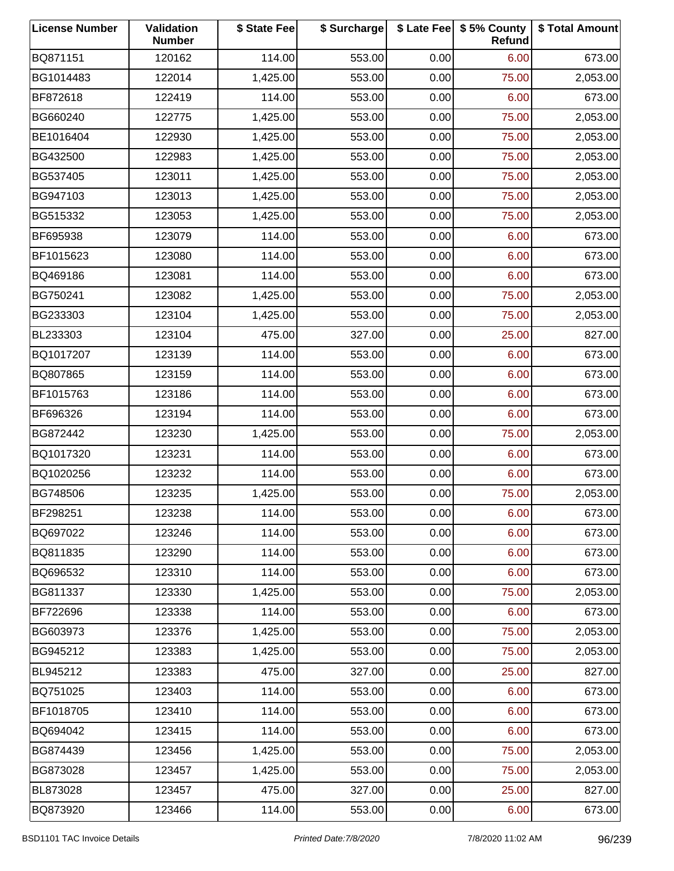| <b>License Number</b> | Validation<br><b>Number</b> | \$ State Fee | \$ Surcharge |      | \$ Late Fee   \$5% County<br>Refund | \$ Total Amount |
|-----------------------|-----------------------------|--------------|--------------|------|-------------------------------------|-----------------|
| BQ871151              | 120162                      | 114.00       | 553.00       | 0.00 | 6.00                                | 673.00          |
| BG1014483             | 122014                      | 1,425.00     | 553.00       | 0.00 | 75.00                               | 2,053.00        |
| BF872618              | 122419                      | 114.00       | 553.00       | 0.00 | 6.00                                | 673.00          |
| BG660240              | 122775                      | 1,425.00     | 553.00       | 0.00 | 75.00                               | 2,053.00        |
| BE1016404             | 122930                      | 1,425.00     | 553.00       | 0.00 | 75.00                               | 2,053.00        |
| BG432500              | 122983                      | 1,425.00     | 553.00       | 0.00 | 75.00                               | 2,053.00        |
| BG537405              | 123011                      | 1,425.00     | 553.00       | 0.00 | 75.00                               | 2,053.00        |
| BG947103              | 123013                      | 1,425.00     | 553.00       | 0.00 | 75.00                               | 2,053.00        |
| BG515332              | 123053                      | 1,425.00     | 553.00       | 0.00 | 75.00                               | 2,053.00        |
| BF695938              | 123079                      | 114.00       | 553.00       | 0.00 | 6.00                                | 673.00          |
| BF1015623             | 123080                      | 114.00       | 553.00       | 0.00 | 6.00                                | 673.00          |
| BQ469186              | 123081                      | 114.00       | 553.00       | 0.00 | 6.00                                | 673.00          |
| BG750241              | 123082                      | 1,425.00     | 553.00       | 0.00 | 75.00                               | 2,053.00        |
| BG233303              | 123104                      | 1,425.00     | 553.00       | 0.00 | 75.00                               | 2,053.00        |
| BL233303              | 123104                      | 475.00       | 327.00       | 0.00 | 25.00                               | 827.00          |
| BQ1017207             | 123139                      | 114.00       | 553.00       | 0.00 | 6.00                                | 673.00          |
| BQ807865              | 123159                      | 114.00       | 553.00       | 0.00 | 6.00                                | 673.00          |
| BF1015763             | 123186                      | 114.00       | 553.00       | 0.00 | 6.00                                | 673.00          |
| BF696326              | 123194                      | 114.00       | 553.00       | 0.00 | 6.00                                | 673.00          |
| BG872442              | 123230                      | 1,425.00     | 553.00       | 0.00 | 75.00                               | 2,053.00        |
| BQ1017320             | 123231                      | 114.00       | 553.00       | 0.00 | 6.00                                | 673.00          |
| BQ1020256             | 123232                      | 114.00       | 553.00       | 0.00 | 6.00                                | 673.00          |
| BG748506              | 123235                      | 1,425.00     | 553.00       | 0.00 | 75.00                               | 2,053.00        |
| BF298251              | 123238                      | 114.00       | 553.00       | 0.00 | 6.00                                | 673.00          |
| BQ697022              | 123246                      | 114.00       | 553.00       | 0.00 | 6.00                                | 673.00          |
| BQ811835              | 123290                      | 114.00       | 553.00       | 0.00 | 6.00                                | 673.00          |
| BQ696532              | 123310                      | 114.00       | 553.00       | 0.00 | 6.00                                | 673.00          |
| BG811337              | 123330                      | 1,425.00     | 553.00       | 0.00 | 75.00                               | 2,053.00        |
| BF722696              | 123338                      | 114.00       | 553.00       | 0.00 | 6.00                                | 673.00          |
| BG603973              | 123376                      | 1,425.00     | 553.00       | 0.00 | 75.00                               | 2,053.00        |
| BG945212              | 123383                      | 1,425.00     | 553.00       | 0.00 | 75.00                               | 2,053.00        |
| BL945212              | 123383                      | 475.00       | 327.00       | 0.00 | 25.00                               | 827.00          |
| BQ751025              | 123403                      | 114.00       | 553.00       | 0.00 | 6.00                                | 673.00          |
| BF1018705             | 123410                      | 114.00       | 553.00       | 0.00 | 6.00                                | 673.00          |
| BQ694042              | 123415                      | 114.00       | 553.00       | 0.00 | 6.00                                | 673.00          |
| BG874439              | 123456                      | 1,425.00     | 553.00       | 0.00 | 75.00                               | 2,053.00        |
| BG873028              | 123457                      | 1,425.00     | 553.00       | 0.00 | 75.00                               | 2,053.00        |
| BL873028              | 123457                      | 475.00       | 327.00       | 0.00 | 25.00                               | 827.00          |
| BQ873920              | 123466                      | 114.00       | 553.00       | 0.00 | 6.00                                | 673.00          |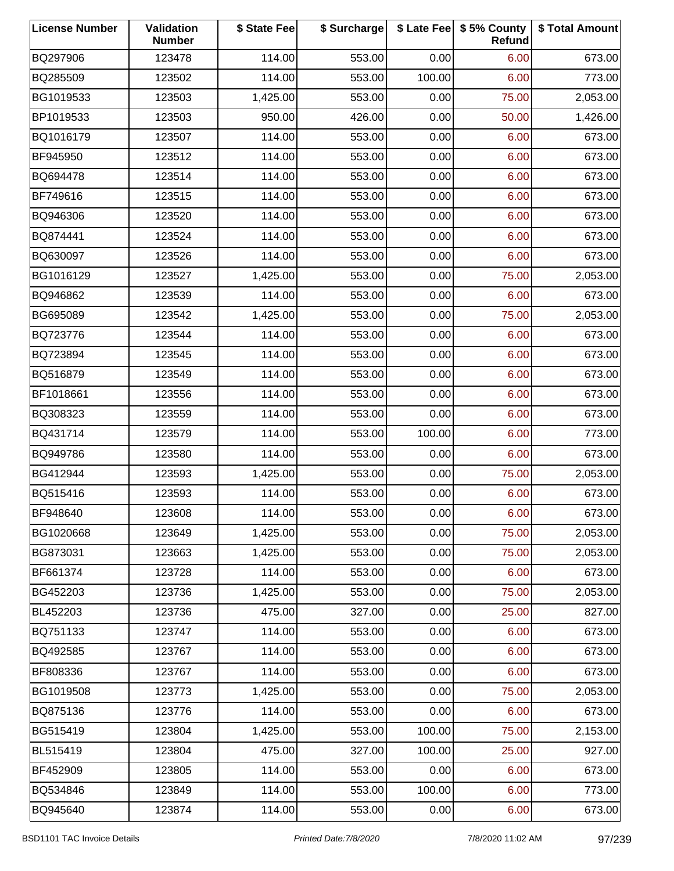| <b>License Number</b> | Validation<br><b>Number</b> | \$ State Fee | \$ Surcharge |        | \$ Late Fee   \$5% County<br>Refund | \$ Total Amount |
|-----------------------|-----------------------------|--------------|--------------|--------|-------------------------------------|-----------------|
| BQ297906              | 123478                      | 114.00       | 553.00       | 0.00   | 6.00                                | 673.00          |
| BQ285509              | 123502                      | 114.00       | 553.00       | 100.00 | 6.00                                | 773.00          |
| BG1019533             | 123503                      | 1,425.00     | 553.00       | 0.00   | 75.00                               | 2,053.00        |
| BP1019533             | 123503                      | 950.00       | 426.00       | 0.00   | 50.00                               | 1,426.00        |
| BQ1016179             | 123507                      | 114.00       | 553.00       | 0.00   | 6.00                                | 673.00          |
| BF945950              | 123512                      | 114.00       | 553.00       | 0.00   | 6.00                                | 673.00          |
| BQ694478              | 123514                      | 114.00       | 553.00       | 0.00   | 6.00                                | 673.00          |
| BF749616              | 123515                      | 114.00       | 553.00       | 0.00   | 6.00                                | 673.00          |
| BQ946306              | 123520                      | 114.00       | 553.00       | 0.00   | 6.00                                | 673.00          |
| BQ874441              | 123524                      | 114.00       | 553.00       | 0.00   | 6.00                                | 673.00          |
| BQ630097              | 123526                      | 114.00       | 553.00       | 0.00   | 6.00                                | 673.00          |
| BG1016129             | 123527                      | 1,425.00     | 553.00       | 0.00   | 75.00                               | 2,053.00        |
| BQ946862              | 123539                      | 114.00       | 553.00       | 0.00   | 6.00                                | 673.00          |
| BG695089              | 123542                      | 1,425.00     | 553.00       | 0.00   | 75.00                               | 2,053.00        |
| BQ723776              | 123544                      | 114.00       | 553.00       | 0.00   | 6.00                                | 673.00          |
| BQ723894              | 123545                      | 114.00       | 553.00       | 0.00   | 6.00                                | 673.00          |
| BQ516879              | 123549                      | 114.00       | 553.00       | 0.00   | 6.00                                | 673.00          |
| BF1018661             | 123556                      | 114.00       | 553.00       | 0.00   | 6.00                                | 673.00          |
| BQ308323              | 123559                      | 114.00       | 553.00       | 0.00   | 6.00                                | 673.00          |
| BQ431714              | 123579                      | 114.00       | 553.00       | 100.00 | 6.00                                | 773.00          |
| BQ949786              | 123580                      | 114.00       | 553.00       | 0.00   | 6.00                                | 673.00          |
| BG412944              | 123593                      | 1,425.00     | 553.00       | 0.00   | 75.00                               | 2,053.00        |
| BQ515416              | 123593                      | 114.00       | 553.00       | 0.00   | 6.00                                | 673.00          |
| BF948640              | 123608                      | 114.00       | 553.00       | 0.00   | 6.00                                | 673.00          |
| BG1020668             | 123649                      | 1,425.00     | 553.00       | 0.00   | 75.00                               | 2,053.00        |
| BG873031              | 123663                      | 1,425.00     | 553.00       | 0.00   | 75.00                               | 2,053.00        |
| BF661374              | 123728                      | 114.00       | 553.00       | 0.00   | 6.00                                | 673.00          |
| BG452203              | 123736                      | 1,425.00     | 553.00       | 0.00   | 75.00                               | 2,053.00        |
| BL452203              | 123736                      | 475.00       | 327.00       | 0.00   | 25.00                               | 827.00          |
| BQ751133              | 123747                      | 114.00       | 553.00       | 0.00   | 6.00                                | 673.00          |
| BQ492585              | 123767                      | 114.00       | 553.00       | 0.00   | 6.00                                | 673.00          |
| BF808336              | 123767                      | 114.00       | 553.00       | 0.00   | 6.00                                | 673.00          |
| BG1019508             | 123773                      | 1,425.00     | 553.00       | 0.00   | 75.00                               | 2,053.00        |
| BQ875136              | 123776                      | 114.00       | 553.00       | 0.00   | 6.00                                | 673.00          |
| BG515419              | 123804                      | 1,425.00     | 553.00       | 100.00 | 75.00                               | 2,153.00        |
| BL515419              | 123804                      | 475.00       | 327.00       | 100.00 | 25.00                               | 927.00          |
| BF452909              | 123805                      | 114.00       | 553.00       | 0.00   | 6.00                                | 673.00          |
| BQ534846              | 123849                      | 114.00       | 553.00       | 100.00 | 6.00                                | 773.00          |
| BQ945640              | 123874                      | 114.00       | 553.00       | 0.00   | 6.00                                | 673.00          |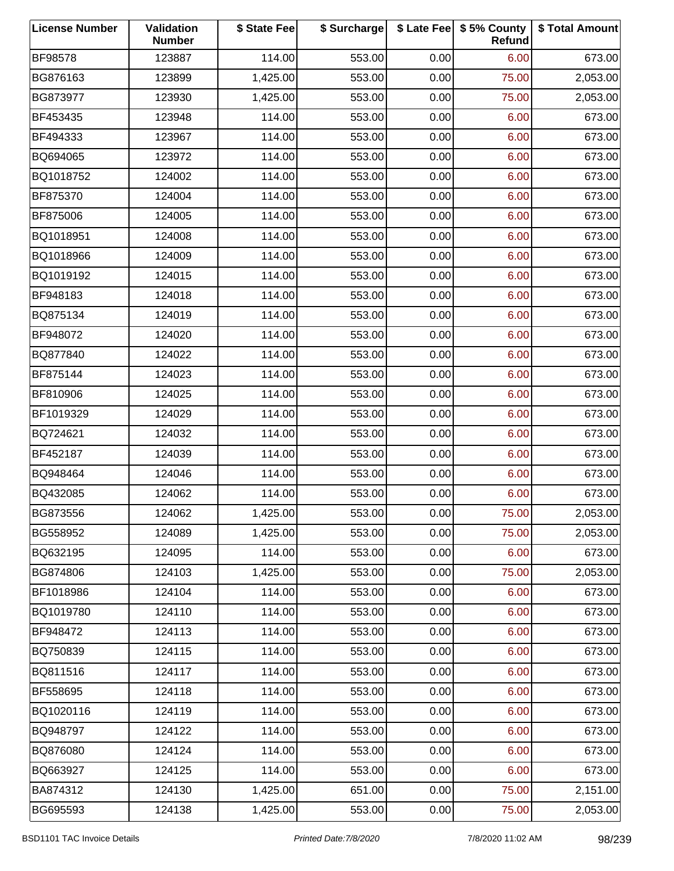| <b>License Number</b> | Validation<br><b>Number</b> | \$ State Fee | \$ Surcharge |      | \$ Late Fee   \$5% County<br>Refund | \$ Total Amount |
|-----------------------|-----------------------------|--------------|--------------|------|-------------------------------------|-----------------|
| <b>BF98578</b>        | 123887                      | 114.00       | 553.00       | 0.00 | 6.00                                | 673.00          |
| BG876163              | 123899                      | 1,425.00     | 553.00       | 0.00 | 75.00                               | 2,053.00        |
| BG873977              | 123930                      | 1,425.00     | 553.00       | 0.00 | 75.00                               | 2,053.00        |
| BF453435              | 123948                      | 114.00       | 553.00       | 0.00 | 6.00                                | 673.00          |
| BF494333              | 123967                      | 114.00       | 553.00       | 0.00 | 6.00                                | 673.00          |
| BQ694065              | 123972                      | 114.00       | 553.00       | 0.00 | 6.00                                | 673.00          |
| BQ1018752             | 124002                      | 114.00       | 553.00       | 0.00 | 6.00                                | 673.00          |
| BF875370              | 124004                      | 114.00       | 553.00       | 0.00 | 6.00                                | 673.00          |
| BF875006              | 124005                      | 114.00       | 553.00       | 0.00 | 6.00                                | 673.00          |
| BQ1018951             | 124008                      | 114.00       | 553.00       | 0.00 | 6.00                                | 673.00          |
| BQ1018966             | 124009                      | 114.00       | 553.00       | 0.00 | 6.00                                | 673.00          |
| BQ1019192             | 124015                      | 114.00       | 553.00       | 0.00 | 6.00                                | 673.00          |
| BF948183              | 124018                      | 114.00       | 553.00       | 0.00 | 6.00                                | 673.00          |
| BQ875134              | 124019                      | 114.00       | 553.00       | 0.00 | 6.00                                | 673.00          |
| BF948072              | 124020                      | 114.00       | 553.00       | 0.00 | 6.00                                | 673.00          |
| BQ877840              | 124022                      | 114.00       | 553.00       | 0.00 | 6.00                                | 673.00          |
| BF875144              | 124023                      | 114.00       | 553.00       | 0.00 | 6.00                                | 673.00          |
| BF810906              | 124025                      | 114.00       | 553.00       | 0.00 | 6.00                                | 673.00          |
| BF1019329             | 124029                      | 114.00       | 553.00       | 0.00 | 6.00                                | 673.00          |
| BQ724621              | 124032                      | 114.00       | 553.00       | 0.00 | 6.00                                | 673.00          |
| BF452187              | 124039                      | 114.00       | 553.00       | 0.00 | 6.00                                | 673.00          |
| BQ948464              | 124046                      | 114.00       | 553.00       | 0.00 | 6.00                                | 673.00          |
| BQ432085              | 124062                      | 114.00       | 553.00       | 0.00 | 6.00                                | 673.00          |
| BG873556              | 124062                      | 1,425.00     | 553.00       | 0.00 | 75.00                               | 2,053.00        |
| BG558952              | 124089                      | 1,425.00     | 553.00       | 0.00 | 75.00                               | 2,053.00        |
| BQ632195              | 124095                      | 114.00       | 553.00       | 0.00 | 6.00                                | 673.00          |
| BG874806              | 124103                      | 1,425.00     | 553.00       | 0.00 | 75.00                               | 2,053.00        |
| BF1018986             | 124104                      | 114.00       | 553.00       | 0.00 | 6.00                                | 673.00          |
| BQ1019780             | 124110                      | 114.00       | 553.00       | 0.00 | 6.00                                | 673.00          |
| BF948472              | 124113                      | 114.00       | 553.00       | 0.00 | 6.00                                | 673.00          |
| BQ750839              | 124115                      | 114.00       | 553.00       | 0.00 | 6.00                                | 673.00          |
| BQ811516              | 124117                      | 114.00       | 553.00       | 0.00 | 6.00                                | 673.00          |
| BF558695              | 124118                      | 114.00       | 553.00       | 0.00 | 6.00                                | 673.00          |
| BQ1020116             | 124119                      | 114.00       | 553.00       | 0.00 | 6.00                                | 673.00          |
| BQ948797              | 124122                      | 114.00       | 553.00       | 0.00 | 6.00                                | 673.00          |
| BQ876080              | 124124                      | 114.00       | 553.00       | 0.00 | 6.00                                | 673.00          |
| BQ663927              | 124125                      | 114.00       | 553.00       | 0.00 | 6.00                                | 673.00          |
| BA874312              | 124130                      | 1,425.00     | 651.00       | 0.00 | 75.00                               | 2,151.00        |
| BG695593              | 124138                      | 1,425.00     | 553.00       | 0.00 | 75.00                               | 2,053.00        |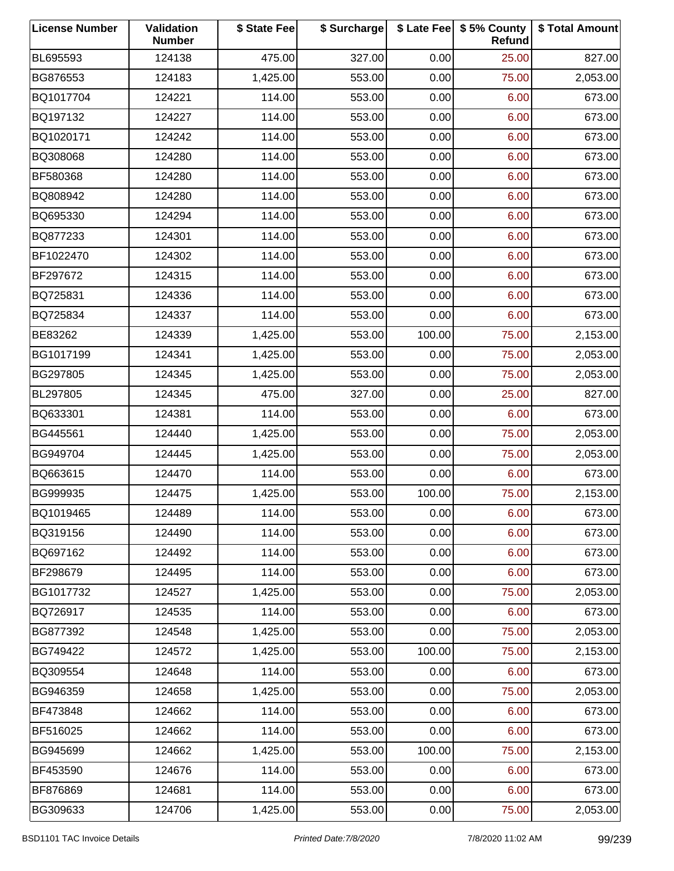| <b>License Number</b> | Validation<br><b>Number</b> | \$ State Fee | \$ Surcharge |        | \$ Late Fee   \$5% County<br>Refund | \$ Total Amount |
|-----------------------|-----------------------------|--------------|--------------|--------|-------------------------------------|-----------------|
| BL695593              | 124138                      | 475.00       | 327.00       | 0.00   | 25.00                               | 827.00          |
| BG876553              | 124183                      | 1,425.00     | 553.00       | 0.00   | 75.00                               | 2,053.00        |
| BQ1017704             | 124221                      | 114.00       | 553.00       | 0.00   | 6.00                                | 673.00          |
| BQ197132              | 124227                      | 114.00       | 553.00       | 0.00   | 6.00                                | 673.00          |
| BQ1020171             | 124242                      | 114.00       | 553.00       | 0.00   | 6.00                                | 673.00          |
| BQ308068              | 124280                      | 114.00       | 553.00       | 0.00   | 6.00                                | 673.00          |
| BF580368              | 124280                      | 114.00       | 553.00       | 0.00   | 6.00                                | 673.00          |
| BQ808942              | 124280                      | 114.00       | 553.00       | 0.00   | 6.00                                | 673.00          |
| BQ695330              | 124294                      | 114.00       | 553.00       | 0.00   | 6.00                                | 673.00          |
| BQ877233              | 124301                      | 114.00       | 553.00       | 0.00   | 6.00                                | 673.00          |
| BF1022470             | 124302                      | 114.00       | 553.00       | 0.00   | 6.00                                | 673.00          |
| BF297672              | 124315                      | 114.00       | 553.00       | 0.00   | 6.00                                | 673.00          |
| BQ725831              | 124336                      | 114.00       | 553.00       | 0.00   | 6.00                                | 673.00          |
| BQ725834              | 124337                      | 114.00       | 553.00       | 0.00   | 6.00                                | 673.00          |
| BE83262               | 124339                      | 1,425.00     | 553.00       | 100.00 | 75.00                               | 2,153.00        |
| BG1017199             | 124341                      | 1,425.00     | 553.00       | 0.00   | 75.00                               | 2,053.00        |
| BG297805              | 124345                      | 1,425.00     | 553.00       | 0.00   | 75.00                               | 2,053.00        |
| BL297805              | 124345                      | 475.00       | 327.00       | 0.00   | 25.00                               | 827.00          |
| BQ633301              | 124381                      | 114.00       | 553.00       | 0.00   | 6.00                                | 673.00          |
| BG445561              | 124440                      | 1,425.00     | 553.00       | 0.00   | 75.00                               | 2,053.00        |
| BG949704              | 124445                      | 1,425.00     | 553.00       | 0.00   | 75.00                               | 2,053.00        |
| BQ663615              | 124470                      | 114.00       | 553.00       | 0.00   | 6.00                                | 673.00          |
| BG999935              | 124475                      | 1,425.00     | 553.00       | 100.00 | 75.00                               | 2,153.00        |
| BQ1019465             | 124489                      | 114.00       | 553.00       | 0.00   | 6.00                                | 673.00          |
| BQ319156              | 124490                      | 114.00       | 553.00       | 0.00   | 6.00                                | 673.00          |
| BQ697162              | 124492                      | 114.00       | 553.00       | 0.00   | 6.00                                | 673.00          |
| BF298679              | 124495                      | 114.00       | 553.00       | 0.00   | 6.00                                | 673.00          |
| BG1017732             | 124527                      | 1,425.00     | 553.00       | 0.00   | 75.00                               | 2,053.00        |
| BQ726917              | 124535                      | 114.00       | 553.00       | 0.00   | 6.00                                | 673.00          |
| BG877392              | 124548                      | 1,425.00     | 553.00       | 0.00   | 75.00                               | 2,053.00        |
| BG749422              | 124572                      | 1,425.00     | 553.00       | 100.00 | 75.00                               | 2,153.00        |
| BQ309554              | 124648                      | 114.00       | 553.00       | 0.00   | 6.00                                | 673.00          |
| BG946359              | 124658                      | 1,425.00     | 553.00       | 0.00   | 75.00                               | 2,053.00        |
| BF473848              | 124662                      | 114.00       | 553.00       | 0.00   | 6.00                                | 673.00          |
| BF516025              | 124662                      | 114.00       | 553.00       | 0.00   | 6.00                                | 673.00          |
| BG945699              | 124662                      | 1,425.00     | 553.00       | 100.00 | 75.00                               | 2,153.00        |
| BF453590              | 124676                      | 114.00       | 553.00       | 0.00   | 6.00                                | 673.00          |
| BF876869              | 124681                      | 114.00       | 553.00       | 0.00   | 6.00                                | 673.00          |
| BG309633              | 124706                      | 1,425.00     | 553.00       | 0.00   | 75.00                               | 2,053.00        |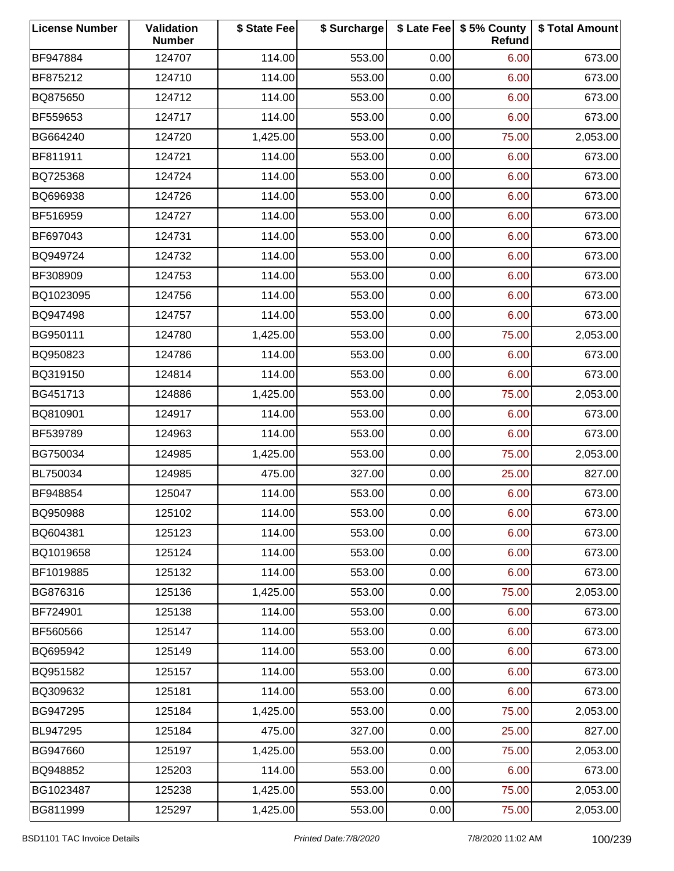| <b>License Number</b> | Validation<br><b>Number</b> | \$ State Fee | \$ Surcharge |      | \$ Late Fee   \$5% County<br>Refund | \$ Total Amount |
|-----------------------|-----------------------------|--------------|--------------|------|-------------------------------------|-----------------|
| BF947884              | 124707                      | 114.00       | 553.00       | 0.00 | 6.00                                | 673.00          |
| BF875212              | 124710                      | 114.00       | 553.00       | 0.00 | 6.00                                | 673.00          |
| BQ875650              | 124712                      | 114.00       | 553.00       | 0.00 | 6.00                                | 673.00          |
| BF559653              | 124717                      | 114.00       | 553.00       | 0.00 | 6.00                                | 673.00          |
| BG664240              | 124720                      | 1,425.00     | 553.00       | 0.00 | 75.00                               | 2,053.00        |
| BF811911              | 124721                      | 114.00       | 553.00       | 0.00 | 6.00                                | 673.00          |
| BQ725368              | 124724                      | 114.00       | 553.00       | 0.00 | 6.00                                | 673.00          |
| BQ696938              | 124726                      | 114.00       | 553.00       | 0.00 | 6.00                                | 673.00          |
| BF516959              | 124727                      | 114.00       | 553.00       | 0.00 | 6.00                                | 673.00          |
| BF697043              | 124731                      | 114.00       | 553.00       | 0.00 | 6.00                                | 673.00          |
| BQ949724              | 124732                      | 114.00       | 553.00       | 0.00 | 6.00                                | 673.00          |
| BF308909              | 124753                      | 114.00       | 553.00       | 0.00 | 6.00                                | 673.00          |
| BQ1023095             | 124756                      | 114.00       | 553.00       | 0.00 | 6.00                                | 673.00          |
| BQ947498              | 124757                      | 114.00       | 553.00       | 0.00 | 6.00                                | 673.00          |
| BG950111              | 124780                      | 1,425.00     | 553.00       | 0.00 | 75.00                               | 2,053.00        |
| BQ950823              | 124786                      | 114.00       | 553.00       | 0.00 | 6.00                                | 673.00          |
| BQ319150              | 124814                      | 114.00       | 553.00       | 0.00 | 6.00                                | 673.00          |
| BG451713              | 124886                      | 1,425.00     | 553.00       | 0.00 | 75.00                               | 2,053.00        |
| BQ810901              | 124917                      | 114.00       | 553.00       | 0.00 | 6.00                                | 673.00          |
| BF539789              | 124963                      | 114.00       | 553.00       | 0.00 | 6.00                                | 673.00          |
| BG750034              | 124985                      | 1,425.00     | 553.00       | 0.00 | 75.00                               | 2,053.00        |
| BL750034              | 124985                      | 475.00       | 327.00       | 0.00 | 25.00                               | 827.00          |
| BF948854              | 125047                      | 114.00       | 553.00       | 0.00 | 6.00                                | 673.00          |
| BQ950988              | 125102                      | 114.00       | 553.00       | 0.00 | 6.00                                | 673.00          |
| BQ604381              | 125123                      | 114.00       | 553.00       | 0.00 | 6.00                                | 673.00          |
| BQ1019658             | 125124                      | 114.00       | 553.00       | 0.00 | 6.00                                | 673.00          |
| BF1019885             | 125132                      | 114.00       | 553.00       | 0.00 | 6.00                                | 673.00          |
| BG876316              | 125136                      | 1,425.00     | 553.00       | 0.00 | 75.00                               | 2,053.00        |
| BF724901              | 125138                      | 114.00       | 553.00       | 0.00 | 6.00                                | 673.00          |
| BF560566              | 125147                      | 114.00       | 553.00       | 0.00 | 6.00                                | 673.00          |
| BQ695942              | 125149                      | 114.00       | 553.00       | 0.00 | 6.00                                | 673.00          |
| BQ951582              | 125157                      | 114.00       | 553.00       | 0.00 | 6.00                                | 673.00          |
| BQ309632              | 125181                      | 114.00       | 553.00       | 0.00 | 6.00                                | 673.00          |
| BG947295              | 125184                      | 1,425.00     | 553.00       | 0.00 | 75.00                               | 2,053.00        |
| BL947295              | 125184                      | 475.00       | 327.00       | 0.00 | 25.00                               | 827.00          |
| BG947660              | 125197                      | 1,425.00     | 553.00       | 0.00 | 75.00                               | 2,053.00        |
| BQ948852              | 125203                      | 114.00       | 553.00       | 0.00 | 6.00                                | 673.00          |
| BG1023487             | 125238                      | 1,425.00     | 553.00       | 0.00 | 75.00                               | 2,053.00        |
| BG811999              | 125297                      | 1,425.00     | 553.00       | 0.00 | 75.00                               | 2,053.00        |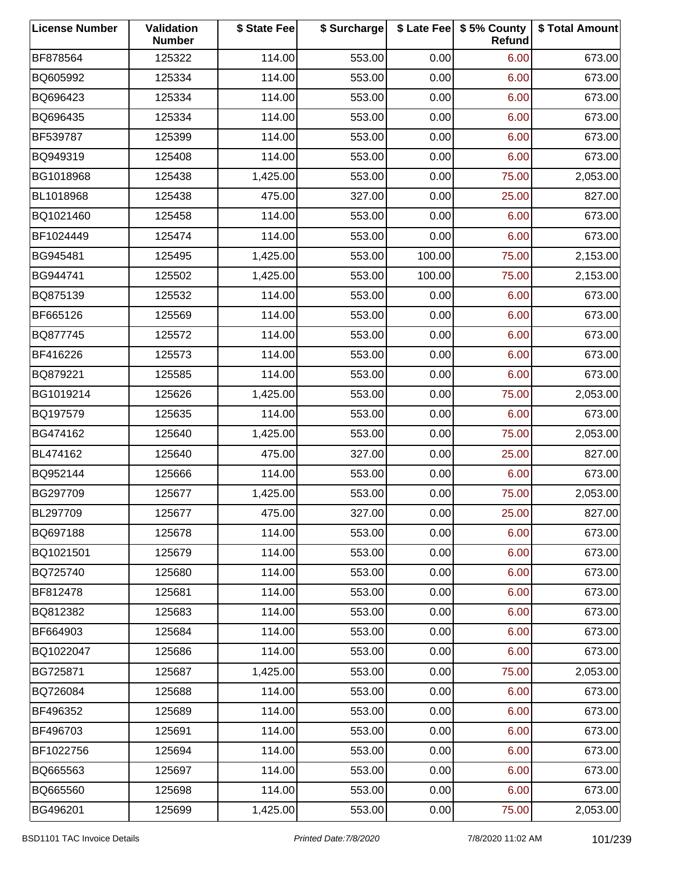| <b>License Number</b> | Validation<br><b>Number</b> | \$ State Fee | \$ Surcharge |        | \$ Late Fee   \$5% County<br>Refund | \$ Total Amount |
|-----------------------|-----------------------------|--------------|--------------|--------|-------------------------------------|-----------------|
| BF878564              | 125322                      | 114.00       | 553.00       | 0.00   | 6.00                                | 673.00          |
| BQ605992              | 125334                      | 114.00       | 553.00       | 0.00   | 6.00                                | 673.00          |
| BQ696423              | 125334                      | 114.00       | 553.00       | 0.00   | 6.00                                | 673.00          |
| BQ696435              | 125334                      | 114.00       | 553.00       | 0.00   | 6.00                                | 673.00          |
| BF539787              | 125399                      | 114.00       | 553.00       | 0.00   | 6.00                                | 673.00          |
| BQ949319              | 125408                      | 114.00       | 553.00       | 0.00   | 6.00                                | 673.00          |
| BG1018968             | 125438                      | 1,425.00     | 553.00       | 0.00   | 75.00                               | 2,053.00        |
| BL1018968             | 125438                      | 475.00       | 327.00       | 0.00   | 25.00                               | 827.00          |
| BQ1021460             | 125458                      | 114.00       | 553.00       | 0.00   | 6.00                                | 673.00          |
| BF1024449             | 125474                      | 114.00       | 553.00       | 0.00   | 6.00                                | 673.00          |
| BG945481              | 125495                      | 1,425.00     | 553.00       | 100.00 | 75.00                               | 2,153.00        |
| BG944741              | 125502                      | 1,425.00     | 553.00       | 100.00 | 75.00                               | 2,153.00        |
| BQ875139              | 125532                      | 114.00       | 553.00       | 0.00   | 6.00                                | 673.00          |
| BF665126              | 125569                      | 114.00       | 553.00       | 0.00   | 6.00                                | 673.00          |
| BQ877745              | 125572                      | 114.00       | 553.00       | 0.00   | 6.00                                | 673.00          |
| BF416226              | 125573                      | 114.00       | 553.00       | 0.00   | 6.00                                | 673.00          |
| BQ879221              | 125585                      | 114.00       | 553.00       | 0.00   | 6.00                                | 673.00          |
| BG1019214             | 125626                      | 1,425.00     | 553.00       | 0.00   | 75.00                               | 2,053.00        |
| BQ197579              | 125635                      | 114.00       | 553.00       | 0.00   | 6.00                                | 673.00          |
| BG474162              | 125640                      | 1,425.00     | 553.00       | 0.00   | 75.00                               | 2,053.00        |
| BL474162              | 125640                      | 475.00       | 327.00       | 0.00   | 25.00                               | 827.00          |
| BQ952144              | 125666                      | 114.00       | 553.00       | 0.00   | 6.00                                | 673.00          |
| BG297709              | 125677                      | 1,425.00     | 553.00       | 0.00   | 75.00                               | 2,053.00        |
| BL297709              | 125677                      | 475.00       | 327.00       | 0.00   | 25.00                               | 827.00          |
| BQ697188              | 125678                      | 114.00       | 553.00       | 0.00   | 6.00                                | 673.00          |
| BQ1021501             | 125679                      | 114.00       | 553.00       | 0.00   | 6.00                                | 673.00          |
| BQ725740              | 125680                      | 114.00       | 553.00       | 0.00   | 6.00                                | 673.00          |
| BF812478              | 125681                      | 114.00       | 553.00       | 0.00   | 6.00                                | 673.00          |
| BQ812382              | 125683                      | 114.00       | 553.00       | 0.00   | 6.00                                | 673.00          |
| BF664903              | 125684                      | 114.00       | 553.00       | 0.00   | 6.00                                | 673.00          |
| BQ1022047             | 125686                      | 114.00       | 553.00       | 0.00   | 6.00                                | 673.00          |
| BG725871              | 125687                      | 1,425.00     | 553.00       | 0.00   | 75.00                               | 2,053.00        |
| BQ726084              | 125688                      | 114.00       | 553.00       | 0.00   | 6.00                                | 673.00          |
| BF496352              | 125689                      | 114.00       | 553.00       | 0.00   | 6.00                                | 673.00          |
| BF496703              | 125691                      | 114.00       | 553.00       | 0.00   | 6.00                                | 673.00          |
| BF1022756             | 125694                      | 114.00       | 553.00       | 0.00   | 6.00                                | 673.00          |
| BQ665563              | 125697                      | 114.00       | 553.00       | 0.00   | 6.00                                | 673.00          |
| BQ665560              | 125698                      | 114.00       | 553.00       | 0.00   | 6.00                                | 673.00          |
| BG496201              | 125699                      | 1,425.00     | 553.00       | 0.00   | 75.00                               | 2,053.00        |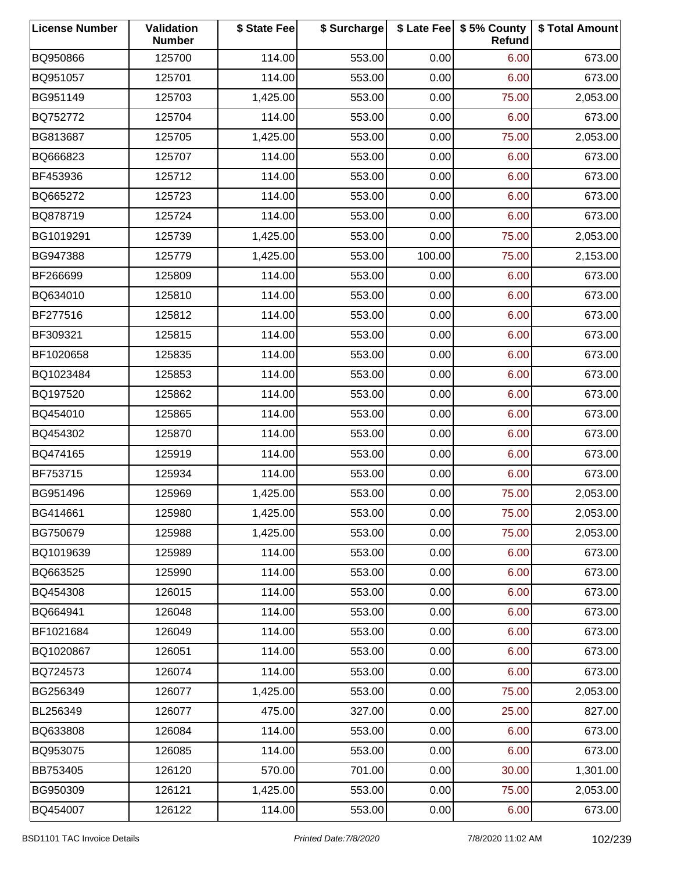| <b>License Number</b> | Validation<br><b>Number</b> | \$ State Fee | \$ Surcharge |        | \$ Late Fee   \$5% County<br>Refund | \$ Total Amount |
|-----------------------|-----------------------------|--------------|--------------|--------|-------------------------------------|-----------------|
| BQ950866              | 125700                      | 114.00       | 553.00       | 0.00   | 6.00                                | 673.00          |
| BQ951057              | 125701                      | 114.00       | 553.00       | 0.00   | 6.00                                | 673.00          |
| BG951149              | 125703                      | 1,425.00     | 553.00       | 0.00   | 75.00                               | 2,053.00        |
| BQ752772              | 125704                      | 114.00       | 553.00       | 0.00   | 6.00                                | 673.00          |
| BG813687              | 125705                      | 1,425.00     | 553.00       | 0.00   | 75.00                               | 2,053.00        |
| BQ666823              | 125707                      | 114.00       | 553.00       | 0.00   | 6.00                                | 673.00          |
| BF453936              | 125712                      | 114.00       | 553.00       | 0.00   | 6.00                                | 673.00          |
| BQ665272              | 125723                      | 114.00       | 553.00       | 0.00   | 6.00                                | 673.00          |
| BQ878719              | 125724                      | 114.00       | 553.00       | 0.00   | 6.00                                | 673.00          |
| BG1019291             | 125739                      | 1,425.00     | 553.00       | 0.00   | 75.00                               | 2,053.00        |
| BG947388              | 125779                      | 1,425.00     | 553.00       | 100.00 | 75.00                               | 2,153.00        |
| BF266699              | 125809                      | 114.00       | 553.00       | 0.00   | 6.00                                | 673.00          |
| BQ634010              | 125810                      | 114.00       | 553.00       | 0.00   | 6.00                                | 673.00          |
| BF277516              | 125812                      | 114.00       | 553.00       | 0.00   | 6.00                                | 673.00          |
| BF309321              | 125815                      | 114.00       | 553.00       | 0.00   | 6.00                                | 673.00          |
| BF1020658             | 125835                      | 114.00       | 553.00       | 0.00   | 6.00                                | 673.00          |
| BQ1023484             | 125853                      | 114.00       | 553.00       | 0.00   | 6.00                                | 673.00          |
| BQ197520              | 125862                      | 114.00       | 553.00       | 0.00   | 6.00                                | 673.00          |
| BQ454010              | 125865                      | 114.00       | 553.00       | 0.00   | 6.00                                | 673.00          |
| BQ454302              | 125870                      | 114.00       | 553.00       | 0.00   | 6.00                                | 673.00          |
| BQ474165              | 125919                      | 114.00       | 553.00       | 0.00   | 6.00                                | 673.00          |
| BF753715              | 125934                      | 114.00       | 553.00       | 0.00   | 6.00                                | 673.00          |
| BG951496              | 125969                      | 1,425.00     | 553.00       | 0.00   | 75.00                               | 2,053.00        |
| BG414661              | 125980                      | 1,425.00     | 553.00       | 0.00   | 75.00                               | 2,053.00        |
| BG750679              | 125988                      | 1,425.00     | 553.00       | 0.00   | 75.00                               | 2,053.00        |
| BQ1019639             | 125989                      | 114.00       | 553.00       | 0.00   | 6.00                                | 673.00          |
| BQ663525              | 125990                      | 114.00       | 553.00       | 0.00   | 6.00                                | 673.00          |
| BQ454308              | 126015                      | 114.00       | 553.00       | 0.00   | 6.00                                | 673.00          |
| BQ664941              | 126048                      | 114.00       | 553.00       | 0.00   | 6.00                                | 673.00          |
| BF1021684             | 126049                      | 114.00       | 553.00       | 0.00   | 6.00                                | 673.00          |
| BQ1020867             | 126051                      | 114.00       | 553.00       | 0.00   | 6.00                                | 673.00          |
| BQ724573              | 126074                      | 114.00       | 553.00       | 0.00   | 6.00                                | 673.00          |
| BG256349              | 126077                      | 1,425.00     | 553.00       | 0.00   | 75.00                               | 2,053.00        |
| BL256349              | 126077                      | 475.00       | 327.00       | 0.00   | 25.00                               | 827.00          |
| BQ633808              | 126084                      | 114.00       | 553.00       | 0.00   | 6.00                                | 673.00          |
| BQ953075              | 126085                      | 114.00       | 553.00       | 0.00   | 6.00                                | 673.00          |
| BB753405              | 126120                      | 570.00       | 701.00       | 0.00   | 30.00                               | 1,301.00        |
| BG950309              | 126121                      | 1,425.00     | 553.00       | 0.00   | 75.00                               | 2,053.00        |
| BQ454007              | 126122                      | 114.00       | 553.00       | 0.00   | 6.00                                | 673.00          |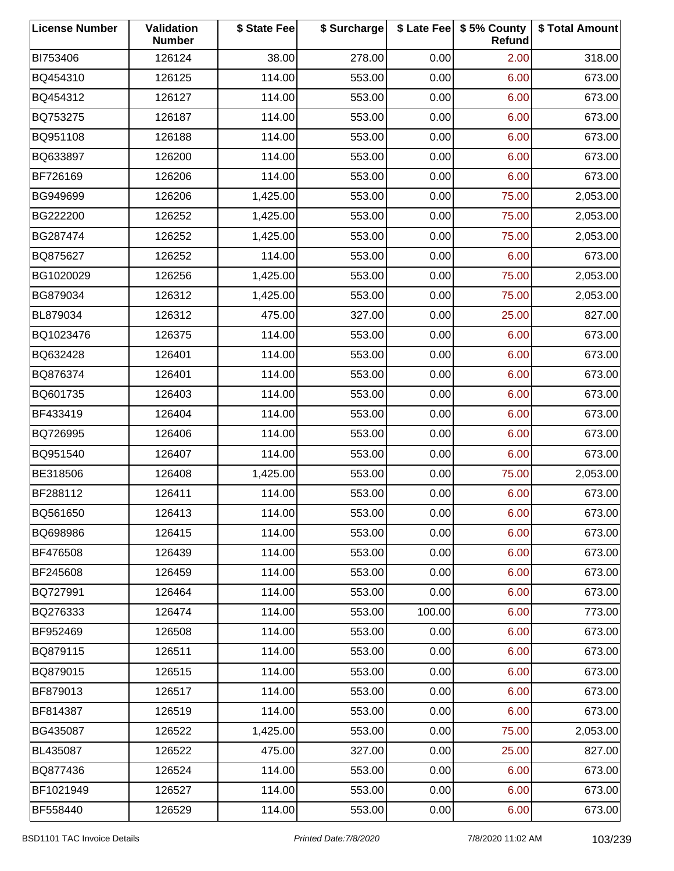| <b>License Number</b> | Validation<br><b>Number</b> | \$ State Fee | \$ Surcharge |        | \$ Late Fee   \$5% County<br>Refund | \$ Total Amount |
|-----------------------|-----------------------------|--------------|--------------|--------|-------------------------------------|-----------------|
| BI753406              | 126124                      | 38.00        | 278.00       | 0.00   | 2.00                                | 318.00          |
| BQ454310              | 126125                      | 114.00       | 553.00       | 0.00   | 6.00                                | 673.00          |
| BQ454312              | 126127                      | 114.00       | 553.00       | 0.00   | 6.00                                | 673.00          |
| BQ753275              | 126187                      | 114.00       | 553.00       | 0.00   | 6.00                                | 673.00          |
| BQ951108              | 126188                      | 114.00       | 553.00       | 0.00   | 6.00                                | 673.00          |
| BQ633897              | 126200                      | 114.00       | 553.00       | 0.00   | 6.00                                | 673.00          |
| BF726169              | 126206                      | 114.00       | 553.00       | 0.00   | 6.00                                | 673.00          |
| BG949699              | 126206                      | 1,425.00     | 553.00       | 0.00   | 75.00                               | 2,053.00        |
| BG222200              | 126252                      | 1,425.00     | 553.00       | 0.00   | 75.00                               | 2,053.00        |
| BG287474              | 126252                      | 1,425.00     | 553.00       | 0.00   | 75.00                               | 2,053.00        |
| BQ875627              | 126252                      | 114.00       | 553.00       | 0.00   | 6.00                                | 673.00          |
| BG1020029             | 126256                      | 1,425.00     | 553.00       | 0.00   | 75.00                               | 2,053.00        |
| BG879034              | 126312                      | 1,425.00     | 553.00       | 0.00   | 75.00                               | 2,053.00        |
| BL879034              | 126312                      | 475.00       | 327.00       | 0.00   | 25.00                               | 827.00          |
| BQ1023476             | 126375                      | 114.00       | 553.00       | 0.00   | 6.00                                | 673.00          |
| BQ632428              | 126401                      | 114.00       | 553.00       | 0.00   | 6.00                                | 673.00          |
| BQ876374              | 126401                      | 114.00       | 553.00       | 0.00   | 6.00                                | 673.00          |
| BQ601735              | 126403                      | 114.00       | 553.00       | 0.00   | 6.00                                | 673.00          |
| BF433419              | 126404                      | 114.00       | 553.00       | 0.00   | 6.00                                | 673.00          |
| BQ726995              | 126406                      | 114.00       | 553.00       | 0.00   | 6.00                                | 673.00          |
| BQ951540              | 126407                      | 114.00       | 553.00       | 0.00   | 6.00                                | 673.00          |
| BE318506              | 126408                      | 1,425.00     | 553.00       | 0.00   | 75.00                               | 2,053.00        |
| BF288112              | 126411                      | 114.00       | 553.00       | 0.00   | 6.00                                | 673.00          |
| BQ561650              | 126413                      | 114.00       | 553.00       | 0.00   | 6.00                                | 673.00          |
| BQ698986              | 126415                      | 114.00       | 553.00       | 0.00   | 6.00                                | 673.00          |
| BF476508              | 126439                      | 114.00       | 553.00       | 0.00   | 6.00                                | 673.00          |
| BF245608              | 126459                      | 114.00       | 553.00       | 0.00   | 6.00                                | 673.00          |
| BQ727991              | 126464                      | 114.00       | 553.00       | 0.00   | 6.00                                | 673.00          |
| BQ276333              | 126474                      | 114.00       | 553.00       | 100.00 | 6.00                                | 773.00          |
| BF952469              | 126508                      | 114.00       | 553.00       | 0.00   | 6.00                                | 673.00          |
| BQ879115              | 126511                      | 114.00       | 553.00       | 0.00   | 6.00                                | 673.00          |
| BQ879015              | 126515                      | 114.00       | 553.00       | 0.00   | 6.00                                | 673.00          |
| BF879013              | 126517                      | 114.00       | 553.00       | 0.00   | 6.00                                | 673.00          |
| BF814387              | 126519                      | 114.00       | 553.00       | 0.00   | 6.00                                | 673.00          |
| BG435087              | 126522                      | 1,425.00     | 553.00       | 0.00   | 75.00                               | 2,053.00        |
| BL435087              | 126522                      | 475.00       | 327.00       | 0.00   | 25.00                               | 827.00          |
| BQ877436              | 126524                      | 114.00       | 553.00       | 0.00   | 6.00                                | 673.00          |
| BF1021949             | 126527                      | 114.00       | 553.00       | 0.00   | 6.00                                | 673.00          |
| BF558440              | 126529                      | 114.00       | 553.00       | 0.00   | 6.00                                | 673.00          |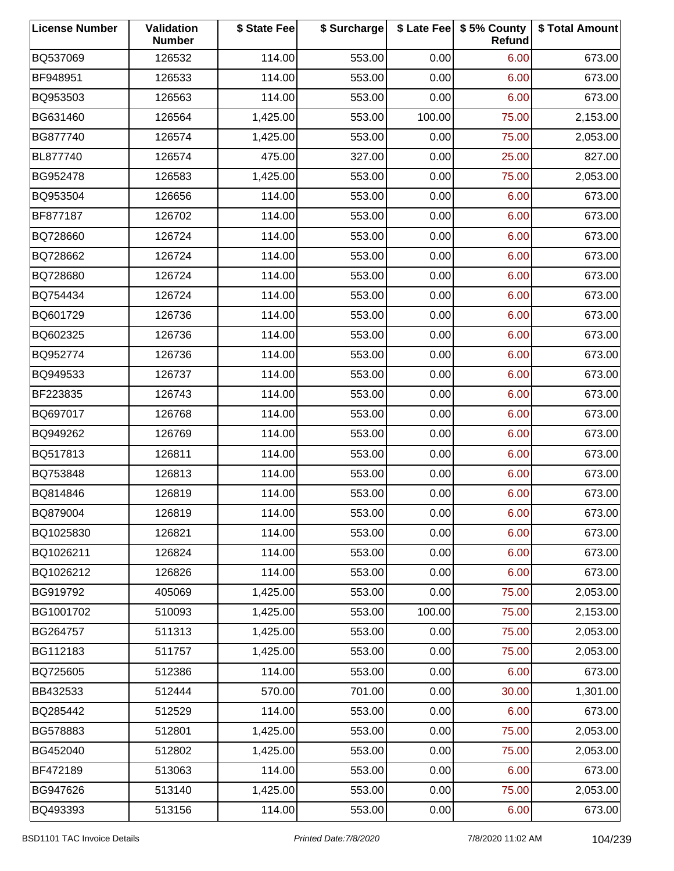| <b>License Number</b> | Validation<br><b>Number</b> | \$ State Fee | \$ Surcharge |        | \$ Late Fee   \$5% County<br>Refund | \$ Total Amount |
|-----------------------|-----------------------------|--------------|--------------|--------|-------------------------------------|-----------------|
| BQ537069              | 126532                      | 114.00       | 553.00       | 0.00   | 6.00                                | 673.00          |
| BF948951              | 126533                      | 114.00       | 553.00       | 0.00   | 6.00                                | 673.00          |
| BQ953503              | 126563                      | 114.00       | 553.00       | 0.00   | 6.00                                | 673.00          |
| BG631460              | 126564                      | 1,425.00     | 553.00       | 100.00 | 75.00                               | 2,153.00        |
| BG877740              | 126574                      | 1,425.00     | 553.00       | 0.00   | 75.00                               | 2,053.00        |
| BL877740              | 126574                      | 475.00       | 327.00       | 0.00   | 25.00                               | 827.00          |
| BG952478              | 126583                      | 1,425.00     | 553.00       | 0.00   | 75.00                               | 2,053.00        |
| BQ953504              | 126656                      | 114.00       | 553.00       | 0.00   | 6.00                                | 673.00          |
| BF877187              | 126702                      | 114.00       | 553.00       | 0.00   | 6.00                                | 673.00          |
| BQ728660              | 126724                      | 114.00       | 553.00       | 0.00   | 6.00                                | 673.00          |
| BQ728662              | 126724                      | 114.00       | 553.00       | 0.00   | 6.00                                | 673.00          |
| BQ728680              | 126724                      | 114.00       | 553.00       | 0.00   | 6.00                                | 673.00          |
| BQ754434              | 126724                      | 114.00       | 553.00       | 0.00   | 6.00                                | 673.00          |
| BQ601729              | 126736                      | 114.00       | 553.00       | 0.00   | 6.00                                | 673.00          |
| BQ602325              | 126736                      | 114.00       | 553.00       | 0.00   | 6.00                                | 673.00          |
| BQ952774              | 126736                      | 114.00       | 553.00       | 0.00   | 6.00                                | 673.00          |
| BQ949533              | 126737                      | 114.00       | 553.00       | 0.00   | 6.00                                | 673.00          |
| BF223835              | 126743                      | 114.00       | 553.00       | 0.00   | 6.00                                | 673.00          |
| BQ697017              | 126768                      | 114.00       | 553.00       | 0.00   | 6.00                                | 673.00          |
| BQ949262              | 126769                      | 114.00       | 553.00       | 0.00   | 6.00                                | 673.00          |
| BQ517813              | 126811                      | 114.00       | 553.00       | 0.00   | 6.00                                | 673.00          |
| BQ753848              | 126813                      | 114.00       | 553.00       | 0.00   | 6.00                                | 673.00          |
| BQ814846              | 126819                      | 114.00       | 553.00       | 0.00   | 6.00                                | 673.00          |
| BQ879004              | 126819                      | 114.00       | 553.00       | 0.00   | 6.00                                | 673.00          |
| BQ1025830             | 126821                      | 114.00       | 553.00       | 0.00   | 6.00                                | 673.00          |
| BQ1026211             | 126824                      | 114.00       | 553.00       | 0.00   | 6.00                                | 673.00          |
| BQ1026212             | 126826                      | 114.00       | 553.00       | 0.00   | 6.00                                | 673.00          |
| BG919792              | 405069                      | 1,425.00     | 553.00       | 0.00   | 75.00                               | 2,053.00        |
| BG1001702             | 510093                      | 1,425.00     | 553.00       | 100.00 | 75.00                               | 2,153.00        |
| BG264757              | 511313                      | 1,425.00     | 553.00       | 0.00   | 75.00                               | 2,053.00        |
| BG112183              | 511757                      | 1,425.00     | 553.00       | 0.00   | 75.00                               | 2,053.00        |
| BQ725605              | 512386                      | 114.00       | 553.00       | 0.00   | 6.00                                | 673.00          |
| BB432533              | 512444                      | 570.00       | 701.00       | 0.00   | 30.00                               | 1,301.00        |
| BQ285442              | 512529                      | 114.00       | 553.00       | 0.00   | 6.00                                | 673.00          |
| BG578883              | 512801                      | 1,425.00     | 553.00       | 0.00   | 75.00                               | 2,053.00        |
| BG452040              | 512802                      | 1,425.00     | 553.00       | 0.00   | 75.00                               | 2,053.00        |
| BF472189              | 513063                      | 114.00       | 553.00       | 0.00   | 6.00                                | 673.00          |
| BG947626              | 513140                      | 1,425.00     | 553.00       | 0.00   | 75.00                               | 2,053.00        |
| BQ493393              | 513156                      | 114.00       | 553.00       | 0.00   | 6.00                                | 673.00          |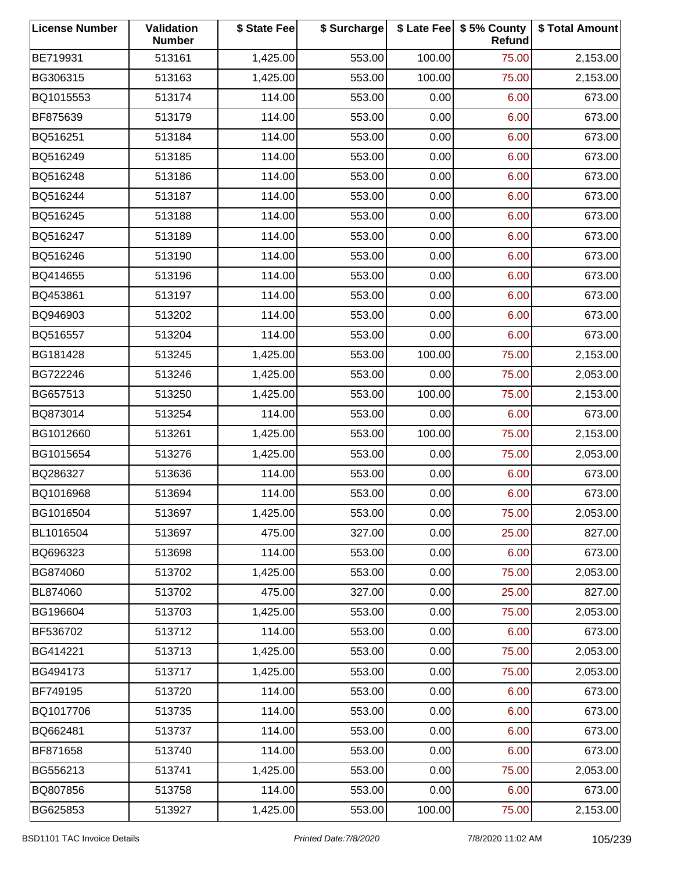| <b>License Number</b> | Validation<br><b>Number</b> | \$ State Fee | \$ Surcharge |        | \$ Late Fee   \$5% County<br>Refund | \$ Total Amount |
|-----------------------|-----------------------------|--------------|--------------|--------|-------------------------------------|-----------------|
| BE719931              | 513161                      | 1,425.00     | 553.00       | 100.00 | 75.00                               | 2,153.00        |
| BG306315              | 513163                      | 1,425.00     | 553.00       | 100.00 | 75.00                               | 2,153.00        |
| BQ1015553             | 513174                      | 114.00       | 553.00       | 0.00   | 6.00                                | 673.00          |
| BF875639              | 513179                      | 114.00       | 553.00       | 0.00   | 6.00                                | 673.00          |
| BQ516251              | 513184                      | 114.00       | 553.00       | 0.00   | 6.00                                | 673.00          |
| BQ516249              | 513185                      | 114.00       | 553.00       | 0.00   | 6.00                                | 673.00          |
| BQ516248              | 513186                      | 114.00       | 553.00       | 0.00   | 6.00                                | 673.00          |
| BQ516244              | 513187                      | 114.00       | 553.00       | 0.00   | 6.00                                | 673.00          |
| BQ516245              | 513188                      | 114.00       | 553.00       | 0.00   | 6.00                                | 673.00          |
| BQ516247              | 513189                      | 114.00       | 553.00       | 0.00   | 6.00                                | 673.00          |
| BQ516246              | 513190                      | 114.00       | 553.00       | 0.00   | 6.00                                | 673.00          |
| BQ414655              | 513196                      | 114.00       | 553.00       | 0.00   | 6.00                                | 673.00          |
| BQ453861              | 513197                      | 114.00       | 553.00       | 0.00   | 6.00                                | 673.00          |
| BQ946903              | 513202                      | 114.00       | 553.00       | 0.00   | 6.00                                | 673.00          |
| BQ516557              | 513204                      | 114.00       | 553.00       | 0.00   | 6.00                                | 673.00          |
| BG181428              | 513245                      | 1,425.00     | 553.00       | 100.00 | 75.00                               | 2,153.00        |
| BG722246              | 513246                      | 1,425.00     | 553.00       | 0.00   | 75.00                               | 2,053.00        |
| BG657513              | 513250                      | 1,425.00     | 553.00       | 100.00 | 75.00                               | 2,153.00        |
| BQ873014              | 513254                      | 114.00       | 553.00       | 0.00   | 6.00                                | 673.00          |
| BG1012660             | 513261                      | 1,425.00     | 553.00       | 100.00 | 75.00                               | 2,153.00        |
| BG1015654             | 513276                      | 1,425.00     | 553.00       | 0.00   | 75.00                               | 2,053.00        |
| BQ286327              | 513636                      | 114.00       | 553.00       | 0.00   | 6.00                                | 673.00          |
| BQ1016968             | 513694                      | 114.00       | 553.00       | 0.00   | 6.00                                | 673.00          |
| BG1016504             | 513697                      | 1,425.00     | 553.00       | 0.00   | 75.00                               | 2,053.00        |
| BL1016504             | 513697                      | 475.00       | 327.00       | 0.00   | 25.00                               | 827.00          |
| BQ696323              | 513698                      | 114.00       | 553.00       | 0.00   | 6.00                                | 673.00          |
| BG874060              | 513702                      | 1,425.00     | 553.00       | 0.00   | 75.00                               | 2,053.00        |
| BL874060              | 513702                      | 475.00       | 327.00       | 0.00   | 25.00                               | 827.00          |
| BG196604              | 513703                      | 1,425.00     | 553.00       | 0.00   | 75.00                               | 2,053.00        |
| BF536702              | 513712                      | 114.00       | 553.00       | 0.00   | 6.00                                | 673.00          |
| BG414221              | 513713                      | 1,425.00     | 553.00       | 0.00   | 75.00                               | 2,053.00        |
| BG494173              | 513717                      | 1,425.00     | 553.00       | 0.00   | 75.00                               | 2,053.00        |
| BF749195              | 513720                      | 114.00       | 553.00       | 0.00   | 6.00                                | 673.00          |
| BQ1017706             | 513735                      | 114.00       | 553.00       | 0.00   | 6.00                                | 673.00          |
| BQ662481              | 513737                      | 114.00       | 553.00       | 0.00   | 6.00                                | 673.00          |
| BF871658              | 513740                      | 114.00       | 553.00       | 0.00   | 6.00                                | 673.00          |
| BG556213              | 513741                      | 1,425.00     | 553.00       | 0.00   | 75.00                               | 2,053.00        |
| BQ807856              | 513758                      | 114.00       | 553.00       | 0.00   | 6.00                                | 673.00          |
| BG625853              | 513927                      | 1,425.00     | 553.00       | 100.00 | 75.00                               | 2,153.00        |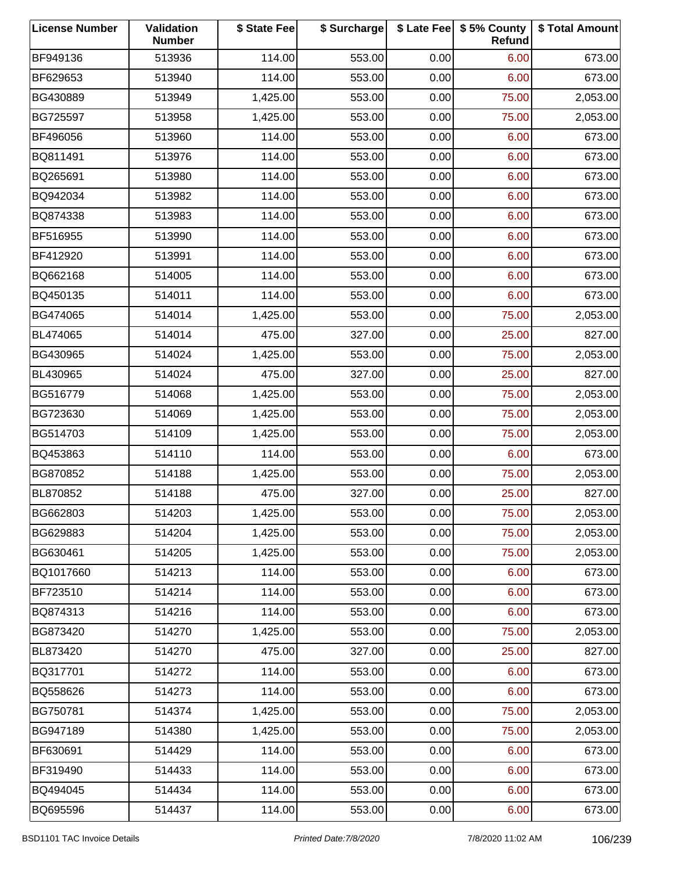| <b>License Number</b> | Validation<br><b>Number</b> | \$ State Fee | \$ Surcharge |      | \$ Late Fee   \$5% County<br>Refund | \$ Total Amount |
|-----------------------|-----------------------------|--------------|--------------|------|-------------------------------------|-----------------|
| BF949136              | 513936                      | 114.00       | 553.00       | 0.00 | 6.00                                | 673.00          |
| BF629653              | 513940                      | 114.00       | 553.00       | 0.00 | 6.00                                | 673.00          |
| BG430889              | 513949                      | 1,425.00     | 553.00       | 0.00 | 75.00                               | 2,053.00        |
| BG725597              | 513958                      | 1,425.00     | 553.00       | 0.00 | 75.00                               | 2,053.00        |
| BF496056              | 513960                      | 114.00       | 553.00       | 0.00 | 6.00                                | 673.00          |
| BQ811491              | 513976                      | 114.00       | 553.00       | 0.00 | 6.00                                | 673.00          |
| BQ265691              | 513980                      | 114.00       | 553.00       | 0.00 | 6.00                                | 673.00          |
| BQ942034              | 513982                      | 114.00       | 553.00       | 0.00 | 6.00                                | 673.00          |
| BQ874338              | 513983                      | 114.00       | 553.00       | 0.00 | 6.00                                | 673.00          |
| BF516955              | 513990                      | 114.00       | 553.00       | 0.00 | 6.00                                | 673.00          |
| BF412920              | 513991                      | 114.00       | 553.00       | 0.00 | 6.00                                | 673.00          |
| BQ662168              | 514005                      | 114.00       | 553.00       | 0.00 | 6.00                                | 673.00          |
| BQ450135              | 514011                      | 114.00       | 553.00       | 0.00 | 6.00                                | 673.00          |
| BG474065              | 514014                      | 1,425.00     | 553.00       | 0.00 | 75.00                               | 2,053.00        |
| BL474065              | 514014                      | 475.00       | 327.00       | 0.00 | 25.00                               | 827.00          |
| BG430965              | 514024                      | 1,425.00     | 553.00       | 0.00 | 75.00                               | 2,053.00        |
| BL430965              | 514024                      | 475.00       | 327.00       | 0.00 | 25.00                               | 827.00          |
| BG516779              | 514068                      | 1,425.00     | 553.00       | 0.00 | 75.00                               | 2,053.00        |
| BG723630              | 514069                      | 1,425.00     | 553.00       | 0.00 | 75.00                               | 2,053.00        |
| BG514703              | 514109                      | 1,425.00     | 553.00       | 0.00 | 75.00                               | 2,053.00        |
| BQ453863              | 514110                      | 114.00       | 553.00       | 0.00 | 6.00                                | 673.00          |
| BG870852              | 514188                      | 1,425.00     | 553.00       | 0.00 | 75.00                               | 2,053.00        |
| BL870852              | 514188                      | 475.00       | 327.00       | 0.00 | 25.00                               | 827.00          |
| BG662803              | 514203                      | 1,425.00     | 553.00       | 0.00 | 75.00                               | 2,053.00        |
| BG629883              | 514204                      | 1,425.00     | 553.00       | 0.00 | 75.00                               | 2,053.00        |
| BG630461              | 514205                      | 1,425.00     | 553.00       | 0.00 | 75.00                               | 2,053.00        |
| BQ1017660             | 514213                      | 114.00       | 553.00       | 0.00 | 6.00                                | 673.00          |
| BF723510              | 514214                      | 114.00       | 553.00       | 0.00 | 6.00                                | 673.00          |
| BQ874313              | 514216                      | 114.00       | 553.00       | 0.00 | 6.00                                | 673.00          |
| BG873420              | 514270                      | 1,425.00     | 553.00       | 0.00 | 75.00                               | 2,053.00        |
| BL873420              | 514270                      | 475.00       | 327.00       | 0.00 | 25.00                               | 827.00          |
| BQ317701              | 514272                      | 114.00       | 553.00       | 0.00 | 6.00                                | 673.00          |
| BQ558626              | 514273                      | 114.00       | 553.00       | 0.00 | 6.00                                | 673.00          |
| BG750781              | 514374                      | 1,425.00     | 553.00       | 0.00 | 75.00                               | 2,053.00        |
| BG947189              | 514380                      | 1,425.00     | 553.00       | 0.00 | 75.00                               | 2,053.00        |
| BF630691              | 514429                      | 114.00       | 553.00       | 0.00 | 6.00                                | 673.00          |
| BF319490              | 514433                      | 114.00       | 553.00       | 0.00 | 6.00                                | 673.00          |
| BQ494045              | 514434                      | 114.00       | 553.00       | 0.00 | 6.00                                | 673.00          |
| BQ695596              | 514437                      | 114.00       | 553.00       | 0.00 | 6.00                                | 673.00          |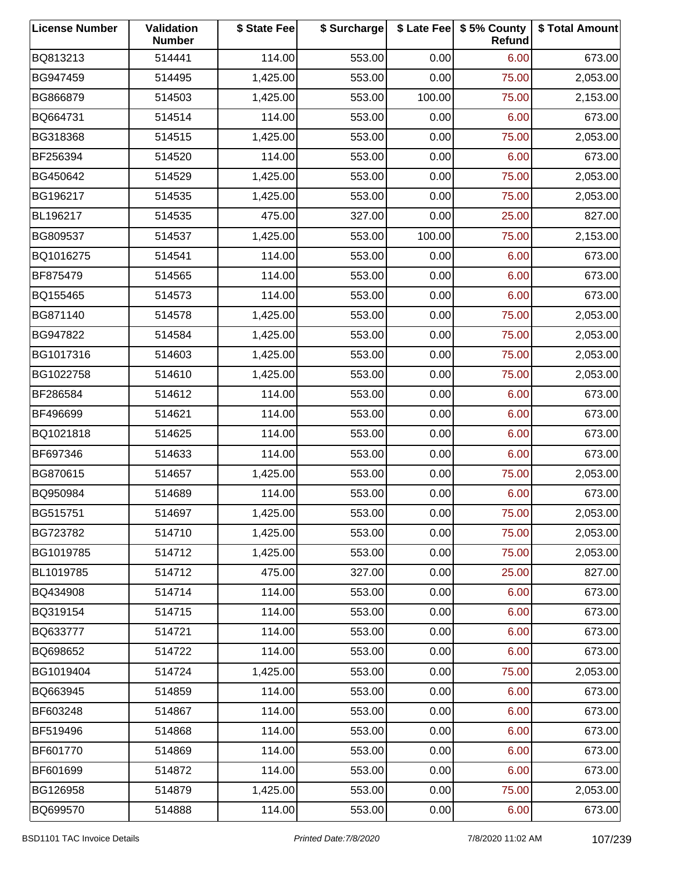| <b>License Number</b> | Validation<br><b>Number</b> | \$ State Fee | \$ Surcharge |        | \$ Late Fee   \$5% County<br>Refund | \$ Total Amount |
|-----------------------|-----------------------------|--------------|--------------|--------|-------------------------------------|-----------------|
| BQ813213              | 514441                      | 114.00       | 553.00       | 0.00   | 6.00                                | 673.00          |
| BG947459              | 514495                      | 1,425.00     | 553.00       | 0.00   | 75.00                               | 2,053.00        |
| BG866879              | 514503                      | 1,425.00     | 553.00       | 100.00 | 75.00                               | 2,153.00        |
| BQ664731              | 514514                      | 114.00       | 553.00       | 0.00   | 6.00                                | 673.00          |
| BG318368              | 514515                      | 1,425.00     | 553.00       | 0.00   | 75.00                               | 2,053.00        |
| BF256394              | 514520                      | 114.00       | 553.00       | 0.00   | 6.00                                | 673.00          |
| BG450642              | 514529                      | 1,425.00     | 553.00       | 0.00   | 75.00                               | 2,053.00        |
| BG196217              | 514535                      | 1,425.00     | 553.00       | 0.00   | 75.00                               | 2,053.00        |
| BL196217              | 514535                      | 475.00       | 327.00       | 0.00   | 25.00                               | 827.00          |
| BG809537              | 514537                      | 1,425.00     | 553.00       | 100.00 | 75.00                               | 2,153.00        |
| BQ1016275             | 514541                      | 114.00       | 553.00       | 0.00   | 6.00                                | 673.00          |
| BF875479              | 514565                      | 114.00       | 553.00       | 0.00   | 6.00                                | 673.00          |
| BQ155465              | 514573                      | 114.00       | 553.00       | 0.00   | 6.00                                | 673.00          |
| BG871140              | 514578                      | 1,425.00     | 553.00       | 0.00   | 75.00                               | 2,053.00        |
| BG947822              | 514584                      | 1,425.00     | 553.00       | 0.00   | 75.00                               | 2,053.00        |
| BG1017316             | 514603                      | 1,425.00     | 553.00       | 0.00   | 75.00                               | 2,053.00        |
| BG1022758             | 514610                      | 1,425.00     | 553.00       | 0.00   | 75.00                               | 2,053.00        |
| BF286584              | 514612                      | 114.00       | 553.00       | 0.00   | 6.00                                | 673.00          |
| BF496699              | 514621                      | 114.00       | 553.00       | 0.00   | 6.00                                | 673.00          |
| BQ1021818             | 514625                      | 114.00       | 553.00       | 0.00   | 6.00                                | 673.00          |
| BF697346              | 514633                      | 114.00       | 553.00       | 0.00   | 6.00                                | 673.00          |
| BG870615              | 514657                      | 1,425.00     | 553.00       | 0.00   | 75.00                               | 2,053.00        |
| BQ950984              | 514689                      | 114.00       | 553.00       | 0.00   | 6.00                                | 673.00          |
| BG515751              | 514697                      | 1,425.00     | 553.00       | 0.00   | 75.00                               | 2,053.00        |
| BG723782              | 514710                      | 1,425.00     | 553.00       | 0.00   | 75.00                               | 2,053.00        |
| BG1019785             | 514712                      | 1,425.00     | 553.00       | 0.00   | 75.00                               | 2,053.00        |
| BL1019785             | 514712                      | 475.00       | 327.00       | 0.00   | 25.00                               | 827.00          |
| BQ434908              | 514714                      | 114.00       | 553.00       | 0.00   | 6.00                                | 673.00          |
| BQ319154              | 514715                      | 114.00       | 553.00       | 0.00   | 6.00                                | 673.00          |
| BQ633777              | 514721                      | 114.00       | 553.00       | 0.00   | 6.00                                | 673.00          |
| BQ698652              | 514722                      | 114.00       | 553.00       | 0.00   | 6.00                                | 673.00          |
| BG1019404             | 514724                      | 1,425.00     | 553.00       | 0.00   | 75.00                               | 2,053.00        |
| BQ663945              | 514859                      | 114.00       | 553.00       | 0.00   | 6.00                                | 673.00          |
| BF603248              | 514867                      | 114.00       | 553.00       | 0.00   | 6.00                                | 673.00          |
| BF519496              | 514868                      | 114.00       | 553.00       | 0.00   | 6.00                                | 673.00          |
| BF601770              | 514869                      | 114.00       | 553.00       | 0.00   | 6.00                                | 673.00          |
| BF601699              | 514872                      | 114.00       | 553.00       | 0.00   | 6.00                                | 673.00          |
| BG126958              | 514879                      | 1,425.00     | 553.00       | 0.00   | 75.00                               | 2,053.00        |
| BQ699570              | 514888                      | 114.00       | 553.00       | 0.00   | 6.00                                | 673.00          |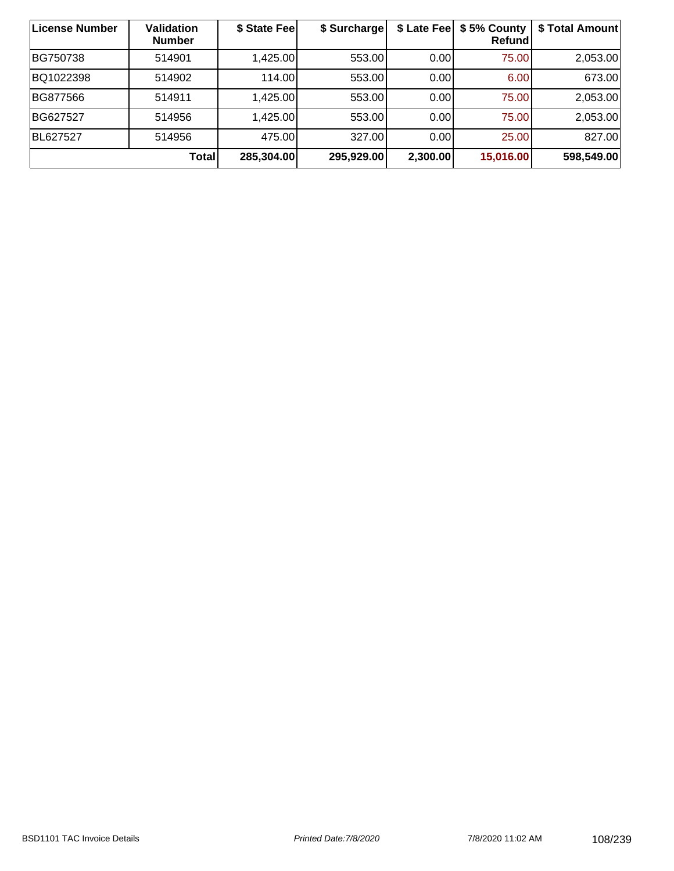| <b>License Number</b> | Validation<br><b>Number</b> | \$ State Feel | \$ Surcharge | \$ Late Fee | \$5% County<br>Refund | \$ Total Amount |
|-----------------------|-----------------------------|---------------|--------------|-------------|-----------------------|-----------------|
| BG750738              | 514901                      | 1,425.00      | 553.00       | 0.00        | 75.00                 | 2,053.00        |
| BQ1022398             | 514902                      | 114.00        | 553.00       | 0.00        | 6.00                  | 673.00          |
| BG877566              | 514911                      | 1,425.00      | 553.00       | 0.00        | 75.00                 | 2,053.00        |
| BG627527              | 514956                      | 1,425.00      | 553.00       | 0.00        | 75.00                 | 2,053.00        |
| BL627527              | 514956                      | 475.00        | 327.00       | 0.00        | 25.00                 | 827.00          |
|                       | Total                       | 285,304.00    | 295,929.00   | 2,300.00    | 15,016.00             | 598,549.00      |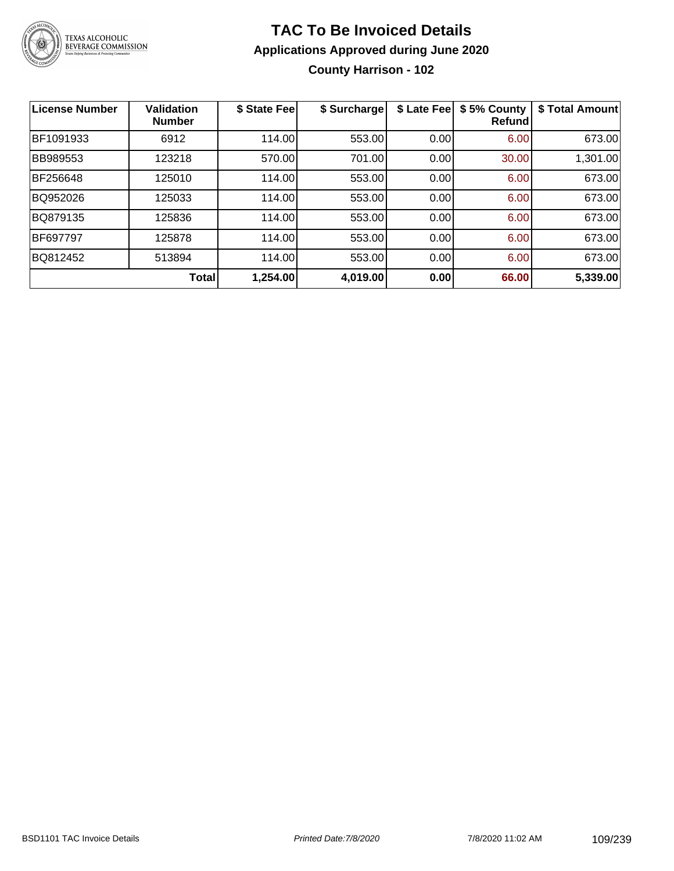

### **TAC To Be Invoiced Details Applications Approved during June 2020 County Harrison - 102**

| <b>License Number</b> | <b>Validation</b><br><b>Number</b> | \$ State Fee | \$ Surcharge | \$ Late Fee | \$5% County<br>Refundl | \$ Total Amount |
|-----------------------|------------------------------------|--------------|--------------|-------------|------------------------|-----------------|
| BF1091933             | 6912                               | 114.00       | 553.00       | 0.00        | 6.00                   | 673.00          |
| <b>BB989553</b>       | 123218                             | 570.00       | 701.00       | 0.00        | 30.00                  | 1,301.00        |
| BF256648              | 125010                             | 114.00       | 553.00       | 0.00        | 6.00                   | 673.00          |
| BQ952026              | 125033                             | 114.00       | 553.00       | 0.00        | 6.00                   | 673.00          |
| BQ879135              | 125836                             | 114.00       | 553.00       | 0.00        | 6.00                   | 673.00          |
| <b>BF697797</b>       | 125878                             | 114.00       | 553.00       | 0.00        | 6.00                   | 673.00          |
| BQ812452              | 513894                             | 114.00       | 553.00       | 0.00        | 6.00                   | 673.00          |
|                       | Total                              | 1,254.00     | 4,019.00     | 0.00        | 66.00                  | 5,339.00        |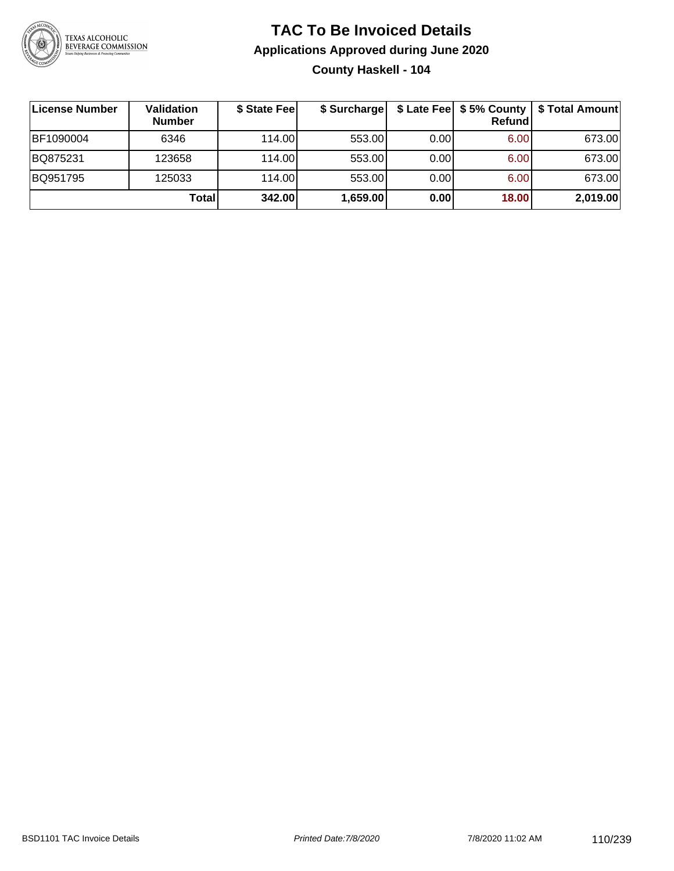

### **TAC To Be Invoiced Details Applications Approved during June 2020 County Haskell - 104**

| ∣License Number | Validation<br><b>Number</b> | \$ State Fee | \$ Surcharge |       | Refundl | \$ Late Fee   \$5% County   \$ Total Amount |
|-----------------|-----------------------------|--------------|--------------|-------|---------|---------------------------------------------|
| BF1090004       | 6346                        | 114.00L      | 553.00       | 0.001 | 6.00    | 673.00                                      |
| BQ875231        | 123658                      | 114.00L      | 553.00       | 0.00  | 6.00    | 673.00                                      |
| BQ951795        | 125033                      | 114.00L      | 553.00       | 0.00  | 6.00    | 673.00                                      |
|                 | Total                       | 342.00       | 1,659.00     | 0.00  | 18.00   | 2,019.00                                    |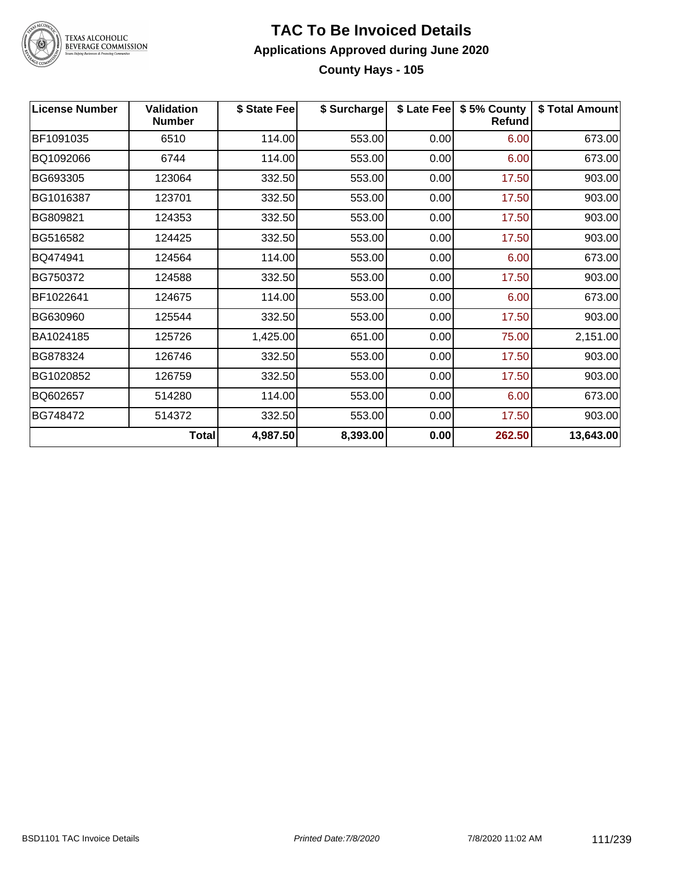

### **TAC To Be Invoiced Details Applications Approved during June 2020 County Hays - 105**

| <b>License Number</b> | <b>Validation</b><br><b>Number</b> | \$ State Fee | \$ Surcharge |      | \$ Late Fee   \$5% County<br><b>Refund</b> | \$ Total Amount |
|-----------------------|------------------------------------|--------------|--------------|------|--------------------------------------------|-----------------|
| BF1091035             | 6510                               | 114.00       | 553.00       | 0.00 | 6.00                                       | 673.00          |
| BQ1092066             | 6744                               | 114.00       | 553.00       | 0.00 | 6.00                                       | 673.00          |
| BG693305              | 123064                             | 332.50       | 553.00       | 0.00 | 17.50                                      | 903.00          |
| BG1016387             | 123701                             | 332.50       | 553.00       | 0.00 | 17.50                                      | 903.00          |
| BG809821              | 124353                             | 332.50       | 553.00       | 0.00 | 17.50                                      | 903.00          |
| BG516582              | 124425                             | 332.50       | 553.00       | 0.00 | 17.50                                      | 903.00          |
| BQ474941              | 124564                             | 114.00       | 553.00       | 0.00 | 6.00                                       | 673.00          |
| BG750372              | 124588                             | 332.50       | 553.00       | 0.00 | 17.50                                      | 903.00          |
| BF1022641             | 124675                             | 114.00       | 553.00       | 0.00 | 6.00                                       | 673.00          |
| BG630960              | 125544                             | 332.50       | 553.00       | 0.00 | 17.50                                      | 903.00          |
| BA1024185             | 125726                             | 1,425.00     | 651.00       | 0.00 | 75.00                                      | 2,151.00        |
| BG878324              | 126746                             | 332.50       | 553.00       | 0.00 | 17.50                                      | 903.00          |
| BG1020852             | 126759                             | 332.50       | 553.00       | 0.00 | 17.50                                      | 903.00          |
| BQ602657              | 514280                             | 114.00       | 553.00       | 0.00 | 6.00                                       | 673.00          |
| BG748472              | 514372                             | 332.50       | 553.00       | 0.00 | 17.50                                      | 903.00          |
|                       | Total                              | 4,987.50     | 8,393.00     | 0.00 | 262.50                                     | 13,643.00       |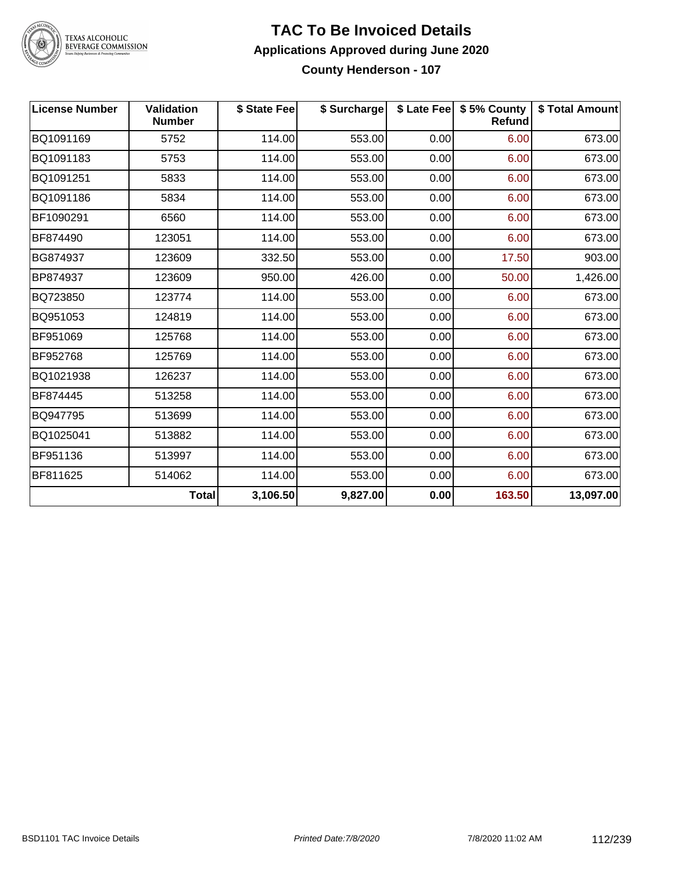

#### **TAC To Be Invoiced Details Applications Approved during June 2020 County Henderson - 107**

| <b>License Number</b> | Validation<br><b>Number</b> | \$ State Fee | \$ Surcharge |      | \$ Late Fee   \$5% County<br>Refund | \$ Total Amount |
|-----------------------|-----------------------------|--------------|--------------|------|-------------------------------------|-----------------|
| BQ1091169             | 5752                        | 114.00       | 553.00       | 0.00 | 6.00                                | 673.00          |
| BQ1091183             | 5753                        | 114.00       | 553.00       | 0.00 | 6.00                                | 673.00          |
| BQ1091251             | 5833                        | 114.00       | 553.00       | 0.00 | 6.00                                | 673.00          |
| BQ1091186             | 5834                        | 114.00       | 553.00       | 0.00 | 6.00                                | 673.00          |
| BF1090291             | 6560                        | 114.00       | 553.00       | 0.00 | 6.00                                | 673.00          |
| BF874490              | 123051                      | 114.00       | 553.00       | 0.00 | 6.00                                | 673.00          |
| BG874937              | 123609                      | 332.50       | 553.00       | 0.00 | 17.50                               | 903.00          |
| BP874937              | 123609                      | 950.00       | 426.00       | 0.00 | 50.00                               | 1,426.00        |
| BQ723850              | 123774                      | 114.00       | 553.00       | 0.00 | 6.00                                | 673.00          |
| BQ951053              | 124819                      | 114.00       | 553.00       | 0.00 | 6.00                                | 673.00          |
| BF951069              | 125768                      | 114.00       | 553.00       | 0.00 | 6.00                                | 673.00          |
| BF952768              | 125769                      | 114.00       | 553.00       | 0.00 | 6.00                                | 673.00          |
| BQ1021938             | 126237                      | 114.00       | 553.00       | 0.00 | 6.00                                | 673.00          |
| BF874445              | 513258                      | 114.00       | 553.00       | 0.00 | 6.00                                | 673.00          |
| BQ947795              | 513699                      | 114.00       | 553.00       | 0.00 | 6.00                                | 673.00          |
| BQ1025041             | 513882                      | 114.00       | 553.00       | 0.00 | 6.00                                | 673.00          |
| BF951136              | 513997                      | 114.00       | 553.00       | 0.00 | 6.00                                | 673.00          |
| BF811625              | 514062                      | 114.00       | 553.00       | 0.00 | 6.00                                | 673.00          |
|                       | <b>Total</b>                | 3,106.50     | 9,827.00     | 0.00 | 163.50                              | 13,097.00       |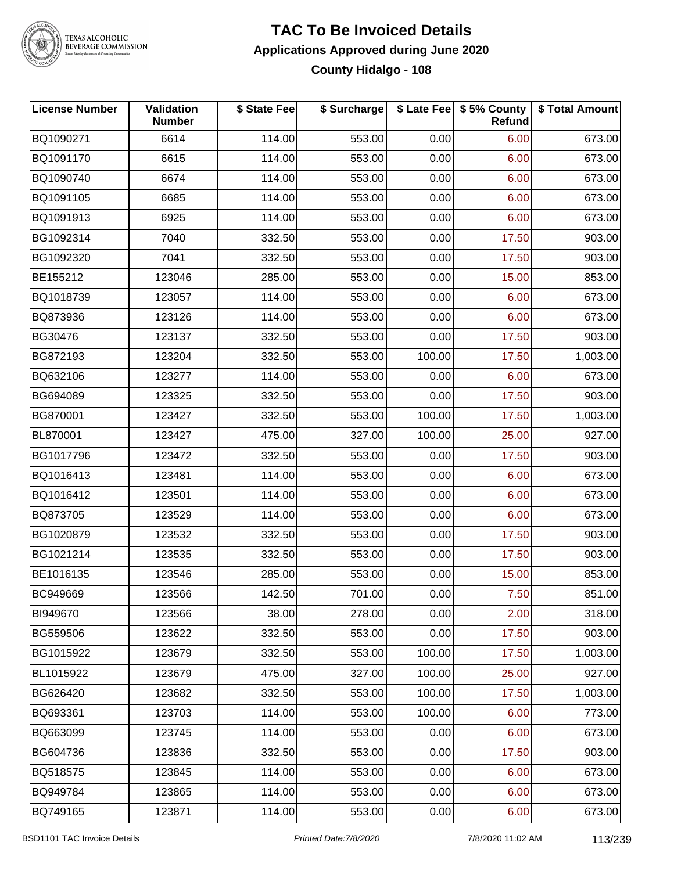

### **TAC To Be Invoiced Details Applications Approved during June 2020 County Hidalgo - 108**

| <b>License Number</b> | <b>Validation</b><br><b>Number</b> | \$ State Fee | \$ Surcharge |        | \$ Late Fee   \$5% County<br>Refund | \$ Total Amount |
|-----------------------|------------------------------------|--------------|--------------|--------|-------------------------------------|-----------------|
| BQ1090271             | 6614                               | 114.00       | 553.00       | 0.00   | 6.00                                | 673.00          |
| BQ1091170             | 6615                               | 114.00       | 553.00       | 0.00   | 6.00                                | 673.00          |
| BQ1090740             | 6674                               | 114.00       | 553.00       | 0.00   | 6.00                                | 673.00          |
| BQ1091105             | 6685                               | 114.00       | 553.00       | 0.00   | 6.00                                | 673.00          |
| BQ1091913             | 6925                               | 114.00       | 553.00       | 0.00   | 6.00                                | 673.00          |
| BG1092314             | 7040                               | 332.50       | 553.00       | 0.00   | 17.50                               | 903.00          |
| BG1092320             | 7041                               | 332.50       | 553.00       | 0.00   | 17.50                               | 903.00          |
| BE155212              | 123046                             | 285.00       | 553.00       | 0.00   | 15.00                               | 853.00          |
| BQ1018739             | 123057                             | 114.00       | 553.00       | 0.00   | 6.00                                | 673.00          |
| BQ873936              | 123126                             | 114.00       | 553.00       | 0.00   | 6.00                                | 673.00          |
| BG30476               | 123137                             | 332.50       | 553.00       | 0.00   | 17.50                               | 903.00          |
| BG872193              | 123204                             | 332.50       | 553.00       | 100.00 | 17.50                               | 1,003.00        |
| BQ632106              | 123277                             | 114.00       | 553.00       | 0.00   | 6.00                                | 673.00          |
| BG694089              | 123325                             | 332.50       | 553.00       | 0.00   | 17.50                               | 903.00          |
| BG870001              | 123427                             | 332.50       | 553.00       | 100.00 | 17.50                               | 1,003.00        |
| BL870001              | 123427                             | 475.00       | 327.00       | 100.00 | 25.00                               | 927.00          |
| BG1017796             | 123472                             | 332.50       | 553.00       | 0.00   | 17.50                               | 903.00          |
| BQ1016413             | 123481                             | 114.00       | 553.00       | 0.00   | 6.00                                | 673.00          |
| BQ1016412             | 123501                             | 114.00       | 553.00       | 0.00   | 6.00                                | 673.00          |
| BQ873705              | 123529                             | 114.00       | 553.00       | 0.00   | 6.00                                | 673.00          |
| BG1020879             | 123532                             | 332.50       | 553.00       | 0.00   | 17.50                               | 903.00          |
| BG1021214             | 123535                             | 332.50       | 553.00       | 0.00   | 17.50                               | 903.00          |
| BE1016135             | 123546                             | 285.00       | 553.00       | 0.00   | 15.00                               | 853.00          |
| BC949669              | 123566                             | 142.50       | 701.00       | 0.00   | 7.50                                | 851.00          |
| BI949670              | 123566                             | 38.00        | 278.00       | 0.00   | 2.00                                | 318.00          |
| BG559506              | 123622                             | 332.50       | 553.00       | 0.00   | 17.50                               | 903.00          |
| BG1015922             | 123679                             | 332.50       | 553.00       | 100.00 | 17.50                               | 1,003.00        |
| BL1015922             | 123679                             | 475.00       | 327.00       | 100.00 | 25.00                               | 927.00          |
| BG626420              | 123682                             | 332.50       | 553.00       | 100.00 | 17.50                               | 1,003.00        |
| BQ693361              | 123703                             | 114.00       | 553.00       | 100.00 | 6.00                                | 773.00          |
| BQ663099              | 123745                             | 114.00       | 553.00       | 0.00   | 6.00                                | 673.00          |
| BG604736              | 123836                             | 332.50       | 553.00       | 0.00   | 17.50                               | 903.00          |
| BQ518575              | 123845                             | 114.00       | 553.00       | 0.00   | 6.00                                | 673.00          |
| BQ949784              | 123865                             | 114.00       | 553.00       | 0.00   | 6.00                                | 673.00          |
| BQ749165              | 123871                             | 114.00       | 553.00       | 0.00   | 6.00                                | 673.00          |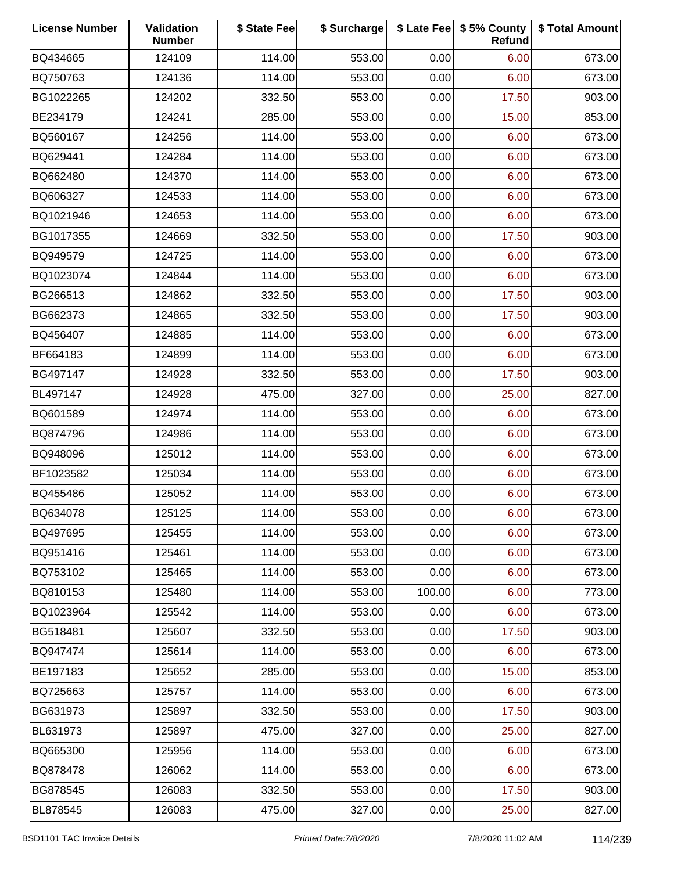| <b>License Number</b> | Validation<br><b>Number</b> | \$ State Fee | \$ Surcharge |        | \$ Late Fee   \$5% County<br>Refund | \$ Total Amount |
|-----------------------|-----------------------------|--------------|--------------|--------|-------------------------------------|-----------------|
| BQ434665              | 124109                      | 114.00       | 553.00       | 0.00   | 6.00                                | 673.00          |
| BQ750763              | 124136                      | 114.00       | 553.00       | 0.00   | 6.00                                | 673.00          |
| BG1022265             | 124202                      | 332.50       | 553.00       | 0.00   | 17.50                               | 903.00          |
| BE234179              | 124241                      | 285.00       | 553.00       | 0.00   | 15.00                               | 853.00          |
| BQ560167              | 124256                      | 114.00       | 553.00       | 0.00   | 6.00                                | 673.00          |
| BQ629441              | 124284                      | 114.00       | 553.00       | 0.00   | 6.00                                | 673.00          |
| BQ662480              | 124370                      | 114.00       | 553.00       | 0.00   | 6.00                                | 673.00          |
| BQ606327              | 124533                      | 114.00       | 553.00       | 0.00   | 6.00                                | 673.00          |
| BQ1021946             | 124653                      | 114.00       | 553.00       | 0.00   | 6.00                                | 673.00          |
| BG1017355             | 124669                      | 332.50       | 553.00       | 0.00   | 17.50                               | 903.00          |
| BQ949579              | 124725                      | 114.00       | 553.00       | 0.00   | 6.00                                | 673.00          |
| BQ1023074             | 124844                      | 114.00       | 553.00       | 0.00   | 6.00                                | 673.00          |
| BG266513              | 124862                      | 332.50       | 553.00       | 0.00   | 17.50                               | 903.00          |
| BG662373              | 124865                      | 332.50       | 553.00       | 0.00   | 17.50                               | 903.00          |
| BQ456407              | 124885                      | 114.00       | 553.00       | 0.00   | 6.00                                | 673.00          |
| BF664183              | 124899                      | 114.00       | 553.00       | 0.00   | 6.00                                | 673.00          |
| BG497147              | 124928                      | 332.50       | 553.00       | 0.00   | 17.50                               | 903.00          |
| BL497147              | 124928                      | 475.00       | 327.00       | 0.00   | 25.00                               | 827.00          |
| BQ601589              | 124974                      | 114.00       | 553.00       | 0.00   | 6.00                                | 673.00          |
| BQ874796              | 124986                      | 114.00       | 553.00       | 0.00   | 6.00                                | 673.00          |
| BQ948096              | 125012                      | 114.00       | 553.00       | 0.00   | 6.00                                | 673.00          |
| BF1023582             | 125034                      | 114.00       | 553.00       | 0.00   | 6.00                                | 673.00          |
| BQ455486              | 125052                      | 114.00       | 553.00       | 0.00   | 6.00                                | 673.00          |
| BQ634078              | 125125                      | 114.00       | 553.00       | 0.00   | 6.00                                | 673.00          |
| BQ497695              | 125455                      | 114.00       | 553.00       | 0.00   | 6.00                                | 673.00          |
| BQ951416              | 125461                      | 114.00       | 553.00       | 0.00   | 6.00                                | 673.00          |
| BQ753102              | 125465                      | 114.00       | 553.00       | 0.00   | 6.00                                | 673.00          |
| BQ810153              | 125480                      | 114.00       | 553.00       | 100.00 | 6.00                                | 773.00          |
| BQ1023964             | 125542                      | 114.00       | 553.00       | 0.00   | 6.00                                | 673.00          |
| BG518481              | 125607                      | 332.50       | 553.00       | 0.00   | 17.50                               | 903.00          |
| BQ947474              | 125614                      | 114.00       | 553.00       | 0.00   | 6.00                                | 673.00          |
| BE197183              | 125652                      | 285.00       | 553.00       | 0.00   | 15.00                               | 853.00          |
| BQ725663              | 125757                      | 114.00       | 553.00       | 0.00   | 6.00                                | 673.00          |
| BG631973              | 125897                      | 332.50       | 553.00       | 0.00   | 17.50                               | 903.00          |
| BL631973              | 125897                      | 475.00       | 327.00       | 0.00   | 25.00                               | 827.00          |
| BQ665300              | 125956                      | 114.00       | 553.00       | 0.00   | 6.00                                | 673.00          |
| BQ878478              | 126062                      | 114.00       | 553.00       | 0.00   | 6.00                                | 673.00          |
| BG878545              | 126083                      | 332.50       | 553.00       | 0.00   | 17.50                               | 903.00          |
| BL878545              | 126083                      | 475.00       | 327.00       | 0.00   | 25.00                               | 827.00          |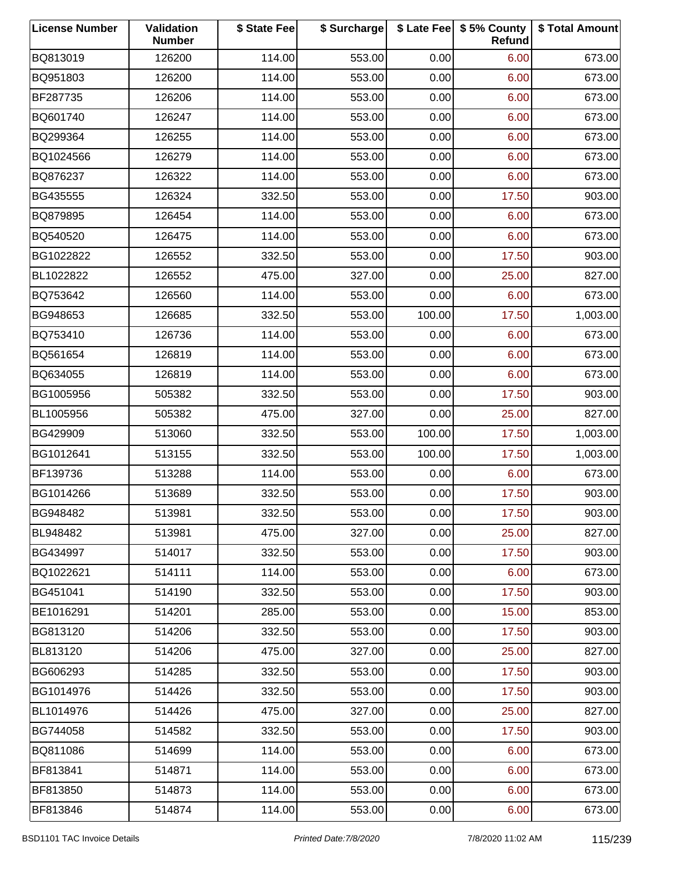| <b>License Number</b> | Validation<br><b>Number</b> | \$ State Fee | \$ Surcharge |        | \$ Late Fee   \$5% County<br>Refund | \$ Total Amount |
|-----------------------|-----------------------------|--------------|--------------|--------|-------------------------------------|-----------------|
| BQ813019              | 126200                      | 114.00       | 553.00       | 0.00   | 6.00                                | 673.00          |
| BQ951803              | 126200                      | 114.00       | 553.00       | 0.00   | 6.00                                | 673.00          |
| BF287735              | 126206                      | 114.00       | 553.00       | 0.00   | 6.00                                | 673.00          |
| BQ601740              | 126247                      | 114.00       | 553.00       | 0.00   | 6.00                                | 673.00          |
| BQ299364              | 126255                      | 114.00       | 553.00       | 0.00   | 6.00                                | 673.00          |
| BQ1024566             | 126279                      | 114.00       | 553.00       | 0.00   | 6.00                                | 673.00          |
| BQ876237              | 126322                      | 114.00       | 553.00       | 0.00   | 6.00                                | 673.00          |
| BG435555              | 126324                      | 332.50       | 553.00       | 0.00   | 17.50                               | 903.00          |
| BQ879895              | 126454                      | 114.00       | 553.00       | 0.00   | 6.00                                | 673.00          |
| BQ540520              | 126475                      | 114.00       | 553.00       | 0.00   | 6.00                                | 673.00          |
| BG1022822             | 126552                      | 332.50       | 553.00       | 0.00   | 17.50                               | 903.00          |
| BL1022822             | 126552                      | 475.00       | 327.00       | 0.00   | 25.00                               | 827.00          |
| BQ753642              | 126560                      | 114.00       | 553.00       | 0.00   | 6.00                                | 673.00          |
| BG948653              | 126685                      | 332.50       | 553.00       | 100.00 | 17.50                               | 1,003.00        |
| BQ753410              | 126736                      | 114.00       | 553.00       | 0.00   | 6.00                                | 673.00          |
| BQ561654              | 126819                      | 114.00       | 553.00       | 0.00   | 6.00                                | 673.00          |
| BQ634055              | 126819                      | 114.00       | 553.00       | 0.00   | 6.00                                | 673.00          |
| BG1005956             | 505382                      | 332.50       | 553.00       | 0.00   | 17.50                               | 903.00          |
| BL1005956             | 505382                      | 475.00       | 327.00       | 0.00   | 25.00                               | 827.00          |
| BG429909              | 513060                      | 332.50       | 553.00       | 100.00 | 17.50                               | 1,003.00        |
| BG1012641             | 513155                      | 332.50       | 553.00       | 100.00 | 17.50                               | 1,003.00        |
| BF139736              | 513288                      | 114.00       | 553.00       | 0.00   | 6.00                                | 673.00          |
| BG1014266             | 513689                      | 332.50       | 553.00       | 0.00   | 17.50                               | 903.00          |
| BG948482              | 513981                      | 332.50       | 553.00       | 0.00   | 17.50                               | 903.00          |
| BL948482              | 513981                      | 475.00       | 327.00       | 0.00   | 25.00                               | 827.00          |
| BG434997              | 514017                      | 332.50       | 553.00       | 0.00   | 17.50                               | 903.00          |
| BQ1022621             | 514111                      | 114.00       | 553.00       | 0.00   | 6.00                                | 673.00          |
| BG451041              | 514190                      | 332.50       | 553.00       | 0.00   | 17.50                               | 903.00          |
| BE1016291             | 514201                      | 285.00       | 553.00       | 0.00   | 15.00                               | 853.00          |
| BG813120              | 514206                      | 332.50       | 553.00       | 0.00   | 17.50                               | 903.00          |
| BL813120              | 514206                      | 475.00       | 327.00       | 0.00   | 25.00                               | 827.00          |
| BG606293              | 514285                      | 332.50       | 553.00       | 0.00   | 17.50                               | 903.00          |
| BG1014976             | 514426                      | 332.50       | 553.00       | 0.00   | 17.50                               | 903.00          |
| BL1014976             | 514426                      | 475.00       | 327.00       | 0.00   | 25.00                               | 827.00          |
| BG744058              | 514582                      | 332.50       | 553.00       | 0.00   | 17.50                               | 903.00          |
| BQ811086              | 514699                      | 114.00       | 553.00       | 0.00   | 6.00                                | 673.00          |
| BF813841              | 514871                      | 114.00       | 553.00       | 0.00   | 6.00                                | 673.00          |
| BF813850              | 514873                      | 114.00       | 553.00       | 0.00   | 6.00                                | 673.00          |
| BF813846              | 514874                      | 114.00       | 553.00       | 0.00   | 6.00                                | 673.00          |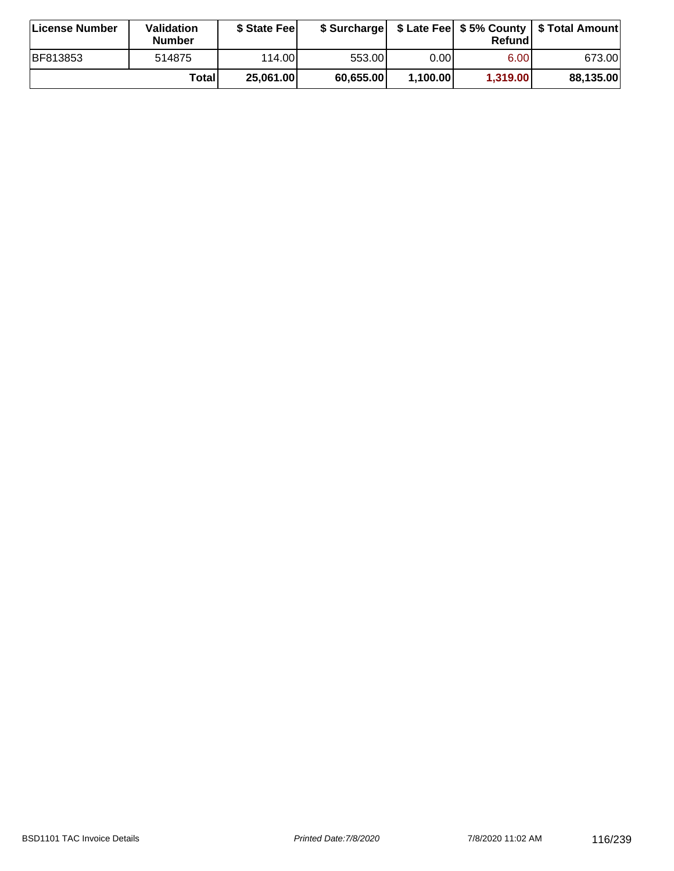| <b>License Number</b> | Validation<br><b>Number</b> | \$ State Fee |           |          | Refundl  | \$ Surcharge   \$ Late Fee   \$5% County   \$ Total Amount |
|-----------------------|-----------------------------|--------------|-----------|----------|----------|------------------------------------------------------------|
| BF813853              | 514875                      | 114.00       | 553.00    | 0.00 l   | 6.00     | 673.00                                                     |
|                       | Totall                      | 25,061.00    | 60.655.00 | 1,100.00 | 1,319.00 | 88,135.00                                                  |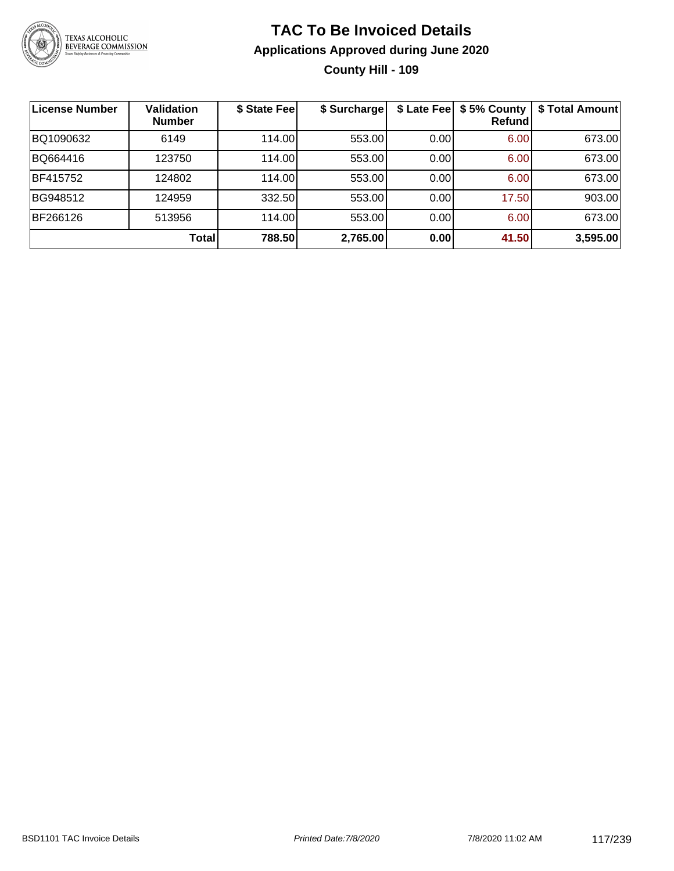

### **TAC To Be Invoiced Details Applications Approved during June 2020 County Hill - 109**

| License Number | <b>Validation</b><br><b>Number</b> | \$ State Fee | \$ Surcharge |      | \$ Late Fee   \$5% County<br>Refundl | \$ Total Amount |
|----------------|------------------------------------|--------------|--------------|------|--------------------------------------|-----------------|
| BQ1090632      | 6149                               | 114.00       | 553.00       | 0.00 | 6.00                                 | 673.00          |
| BQ664416       | 123750                             | 114.00       | 553.00       | 0.00 | 6.00                                 | 673.00          |
| BF415752       | 124802                             | 114.00       | 553.00       | 0.00 | 6.00                                 | 673.00          |
| BG948512       | 124959                             | 332.50       | 553.00       | 0.00 | 17.50                                | 903.00          |
| BF266126       | 513956                             | 114.00       | 553.00       | 0.00 | 6.00                                 | 673.00          |
|                | <b>Total</b>                       | 788.50       | 2,765.00     | 0.00 | 41.50                                | 3,595.00        |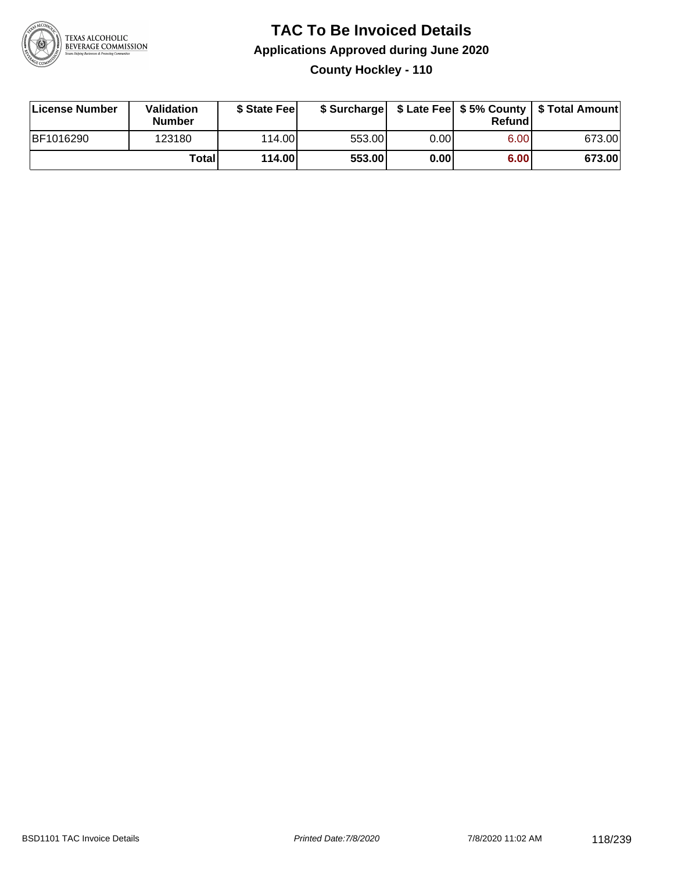

### **TAC To Be Invoiced Details Applications Approved during June 2020 County Hockley - 110**

| License Number | Validation<br><b>Number</b> | \$ State Feel |        |      | Refund | \$ Surcharge   \$ Late Fee   \$5% County   \$ Total Amount |
|----------------|-----------------------------|---------------|--------|------|--------|------------------------------------------------------------|
| BF1016290      | 123180                      | 114.00L       | 553.00 | 0.00 | 6.00   | 673.00                                                     |
|                | Totall                      | 114.00        | 553.00 | 0.00 | 6.00   | 673.00                                                     |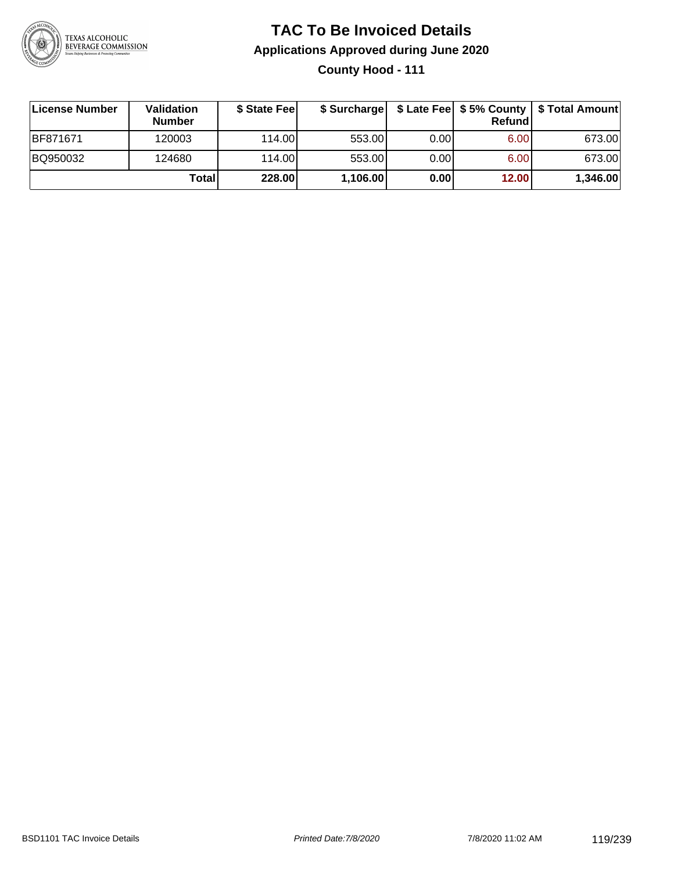

### **TAC To Be Invoiced Details Applications Approved during June 2020 County Hood - 111**

| <b>∣License Number</b> | Validation<br><b>Number</b> | \$ State Feel | \$ Surcharge |       | Refund | \$ Late Fee   \$5% County   \$ Total Amount |
|------------------------|-----------------------------|---------------|--------------|-------|--------|---------------------------------------------|
| BF871671               | 120003                      | 114.00L       | 553.00       | 0.001 | 6.00   | 673.00                                      |
| BQ950032               | 124680                      | 114.00L       | 553.00       | 0.00  | 6.00   | 673.00                                      |
|                        | Total                       | 228.00        | 1,106.00     | 0.00  | 12.00  | 1,346.00                                    |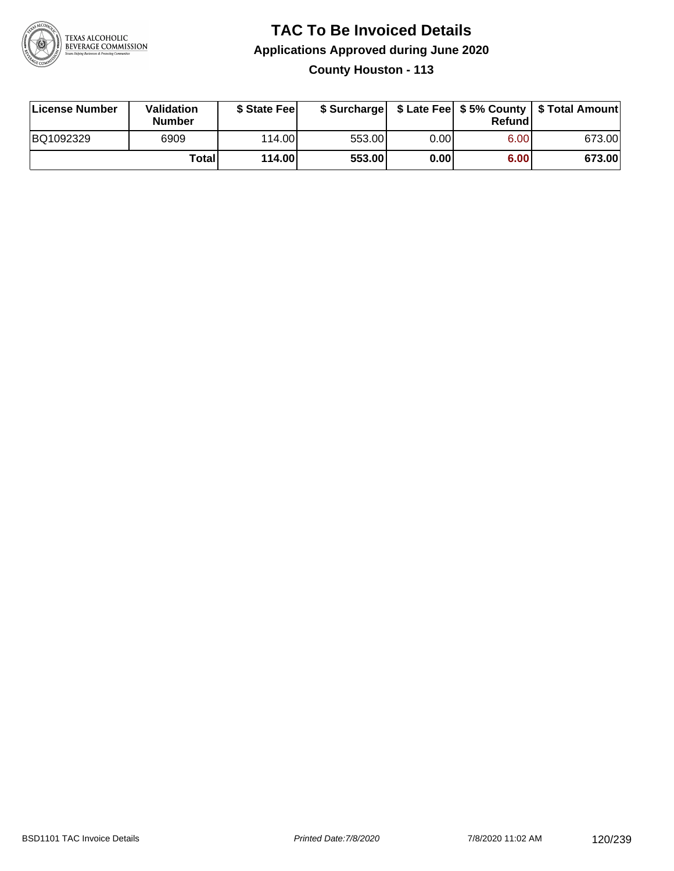

**County Houston - 113**

| License Number | Validation<br><b>Number</b> | \$ State Feel | \$ Surcharge |      | Refund |        |
|----------------|-----------------------------|---------------|--------------|------|--------|--------|
| BQ1092329      | 6909                        | 114.00L       | 553.00       | 0.00 | 6.00   | 673.00 |
|                | Totall                      | 114.00        | 553.00       | 0.00 | 6.00   | 673.00 |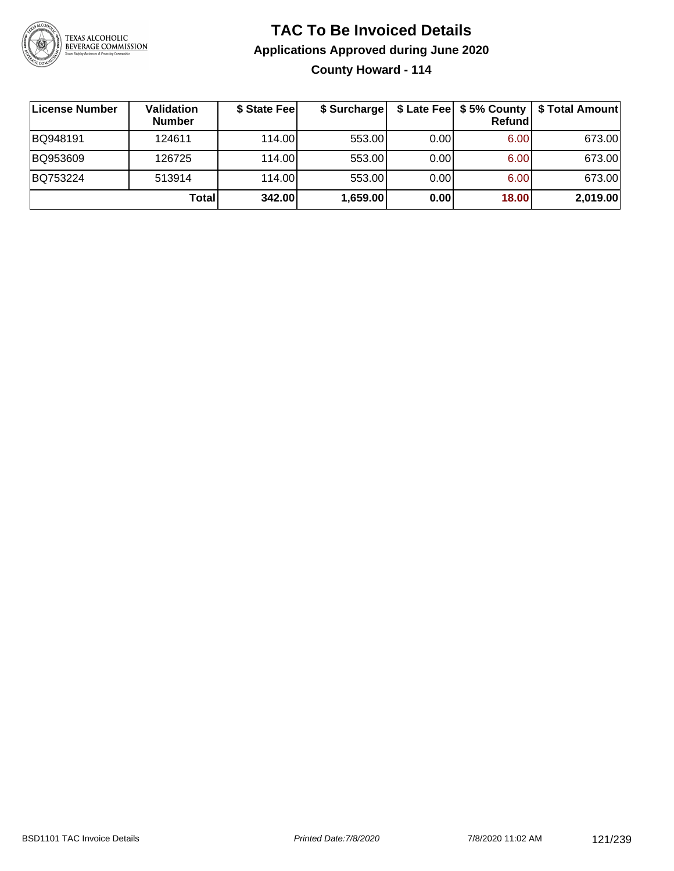

**County Howard - 114**

| ∣License Number | <b>Validation</b><br><b>Number</b> | \$ State Fee | \$ Surcharge |      | Refundl | \$ Late Fee   \$5% County   \$ Total Amount |
|-----------------|------------------------------------|--------------|--------------|------|---------|---------------------------------------------|
| BQ948191        | 124611                             | 114.00       | 553.00       | 0.00 | 6.00    | 673.00                                      |
| BQ953609        | 126725                             | 114.00       | 553.00       | 0.00 | 6.00    | 673.00                                      |
| BQ753224        | 513914                             | 114.00       | 553.00       | 0.00 | 6.00    | 673.00                                      |
|                 | Totall                             | 342.00       | 1,659.00     | 0.00 | 18.00   | 2,019.00                                    |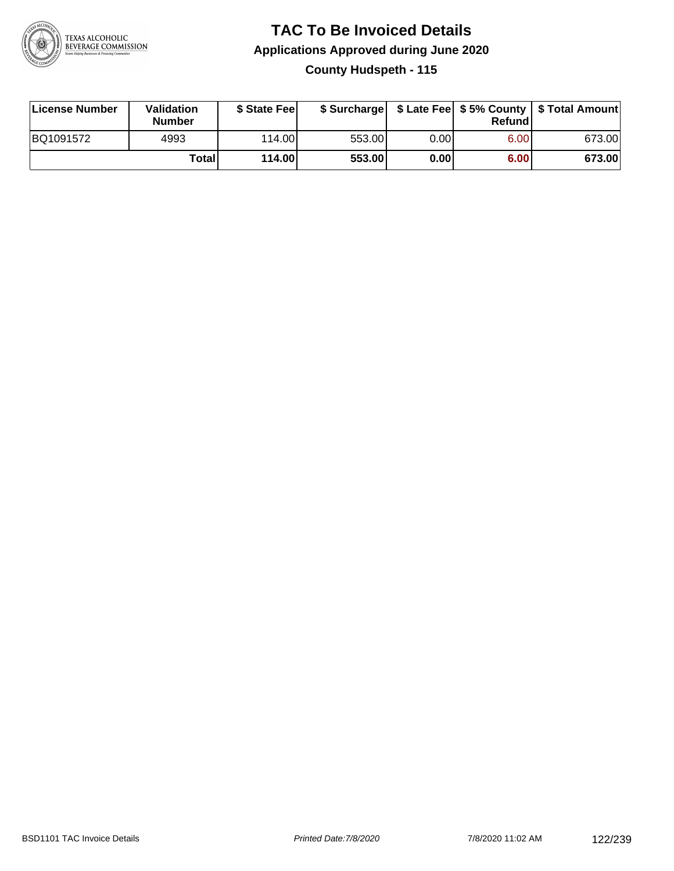

### **TAC To Be Invoiced Details Applications Approved during June 2020 County Hudspeth - 115**

| License Number | Validation<br><b>Number</b> | \$ State Fee |        |      | Refund | \$ Surcharge   \$ Late Fee   \$5% County   \$ Total Amount |
|----------------|-----------------------------|--------------|--------|------|--------|------------------------------------------------------------|
| BQ1091572      | 4993                        | 114.00L      | 553.00 | 0.00 | 6.00   | 673.00                                                     |
|                | Totall                      | 114.00       | 553.00 | 0.00 | 6.00   | 673.00                                                     |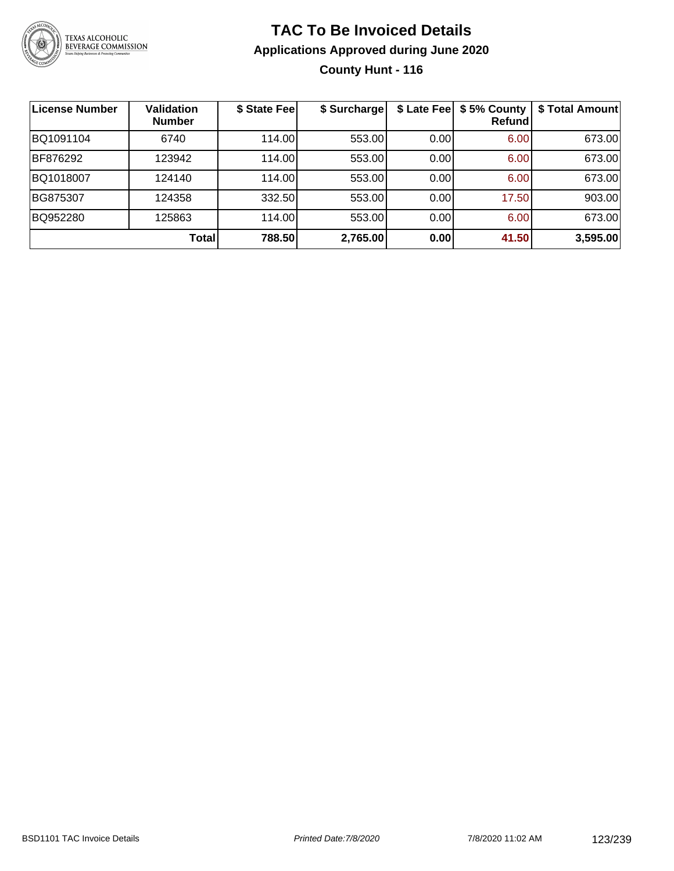

### **TAC To Be Invoiced Details Applications Approved during June 2020 County Hunt - 116**

| License Number | <b>Validation</b><br><b>Number</b> | \$ State Fee | \$ Surcharge |      | \$ Late Fee   \$5% County<br><b>Refund</b> | \$ Total Amount |
|----------------|------------------------------------|--------------|--------------|------|--------------------------------------------|-----------------|
| BQ1091104      | 6740                               | 114.00       | 553.00       | 0.00 | 6.00                                       | 673.00          |
| BF876292       | 123942                             | 114.00       | 553.00       | 0.00 | 6.00                                       | 673.00          |
| BQ1018007      | 124140                             | 114.00       | 553.00       | 0.00 | 6.00                                       | 673.00          |
| BG875307       | 124358                             | 332.50       | 553.00       | 0.00 | 17.50                                      | 903.00          |
| BQ952280       | 125863                             | 114.00       | 553.00       | 0.00 | 6.00                                       | 673.00          |
|                | <b>Total</b>                       | 788.50       | 2,765.00     | 0.00 | 41.50                                      | 3,595.00        |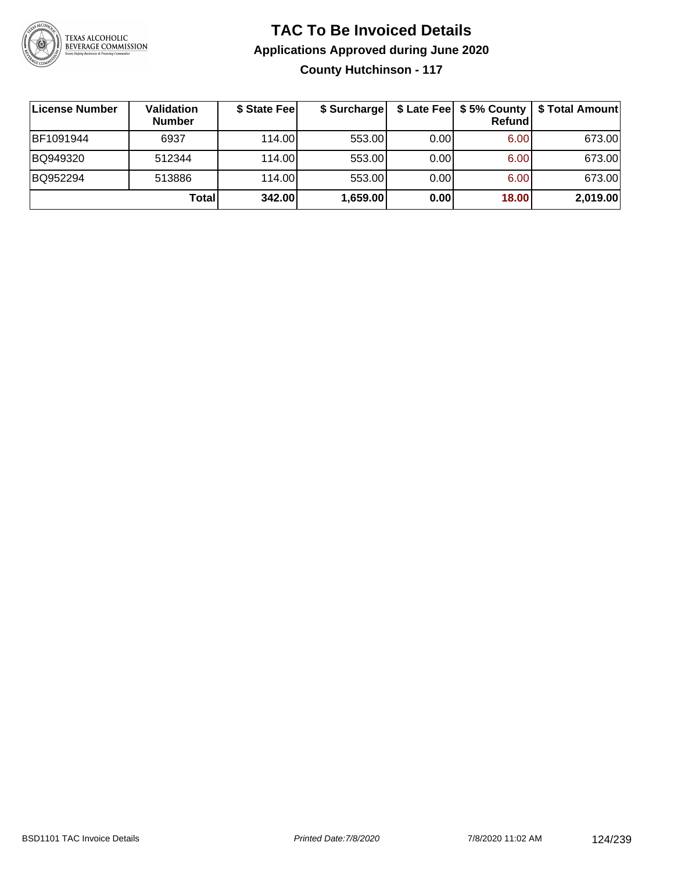

### **TAC To Be Invoiced Details Applications Approved during June 2020 County Hutchinson - 117**

| License Number | <b>Validation</b><br><b>Number</b> | \$ State Fee | \$ Surcharge |      | Refund | \$ Late Fee   \$5% County   \$ Total Amount |
|----------------|------------------------------------|--------------|--------------|------|--------|---------------------------------------------|
| BF1091944      | 6937                               | 114.00L      | 553.00       | 0.00 | 6.00   | 673.00                                      |
| BQ949320       | 512344                             | 114.00L      | 553.00       | 0.00 | 6.00   | 673.00                                      |
| BQ952294       | 513886                             | 114.00L      | 553.00       | 0.00 | 6.00   | 673.00                                      |
|                | Totall                             | 342.00       | 1,659.00     | 0.00 | 18.00  | 2,019.00                                    |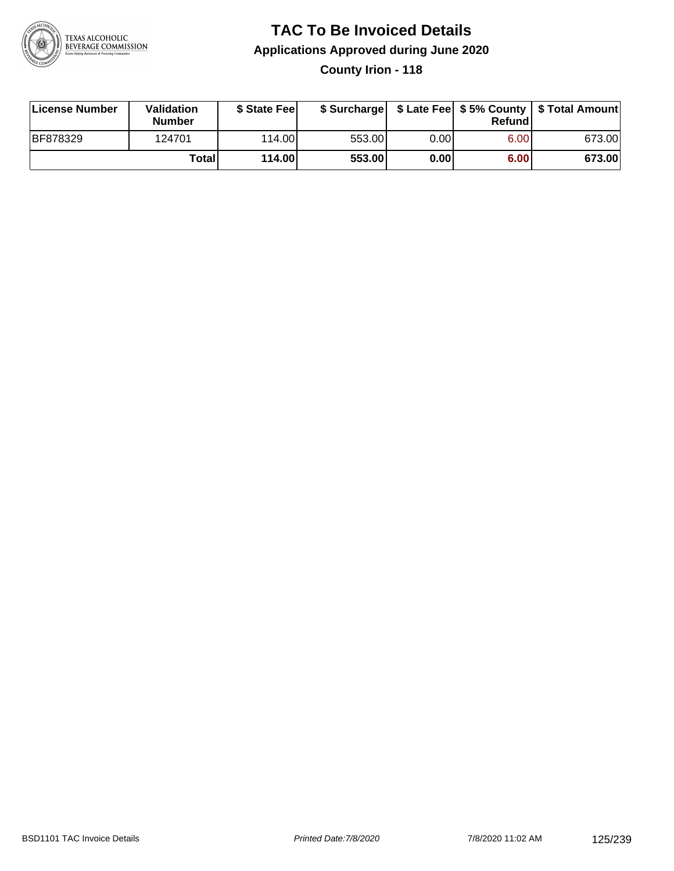

### **TAC To Be Invoiced Details Applications Approved during June 2020 County Irion - 118**

| License Number  | <b>Validation</b><br><b>Number</b> | \$ State Fee |        |      | Refund | \$ Surcharge   \$ Late Fee   \$5% County   \$ Total Amount |
|-----------------|------------------------------------|--------------|--------|------|--------|------------------------------------------------------------|
| <b>BF878329</b> | 124701                             | 114.00L      | 553.00 | 0.00 | 6.00   | 673.00                                                     |
|                 | Totall                             | 114.00       | 553.00 | 0.00 | 6.00   | 673.00                                                     |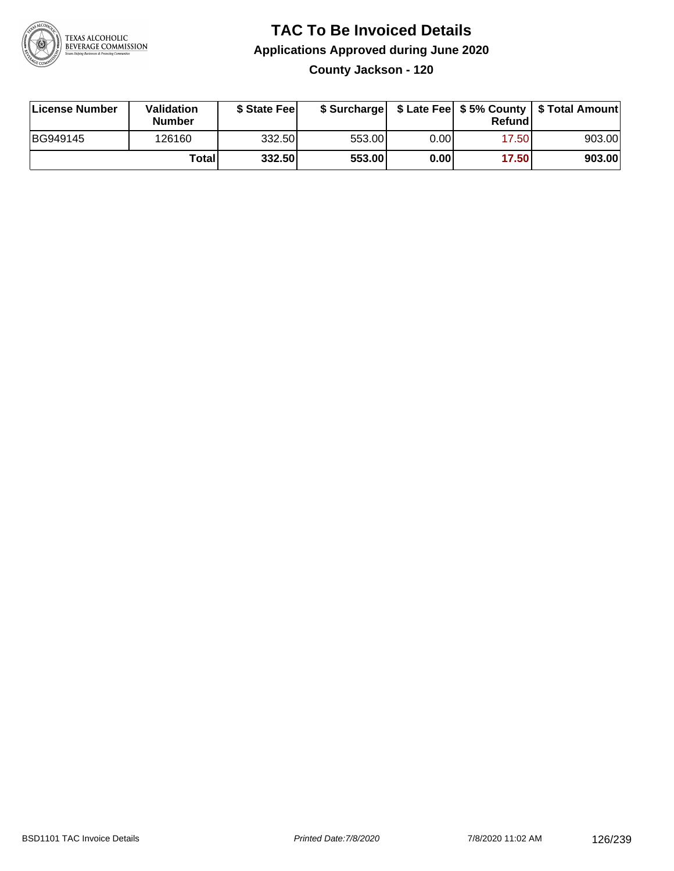

**County Jackson - 120**

| License Number | Validation<br><b>Number</b> | \$ State Feel |        |      | Refundl | \$ Surcharge   \$ Late Fee   \$5% County   \$ Total Amount |
|----------------|-----------------------------|---------------|--------|------|---------|------------------------------------------------------------|
| BG949145       | 126160                      | 332.50        | 553.00 | 0.00 | 17.50   | 903.00                                                     |
|                | <b>Total</b>                | 332.50        | 553.00 | 0.00 | 17.50   | 903.00                                                     |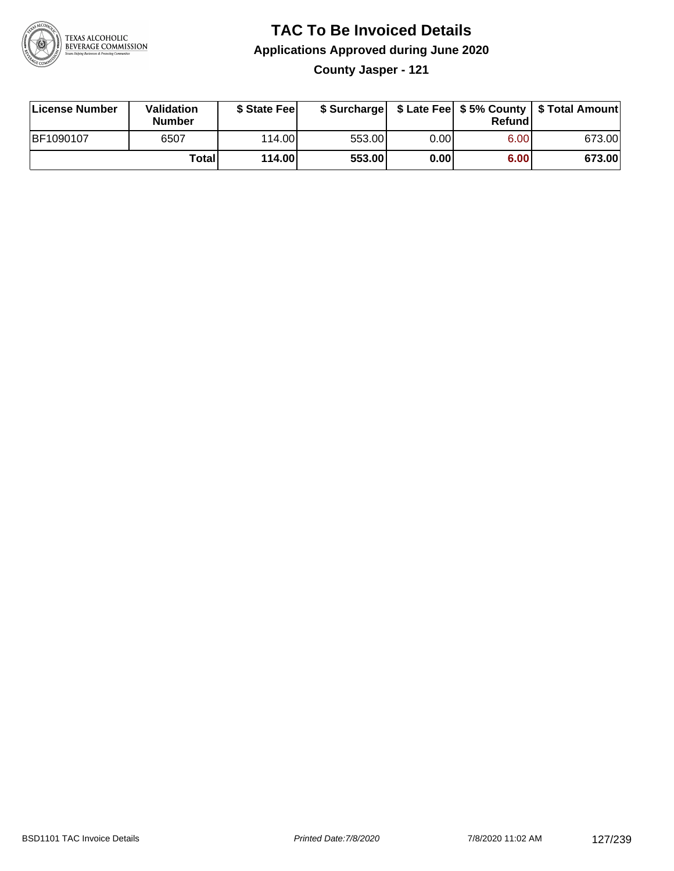

**County Jasper - 121**

| License Number | Validation<br><b>Number</b> | \$ State Fee |        |      | Refundl | \$ Surcharge   \$ Late Fee   \$5% County   \$ Total Amount |
|----------------|-----------------------------|--------------|--------|------|---------|------------------------------------------------------------|
| BF1090107      | 6507                        | 114.00L      | 553.00 | 0.00 | 6.00    | 673.00                                                     |
|                | Totall                      | 114.00       | 553.00 | 0.00 | 6.00    | 673.00                                                     |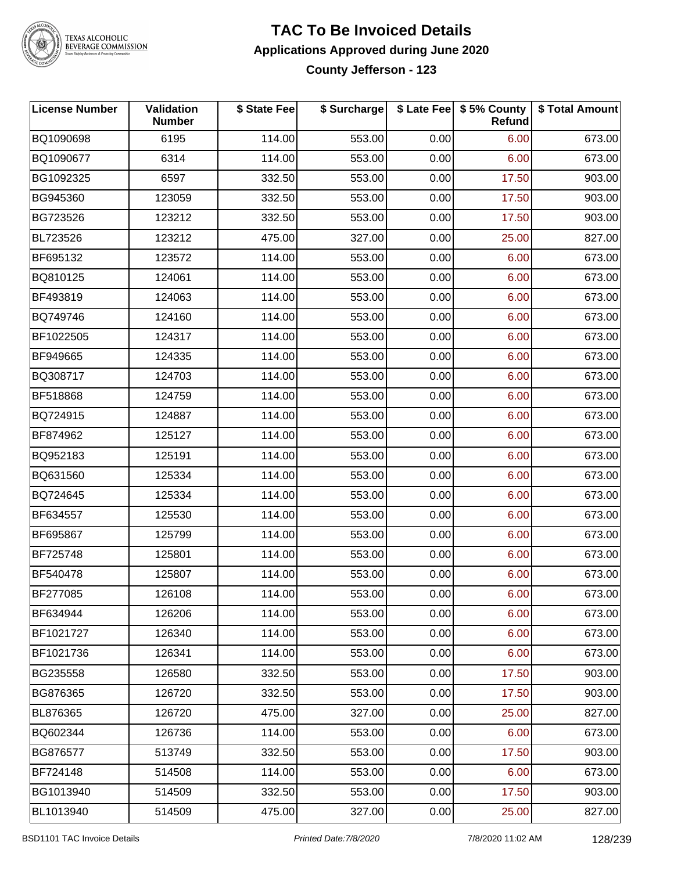

#### **TAC To Be Invoiced Details Applications Approved during June 2020 County Jefferson - 123**

| <b>License Number</b> | Validation<br><b>Number</b> | \$ State Fee | \$ Surcharge |      | \$ Late Fee   \$5% County<br>Refund | \$ Total Amount |
|-----------------------|-----------------------------|--------------|--------------|------|-------------------------------------|-----------------|
| BQ1090698             | 6195                        | 114.00       | 553.00       | 0.00 | 6.00                                | 673.00          |
| BQ1090677             | 6314                        | 114.00       | 553.00       | 0.00 | 6.00                                | 673.00          |
| BG1092325             | 6597                        | 332.50       | 553.00       | 0.00 | 17.50                               | 903.00          |
| BG945360              | 123059                      | 332.50       | 553.00       | 0.00 | 17.50                               | 903.00          |
| BG723526              | 123212                      | 332.50       | 553.00       | 0.00 | 17.50                               | 903.00          |
| BL723526              | 123212                      | 475.00       | 327.00       | 0.00 | 25.00                               | 827.00          |
| BF695132              | 123572                      | 114.00       | 553.00       | 0.00 | 6.00                                | 673.00          |
| BQ810125              | 124061                      | 114.00       | 553.00       | 0.00 | 6.00                                | 673.00          |
| BF493819              | 124063                      | 114.00       | 553.00       | 0.00 | 6.00                                | 673.00          |
| BQ749746              | 124160                      | 114.00       | 553.00       | 0.00 | 6.00                                | 673.00          |
| BF1022505             | 124317                      | 114.00       | 553.00       | 0.00 | 6.00                                | 673.00          |
| BF949665              | 124335                      | 114.00       | 553.00       | 0.00 | 6.00                                | 673.00          |
| BQ308717              | 124703                      | 114.00       | 553.00       | 0.00 | 6.00                                | 673.00          |
| BF518868              | 124759                      | 114.00       | 553.00       | 0.00 | 6.00                                | 673.00          |
| BQ724915              | 124887                      | 114.00       | 553.00       | 0.00 | 6.00                                | 673.00          |
| BF874962              | 125127                      | 114.00       | 553.00       | 0.00 | 6.00                                | 673.00          |
| BQ952183              | 125191                      | 114.00       | 553.00       | 0.00 | 6.00                                | 673.00          |
| BQ631560              | 125334                      | 114.00       | 553.00       | 0.00 | 6.00                                | 673.00          |
| BQ724645              | 125334                      | 114.00       | 553.00       | 0.00 | 6.00                                | 673.00          |
| BF634557              | 125530                      | 114.00       | 553.00       | 0.00 | 6.00                                | 673.00          |
| BF695867              | 125799                      | 114.00       | 553.00       | 0.00 | 6.00                                | 673.00          |
| BF725748              | 125801                      | 114.00       | 553.00       | 0.00 | 6.00                                | 673.00          |
| BF540478              | 125807                      | 114.00       | 553.00       | 0.00 | 6.00                                | 673.00          |
| <b>BF277085</b>       | 126108                      | 114.00       | 553.00       | 0.00 | 6.00                                | 673.00          |
| BF634944              | 126206                      | 114.00       | 553.00       | 0.00 | 6.00                                | 673.00          |
| BF1021727             | 126340                      | 114.00       | 553.00       | 0.00 | 6.00                                | 673.00          |
| BF1021736             | 126341                      | 114.00       | 553.00       | 0.00 | 6.00                                | 673.00          |
| BG235558              | 126580                      | 332.50       | 553.00       | 0.00 | 17.50                               | 903.00          |
| BG876365              | 126720                      | 332.50       | 553.00       | 0.00 | 17.50                               | 903.00          |
| BL876365              | 126720                      | 475.00       | 327.00       | 0.00 | 25.00                               | 827.00          |
| BQ602344              | 126736                      | 114.00       | 553.00       | 0.00 | 6.00                                | 673.00          |
| BG876577              | 513749                      | 332.50       | 553.00       | 0.00 | 17.50                               | 903.00          |
| BF724148              | 514508                      | 114.00       | 553.00       | 0.00 | 6.00                                | 673.00          |
| BG1013940             | 514509                      | 332.50       | 553.00       | 0.00 | 17.50                               | 903.00          |
| BL1013940             | 514509                      | 475.00       | 327.00       | 0.00 | 25.00                               | 827.00          |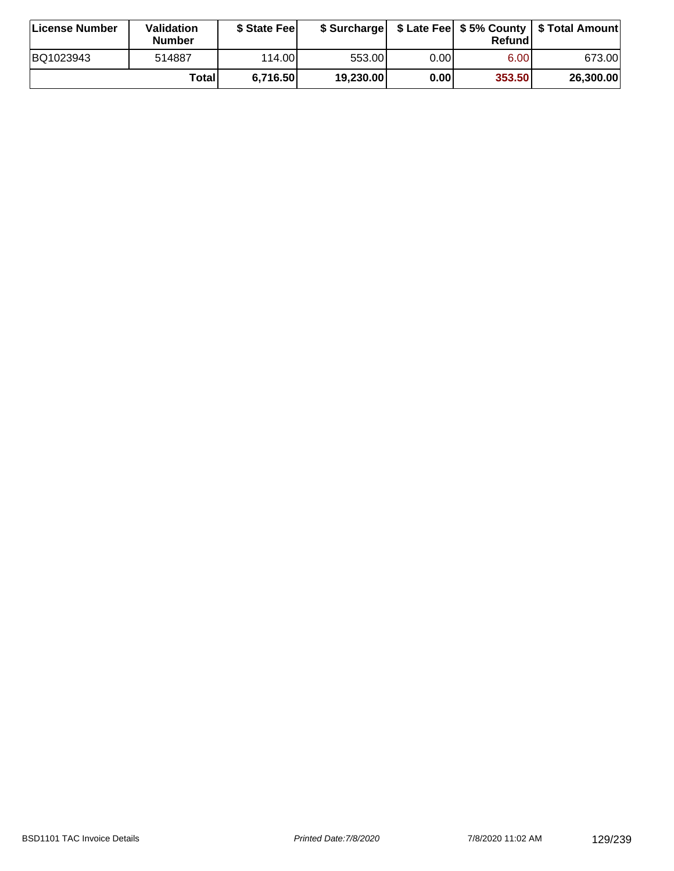| License Number | Validation<br><b>Number</b> | \$ State Fee |           |       | Refundl           | \$ Surcharge   \$ Late Fee   \$5% County   \$ Total Amount |
|----------------|-----------------------------|--------------|-----------|-------|-------------------|------------------------------------------------------------|
| BQ1023943      | 514887                      | 114.00       | 553.00    | 0.00I | 6.00 <sub>1</sub> | 673.00                                                     |
|                | Totall                      | 6,716.50     | 19,230.00 | 0.00  | 353.50            | 26,300.00                                                  |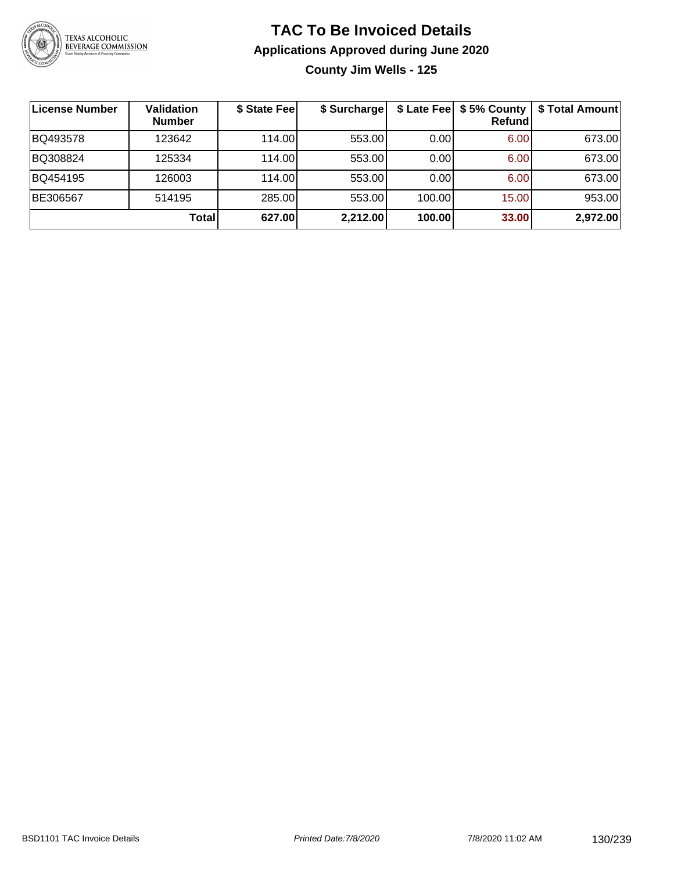

**County Jim Wells - 125**

| License Number | <b>Validation</b><br><b>Number</b> | \$ State Fee | \$ Surcharge |        | \$ Late Fee   \$5% County  <br>Refundl | \$ Total Amount |
|----------------|------------------------------------|--------------|--------------|--------|----------------------------------------|-----------------|
| BQ493578       | 123642                             | 114.00L      | 553.00       | 0.00   | 6.00                                   | 673.00          |
| BQ308824       | 125334                             | 114.00       | 553.00       | 0.00   | 6.00                                   | 673.00          |
| BQ454195       | 126003                             | 114.00       | 553.00       | 0.00   | 6.00                                   | 673.00          |
| BE306567       | 514195                             | 285.00       | 553.00       | 100.00 | 15.00                                  | 953.00          |
|                | Total                              | 627.00       | 2,212.00     | 100.00 | 33.00                                  | 2,972.00        |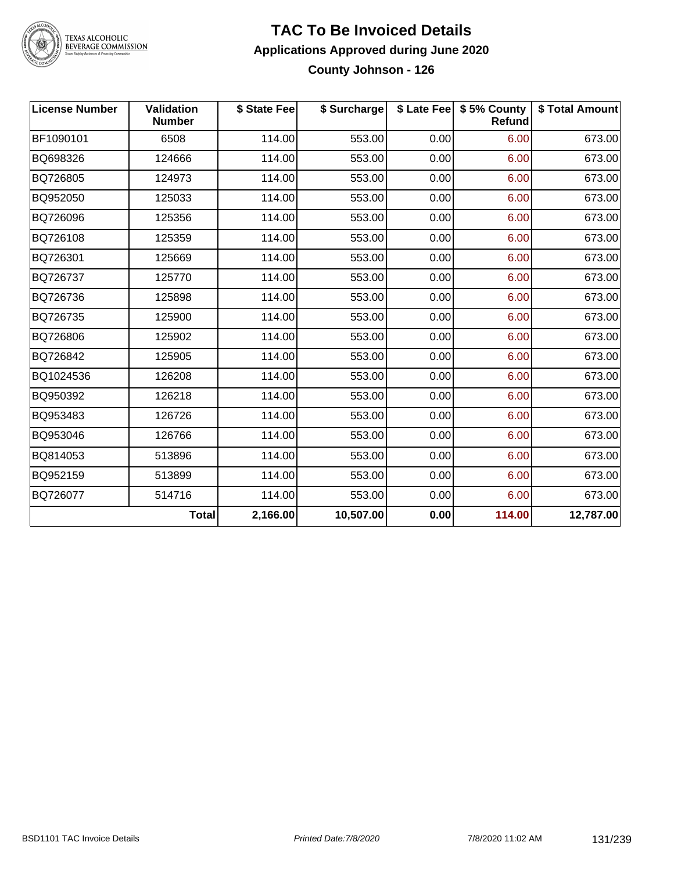

#### **TAC To Be Invoiced Details Applications Approved during June 2020 County Johnson - 126**

| <b>License Number</b> | <b>Validation</b><br><b>Number</b> | \$ State Fee | \$ Surcharge |      | \$ Late Fee   \$5% County<br>Refund | \$ Total Amount |
|-----------------------|------------------------------------|--------------|--------------|------|-------------------------------------|-----------------|
| BF1090101             | 6508                               | 114.00       | 553.00       | 0.00 | 6.00                                | 673.00          |
| BQ698326              | 124666                             | 114.00       | 553.00       | 0.00 | 6.00                                | 673.00          |
| BQ726805              | 124973                             | 114.00       | 553.00       | 0.00 | 6.00                                | 673.00          |
| BQ952050              | 125033                             | 114.00       | 553.00       | 0.00 | 6.00                                | 673.00          |
| BQ726096              | 125356                             | 114.00       | 553.00       | 0.00 | 6.00                                | 673.00          |
| BQ726108              | 125359                             | 114.00       | 553.00       | 0.00 | 6.00                                | 673.00          |
| BQ726301              | 125669                             | 114.00       | 553.00       | 0.00 | 6.00                                | 673.00          |
| BQ726737              | 125770                             | 114.00       | 553.00       | 0.00 | 6.00                                | 673.00          |
| BQ726736              | 125898                             | 114.00       | 553.00       | 0.00 | 6.00                                | 673.00          |
| BQ726735              | 125900                             | 114.00       | 553.00       | 0.00 | 6.00                                | 673.00          |
| BQ726806              | 125902                             | 114.00       | 553.00       | 0.00 | 6.00                                | 673.00          |
| BQ726842              | 125905                             | 114.00       | 553.00       | 0.00 | 6.00                                | 673.00          |
| BQ1024536             | 126208                             | 114.00       | 553.00       | 0.00 | 6.00                                | 673.00          |
| BQ950392              | 126218                             | 114.00       | 553.00       | 0.00 | 6.00                                | 673.00          |
| BQ953483              | 126726                             | 114.00       | 553.00       | 0.00 | 6.00                                | 673.00          |
| BQ953046              | 126766                             | 114.00       | 553.00       | 0.00 | 6.00                                | 673.00          |
| BQ814053              | 513896                             | 114.00       | 553.00       | 0.00 | 6.00                                | 673.00          |
| BQ952159              | 513899                             | 114.00       | 553.00       | 0.00 | 6.00                                | 673.00          |
| BQ726077              | 514716                             | 114.00       | 553.00       | 0.00 | 6.00                                | 673.00          |
|                       | <b>Total</b>                       | 2,166.00     | 10,507.00    | 0.00 | 114.00                              | 12,787.00       |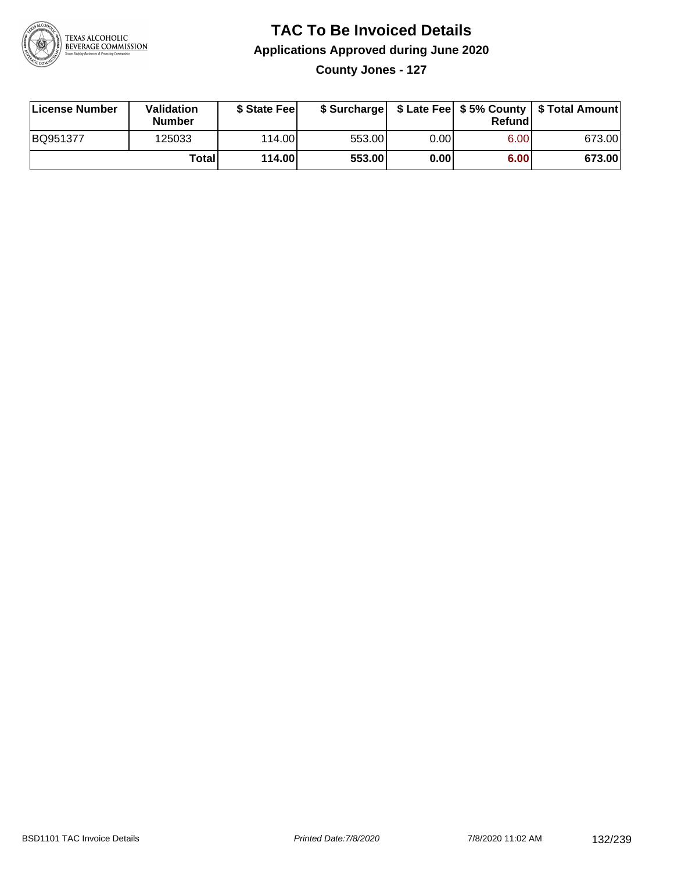

**County Jones - 127**

| License Number | Validation<br><b>Number</b> | \$ State Fee |        |      | Refundl | \$ Surcharge   \$ Late Fee   \$5% County   \$ Total Amount |
|----------------|-----------------------------|--------------|--------|------|---------|------------------------------------------------------------|
| BQ951377       | 125033                      | 114.00       | 553.00 | 0.00 | 6.00    | 673.00                                                     |
|                | Totall                      | 114.00       | 553.00 | 0.00 | 6.00    | 673.00                                                     |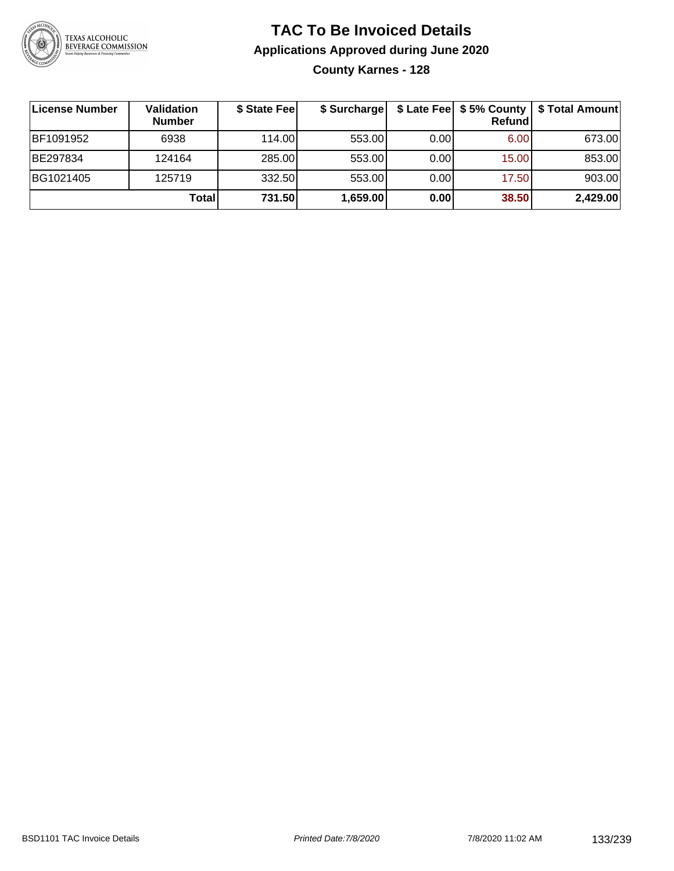

### **TAC To Be Invoiced Details Applications Approved during June 2020 County Karnes - 128**

| ∣License Number | Validation<br><b>Number</b> | \$ State Feel | \$ Surcharge |      | Refundl | \$ Late Fee   \$5% County   \$ Total Amount |
|-----------------|-----------------------------|---------------|--------------|------|---------|---------------------------------------------|
| BF1091952       | 6938                        | 114.00L       | 553.00       | 0.00 | 6.00    | 673.00                                      |
| BE297834        | 124164                      | 285.00        | 553.00       | 0.00 | 15.00   | 853.00                                      |
| BG1021405       | 125719                      | 332.50        | 553.00       | 0.00 | 17.50   | 903.00                                      |
|                 | <b>Total</b>                | 731.50        | 1,659.00     | 0.00 | 38.50   | 2,429.00                                    |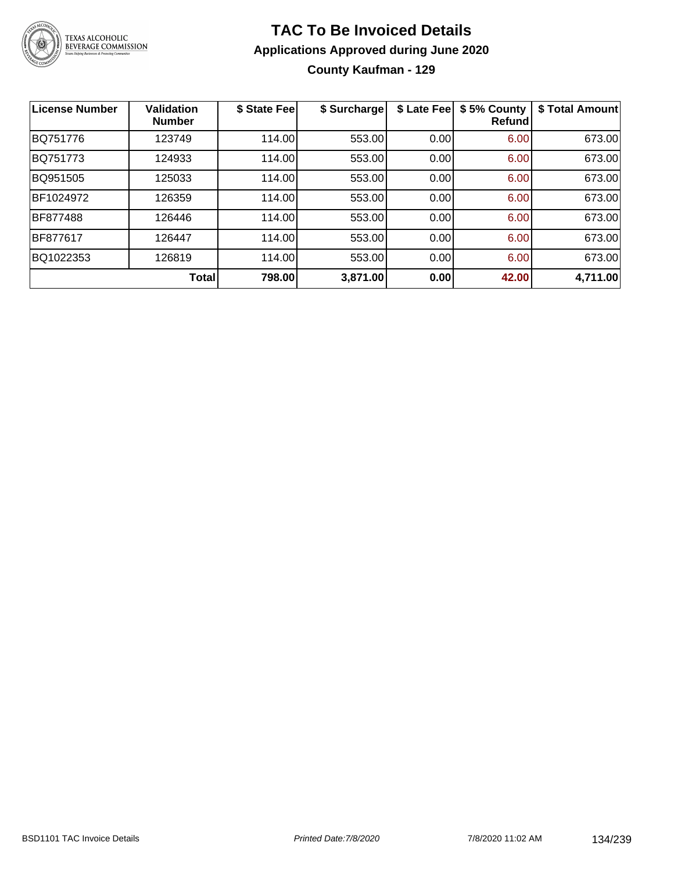

### **TAC To Be Invoiced Details Applications Approved during June 2020 County Kaufman - 129**

| <b>License Number</b> | <b>Validation</b><br><b>Number</b> | \$ State Fee | \$ Surcharge | \$ Late Fee | \$5% County<br>Refund | \$ Total Amount |
|-----------------------|------------------------------------|--------------|--------------|-------------|-----------------------|-----------------|
| BQ751776              | 123749                             | 114.00       | 553.00       | 0.00        | 6.00                  | 673.00          |
| BQ751773              | 124933                             | 114.00       | 553.00       | 0.00        | 6.00                  | 673.00          |
| BQ951505              | 125033                             | 114.00       | 553.00       | 0.00        | 6.00                  | 673.00          |
| BF1024972             | 126359                             | 114.00       | 553.00       | 0.00        | 6.00                  | 673.00          |
| <b>BF877488</b>       | 126446                             | 114.00       | 553.00       | 0.00        | 6.00                  | 673.00          |
| <b>BF877617</b>       | 126447                             | 114.00       | 553.00       | 0.00        | 6.00                  | 673.00          |
| BQ1022353             | 126819                             | 114.00       | 553.00       | 0.00        | 6.00                  | 673.00          |
|                       | Total                              | 798.00       | 3,871.00     | 0.00        | 42.00                 | 4,711.00        |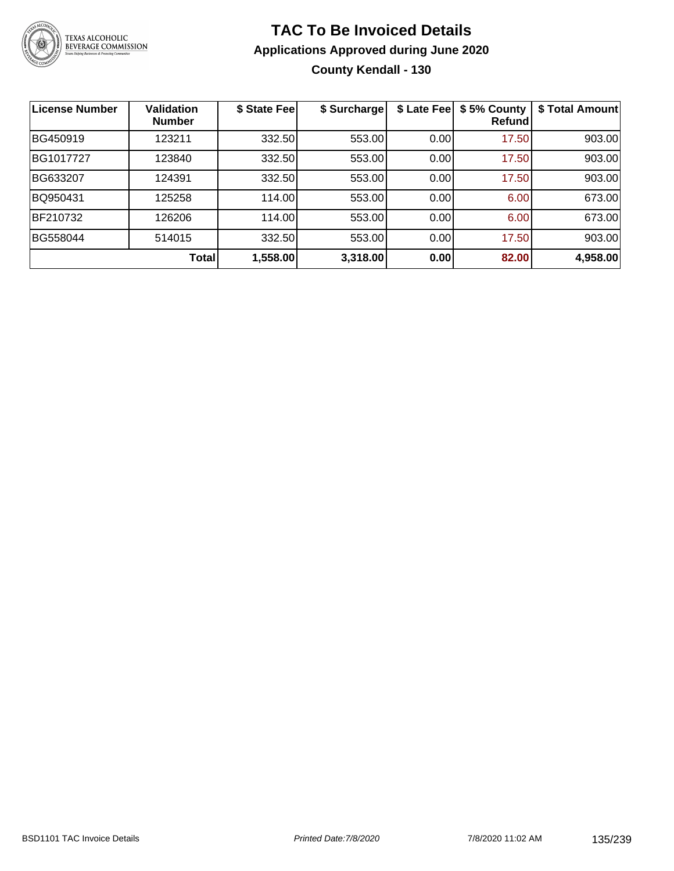

### **TAC To Be Invoiced Details Applications Approved during June 2020 County Kendall - 130**

| <b>License Number</b> | <b>Validation</b><br><b>Number</b> | \$ State Fee | \$ Surcharge | \$ Late Fee | \$5% County<br><b>Refund</b> | \$ Total Amount |
|-----------------------|------------------------------------|--------------|--------------|-------------|------------------------------|-----------------|
| BG450919              | 123211                             | 332.50       | 553.00       | 0.00        | 17.50                        | 903.00          |
| BG1017727             | 123840                             | 332.50       | 553.00       | 0.00        | 17.50                        | 903.00          |
| BG633207              | 124391                             | 332.50       | 553.00       | 0.00        | 17.50                        | 903.00          |
| BQ950431              | 125258                             | 114.00       | 553.00       | 0.00        | 6.00                         | 673.00          |
| BF210732              | 126206                             | 114.00       | 553.00       | 0.00        | 6.00                         | 673.00          |
| BG558044              | 514015                             | 332.50       | 553.00       | 0.00        | 17.50                        | 903.00          |
|                       | Total                              | 1,558.00     | 3,318.00     | 0.00        | 82.00                        | 4,958.00        |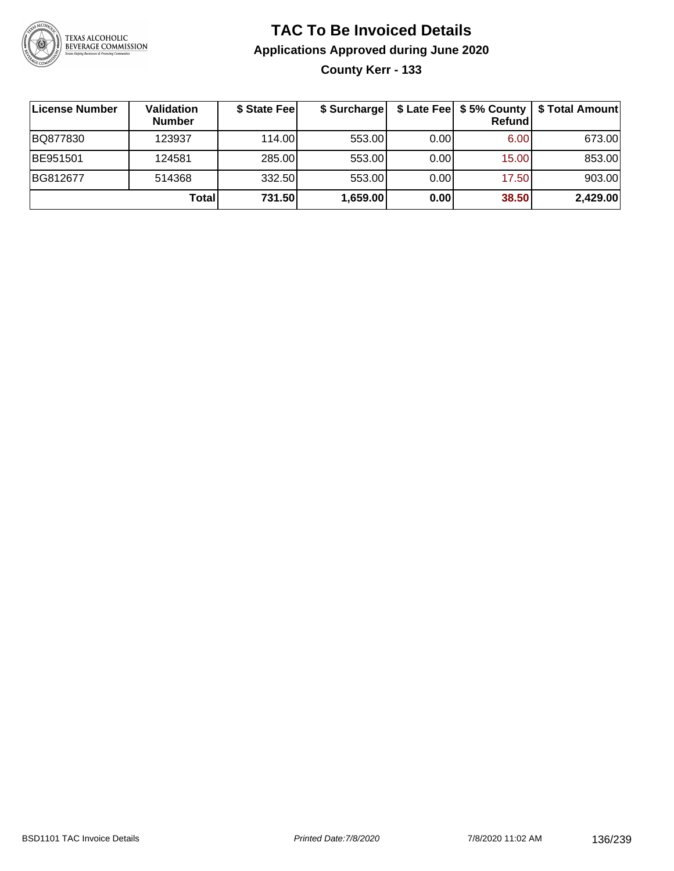

**County Kerr - 133**

| License Number | <b>Validation</b><br><b>Number</b> | \$ State Fee | \$ Surcharge |      | Refundl | \$ Late Fee   \$5% County   \$ Total Amount |
|----------------|------------------------------------|--------------|--------------|------|---------|---------------------------------------------|
| BQ877830       | 123937                             | 114.00       | 553.00       | 0.00 | 6.00    | 673.00                                      |
| BE951501       | 124581                             | 285.00       | 553.00       | 0.00 | 15.00   | 853.00                                      |
| BG812677       | 514368                             | 332.50       | 553.00       | 0.00 | 17.50   | 903.00                                      |
|                | Totall                             | 731.50       | 1,659.00     | 0.00 | 38.50   | 2,429.00                                    |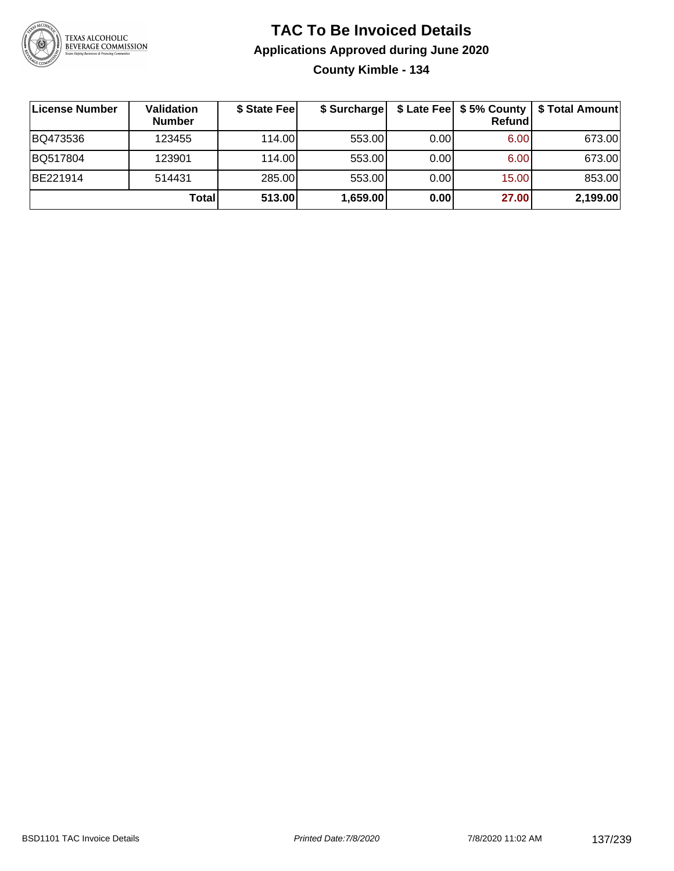

### **TAC To Be Invoiced Details Applications Approved during June 2020 County Kimble - 134**

| ∣License Number | <b>Validation</b><br><b>Number</b> | \$ State Fee | \$ Surcharge |      | \$ Late Fee   \$5% County  <br>Refund | \$ Total Amount |
|-----------------|------------------------------------|--------------|--------------|------|---------------------------------------|-----------------|
| BQ473536        | 123455                             | 114.00       | 553.00       | 0.00 | 6.00                                  | 673.00          |
| BQ517804        | 123901                             | 114.00       | 553.00       | 0.00 | 6.00                                  | 673.00          |
| BE221914        | 514431                             | 285.00       | 553.00       | 0.00 | 15.00                                 | 853.00          |
|                 | Total                              | 513.00       | 1,659.00     | 0.00 | 27.00                                 | 2,199.00        |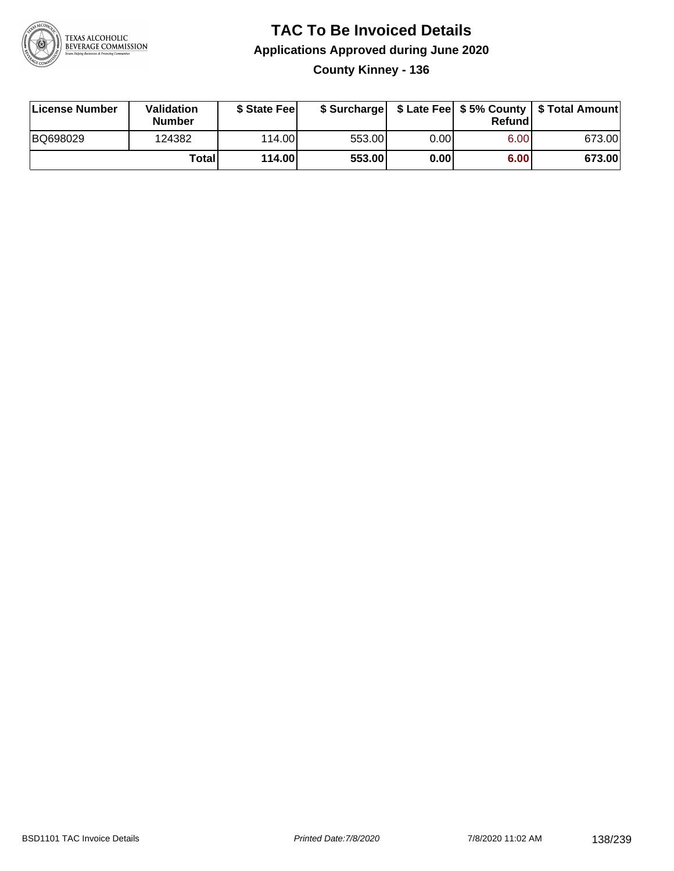

### **TAC To Be Invoiced Details Applications Approved during June 2020 County Kinney - 136**

| <b>License Number</b> | Validation<br><b>Number</b> | \$ State Fee |        |      | Refund | \$ Surcharge   \$ Late Fee   \$5% County   \$ Total Amount |
|-----------------------|-----------------------------|--------------|--------|------|--------|------------------------------------------------------------|
| BQ698029              | 124382                      | 114.00L      | 553.00 | 0.00 | 6.00   | 673.00                                                     |
|                       | Total                       | 114.00       | 553.00 | 0.00 | 6.00   | 673.00                                                     |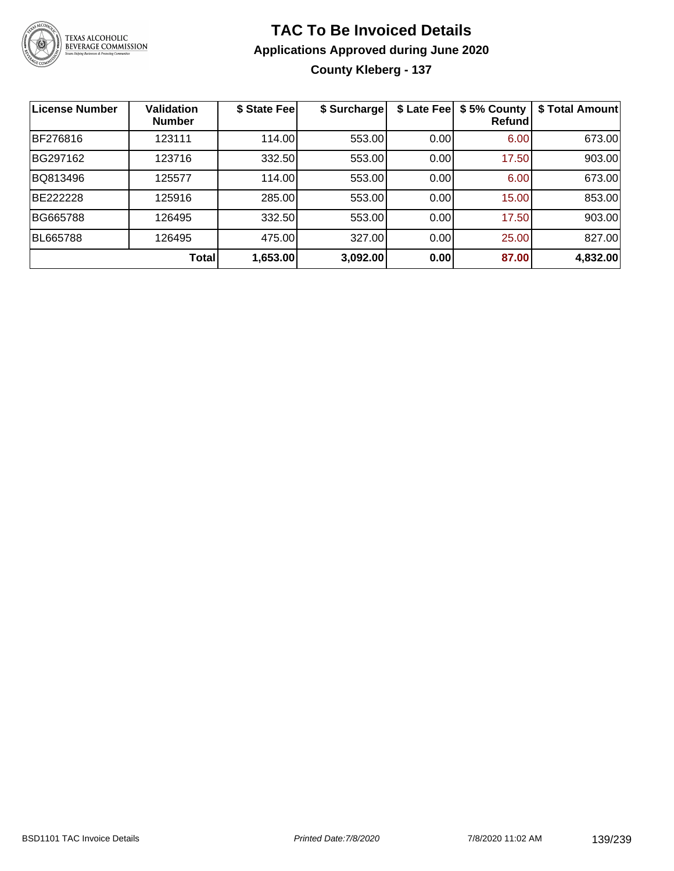

### **TAC To Be Invoiced Details Applications Approved during June 2020 County Kleberg - 137**

| <b>License Number</b> | <b>Validation</b><br><b>Number</b> | \$ State Fee | \$ Surcharge | \$ Late Fee | \$5% County<br>Refundl | \$ Total Amount |
|-----------------------|------------------------------------|--------------|--------------|-------------|------------------------|-----------------|
| BF276816              | 123111                             | 114.00       | 553.00       | 0.00        | 6.00                   | 673.00          |
| BG297162              | 123716                             | 332.50       | 553.00       | 0.00        | 17.50                  | 903.00          |
| BQ813496              | 125577                             | 114.00       | 553.00       | 0.00        | 6.00                   | 673.00          |
| <b>BE222228</b>       | 125916                             | 285.00       | 553.00       | 0.00        | 15.00                  | 853.00          |
| BG665788              | 126495                             | 332.50       | 553.00       | 0.00        | 17.50                  | 903.00          |
| <b>BL665788</b>       | 126495                             | 475.00       | 327.00       | 0.00        | 25.00                  | 827.00          |
|                       | Total                              | 1,653.00     | 3,092.00     | 0.00        | 87.00                  | 4,832.00        |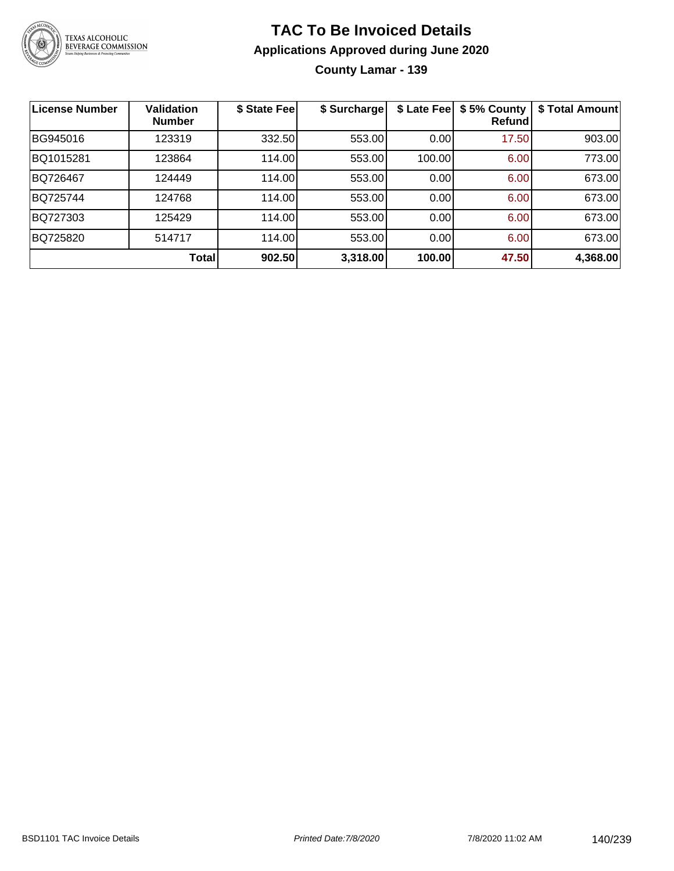

**County Lamar - 139**

| License Number | Validation<br><b>Number</b> | \$ State Fee | \$ Surcharge | \$ Late Fee | \$5% County<br>Refundl | \$ Total Amount |
|----------------|-----------------------------|--------------|--------------|-------------|------------------------|-----------------|
| BG945016       | 123319                      | 332.50       | 553.00       | 0.00        | 17.50                  | 903.00          |
| BQ1015281      | 123864                      | 114.00       | 553.00       | 100.00      | 6.00                   | 773.00          |
| BQ726467       | 124449                      | 114.00       | 553.00       | 0.00        | 6.00                   | 673.00          |
| BQ725744       | 124768                      | 114.00       | 553.00       | 0.00        | 6.00                   | 673.00          |
| BQ727303       | 125429                      | 114.00       | 553.00       | 0.00        | 6.00                   | 673.00          |
| BQ725820       | 514717                      | 114.00       | 553.00       | 0.00        | 6.00                   | 673.00          |
|                | Total                       | 902.50       | 3,318.00     | 100.00      | 47.50                  | 4,368.00        |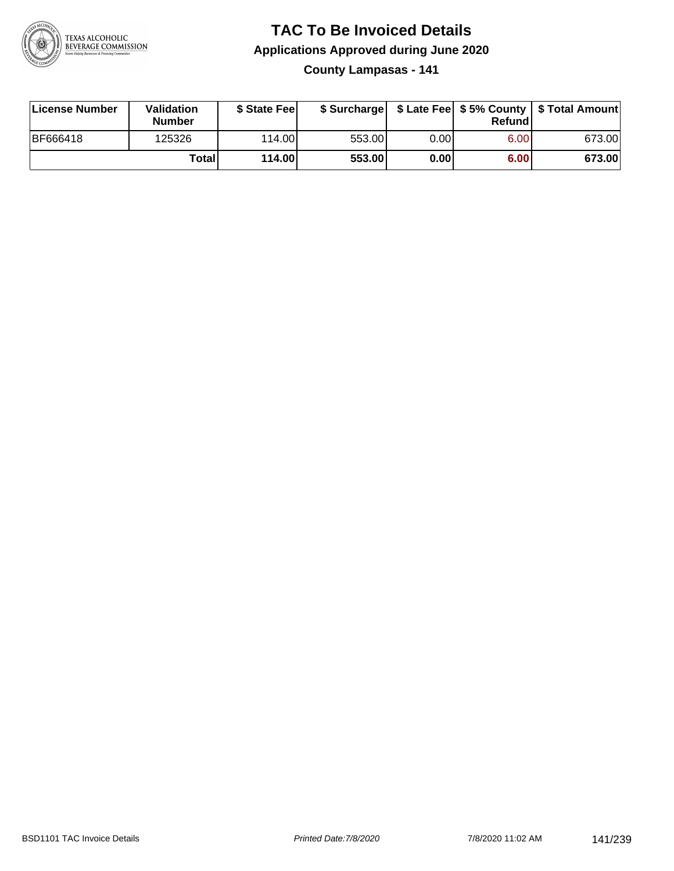

**County Lampasas - 141**

| License Number  | Validation<br><b>Number</b> | \$ State Feel |        |      | Refundl | \$ Surcharge   \$ Late Fee   \$5% County   \$ Total Amount |
|-----------------|-----------------------------|---------------|--------|------|---------|------------------------------------------------------------|
| <b>BF666418</b> | 125326                      | 114.00        | 553.00 | 0.00 | 6.00    | 673.00                                                     |
|                 | Totall                      | 114.00        | 553.00 | 0.00 | 6.00    | 673.00                                                     |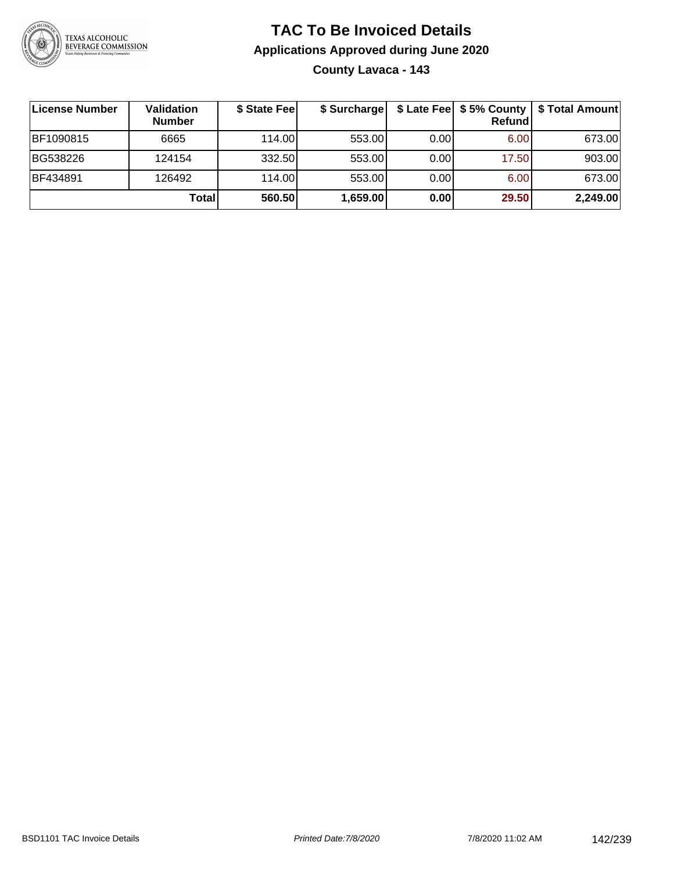

### **TAC To Be Invoiced Details Applications Approved during June 2020 County Lavaca - 143**

| ∣License Number | Validation<br><b>Number</b> | \$ State Fee | \$ Surcharge |       | \$ Late Fee   \$5% County  <br>Refundl | \$ Total Amount |
|-----------------|-----------------------------|--------------|--------------|-------|----------------------------------------|-----------------|
| BF1090815       | 6665                        | 114.00L      | 553.00       | 0.001 | 6.00                                   | 673.00          |
| BG538226        | 124154                      | 332.50       | 553.00       | 0.00  | 17.50                                  | 903.00          |
| BF434891        | 126492                      | 114.00       | 553.00       | 0.00  | 6.00                                   | 673.00          |
|                 | <b>Total</b>                | 560.50       | 1,659.00     | 0.00  | 29.50                                  | 2,249.00        |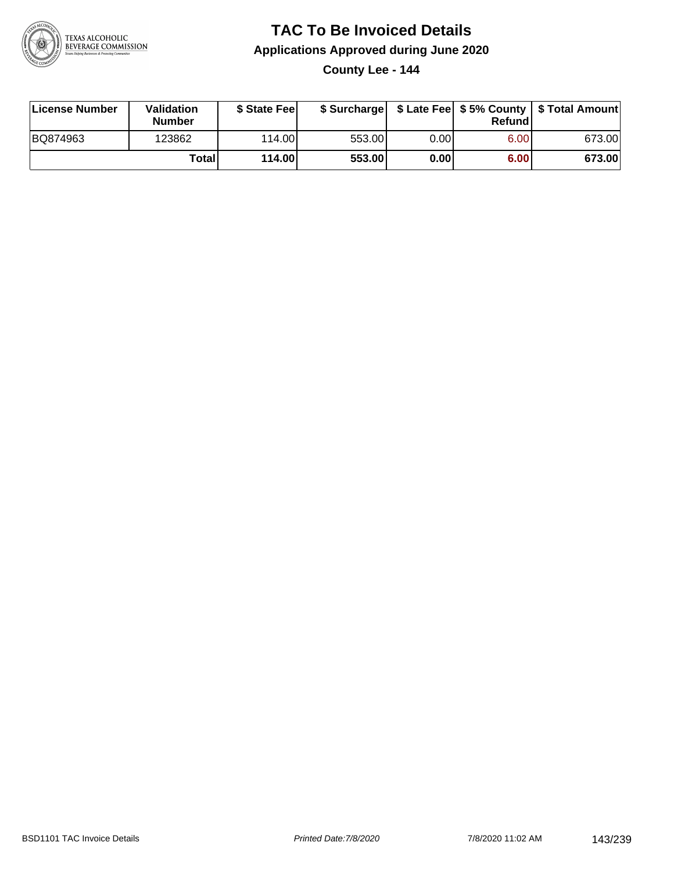

**County Lee - 144**

| License Number | Validation<br><b>Number</b> | \$ State Feel |        |       | Refundl | \$ Surcharge   \$ Late Fee   \$5% County   \$ Total Amount |
|----------------|-----------------------------|---------------|--------|-------|---------|------------------------------------------------------------|
| BQ874963       | 123862                      | 114.00        | 553.00 | 0.00I | 6.00    | 673.00                                                     |
|                | Totall                      | 114.00        | 553.00 | 0.00  | 6.00    | 673.00                                                     |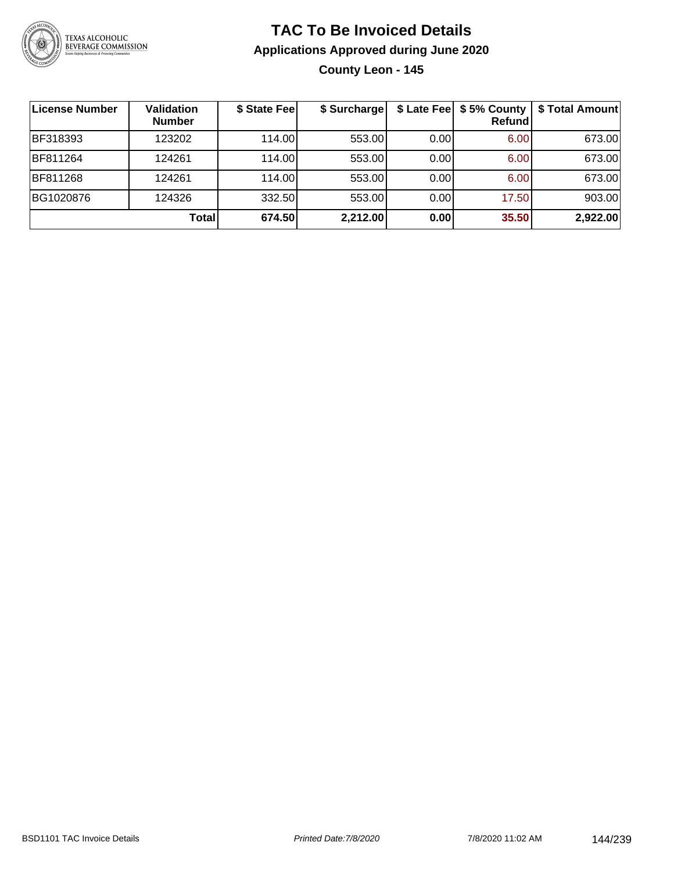

### **TAC To Be Invoiced Details Applications Approved during June 2020 County Leon - 145**

| License Number | <b>Validation</b><br><b>Number</b> | \$ State Fee | \$ Surcharge |      | \$ Late Fee   \$5% County<br><b>Refund</b> | \$ Total Amount |
|----------------|------------------------------------|--------------|--------------|------|--------------------------------------------|-----------------|
| BF318393       | 123202                             | 114.00       | 553.00       | 0.00 | 6.00                                       | 673.00          |
| BF811264       | 124261                             | 114.00       | 553.00       | 0.00 | 6.00                                       | 673.00          |
| BF811268       | 124261                             | 114.00       | 553.00       | 0.00 | 6.00                                       | 673.00          |
| BG1020876      | 124326                             | 332.50       | 553.00       | 0.00 | 17.50                                      | 903.00          |
|                | Total                              | 674.50       | 2,212.00     | 0.00 | 35.50                                      | 2,922.00        |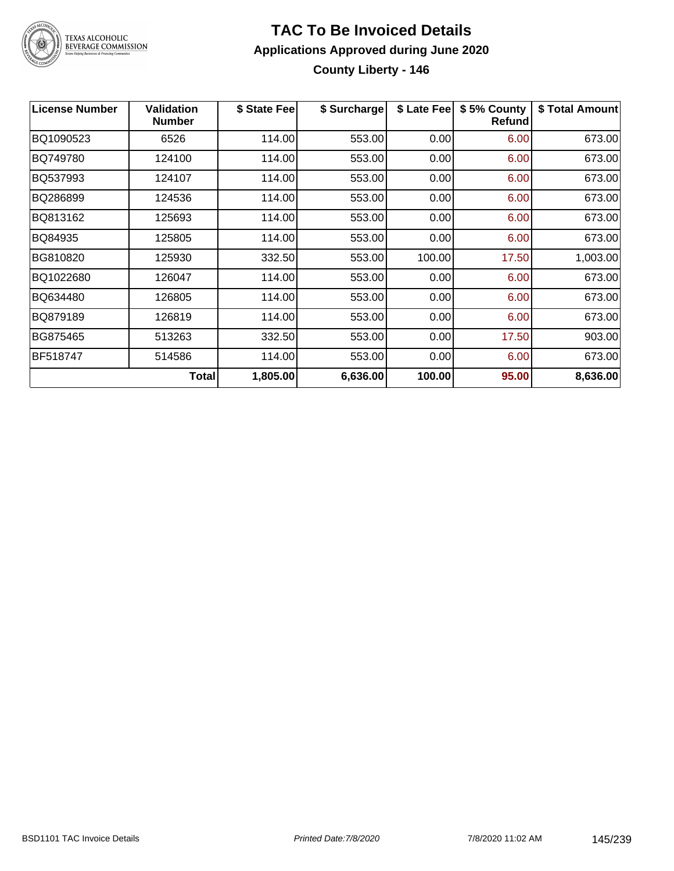

# **TAC To Be Invoiced Details Applications Approved during June 2020 County Liberty - 146**

| <b>License Number</b> | <b>Validation</b><br><b>Number</b> | \$ State Fee | \$ Surcharge | \$ Late Fee | \$5% County<br>Refund | \$ Total Amount |
|-----------------------|------------------------------------|--------------|--------------|-------------|-----------------------|-----------------|
| BQ1090523             | 6526                               | 114.00       | 553.00       | 0.00        | 6.00                  | 673.00          |
| BQ749780              | 124100                             | 114.00       | 553.00       | 0.00        | 6.00                  | 673.00          |
| BQ537993              | 124107                             | 114.00       | 553.00       | 0.00        | 6.00                  | 673.00          |
| BQ286899              | 124536                             | 114.00       | 553.00       | 0.00        | 6.00                  | 673.00          |
| BQ813162              | 125693                             | 114.00       | 553.00       | 0.00        | 6.00                  | 673.00          |
| BQ84935               | 125805                             | 114.00       | 553.00       | 0.00        | 6.00                  | 673.00          |
| BG810820              | 125930                             | 332.50       | 553.00       | 100.00      | 17.50                 | 1,003.00        |
| BQ1022680             | 126047                             | 114.00       | 553.00       | 0.00        | 6.00                  | 673.00          |
| BQ634480              | 126805                             | 114.00       | 553.00       | 0.00        | 6.00                  | 673.00          |
| BQ879189              | 126819                             | 114.00       | 553.00       | 0.00        | 6.00                  | 673.00          |
| BG875465              | 513263                             | 332.50       | 553.00       | 0.00        | 17.50                 | 903.00          |
| BF518747              | 514586                             | 114.00       | 553.00       | 0.00        | 6.00                  | 673.00          |
|                       | <b>Total</b>                       | 1,805.00     | 6,636.00     | 100.00      | 95.00                 | 8,636.00        |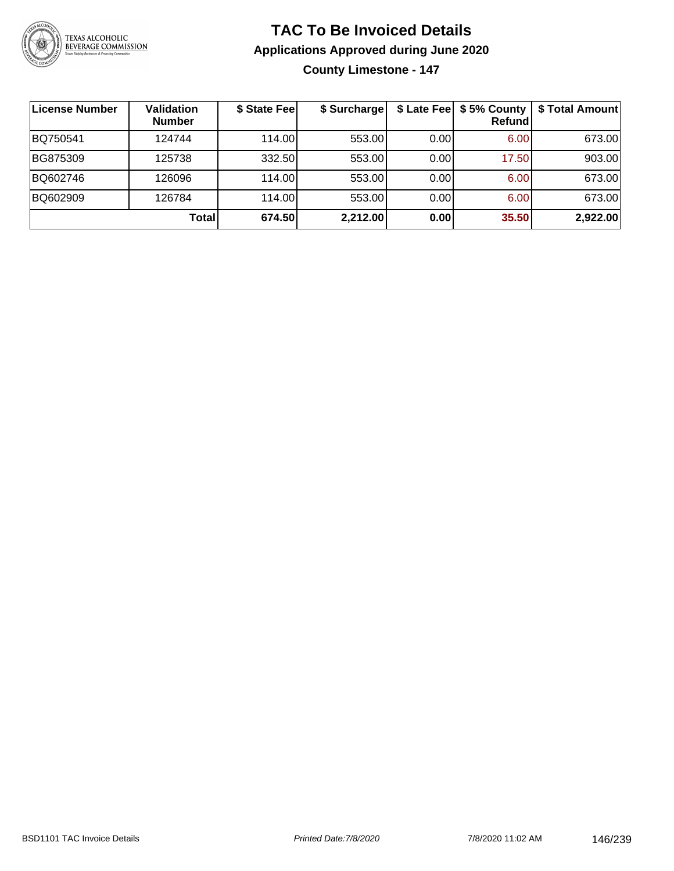

**County Limestone - 147**

| License Number | <b>Validation</b><br><b>Number</b> | \$ State Fee | \$ Surcharge |      | $$$ Late Fee $$5%$ County<br>Refundl | \$ Total Amount |
|----------------|------------------------------------|--------------|--------------|------|--------------------------------------|-----------------|
| BQ750541       | 124744                             | 114.00       | 553.00       | 0.00 | 6.00                                 | 673.00          |
| BG875309       | 125738                             | 332.50       | 553.00       | 0.00 | 17.50                                | 903.00          |
| BQ602746       | 126096                             | 114.00       | 553.00       | 0.00 | 6.00                                 | 673.00          |
| BQ602909       | 126784                             | 114.00       | 553.00       | 0.00 | 6.00                                 | 673.00          |
|                | Totall                             | 674.50       | 2,212.00     | 0.00 | 35.50                                | 2,922.00        |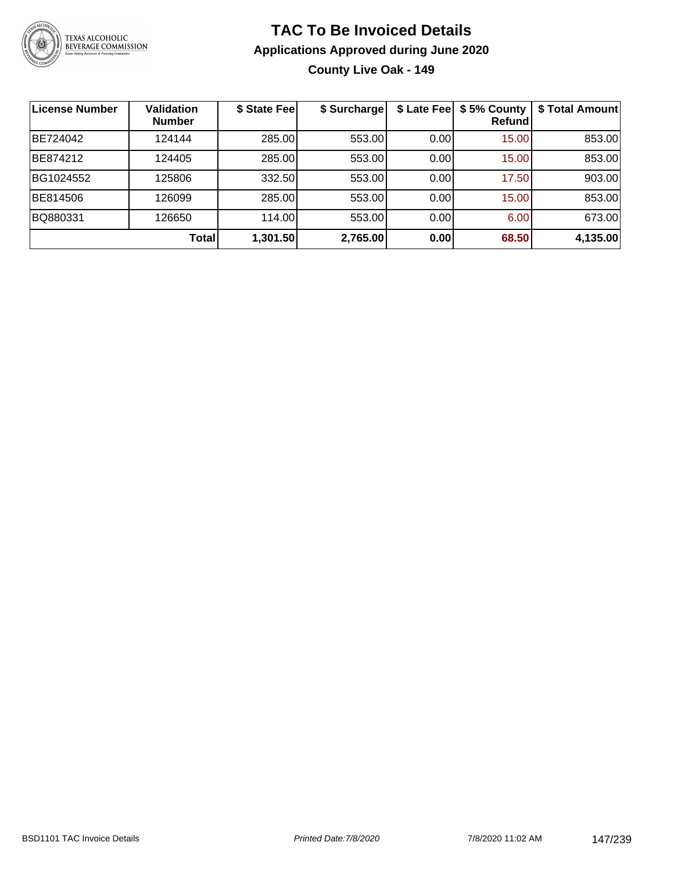

**County Live Oak - 149**

| License Number | Validation<br><b>Number</b> | \$ State Fee | \$ Surcharge | \$ Late Fee | \$5% County<br>Refundl | \$ Total Amount |
|----------------|-----------------------------|--------------|--------------|-------------|------------------------|-----------------|
| BE724042       | 124144                      | 285.00       | 553.00       | 0.00        | 15.00                  | 853.00          |
| BE874212       | 124405                      | 285.00       | 553.00       | 0.00        | 15.00                  | 853.00          |
| BG1024552      | 125806                      | 332.50       | 553.00       | 0.00        | 17.50                  | 903.00          |
| BE814506       | 126099                      | 285.00       | 553.00       | 0.00        | 15.00                  | 853.00          |
| BQ880331       | 126650                      | 114.00       | 553.00       | 0.00        | 6.00                   | 673.00          |
|                | Total                       | 1,301.50     | 2,765.00     | 0.00        | 68.50                  | 4,135.00        |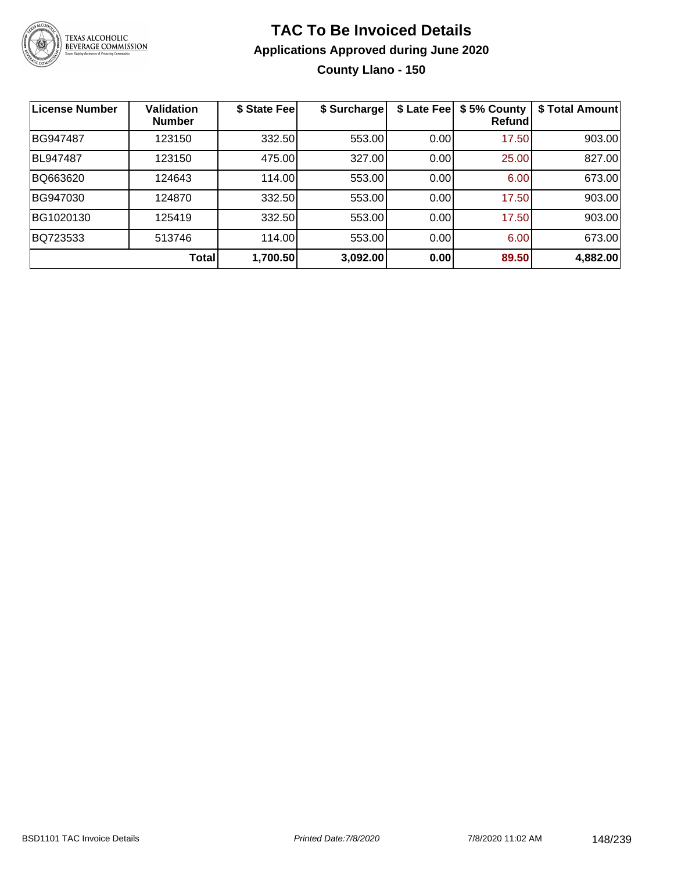

# **TAC To Be Invoiced Details Applications Approved during June 2020 County Llano - 150**

| <b>License Number</b> | <b>Validation</b><br><b>Number</b> | \$ State Fee | \$ Surcharge | \$ Late Fee | \$5% County<br>Refundl | \$Total Amount |
|-----------------------|------------------------------------|--------------|--------------|-------------|------------------------|----------------|
| BG947487              | 123150                             | 332.50       | 553.00       | 0.00        | 17.50                  | 903.00         |
| BL947487              | 123150                             | 475.00       | 327.00       | 0.00        | 25.00                  | 827.00         |
| BQ663620              | 124643                             | 114.00       | 553.00       | 0.00        | 6.00                   | 673.00         |
| BG947030              | 124870                             | 332.50       | 553.00       | 0.00        | 17.50                  | 903.00         |
| BG1020130             | 125419                             | 332.50       | 553.00       | 0.00        | 17.50                  | 903.00         |
| BQ723533              | 513746                             | 114.00       | 553.00       | 0.00        | 6.00                   | 673.00         |
|                       | <b>Total</b>                       | 1,700.50     | 3,092.00     | 0.00        | 89.50                  | 4,882.00       |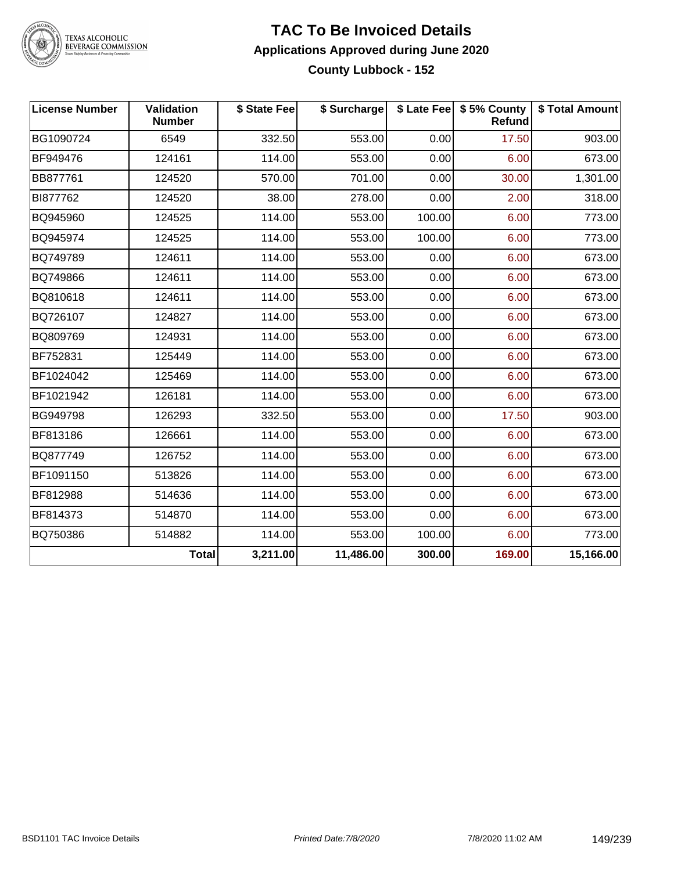

## **TAC To Be Invoiced Details Applications Approved during June 2020 County Lubbock - 152**

| <b>License Number</b> | Validation<br><b>Number</b> | \$ State Fee | \$ Surcharge |        | \$ Late Fee   \$5% County<br>Refund | \$ Total Amount |
|-----------------------|-----------------------------|--------------|--------------|--------|-------------------------------------|-----------------|
| BG1090724             | 6549                        | 332.50       | 553.00       | 0.00   | 17.50                               | 903.00          |
| BF949476              | 124161                      | 114.00       | 553.00       | 0.00   | 6.00                                | 673.00          |
| BB877761              | 124520                      | 570.00       | 701.00       | 0.00   | 30.00                               | 1,301.00        |
| BI877762              | 124520                      | 38.00        | 278.00       | 0.00   | 2.00                                | 318.00          |
| BQ945960              | 124525                      | 114.00       | 553.00       | 100.00 | 6.00                                | 773.00          |
| BQ945974              | 124525                      | 114.00       | 553.00       | 100.00 | 6.00                                | 773.00          |
| BQ749789              | 124611                      | 114.00       | 553.00       | 0.00   | 6.00                                | 673.00          |
| BQ749866              | 124611                      | 114.00       | 553.00       | 0.00   | 6.00                                | 673.00          |
| BQ810618              | 124611                      | 114.00       | 553.00       | 0.00   | 6.00                                | 673.00          |
| BQ726107              | 124827                      | 114.00       | 553.00       | 0.00   | 6.00                                | 673.00          |
| BQ809769              | 124931                      | 114.00       | 553.00       | 0.00   | 6.00                                | 673.00          |
| BF752831              | 125449                      | 114.00       | 553.00       | 0.00   | 6.00                                | 673.00          |
| BF1024042             | 125469                      | 114.00       | 553.00       | 0.00   | 6.00                                | 673.00          |
| BF1021942             | 126181                      | 114.00       | 553.00       | 0.00   | 6.00                                | 673.00          |
| BG949798              | 126293                      | 332.50       | 553.00       | 0.00   | 17.50                               | 903.00          |
| BF813186              | 126661                      | 114.00       | 553.00       | 0.00   | 6.00                                | 673.00          |
| BQ877749              | 126752                      | 114.00       | 553.00       | 0.00   | 6.00                                | 673.00          |
| BF1091150             | 513826                      | 114.00       | 553.00       | 0.00   | 6.00                                | 673.00          |
| BF812988              | 514636                      | 114.00       | 553.00       | 0.00   | 6.00                                | 673.00          |
| BF814373              | 514870                      | 114.00       | 553.00       | 0.00   | 6.00                                | 673.00          |
| BQ750386              | 514882                      | 114.00       | 553.00       | 100.00 | 6.00                                | 773.00          |
|                       | <b>Total</b>                | 3,211.00     | 11,486.00    | 300.00 | 169.00                              | 15,166.00       |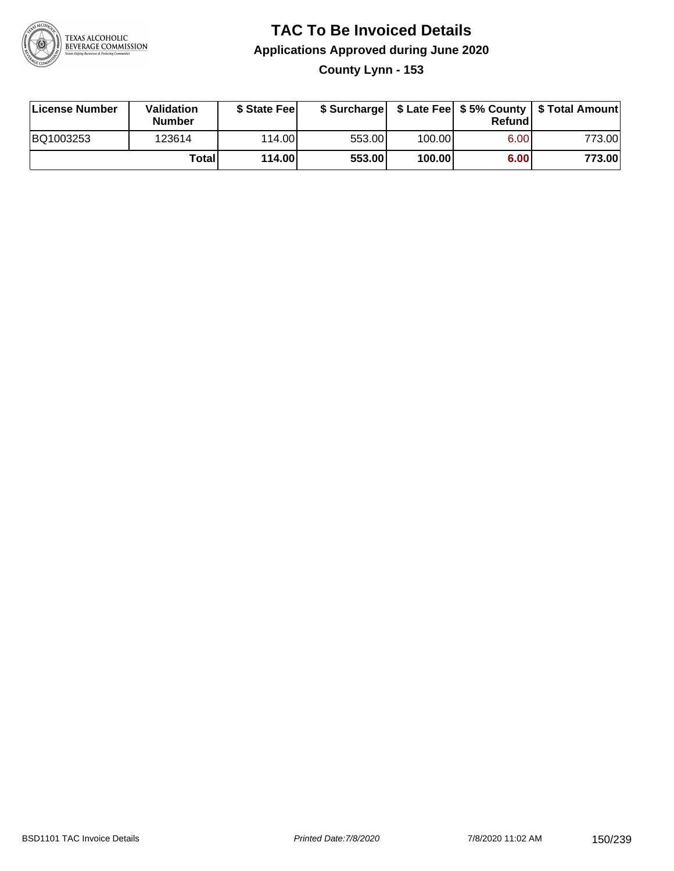

**County Lynn - 153**

| License Number | <b>Validation</b><br><b>Number</b> | \$ State Fee | \$ Surcharge |        | Refundl |        |
|----------------|------------------------------------|--------------|--------------|--------|---------|--------|
| BQ1003253      | 123614                             | 114.00L      | 553.00       | 100.00 | 6.00    | 773.00 |
|                | Totall                             | 114.00       | 553.00       | 100.00 | 6.00    | 773.00 |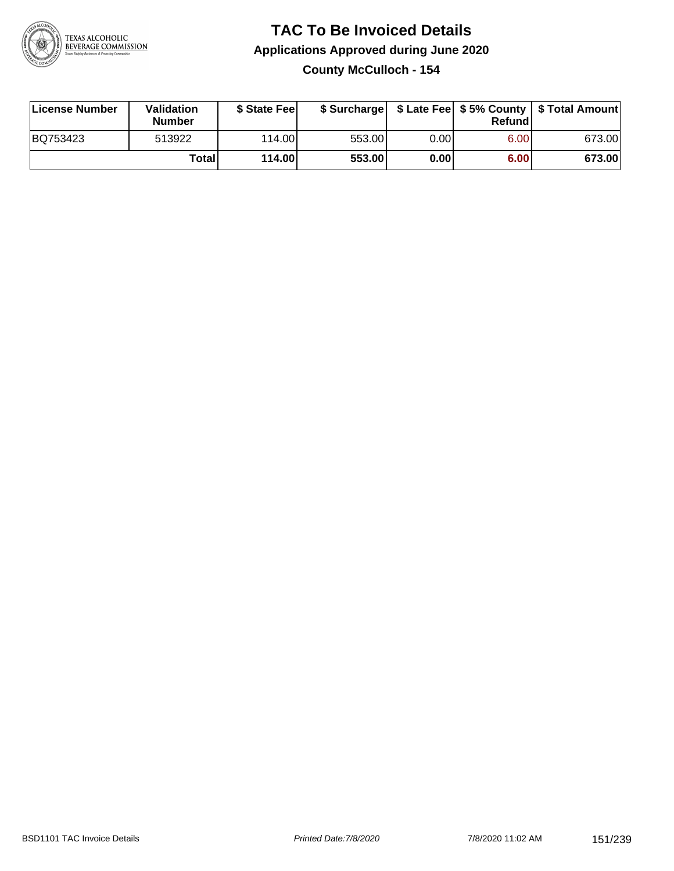

## **TAC To Be Invoiced Details Applications Approved during June 2020 County McCulloch - 154**

| License Number | Validation<br><b>Number</b> | \$ State Feel |        |      | Refund | \$ Surcharge   \$ Late Fee   \$5% County   \$ Total Amount |
|----------------|-----------------------------|---------------|--------|------|--------|------------------------------------------------------------|
| BQ753423       | 513922                      | 114.00L       | 553.00 | 0.00 | 6.00   | 673.00                                                     |
|                | Total                       | 114.00        | 553.00 | 0.00 | 6.00   | 673.00                                                     |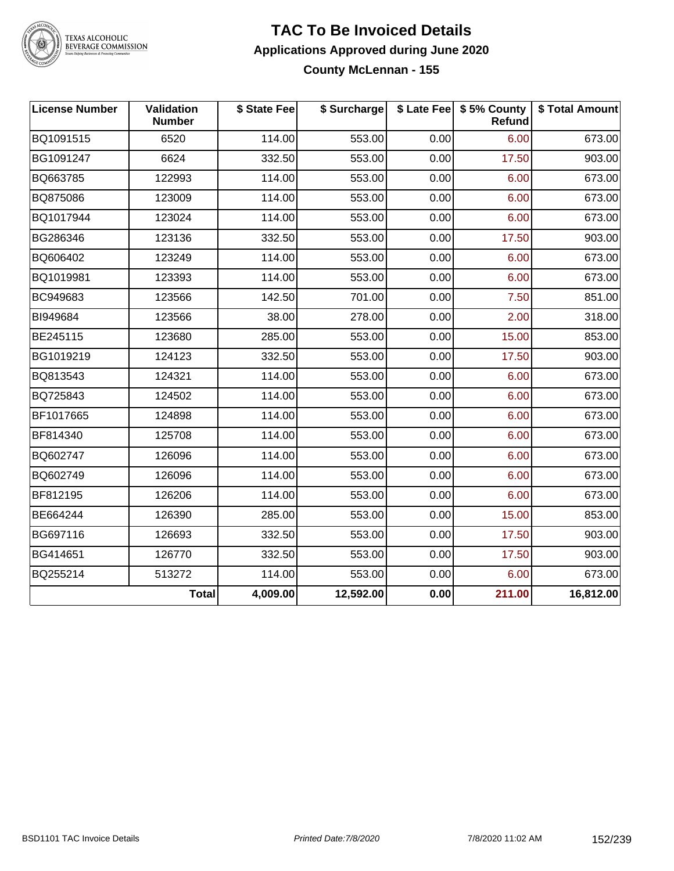

# TEXAS ALCOHOLIC<br>BEVERAGE COMMISSION

#### **TAC To Be Invoiced Details Applications Approved during June 2020 County McLennan - 155**

| <b>License Number</b> | Validation<br><b>Number</b> | \$ State Fee | \$ Surcharge |      | \$ Late Fee   \$5% County<br>Refund | \$ Total Amount |
|-----------------------|-----------------------------|--------------|--------------|------|-------------------------------------|-----------------|
| BQ1091515             | 6520                        | 114.00       | 553.00       | 0.00 | 6.00                                | 673.00          |
| BG1091247             | 6624                        | 332.50       | 553.00       | 0.00 | 17.50                               | 903.00          |
| BQ663785              | 122993                      | 114.00       | 553.00       | 0.00 | 6.00                                | 673.00          |
| BQ875086              | 123009                      | 114.00       | 553.00       | 0.00 | 6.00                                | 673.00          |
| BQ1017944             | 123024                      | 114.00       | 553.00       | 0.00 | 6.00                                | 673.00          |
| BG286346              | 123136                      | 332.50       | 553.00       | 0.00 | 17.50                               | 903.00          |
| BQ606402              | 123249                      | 114.00       | 553.00       | 0.00 | 6.00                                | 673.00          |
| BQ1019981             | 123393                      | 114.00       | 553.00       | 0.00 | 6.00                                | 673.00          |
| BC949683              | 123566                      | 142.50       | 701.00       | 0.00 | 7.50                                | 851.00          |
| BI949684              | 123566                      | 38.00        | 278.00       | 0.00 | 2.00                                | 318.00          |
| BE245115              | 123680                      | 285.00       | 553.00       | 0.00 | 15.00                               | 853.00          |
| BG1019219             | 124123                      | 332.50       | 553.00       | 0.00 | 17.50                               | 903.00          |
| BQ813543              | 124321                      | 114.00       | 553.00       | 0.00 | 6.00                                | 673.00          |
| BQ725843              | 124502                      | 114.00       | 553.00       | 0.00 | 6.00                                | 673.00          |
| BF1017665             | 124898                      | 114.00       | 553.00       | 0.00 | 6.00                                | 673.00          |
| BF814340              | 125708                      | 114.00       | 553.00       | 0.00 | 6.00                                | 673.00          |
| BQ602747              | 126096                      | 114.00       | 553.00       | 0.00 | 6.00                                | 673.00          |
| BQ602749              | 126096                      | 114.00       | 553.00       | 0.00 | 6.00                                | 673.00          |
| BF812195              | 126206                      | 114.00       | 553.00       | 0.00 | 6.00                                | 673.00          |
| BE664244              | 126390                      | 285.00       | 553.00       | 0.00 | 15.00                               | 853.00          |
| BG697116              | 126693                      | 332.50       | 553.00       | 0.00 | 17.50                               | 903.00          |
| BG414651              | 126770                      | 332.50       | 553.00       | 0.00 | 17.50                               | 903.00          |
| BQ255214              | 513272                      | 114.00       | 553.00       | 0.00 | 6.00                                | 673.00          |
|                       | <b>Total</b>                | 4,009.00     | 12,592.00    | 0.00 | 211.00                              | 16,812.00       |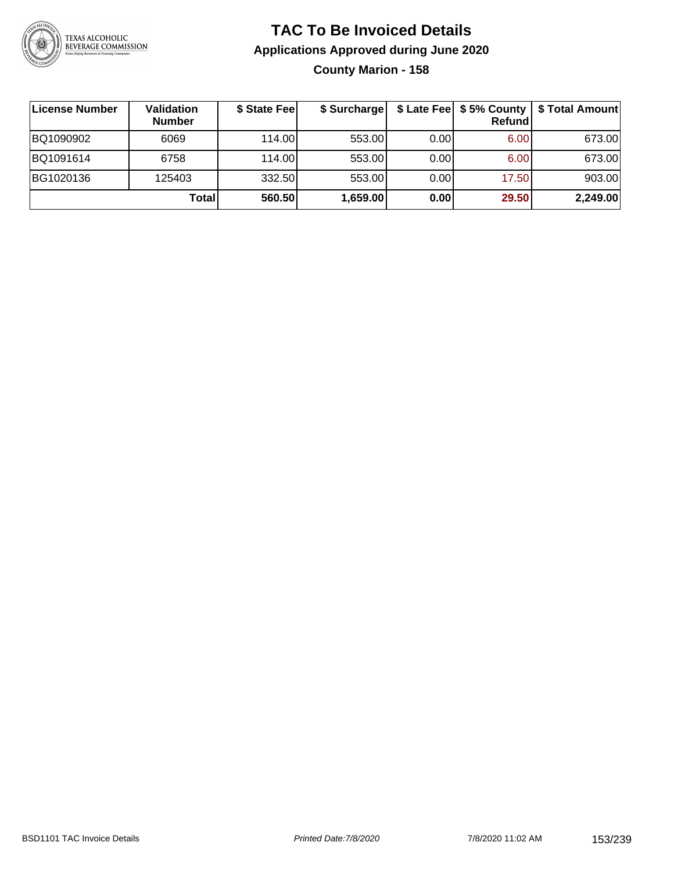

# **TAC To Be Invoiced Details Applications Approved during June 2020 County Marion - 158**

| ∣License Number | Validation<br><b>Number</b> | \$ State Fee | \$ Surcharge |       | Refundl | \$ Late Fee   \$5% County   \$ Total Amount |
|-----------------|-----------------------------|--------------|--------------|-------|---------|---------------------------------------------|
| BQ1090902       | 6069                        | 114.00L      | 553.00       | 0.001 | 6.00    | 673.00                                      |
| BQ1091614       | 6758                        | 114.00L      | 553.00       | 0.00  | 6.00    | 673.00                                      |
| BG1020136       | 125403                      | 332.50       | 553.00       | 0.00  | 17.50   | 903.00                                      |
|                 | Total                       | 560.50       | 1,659.00     | 0.00  | 29.50   | 2,249.00                                    |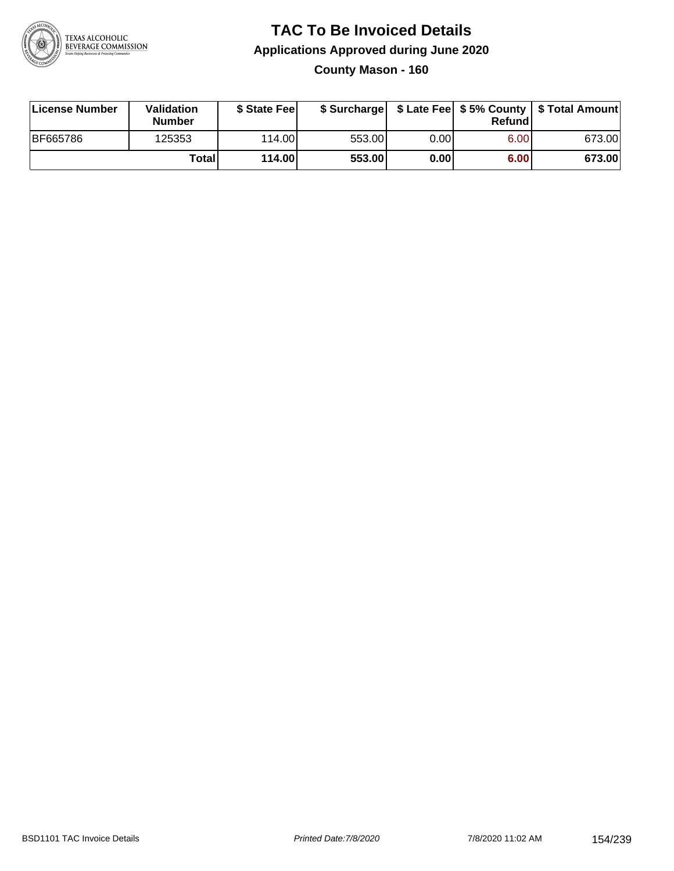

## **TAC To Be Invoiced Details Applications Approved during June 2020 County Mason - 160**

| License Number  | Validation<br><b>Number</b> | \$ State Fee    |        |       | Refundl | \$ Surcharge   \$ Late Fee   \$5% County   \$ Total Amount |
|-----------------|-----------------------------|-----------------|--------|-------|---------|------------------------------------------------------------|
| <b>BF665786</b> | 125353                      | 114.00 <b>1</b> | 553.00 | 0.001 | 6.00    | 673.00                                                     |
|                 | Totall                      | 114.00          | 553.00 | 0.001 | 6.00    | 673.00                                                     |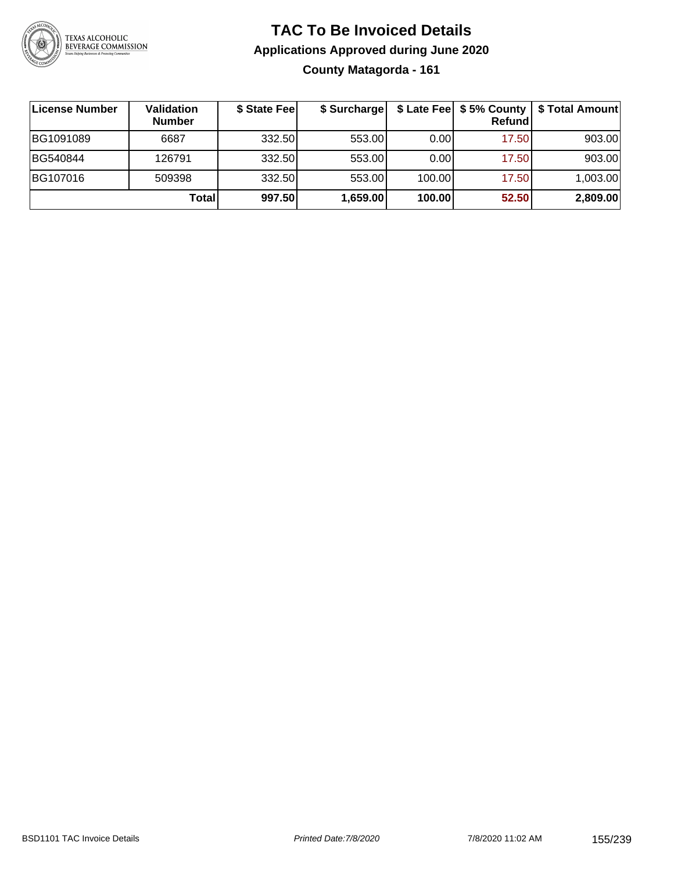

# **TAC To Be Invoiced Details Applications Approved during June 2020 County Matagorda - 161**

| License Number | <b>Validation</b><br><b>Number</b> | \$ State Feel | \$ Surcharge |        | \$ Late Fee   \$5% County  <br>Refund | \$ Total Amount |
|----------------|------------------------------------|---------------|--------------|--------|---------------------------------------|-----------------|
| BG1091089      | 6687                               | 332.50        | 553.00       | 0.001  | 17.50                                 | 903.00          |
| BG540844       | 126791                             | 332.50        | 553.00       | 0.00   | 17.50                                 | 903.00          |
| BG107016       | 509398                             | 332.50        | 553.00       | 100.00 | 17.50                                 | 1,003.00        |
|                | Total                              | 997.50        | 1,659.00     | 100.00 | 52.50                                 | 2,809.00        |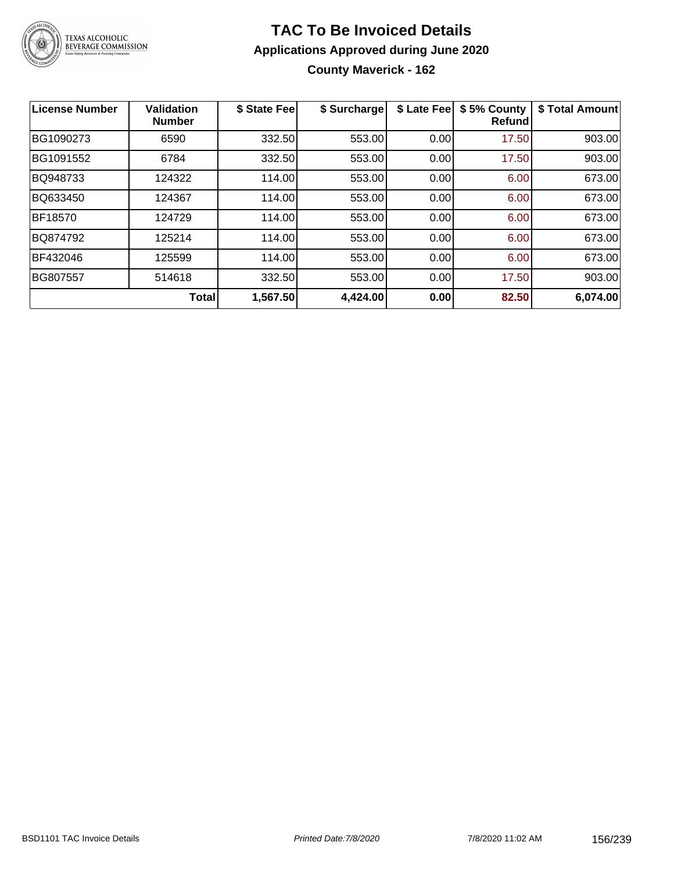

# **TAC To Be Invoiced Details Applications Approved during June 2020 County Maverick - 162**

| License Number | Validation<br><b>Number</b> | \$ State Fee | \$ Surcharge | \$ Late Fee | \$5% County<br><b>Refund</b> | \$ Total Amount |
|----------------|-----------------------------|--------------|--------------|-------------|------------------------------|-----------------|
| BG1090273      | 6590                        | 332.50       | 553.00       | 0.00        | 17.50                        | 903.00          |
| BG1091552      | 6784                        | 332.50       | 553.00       | 0.00        | 17.50                        | 903.00          |
| BQ948733       | 124322                      | 114.00       | 553.00       | 0.00        | 6.00                         | 673.00          |
| BQ633450       | 124367                      | 114.00       | 553.00       | 0.00        | 6.00                         | 673.00          |
| BF18570        | 124729                      | 114.00       | 553.00       | 0.00        | 6.00                         | 673.00          |
| BQ874792       | 125214                      | 114.00       | 553.00       | 0.00        | 6.00                         | 673.00          |
| BF432046       | 125599                      | 114.00       | 553.00       | 0.00        | 6.00                         | 673.00          |
| BG807557       | 514618                      | 332.50       | 553.00       | 0.00        | 17.50                        | 903.00          |
|                | <b>Total</b>                | 1,567.50     | 4,424.00     | 0.00        | 82.50                        | 6,074.00        |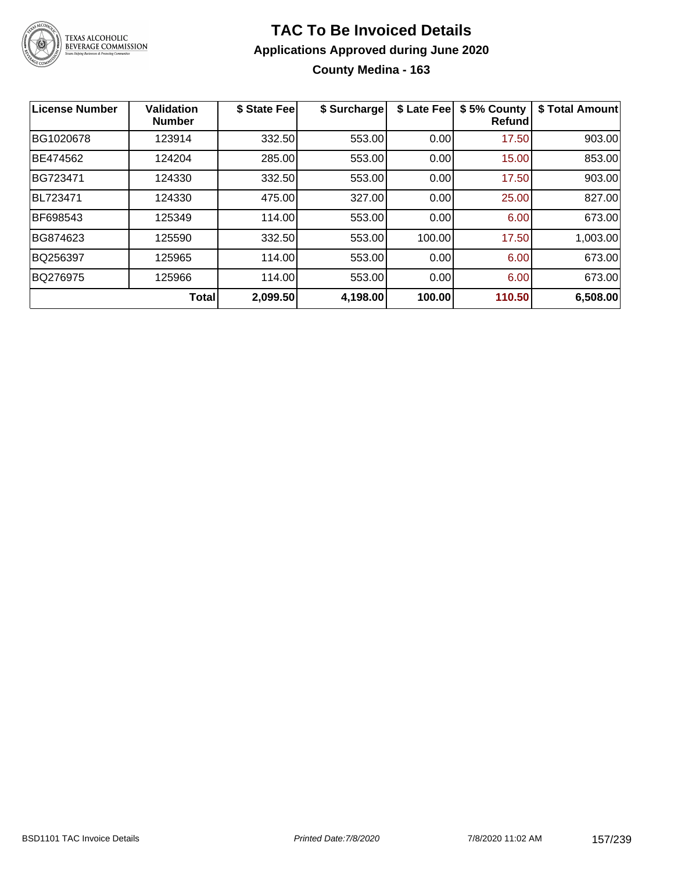

## **TAC To Be Invoiced Details Applications Approved during June 2020 County Medina - 163**

| <b>License Number</b> | <b>Validation</b><br><b>Number</b> | \$ State Fee | \$ Surcharge | \$ Late Fee | \$5% County<br><b>Refund</b> | \$ Total Amount |
|-----------------------|------------------------------------|--------------|--------------|-------------|------------------------------|-----------------|
| BG1020678             | 123914                             | 332.50       | 553.00       | 0.00        | 17.50                        | 903.00          |
| BE474562              | 124204                             | 285.00       | 553.00       | 0.00        | 15.00                        | 853.00          |
| BG723471              | 124330                             | 332.50       | 553.00       | 0.00        | 17.50                        | 903.00          |
| BL723471              | 124330                             | 475.00       | 327.00       | 0.00        | 25.00                        | 827.00          |
| BF698543              | 125349                             | 114.00       | 553.00       | 0.00        | 6.00                         | 673.00          |
| BG874623              | 125590                             | 332.50       | 553.00       | 100.00      | 17.50                        | 1,003.00        |
| BQ256397              | 125965                             | 114.00       | 553.00       | 0.00        | 6.00                         | 673.00          |
| BQ276975              | 125966                             | 114.00       | 553.00       | 0.00        | 6.00                         | 673.00          |
|                       | <b>Total</b>                       | 2,099.50     | 4,198.00     | 100.00      | 110.50                       | 6,508.00        |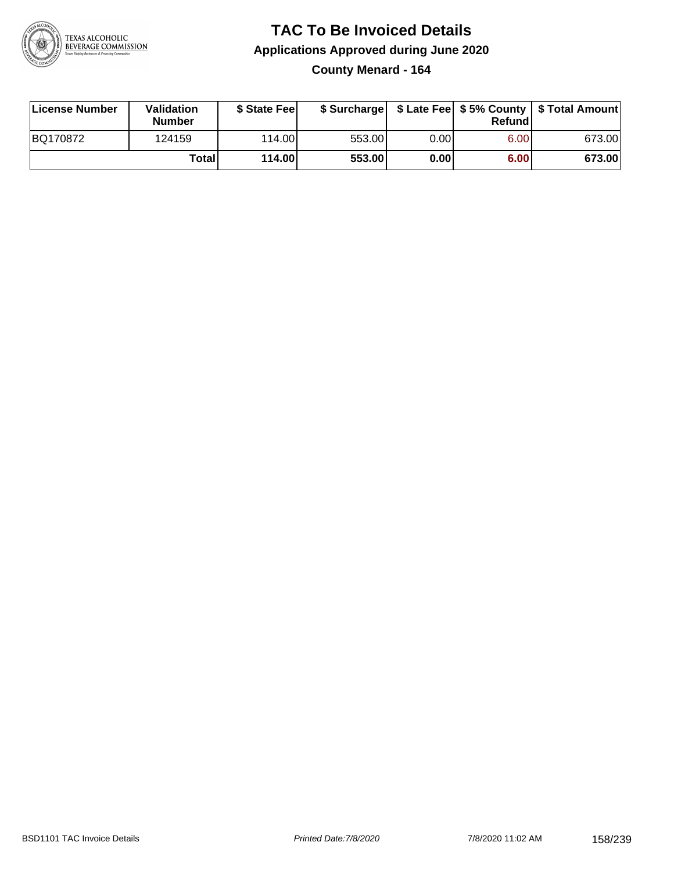

## **TAC To Be Invoiced Details Applications Approved during June 2020 County Menard - 164**

| License Number | Validation<br><b>Number</b> | \$ State Fee |        |      | Refund | \$ Surcharge   \$ Late Fee   \$5% County   \$ Total Amount |
|----------------|-----------------------------|--------------|--------|------|--------|------------------------------------------------------------|
| BQ170872       | 124159                      | 114.00L      | 553.00 | 0.00 | 6.00   | 673.00                                                     |
|                | Totall                      | 114.00       | 553.00 | 0.00 | 6.00   | 673.00                                                     |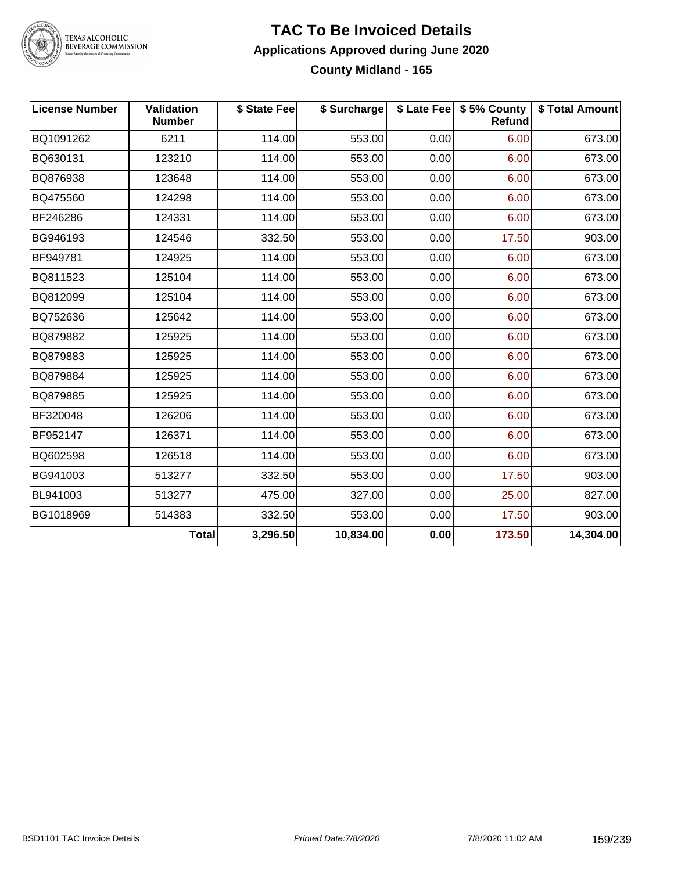

# TEXAS ALCOHOLIC<br>BEVERAGE COMMISSION

#### **TAC To Be Invoiced Details Applications Approved during June 2020 County Midland - 165**

| <b>License Number</b> | <b>Validation</b><br><b>Number</b> | \$ State Fee | \$ Surcharge |      | \$ Late Fee   \$5% County<br>Refund | \$ Total Amount |
|-----------------------|------------------------------------|--------------|--------------|------|-------------------------------------|-----------------|
| BQ1091262             | 6211                               | 114.00       | 553.00       | 0.00 | 6.00                                | 673.00          |
| BQ630131              | 123210                             | 114.00       | 553.00       | 0.00 | 6.00                                | 673.00          |
| BQ876938              | 123648                             | 114.00       | 553.00       | 0.00 | 6.00                                | 673.00          |
| BQ475560              | 124298                             | 114.00       | 553.00       | 0.00 | 6.00                                | 673.00          |
| BF246286              | 124331                             | 114.00       | 553.00       | 0.00 | 6.00                                | 673.00          |
| BG946193              | 124546                             | 332.50       | 553.00       | 0.00 | 17.50                               | 903.00          |
| BF949781              | 124925                             | 114.00       | 553.00       | 0.00 | 6.00                                | 673.00          |
| BQ811523              | 125104                             | 114.00       | 553.00       | 0.00 | 6.00                                | 673.00          |
| BQ812099              | 125104                             | 114.00       | 553.00       | 0.00 | 6.00                                | 673.00          |
| BQ752636              | 125642                             | 114.00       | 553.00       | 0.00 | 6.00                                | 673.00          |
| BQ879882              | 125925                             | 114.00       | 553.00       | 0.00 | 6.00                                | 673.00          |
| BQ879883              | 125925                             | 114.00       | 553.00       | 0.00 | 6.00                                | 673.00          |
| BQ879884              | 125925                             | 114.00       | 553.00       | 0.00 | 6.00                                | 673.00          |
| BQ879885              | 125925                             | 114.00       | 553.00       | 0.00 | 6.00                                | 673.00          |
| BF320048              | 126206                             | 114.00       | 553.00       | 0.00 | 6.00                                | 673.00          |
| BF952147              | 126371                             | 114.00       | 553.00       | 0.00 | 6.00                                | 673.00          |
| BQ602598              | 126518                             | 114.00       | 553.00       | 0.00 | 6.00                                | 673.00          |
| BG941003              | 513277                             | 332.50       | 553.00       | 0.00 | 17.50                               | 903.00          |
| BL941003              | 513277                             | 475.00       | 327.00       | 0.00 | 25.00                               | 827.00          |
| BG1018969             | 514383                             | 332.50       | 553.00       | 0.00 | 17.50                               | 903.00          |
|                       | <b>Total</b>                       | 3,296.50     | 10,834.00    | 0.00 | 173.50                              | 14,304.00       |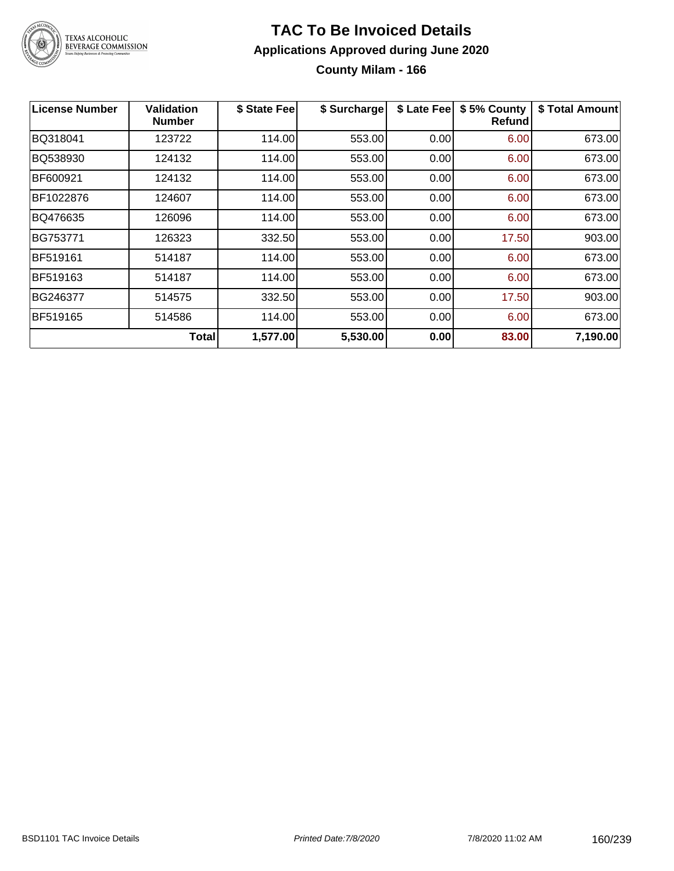

# **TAC To Be Invoiced Details Applications Approved during June 2020 County Milam - 166**

| <b>License Number</b> | <b>Validation</b><br><b>Number</b> | \$ State Fee | \$ Surcharge | \$ Late Fee | \$5% County<br>Refund | \$ Total Amount |
|-----------------------|------------------------------------|--------------|--------------|-------------|-----------------------|-----------------|
| BQ318041              | 123722                             | 114.00       | 553.00       | 0.00        | 6.00                  | 673.00          |
| BQ538930              | 124132                             | 114.00       | 553.00       | 0.00        | 6.00                  | 673.00          |
| BF600921              | 124132                             | 114.00       | 553.00       | 0.00        | 6.00                  | 673.00          |
| BF1022876             | 124607                             | 114.00       | 553.00       | 0.00        | 6.00                  | 673.00          |
| BQ476635              | 126096                             | 114.00       | 553.00       | 0.00        | 6.00                  | 673.00          |
| BG753771              | 126323                             | 332.50       | 553.00       | 0.00        | 17.50                 | 903.00          |
| BF519161              | 514187                             | 114.00       | 553.00       | 0.00        | 6.00                  | 673.00          |
| BF519163              | 514187                             | 114.00       | 553.00       | 0.00        | 6.00                  | 673.00          |
| BG246377              | 514575                             | 332.50       | 553.00       | 0.00        | 17.50                 | 903.00          |
| BF519165              | 514586                             | 114.00       | 553.00       | 0.00        | 6.00                  | 673.00          |
|                       | <b>Total</b>                       | 1,577.00     | 5,530.00     | 0.00        | 83.00                 | 7,190.00        |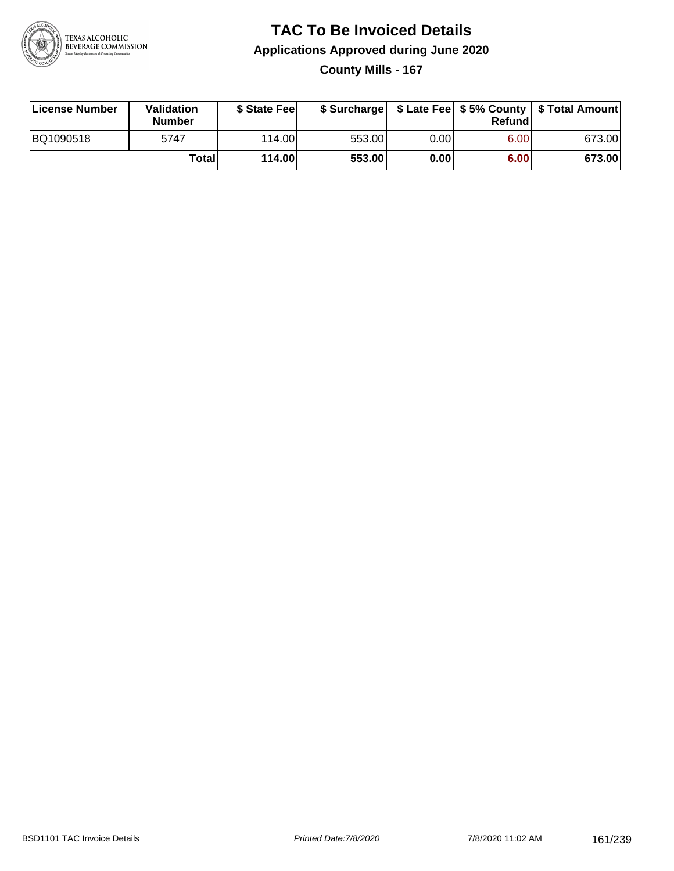

# **TAC To Be Invoiced Details Applications Approved during June 2020 County Mills - 167**

| License Number | Validation<br><b>Number</b> | \$ State Feel |        |      | Refund | \$ Surcharge   \$ Late Fee   \$5% County   \$ Total Amount |
|----------------|-----------------------------|---------------|--------|------|--------|------------------------------------------------------------|
| BQ1090518      | 5747                        | 114.00L       | 553.00 | 0.00 | 6.00   | 673.00                                                     |
|                | Totall                      | 114.00        | 553.00 | 0.00 | 6.00   | 673.00                                                     |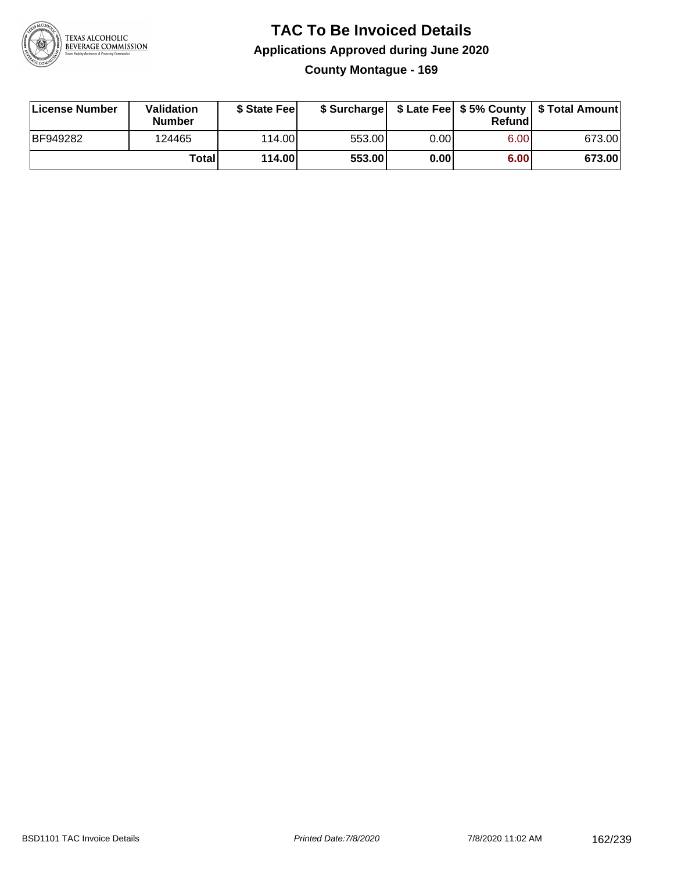

### **TAC To Be Invoiced Details Applications Approved during June 2020 County Montague - 169**

| License Number | Validation<br><b>Number</b> | \$ State Fee |        |      | Refund | \$ Surcharge   \$ Late Fee   \$5% County   \$ Total Amount |
|----------------|-----------------------------|--------------|--------|------|--------|------------------------------------------------------------|
| BF949282       | 124465                      | 114.00L      | 553.00 | 0.00 | 6.00   | 673.00                                                     |
|                | Totall                      | 114.00       | 553.00 | 0.00 | 6.00   | 673.00                                                     |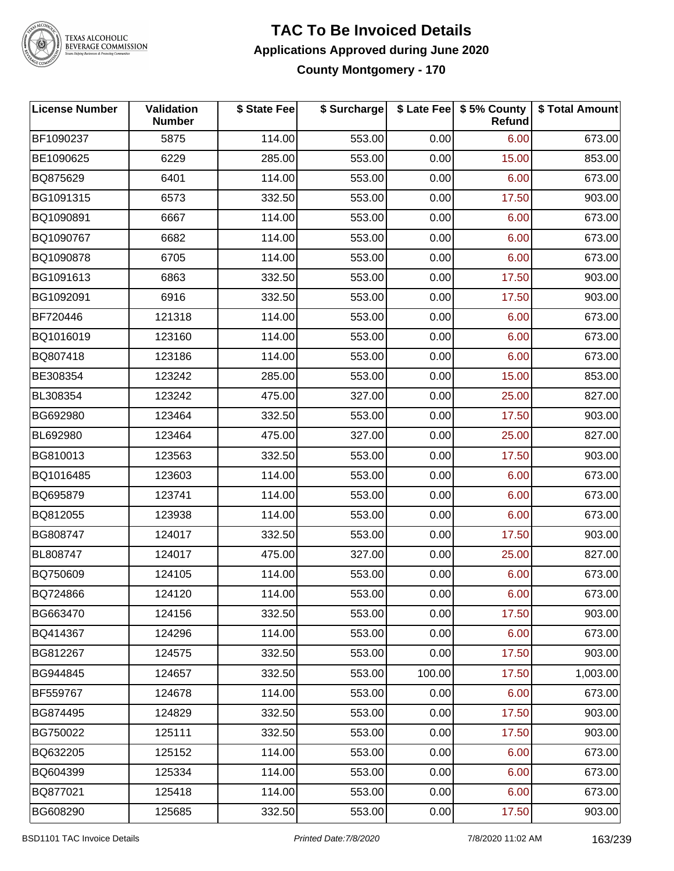

# TEXAS ALCOHOLIC<br>BEVERAGE COMMISSION

#### **TAC To Be Invoiced Details Applications Approved during June 2020 County Montgomery - 170**

| <b>License Number</b> | Validation<br><b>Number</b> | \$ State Fee | \$ Surcharge |        | \$ Late Fee   \$5% County<br>Refund | \$ Total Amount |
|-----------------------|-----------------------------|--------------|--------------|--------|-------------------------------------|-----------------|
| BF1090237             | 5875                        | 114.00       | 553.00       | 0.00   | 6.00                                | 673.00          |
| BE1090625             | 6229                        | 285.00       | 553.00       | 0.00   | 15.00                               | 853.00          |
| BQ875629              | 6401                        | 114.00       | 553.00       | 0.00   | 6.00                                | 673.00          |
| BG1091315             | 6573                        | 332.50       | 553.00       | 0.00   | 17.50                               | 903.00          |
| BQ1090891             | 6667                        | 114.00       | 553.00       | 0.00   | 6.00                                | 673.00          |
| BQ1090767             | 6682                        | 114.00       | 553.00       | 0.00   | 6.00                                | 673.00          |
| BQ1090878             | 6705                        | 114.00       | 553.00       | 0.00   | 6.00                                | 673.00          |
| BG1091613             | 6863                        | 332.50       | 553.00       | 0.00   | 17.50                               | 903.00          |
| BG1092091             | 6916                        | 332.50       | 553.00       | 0.00   | 17.50                               | 903.00          |
| BF720446              | 121318                      | 114.00       | 553.00       | 0.00   | 6.00                                | 673.00          |
| BQ1016019             | 123160                      | 114.00       | 553.00       | 0.00   | 6.00                                | 673.00          |
| BQ807418              | 123186                      | 114.00       | 553.00       | 0.00   | 6.00                                | 673.00          |
| BE308354              | 123242                      | 285.00       | 553.00       | 0.00   | 15.00                               | 853.00          |
| BL308354              | 123242                      | 475.00       | 327.00       | 0.00   | 25.00                               | 827.00          |
| BG692980              | 123464                      | 332.50       | 553.00       | 0.00   | 17.50                               | 903.00          |
| BL692980              | 123464                      | 475.00       | 327.00       | 0.00   | 25.00                               | 827.00          |
| BG810013              | 123563                      | 332.50       | 553.00       | 0.00   | 17.50                               | 903.00          |
| BQ1016485             | 123603                      | 114.00       | 553.00       | 0.00   | 6.00                                | 673.00          |
| BQ695879              | 123741                      | 114.00       | 553.00       | 0.00   | 6.00                                | 673.00          |
| BQ812055              | 123938                      | 114.00       | 553.00       | 0.00   | 6.00                                | 673.00          |
| BG808747              | 124017                      | 332.50       | 553.00       | 0.00   | 17.50                               | 903.00          |
| BL808747              | 124017                      | 475.00       | 327.00       | 0.00   | 25.00                               | 827.00          |
| BQ750609              | 124105                      | 114.00       | 553.00       | 0.00   | 6.00                                | 673.00          |
| BQ724866              | 124120                      | 114.00       | 553.00       | 0.00   | 6.00                                | 673.00          |
| BG663470              | 124156                      | 332.50       | 553.00       | 0.00   | 17.50                               | 903.00          |
| BQ414367              | 124296                      | 114.00       | 553.00       | 0.00   | 6.00                                | 673.00          |
| BG812267              | 124575                      | 332.50       | 553.00       | 0.00   | 17.50                               | 903.00          |
| BG944845              | 124657                      | 332.50       | 553.00       | 100.00 | 17.50                               | 1,003.00        |
| BF559767              | 124678                      | 114.00       | 553.00       | 0.00   | 6.00                                | 673.00          |
| BG874495              | 124829                      | 332.50       | 553.00       | 0.00   | 17.50                               | 903.00          |
| BG750022              | 125111                      | 332.50       | 553.00       | 0.00   | 17.50                               | 903.00          |
| BQ632205              | 125152                      | 114.00       | 553.00       | 0.00   | 6.00                                | 673.00          |
| BQ604399              | 125334                      | 114.00       | 553.00       | 0.00   | 6.00                                | 673.00          |
| BQ877021              | 125418                      | 114.00       | 553.00       | 0.00   | 6.00                                | 673.00          |
| BG608290              | 125685                      | 332.50       | 553.00       | 0.00   | 17.50                               | 903.00          |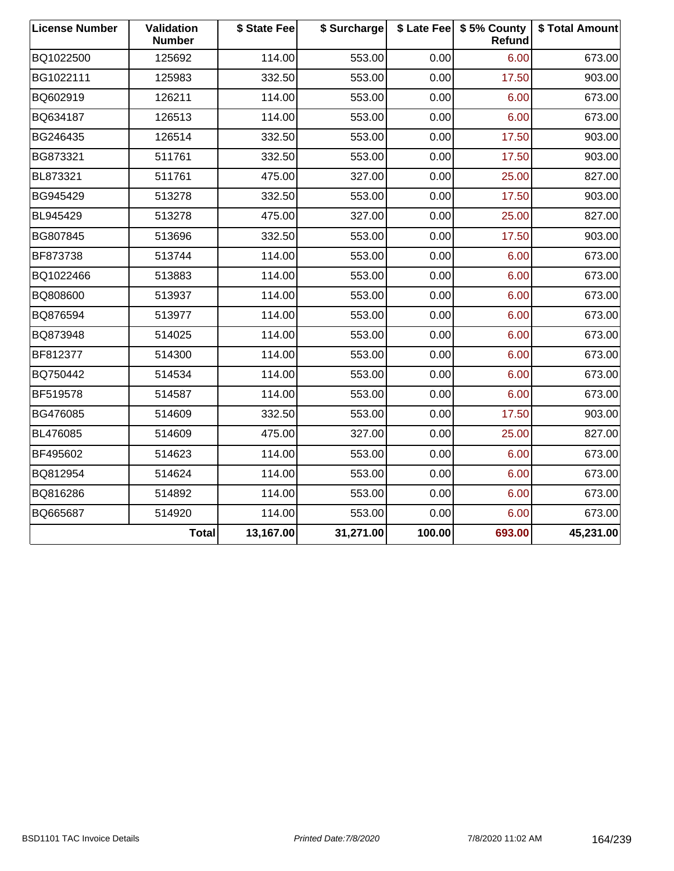| <b>License Number</b> | Validation<br><b>Number</b> | \$ State Fee | \$ Surcharge |        | \$ Late Fee   \$5% County<br>Refund | \$ Total Amount |
|-----------------------|-----------------------------|--------------|--------------|--------|-------------------------------------|-----------------|
| BQ1022500             | 125692                      | 114.00       | 553.00       | 0.00   | 6.00                                | 673.00          |
| BG1022111             | 125983                      | 332.50       | 553.00       | 0.00   | 17.50                               | 903.00          |
| BQ602919              | 126211                      | 114.00       | 553.00       | 0.00   | 6.00                                | 673.00          |
| BQ634187              | 126513                      | 114.00       | 553.00       | 0.00   | 6.00                                | 673.00          |
| BG246435              | 126514                      | 332.50       | 553.00       | 0.00   | 17.50                               | 903.00          |
| BG873321              | 511761                      | 332.50       | 553.00       | 0.00   | 17.50                               | 903.00          |
| BL873321              | 511761                      | 475.00       | 327.00       | 0.00   | 25.00                               | 827.00          |
| BG945429              | 513278                      | 332.50       | 553.00       | 0.00   | 17.50                               | 903.00          |
| BL945429              | 513278                      | 475.00       | 327.00       | 0.00   | 25.00                               | 827.00          |
| BG807845              | 513696                      | 332.50       | 553.00       | 0.00   | 17.50                               | 903.00          |
| BF873738              | 513744                      | 114.00       | 553.00       | 0.00   | 6.00                                | 673.00          |
| BQ1022466             | 513883                      | 114.00       | 553.00       | 0.00   | 6.00                                | 673.00          |
| BQ808600              | 513937                      | 114.00       | 553.00       | 0.00   | 6.00                                | 673.00          |
| BQ876594              | 513977                      | 114.00       | 553.00       | 0.00   | 6.00                                | 673.00          |
| BQ873948              | 514025                      | 114.00       | 553.00       | 0.00   | 6.00                                | 673.00          |
| BF812377              | 514300                      | 114.00       | 553.00       | 0.00   | 6.00                                | 673.00          |
| BQ750442              | 514534                      | 114.00       | 553.00       | 0.00   | 6.00                                | 673.00          |
| BF519578              | 514587                      | 114.00       | 553.00       | 0.00   | 6.00                                | 673.00          |
| BG476085              | 514609                      | 332.50       | 553.00       | 0.00   | 17.50                               | 903.00          |
| BL476085              | 514609                      | 475.00       | 327.00       | 0.00   | 25.00                               | 827.00          |
| BF495602              | 514623                      | 114.00       | 553.00       | 0.00   | 6.00                                | 673.00          |
| BQ812954              | 514624                      | 114.00       | 553.00       | 0.00   | 6.00                                | 673.00          |
| BQ816286              | 514892                      | 114.00       | 553.00       | 0.00   | 6.00                                | 673.00          |
| BQ665687              | 514920                      | 114.00       | 553.00       | 0.00   | 6.00                                | 673.00          |
|                       | <b>Total</b>                | 13,167.00    | 31,271.00    | 100.00 | 693.00                              | 45,231.00       |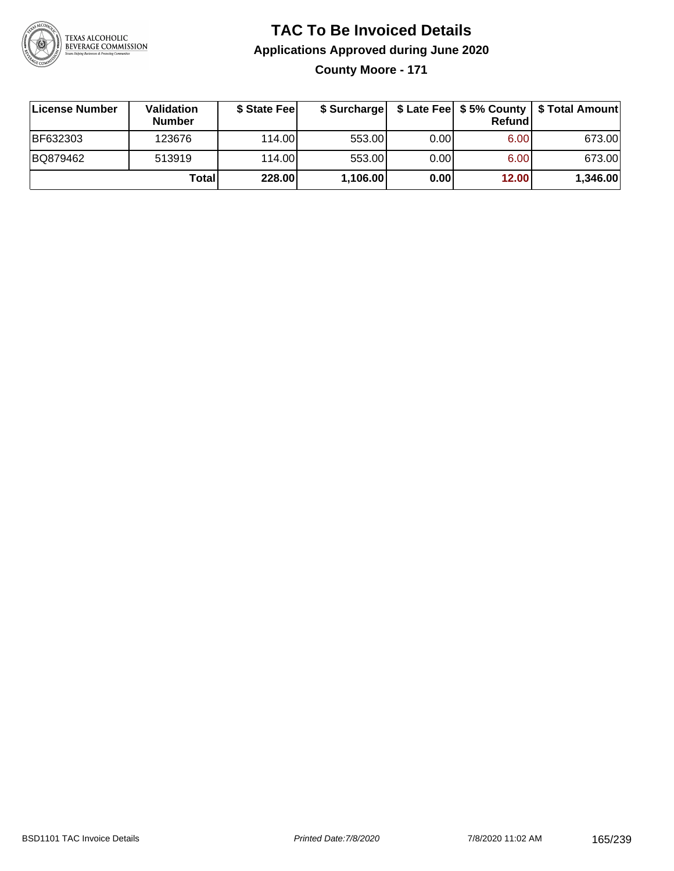

**County Moore - 171**

| License Number | <b>Validation</b><br><b>Number</b> | \$ State Feel |          |       | Refund | \$ Surcharge   \$ Late Fee   \$5% County   \$ Total Amount |
|----------------|------------------------------------|---------------|----------|-------|--------|------------------------------------------------------------|
| BF632303       | 123676                             | 114.00        | 553.00   | 0.001 | 6.00   | 673.00                                                     |
| BQ879462       | 513919                             | 114.00        | 553.00   | 0.00  | 6.00   | 673.00                                                     |
|                | Totall                             | 228.00        | 1,106.00 | 0.00  | 12.00  | 1,346.00                                                   |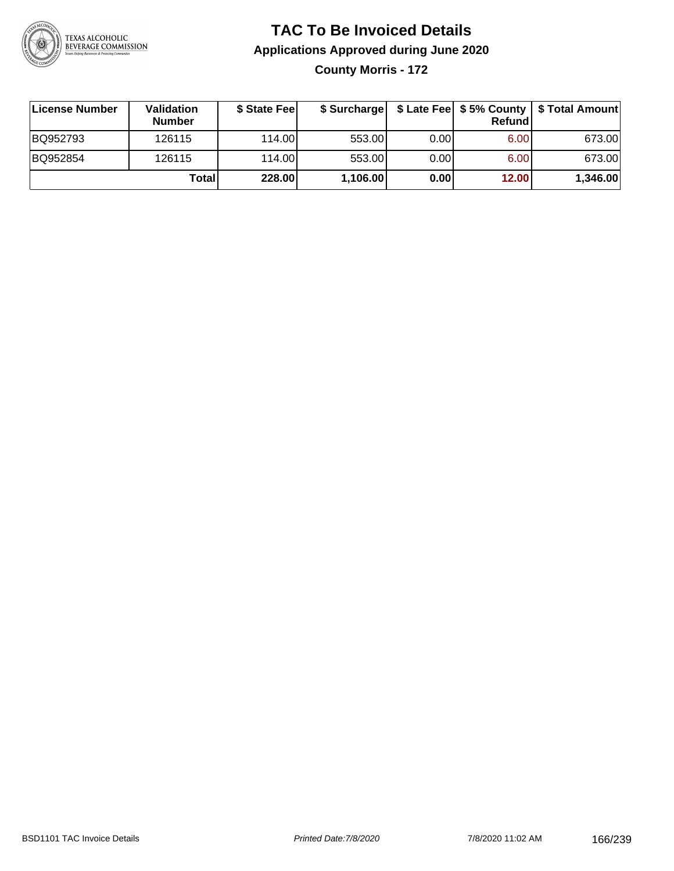

# **TAC To Be Invoiced Details Applications Approved during June 2020 County Morris - 172**

| License Number | <b>Validation</b><br><b>Number</b> | \$ State Fee | \$ Surcharge |      | Refundi | \$ Late Fee   \$5% County   \$ Total Amount |
|----------------|------------------------------------|--------------|--------------|------|---------|---------------------------------------------|
| BQ952793       | 126115                             | 114.00L      | 553.00       | 0.00 | 6.00    | 673.00                                      |
| BQ952854       | 126115                             | 114.00L      | 553.00       | 0.00 | 6.00    | 673.00                                      |
|                | Total                              | 228.00       | 1,106.00     | 0.00 | 12.00   | 1,346.00                                    |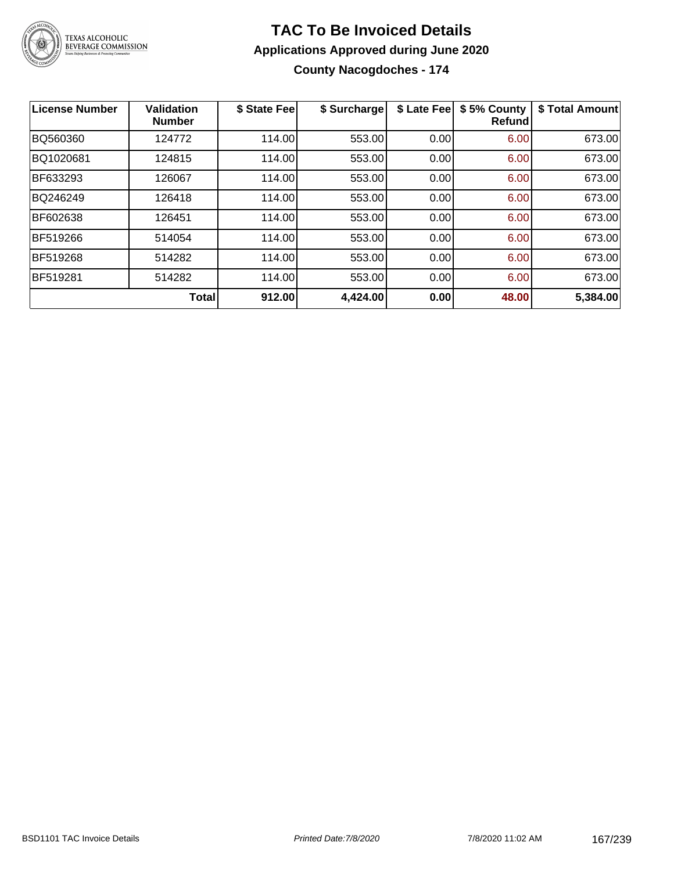

**County Nacogdoches - 174**

| <b>License Number</b> | <b>Validation</b><br><b>Number</b> | \$ State Fee | \$ Surcharge | \$ Late Fee | \$5% County<br><b>Refund</b> | \$ Total Amount |
|-----------------------|------------------------------------|--------------|--------------|-------------|------------------------------|-----------------|
| BQ560360              | 124772                             | 114.00       | 553.00       | 0.00        | 6.00                         | 673.00          |
| BQ1020681             | 124815                             | 114.00       | 553.00       | 0.00        | 6.00                         | 673.00          |
| BF633293              | 126067                             | 114.00       | 553.00       | 0.00        | 6.00                         | 673.00          |
| BQ246249              | 126418                             | 114.00       | 553.00       | 0.00        | 6.00                         | 673.00          |
| BF602638              | 126451                             | 114.00       | 553.00       | 0.00        | 6.00                         | 673.00          |
| <b>BF519266</b>       | 514054                             | 114.00       | 553.00       | 0.00        | 6.00                         | 673.00          |
| <b>BF519268</b>       | 514282                             | 114.00       | 553.00       | 0.00        | 6.00                         | 673.00          |
| BF519281              | 514282                             | 114.00       | 553.00       | 0.00        | 6.00                         | 673.00          |
|                       | <b>Total</b>                       | 912.00       | 4,424.00     | 0.00        | 48.00                        | 5,384.00        |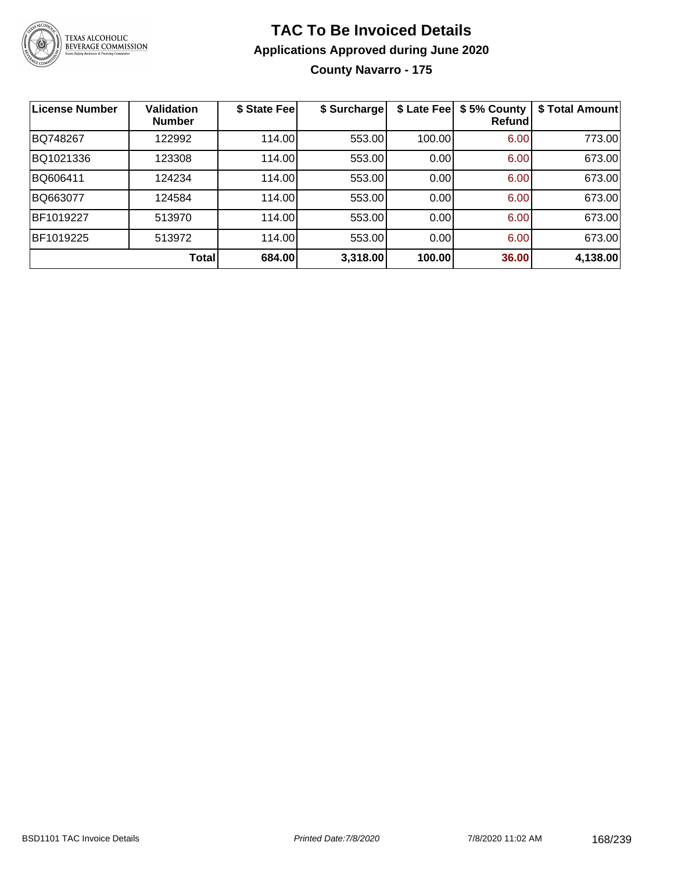

# **TAC To Be Invoiced Details Applications Approved during June 2020 County Navarro - 175**

| <b>License Number</b> | <b>Validation</b><br><b>Number</b> | \$ State Fee | \$ Surcharge | \$ Late Fee | \$5% County<br>Refundl | \$ Total Amount |
|-----------------------|------------------------------------|--------------|--------------|-------------|------------------------|-----------------|
| BQ748267              | 122992                             | 114.00       | 553.00       | 100.00      | 6.00                   | 773.00          |
| BQ1021336             | 123308                             | 114.00       | 553.00       | 0.00        | 6.00                   | 673.00          |
| BQ606411              | 124234                             | 114.00       | 553.00       | 0.00        | 6.00                   | 673.00          |
| BQ663077              | 124584                             | 114.00       | 553.00       | 0.00        | 6.00                   | 673.00          |
| BF1019227             | 513970                             | 114.00       | 553.00       | 0.00        | 6.00                   | 673.00          |
| BF1019225             | 513972                             | 114.00       | 553.00       | 0.00        | 6.00                   | 673.00          |
|                       | Total                              | 684.00       | 3,318.00     | 100.00      | 36.00                  | 4,138.00        |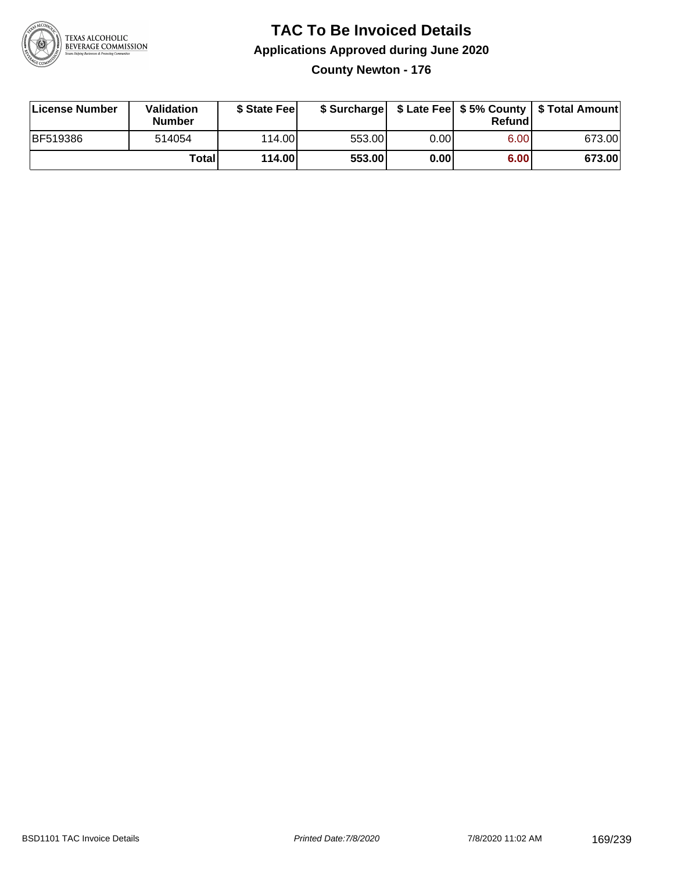

**County Newton - 176**

| License Number | Validation<br><b>Number</b> | \$ State Fee |        |      | Refundl | \$ Surcharge   \$ Late Fee   \$5% County   \$ Total Amount |
|----------------|-----------------------------|--------------|--------|------|---------|------------------------------------------------------------|
| BF519386       | 514054                      | 114.00L      | 553.00 | 0.00 | 6.00    | 673.00                                                     |
|                | Totall                      | 114.00       | 553.00 | 0.00 | 6.00    | 673.00                                                     |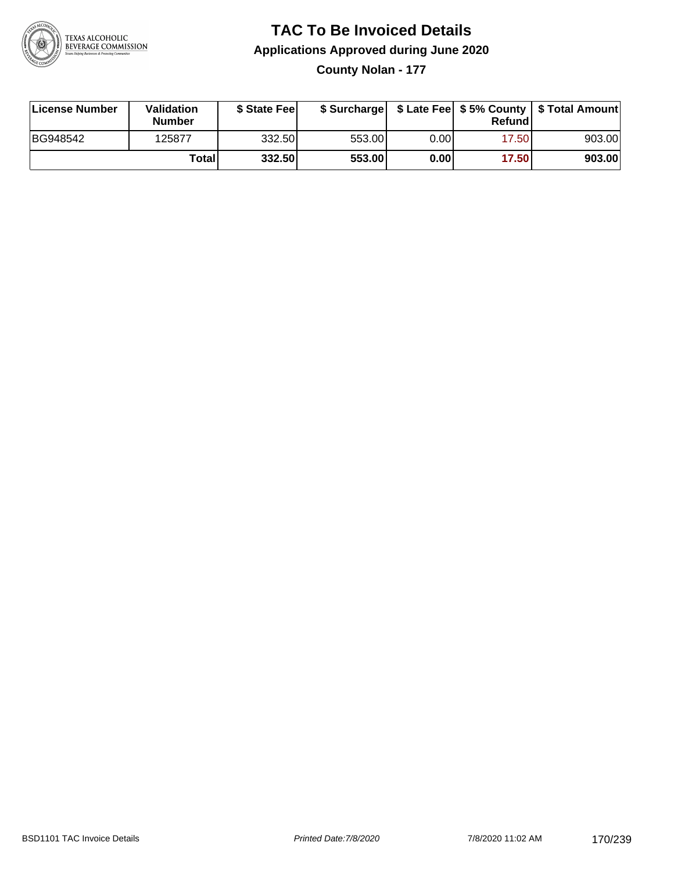

**County Nolan - 177**

| License Number | Validation<br><b>Number</b> | \$ State Feel |        |       | Refundl | \$ Surcharge   \$ Late Fee   \$5% County   \$ Total Amount |
|----------------|-----------------------------|---------------|--------|-------|---------|------------------------------------------------------------|
| BG948542       | 125877                      | 332.50        | 553.00 | 0.00  | 17.50   | 903.00                                                     |
|                | Totall                      | 332.50        | 553.00 | 0.001 | 17.50   | 903.00                                                     |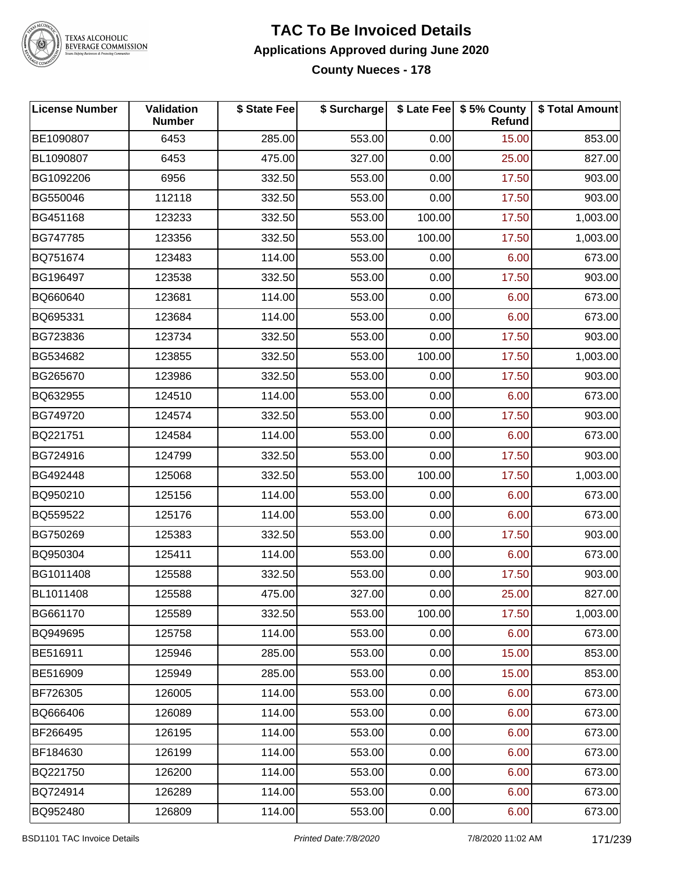

# TEXAS ALCOHOLIC<br>BEVERAGE COMMISSION

#### **TAC To Be Invoiced Details Applications Approved during June 2020 County Nueces - 178**

| <b>License Number</b> | Validation<br><b>Number</b> | \$ State Fee | \$ Surcharge |        | \$ Late Fee   \$5% County<br>Refund | \$ Total Amount |
|-----------------------|-----------------------------|--------------|--------------|--------|-------------------------------------|-----------------|
| BE1090807             | 6453                        | 285.00       | 553.00       | 0.00   | 15.00                               | 853.00          |
| BL1090807             | 6453                        | 475.00       | 327.00       | 0.00   | 25.00                               | 827.00          |
| BG1092206             | 6956                        | 332.50       | 553.00       | 0.00   | 17.50                               | 903.00          |
| BG550046              | 112118                      | 332.50       | 553.00       | 0.00   | 17.50                               | 903.00          |
| BG451168              | 123233                      | 332.50       | 553.00       | 100.00 | 17.50                               | 1,003.00        |
| BG747785              | 123356                      | 332.50       | 553.00       | 100.00 | 17.50                               | 1,003.00        |
| BQ751674              | 123483                      | 114.00       | 553.00       | 0.00   | 6.00                                | 673.00          |
| BG196497              | 123538                      | 332.50       | 553.00       | 0.00   | 17.50                               | 903.00          |
| BQ660640              | 123681                      | 114.00       | 553.00       | 0.00   | 6.00                                | 673.00          |
| BQ695331              | 123684                      | 114.00       | 553.00       | 0.00   | 6.00                                | 673.00          |
| BG723836              | 123734                      | 332.50       | 553.00       | 0.00   | 17.50                               | 903.00          |
| BG534682              | 123855                      | 332.50       | 553.00       | 100.00 | 17.50                               | 1,003.00        |
| BG265670              | 123986                      | 332.50       | 553.00       | 0.00   | 17.50                               | 903.00          |
| BQ632955              | 124510                      | 114.00       | 553.00       | 0.00   | 6.00                                | 673.00          |
| BG749720              | 124574                      | 332.50       | 553.00       | 0.00   | 17.50                               | 903.00          |
| BQ221751              | 124584                      | 114.00       | 553.00       | 0.00   | 6.00                                | 673.00          |
| BG724916              | 124799                      | 332.50       | 553.00       | 0.00   | 17.50                               | 903.00          |
| BG492448              | 125068                      | 332.50       | 553.00       | 100.00 | 17.50                               | 1,003.00        |
| BQ950210              | 125156                      | 114.00       | 553.00       | 0.00   | 6.00                                | 673.00          |
| BQ559522              | 125176                      | 114.00       | 553.00       | 0.00   | 6.00                                | 673.00          |
| BG750269              | 125383                      | 332.50       | 553.00       | 0.00   | 17.50                               | 903.00          |
| BQ950304              | 125411                      | 114.00       | 553.00       | 0.00   | 6.00                                | 673.00          |
| BG1011408             | 125588                      | 332.50       | 553.00       | 0.00   | 17.50                               | 903.00          |
| BL1011408             | 125588                      | 475.00       | 327.00       | 0.00   | 25.00                               | 827.00          |
| BG661170              | 125589                      | 332.50       | 553.00       | 100.00 | 17.50                               | 1,003.00        |
| BQ949695              | 125758                      | 114.00       | 553.00       | 0.00   | 6.00                                | 673.00          |
| BE516911              | 125946                      | 285.00       | 553.00       | 0.00   | 15.00                               | 853.00          |
| BE516909              | 125949                      | 285.00       | 553.00       | 0.00   | 15.00                               | 853.00          |
| BF726305              | 126005                      | 114.00       | 553.00       | 0.00   | 6.00                                | 673.00          |
| BQ666406              | 126089                      | 114.00       | 553.00       | 0.00   | 6.00                                | 673.00          |
| BF266495              | 126195                      | 114.00       | 553.00       | 0.00   | 6.00                                | 673.00          |
| BF184630              | 126199                      | 114.00       | 553.00       | 0.00   | 6.00                                | 673.00          |
| BQ221750              | 126200                      | 114.00       | 553.00       | 0.00   | 6.00                                | 673.00          |
| BQ724914              | 126289                      | 114.00       | 553.00       | 0.00   | 6.00                                | 673.00          |
| BQ952480              | 126809                      | 114.00       | 553.00       | 0.00   | 6.00                                | 673.00          |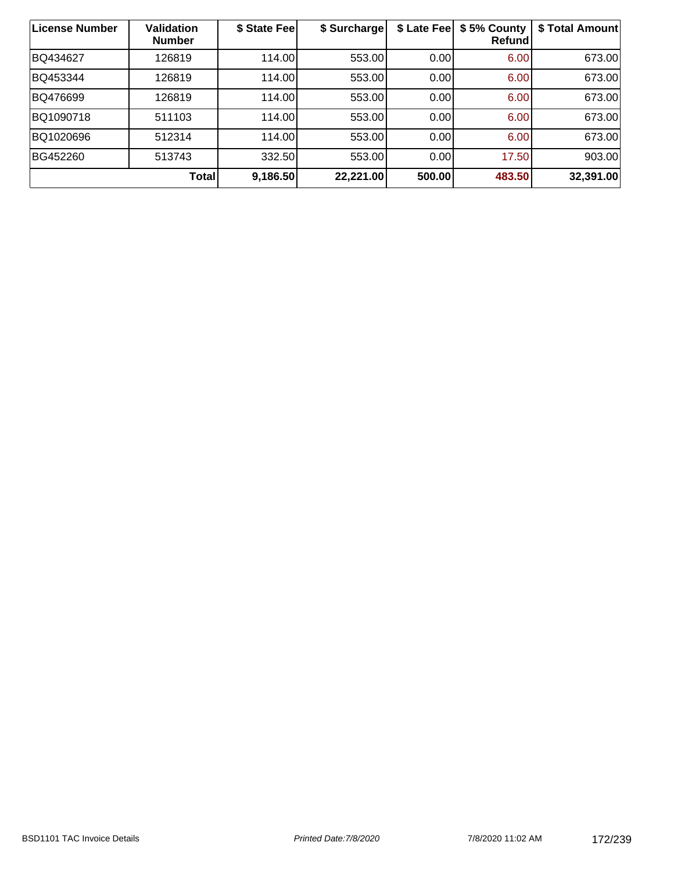| <b>License Number</b> | <b>Validation</b><br><b>Number</b> | \$ State Fee | \$ Surcharge | \$ Late Fee | \$5% County<br>Refundl | \$ Total Amount |
|-----------------------|------------------------------------|--------------|--------------|-------------|------------------------|-----------------|
| BQ434627              | 126819                             | 114.00       | 553.00       | 0.00        | 6.00                   | 673.00          |
| BQ453344              | 126819                             | 114.00       | 553.00       | 0.00        | 6.00                   | 673.00          |
| BQ476699              | 126819                             | 114.00       | 553.00       | 0.00        | 6.00                   | 673.00          |
| BQ1090718             | 511103                             | 114.00       | 553.00       | 0.00        | 6.00                   | 673.00          |
| BQ1020696             | 512314                             | 114.00       | 553.00       | 0.00        | 6.00                   | 673.00          |
| BG452260              | 513743                             | 332.50       | 553.00       | 0.00        | 17.50                  | 903.00          |
|                       | <b>Total</b>                       | 9,186.50     | 22,221.00    | 500.00      | 483.50                 | 32,391.00       |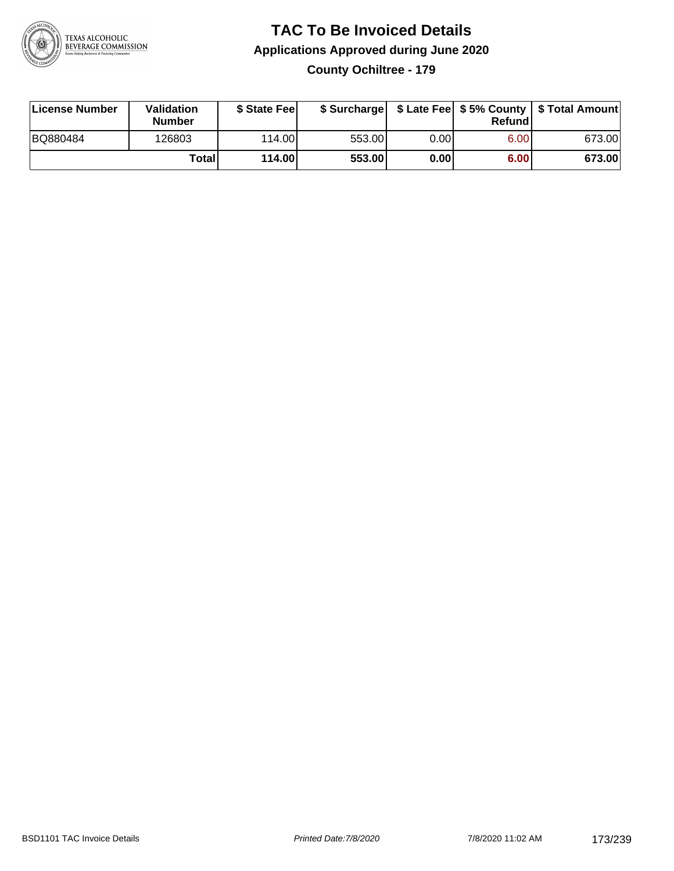

### **TAC To Be Invoiced Details Applications Approved during June 2020 County Ochiltree - 179**

| License Number | Validation<br><b>Number</b> | \$ State Fee | \$ Surcharge |      | Refundl | \$ Late Fee   \$5% County   \$ Total Amount |
|----------------|-----------------------------|--------------|--------------|------|---------|---------------------------------------------|
| BQ880484       | 126803                      | 114.00       | 553.00       | 0.00 | 6.00    | 673.00                                      |
|                | Totall                      | 114.00       | 553.00       | 0.00 | 6.00    | 673.00                                      |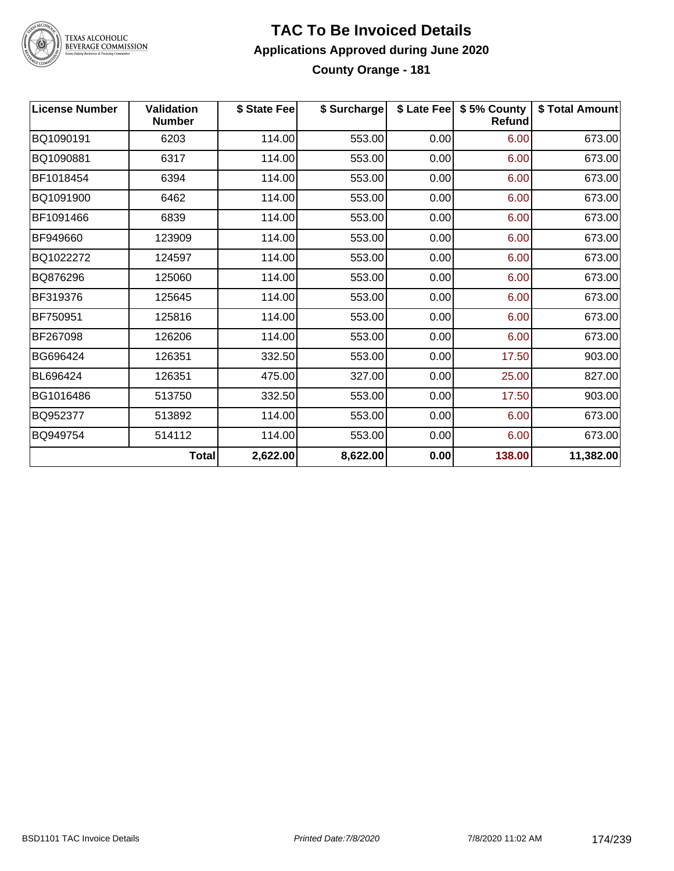

# TEXAS ALCOHOLIC<br>BEVERAGE COMMISSION

#### **TAC To Be Invoiced Details Applications Approved during June 2020 County Orange - 181**

| <b>License Number</b> | <b>Validation</b><br><b>Number</b> | \$ State Fee | \$ Surcharge |      | \$ Late Fee   \$5% County<br><b>Refund</b> | \$ Total Amount |
|-----------------------|------------------------------------|--------------|--------------|------|--------------------------------------------|-----------------|
| BQ1090191             | 6203                               | 114.00       | 553.00       | 0.00 | 6.00                                       | 673.00          |
| BQ1090881             | 6317                               | 114.00       | 553.00       | 0.00 | 6.00                                       | 673.00          |
| BF1018454             | 6394                               | 114.00       | 553.00       | 0.00 | 6.00                                       | 673.00          |
| BQ1091900             | 6462                               | 114.00       | 553.00       | 0.00 | 6.00                                       | 673.00          |
| BF1091466             | 6839                               | 114.00       | 553.00       | 0.00 | 6.00                                       | 673.00          |
| BF949660              | 123909                             | 114.00       | 553.00       | 0.00 | 6.00                                       | 673.00          |
| BQ1022272             | 124597                             | 114.00       | 553.00       | 0.00 | 6.00                                       | 673.00          |
| BQ876296              | 125060                             | 114.00       | 553.00       | 0.00 | 6.00                                       | 673.00          |
| BF319376              | 125645                             | 114.00       | 553.00       | 0.00 | 6.00                                       | 673.00          |
| BF750951              | 125816                             | 114.00       | 553.00       | 0.00 | 6.00                                       | 673.00          |
| BF267098              | 126206                             | 114.00       | 553.00       | 0.00 | 6.00                                       | 673.00          |
| BG696424              | 126351                             | 332.50       | 553.00       | 0.00 | 17.50                                      | 903.00          |
| BL696424              | 126351                             | 475.00       | 327.00       | 0.00 | 25.00                                      | 827.00          |
| BG1016486             | 513750                             | 332.50       | 553.00       | 0.00 | 17.50                                      | 903.00          |
| BQ952377              | 513892                             | 114.00       | 553.00       | 0.00 | 6.00                                       | 673.00          |
| BQ949754              | 514112                             | 114.00       | 553.00       | 0.00 | 6.00                                       | 673.00          |
|                       | <b>Total</b>                       | 2,622.00     | 8,622.00     | 0.00 | 138.00                                     | 11,382.00       |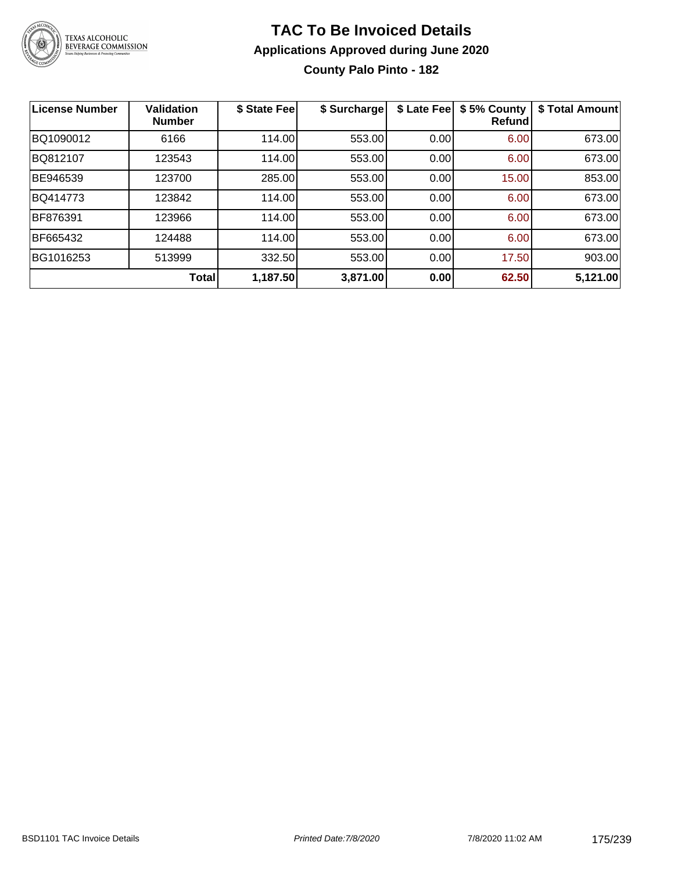

# **TAC To Be Invoiced Details Applications Approved during June 2020 County Palo Pinto - 182**

| <b>License Number</b> | <b>Validation</b><br><b>Number</b> | \$ State Fee | \$ Surcharge | \$ Late Fee | \$5% County<br><b>Refund</b> | \$ Total Amount |
|-----------------------|------------------------------------|--------------|--------------|-------------|------------------------------|-----------------|
| BQ1090012             | 6166                               | 114.00       | 553.00       | 0.00        | 6.00                         | 673.00          |
| BQ812107              | 123543                             | 114.00       | 553.00       | 0.00        | 6.00                         | 673.00          |
| BE946539              | 123700                             | 285.00       | 553.00       | 0.00        | 15.00                        | 853.00          |
| BQ414773              | 123842                             | 114.00       | 553.00       | 0.00        | 6.00                         | 673.00          |
| BF876391              | 123966                             | 114.00       | 553.00       | 0.00        | 6.00                         | 673.00          |
| BF665432              | 124488                             | 114.00       | 553.00       | 0.00        | 6.00                         | 673.00          |
| BG1016253             | 513999                             | 332.50       | 553.00       | 0.00        | 17.50                        | 903.00          |
|                       | Total                              | 1,187.50     | 3,871.00     | 0.00        | 62.50                        | 5,121.00        |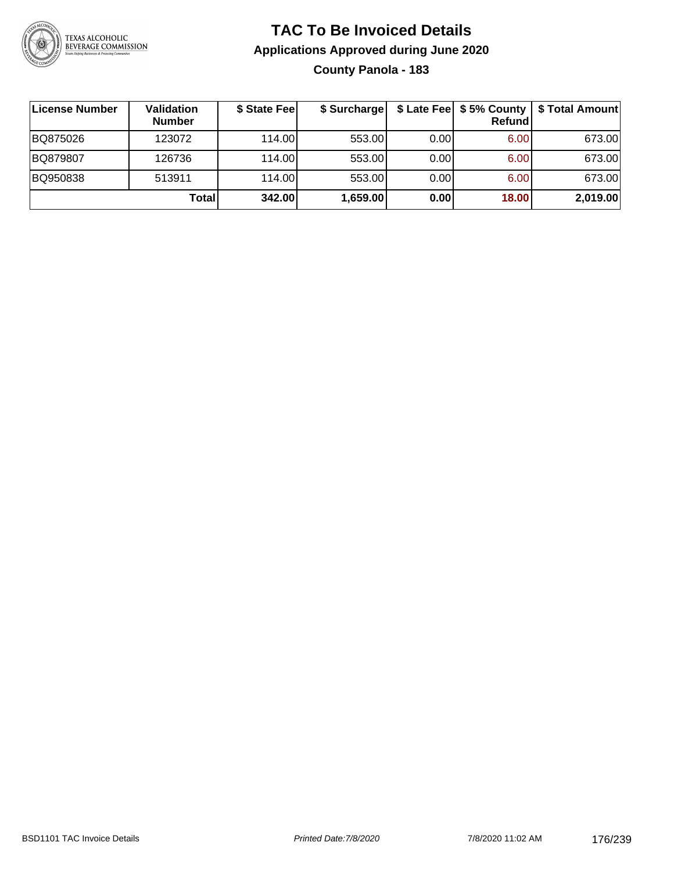

# **TAC To Be Invoiced Details Applications Approved during June 2020 County Panola - 183**

| License Number | Validation<br><b>Number</b> | \$ State Fee | \$ Surcharge |      | Refundl | \$ Late Fee   \$5% County   \$ Total Amount |
|----------------|-----------------------------|--------------|--------------|------|---------|---------------------------------------------|
| BQ875026       | 123072                      | 114.00L      | 553.00       | 0.00 | 6.00    | 673.00                                      |
| BQ879807       | 126736                      | 114.00L      | 553.00       | 0.00 | 6.00    | 673.00                                      |
| BQ950838       | 513911                      | 114.00       | 553.00       | 0.00 | 6.00    | 673.00                                      |
|                | <b>Total</b>                | 342.00       | 1,659.00     | 0.00 | 18.00   | 2,019.00                                    |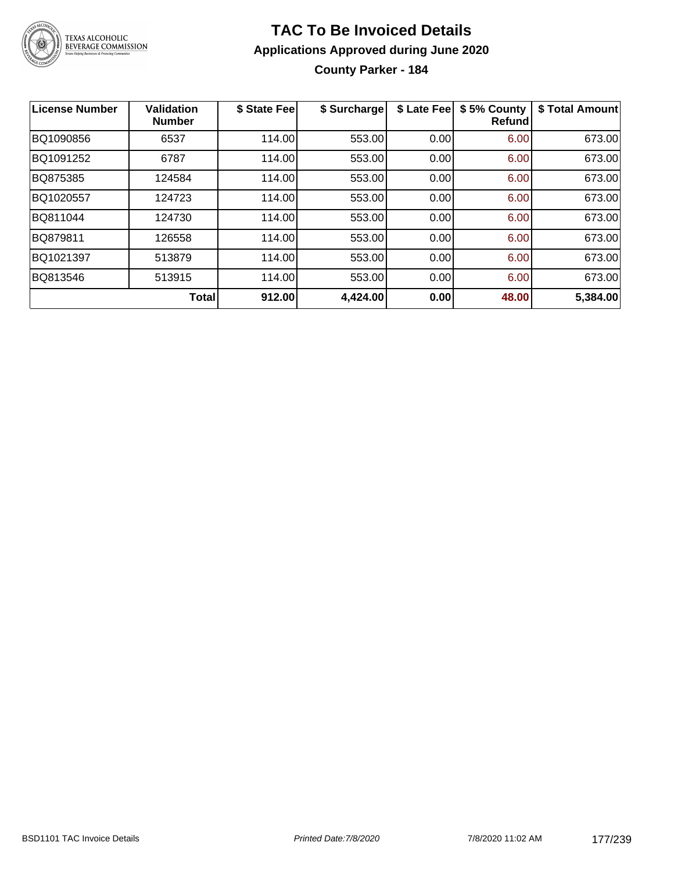

**County Parker - 184**

| <b>License Number</b> | <b>Validation</b><br><b>Number</b> | \$ State Fee | \$ Surcharge | \$ Late Fee | \$5% County<br>Refundl | \$ Total Amount |
|-----------------------|------------------------------------|--------------|--------------|-------------|------------------------|-----------------|
| BQ1090856             | 6537                               | 114.00       | 553.00       | 0.00        | 6.00                   | 673.00          |
| BQ1091252             | 6787                               | 114.00       | 553.00       | 0.00        | 6.00                   | 673.00          |
| BQ875385              | 124584                             | 114.00       | 553.00       | 0.00        | 6.00                   | 673.00          |
| BQ1020557             | 124723                             | 114.00       | 553.00       | 0.00        | 6.00                   | 673.00          |
| BQ811044              | 124730                             | 114.00       | 553.00       | 0.00        | 6.00                   | 673.00          |
| BQ879811              | 126558                             | 114.00       | 553.00       | 0.00        | 6.00                   | 673.00          |
| BQ1021397             | 513879                             | 114.00       | 553.00       | 0.00        | 6.00                   | 673.00          |
| BQ813546              | 513915                             | 114.00       | 553.00       | 0.00        | 6.00                   | 673.00          |
|                       | <b>Total</b>                       | 912.00       | 4,424.00     | 0.00        | 48.00                  | 5,384.00        |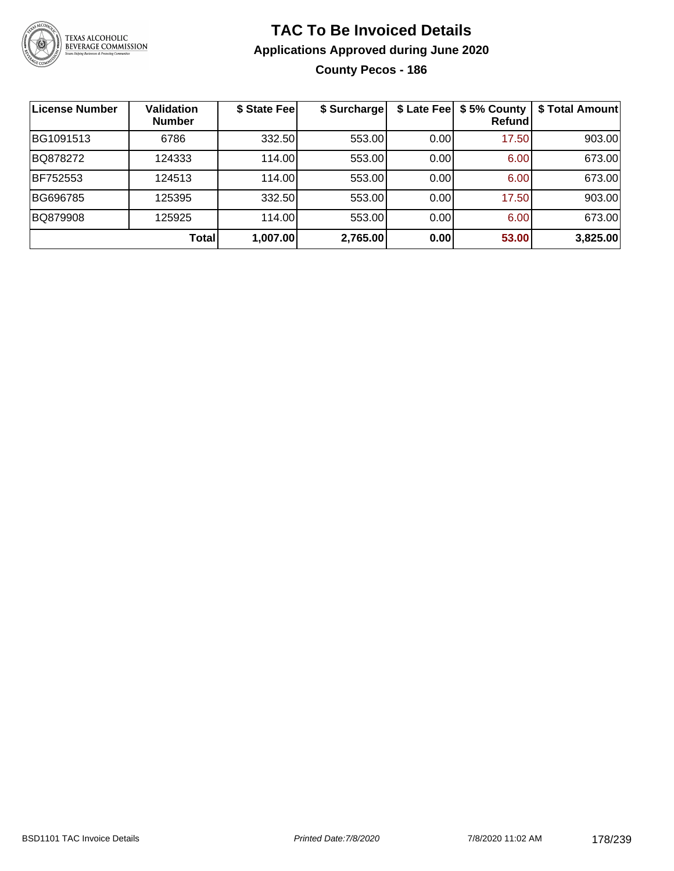

# **TAC To Be Invoiced Details Applications Approved during June 2020 County Pecos - 186**

**License Number Validation Number \$ State Fee \$ Surcharge \$ Late Fee \$ 5% County Refund \$ Total Amount** BG1091513 | 6786 | 332.50| 553.00| 0.00| 17.50| 903.00 BQ878272 | 124333 | 114.00| 553.00| 0.00| 6.00| 673.00 BF752553 124513 114.00 553.00 0.00 6.00 673.00 BG696785 | 125395 | 332.50| 553.00| 0.00| 17.50| 903.00 BQ879908 | 125925 | 114.00| 553.00| 0.00| 6.00| 673.00 **Total 1,007.00 2,765.00 0.00 53.00 3,825.00**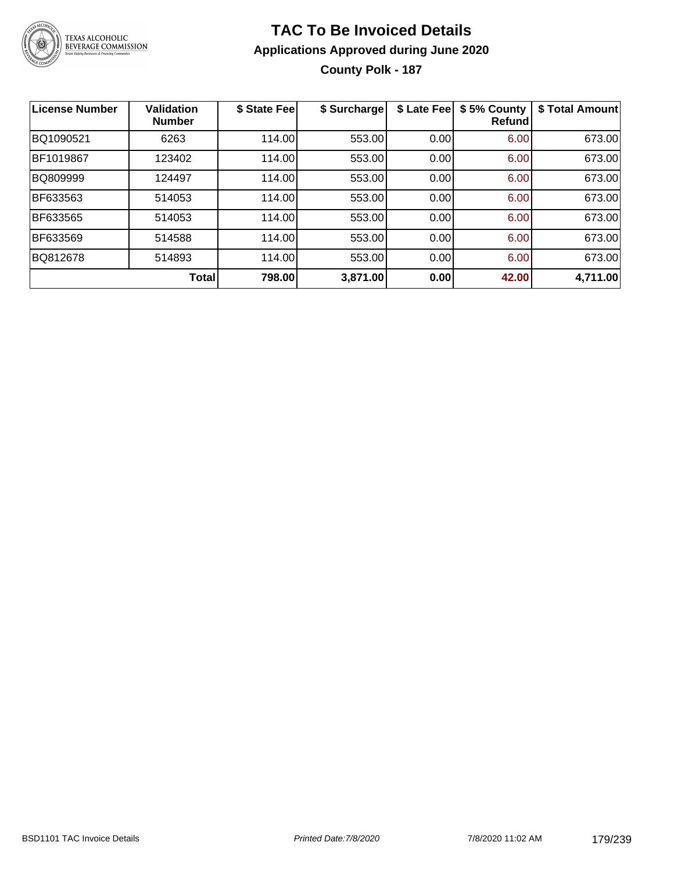

# **TAC To Be Invoiced Details Applications Approved during June 2020 County Polk - 187**

| <b>License Number</b> | <b>Validation</b><br><b>Number</b> | \$ State Fee | \$ Surcharge | \$ Late Fee | \$5% County<br><b>Refund</b> | \$ Total Amount |
|-----------------------|------------------------------------|--------------|--------------|-------------|------------------------------|-----------------|
| BQ1090521             | 6263                               | 114.00       | 553.00       | 0.00        | 6.00                         | 673.00          |
| BF1019867             | 123402                             | 114.00       | 553.00       | 0.00        | 6.00                         | 673.00          |
| BQ809999              | 124497                             | 114.00       | 553.00       | 0.00        | 6.00                         | 673.00          |
| BF633563              | 514053                             | 114.00       | 553.00       | 0.00        | 6.00                         | 673.00          |
| BF633565              | 514053                             | 114.00       | 553.00       | 0.00        | 6.00                         | 673.00          |
| BF633569              | 514588                             | 114.00       | 553.00       | 0.00        | 6.00                         | 673.00          |
| BQ812678              | 514893                             | 114.00       | 553.00       | 0.00        | 6.00                         | 673.00          |
|                       | Total                              | 798.00       | 3,871.00     | 0.00        | 42.00                        | 4,711.00        |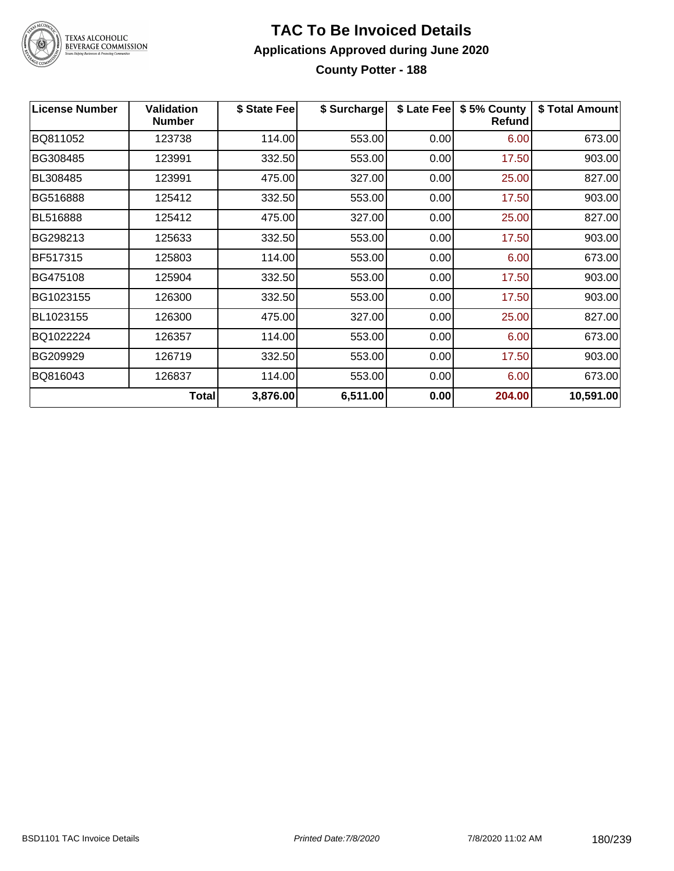

**County Potter - 188**

| <b>License Number</b> | Validation<br><b>Number</b> | \$ State Fee | \$ Surcharge |      | \$ Late Fee   \$5% County<br>Refund | \$ Total Amount |
|-----------------------|-----------------------------|--------------|--------------|------|-------------------------------------|-----------------|
| BQ811052              | 123738                      | 114.00       | 553.00       | 0.00 | 6.00                                | 673.00          |
| BG308485              | 123991                      | 332.50       | 553.00       | 0.00 | 17.50                               | 903.00          |
| BL308485              | 123991                      | 475.00       | 327.00       | 0.00 | 25.00                               | 827.00          |
| BG516888              | 125412                      | 332.50       | 553.00       | 0.00 | 17.50                               | 903.00          |
| BL516888              | 125412                      | 475.00       | 327.00       | 0.00 | 25.00                               | 827.00          |
| BG298213              | 125633                      | 332.50       | 553.00       | 0.00 | 17.50                               | 903.00          |
| BF517315              | 125803                      | 114.00       | 553.00       | 0.00 | 6.00                                | 673.00          |
| BG475108              | 125904                      | 332.50       | 553.00       | 0.00 | 17.50                               | 903.00          |
| BG1023155             | 126300                      | 332.50       | 553.00       | 0.00 | 17.50                               | 903.00          |
| BL1023155             | 126300                      | 475.00       | 327.00       | 0.00 | 25.00                               | 827.00          |
| BQ1022224             | 126357                      | 114.00       | 553.00       | 0.00 | 6.00                                | 673.00          |
| BG209929              | 126719                      | 332.50       | 553.00       | 0.00 | 17.50                               | 903.00          |
| BQ816043              | 126837                      | 114.00       | 553.00       | 0.00 | 6.00                                | 673.00          |
|                       | <b>Total</b>                | 3,876.00     | 6,511.00     | 0.00 | 204.00                              | 10,591.00       |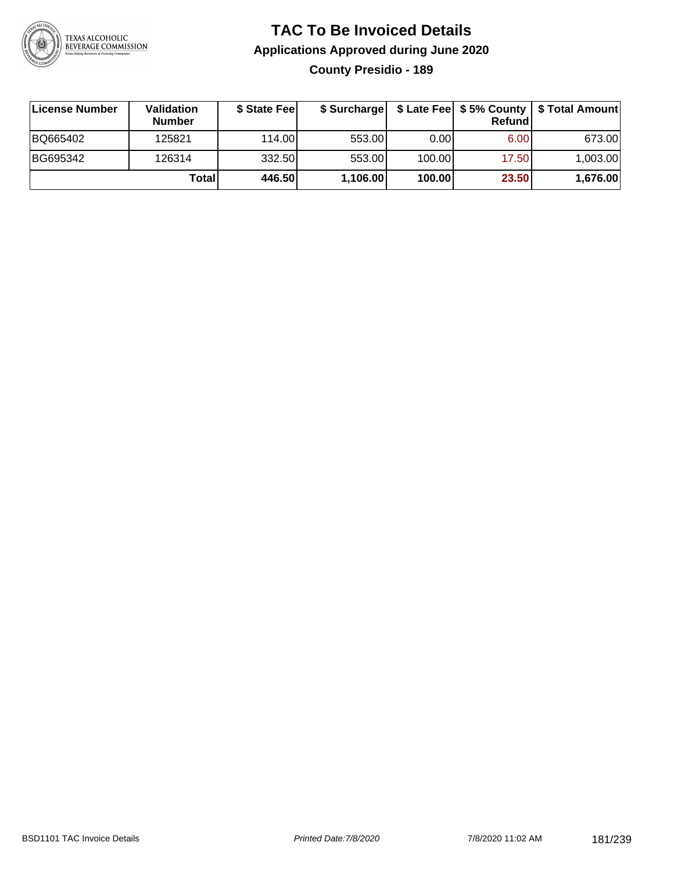

# **TAC To Be Invoiced Details Applications Approved during June 2020 County Presidio - 189**

| ∣License Number | Validation<br><b>Number</b> | \$ State Feel | \$ Surcharge |        | Refundl | \$ Late Fee   \$5% County   \$ Total Amount |
|-----------------|-----------------------------|---------------|--------------|--------|---------|---------------------------------------------|
| BQ665402        | 125821                      | 114.00L       | 553.00       | 0.00   | 6.00    | 673.00                                      |
| BG695342        | 126314                      | 332.50        | 553.00       | 100.00 | 17.50   | 1,003.00                                    |
|                 | Totall                      | 446.50        | 1,106.00     | 100.00 | 23.50   | 1,676.00                                    |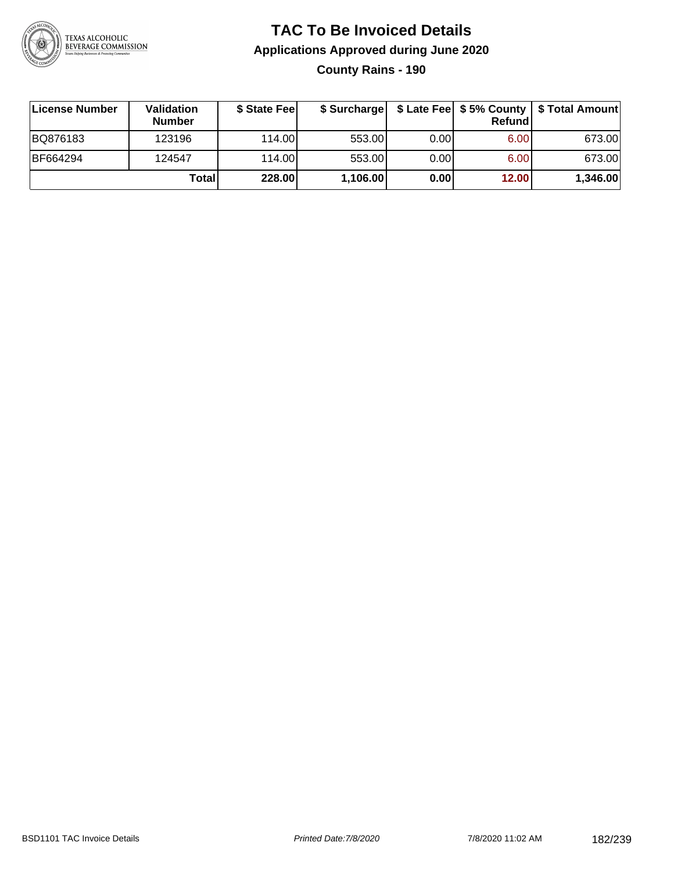

# **TAC To Be Invoiced Details Applications Approved during June 2020**

**County Rains - 190**

| License Number | Validation<br><b>Number</b> | \$ State Feel |          |       | Refundl | \$ Surcharge   \$ Late Fee   \$5% County   \$ Total Amount |
|----------------|-----------------------------|---------------|----------|-------|---------|------------------------------------------------------------|
| BQ876183       | 123196                      | 114.00        | 553.00   | 0.00  | 6.00    | 673.00                                                     |
| BF664294       | 124547                      | 114.00        | 553.00   | 0.001 | 6.00    | 673.00                                                     |
|                | Totall                      | 228.00        | 1,106.00 | 0.00  | 12.00   | 1,346.00                                                   |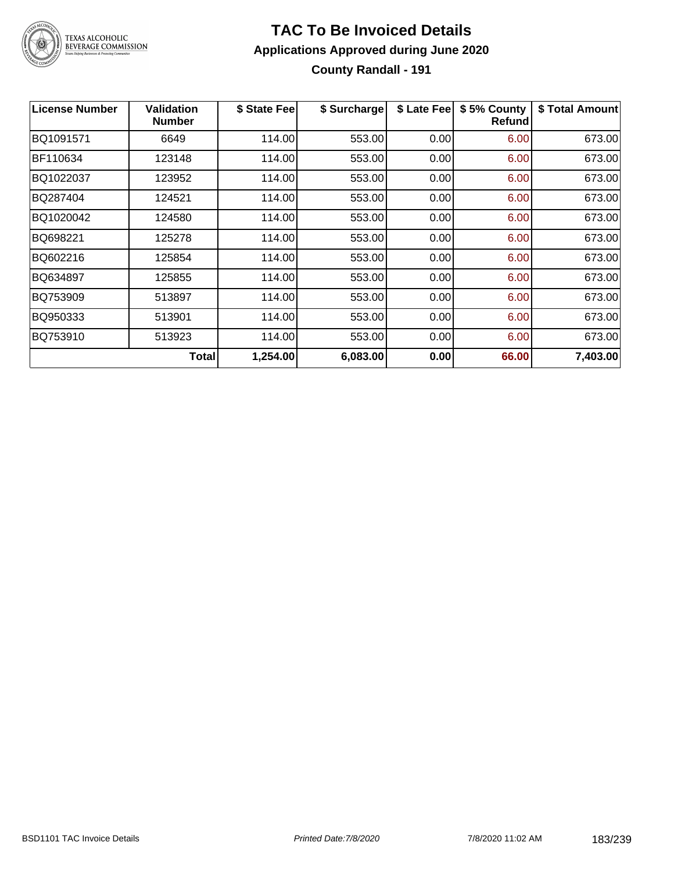

### **TAC To Be Invoiced Details Applications Approved during June 2020 County Randall - 191**

| <b>License Number</b> | <b>Validation</b><br><b>Number</b> | \$ State Fee | \$ Surcharge | \$ Late Fee | \$5% County<br><b>Refund</b> | \$ Total Amount |
|-----------------------|------------------------------------|--------------|--------------|-------------|------------------------------|-----------------|
| BQ1091571             | 6649                               | 114.00       | 553.00       | 0.00        | 6.00                         | 673.00          |
| BF110634              | 123148                             | 114.00       | 553.00       | 0.00        | 6.00                         | 673.00          |
| BQ1022037             | 123952                             | 114.00       | 553.00       | 0.00        | 6.00                         | 673.00          |
| BQ287404              | 124521                             | 114.00       | 553.00       | 0.00        | 6.00                         | 673.00          |
| BQ1020042             | 124580                             | 114.00       | 553.00       | 0.00        | 6.00                         | 673.00          |
| BQ698221              | 125278                             | 114.00       | 553.00       | 0.00        | 6.00                         | 673.00          |
| BQ602216              | 125854                             | 114.00       | 553.00       | 0.00        | 6.00                         | 673.00          |
| BQ634897              | 125855                             | 114.00       | 553.00       | 0.00        | 6.00                         | 673.00          |
| BQ753909              | 513897                             | 114.00       | 553.00       | 0.00        | 6.00                         | 673.00          |
| BQ950333              | 513901                             | 114.00       | 553.00       | 0.00        | 6.00                         | 673.00          |
| BQ753910              | 513923                             | 114.00       | 553.00       | 0.00        | 6.00                         | 673.00          |
|                       | Total                              | 1,254.00     | 6,083.00     | 0.00        | 66.00                        | 7,403.00        |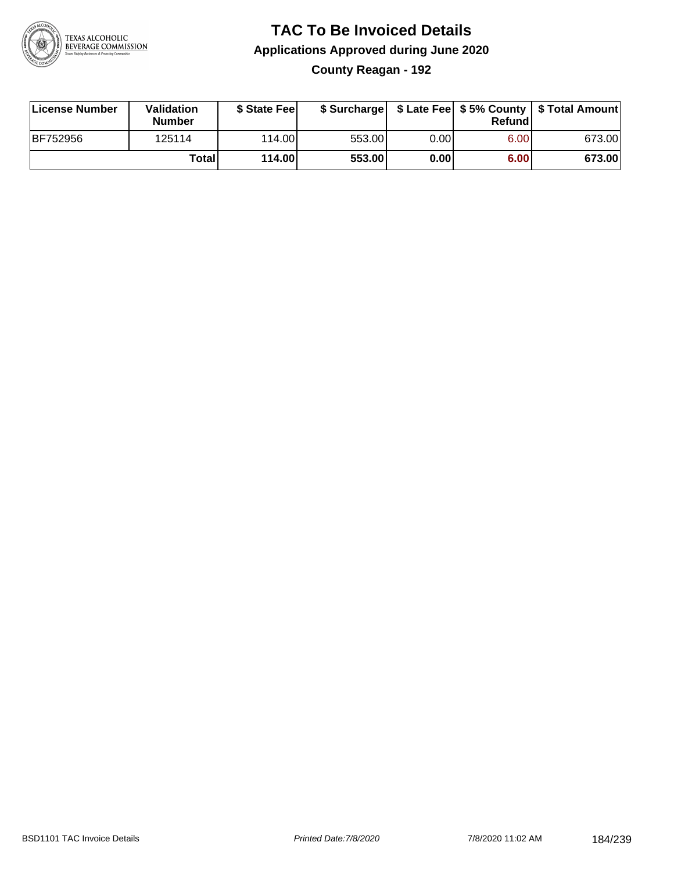

### **TAC To Be Invoiced Details Applications Approved during June 2020 County Reagan - 192**

| License Number  | Validation<br><b>Number</b> | \$ State Feel |        |      | Refundl | \$ Surcharge   \$ Late Fee   \$5% County   \$ Total Amount |
|-----------------|-----------------------------|---------------|--------|------|---------|------------------------------------------------------------|
| <b>BF752956</b> | 125114                      | 114.00L       | 553.00 | 0.00 | 6.00    | 673.00                                                     |
|                 | Total                       | 114.00        | 553.00 | 0.00 | 6.00    | 673.00                                                     |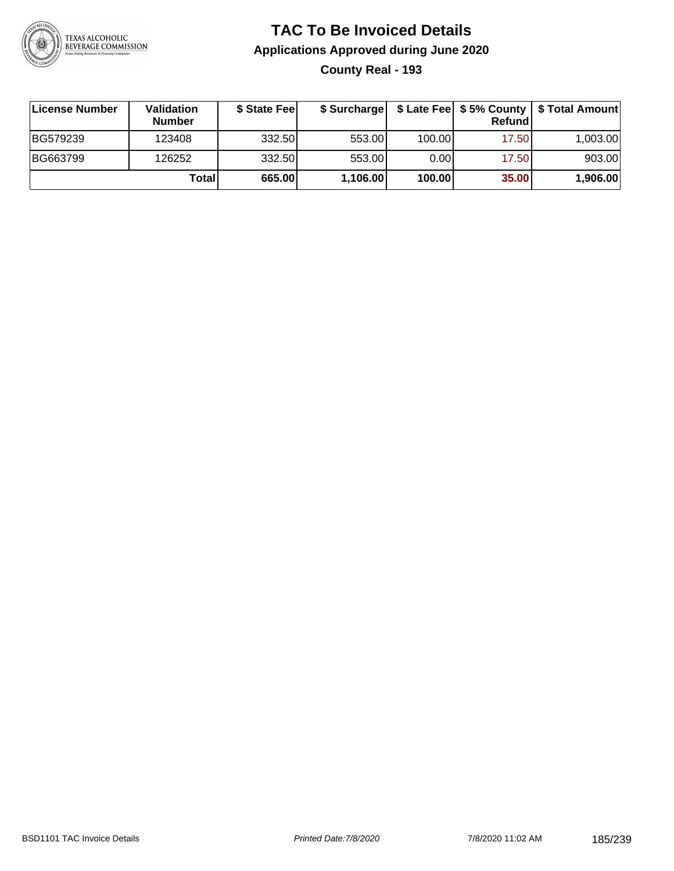

# **TAC To Be Invoiced Details Applications Approved during June 2020 County Real - 193**

| License Number | <b>Validation</b><br><b>Number</b> | \$ State Fee |          |        | Refund | \$ Surcharge   \$ Late Fee   \$5% County   \$ Total Amount |
|----------------|------------------------------------|--------------|----------|--------|--------|------------------------------------------------------------|
| BG579239       | 123408                             | 332.50       | 553.00   | 100.00 | 17.50  | 1,003.00                                                   |
| BG663799       | 126252                             | 332.50       | 553.00   | 0.00   | 17.50  | 903.00                                                     |
|                | Totall                             | 665.00       | 1,106.00 | 100.00 | 35.00  | 1,906.00                                                   |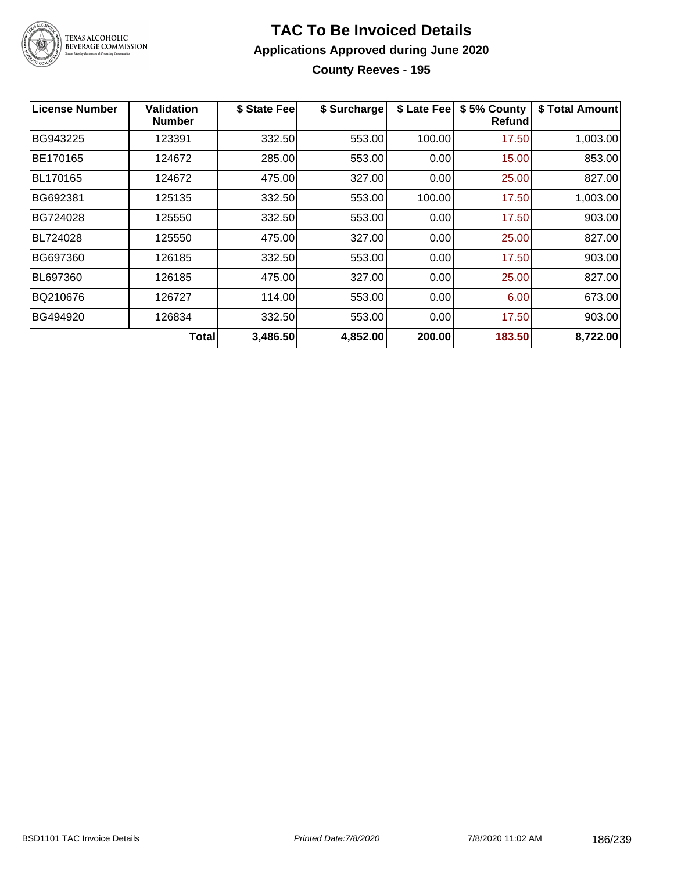

### **TAC To Be Invoiced Details Applications Approved during June 2020 County Reeves - 195**

| <b>License Number</b> | Validation<br><b>Number</b> | \$ State Fee | \$ Surcharge | \$ Late Fee | \$5% County<br><b>Refund</b> | \$ Total Amount |
|-----------------------|-----------------------------|--------------|--------------|-------------|------------------------------|-----------------|
| BG943225              | 123391                      | 332.50       | 553.00       | 100.00      | 17.50                        | 1,003.00        |
| BE170165              | 124672                      | 285.00       | 553.00       | 0.00        | 15.00                        | 853.00          |
| BL170165              | 124672                      | 475.00       | 327.00       | 0.00        | 25.00                        | 827.00          |
| BG692381              | 125135                      | 332.50       | 553.00       | 100.00      | 17.50                        | 1,003.00        |
| BG724028              | 125550                      | 332.50       | 553.00       | 0.00        | 17.50                        | 903.00          |
| BL724028              | 125550                      | 475.00       | 327.00       | 0.00        | 25.00                        | 827.00          |
| BG697360              | 126185                      | 332.50       | 553.00       | 0.00        | 17.50                        | 903.00          |
| BL697360              | 126185                      | 475.00       | 327.00       | 0.00        | 25.00                        | 827.00          |
| BQ210676              | 126727                      | 114.00       | 553.00       | 0.00        | 6.00                         | 673.00          |
| BG494920              | 126834                      | 332.50       | 553.00       | 0.00        | 17.50                        | 903.00          |
|                       | Totall                      | 3,486.50     | 4,852.00     | 200.00      | 183.50                       | 8,722.00        |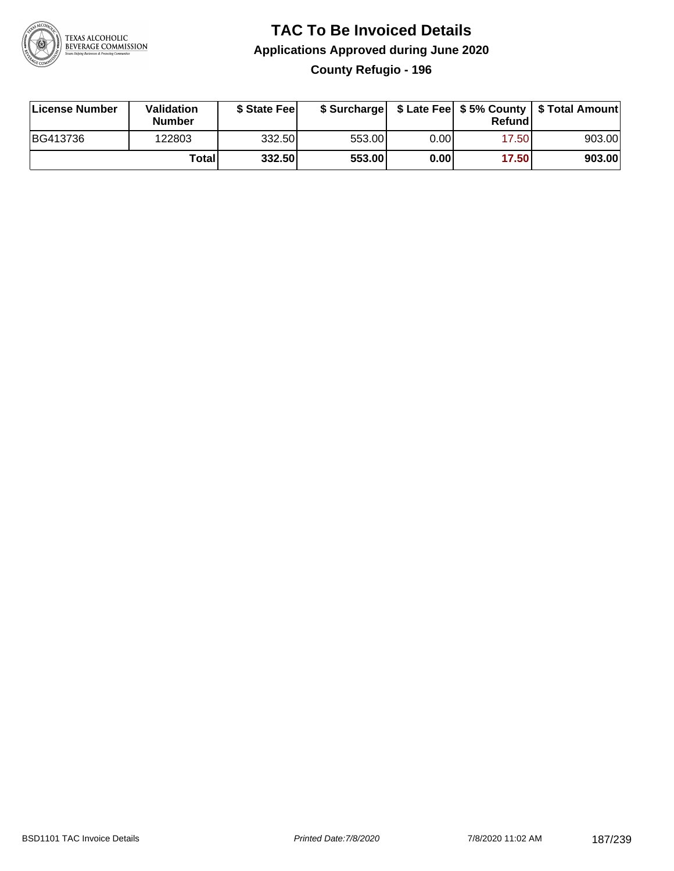

# **TAC To Be Invoiced Details Applications Approved during June 2020 County Refugio - 196**

| License Number | Validation<br>Number | \$ State Fee |        |      | Refundl | \$ Surcharge   \$ Late Fee   \$5% County   \$ Total Amount |
|----------------|----------------------|--------------|--------|------|---------|------------------------------------------------------------|
| BG413736       | 122803               | 332.50       | 553.00 | 0.00 | 17.50   | 903.00                                                     |
|                | Totall               | 332.50       | 553.00 | 0.00 | 17.50   | 903.00                                                     |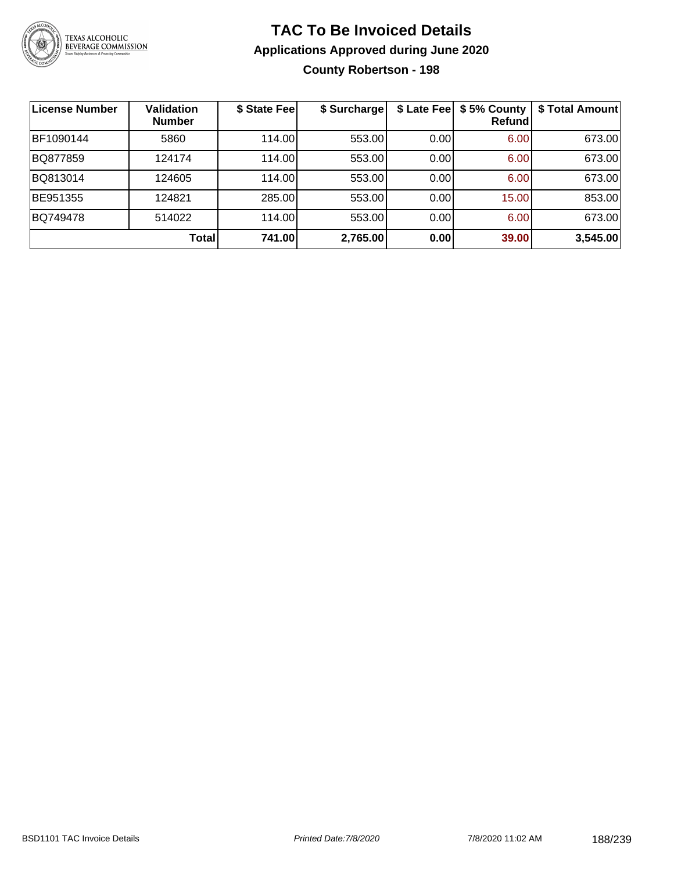

### **TAC To Be Invoiced Details Applications Approved during June 2020 County Robertson - 198**

| <b>License Number</b> | <b>Validation</b><br><b>Number</b> | \$ State Fee | \$ Surcharge |      | \$ Late Fee   \$5% County<br><b>Refund</b> | \$ Total Amount |
|-----------------------|------------------------------------|--------------|--------------|------|--------------------------------------------|-----------------|
| BF1090144             | 5860                               | 114.00       | 553.00       | 0.00 | 6.00                                       | 673.00          |
| BQ877859              | 124174                             | 114.00       | 553.00       | 0.00 | 6.00                                       | 673.00          |
| BQ813014              | 124605                             | 114.00       | 553.00       | 0.00 | 6.00                                       | 673.00          |
| BE951355              | 124821                             | 285.00       | 553.00       | 0.00 | 15.00                                      | 853.00          |
| BQ749478              | 514022                             | 114.00       | 553.00       | 0.00 | 6.00                                       | 673.00          |
|                       | <b>Total</b>                       | 741.00       | 2,765.00     | 0.00 | 39.00                                      | 3,545.00        |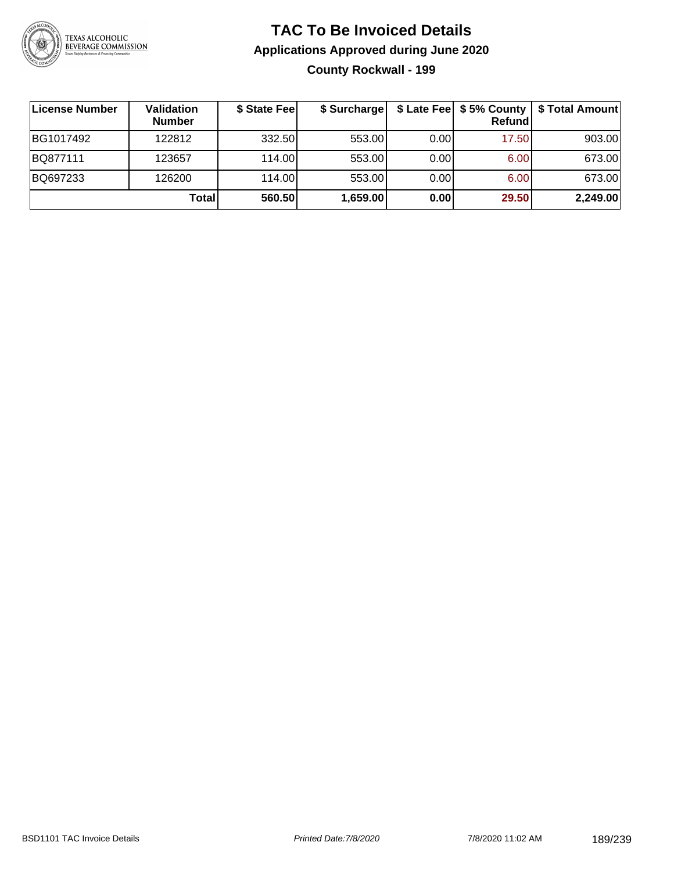

# **TAC To Be Invoiced Details Applications Approved during June 2020 County Rockwall - 199**

| <b>License Number</b> | <b>Validation</b><br><b>Number</b> | \$ State Fee | \$ Surcharge |       | Refundl | \$ Late Fee   \$5% County   \$ Total Amount |
|-----------------------|------------------------------------|--------------|--------------|-------|---------|---------------------------------------------|
| BG1017492             | 122812                             | 332.50       | 553.00       | 0.001 | 17.50   | 903.00                                      |
| BQ877111              | 123657                             | 114.00L      | 553.00       | 0.00  | 6.00    | 673.00                                      |
| BQ697233              | 126200                             | 114.00L      | 553.00       | 0.00  | 6.00    | 673.00                                      |
|                       | Totall                             | 560.50       | 1,659.00     | 0.00  | 29.50   | 2,249.00                                    |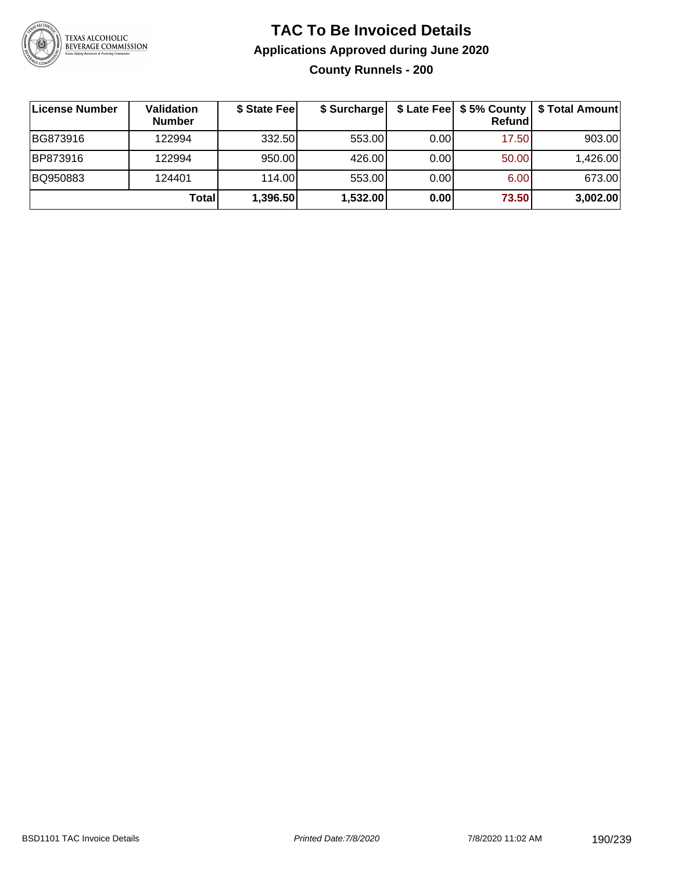

# **TAC To Be Invoiced Details Applications Approved during June 2020 County Runnels - 200**

| License Number | Validation<br><b>Number</b> | \$ State Fee | \$ Surcharge |      | Refundl | \$ Late Fee   \$5% County   \$ Total Amount |
|----------------|-----------------------------|--------------|--------------|------|---------|---------------------------------------------|
| BG873916       | 122994                      | 332.50       | 553.00       | 0.00 | 17.50   | 903.00                                      |
| BP873916       | 122994                      | 950.00       | 426.00       | 0.00 | 50.00   | 1,426.00                                    |
| BQ950883       | 124401                      | 114.00       | 553.00       | 0.00 | 6.00    | 673.00                                      |
|                | <b>Total</b>                | 1,396.50     | 1,532.00     | 0.00 | 73.50   | 3,002.00                                    |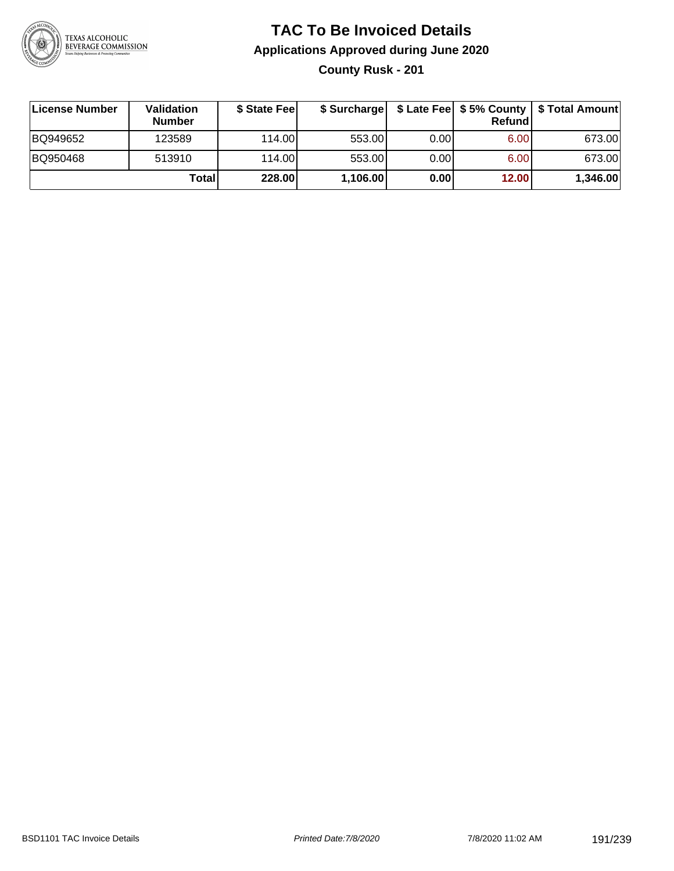

# **TAC To Be Invoiced Details Applications Approved during June 2020**

**County Rusk - 201**

| License Number | <b>Validation</b><br><b>Number</b> | \$ State Fee | \$ Surcharge |       | <b>Refund</b> | \$ Late Fee   \$5% County   \$ Total Amount |
|----------------|------------------------------------|--------------|--------------|-------|---------------|---------------------------------------------|
| BQ949652       | 123589                             | 114.00L      | 553.00       | 0.00  | 6.00          | 673.00                                      |
| BQ950468       | 513910                             | 114.00       | 553.00       | 0.001 | 6.00          | 673.00                                      |
|                | Totall                             | 228.00       | 1,106.00     | 0.00  | 12.00         | 1,346.00                                    |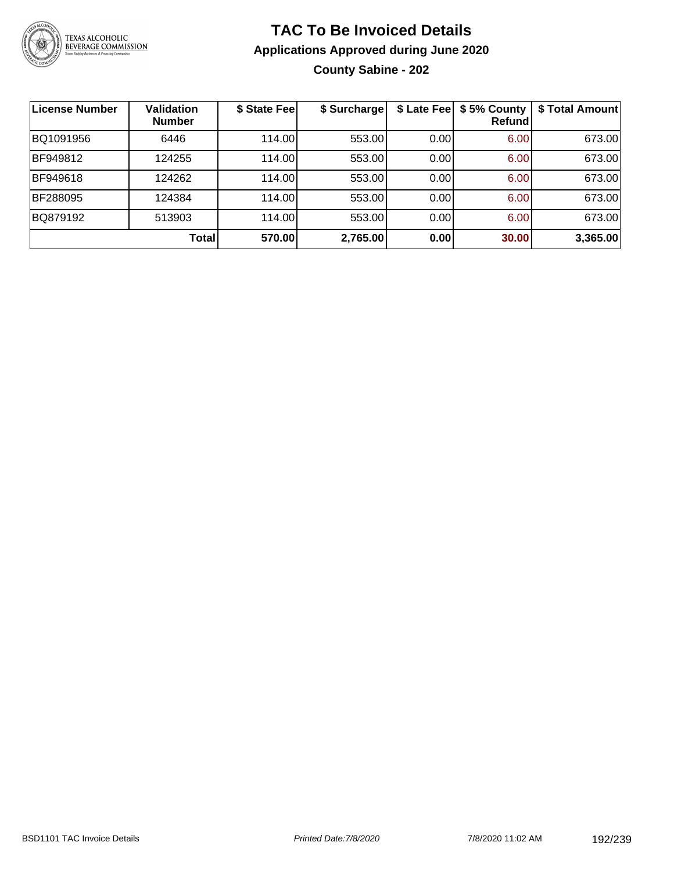

# **TAC To Be Invoiced Details Applications Approved during June 2020 County Sabine - 202**

| <b>License Number</b> | <b>Validation</b><br><b>Number</b> | \$ State Fee | \$ Surcharge |      | \$ Late Fee   \$5% County<br>Refund | \$ Total Amount |
|-----------------------|------------------------------------|--------------|--------------|------|-------------------------------------|-----------------|
| BQ1091956             | 6446                               | 114.00       | 553.00       | 0.00 | 6.00                                | 673.00          |
| BF949812              | 124255                             | 114.00       | 553.00       | 0.00 | 6.00                                | 673.00          |
| BF949618              | 124262                             | 114.00       | 553.00       | 0.00 | 6.00                                | 673.00          |
| BF288095              | 124384                             | 114.00       | 553.00       | 0.00 | 6.00                                | 673.00          |
| BQ879192              | 513903                             | 114.00       | 553.00       | 0.00 | 6.00                                | 673.00          |
|                       | <b>Total</b>                       | 570.00       | 2,765.00     | 0.00 | 30.00                               | 3,365.00        |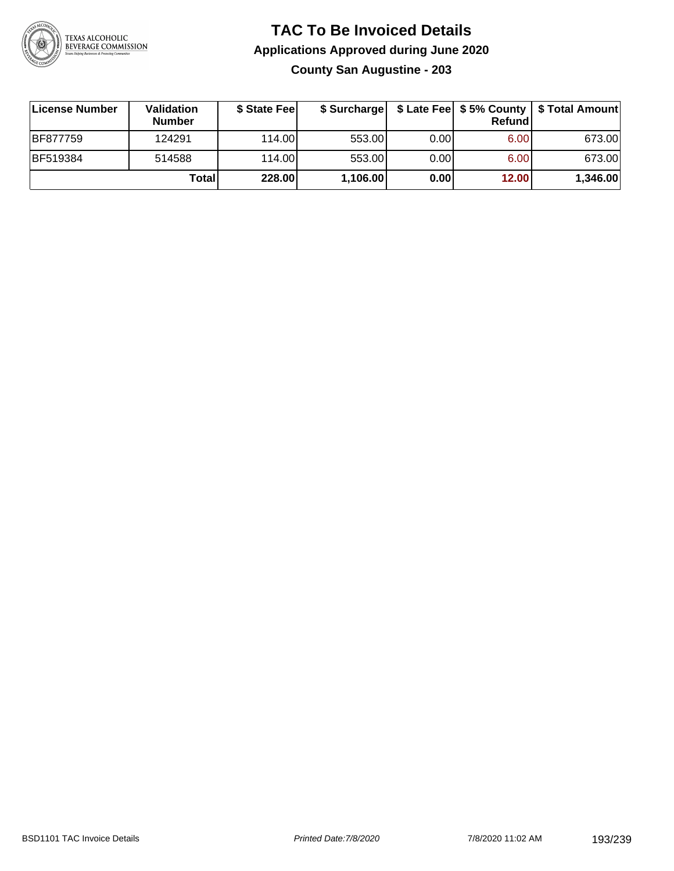

### **TAC To Be Invoiced Details Applications Approved during June 2020 County San Augustine - 203**

| License Number | <b>Validation</b><br><b>Number</b> | \$ State Fee  | \$ Surcharge |      | Refund | \$ Late Fee   \$5% County   \$ Total Amount |
|----------------|------------------------------------|---------------|--------------|------|--------|---------------------------------------------|
| BF877759       | 124291                             | 114.00L       | 553.00       | 0.00 | 6.00   | 673.00                                      |
| BF519384       | 514588                             | 114.00L       | 553.00       | 0.00 | 6.00   | 673.00                                      |
|                | Totall                             | <b>228.00</b> | 1,106.00     | 0.00 | 12.00  | 1,346.00                                    |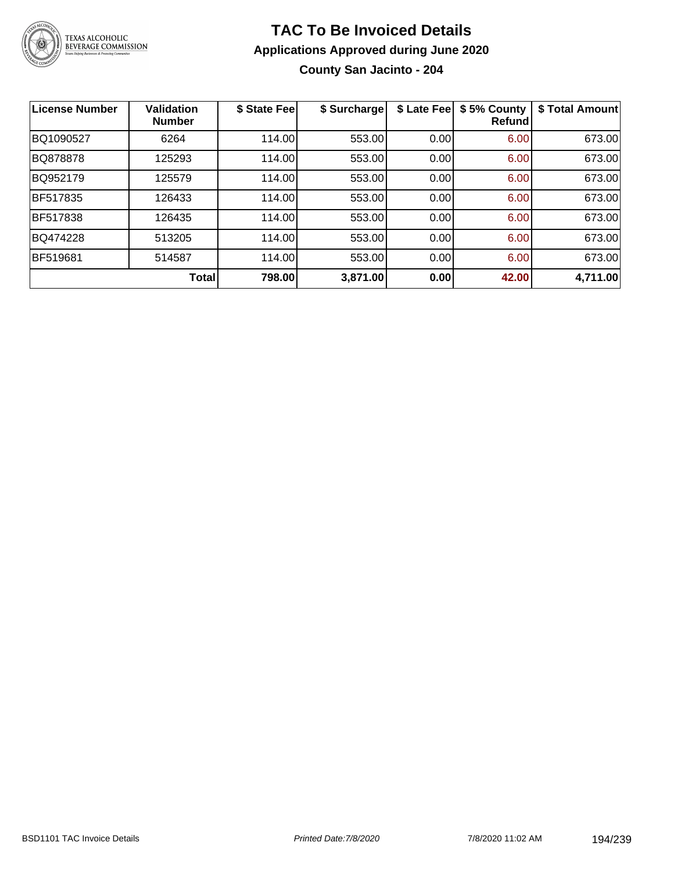

# **TAC To Be Invoiced Details Applications Approved during June 2020 County San Jacinto - 204**

| <b>License Number</b> | <b>Validation</b><br><b>Number</b> | \$ State Fee | \$ Surcharge | \$ Late Fee | \$5% County<br>Refundl | \$ Total Amount |
|-----------------------|------------------------------------|--------------|--------------|-------------|------------------------|-----------------|
| BQ1090527             | 6264                               | 114.00       | 553.00       | 0.00        | 6.00                   | 673.00          |
| BQ878878              | 125293                             | 114.00       | 553.00       | 0.00        | 6.00                   | 673.00          |
| BQ952179              | 125579                             | 114.00       | 553.00       | 0.00        | 6.00                   | 673.00          |
| BF517835              | 126433                             | 114.00       | 553.00       | 0.00        | 6.00                   | 673.00          |
| <b>BF517838</b>       | 126435                             | 114.00       | 553.00       | 0.00        | 6.00                   | 673.00          |
| BQ474228              | 513205                             | 114.00       | 553.00       | 0.00        | 6.00                   | 673.00          |
| <b>BF519681</b>       | 514587                             | 114.00       | 553.00       | 0.00        | 6.00                   | 673.00          |
|                       | <b>Total</b>                       | 798.00       | 3,871.00     | 0.00        | 42.00                  | 4,711.00        |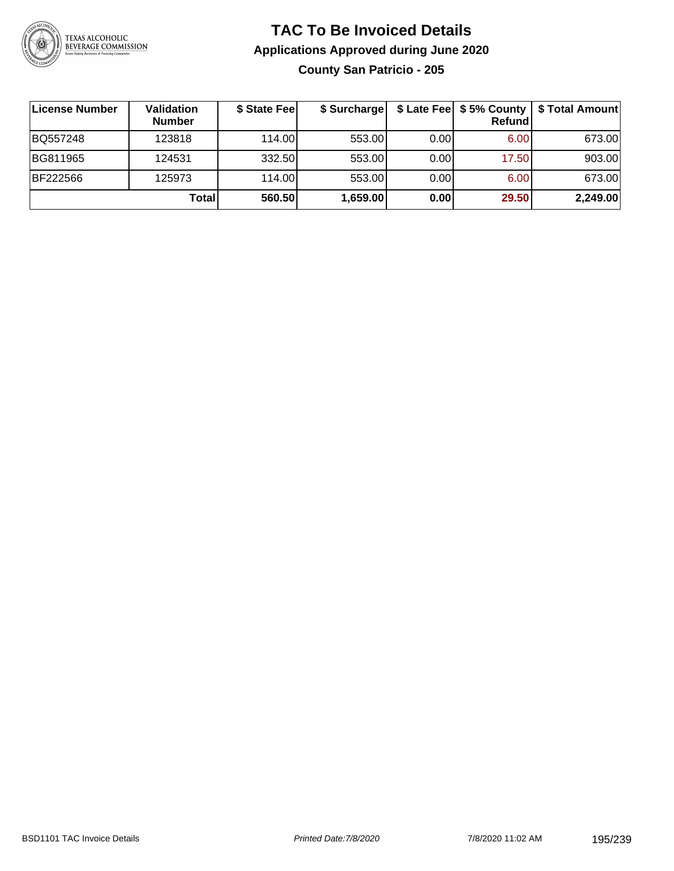

### **TAC To Be Invoiced Details Applications Approved during June 2020 County San Patricio - 205**

| ∣License Number | <b>Validation</b><br><b>Number</b> | \$ State Feel | \$ Surcharge |      | \$ Late Fee   \$5% County  <br>Refund | \$ Total Amount |
|-----------------|------------------------------------|---------------|--------------|------|---------------------------------------|-----------------|
| BQ557248        | 123818                             | 114.00        | 553.00       | 0.00 | 6.00                                  | 673.00          |
| BG811965        | 124531                             | 332.50        | 553.00       | 0.00 | 17.50                                 | 903.00          |
| BF222566        | 125973                             | 114.00        | 553.00       | 0.00 | 6.00                                  | 673.00          |
|                 | Total                              | 560.50        | 1,659.00     | 0.00 | 29.50                                 | 2,249.00        |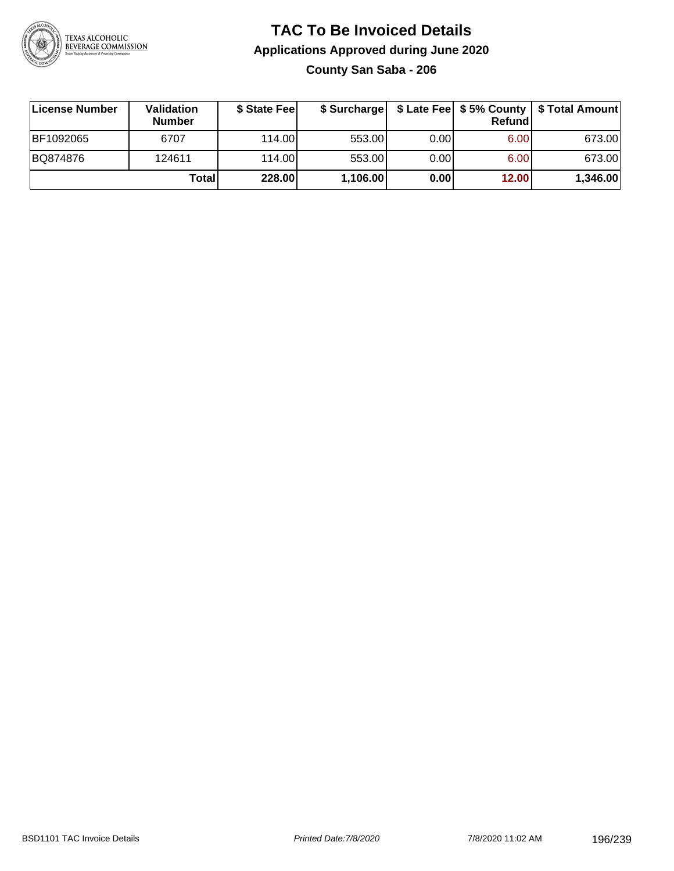

# **TAC To Be Invoiced Details Applications Approved during June 2020 County San Saba - 206**

| License Number | <b>Validation</b><br><b>Number</b> | \$ State Fee | \$ Surcharge |      | Refundl | \$ Late Fee   \$5% County   \$ Total Amount |
|----------------|------------------------------------|--------------|--------------|------|---------|---------------------------------------------|
| BF1092065      | 6707                               | 114.00L      | 553.00       | 0.00 | 6.00    | 673.00                                      |
| BQ874876       | 124611                             | 114.00L      | 553.00       | 0.00 | 6.00    | 673.00                                      |
|                | Total                              | 228.00       | 1,106.00     | 0.00 | 12.00   | 1,346.00                                    |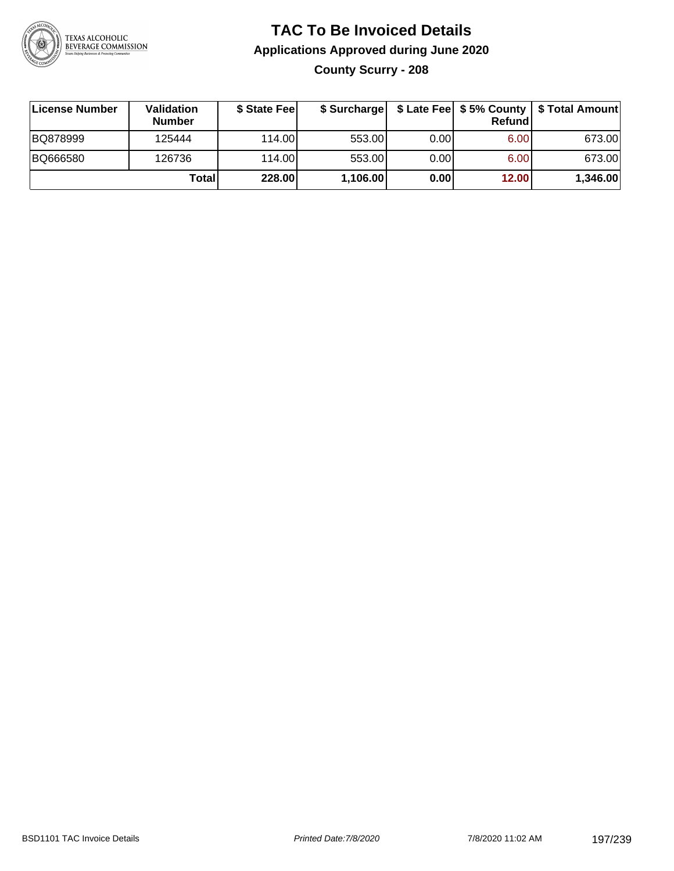

# **TAC To Be Invoiced Details Applications Approved during June 2020 County Scurry - 208**

| License Number | <b>Validation</b><br><b>Number</b> | \$ State Feel |          |       | <b>Refund</b> | \$ Surcharge   \$ Late Fee   \$5% County   \$ Total Amount |
|----------------|------------------------------------|---------------|----------|-------|---------------|------------------------------------------------------------|
| BQ878999       | 125444                             | 114.00L       | 553.00   | 0.001 | 6.00          | 673.00                                                     |
| BQ666580       | 126736                             | 114.00L       | 553.00   | 0.00  | 6.00          | 673.00                                                     |
|                | Total                              | 228.00        | 1,106.00 | 0.00  | 12.00         | 1,346.00                                                   |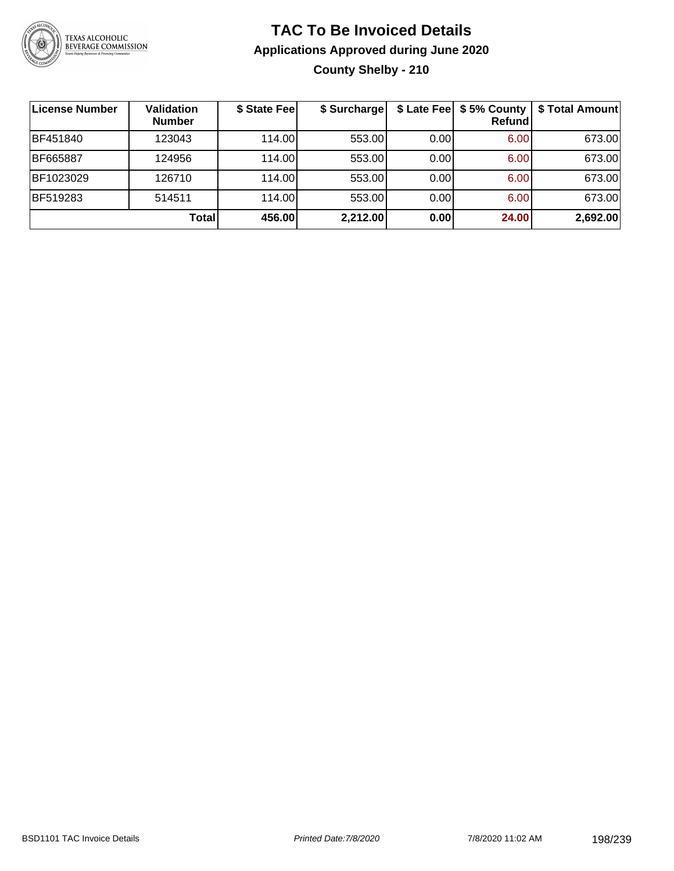

# **TAC To Be Invoiced Details Applications Approved during June 2020 County Shelby - 210**

| License Number  | <b>Validation</b><br><b>Number</b> | \$ State Fee | \$ Surcharge |      | Refundl | \$ Late Fee   \$5% County   \$ Total Amount |
|-----------------|------------------------------------|--------------|--------------|------|---------|---------------------------------------------|
| <b>BF451840</b> | 123043                             | 114.00L      | 553.00       | 0.00 | 6.00    | 673.00                                      |
| <b>BF665887</b> | 124956                             | 114.00L      | 553.00       | 0.00 | 6.00    | 673.00                                      |
| BF1023029       | 126710                             | 114.00       | 553.00       | 0.00 | 6.00    | 673.00                                      |
| <b>BF519283</b> | 514511                             | 114.00L      | 553.00       | 0.00 | 6.00    | 673.00                                      |
|                 | Total                              | 456.00       | 2,212.00     | 0.00 | 24.00   | 2,692.00                                    |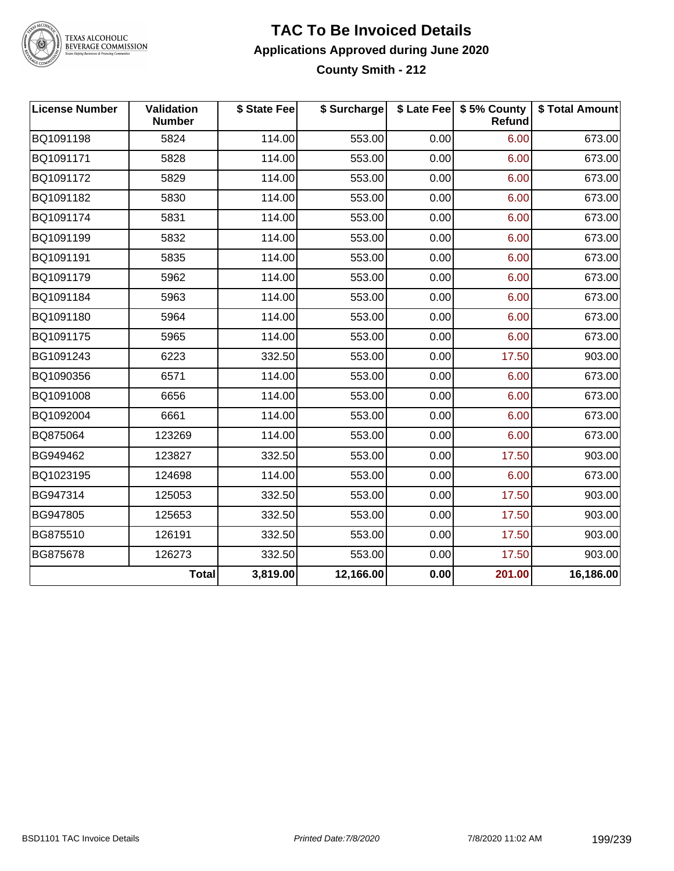

#### **TAC To Be Invoiced Details Applications Approved during June 2020 County Smith - 212**

| <b>License Number</b> | Validation<br><b>Number</b> | \$ State Fee | \$ Surcharge |      | \$ Late Fee   \$5% County<br><b>Refund</b> | \$ Total Amount |
|-----------------------|-----------------------------|--------------|--------------|------|--------------------------------------------|-----------------|
| BQ1091198             | 5824                        | 114.00       | 553.00       | 0.00 | 6.00                                       | 673.00          |
| BQ1091171             | 5828                        | 114.00       | 553.00       | 0.00 | 6.00                                       | 673.00          |
| BQ1091172             | 5829                        | 114.00       | 553.00       | 0.00 | 6.00                                       | 673.00          |
| BQ1091182             | 5830                        | 114.00       | 553.00       | 0.00 | 6.00                                       | 673.00          |
| BQ1091174             | 5831                        | 114.00       | 553.00       | 0.00 | 6.00                                       | 673.00          |
| BQ1091199             | 5832                        | 114.00       | 553.00       | 0.00 | 6.00                                       | 673.00          |
| BQ1091191             | 5835                        | 114.00       | 553.00       | 0.00 | 6.00                                       | 673.00          |
| BQ1091179             | 5962                        | 114.00       | 553.00       | 0.00 | 6.00                                       | 673.00          |
| BQ1091184             | 5963                        | 114.00       | 553.00       | 0.00 | 6.00                                       | 673.00          |
| BQ1091180             | 5964                        | 114.00       | 553.00       | 0.00 | 6.00                                       | 673.00          |
| BQ1091175             | 5965                        | 114.00       | 553.00       | 0.00 | 6.00                                       | 673.00          |
| BG1091243             | 6223                        | 332.50       | 553.00       | 0.00 | 17.50                                      | 903.00          |
| BQ1090356             | 6571                        | 114.00       | 553.00       | 0.00 | 6.00                                       | 673.00          |
| BQ1091008             | 6656                        | 114.00       | 553.00       | 0.00 | 6.00                                       | 673.00          |
| BQ1092004             | 6661                        | 114.00       | 553.00       | 0.00 | 6.00                                       | 673.00          |
| BQ875064              | 123269                      | 114.00       | 553.00       | 0.00 | 6.00                                       | 673.00          |
| BG949462              | 123827                      | 332.50       | 553.00       | 0.00 | 17.50                                      | 903.00          |
| BQ1023195             | 124698                      | 114.00       | 553.00       | 0.00 | 6.00                                       | 673.00          |
| BG947314              | 125053                      | 332.50       | 553.00       | 0.00 | 17.50                                      | 903.00          |
| BG947805              | 125653                      | 332.50       | 553.00       | 0.00 | 17.50                                      | 903.00          |
| BG875510              | 126191                      | 332.50       | 553.00       | 0.00 | 17.50                                      | 903.00          |
| BG875678              | 126273                      | 332.50       | 553.00       | 0.00 | 17.50                                      | 903.00          |
|                       | <b>Total</b>                | 3,819.00     | 12,166.00    | 0.00 | 201.00                                     | 16,186.00       |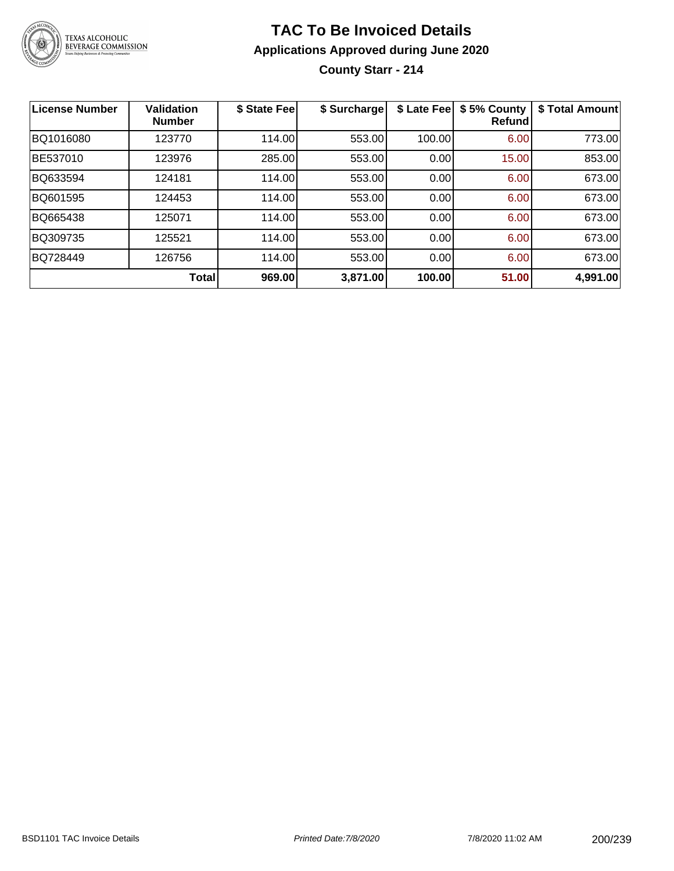

# **TAC To Be Invoiced Details Applications Approved during June 2020**

**County Starr - 214**

| License Number | <b>Validation</b><br><b>Number</b> | \$ State Fee | \$ Surcharge | \$ Late Fee | \$5% County<br>Refundl | \$ Total Amount |
|----------------|------------------------------------|--------------|--------------|-------------|------------------------|-----------------|
| BQ1016080      | 123770                             | 114.00       | 553.00       | 100.00      | 6.00                   | 773.00          |
| BE537010       | 123976                             | 285.00       | 553.00       | 0.00        | 15.00                  | 853.00          |
| BQ633594       | 124181                             | 114.00       | 553.00       | 0.00        | 6.00                   | 673.00          |
| BQ601595       | 124453                             | 114.00       | 553.00       | 0.00        | 6.00                   | 673.00          |
| BQ665438       | 125071                             | 114.00       | 553.00       | 0.00        | 6.00                   | 673.00          |
| BQ309735       | 125521                             | 114.00       | 553.00       | 0.00        | 6.00                   | 673.00          |
| BQ728449       | 126756                             | 114.00       | 553.00       | 0.00        | 6.00                   | 673.00          |
|                | <b>Total</b>                       | 969.00       | 3,871.00     | 100.00      | 51.00                  | 4,991.00        |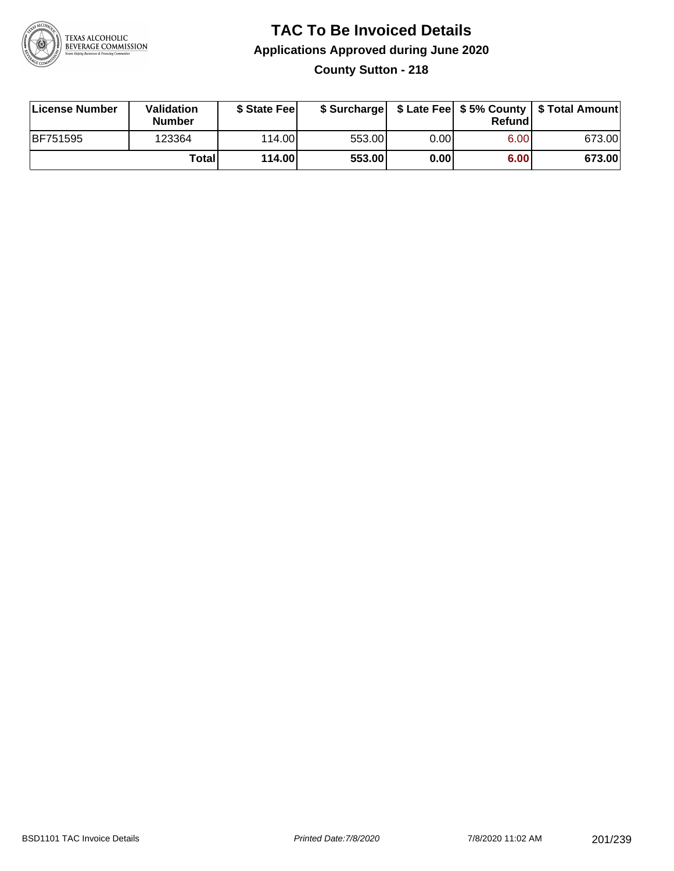

### **TAC To Be Invoiced Details Applications Approved during June 2020 County Sutton - 218**

| License Number  | Validation<br><b>Number</b> | \$ State Feel |        |      | Refund | \$ Surcharge   \$ Late Fee   \$5% County   \$ Total Amount |
|-----------------|-----------------------------|---------------|--------|------|--------|------------------------------------------------------------|
| <b>BF751595</b> | 123364                      | 114.00        | 553.00 | 0.00 | 6.00   | 673.00                                                     |
|                 | Totall                      | 114.00        | 553.00 | 0.00 | 6.00   | 673.00                                                     |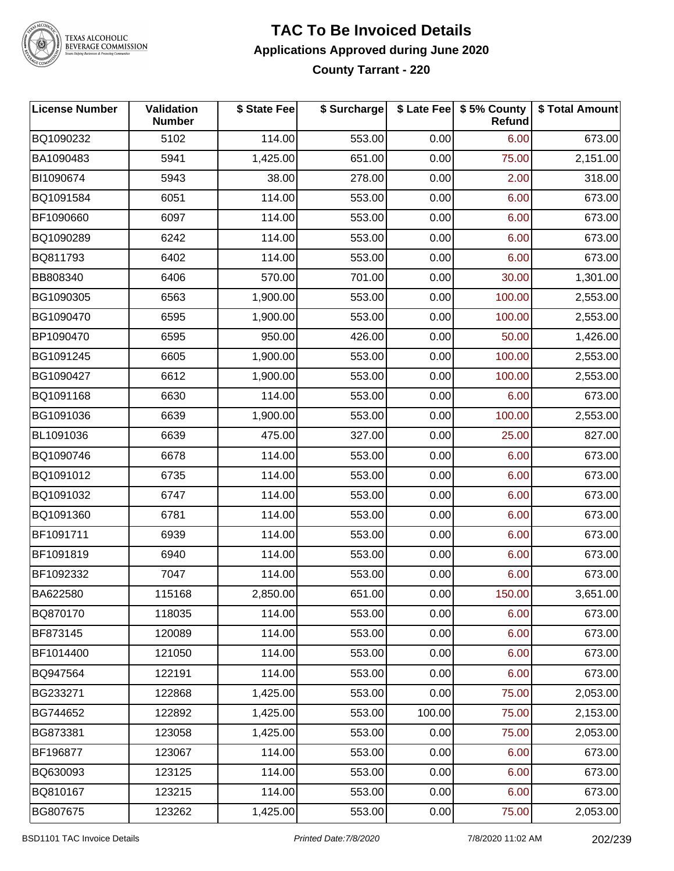

#### **TAC To Be Invoiced Details Applications Approved during June 2020 County Tarrant - 220**

| <b>License Number</b> | Validation<br><b>Number</b> | \$ State Fee | \$ Surcharge |        | \$ Late Fee   \$5% County<br>Refund | \$ Total Amount |
|-----------------------|-----------------------------|--------------|--------------|--------|-------------------------------------|-----------------|
| BQ1090232             | 5102                        | 114.00       | 553.00       | 0.00   | 6.00                                | 673.00          |
| BA1090483             | 5941                        | 1,425.00     | 651.00       | 0.00   | 75.00                               | 2,151.00        |
| BI1090674             | 5943                        | 38.00        | 278.00       | 0.00   | 2.00                                | 318.00          |
| BQ1091584             | 6051                        | 114.00       | 553.00       | 0.00   | 6.00                                | 673.00          |
| BF1090660             | 6097                        | 114.00       | 553.00       | 0.00   | 6.00                                | 673.00          |
| BQ1090289             | 6242                        | 114.00       | 553.00       | 0.00   | 6.00                                | 673.00          |
| BQ811793              | 6402                        | 114.00       | 553.00       | 0.00   | 6.00                                | 673.00          |
| BB808340              | 6406                        | 570.00       | 701.00       | 0.00   | 30.00                               | 1,301.00        |
| BG1090305             | 6563                        | 1,900.00     | 553.00       | 0.00   | 100.00                              | 2,553.00        |
| BG1090470             | 6595                        | 1,900.00     | 553.00       | 0.00   | 100.00                              | 2,553.00        |
| BP1090470             | 6595                        | 950.00       | 426.00       | 0.00   | 50.00                               | 1,426.00        |
| BG1091245             | 6605                        | 1,900.00     | 553.00       | 0.00   | 100.00                              | 2,553.00        |
| BG1090427             | 6612                        | 1,900.00     | 553.00       | 0.00   | 100.00                              | 2,553.00        |
| BQ1091168             | 6630                        | 114.00       | 553.00       | 0.00   | 6.00                                | 673.00          |
| BG1091036             | 6639                        | 1,900.00     | 553.00       | 0.00   | 100.00                              | 2,553.00        |
| BL1091036             | 6639                        | 475.00       | 327.00       | 0.00   | 25.00                               | 827.00          |
| BQ1090746             | 6678                        | 114.00       | 553.00       | 0.00   | 6.00                                | 673.00          |
| BQ1091012             | 6735                        | 114.00       | 553.00       | 0.00   | 6.00                                | 673.00          |
| BQ1091032             | 6747                        | 114.00       | 553.00       | 0.00   | 6.00                                | 673.00          |
| BQ1091360             | 6781                        | 114.00       | 553.00       | 0.00   | 6.00                                | 673.00          |
| BF1091711             | 6939                        | 114.00       | 553.00       | 0.00   | 6.00                                | 673.00          |
| BF1091819             | 6940                        | 114.00       | 553.00       | 0.00   | 6.00                                | 673.00          |
| BF1092332             | 7047                        | 114.00       | 553.00       | 0.00   | 6.00                                | 673.00          |
| BA622580              | 115168                      | 2,850.00     | 651.00       | 0.00   | 150.00                              | 3,651.00        |
| BQ870170              | 118035                      | 114.00       | 553.00       | 0.00   | 6.00                                | 673.00          |
| BF873145              | 120089                      | 114.00       | 553.00       | 0.00   | 6.00                                | 673.00          |
| BF1014400             | 121050                      | 114.00       | 553.00       | 0.00   | 6.00                                | 673.00          |
| BQ947564              | 122191                      | 114.00       | 553.00       | 0.00   | 6.00                                | 673.00          |
| BG233271              | 122868                      | 1,425.00     | 553.00       | 0.00   | 75.00                               | 2,053.00        |
| BG744652              | 122892                      | 1,425.00     | 553.00       | 100.00 | 75.00                               | 2,153.00        |
| BG873381              | 123058                      | 1,425.00     | 553.00       | 0.00   | 75.00                               | 2,053.00        |
| BF196877              | 123067                      | 114.00       | 553.00       | 0.00   | 6.00                                | 673.00          |
| BQ630093              | 123125                      | 114.00       | 553.00       | 0.00   | 6.00                                | 673.00          |
| BQ810167              | 123215                      | 114.00       | 553.00       | 0.00   | 6.00                                | 673.00          |
| BG807675              | 123262                      | 1,425.00     | 553.00       | 0.00   | 75.00                               | 2,053.00        |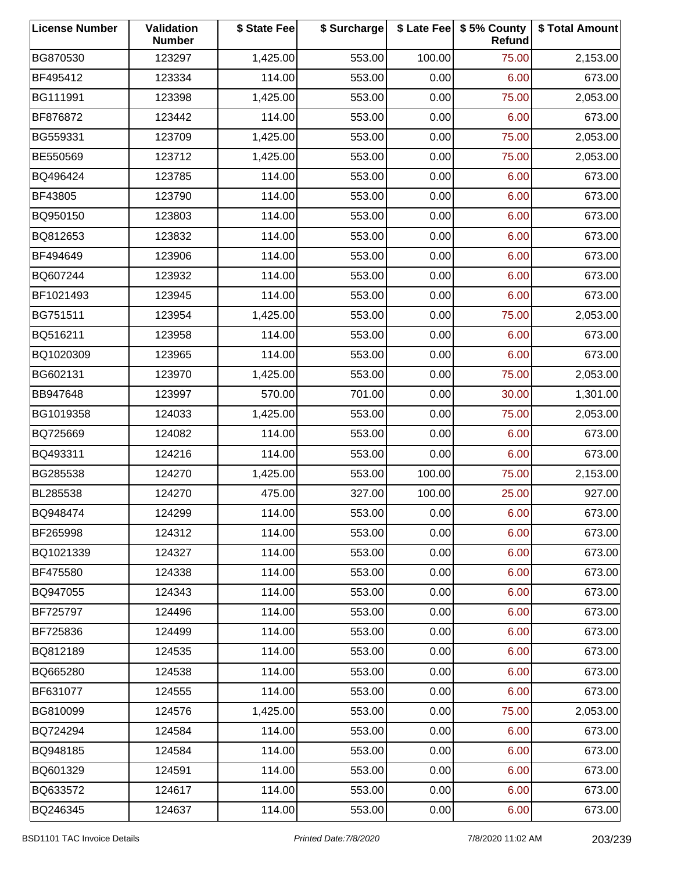| <b>License Number</b> | Validation<br><b>Number</b> | \$ State Fee | \$ Surcharge |        | \$ Late Fee   \$5% County<br>Refund | \$ Total Amount |
|-----------------------|-----------------------------|--------------|--------------|--------|-------------------------------------|-----------------|
| BG870530              | 123297                      | 1,425.00     | 553.00       | 100.00 | 75.00                               | 2,153.00        |
| BF495412              | 123334                      | 114.00       | 553.00       | 0.00   | 6.00                                | 673.00          |
| BG111991              | 123398                      | 1,425.00     | 553.00       | 0.00   | 75.00                               | 2,053.00        |
| BF876872              | 123442                      | 114.00       | 553.00       | 0.00   | 6.00                                | 673.00          |
| BG559331              | 123709                      | 1,425.00     | 553.00       | 0.00   | 75.00                               | 2,053.00        |
| BE550569              | 123712                      | 1,425.00     | 553.00       | 0.00   | 75.00                               | 2,053.00        |
| BQ496424              | 123785                      | 114.00       | 553.00       | 0.00   | 6.00                                | 673.00          |
| BF43805               | 123790                      | 114.00       | 553.00       | 0.00   | 6.00                                | 673.00          |
| BQ950150              | 123803                      | 114.00       | 553.00       | 0.00   | 6.00                                | 673.00          |
| BQ812653              | 123832                      | 114.00       | 553.00       | 0.00   | 6.00                                | 673.00          |
| BF494649              | 123906                      | 114.00       | 553.00       | 0.00   | 6.00                                | 673.00          |
| BQ607244              | 123932                      | 114.00       | 553.00       | 0.00   | 6.00                                | 673.00          |
| BF1021493             | 123945                      | 114.00       | 553.00       | 0.00   | 6.00                                | 673.00          |
| BG751511              | 123954                      | 1,425.00     | 553.00       | 0.00   | 75.00                               | 2,053.00        |
| BQ516211              | 123958                      | 114.00       | 553.00       | 0.00   | 6.00                                | 673.00          |
| BQ1020309             | 123965                      | 114.00       | 553.00       | 0.00   | 6.00                                | 673.00          |
| BG602131              | 123970                      | 1,425.00     | 553.00       | 0.00   | 75.00                               | 2,053.00        |
| BB947648              | 123997                      | 570.00       | 701.00       | 0.00   | 30.00                               | 1,301.00        |
| BG1019358             | 124033                      | 1,425.00     | 553.00       | 0.00   | 75.00                               | 2,053.00        |
| BQ725669              | 124082                      | 114.00       | 553.00       | 0.00   | 6.00                                | 673.00          |
| BQ493311              | 124216                      | 114.00       | 553.00       | 0.00   | 6.00                                | 673.00          |
| BG285538              | 124270                      | 1,425.00     | 553.00       | 100.00 | 75.00                               | 2,153.00        |
| BL285538              | 124270                      | 475.00       | 327.00       | 100.00 | 25.00                               | 927.00          |
| BQ948474              | 124299                      | 114.00       | 553.00       | 0.00   | 6.00                                | 673.00          |
| BF265998              | 124312                      | 114.00       | 553.00       | 0.00   | 6.00                                | 673.00          |
| BQ1021339             | 124327                      | 114.00       | 553.00       | 0.00   | 6.00                                | 673.00          |
| BF475580              | 124338                      | 114.00       | 553.00       | 0.00   | 6.00                                | 673.00          |
| BQ947055              | 124343                      | 114.00       | 553.00       | 0.00   | 6.00                                | 673.00          |
| BF725797              | 124496                      | 114.00       | 553.00       | 0.00   | 6.00                                | 673.00          |
| BF725836              | 124499                      | 114.00       | 553.00       | 0.00   | 6.00                                | 673.00          |
| BQ812189              | 124535                      | 114.00       | 553.00       | 0.00   | 6.00                                | 673.00          |
| BQ665280              | 124538                      | 114.00       | 553.00       | 0.00   | 6.00                                | 673.00          |
| BF631077              | 124555                      | 114.00       | 553.00       | 0.00   | 6.00                                | 673.00          |
| BG810099              | 124576                      | 1,425.00     | 553.00       | 0.00   | 75.00                               | 2,053.00        |
| BQ724294              | 124584                      | 114.00       | 553.00       | 0.00   | 6.00                                | 673.00          |
| BQ948185              | 124584                      | 114.00       | 553.00       | 0.00   | 6.00                                | 673.00          |
| BQ601329              | 124591                      | 114.00       | 553.00       | 0.00   | 6.00                                | 673.00          |
| BQ633572              | 124617                      | 114.00       | 553.00       | 0.00   | 6.00                                | 673.00          |
| BQ246345              | 124637                      | 114.00       | 553.00       | 0.00   | 6.00                                | 673.00          |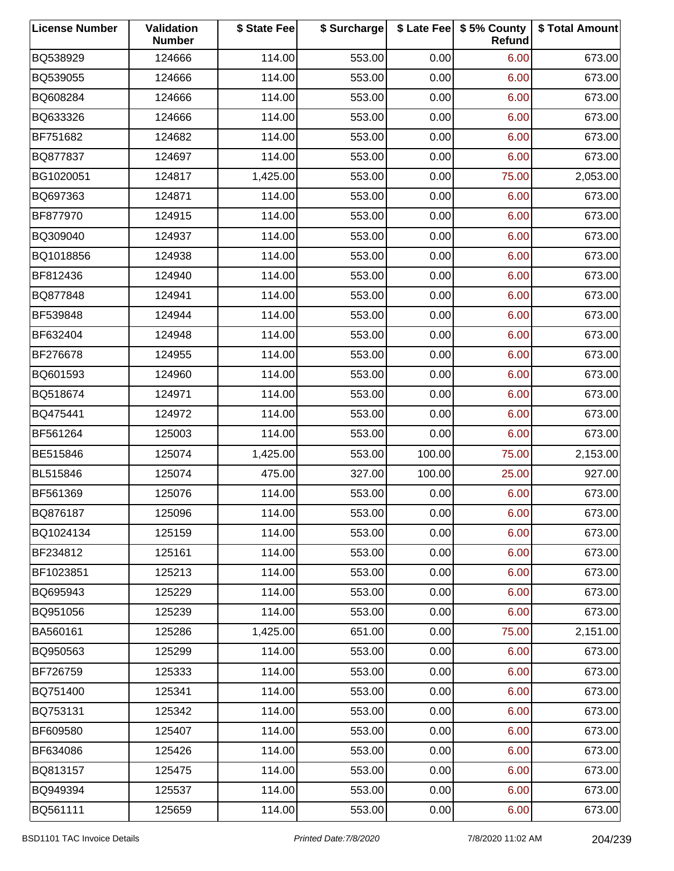| <b>License Number</b> | Validation<br><b>Number</b> | \$ State Fee | \$ Surcharge |        | \$ Late Fee   \$5% County<br>Refund | \$ Total Amount |
|-----------------------|-----------------------------|--------------|--------------|--------|-------------------------------------|-----------------|
| BQ538929              | 124666                      | 114.00       | 553.00       | 0.00   | 6.00                                | 673.00          |
| BQ539055              | 124666                      | 114.00       | 553.00       | 0.00   | 6.00                                | 673.00          |
| BQ608284              | 124666                      | 114.00       | 553.00       | 0.00   | 6.00                                | 673.00          |
| BQ633326              | 124666                      | 114.00       | 553.00       | 0.00   | 6.00                                | 673.00          |
| BF751682              | 124682                      | 114.00       | 553.00       | 0.00   | 6.00                                | 673.00          |
| BQ877837              | 124697                      | 114.00       | 553.00       | 0.00   | 6.00                                | 673.00          |
| BG1020051             | 124817                      | 1,425.00     | 553.00       | 0.00   | 75.00                               | 2,053.00        |
| BQ697363              | 124871                      | 114.00       | 553.00       | 0.00   | 6.00                                | 673.00          |
| BF877970              | 124915                      | 114.00       | 553.00       | 0.00   | 6.00                                | 673.00          |
| BQ309040              | 124937                      | 114.00       | 553.00       | 0.00   | 6.00                                | 673.00          |
| BQ1018856             | 124938                      | 114.00       | 553.00       | 0.00   | 6.00                                | 673.00          |
| BF812436              | 124940                      | 114.00       | 553.00       | 0.00   | 6.00                                | 673.00          |
| BQ877848              | 124941                      | 114.00       | 553.00       | 0.00   | 6.00                                | 673.00          |
| BF539848              | 124944                      | 114.00       | 553.00       | 0.00   | 6.00                                | 673.00          |
| BF632404              | 124948                      | 114.00       | 553.00       | 0.00   | 6.00                                | 673.00          |
| BF276678              | 124955                      | 114.00       | 553.00       | 0.00   | 6.00                                | 673.00          |
| BQ601593              | 124960                      | 114.00       | 553.00       | 0.00   | 6.00                                | 673.00          |
| BQ518674              | 124971                      | 114.00       | 553.00       | 0.00   | 6.00                                | 673.00          |
| BQ475441              | 124972                      | 114.00       | 553.00       | 0.00   | 6.00                                | 673.00          |
| BF561264              | 125003                      | 114.00       | 553.00       | 0.00   | 6.00                                | 673.00          |
| BE515846              | 125074                      | 1,425.00     | 553.00       | 100.00 | 75.00                               | 2,153.00        |
| BL515846              | 125074                      | 475.00       | 327.00       | 100.00 | 25.00                               | 927.00          |
| BF561369              | 125076                      | 114.00       | 553.00       | 0.00   | 6.00                                | 673.00          |
| BQ876187              | 125096                      | 114.00       | 553.00       | 0.00   | 6.00                                | 673.00          |
| BQ1024134             | 125159                      | 114.00       | 553.00       | 0.00   | 6.00                                | 673.00          |
| BF234812              | 125161                      | 114.00       | 553.00       | 0.00   | 6.00                                | 673.00          |
| BF1023851             | 125213                      | 114.00       | 553.00       | 0.00   | 6.00                                | 673.00          |
| BQ695943              | 125229                      | 114.00       | 553.00       | 0.00   | 6.00                                | 673.00          |
| BQ951056              | 125239                      | 114.00       | 553.00       | 0.00   | 6.00                                | 673.00          |
| BA560161              | 125286                      | 1,425.00     | 651.00       | 0.00   | 75.00                               | 2,151.00        |
| BQ950563              | 125299                      | 114.00       | 553.00       | 0.00   | 6.00                                | 673.00          |
| BF726759              | 125333                      | 114.00       | 553.00       | 0.00   | 6.00                                | 673.00          |
| BQ751400              | 125341                      | 114.00       | 553.00       | 0.00   | 6.00                                | 673.00          |
| BQ753131              | 125342                      | 114.00       | 553.00       | 0.00   | 6.00                                | 673.00          |
| BF609580              | 125407                      | 114.00       | 553.00       | 0.00   | 6.00                                | 673.00          |
| BF634086              | 125426                      | 114.00       | 553.00       | 0.00   | 6.00                                | 673.00          |
| BQ813157              | 125475                      | 114.00       | 553.00       | 0.00   | 6.00                                | 673.00          |
| BQ949394              | 125537                      | 114.00       | 553.00       | 0.00   | 6.00                                | 673.00          |
| BQ561111              | 125659                      | 114.00       | 553.00       | 0.00   | 6.00                                | 673.00          |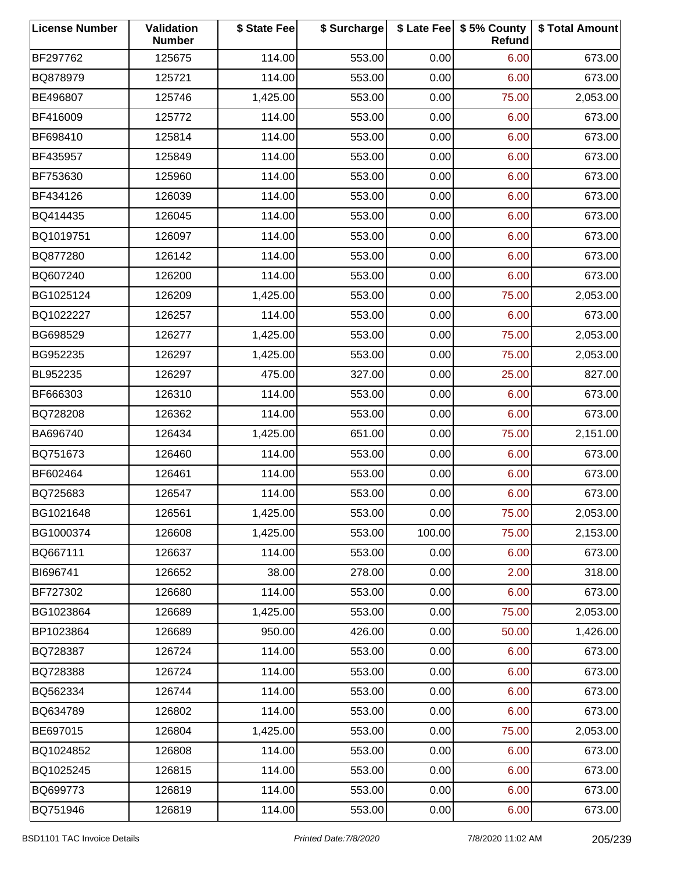| <b>License Number</b> | Validation<br><b>Number</b> | \$ State Fee | \$ Surcharge |        | \$ Late Fee   \$5% County<br>Refund | \$ Total Amount |
|-----------------------|-----------------------------|--------------|--------------|--------|-------------------------------------|-----------------|
| BF297762              | 125675                      | 114.00       | 553.00       | 0.00   | 6.00                                | 673.00          |
| BQ878979              | 125721                      | 114.00       | 553.00       | 0.00   | 6.00                                | 673.00          |
| BE496807              | 125746                      | 1,425.00     | 553.00       | 0.00   | 75.00                               | 2,053.00        |
| BF416009              | 125772                      | 114.00       | 553.00       | 0.00   | 6.00                                | 673.00          |
| BF698410              | 125814                      | 114.00       | 553.00       | 0.00   | 6.00                                | 673.00          |
| BF435957              | 125849                      | 114.00       | 553.00       | 0.00   | 6.00                                | 673.00          |
| BF753630              | 125960                      | 114.00       | 553.00       | 0.00   | 6.00                                | 673.00          |
| BF434126              | 126039                      | 114.00       | 553.00       | 0.00   | 6.00                                | 673.00          |
| BQ414435              | 126045                      | 114.00       | 553.00       | 0.00   | 6.00                                | 673.00          |
| BQ1019751             | 126097                      | 114.00       | 553.00       | 0.00   | 6.00                                | 673.00          |
| BQ877280              | 126142                      | 114.00       | 553.00       | 0.00   | 6.00                                | 673.00          |
| BQ607240              | 126200                      | 114.00       | 553.00       | 0.00   | 6.00                                | 673.00          |
| BG1025124             | 126209                      | 1,425.00     | 553.00       | 0.00   | 75.00                               | 2,053.00        |
| BQ1022227             | 126257                      | 114.00       | 553.00       | 0.00   | 6.00                                | 673.00          |
| BG698529              | 126277                      | 1,425.00     | 553.00       | 0.00   | 75.00                               | 2,053.00        |
| BG952235              | 126297                      | 1,425.00     | 553.00       | 0.00   | 75.00                               | 2,053.00        |
| BL952235              | 126297                      | 475.00       | 327.00       | 0.00   | 25.00                               | 827.00          |
| BF666303              | 126310                      | 114.00       | 553.00       | 0.00   | 6.00                                | 673.00          |
| BQ728208              | 126362                      | 114.00       | 553.00       | 0.00   | 6.00                                | 673.00          |
| BA696740              | 126434                      | 1,425.00     | 651.00       | 0.00   | 75.00                               | 2,151.00        |
| BQ751673              | 126460                      | 114.00       | 553.00       | 0.00   | 6.00                                | 673.00          |
| BF602464              | 126461                      | 114.00       | 553.00       | 0.00   | 6.00                                | 673.00          |
| BQ725683              | 126547                      | 114.00       | 553.00       | 0.00   | 6.00                                | 673.00          |
| BG1021648             | 126561                      | 1,425.00     | 553.00       | 0.00   | 75.00                               | 2,053.00        |
| BG1000374             | 126608                      | 1,425.00     | 553.00       | 100.00 | 75.00                               | 2,153.00        |
| BQ667111              | 126637                      | 114.00       | 553.00       | 0.00   | 6.00                                | 673.00          |
| BI696741              | 126652                      | 38.00        | 278.00       | 0.00   | 2.00                                | 318.00          |
| BF727302              | 126680                      | 114.00       | 553.00       | 0.00   | 6.00                                | 673.00          |
| BG1023864             | 126689                      | 1,425.00     | 553.00       | 0.00   | 75.00                               | 2,053.00        |
| BP1023864             | 126689                      | 950.00       | 426.00       | 0.00   | 50.00                               | 1,426.00        |
| BQ728387              | 126724                      | 114.00       | 553.00       | 0.00   | 6.00                                | 673.00          |
| BQ728388              | 126724                      | 114.00       | 553.00       | 0.00   | 6.00                                | 673.00          |
| BQ562334              | 126744                      | 114.00       | 553.00       | 0.00   | 6.00                                | 673.00          |
| BQ634789              | 126802                      | 114.00       | 553.00       | 0.00   | 6.00                                | 673.00          |
| BE697015              | 126804                      | 1,425.00     | 553.00       | 0.00   | 75.00                               | 2,053.00        |
| BQ1024852             | 126808                      | 114.00       | 553.00       | 0.00   | 6.00                                | 673.00          |
| BQ1025245             | 126815                      | 114.00       | 553.00       | 0.00   | 6.00                                | 673.00          |
| BQ699773              | 126819                      | 114.00       | 553.00       | 0.00   | 6.00                                | 673.00          |
| BQ751946              | 126819                      | 114.00       | 553.00       | 0.00   | 6.00                                | 673.00          |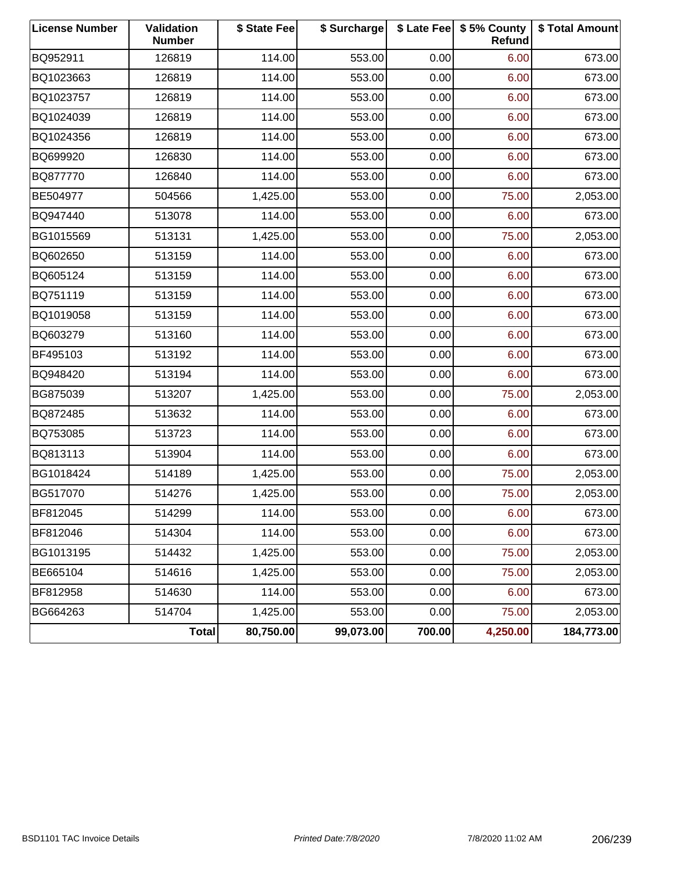| <b>License Number</b> | Validation<br><b>Number</b> | \$ State Fee | \$ Surcharge |        | \$ Late Fee   \$5% County<br>Refund | \$ Total Amount |
|-----------------------|-----------------------------|--------------|--------------|--------|-------------------------------------|-----------------|
| BQ952911              | 126819                      | 114.00       | 553.00       | 0.00   | 6.00                                | 673.00          |
| BQ1023663             | 126819                      | 114.00       | 553.00       | 0.00   | 6.00                                | 673.00          |
| BQ1023757             | 126819                      | 114.00       | 553.00       | 0.00   | 6.00                                | 673.00          |
| BQ1024039             | 126819                      | 114.00       | 553.00       | 0.00   | 6.00                                | 673.00          |
| BQ1024356             | 126819                      | 114.00       | 553.00       | 0.00   | 6.00                                | 673.00          |
| BQ699920              | 126830                      | 114.00       | 553.00       | 0.00   | 6.00                                | 673.00          |
| BQ877770              | 126840                      | 114.00       | 553.00       | 0.00   | 6.00                                | 673.00          |
| BE504977              | 504566                      | 1,425.00     | 553.00       | 0.00   | 75.00                               | 2,053.00        |
| BQ947440              | 513078                      | 114.00       | 553.00       | 0.00   | 6.00                                | 673.00          |
| BG1015569             | 513131                      | 1,425.00     | 553.00       | 0.00   | 75.00                               | 2,053.00        |
| BQ602650              | 513159                      | 114.00       | 553.00       | 0.00   | 6.00                                | 673.00          |
| BQ605124              | 513159                      | 114.00       | 553.00       | 0.00   | 6.00                                | 673.00          |
| BQ751119              | 513159                      | 114.00       | 553.00       | 0.00   | 6.00                                | 673.00          |
| BQ1019058             | 513159                      | 114.00       | 553.00       | 0.00   | 6.00                                | 673.00          |
| BQ603279              | 513160                      | 114.00       | 553.00       | 0.00   | 6.00                                | 673.00          |
| BF495103              | 513192                      | 114.00       | 553.00       | 0.00   | 6.00                                | 673.00          |
| BQ948420              | 513194                      | 114.00       | 553.00       | 0.00   | 6.00                                | 673.00          |
| BG875039              | 513207                      | 1,425.00     | 553.00       | 0.00   | 75.00                               | 2,053.00        |
| BQ872485              | 513632                      | 114.00       | 553.00       | 0.00   | 6.00                                | 673.00          |
| BQ753085              | 513723                      | 114.00       | 553.00       | 0.00   | 6.00                                | 673.00          |
| BQ813113              | 513904                      | 114.00       | 553.00       | 0.00   | 6.00                                | 673.00          |
| BG1018424             | 514189                      | 1,425.00     | 553.00       | 0.00   | 75.00                               | 2,053.00        |
| BG517070              | 514276                      | 1,425.00     | 553.00       | 0.00   | 75.00                               | 2,053.00        |
| BF812045              | 514299                      | 114.00       | 553.00       | 0.00   | 6.00                                | 673.00          |
| BF812046              | 514304                      | 114.00       | 553.00       | 0.00   | 6.00                                | 673.00          |
| BG1013195             | 514432                      | 1,425.00     | 553.00       | 0.00   | 75.00                               | 2,053.00        |
| BE665104              | 514616                      | 1,425.00     | 553.00       | 0.00   | 75.00                               | 2,053.00        |
| BF812958              | 514630                      | 114.00       | 553.00       | 0.00   | 6.00                                | 673.00          |
| BG664263              | 514704                      | 1,425.00     | 553.00       | 0.00   | 75.00                               | 2,053.00        |
|                       | <b>Total</b>                | 80,750.00    | 99,073.00    | 700.00 | 4,250.00                            | 184,773.00      |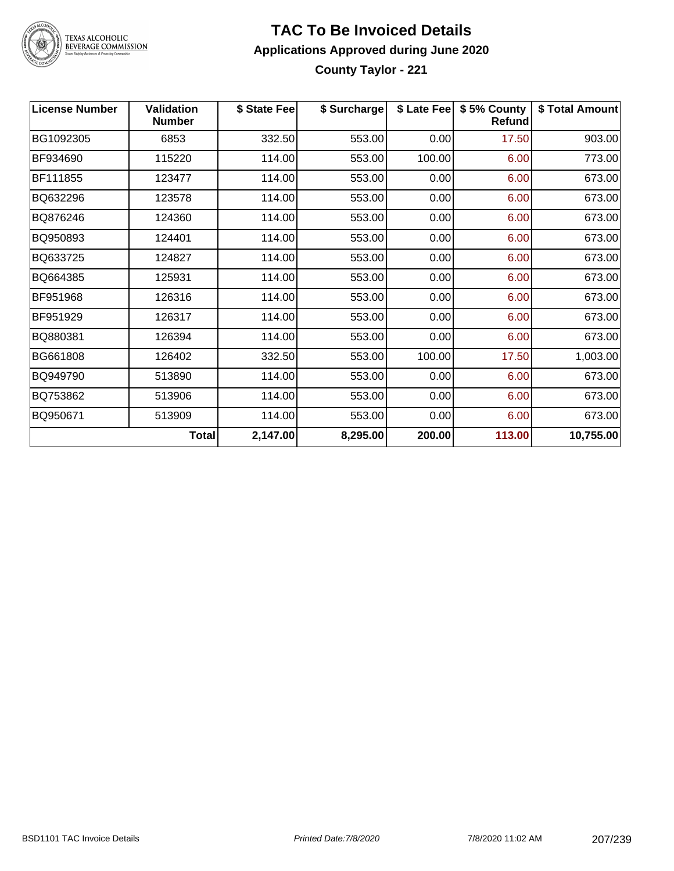

#### **TAC To Be Invoiced Details Applications Approved during June 2020 County Taylor - 221**

| <b>License Number</b> | <b>Validation</b><br><b>Number</b> | \$ State Fee | \$ Surcharge |        | \$ Late Fee   \$5% County<br><b>Refund</b> | \$ Total Amount |
|-----------------------|------------------------------------|--------------|--------------|--------|--------------------------------------------|-----------------|
| BG1092305             | 6853                               | 332.50       | 553.00       | 0.00   | 17.50                                      | 903.00          |
| BF934690              | 115220                             | 114.00       | 553.00       | 100.00 | 6.00                                       | 773.00          |
| BF111855              | 123477                             | 114.00       | 553.00       | 0.00   | 6.00                                       | 673.00          |
| BQ632296              | 123578                             | 114.00       | 553.00       | 0.00   | 6.00                                       | 673.00          |
| BQ876246              | 124360                             | 114.00       | 553.00       | 0.00   | 6.00                                       | 673.00          |
| BQ950893              | 124401                             | 114.00       | 553.00       | 0.00   | 6.00                                       | 673.00          |
| BQ633725              | 124827                             | 114.00       | 553.00       | 0.00   | 6.00                                       | 673.00          |
| BQ664385              | 125931                             | 114.00       | 553.00       | 0.00   | 6.00                                       | 673.00          |
| BF951968              | 126316                             | 114.00       | 553.00       | 0.00   | 6.00                                       | 673.00          |
| BF951929              | 126317                             | 114.00       | 553.00       | 0.00   | 6.00                                       | 673.00          |
| BQ880381              | 126394                             | 114.00       | 553.00       | 0.00   | 6.00                                       | 673.00          |
| BG661808              | 126402                             | 332.50       | 553.00       | 100.00 | 17.50                                      | 1,003.00        |
| BQ949790              | 513890                             | 114.00       | 553.00       | 0.00   | 6.00                                       | 673.00          |
| BQ753862              | 513906                             | 114.00       | 553.00       | 0.00   | 6.00                                       | 673.00          |
| BQ950671              | 513909                             | 114.00       | 553.00       | 0.00   | 6.00                                       | 673.00          |
|                       | <b>Total</b>                       | 2,147.00     | 8,295.00     | 200.00 | 113.00                                     | 10,755.00       |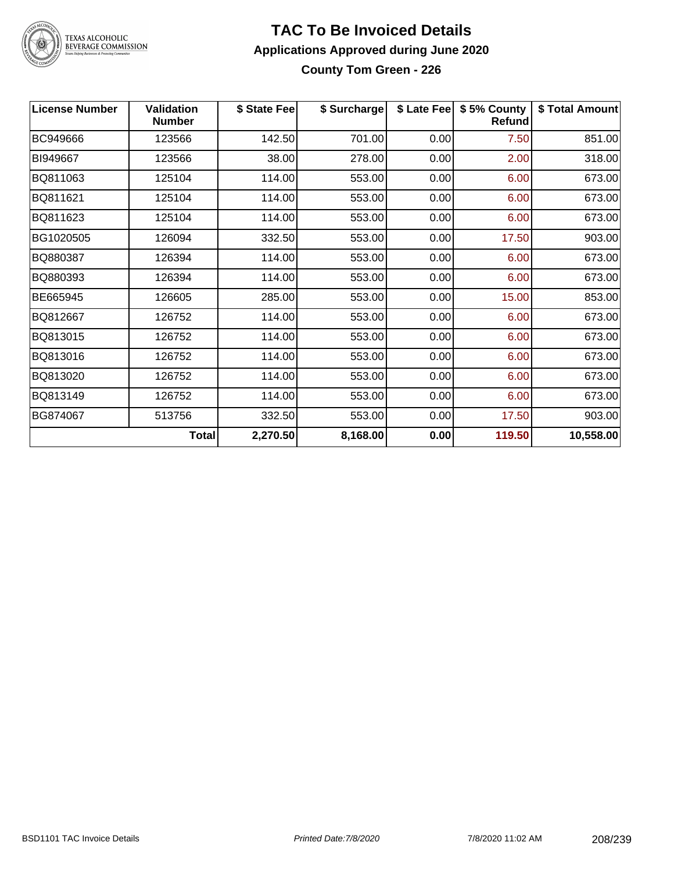

#### **TAC To Be Invoiced Details Applications Approved during June 2020 County Tom Green - 226**

| <b>License Number</b> | <b>Validation</b><br><b>Number</b> | \$ State Fee | \$ Surcharge |      | \$ Late Fee   \$5% County  <br><b>Refund</b> | \$ Total Amount |
|-----------------------|------------------------------------|--------------|--------------|------|----------------------------------------------|-----------------|
| BC949666              | 123566                             | 142.50       | 701.00       | 0.00 | 7.50                                         | 851.00          |
| BI949667              | 123566                             | 38.00        | 278.00       | 0.00 | 2.00                                         | 318.00          |
| BQ811063              | 125104                             | 114.00       | 553.00       | 0.00 | 6.00                                         | 673.00          |
| BQ811621              | 125104                             | 114.00       | 553.00       | 0.00 | 6.00                                         | 673.00          |
| BQ811623              | 125104                             | 114.00       | 553.00       | 0.00 | 6.00                                         | 673.00          |
| BG1020505             | 126094                             | 332.50       | 553.00       | 0.00 | 17.50                                        | 903.00          |
| BQ880387              | 126394                             | 114.00       | 553.00       | 0.00 | 6.00                                         | 673.00          |
| BQ880393              | 126394                             | 114.00       | 553.00       | 0.00 | 6.00                                         | 673.00          |
| BE665945              | 126605                             | 285.00       | 553.00       | 0.00 | 15.00                                        | 853.00          |
| BQ812667              | 126752                             | 114.00       | 553.00       | 0.00 | 6.00                                         | 673.00          |
| BQ813015              | 126752                             | 114.00       | 553.00       | 0.00 | 6.00                                         | 673.00          |
| BQ813016              | 126752                             | 114.00       | 553.00       | 0.00 | 6.00                                         | 673.00          |
| BQ813020              | 126752                             | 114.00       | 553.00       | 0.00 | 6.00                                         | 673.00          |
| BQ813149              | 126752                             | 114.00       | 553.00       | 0.00 | 6.00                                         | 673.00          |
| BG874067              | 513756                             | 332.50       | 553.00       | 0.00 | 17.50                                        | 903.00          |
|                       | <b>Total</b>                       | 2,270.50     | 8,168.00     | 0.00 | 119.50                                       | 10,558.00       |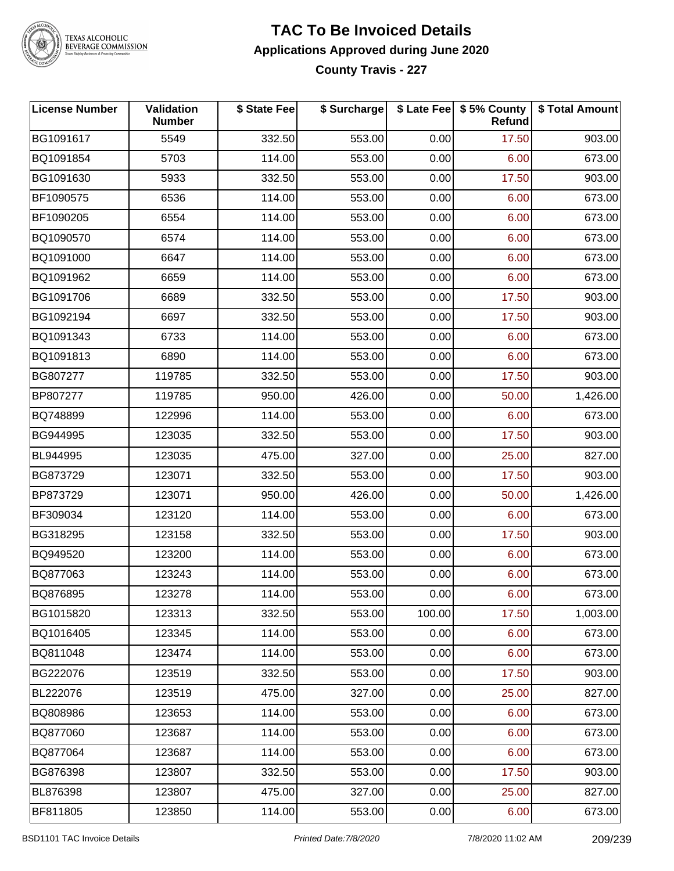

#### **TAC To Be Invoiced Details Applications Approved during June 2020 County Travis - 227**

**License Number Validation Number \$ State Fee \$ Surcharge \$ Late Fee \$ 5% County Refund \$ Total Amount** BG1091617 | 5549 | 332.50| 553.00| 0.00| 17.50| 903.00 BQ1091854 5703 114.00 553.00 0.00 6.00 673.00 BG1091630 | 5933 | 332.50| 553.00| 0.00| 17.50| 903.00 BF1090575 | 6536 | 114.00| 553.00| 0.00| 6.00| 673.00 BF1090205 6554 114.00 553.00 0.00 6.00 673.00 BQ1090570 6574 114.00 553.00 0.00 6.00 673.00 BQ1091000 6647 114.00 553.00 0.00 6.00 673.00 BQ1091962 | 6659 | 114.00| 553.00| 0.00| 6.00| 673.00 BG1091706 | 6689 | 332.50| 553.00| 0.00| 17.50| 903.00 BG1092194 | 6697 | 332.50| 553.00| 0.00| 17.50| 903.00 BQ1091343 | 6733 | 114.00| 553.00| 0.00| 6.00| 673.00 BQ1091813 | 6890 | 114.00| 553.00| 0.00| 6.00| 673.00 BG807277 | 119785 | 332.50| 553.00| 0.00| 17.50| 903.00 BP807277 119785 950.00 426.00 0.00 50.00 1,426.00 BQ748899 | 122996 | 114.00| 553.00| 0.00| 6.00| 673.00 BG944995 | 123035 | 332.50| 553.00| 0.00| 17.50| 903.00 BL944995 123035 475.00 327.00 0.00 25.00 827.00 BG873729 123071 332.50 553.00 0.00 17.50 903.00 BP873729 123071 950.00 426.00 0.00 50.00 1,426.00 BF309034 123120 114.00 553.00 0.00 6.00 673.00 BG318295 | 123158 | 332.50| 553.00| 0.00| 17.50| 903.00 BQ949520 | 123200 | 114.00| 553.00| 0.00| 6.00| 673.00 BQ877063 123243 114.00 553.00 0.00 6.00 673.00 BQ876895 123278 114.00 553.00 0.00 6.00 673.00 BG1015820 | 123313 | 332.50| 553.00| 100.00| 17.50| 1,003.00 BQ1016405 123345 114.00 553.00 0.00 6.00 673.00 BQ811048 123474 114.00 553.00 0.00 6.00 673.00 BG222076 | 123519 | 332.50| 553.00| 0.00| 17.50| 903.00 BL222076 123519 475.00 327.00 0.00 25.00 827.00 BQ808986 | 123653 | 114.00| 553.00| 0.00| 6.00| 673.00 BQ877060 123687 114.00 553.00 0.00 6.00 673.00 BQ877064 123687 114.00 553.00 0.00 6.00 673.00 BG876398 | 123807 | 332.50| 553.00| 0.00| 17.50| 903.00 BL876398 123807 475.00 327.00 0.00 25.00 827.00 BF811805 | 123850 | 114.00| 553.00| 0.00| 6.00| 673.00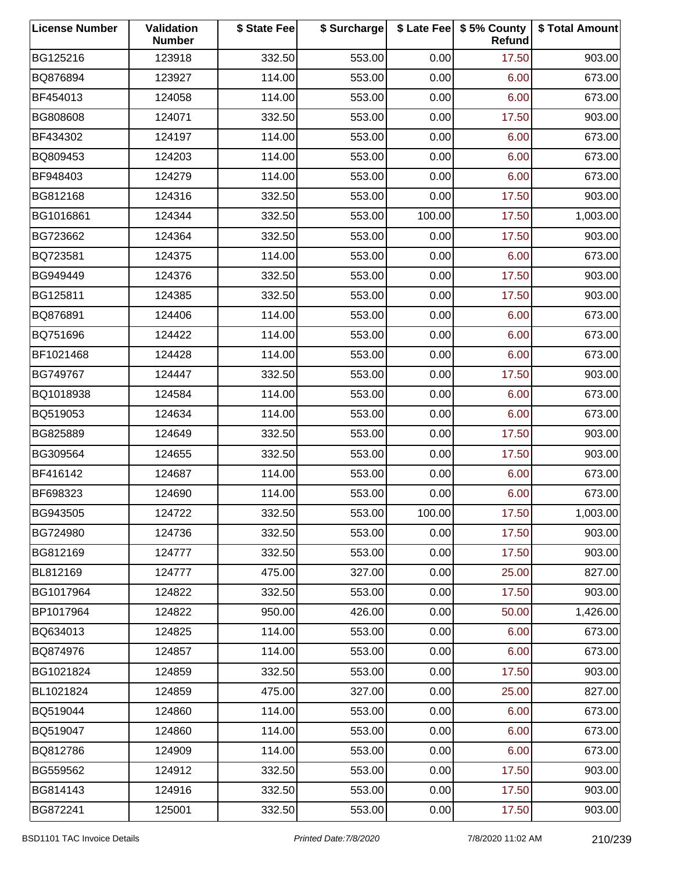| <b>License Number</b> | Validation<br><b>Number</b> | \$ State Fee | \$ Surcharge |        | \$ Late Fee   \$5% County<br>Refund | \$ Total Amount |
|-----------------------|-----------------------------|--------------|--------------|--------|-------------------------------------|-----------------|
| BG125216              | 123918                      | 332.50       | 553.00       | 0.00   | 17.50                               | 903.00          |
| BQ876894              | 123927                      | 114.00       | 553.00       | 0.00   | 6.00                                | 673.00          |
| BF454013              | 124058                      | 114.00       | 553.00       | 0.00   | 6.00                                | 673.00          |
| BG808608              | 124071                      | 332.50       | 553.00       | 0.00   | 17.50                               | 903.00          |
| BF434302              | 124197                      | 114.00       | 553.00       | 0.00   | 6.00                                | 673.00          |
| BQ809453              | 124203                      | 114.00       | 553.00       | 0.00   | 6.00                                | 673.00          |
| BF948403              | 124279                      | 114.00       | 553.00       | 0.00   | 6.00                                | 673.00          |
| BG812168              | 124316                      | 332.50       | 553.00       | 0.00   | 17.50                               | 903.00          |
| BG1016861             | 124344                      | 332.50       | 553.00       | 100.00 | 17.50                               | 1,003.00        |
| BG723662              | 124364                      | 332.50       | 553.00       | 0.00   | 17.50                               | 903.00          |
| BQ723581              | 124375                      | 114.00       | 553.00       | 0.00   | 6.00                                | 673.00          |
| BG949449              | 124376                      | 332.50       | 553.00       | 0.00   | 17.50                               | 903.00          |
| BG125811              | 124385                      | 332.50       | 553.00       | 0.00   | 17.50                               | 903.00          |
| BQ876891              | 124406                      | 114.00       | 553.00       | 0.00   | 6.00                                | 673.00          |
| BQ751696              | 124422                      | 114.00       | 553.00       | 0.00   | 6.00                                | 673.00          |
| BF1021468             | 124428                      | 114.00       | 553.00       | 0.00   | 6.00                                | 673.00          |
| BG749767              | 124447                      | 332.50       | 553.00       | 0.00   | 17.50                               | 903.00          |
| BQ1018938             | 124584                      | 114.00       | 553.00       | 0.00   | 6.00                                | 673.00          |
| BQ519053              | 124634                      | 114.00       | 553.00       | 0.00   | 6.00                                | 673.00          |
| BG825889              | 124649                      | 332.50       | 553.00       | 0.00   | 17.50                               | 903.00          |
| BG309564              | 124655                      | 332.50       | 553.00       | 0.00   | 17.50                               | 903.00          |
| BF416142              | 124687                      | 114.00       | 553.00       | 0.00   | 6.00                                | 673.00          |
| BF698323              | 124690                      | 114.00       | 553.00       | 0.00   | 6.00                                | 673.00          |
| BG943505              | 124722                      | 332.50       | 553.00       | 100.00 | 17.50                               | 1,003.00        |
| BG724980              | 124736                      | 332.50       | 553.00       | 0.00   | 17.50                               | 903.00          |
| BG812169              | 124777                      | 332.50       | 553.00       | 0.00   | 17.50                               | 903.00          |
| BL812169              | 124777                      | 475.00       | 327.00       | 0.00   | 25.00                               | 827.00          |
| BG1017964             | 124822                      | 332.50       | 553.00       | 0.00   | 17.50                               | 903.00          |
| BP1017964             | 124822                      | 950.00       | 426.00       | 0.00   | 50.00                               | 1,426.00        |
| BQ634013              | 124825                      | 114.00       | 553.00       | 0.00   | 6.00                                | 673.00          |
| BQ874976              | 124857                      | 114.00       | 553.00       | 0.00   | 6.00                                | 673.00          |
| BG1021824             | 124859                      | 332.50       | 553.00       | 0.00   | 17.50                               | 903.00          |
| BL1021824             | 124859                      | 475.00       | 327.00       | 0.00   | 25.00                               | 827.00          |
| BQ519044              | 124860                      | 114.00       | 553.00       | 0.00   | 6.00                                | 673.00          |
| BQ519047              | 124860                      | 114.00       | 553.00       | 0.00   | 6.00                                | 673.00          |
| BQ812786              | 124909                      | 114.00       | 553.00       | 0.00   | 6.00                                | 673.00          |
| BG559562              | 124912                      | 332.50       | 553.00       | 0.00   | 17.50                               | 903.00          |
| BG814143              | 124916                      | 332.50       | 553.00       | 0.00   | 17.50                               | 903.00          |
| BG872241              | 125001                      | 332.50       | 553.00       | 0.00   | 17.50                               | 903.00          |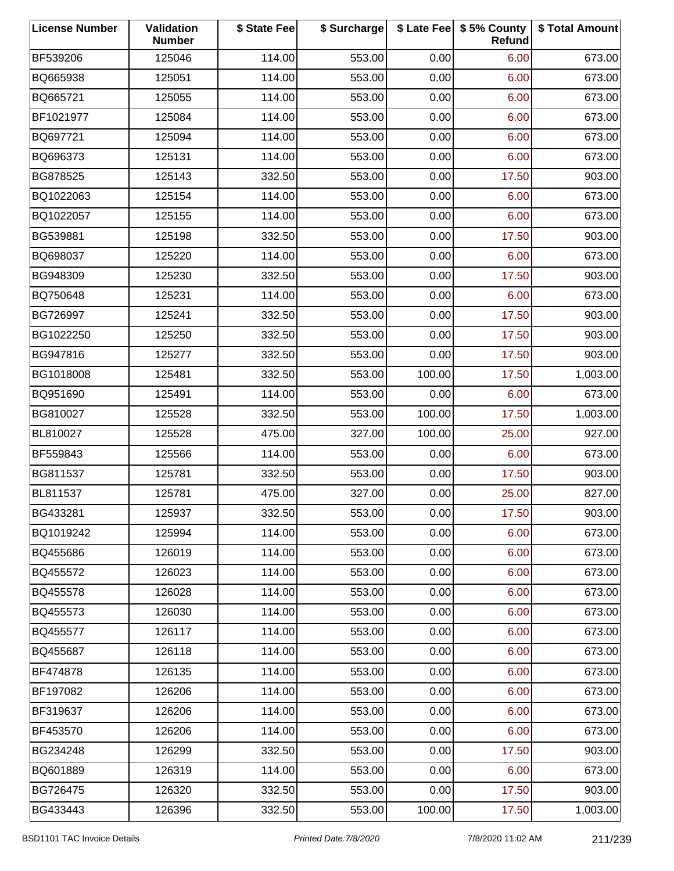| <b>License Number</b> | Validation<br><b>Number</b> | \$ State Fee | \$ Surcharge |        | \$ Late Fee   \$5% County<br>Refund | \$ Total Amount |
|-----------------------|-----------------------------|--------------|--------------|--------|-------------------------------------|-----------------|
| BF539206              | 125046                      | 114.00       | 553.00       | 0.00   | 6.00                                | 673.00          |
| BQ665938              | 125051                      | 114.00       | 553.00       | 0.00   | 6.00                                | 673.00          |
| BQ665721              | 125055                      | 114.00       | 553.00       | 0.00   | 6.00                                | 673.00          |
| BF1021977             | 125084                      | 114.00       | 553.00       | 0.00   | 6.00                                | 673.00          |
| BQ697721              | 125094                      | 114.00       | 553.00       | 0.00   | 6.00                                | 673.00          |
| BQ696373              | 125131                      | 114.00       | 553.00       | 0.00   | 6.00                                | 673.00          |
| BG878525              | 125143                      | 332.50       | 553.00       | 0.00   | 17.50                               | 903.00          |
| BQ1022063             | 125154                      | 114.00       | 553.00       | 0.00   | 6.00                                | 673.00          |
| BQ1022057             | 125155                      | 114.00       | 553.00       | 0.00   | 6.00                                | 673.00          |
| BG539881              | 125198                      | 332.50       | 553.00       | 0.00   | 17.50                               | 903.00          |
| BQ698037              | 125220                      | 114.00       | 553.00       | 0.00   | 6.00                                | 673.00          |
| BG948309              | 125230                      | 332.50       | 553.00       | 0.00   | 17.50                               | 903.00          |
| BQ750648              | 125231                      | 114.00       | 553.00       | 0.00   | 6.00                                | 673.00          |
| BG726997              | 125241                      | 332.50       | 553.00       | 0.00   | 17.50                               | 903.00          |
| BG1022250             | 125250                      | 332.50       | 553.00       | 0.00   | 17.50                               | 903.00          |
| BG947816              | 125277                      | 332.50       | 553.00       | 0.00   | 17.50                               | 903.00          |
| BG1018008             | 125481                      | 332.50       | 553.00       | 100.00 | 17.50                               | 1,003.00        |
| BQ951690              | 125491                      | 114.00       | 553.00       | 0.00   | 6.00                                | 673.00          |
| BG810027              | 125528                      | 332.50       | 553.00       | 100.00 | 17.50                               | 1,003.00        |
| BL810027              | 125528                      | 475.00       | 327.00       | 100.00 | 25.00                               | 927.00          |
| BF559843              | 125566                      | 114.00       | 553.00       | 0.00   | 6.00                                | 673.00          |
| BG811537              | 125781                      | 332.50       | 553.00       | 0.00   | 17.50                               | 903.00          |
| BL811537              | 125781                      | 475.00       | 327.00       | 0.00   | 25.00                               | 827.00          |
| BG433281              | 125937                      | 332.50       | 553.00       | 0.00   | 17.50                               | 903.00          |
| BQ1019242             | 125994                      | 114.00       | 553.00       | 0.00   | 6.00                                | 673.00          |
| BQ455686              | 126019                      | 114.00       | 553.00       | 0.00   | 6.00                                | 673.00          |
| BQ455572              | 126023                      | 114.00       | 553.00       | 0.00   | 6.00                                | 673.00          |
| BQ455578              | 126028                      | 114.00       | 553.00       | 0.00   | 6.00                                | 673.00          |
| BQ455573              | 126030                      | 114.00       | 553.00       | 0.00   | 6.00                                | 673.00          |
| BQ455577              | 126117                      | 114.00       | 553.00       | 0.00   | 6.00                                | 673.00          |
| BQ455687              | 126118                      | 114.00       | 553.00       | 0.00   | 6.00                                | 673.00          |
| BF474878              | 126135                      | 114.00       | 553.00       | 0.00   | 6.00                                | 673.00          |
| BF197082              | 126206                      | 114.00       | 553.00       | 0.00   | 6.00                                | 673.00          |
| BF319637              | 126206                      | 114.00       | 553.00       | 0.00   | 6.00                                | 673.00          |
| BF453570              | 126206                      | 114.00       | 553.00       | 0.00   | 6.00                                | 673.00          |
| BG234248              | 126299                      | 332.50       | 553.00       | 0.00   | 17.50                               | 903.00          |
| BQ601889              | 126319                      | 114.00       | 553.00       | 0.00   | 6.00                                | 673.00          |
| BG726475              | 126320                      | 332.50       | 553.00       | 0.00   | 17.50                               | 903.00          |
| BG433443              | 126396                      | 332.50       | 553.00       | 100.00 | 17.50                               | 1,003.00        |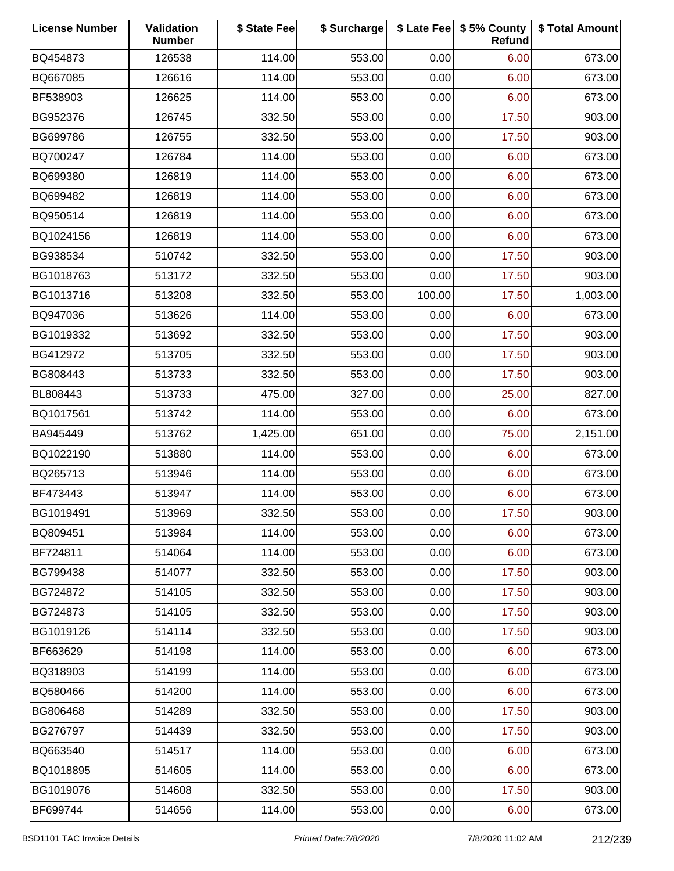| <b>License Number</b> | Validation<br><b>Number</b> | \$ State Fee | \$ Surcharge |        | \$ Late Fee   \$5% County<br>Refund | \$ Total Amount |
|-----------------------|-----------------------------|--------------|--------------|--------|-------------------------------------|-----------------|
| BQ454873              | 126538                      | 114.00       | 553.00       | 0.00   | 6.00                                | 673.00          |
| BQ667085              | 126616                      | 114.00       | 553.00       | 0.00   | 6.00                                | 673.00          |
| BF538903              | 126625                      | 114.00       | 553.00       | 0.00   | 6.00                                | 673.00          |
| BG952376              | 126745                      | 332.50       | 553.00       | 0.00   | 17.50                               | 903.00          |
| BG699786              | 126755                      | 332.50       | 553.00       | 0.00   | 17.50                               | 903.00          |
| BQ700247              | 126784                      | 114.00       | 553.00       | 0.00   | 6.00                                | 673.00          |
| BQ699380              | 126819                      | 114.00       | 553.00       | 0.00   | 6.00                                | 673.00          |
| BQ699482              | 126819                      | 114.00       | 553.00       | 0.00   | 6.00                                | 673.00          |
| BQ950514              | 126819                      | 114.00       | 553.00       | 0.00   | 6.00                                | 673.00          |
| BQ1024156             | 126819                      | 114.00       | 553.00       | 0.00   | 6.00                                | 673.00          |
| BG938534              | 510742                      | 332.50       | 553.00       | 0.00   | 17.50                               | 903.00          |
| BG1018763             | 513172                      | 332.50       | 553.00       | 0.00   | 17.50                               | 903.00          |
| BG1013716             | 513208                      | 332.50       | 553.00       | 100.00 | 17.50                               | 1,003.00        |
| BQ947036              | 513626                      | 114.00       | 553.00       | 0.00   | 6.00                                | 673.00          |
| BG1019332             | 513692                      | 332.50       | 553.00       | 0.00   | 17.50                               | 903.00          |
| BG412972              | 513705                      | 332.50       | 553.00       | 0.00   | 17.50                               | 903.00          |
| BG808443              | 513733                      | 332.50       | 553.00       | 0.00   | 17.50                               | 903.00          |
| BL808443              | 513733                      | 475.00       | 327.00       | 0.00   | 25.00                               | 827.00          |
| BQ1017561             | 513742                      | 114.00       | 553.00       | 0.00   | 6.00                                | 673.00          |
| BA945449              | 513762                      | 1,425.00     | 651.00       | 0.00   | 75.00                               | 2,151.00        |
| BQ1022190             | 513880                      | 114.00       | 553.00       | 0.00   | 6.00                                | 673.00          |
| BQ265713              | 513946                      | 114.00       | 553.00       | 0.00   | 6.00                                | 673.00          |
| BF473443              | 513947                      | 114.00       | 553.00       | 0.00   | 6.00                                | 673.00          |
| BG1019491             | 513969                      | 332.50       | 553.00       | 0.00   | 17.50                               | 903.00          |
| BQ809451              | 513984                      | 114.00       | 553.00       | 0.00   | 6.00                                | 673.00          |
| BF724811              | 514064                      | 114.00       | 553.00       | 0.00   | 6.00                                | 673.00          |
| BG799438              | 514077                      | 332.50       | 553.00       | 0.00   | 17.50                               | 903.00          |
| BG724872              | 514105                      | 332.50       | 553.00       | 0.00   | 17.50                               | 903.00          |
| BG724873              | 514105                      | 332.50       | 553.00       | 0.00   | 17.50                               | 903.00          |
| BG1019126             | 514114                      | 332.50       | 553.00       | 0.00   | 17.50                               | 903.00          |
| BF663629              | 514198                      | 114.00       | 553.00       | 0.00   | 6.00                                | 673.00          |
| BQ318903              | 514199                      | 114.00       | 553.00       | 0.00   | 6.00                                | 673.00          |
| BQ580466              | 514200                      | 114.00       | 553.00       | 0.00   | 6.00                                | 673.00          |
| BG806468              | 514289                      | 332.50       | 553.00       | 0.00   | 17.50                               | 903.00          |
| BG276797              | 514439                      | 332.50       | 553.00       | 0.00   | 17.50                               | 903.00          |
| BQ663540              | 514517                      | 114.00       | 553.00       | 0.00   | 6.00                                | 673.00          |
| BQ1018895             | 514605                      | 114.00       | 553.00       | 0.00   | 6.00                                | 673.00          |
| BG1019076             | 514608                      | 332.50       | 553.00       | 0.00   | 17.50                               | 903.00          |
| BF699744              | 514656                      | 114.00       | 553.00       | 0.00   | 6.00                                | 673.00          |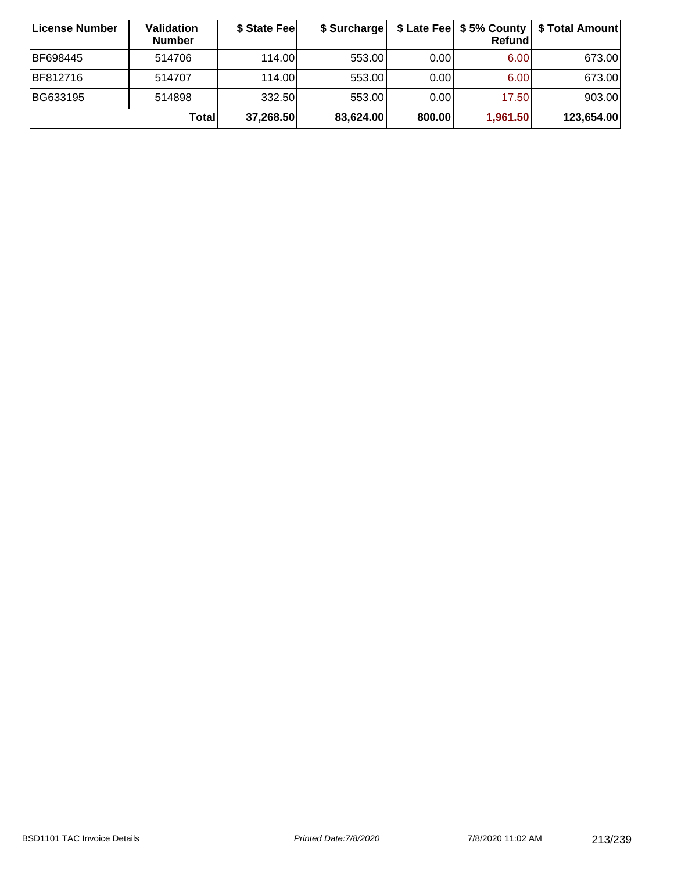| ∣License Number | Validation<br><b>Number</b> | \$ State Fee | \$ Surcharge |        | Refundl  | \$ Late Fee   \$5% County   \$ Total Amount |
|-----------------|-----------------------------|--------------|--------------|--------|----------|---------------------------------------------|
| BF698445        | 514706                      | 114.00       | 553.00       | 0.001  | 6.00     | 673.00                                      |
| BF812716        | 514707                      | 114.00       | 553.00       | 0.00   | 6.00     | 673.00                                      |
| BG633195        | 514898                      | 332.50       | 553.00       | 0.00   | 17.50    | 903.00                                      |
|                 | Total                       | 37,268.50    | 83,624.00    | 800.00 | 1,961.50 | 123,654.00                                  |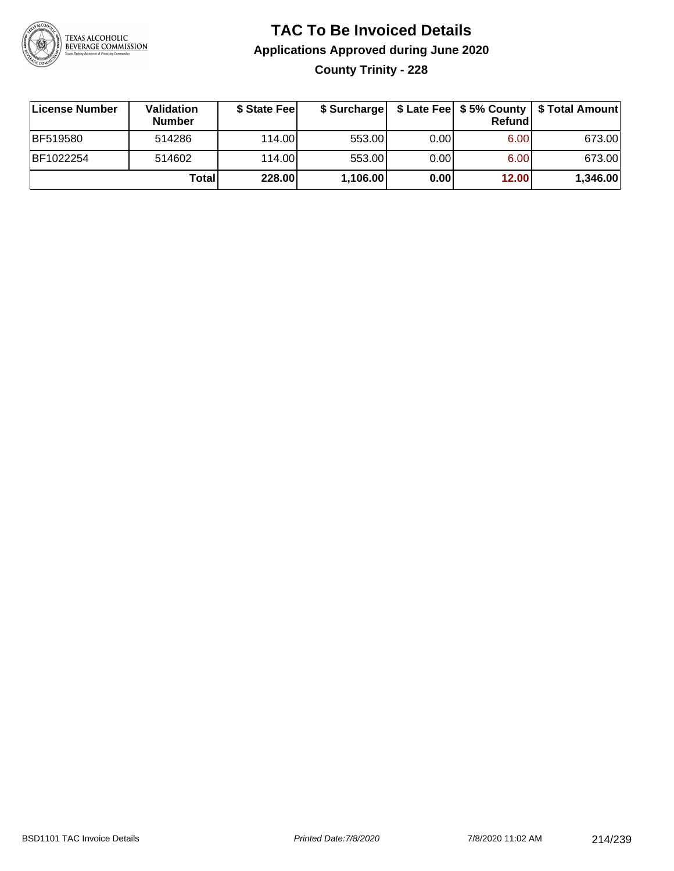

# **TAC To Be Invoiced Details Applications Approved during June 2020 County Trinity - 228**

| License Number  | <b>Validation</b><br><b>Number</b> | \$ State Feel | \$ Surcharge |      | Refund | \$ Late Fee   \$5% County   \$ Total Amount |
|-----------------|------------------------------------|---------------|--------------|------|--------|---------------------------------------------|
| <b>BF519580</b> | 514286                             | 114.00L       | 553.00       | 0.00 | 6.00   | 673.00                                      |
| BF1022254       | 514602                             | 114.00L       | 553.00       | 0.00 | 6.00   | 673.00                                      |
|                 | Totall                             | 228.00        | 1,106.00     | 0.00 | 12.00  | 1,346.00                                    |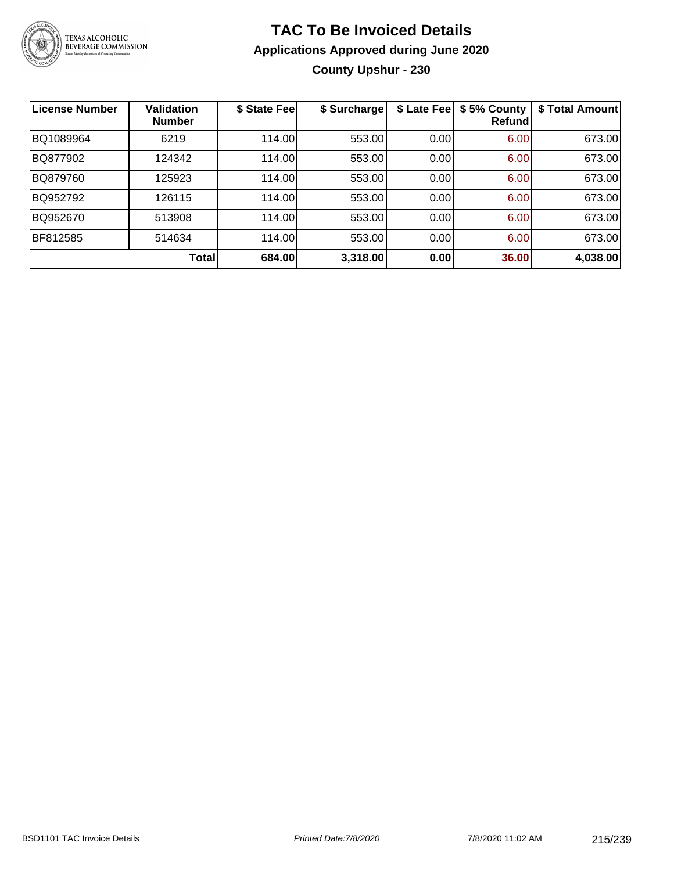

# **TAC To Be Invoiced Details Applications Approved during June 2020 County Upshur - 230**

| <b>License Number</b> | <b>Validation</b><br><b>Number</b> | \$ State Fee | \$ Surcharge | \$ Late Fee | \$5% County<br>Refund | \$ Total Amount |
|-----------------------|------------------------------------|--------------|--------------|-------------|-----------------------|-----------------|
| BQ1089964             | 6219                               | 114.00       | 553.00       | 0.00        | 6.00                  | 673.00          |
| BQ877902              | 124342                             | 114.00       | 553.00       | 0.00        | 6.00                  | 673.00          |
| BQ879760              | 125923                             | 114.00       | 553.00       | 0.00        | 6.00                  | 673.00          |
| BQ952792              | 126115                             | 114.00       | 553.00       | 0.00        | 6.00                  | 673.00          |
| BQ952670              | 513908                             | 114.00       | 553.00       | 0.00        | 6.00                  | 673.00          |
| BF812585              | 514634                             | 114.00       | 553.00       | 0.00        | 6.00                  | 673.00          |
|                       | Total                              | 684.00       | 3,318.00     | 0.00        | 36.00                 | 4,038.00        |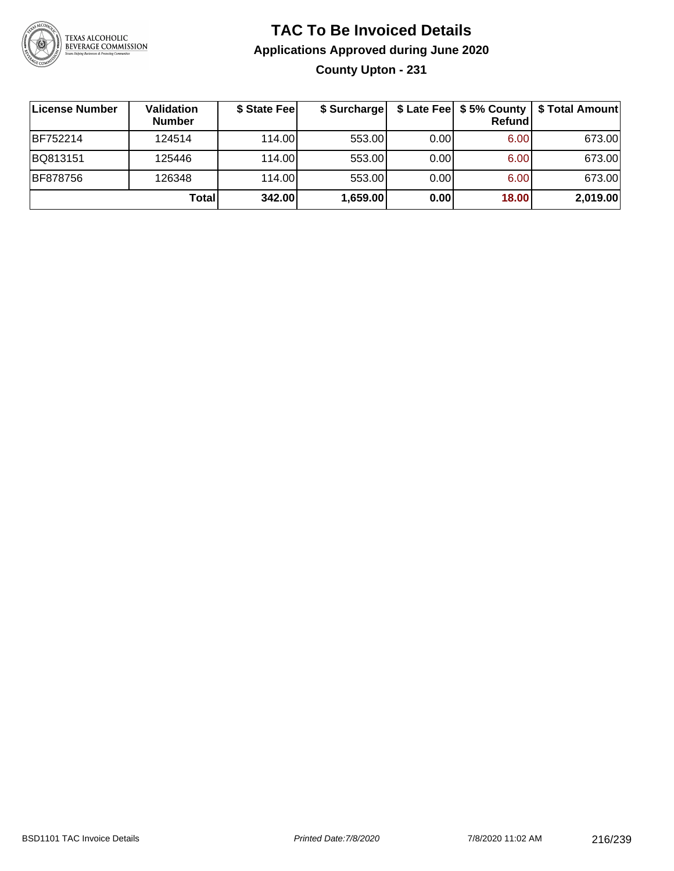

# **TAC To Be Invoiced Details Applications Approved during June 2020 County Upton - 231**

| ∣License Number | <b>Validation</b><br><b>Number</b> | \$ State Fee | \$ Surcharge |      | \$ Late Fee   \$5% County  <br>Refund | \$ Total Amount |
|-----------------|------------------------------------|--------------|--------------|------|---------------------------------------|-----------------|
| BF752214        | 124514                             | 114.00       | 553.00       | 0.00 | 6.00                                  | 673.00          |
| BQ813151        | 125446                             | 114.00       | 553.00       | 0.00 | 6.00                                  | 673.00          |
| BF878756        | 126348                             | 114.00       | 553.00       | 0.00 | 6.00                                  | 673.00          |
|                 | Total                              | 342.00       | 1,659.00     | 0.00 | 18.00                                 | 2,019.00        |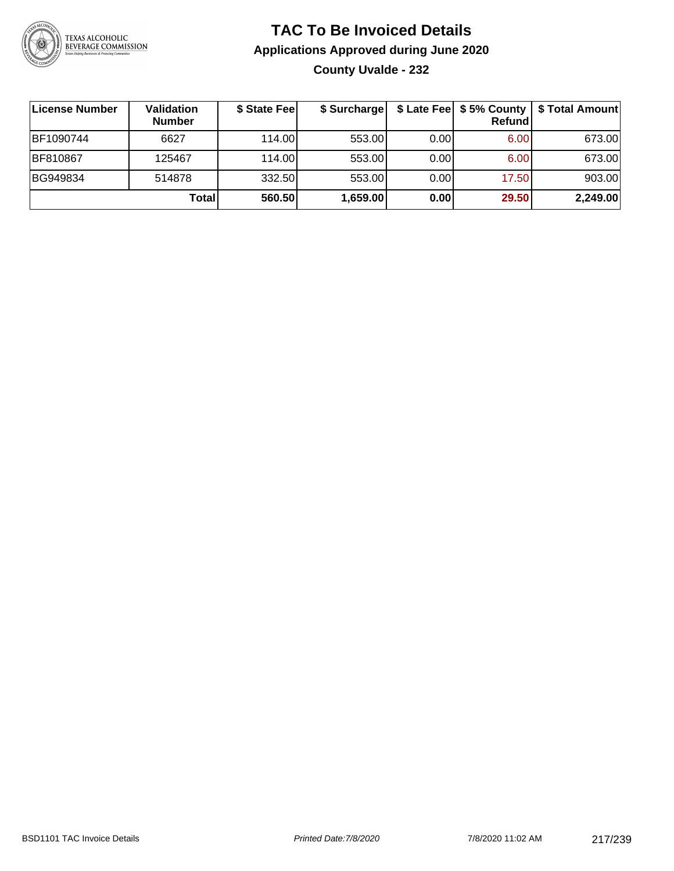

#### **TAC To Be Invoiced Details Applications Approved during June 2020 County Uvalde - 232**

| License Number | Validation<br><b>Number</b> | \$ State Fee | \$ Surcharge |      | \$ Late Fee   \$5% County<br>Refundl | \$ Total Amount |
|----------------|-----------------------------|--------------|--------------|------|--------------------------------------|-----------------|
| BF1090744      | 6627                        | 114.00       | 553.00       | 0.00 | 6.00                                 | 673.00          |
| BF810867       | 125467                      | 114.00       | 553.00       | 0.00 | 6.00                                 | 673.00          |
| BG949834       | 514878                      | 332.50       | 553.00       | 0.00 | 17.50                                | 903.00          |
|                | Total                       | 560.50       | 1,659.00     | 0.00 | 29.50                                | 2,249.00        |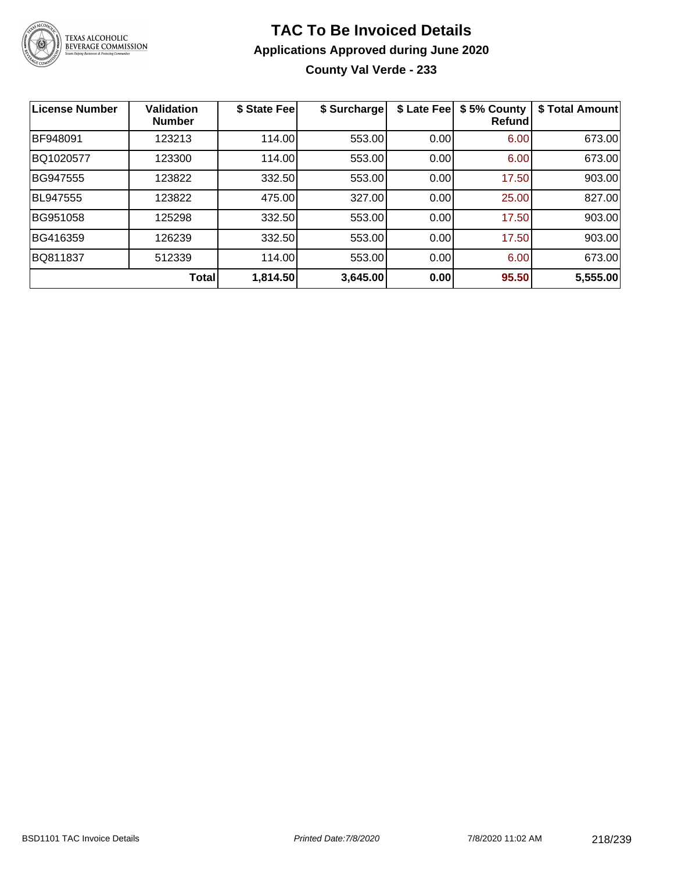

#### **TAC To Be Invoiced Details Applications Approved during June 2020 County Val Verde - 233**

| <b>License Number</b> | <b>Validation</b><br><b>Number</b> | \$ State Fee | \$ Surcharge | \$ Late Fee | \$5% County<br><b>Refund</b> | \$ Total Amount |
|-----------------------|------------------------------------|--------------|--------------|-------------|------------------------------|-----------------|
| BF948091              | 123213                             | 114.00       | 553.00       | 0.00        | 6.00                         | 673.00          |
| BQ1020577             | 123300                             | 114.00       | 553.00       | 0.00        | 6.00                         | 673.00          |
| BG947555              | 123822                             | 332.50       | 553.00       | 0.00        | 17.50                        | 903.00          |
| <b>BL947555</b>       | 123822                             | 475.00       | 327.00       | 0.00        | 25.00                        | 827.00          |
| BG951058              | 125298                             | 332.50       | 553.00       | 0.00        | 17.50                        | 903.00          |
| BG416359              | 126239                             | 332.50       | 553.00       | 0.00        | 17.50                        | 903.00          |
| BQ811837              | 512339                             | 114.00       | 553.00       | 0.00        | 6.00                         | 673.00          |
|                       | Total                              | 1,814.50     | 3,645.00     | 0.00        | 95.50                        | 5,555.00        |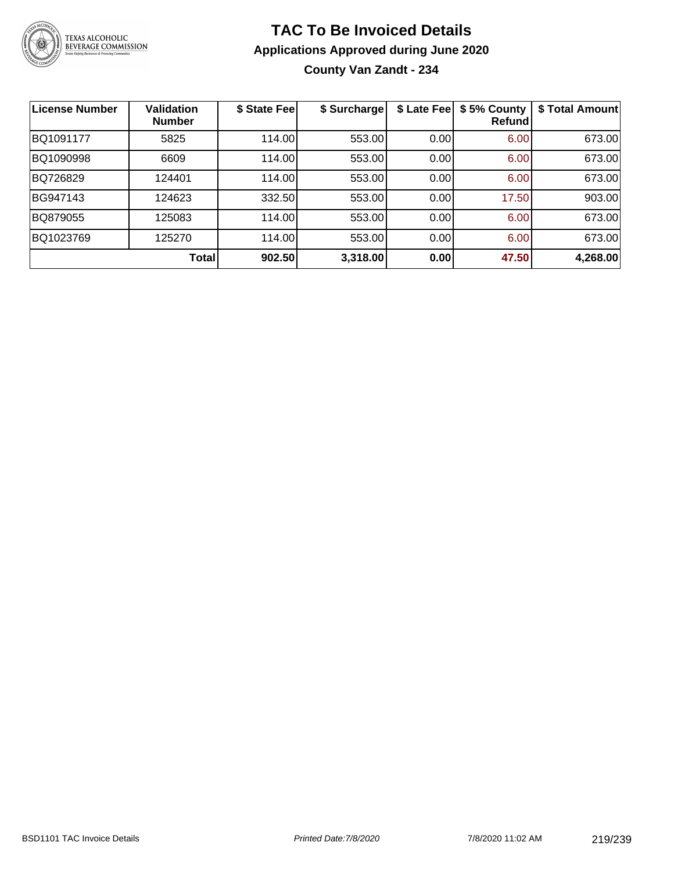

#### **TAC To Be Invoiced Details Applications Approved during June 2020 County Van Zandt - 234**

| <b>License Number</b> | <b>Validation</b><br><b>Number</b> | \$ State Fee | \$ Surcharge | \$ Late Fee | \$5% County<br>Refundl | \$ Total Amount |
|-----------------------|------------------------------------|--------------|--------------|-------------|------------------------|-----------------|
| BQ1091177             | 5825                               | 114.00       | 553.00       | 0.00        | 6.00                   | 673.00          |
| BQ1090998             | 6609                               | 114.00       | 553.00       | 0.00        | 6.00                   | 673.00          |
| BQ726829              | 124401                             | 114.00       | 553.00       | 0.00        | 6.00                   | 673.00          |
| BG947143              | 124623                             | 332.50       | 553.00       | 0.00        | 17.50                  | 903.00          |
| BQ879055              | 125083                             | 114.00       | 553.00       | 0.00        | 6.00                   | 673.00          |
| BQ1023769             | 125270                             | 114.00       | 553.00       | 0.00        | 6.00                   | 673.00          |
|                       | <b>Total</b>                       | 902.50       | 3,318.00     | 0.00        | 47.50                  | 4,268.00        |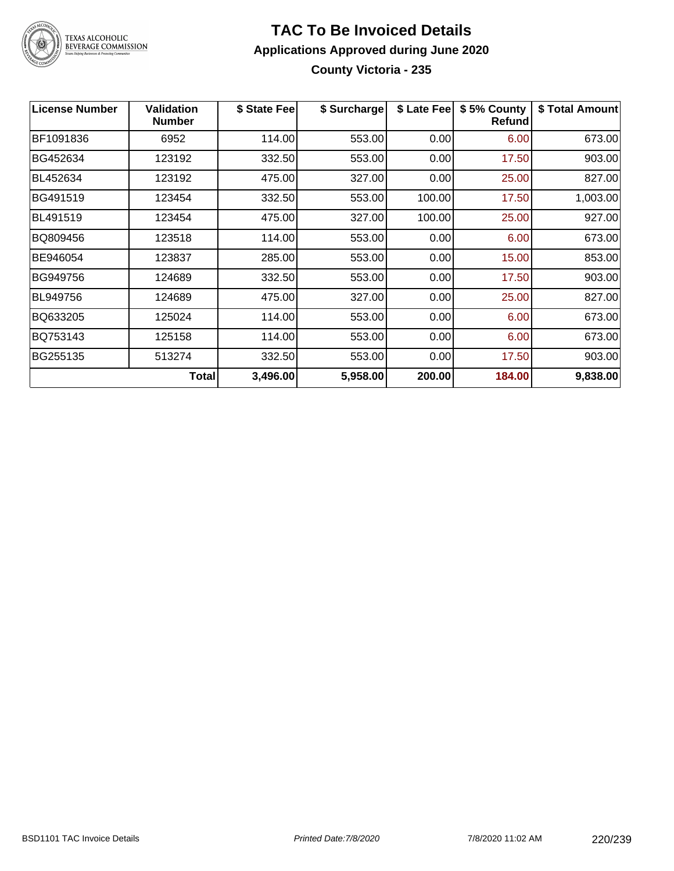

#### **TAC To Be Invoiced Details Applications Approved during June 2020 County Victoria - 235**

| <b>License Number</b> | Validation<br><b>Number</b> | \$ State Fee | \$ Surcharge | \$ Late Fee | \$5% County<br>Refundl | \$ Total Amount |
|-----------------------|-----------------------------|--------------|--------------|-------------|------------------------|-----------------|
| BF1091836             | 6952                        | 114.00       | 553.00       | 0.00        | 6.00                   | 673.00          |
| BG452634              | 123192                      | 332.50       | 553.00       | 0.00        | 17.50                  | 903.00          |
| BL452634              | 123192                      | 475.00       | 327.00       | 0.00        | 25.00                  | 827.00          |
| BG491519              | 123454                      | 332.50       | 553.00       | 100.00      | 17.50                  | 1,003.00        |
| BL491519              | 123454                      | 475.00       | 327.00       | 100.00      | 25.00                  | 927.00          |
| BQ809456              | 123518                      | 114.00       | 553.00       | 0.00        | 6.00                   | 673.00          |
| BE946054              | 123837                      | 285.00       | 553.00       | 0.00        | 15.00                  | 853.00          |
| BG949756              | 124689                      | 332.50       | 553.00       | 0.00        | 17.50                  | 903.00          |
| BL949756              | 124689                      | 475.00       | 327.00       | 0.00        | 25.00                  | 827.00          |
| BQ633205              | 125024                      | 114.00       | 553.00       | 0.00        | 6.00                   | 673.00          |
| BQ753143              | 125158                      | 114.00       | 553.00       | 0.00        | 6.00                   | 673.00          |
| BG255135              | 513274                      | 332.50       | 553.00       | 0.00        | 17.50                  | 903.00          |
|                       | <b>Total</b>                | 3,496.00     | 5,958.00     | 200.00      | 184.00                 | 9,838.00        |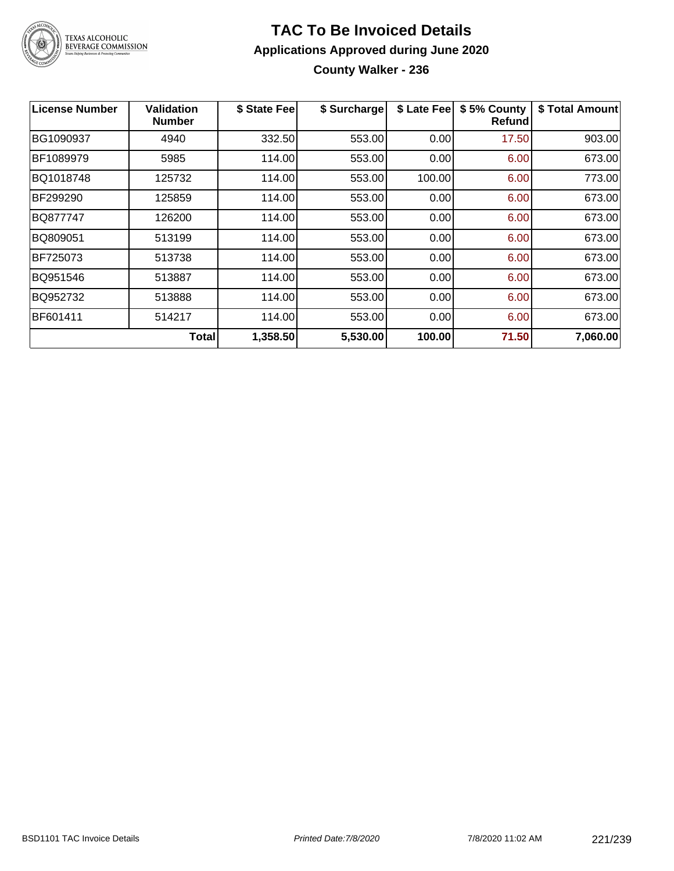

#### **TAC To Be Invoiced Details Applications Approved during June 2020 County Walker - 236**

| License Number | <b>Validation</b><br><b>Number</b> | \$ State Fee | \$ Surcharge | \$ Late Fee | \$5% County<br><b>Refund</b> | \$ Total Amount |
|----------------|------------------------------------|--------------|--------------|-------------|------------------------------|-----------------|
| BG1090937      | 4940                               | 332.50       | 553.00       | 0.00        | 17.50                        | 903.00          |
| BF1089979      | 5985                               | 114.00       | 553.00       | 0.00        | 6.00                         | 673.00          |
| BQ1018748      | 125732                             | 114.00       | 553.00       | 100.00      | 6.00                         | 773.00          |
| BF299290       | 125859                             | 114.00       | 553.00       | 0.00        | 6.00                         | 673.00          |
| BQ877747       | 126200                             | 114.00       | 553.00       | 0.00        | 6.00                         | 673.00          |
| BQ809051       | 513199                             | 114.00       | 553.00       | 0.00        | 6.00                         | 673.00          |
| BF725073       | 513738                             | 114.00       | 553.00       | 0.00        | 6.00                         | 673.00          |
| BQ951546       | 513887                             | 114.00       | 553.00       | 0.00        | 6.00                         | 673.00          |
| BQ952732       | 513888                             | 114.00       | 553.00       | 0.00        | 6.00                         | 673.00          |
| BF601411       | 514217                             | 114.00       | 553.00       | 0.00        | 6.00                         | 673.00          |
|                | <b>Total</b>                       | 1,358.50     | 5,530.00     | 100.00      | 71.50                        | 7,060.00        |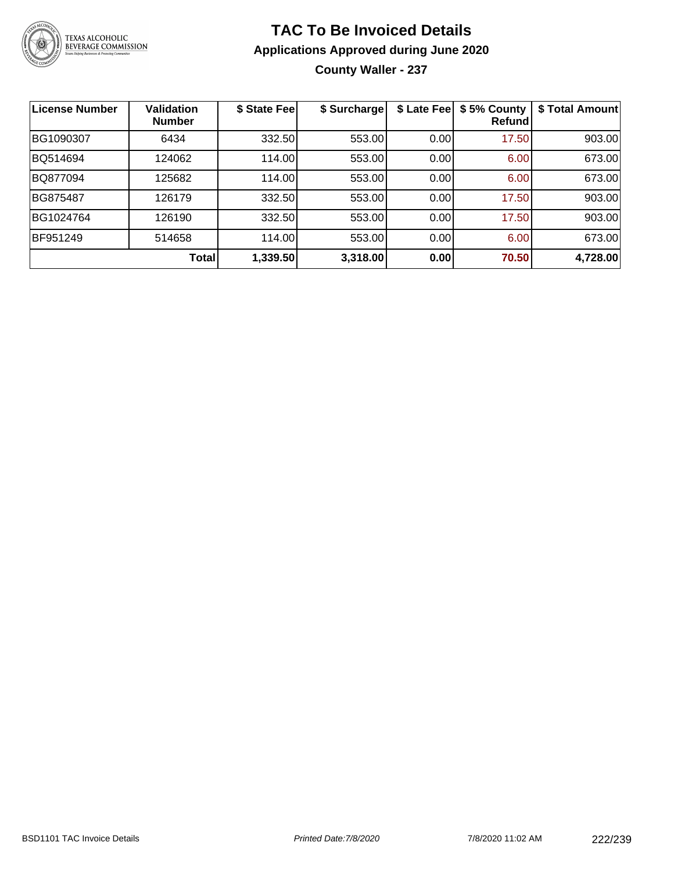

## **TAC To Be Invoiced Details Applications Approved during June 2020**

**County Waller - 237**

| License Number | <b>Validation</b><br><b>Number</b> | \$ State Fee | \$ Surcharge | \$ Late Fee | \$5% County<br>Refundl | \$ Total Amount |
|----------------|------------------------------------|--------------|--------------|-------------|------------------------|-----------------|
| BG1090307      | 6434                               | 332.50       | 553.00       | 0.00        | 17.50                  | 903.00          |
| BQ514694       | 124062                             | 114.00       | 553.00       | 0.00        | 6.00                   | 673.00          |
| BQ877094       | 125682                             | 114.00       | 553.00       | 0.00        | 6.00                   | 673.00          |
| BG875487       | 126179                             | 332.50       | 553.00       | 0.00        | 17.50                  | 903.00          |
| BG1024764      | 126190                             | 332.50       | 553.00       | 0.00        | 17.50                  | 903.00          |
| BF951249       | 514658                             | 114.00       | 553.00       | 0.00        | 6.00                   | 673.00          |
|                | <b>Total</b>                       | 1,339.50     | 3,318.00     | 0.00        | 70.50                  | 4,728.00        |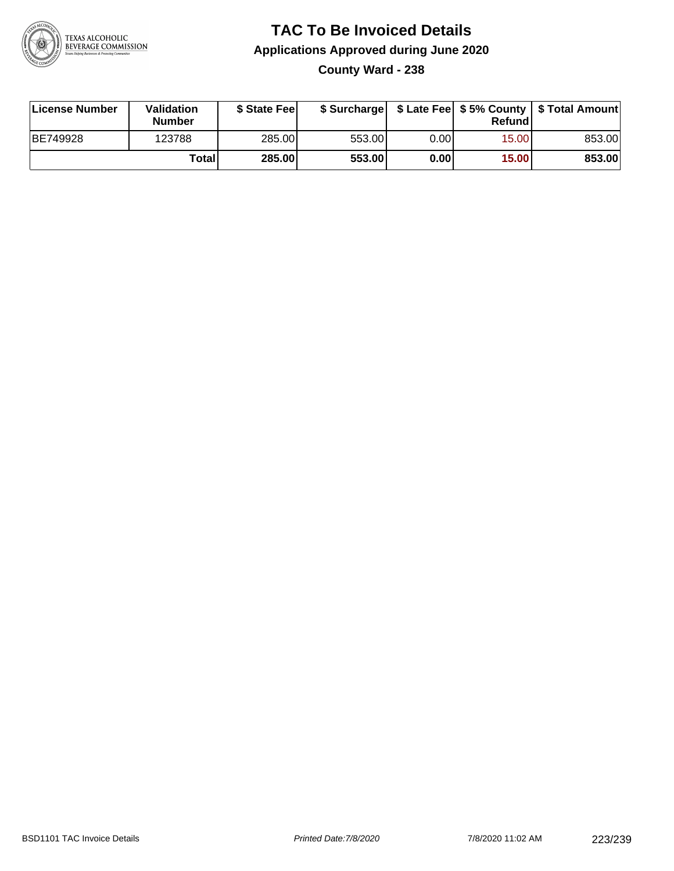

#### **TAC To Be Invoiced Details Applications Approved during June 2020 County Ward - 238**

**License Number Validation Number \$ State Fee \$ Surcharge \$ Late Fee \$ 5% County Refund \$ Total Amount** BE749928 123788 285.00 553.00 0.00 15.00 853.00 **Total 285.00 553.00 0.00 15.00 853.00**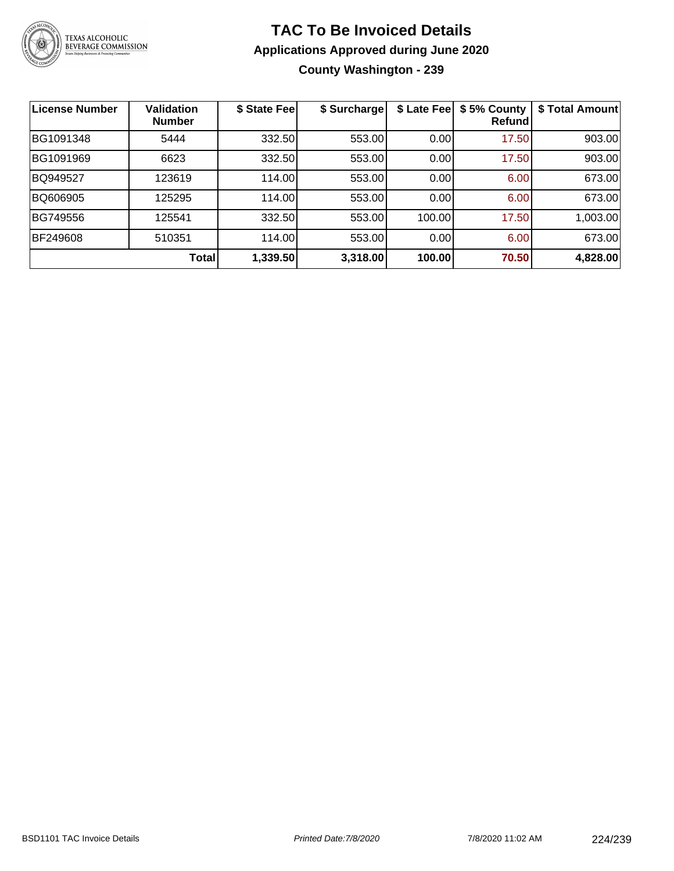

#### **TAC To Be Invoiced Details Applications Approved during June 2020 County Washington - 239**

| <b>License Number</b> | <b>Validation</b><br><b>Number</b> | \$ State Fee | \$ Surcharge | \$ Late Fee | \$5% County<br>Refundl | \$ Total Amount |
|-----------------------|------------------------------------|--------------|--------------|-------------|------------------------|-----------------|
| BG1091348             | 5444                               | 332.50       | 553.00       | 0.00        | 17.50                  | 903.00          |
| BG1091969             | 6623                               | 332.50       | 553.00       | 0.00        | 17.50                  | 903.00          |
| BQ949527              | 123619                             | 114.00       | 553.00       | 0.00        | 6.00                   | 673.00          |
| BQ606905              | 125295                             | 114.00       | 553.00       | 0.00        | 6.00                   | 673.00          |
| BG749556              | 125541                             | 332.50       | 553.00       | 100.00      | 17.50                  | 1,003.00        |
| BF249608              | 510351                             | 114.00       | 553.00       | 0.00        | 6.00                   | 673.00          |
|                       | Total                              | 1,339.50     | 3,318.00     | 100.00      | 70.50                  | 4,828.00        |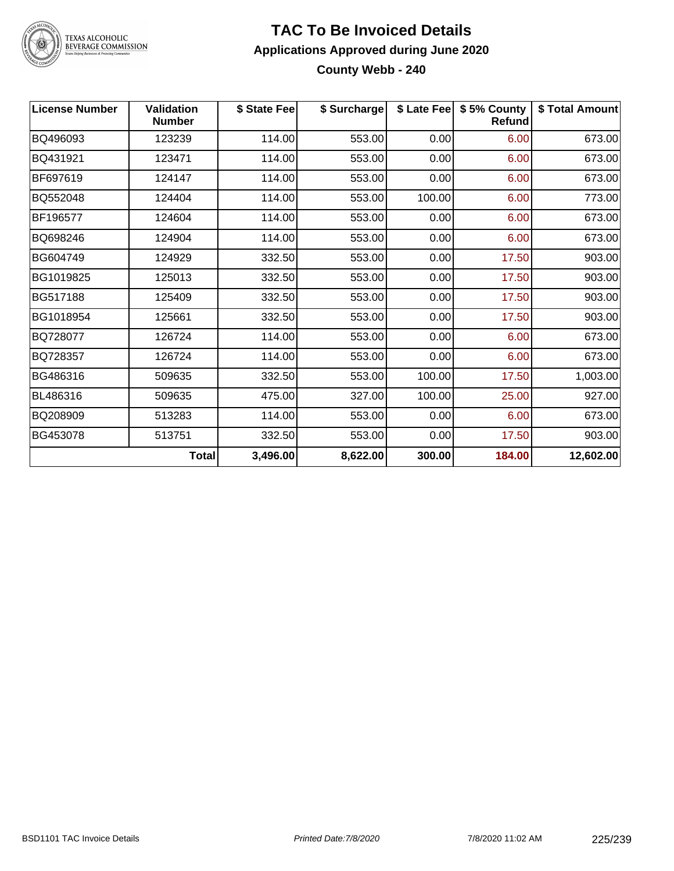

## TEXAS ALCOHOLIC<br>BEVERAGE COMMISSION

#### **TAC To Be Invoiced Details Applications Approved during June 2020 County Webb - 240**

| <b>License Number</b> | <b>Validation</b><br><b>Number</b> | \$ State Fee | \$ Surcharge |        | \$ Late Fee   \$5% County<br><b>Refund</b> | \$ Total Amount |
|-----------------------|------------------------------------|--------------|--------------|--------|--------------------------------------------|-----------------|
| BQ496093              | 123239                             | 114.00       | 553.00       | 0.00   | 6.00                                       | 673.00          |
| BQ431921              | 123471                             | 114.00       | 553.00       | 0.00   | 6.00                                       | 673.00          |
| BF697619              | 124147                             | 114.00       | 553.00       | 0.00   | 6.00                                       | 673.00          |
| BQ552048              | 124404                             | 114.00       | 553.00       | 100.00 | 6.00                                       | 773.00          |
| BF196577              | 124604                             | 114.00       | 553.00       | 0.00   | 6.00                                       | 673.00          |
| BQ698246              | 124904                             | 114.00       | 553.00       | 0.00   | 6.00                                       | 673.00          |
| BG604749              | 124929                             | 332.50       | 553.00       | 0.00   | 17.50                                      | 903.00          |
| BG1019825             | 125013                             | 332.50       | 553.00       | 0.00   | 17.50                                      | 903.00          |
| BG517188              | 125409                             | 332.50       | 553.00       | 0.00   | 17.50                                      | 903.00          |
| BG1018954             | 125661                             | 332.50       | 553.00       | 0.00   | 17.50                                      | 903.00          |
| BQ728077              | 126724                             | 114.00       | 553.00       | 0.00   | 6.00                                       | 673.00          |
| BQ728357              | 126724                             | 114.00       | 553.00       | 0.00   | 6.00                                       | 673.00          |
| BG486316              | 509635                             | 332.50       | 553.00       | 100.00 | 17.50                                      | 1,003.00        |
| BL486316              | 509635                             | 475.00       | 327.00       | 100.00 | 25.00                                      | 927.00          |
| BQ208909              | 513283                             | 114.00       | 553.00       | 0.00   | 6.00                                       | 673.00          |
| BG453078              | 513751                             | 332.50       | 553.00       | 0.00   | 17.50                                      | 903.00          |
|                       | <b>Total</b>                       | 3,496.00     | 8,622.00     | 300.00 | 184.00                                     | 12,602.00       |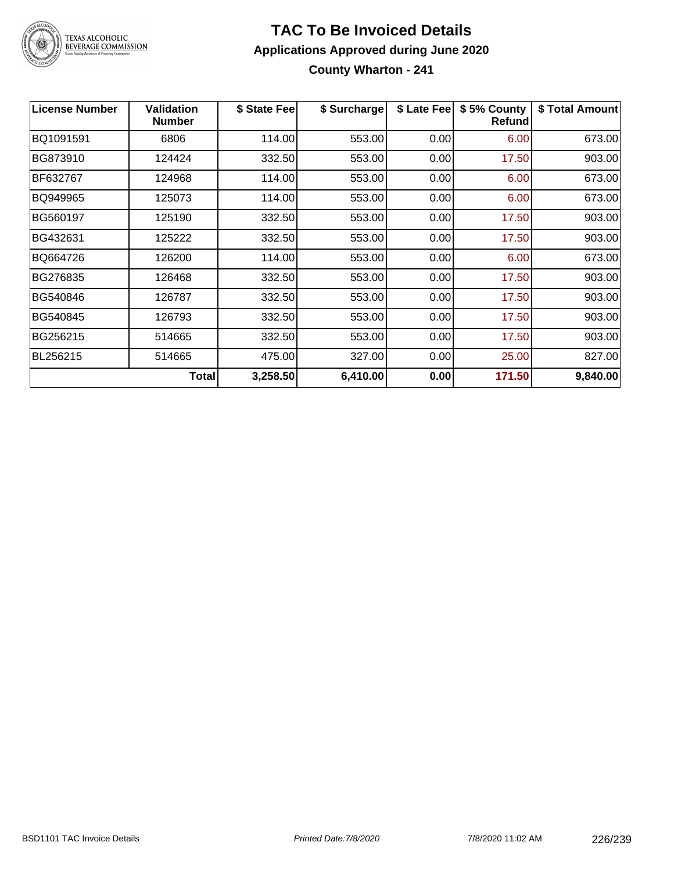

# TEXAS ALCOHOLIC<br>BEVERAGE COMMISSION

#### **TAC To Be Invoiced Details Applications Approved during June 2020 County Wharton - 241**

| <b>License Number</b> | <b>Validation</b><br><b>Number</b> | \$ State Fee | \$ Surcharge | \$ Late Fee | \$5% County<br>Refundl | \$ Total Amount |
|-----------------------|------------------------------------|--------------|--------------|-------------|------------------------|-----------------|
| BQ1091591             | 6806                               | 114.00       | 553.00       | 0.00        | 6.00                   | 673.00          |
| BG873910              | 124424                             | 332.50       | 553.00       | 0.00        | 17.50                  | 903.00          |
| BF632767              | 124968                             | 114.00       | 553.00       | 0.00        | 6.00                   | 673.00          |
| BQ949965              | 125073                             | 114.00       | 553.00       | 0.00        | 6.00                   | 673.00          |
| BG560197              | 125190                             | 332.50       | 553.00       | 0.00        | 17.50                  | 903.00          |
| BG432631              | 125222                             | 332.50       | 553.00       | 0.00        | 17.50                  | 903.00          |
| BQ664726              | 126200                             | 114.00       | 553.00       | 0.00        | 6.00                   | 673.00          |
| BG276835              | 126468                             | 332.50       | 553.00       | 0.00        | 17.50                  | 903.00          |
| BG540846              | 126787                             | 332.50       | 553.00       | 0.00        | 17.50                  | 903.00          |
| BG540845              | 126793                             | 332.50       | 553.00       | 0.00        | 17.50                  | 903.00          |
| BG256215              | 514665                             | 332.50       | 553.00       | 0.00        | 17.50                  | 903.00          |
| BL256215              | 514665                             | 475.00       | 327.00       | 0.00        | 25.00                  | 827.00          |
|                       | <b>Total</b>                       | 3,258.50     | 6,410.00     | 0.00        | 171.50                 | 9,840.00        |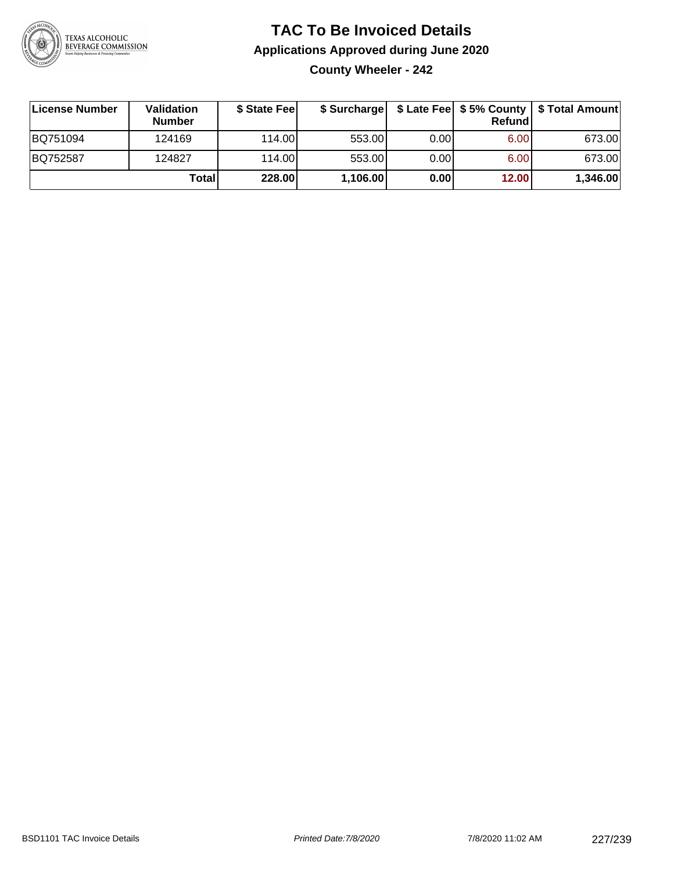

#### **TAC To Be Invoiced Details Applications Approved during June 2020 County Wheeler - 242**

| ∣License Number | <b>Validation</b><br><b>Number</b> | \$ State Fee | \$ Surcharge |       | <b>Refund</b> | \$ Late Fee   \$5% County   \$ Total Amount |
|-----------------|------------------------------------|--------------|--------------|-------|---------------|---------------------------------------------|
| BQ751094        | 124169                             | 114.00L      | 553.00       | 0.001 | 6.00          | 673.00                                      |
| BQ752587        | 124827                             | 114.00       | 553.00       | 0.00  | 6.00          | 673.00                                      |
|                 | Total                              | 228.00       | 1,106.00     | 0.00  | 12.00         | 1,346.00                                    |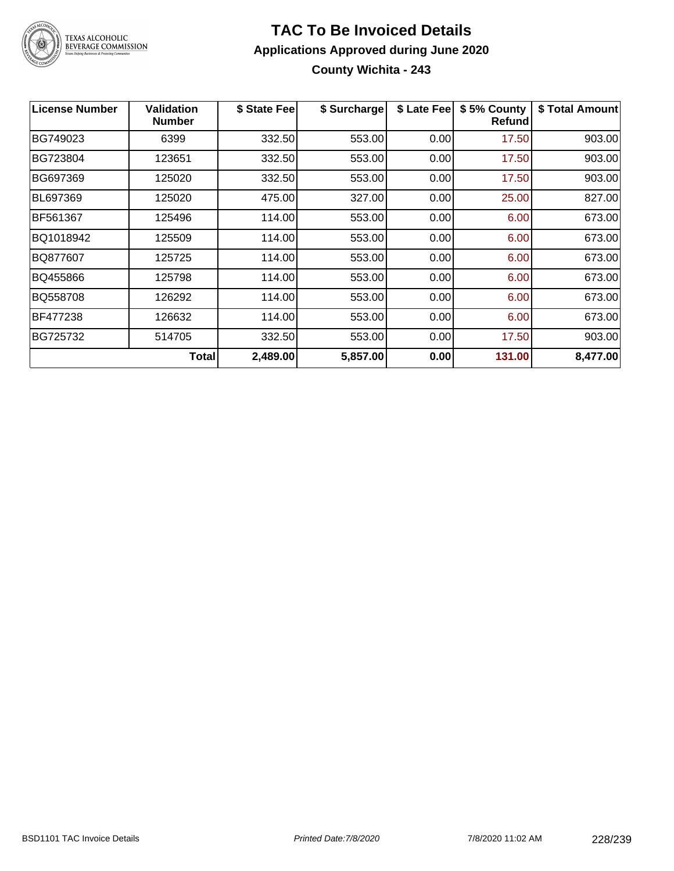

#### **TAC To Be Invoiced Details Applications Approved during June 2020 County Wichita - 243**

| <b>License Number</b> | <b>Validation</b><br><b>Number</b> | \$ State Fee | \$ Surcharge | \$ Late Fee | \$5% County<br><b>Refund</b> | \$ Total Amount |
|-----------------------|------------------------------------|--------------|--------------|-------------|------------------------------|-----------------|
| BG749023              | 6399                               | 332.50       | 553.00       | 0.00        | 17.50                        | 903.00          |
| BG723804              | 123651                             | 332.50       | 553.00       | 0.00        | 17.50                        | 903.00          |
| BG697369              | 125020                             | 332.50       | 553.00       | 0.00        | 17.50                        | 903.00          |
| BL697369              | 125020                             | 475.00       | 327.00       | 0.00        | 25.00                        | 827.00          |
| BF561367              | 125496                             | 114.00       | 553.00       | 0.00        | 6.00                         | 673.00          |
| BQ1018942             | 125509                             | 114.00       | 553.00       | 0.00        | 6.00                         | 673.00          |
| BQ877607              | 125725                             | 114.00       | 553.00       | 0.00        | 6.00                         | 673.00          |
| BQ455866              | 125798                             | 114.00       | 553.00       | 0.00        | 6.00                         | 673.00          |
| BQ558708              | 126292                             | 114.00       | 553.00       | 0.00        | 6.00                         | 673.00          |
| BF477238              | 126632                             | 114.00       | 553.00       | 0.00        | 6.00                         | 673.00          |
| BG725732              | 514705                             | 332.50       | 553.00       | 0.00        | 17.50                        | 903.00          |
|                       | Total                              | 2,489.00     | 5,857.00     | 0.00        | 131.00                       | 8,477.00        |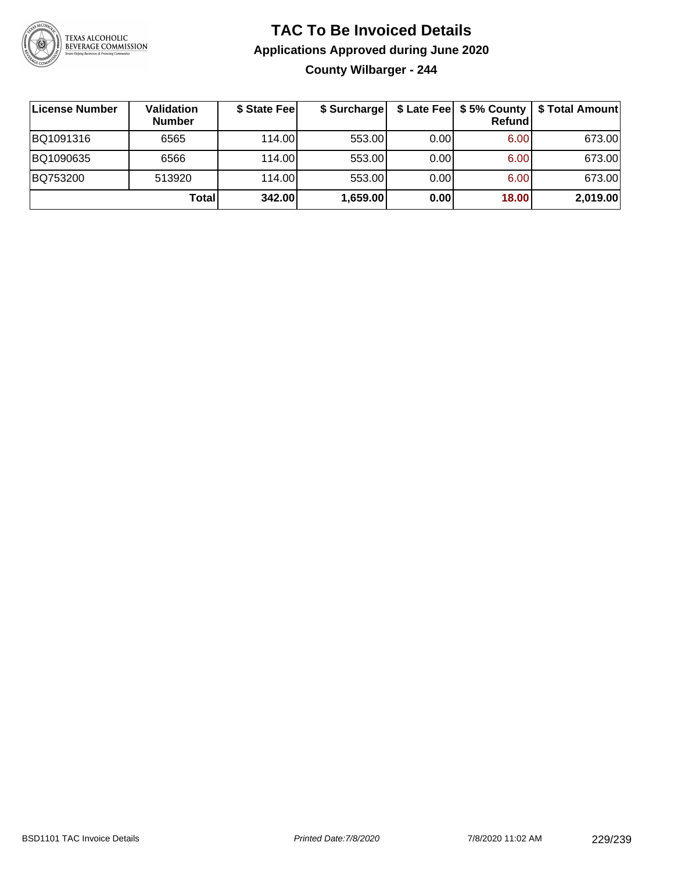

#### **TAC To Be Invoiced Details Applications Approved during June 2020 County Wilbarger - 244**

| License Number | Validation<br><b>Number</b> | \$ State Fee | \$ Surcharge |      | Refundl | \$ Late Fee   \$5% County   \$ Total Amount |
|----------------|-----------------------------|--------------|--------------|------|---------|---------------------------------------------|
| BQ1091316      | 6565                        | 114.00L      | 553.00       | 0.00 | 6.00    | 673.00                                      |
| BQ1090635      | 6566                        | 114.00L      | 553.00       | 0.00 | 6.00    | 673.00                                      |
| BQ753200       | 513920                      | 114.00       | 553.00       | 0.00 | 6.00    | 673.00                                      |
|                | Total                       | 342.00       | 1,659.00     | 0.00 | 18.00   | 2,019.00                                    |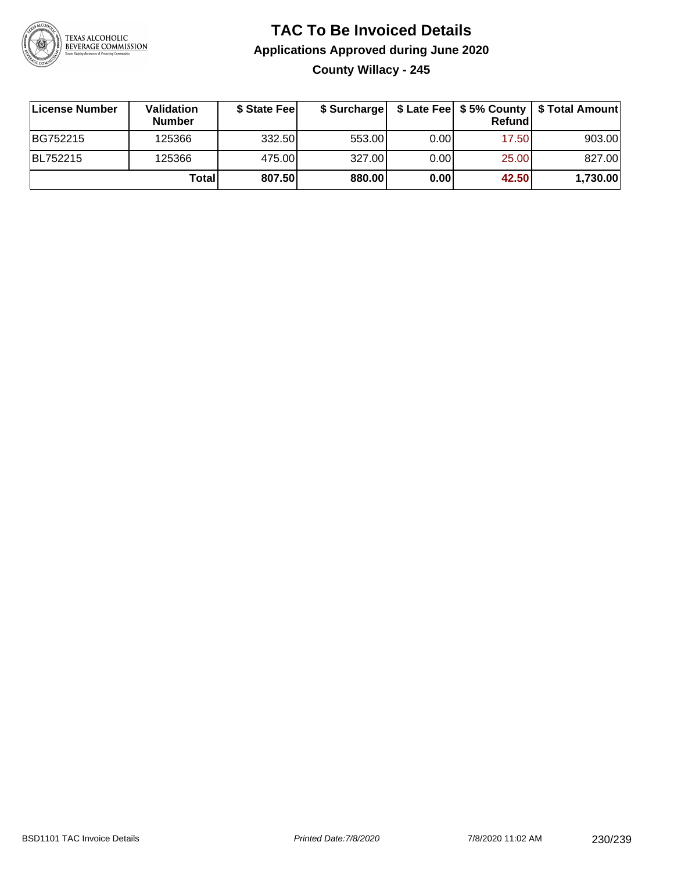

#### **TAC To Be Invoiced Details Applications Approved during June 2020 County Willacy - 245**

| License Number | <b>Validation</b><br><b>Number</b> | \$ State Feel |        |       | Refundl | \$ Surcharge   \$ Late Fee   \$5% County   \$ Total Amount |
|----------------|------------------------------------|---------------|--------|-------|---------|------------------------------------------------------------|
| BG752215       | 125366                             | 332.50        | 553.00 | 0.001 | 17.50   | 903.00                                                     |
| BL752215       | 125366                             | 475.00        | 327.00 | 0.00  | 25.00   | 827.00                                                     |
|                | Total                              | 807.50        | 880.00 | 0.00  | 42.50   | 1,730.00                                                   |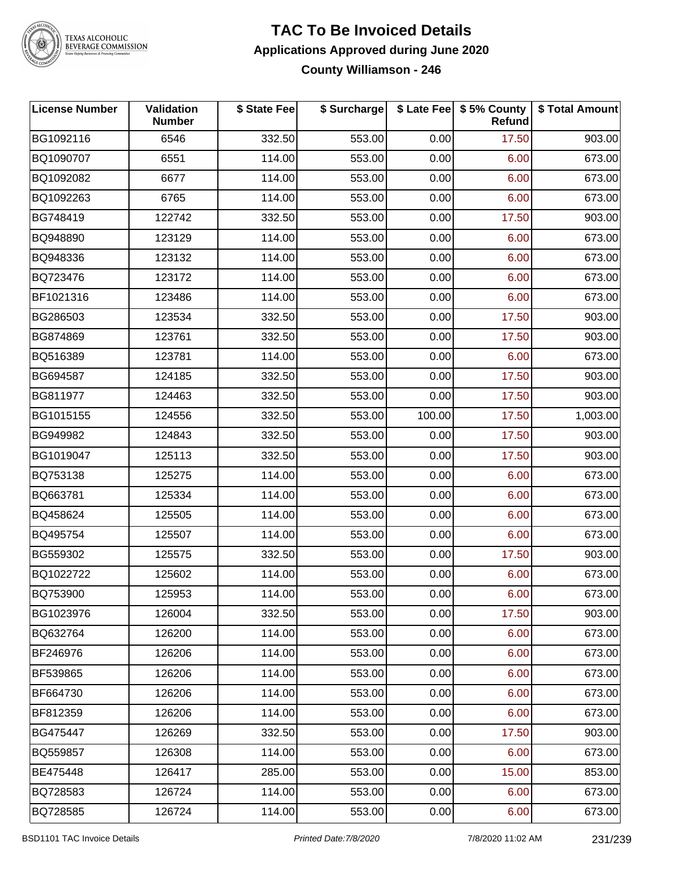

### **TAC To Be Invoiced Details Applications Approved during June 2020**

**County Williamson - 246**

| <b>License Number</b> | Validation<br><b>Number</b> | \$ State Fee | \$ Surcharge | \$ Late Fee | \$5% County<br>Refund | \$ Total Amount |
|-----------------------|-----------------------------|--------------|--------------|-------------|-----------------------|-----------------|
| BG1092116             | 6546                        | 332.50       | 553.00       | 0.00        | 17.50                 | 903.00          |
| BQ1090707             | 6551                        | 114.00       | 553.00       | 0.00        | 6.00                  | 673.00          |
| BQ1092082             | 6677                        | 114.00       | 553.00       | 0.00        | 6.00                  | 673.00          |
| BQ1092263             | 6765                        | 114.00       | 553.00       | 0.00        | 6.00                  | 673.00          |
| BG748419              | 122742                      | 332.50       | 553.00       | 0.00        | 17.50                 | 903.00          |
| BQ948890              | 123129                      | 114.00       | 553.00       | 0.00        | 6.00                  | 673.00          |
| BQ948336              | 123132                      | 114.00       | 553.00       | 0.00        | 6.00                  | 673.00          |
| BQ723476              | 123172                      | 114.00       | 553.00       | 0.00        | 6.00                  | 673.00          |
| BF1021316             | 123486                      | 114.00       | 553.00       | 0.00        | 6.00                  | 673.00          |
| BG286503              | 123534                      | 332.50       | 553.00       | 0.00        | 17.50                 | 903.00          |
| BG874869              | 123761                      | 332.50       | 553.00       | 0.00        | 17.50                 | 903.00          |
| BQ516389              | 123781                      | 114.00       | 553.00       | 0.00        | 6.00                  | 673.00          |
| BG694587              | 124185                      | 332.50       | 553.00       | 0.00        | 17.50                 | 903.00          |
| BG811977              | 124463                      | 332.50       | 553.00       | 0.00        | 17.50                 | 903.00          |
| BG1015155             | 124556                      | 332.50       | 553.00       | 100.00      | 17.50                 | 1,003.00        |
| BG949982              | 124843                      | 332.50       | 553.00       | 0.00        | 17.50                 | 903.00          |
| BG1019047             | 125113                      | 332.50       | 553.00       | 0.00        | 17.50                 | 903.00          |
| BQ753138              | 125275                      | 114.00       | 553.00       | 0.00        | 6.00                  | 673.00          |
| BQ663781              | 125334                      | 114.00       | 553.00       | 0.00        | 6.00                  | 673.00          |
| BQ458624              | 125505                      | 114.00       | 553.00       | 0.00        | 6.00                  | 673.00          |
| BQ495754              | 125507                      | 114.00       | 553.00       | 0.00        | 6.00                  | 673.00          |
| BG559302              | 125575                      | 332.50       | 553.00       | 0.00        | 17.50                 | 903.00          |
| BQ1022722             | 125602                      | 114.00       | 553.00       | 0.00        | 6.00                  | 673.00          |
| BQ753900              | 125953                      | 114.00       | 553.00       | 0.00        | 6.00                  | 673.00          |
| BG1023976             | 126004                      | 332.50       | 553.00       | 0.00        | 17.50                 | 903.00          |
| BQ632764              | 126200                      | 114.00       | 553.00       | 0.00        | 6.00                  | 673.00          |
| BF246976              | 126206                      | 114.00       | 553.00       | 0.00        | 6.00                  | 673.00          |
| BF539865              | 126206                      | 114.00       | 553.00       | 0.00        | 6.00                  | 673.00          |
| BF664730              | 126206                      | 114.00       | 553.00       | 0.00        | 6.00                  | 673.00          |
| BF812359              | 126206                      | 114.00       | 553.00       | 0.00        | 6.00                  | 673.00          |
| BG475447              | 126269                      | 332.50       | 553.00       | 0.00        | 17.50                 | 903.00          |
| BQ559857              | 126308                      | 114.00       | 553.00       | 0.00        | 6.00                  | 673.00          |
| BE475448              | 126417                      | 285.00       | 553.00       | 0.00        | 15.00                 | 853.00          |
| BQ728583              | 126724                      | 114.00       | 553.00       | 0.00        | 6.00                  | 673.00          |
| BQ728585              | 126724                      | 114.00       | 553.00       | 0.00        | 6.00                  | 673.00          |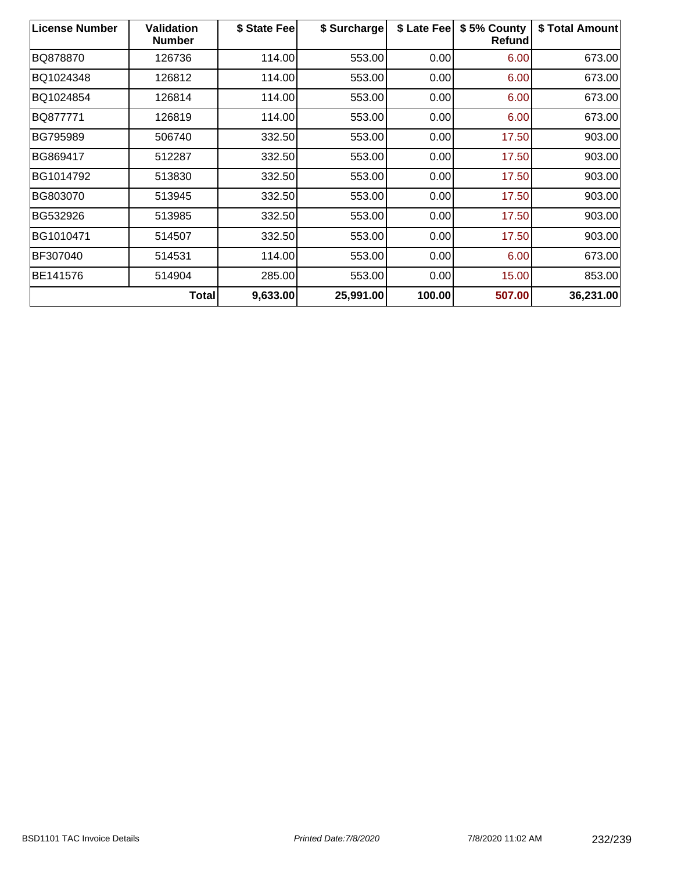| <b>License Number</b> | <b>Validation</b><br><b>Number</b> | \$ State Fee | \$ Surcharge | \$ Late Fee | \$5% County<br><b>Refund</b> | \$ Total Amount |
|-----------------------|------------------------------------|--------------|--------------|-------------|------------------------------|-----------------|
| BQ878870              | 126736                             | 114.00       | 553.00       | 0.00        | 6.00                         | 673.00          |
| BQ1024348             | 126812                             | 114.00       | 553.00       | 0.00        | 6.00                         | 673.00          |
| BQ1024854             | 126814                             | 114.00       | 553.00       | 0.00        | 6.00                         | 673.00          |
| BQ877771              | 126819                             | 114.00       | 553.00       | 0.00        | 6.00                         | 673.00          |
| <b>BG795989</b>       | 506740                             | 332.50       | 553.00       | 0.00        | 17.50                        | 903.00          |
| BG869417              | 512287                             | 332.50       | 553.00       | 0.00        | 17.50                        | 903.00          |
| BG1014792             | 513830                             | 332.50       | 553.00       | 0.00        | 17.50                        | 903.00          |
| BG803070              | 513945                             | 332.50       | 553.00       | 0.00        | 17.50                        | 903.00          |
| BG532926              | 513985                             | 332.50       | 553.00       | 0.00        | 17.50                        | 903.00          |
| BG1010471             | 514507                             | 332.50       | 553.00       | 0.00        | 17.50                        | 903.00          |
| BF307040              | 514531                             | 114.00       | 553.00       | 0.00        | 6.00                         | 673.00          |
| BE141576              | 514904                             | 285.00       | 553.00       | 0.00        | 15.00                        | 853.00          |
|                       | Total                              | 9,633.00     | 25,991.00    | 100.00      | 507.00                       | 36,231.00       |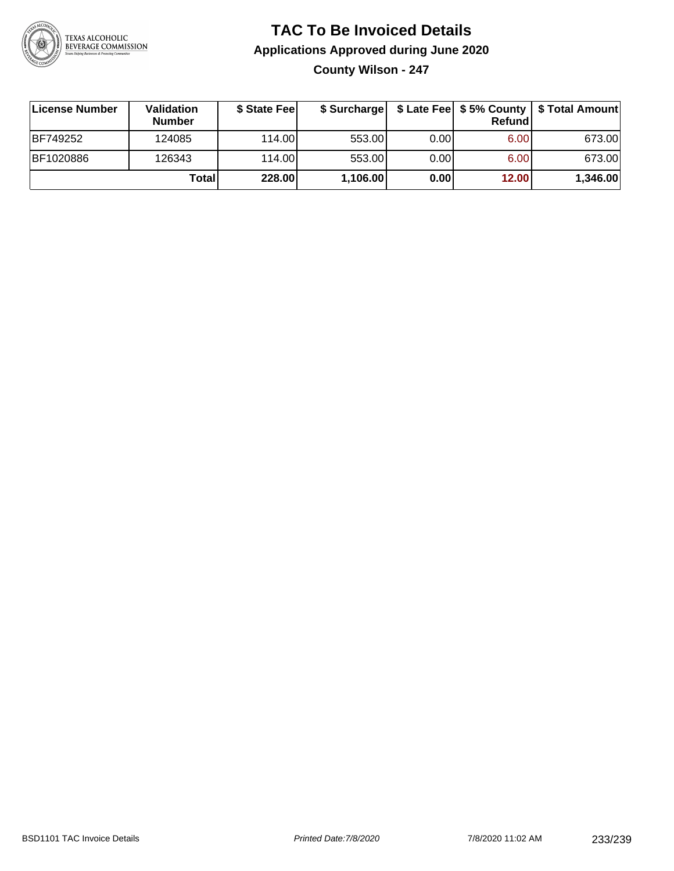

#### **TAC To Be Invoiced Details Applications Approved during June 2020 County Wilson - 247**

| License Number | <b>Validation</b><br><b>Number</b> | \$ State Fee | \$ Surcharge |      | Refundi | \$ Late Fee   \$5% County   \$ Total Amount |
|----------------|------------------------------------|--------------|--------------|------|---------|---------------------------------------------|
| BF749252       | 124085                             | 114.00L      | 553.00       | 0.00 | 6.00    | 673.00                                      |
| BF1020886      | 126343                             | 114.00L      | 553.00       | 0.00 | 6.00    | 673.00                                      |
|                | Total                              | 228.00       | 1,106.00     | 0.00 | 12.00   | 1,346.00                                    |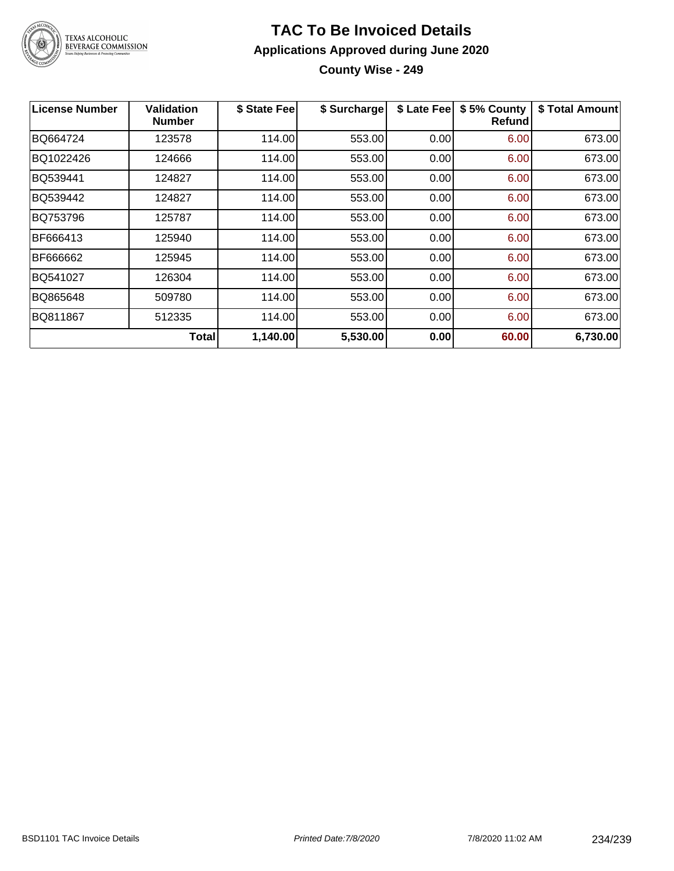

#### **TAC To Be Invoiced Details Applications Approved during June 2020 County Wise - 249**

| License Number | <b>Validation</b><br><b>Number</b> | \$ State Fee | \$ Surcharge | \$ Late Fee | \$5% County<br>Refund | \$ Total Amount |
|----------------|------------------------------------|--------------|--------------|-------------|-----------------------|-----------------|
| BQ664724       | 123578                             | 114.00       | 553.00       | 0.00        | 6.00                  | 673.00          |
| BQ1022426      | 124666                             | 114.00       | 553.00       | 0.00        | 6.00                  | 673.00          |
| BQ539441       | 124827                             | 114.00       | 553.00       | 0.00        | 6.00                  | 673.00          |
| BQ539442       | 124827                             | 114.00       | 553.00       | 0.00        | 6.00                  | 673.00          |
| BQ753796       | 125787                             | 114.00       | 553.00       | 0.00        | 6.00                  | 673.00          |
| BF666413       | 125940                             | 114.00       | 553.00       | 0.00        | 6.00                  | 673.00          |
| BF666662       | 125945                             | 114.00       | 553.00       | 0.00        | 6.00                  | 673.00          |
| BQ541027       | 126304                             | 114.00       | 553.00       | 0.00        | 6.00                  | 673.00          |
| BQ865648       | 509780                             | 114.00       | 553.00       | 0.00        | 6.00                  | 673.00          |
| BQ811867       | 512335                             | 114.00       | 553.00       | 0.00        | 6.00                  | 673.00          |
|                | Totall                             | 1,140.00     | 5,530.00     | 0.00        | 60.00                 | 6,730.00        |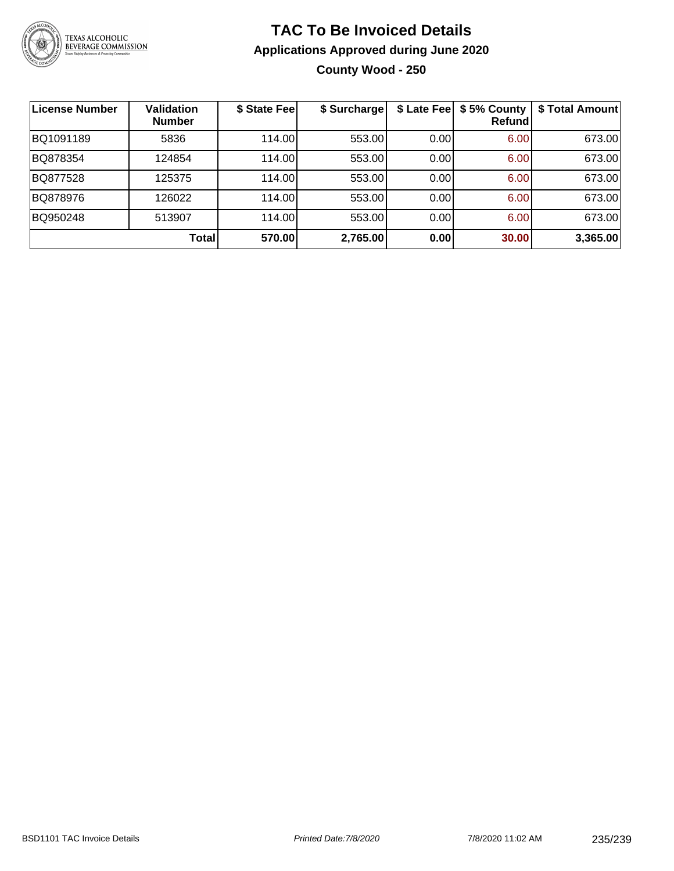

#### **TAC To Be Invoiced Details Applications Approved during June 2020 County Wood - 250**

| ∣License Number | <b>Validation</b><br><b>Number</b> | \$ State Fee | \$ Surcharge | \$ Late Fee | \$5% County<br>Refundl | \$ Total Amount |
|-----------------|------------------------------------|--------------|--------------|-------------|------------------------|-----------------|
| BQ1091189       | 5836                               | 114.00       | 553.00       | 0.00        | 6.00                   | 673.00          |
| BQ878354        | 124854                             | 114.00       | 553.00       | 0.00        | 6.00                   | 673.00          |
| BQ877528        | 125375                             | 114.00       | 553.00       | 0.00        | 6.00                   | 673.00          |
| BQ878976        | 126022                             | 114.00       | 553.00       | 0.00        | 6.00                   | 673.00          |
| BQ950248        | 513907                             | 114.00       | 553.00       | 0.00        | 6.00                   | 673.00          |
|                 | <b>Total</b>                       | 570.00       | 2,765.00     | 0.00        | 30.00                  | 3,365.00        |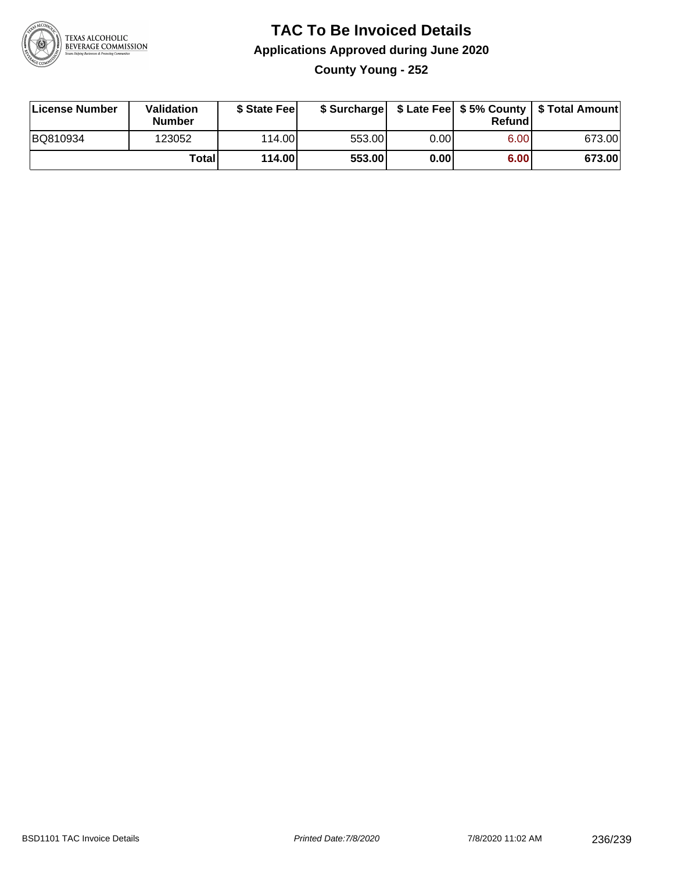

#### **TAC To Be Invoiced Details Applications Approved during June 2020 County Young - 252**

| License Number | Validation<br><b>Number</b> | \$ State Feel |        |      | Refund | \$ Surcharge   \$ Late Fee   \$5% County   \$ Total Amount |
|----------------|-----------------------------|---------------|--------|------|--------|------------------------------------------------------------|
| BQ810934       | 123052                      | 114.00L       | 553.00 | 0.00 | 6.00   | 673.00                                                     |
|                | Totall                      | 114.00        | 553.00 | 0.00 | 6.00   | 673.00                                                     |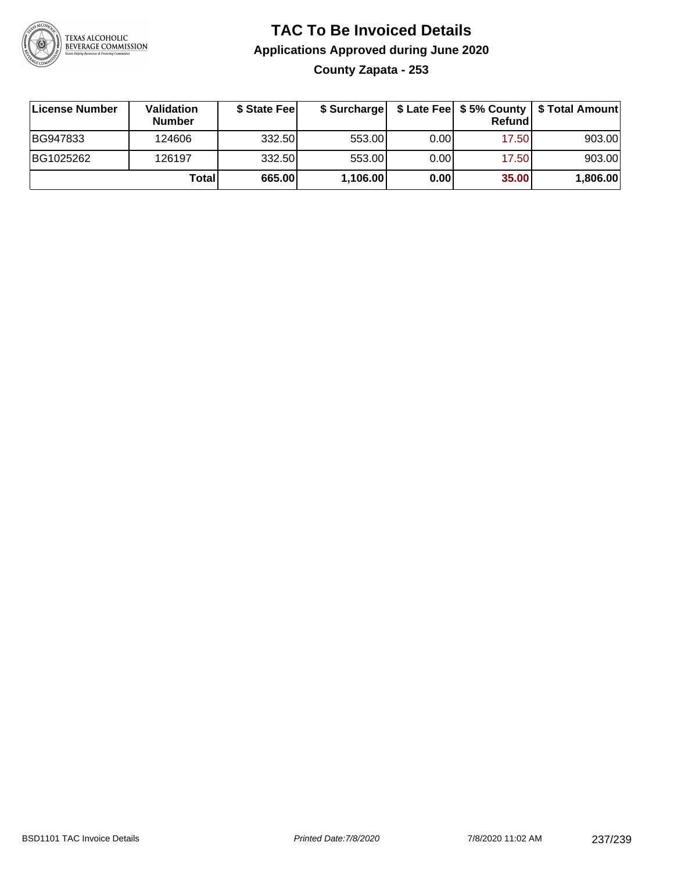

#### **TAC To Be Invoiced Details Applications Approved during June 2020 County Zapata - 253**

| License Number | <b>Validation</b><br><b>Number</b> | \$ State Fee | \$ Surcharge |      | Refund | \$ Late Fee   \$5% County   \$ Total Amount |
|----------------|------------------------------------|--------------|--------------|------|--------|---------------------------------------------|
| BG947833       | 124606                             | 332.50       | 553.00       | 0.00 | 17.50  | 903.00                                      |
| BG1025262      | 126197                             | 332.50       | 553.00       | 0.00 | 17.50  | 903.00                                      |
|                | Total                              | 665.00       | 1,106.00     | 0.00 | 35.00  | 1,806.00                                    |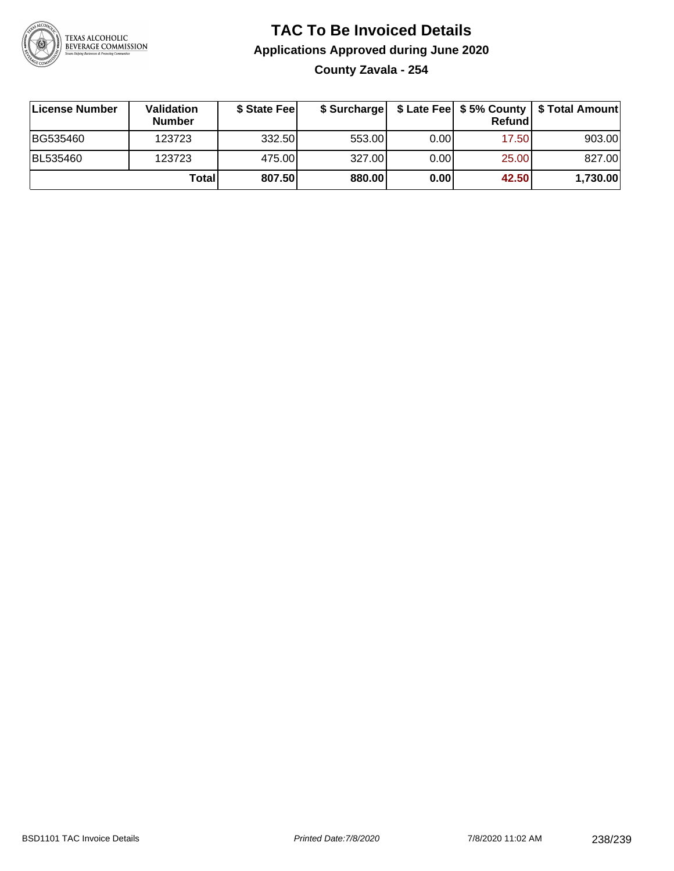

#### **TAC To Be Invoiced Details Applications Approved during June 2020 County Zavala - 254**

**License Number Validation Number \$ State Fee \$ Surcharge \$ Late Fee \$ 5% County Refund \$ Total Amount** BG535460 | 123723 | 332.50| 553.00| 0.00| 17.50| 903.00 BL535460 123723 475.00 327.00 0.00 25.00 827.00 **Total 807.50 880.00 0.00 42.50 1,730.00**